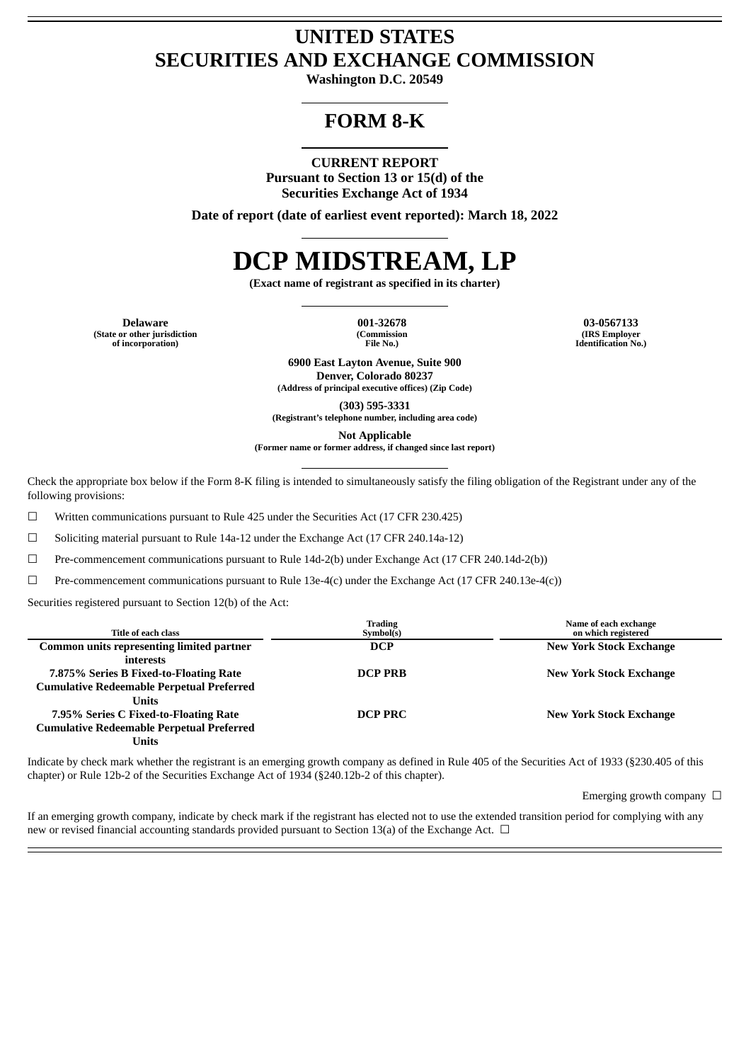# **UNITED STATES SECURITIES AND EXCHANGE COMMISSION**

**Washington D.C. 20549**

## **FORM 8-K**

**CURRENT REPORT Pursuant to Section 13 or 15(d) of the Securities Exchange Act of 1934**

**Date of report (date of earliest event reported): March 18, 2022**

# **DCP MIDSTREAM, LP**

**(Exact name of registrant as specified in its charter)**

**Delaware 001-32678 03-0567133 (State or other jurisdiction of incorporation)**

**(Commission File No.)**

**(IRS Employer Identification No.)**

**6900 East Layton Avenue, Suite 900 Denver, Colorado 80237 (Address of principal executive offices) (Zip Code)**

**(303) 595-3331 (Registrant's telephone number, including area code)**

**Not Applicable**

**(Former name or former address, if changed since last report)**

Check the appropriate box below if the Form 8-K filing is intended to simultaneously satisfy the filing obligation of the Registrant under any of the following provisions:

☐ Written communications pursuant to Rule 425 under the Securities Act (17 CFR 230.425)

 $\Box$  Soliciting material pursuant to Rule 14a-12 under the Exchange Act (17 CFR 240.14a-12)

☐ Pre-commencement communications pursuant to Rule 14d-2(b) under Exchange Act (17 CFR 240.14d-2(b))

☐ Pre-commencement communications pursuant to Rule 13e-4(c) under the Exchange Act (17 CFR 240.13e-4(c))

Securities registered pursuant to Section 12(b) of the Act:

| Title of each class                              | <b>Trading</b><br>Symbol(s) | Name of each exchange<br>on which registered |
|--------------------------------------------------|-----------------------------|----------------------------------------------|
| Common units representing limited partner        | <b>DCP</b>                  | <b>New York Stock Exchange</b>               |
| interests                                        |                             |                                              |
| 7.875% Series B Fixed-to-Floating Rate           | <b>DCP PRB</b>              | <b>New York Stock Exchange</b>               |
| <b>Cumulative Redeemable Perpetual Preferred</b> |                             |                                              |
| Units                                            |                             |                                              |
| 7.95% Series C Fixed-to-Floating Rate            | <b>DCP PRC</b>              | <b>New York Stock Exchange</b>               |
| <b>Cumulative Redeemable Perpetual Preferred</b> |                             |                                              |
| Units                                            |                             |                                              |

Indicate by check mark whether the registrant is an emerging growth company as defined in Rule 405 of the Securities Act of 1933 (§230.405 of this chapter) or Rule 12b-2 of the Securities Exchange Act of 1934 (§240.12b-2 of this chapter).

Emerging growth company  $\Box$ 

If an emerging growth company, indicate by check mark if the registrant has elected not to use the extended transition period for complying with any new or revised financial accounting standards provided pursuant to Section 13(a) of the Exchange Act.  $\Box$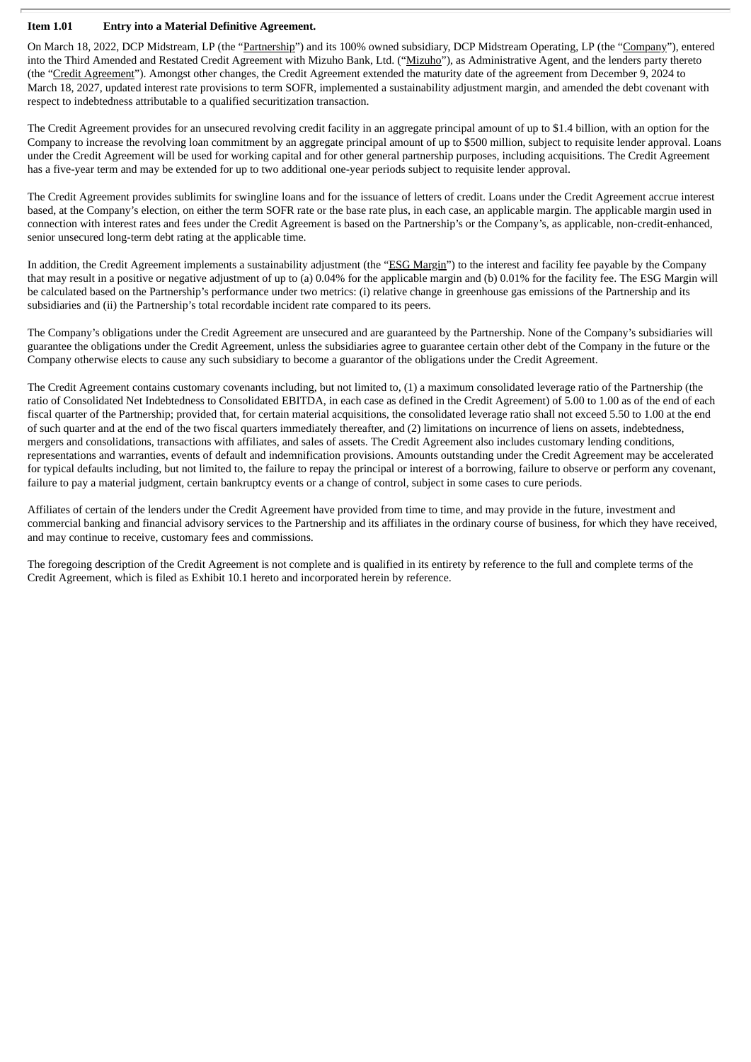#### **Item 1.01 Entry into a Material Definitive Agreement.**

On March 18, 2022, DCP Midstream, LP (the "Partnership") and its 100% owned subsidiary, DCP Midstream Operating, LP (the "Company"), entered into the Third Amended and Restated Credit Agreement with Mizuho Bank, Ltd. ("Mizuho"), as Administrative Agent, and the lenders party thereto (the "Credit Agreement"). Amongst other changes, the Credit Agreement extended the maturity date of the agreement from December 9, 2024 to March 18, 2027, updated interest rate provisions to term SOFR, implemented a sustainability adjustment margin, and amended the debt covenant with respect to indebtedness attributable to a qualified securitization transaction.

The Credit Agreement provides for an unsecured revolving credit facility in an aggregate principal amount of up to \$1.4 billion, with an option for the Company to increase the revolving loan commitment by an aggregate principal amount of up to \$500 million, subject to requisite lender approval. Loans under the Credit Agreement will be used for working capital and for other general partnership purposes, including acquisitions. The Credit Agreement has a five-year term and may be extended for up to two additional one-year periods subject to requisite lender approval.

The Credit Agreement provides sublimits for swingline loans and for the issuance of letters of credit. Loans under the Credit Agreement accrue interest based, at the Company's election, on either the term SOFR rate or the base rate plus, in each case, an applicable margin. The applicable margin used in connection with interest rates and fees under the Credit Agreement is based on the Partnership's or the Company's, as applicable, non-credit-enhanced, senior unsecured long-term debt rating at the applicable time.

In addition, the Credit Agreement implements a sustainability adjustment (the "ESG Margin") to the interest and facility fee payable by the Company that may result in a positive or negative adjustment of up to (a) 0.04% for the applicable margin and (b) 0.01% for the facility fee. The ESG Margin will be calculated based on the Partnership's performance under two metrics: (i) relative change in greenhouse gas emissions of the Partnership and its subsidiaries and (ii) the Partnership's total recordable incident rate compared to its peers.

The Company's obligations under the Credit Agreement are unsecured and are guaranteed by the Partnership. None of the Company's subsidiaries will guarantee the obligations under the Credit Agreement, unless the subsidiaries agree to guarantee certain other debt of the Company in the future or the Company otherwise elects to cause any such subsidiary to become a guarantor of the obligations under the Credit Agreement.

The Credit Agreement contains customary covenants including, but not limited to, (1) a maximum consolidated leverage ratio of the Partnership (the ratio of Consolidated Net Indebtedness to Consolidated EBITDA, in each case as defined in the Credit Agreement) of 5.00 to 1.00 as of the end of each fiscal quarter of the Partnership; provided that, for certain material acquisitions, the consolidated leverage ratio shall not exceed 5.50 to 1.00 at the end of such quarter and at the end of the two fiscal quarters immediately thereafter, and (2) limitations on incurrence of liens on assets, indebtedness, mergers and consolidations, transactions with affiliates, and sales of assets. The Credit Agreement also includes customary lending conditions, representations and warranties, events of default and indemnification provisions. Amounts outstanding under the Credit Agreement may be accelerated for typical defaults including, but not limited to, the failure to repay the principal or interest of a borrowing, failure to observe or perform any covenant, failure to pay a material judgment, certain bankruptcy events or a change of control, subject in some cases to cure periods.

Affiliates of certain of the lenders under the Credit Agreement have provided from time to time, and may provide in the future, investment and commercial banking and financial advisory services to the Partnership and its affiliates in the ordinary course of business, for which they have received, and may continue to receive, customary fees and commissions.

The foregoing description of the Credit Agreement is not complete and is qualified in its entirety by reference to the full and complete terms of the Credit Agreement, which is filed as Exhibit 10.1 hereto and incorporated herein by reference.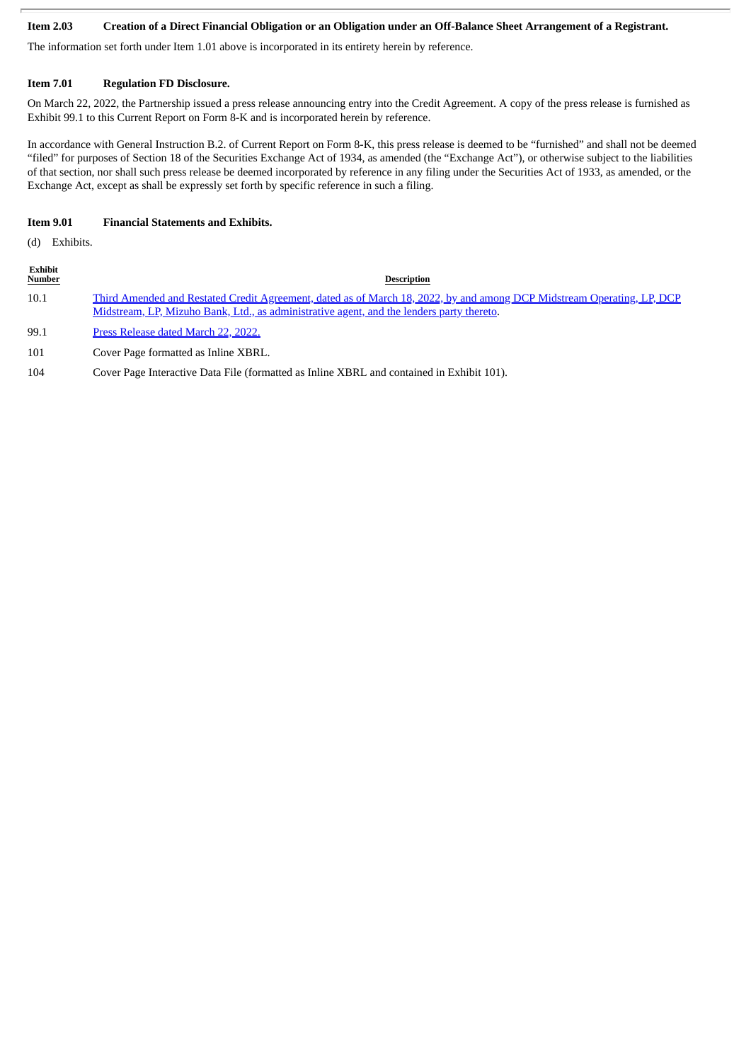#### Item 2.03 Creation of a Direct Financial Obligation or an Obligation under an Off-Balance Sheet Arrangement of a Registrant.

The information set forth under Item 1.01 above is incorporated in its entirety herein by reference.

#### **Item 7.01 Regulation FD Disclosure.**

On March 22, 2022, the Partnership issued a press release announcing entry into the Credit Agreement. A copy of the press release is furnished as Exhibit 99.1 to this Current Report on Form 8-K and is incorporated herein by reference.

In accordance with General Instruction B.2. of Current Report on Form 8-K, this press release is deemed to be "furnished" and shall not be deemed "filed" for purposes of Section 18 of the Securities Exchange Act of 1934, as amended (the "Exchange Act"), or otherwise subject to the liabilities of that section, nor shall such press release be deemed incorporated by reference in any filing under the Securities Act of 1933, as amended, or the Exchange Act, except as shall be expressly set forth by specific reference in such a filing.

#### **Item 9.01 Financial Statements and Exhibits.**

(d) Exhibits.

| Exhibit<br><b>Number</b> | <b>Description</b>                                                                                                                                                                                                  |
|--------------------------|---------------------------------------------------------------------------------------------------------------------------------------------------------------------------------------------------------------------|
| 10.1                     | Third Amended and Restated Credit Agreement, dated as of March 18, 2022, by and among DCP Midstream Operating, LP, DCP<br>Midstream, LP, Mizuho Bank, Ltd., as administrative agent, and the lenders party thereto. |
| 99.1                     | Press Release dated March 22, 2022.                                                                                                                                                                                 |
| 101                      | Cover Page formatted as Inline XBRL.                                                                                                                                                                                |
| 104                      | Cover Page Interactive Data File (formatted as Inline XBRL and contained in Exhibit 101).                                                                                                                           |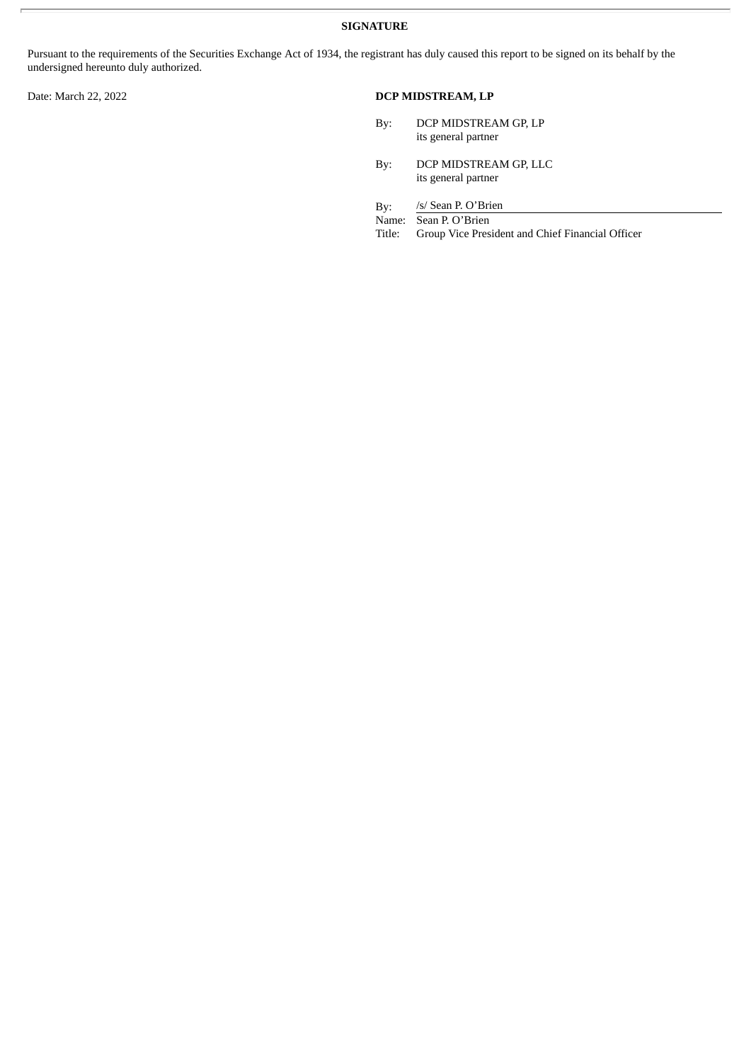**SIGNATURE**

Pursuant to the requirements of the Securities Exchange Act of 1934, the registrant has duly caused this report to be signed on its behalf by the undersigned hereunto duly authorized.

## Date: March 22, 2022 **DCP MIDSTREAM, LP**

- By: DCP MIDSTREAM GP, LP its general partner
- By: DCP MIDSTREAM GP, LLC its general partner

By:<br>Name: /s/ Sean P. O'Brien

Sean P. O'Brien

Title: Group Vice President and Chief Financial Officer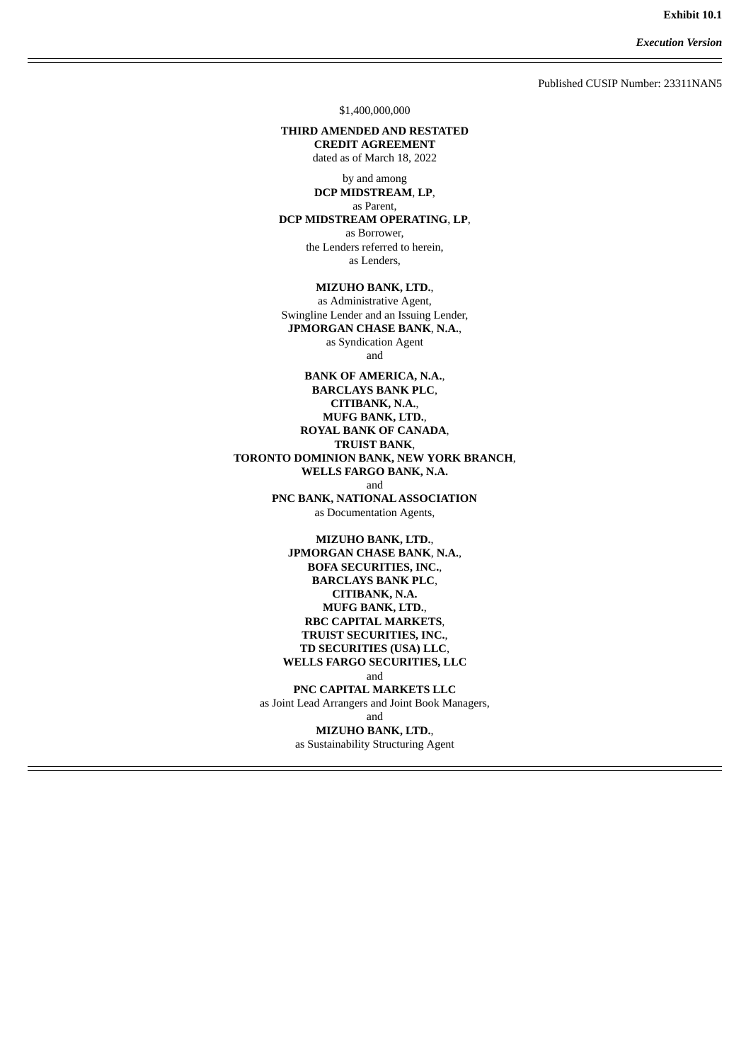Published CUSIP Number: 23311NAN5

#### \$1,400,000,000

<span id="page-4-0"></span>**THIRD AMENDED AND RESTATED CREDIT AGREEMENT** dated as of March 18, 2022

by and among

**DCP MIDSTREAM**, **LP**, as Parent,

**DCP MIDSTREAM OPERATING**, **LP**,

as Borrower, the Lenders referred to herein, as Lenders,

**MIZUHO BANK, LTD.**,

as Administrative Agent, Swingline Lender and an Issuing Lender, **JPMORGAN CHASE BANK**, **N.A.**, as Syndication Agent and

**BANK OF AMERICA, N.A.**, **BARCLAYS BANK PLC**, **CITIBANK, N.A.**, **MUFG BANK, LTD.**, **ROYAL BANK OF CANADA**, **TRUIST BANK**, **TORONTO DOMINION BANK, NEW YORK BRANCH**, **WELLS FARGO BANK, N.A.** and **PNC BANK, NATIONALASSOCIATION** as Documentation Agents,

**MIZUHO BANK, LTD.**, **JPMORGAN CHASE BANK**, **N.A.**, **BOFA SECURITIES, INC.**, **BARCLAYS BANK PLC**, **CITIBANK, N.A. MUFG BANK, LTD.**, **RBC CAPITAL MARKETS**, **TRUIST SECURITIES, INC.**, **TD SECURITIES (USA) LLC**, **WELLS FARGO SECURITIES, LLC** and **PNC CAPITAL MARKETS LLC** as Joint Lead Arrangers and Joint Book Managers, and **MIZUHO BANK, LTD.**, as Sustainability Structuring Agent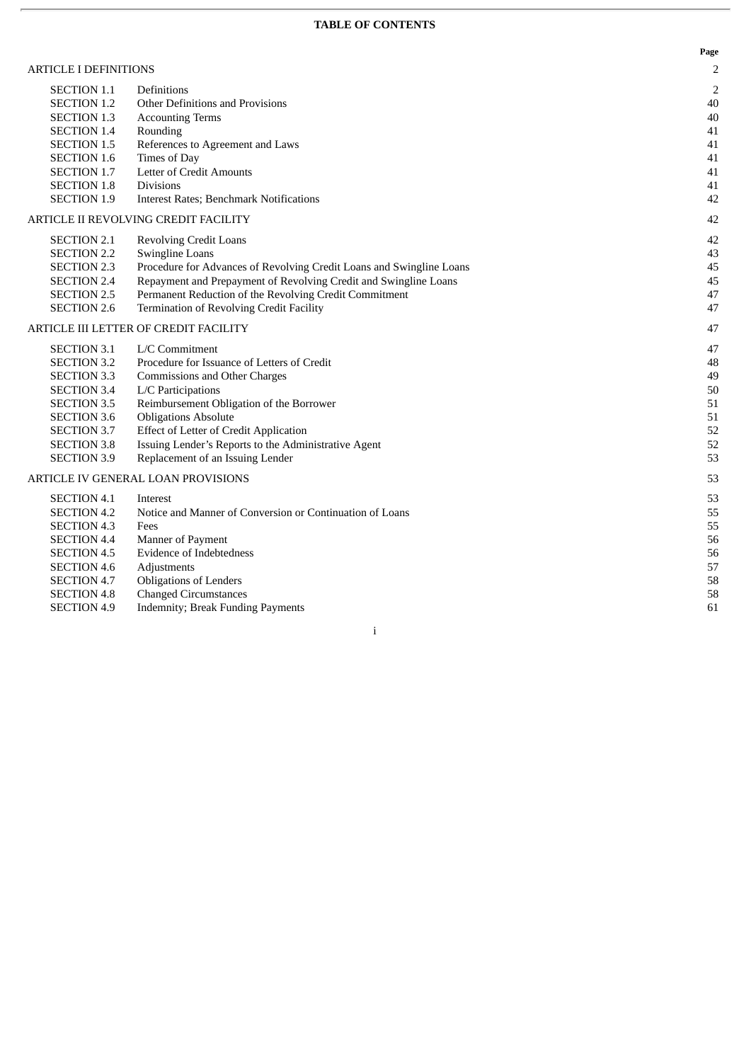### **TABLE OF CONTENTS**

|                              |                                                                      | Page |
|------------------------------|----------------------------------------------------------------------|------|
| <b>ARTICLE I DEFINITIONS</b> |                                                                      | 2    |
| <b>SECTION 1.1</b>           | Definitions                                                          | 2    |
| <b>SECTION 1.2</b>           | Other Definitions and Provisions                                     | 40   |
| <b>SECTION 1.3</b>           | <b>Accounting Terms</b>                                              | 40   |
| <b>SECTION 1.4</b>           | Rounding                                                             | 41   |
| <b>SECTION 1.5</b>           | References to Agreement and Laws                                     | 41   |
| <b>SECTION 1.6</b>           | Times of Day                                                         | 41   |
| <b>SECTION 1.7</b>           | <b>Letter of Credit Amounts</b>                                      | 41   |
| <b>SECTION 1.8</b>           | <b>Divisions</b>                                                     | 41   |
| <b>SECTION 1.9</b>           | <b>Interest Rates; Benchmark Notifications</b>                       | 42   |
|                              | ARTICLE II REVOLVING CREDIT FACILITY                                 | 42   |
| <b>SECTION 2.1</b>           | <b>Revolving Credit Loans</b>                                        | 42   |
| <b>SECTION 2.2</b>           | <b>Swingline Loans</b>                                               | 43   |
| <b>SECTION 2.3</b>           | Procedure for Advances of Revolving Credit Loans and Swingline Loans | 45   |
| <b>SECTION 2.4</b>           | Repayment and Prepayment of Revolving Credit and Swingline Loans     | 45   |
| <b>SECTION 2.5</b>           | Permanent Reduction of the Revolving Credit Commitment               | 47   |
| <b>SECTION 2.6</b>           | Termination of Revolving Credit Facility                             | 47   |
|                              | ARTICLE III LETTER OF CREDIT FACILITY                                | 47   |
| <b>SECTION 3.1</b>           | L/C Commitment                                                       | 47   |
| <b>SECTION 3.2</b>           | Procedure for Issuance of Letters of Credit                          | 48   |
| <b>SECTION 3.3</b>           | <b>Commissions and Other Charges</b>                                 | 49   |
| <b>SECTION 3.4</b>           | L/C Participations                                                   | 50   |
| <b>SECTION 3.5</b>           | Reimbursement Obligation of the Borrower                             | 51   |
| <b>SECTION 3.6</b>           | <b>Obligations Absolute</b>                                          | 51   |
| <b>SECTION 3.7</b>           | <b>Effect of Letter of Credit Application</b>                        | 52   |
| <b>SECTION 3.8</b>           | Issuing Lender's Reports to the Administrative Agent                 | 52   |
| <b>SECTION 3.9</b>           | Replacement of an Issuing Lender                                     | 53   |
|                              | ARTICLE IV GENERAL LOAN PROVISIONS                                   | 53   |
| <b>SECTION 4.1</b>           | Interest                                                             | 53   |
| <b>SECTION 4.2</b>           | Notice and Manner of Conversion or Continuation of Loans             | 55   |
| <b>SECTION 4.3</b>           | Fees                                                                 | 55   |
| <b>SECTION 4.4</b>           | Manner of Payment                                                    | 56   |
| <b>SECTION 4.5</b>           | <b>Evidence of Indebtedness</b>                                      | 56   |
| <b>SECTION 4.6</b>           | Adjustments                                                          | 57   |
| <b>SECTION 4.7</b>           | Obligations of Lenders                                               | 58   |
| <b>SECTION 4.8</b>           | <b>Changed Circumstances</b>                                         | 58   |
| <b>SECTION 4.9</b>           | Indemnity; Break Funding Payments                                    | 61   |

i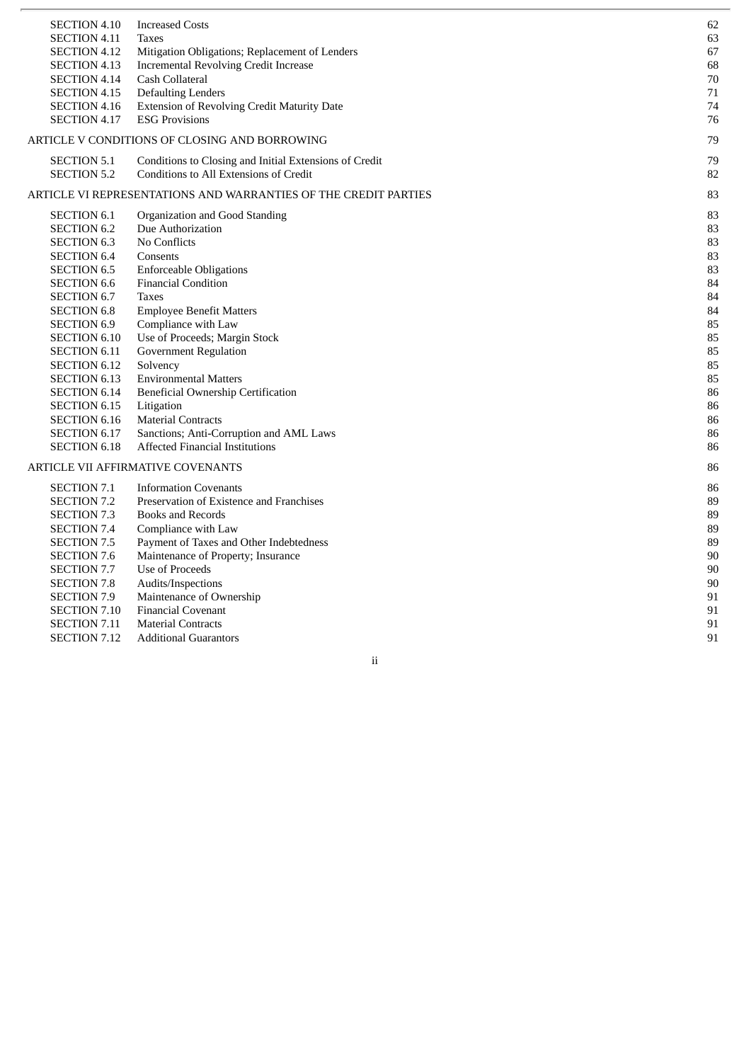| <b>SECTION 4.10</b> | <b>Increased Costs</b>                                          | 62 |
|---------------------|-----------------------------------------------------------------|----|
| <b>SECTION 4.11</b> | <b>Taxes</b>                                                    | 63 |
| <b>SECTION 4.12</b> | Mitigation Obligations; Replacement of Lenders                  | 67 |
| <b>SECTION 4.13</b> | <b>Incremental Revolving Credit Increase</b>                    | 68 |
| <b>SECTION 4.14</b> | Cash Collateral                                                 | 70 |
| <b>SECTION 4.15</b> | <b>Defaulting Lenders</b>                                       | 71 |
| <b>SECTION 4.16</b> | <b>Extension of Revolving Credit Maturity Date</b>              | 74 |
| <b>SECTION 4.17</b> | <b>ESG Provisions</b>                                           | 76 |
|                     | ARTICLE V CONDITIONS OF CLOSING AND BORROWING                   | 79 |
| <b>SECTION 5.1</b>  | Conditions to Closing and Initial Extensions of Credit          | 79 |
| <b>SECTION 5.2</b>  | Conditions to All Extensions of Credit                          | 82 |
|                     | ARTICLE VI REPRESENTATIONS AND WARRANTIES OF THE CREDIT PARTIES | 83 |
| <b>SECTION 6.1</b>  | Organization and Good Standing                                  | 83 |
| <b>SECTION 6.2</b>  | Due Authorization                                               | 83 |
| <b>SECTION 6.3</b>  | <b>No Conflicts</b>                                             | 83 |
| <b>SECTION 6.4</b>  | Consents                                                        | 83 |
| <b>SECTION 6.5</b>  | <b>Enforceable Obligations</b>                                  | 83 |
| <b>SECTION 6.6</b>  | <b>Financial Condition</b>                                      | 84 |
| <b>SECTION 6.7</b>  | <b>Taxes</b>                                                    | 84 |
| <b>SECTION 6.8</b>  | <b>Employee Benefit Matters</b>                                 | 84 |
| <b>SECTION 6.9</b>  | Compliance with Law                                             | 85 |
| <b>SECTION 6.10</b> | Use of Proceeds; Margin Stock                                   | 85 |
| <b>SECTION 6.11</b> | <b>Government Regulation</b>                                    | 85 |
| <b>SECTION 6.12</b> | Solvency                                                        | 85 |
| <b>SECTION 6.13</b> | <b>Environmental Matters</b>                                    | 85 |
| <b>SECTION 6.14</b> | <b>Beneficial Ownership Certification</b>                       | 86 |
| <b>SECTION 6.15</b> | Litigation                                                      | 86 |
| <b>SECTION 6.16</b> | <b>Material Contracts</b>                                       | 86 |
| <b>SECTION 6.17</b> | Sanctions; Anti-Corruption and AML Laws                         | 86 |
| <b>SECTION 6.18</b> | <b>Affected Financial Institutions</b>                          | 86 |
|                     | ARTICLE VII AFFIRMATIVE COVENANTS                               | 86 |
| <b>SECTION 7.1</b>  | <b>Information Covenants</b>                                    | 86 |
| <b>SECTION 7.2</b>  | Preservation of Existence and Franchises                        | 89 |
| <b>SECTION 7.3</b>  | <b>Books and Records</b>                                        | 89 |
| <b>SECTION 7.4</b>  | Compliance with Law                                             | 89 |
| <b>SECTION 7.5</b>  | Payment of Taxes and Other Indebtedness                         | 89 |
| <b>SECTION 7.6</b>  | Maintenance of Property; Insurance                              | 90 |
| <b>SECTION 7.7</b>  | Use of Proceeds                                                 | 90 |
| <b>SECTION 7.8</b>  | Audits/Inspections                                              | 90 |
| <b>SECTION 7.9</b>  | Maintenance of Ownership                                        | 91 |
| <b>SECTION 7.10</b> | <b>Financial Covenant</b>                                       | 91 |
| <b>SECTION 7.11</b> | <b>Material Contracts</b>                                       | 91 |
| <b>SECTION 7.12</b> | <b>Additional Guarantors</b>                                    | 91 |

i i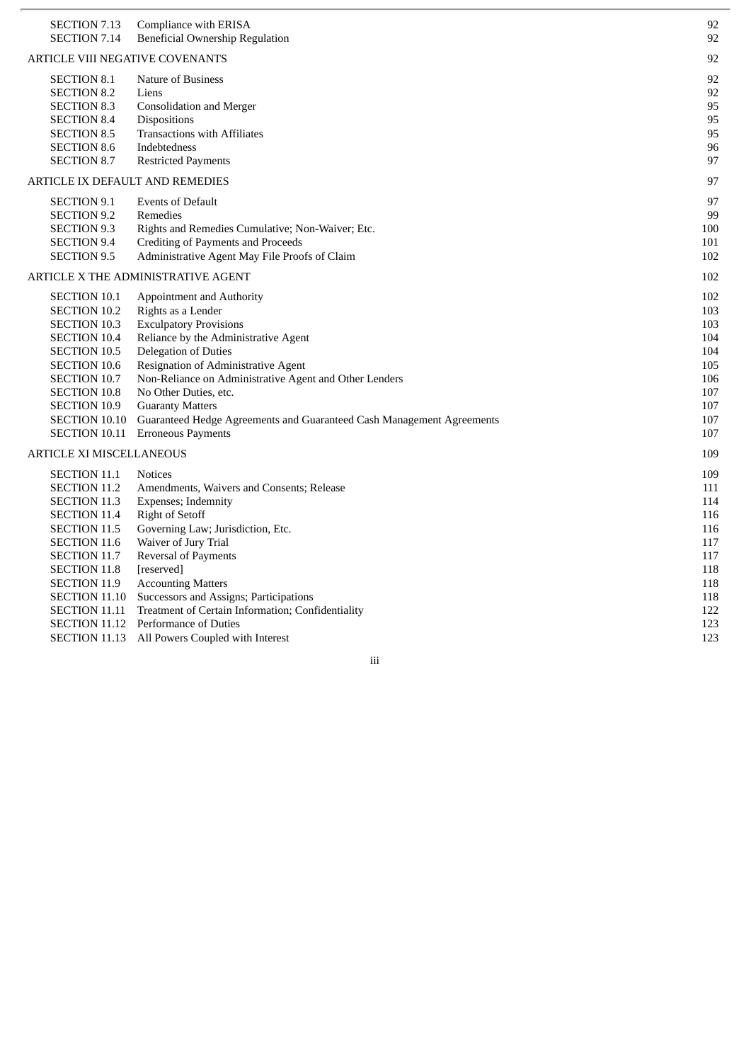| <b>SECTION 7.13</b>             | Compliance with ERISA                                                 | 92  |
|---------------------------------|-----------------------------------------------------------------------|-----|
| <b>SECTION 7.14</b>             | <b>Beneficial Ownership Regulation</b>                                | 92  |
| ARTICLE VIII NEGATIVE COVENANTS |                                                                       | 92  |
| <b>SECTION 8.1</b>              | Nature of Business                                                    | 92  |
| <b>SECTION 8.2</b>              | Liens                                                                 | 92  |
| <b>SECTION 8.3</b>              | <b>Consolidation and Merger</b>                                       | 95  |
| <b>SECTION 8.4</b>              | <b>Dispositions</b>                                                   | 95  |
| <b>SECTION 8.5</b>              | <b>Transactions with Affiliates</b>                                   | 95  |
| <b>SECTION 8.6</b>              | Indebtedness                                                          | 96  |
| <b>SECTION 8.7</b>              | <b>Restricted Payments</b>                                            | 97  |
|                                 | ARTICLE IX DEFAULT AND REMEDIES                                       | 97  |
| <b>SECTION 9.1</b>              | <b>Events of Default</b>                                              | 97  |
| <b>SECTION 9.2</b>              | Remedies                                                              | 99  |
| <b>SECTION 9.3</b>              | Rights and Remedies Cumulative; Non-Waiver; Etc.                      | 100 |
| <b>SECTION 9.4</b>              | Crediting of Payments and Proceeds                                    | 101 |
| <b>SECTION 9.5</b>              | Administrative Agent May File Proofs of Claim                         | 102 |
|                                 | ARTICLE X THE ADMINISTRATIVE AGENT                                    | 102 |
| <b>SECTION 10.1</b>             | Appointment and Authority                                             | 102 |
| <b>SECTION 10.2</b>             | Rights as a Lender                                                    | 103 |
| <b>SECTION 10.3</b>             | <b>Exculpatory Provisions</b>                                         | 103 |
| <b>SECTION 10.4</b>             | Reliance by the Administrative Agent                                  | 104 |
| <b>SECTION 10.5</b>             | <b>Delegation of Duties</b>                                           | 104 |
| <b>SECTION 10.6</b>             | Resignation of Administrative Agent                                   | 105 |
| <b>SECTION 10.7</b>             | Non-Reliance on Administrative Agent and Other Lenders                | 106 |
| <b>SECTION 10.8</b>             | No Other Duties, etc.                                                 | 107 |
| <b>SECTION 10.9</b>             | <b>Guaranty Matters</b>                                               | 107 |
| <b>SECTION 10.10</b>            | Guaranteed Hedge Agreements and Guaranteed Cash Management Agreements | 107 |
| <b>SECTION 10.11</b>            | <b>Erroneous Payments</b>                                             | 107 |
| <b>ARTICLE XI MISCELLANEOUS</b> |                                                                       | 109 |
| <b>SECTION 11.1</b>             | <b>Notices</b>                                                        | 109 |
| <b>SECTION 11.2</b>             | Amendments, Waivers and Consents; Release                             | 111 |
| <b>SECTION 11.3</b>             | Expenses; Indemnity                                                   | 114 |
| <b>SECTION 11.4</b>             | <b>Right of Setoff</b>                                                | 116 |
| <b>SECTION 11.5</b>             | Governing Law; Jurisdiction, Etc.                                     | 116 |
| <b>SECTION 11.6</b>             | Waiver of Jury Trial                                                  | 117 |
| <b>SECTION 11.7</b>             | Reversal of Payments                                                  | 117 |
| <b>SECTION 11.8</b>             | [reserved]                                                            | 118 |
| <b>SECTION 11.9</b>             | <b>Accounting Matters</b>                                             | 118 |
| <b>SECTION 11.10</b>            | Successors and Assigns; Participations                                | 118 |
| <b>SECTION 11.11</b>            | Treatment of Certain Information; Confidentiality                     | 122 |
| SECTION 11.12                   | Performance of Duties                                                 | 123 |
| SECTION 11.13                   | All Powers Coupled with Interest                                      | 123 |
|                                 |                                                                       |     |

iii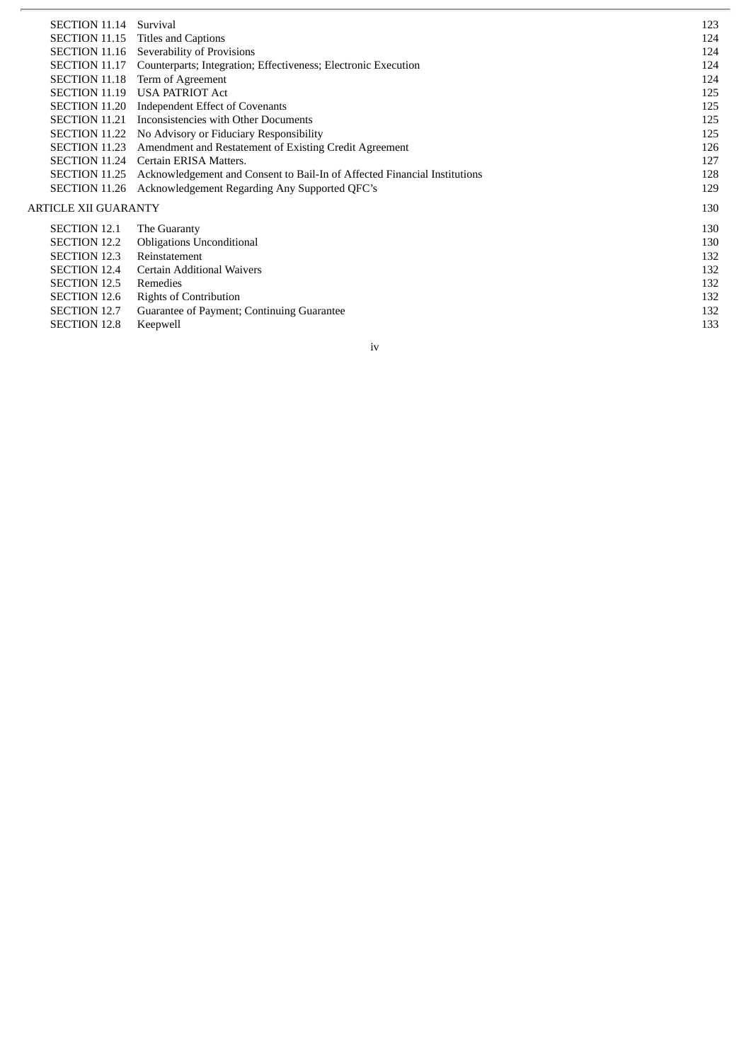| <b>SECTION 11.14</b> | Survival                                                                  | 123 |
|----------------------|---------------------------------------------------------------------------|-----|
| <b>SECTION 11.15</b> | <b>Titles and Captions</b>                                                | 124 |
| <b>SECTION 11.16</b> | Severability of Provisions                                                | 124 |
| <b>SECTION 11.17</b> | Counterparts; Integration; Effectiveness; Electronic Execution            | 124 |
| <b>SECTION 11.18</b> | Term of Agreement                                                         | 124 |
| <b>SECTION 11.19</b> | <b>USA PATRIOT Act</b>                                                    | 125 |
| <b>SECTION 11.20</b> | <b>Independent Effect of Covenants</b>                                    | 125 |
| <b>SECTION 11.21</b> | Inconsistencies with Other Documents                                      | 125 |
| SECTION 11.22        | No Advisory or Fiduciary Responsibility                                   | 125 |
| SECTION 11.23        | Amendment and Restatement of Existing Credit Agreement                    | 126 |
| SECTION 11.24        | Certain ERISA Matters.                                                    | 127 |
| SECTION 11.25        | Acknowledgement and Consent to Bail-In of Affected Financial Institutions | 128 |
| <b>SECTION 11.26</b> | Acknowledgement Regarding Any Supported QFC's                             | 129 |
| ARTICLE XII GUARANTY |                                                                           | 130 |
| <b>SECTION 12.1</b>  | The Guaranty                                                              | 130 |
| <b>SECTION 12.2</b>  | <b>Obligations Unconditional</b>                                          | 130 |
| <b>SECTION 12.3</b>  | Reinstatement                                                             | 132 |
| <b>SECTION 12.4</b>  | Certain Additional Waivers                                                | 132 |
| <b>SECTION 12.5</b>  | Remedies                                                                  | 132 |
| <b>SECTION 12.6</b>  | <b>Rights of Contribution</b>                                             | 132 |
| <b>SECTION 12.7</b>  | Guarantee of Payment; Continuing Guarantee                                | 132 |
| <b>SECTION 12.8</b>  | Keepwell                                                                  | 133 |

i v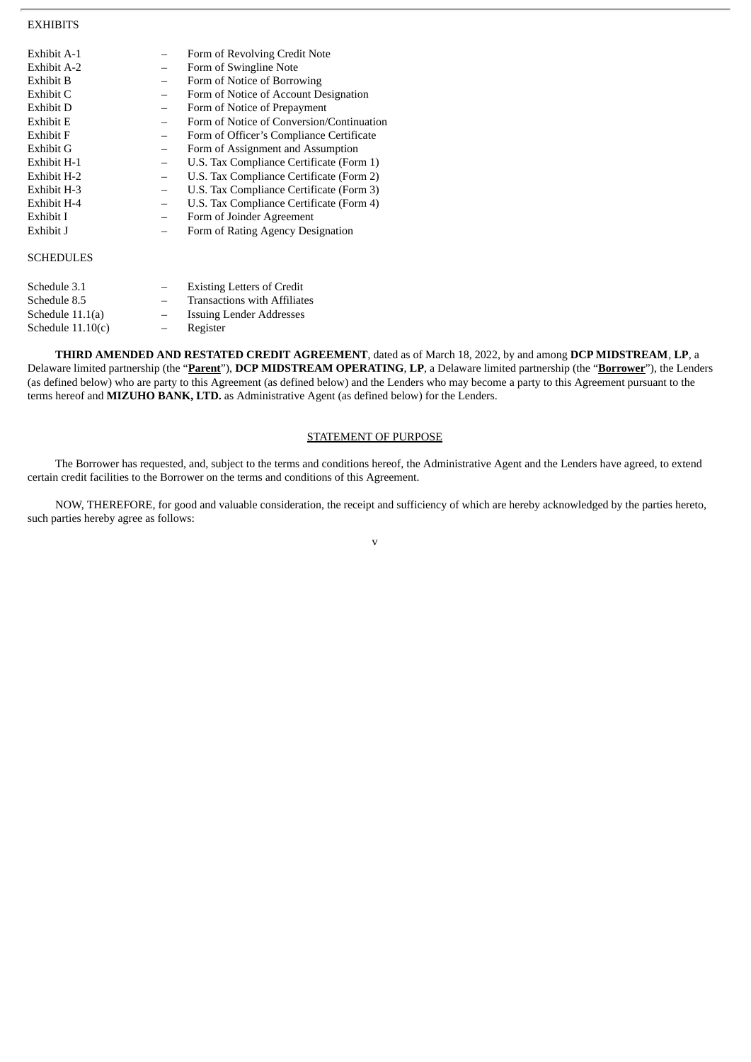#### EXHIBITS

| Exhibit A-1      |                          | Form of Revolving Credit Note             |
|------------------|--------------------------|-------------------------------------------|
| Exhibit A-2      |                          | Form of Swingline Note                    |
| Exhibit B        | $\overline{\phantom{0}}$ | Form of Notice of Borrowing               |
| Exhibit C        |                          | Form of Notice of Account Designation     |
| Exhibit D        |                          | Form of Notice of Prepayment              |
| Exhibit E        |                          | Form of Notice of Conversion/Continuation |
| Exhibit F        |                          | Form of Officer's Compliance Certificate  |
| Exhibit G        |                          | Form of Assignment and Assumption         |
| Exhibit H-1      |                          | U.S. Tax Compliance Certificate (Form 1)  |
| Exhibit H-2      | $\overline{\phantom{0}}$ | U.S. Tax Compliance Certificate (Form 2)  |
| Exhibit H-3      | $\overline{\phantom{0}}$ | U.S. Tax Compliance Certificate (Form 3)  |
| Exhibit H-4      | $\overline{\phantom{0}}$ | U.S. Tax Compliance Certificate (Form 4)  |
| Exhibit I        | $\overline{\phantom{0}}$ | Form of Joinder Agreement                 |
| Exhibit J        | $\overline{\phantom{0}}$ | Form of Rating Agency Designation         |
| <b>SCHEDULES</b> |                          |                                           |
| Schedule 3.1     |                          | <b>Existing Letters of Credit</b>         |

| Schedule 8.5        | -   | <b>Transactions with Affiliates</b> |
|---------------------|-----|-------------------------------------|
| Schedule 11.1(a)    | $-$ | Issuing Lender Addresses            |
| Schedule $11.10(c)$ | $-$ | Register                            |

**THIRD AMENDED AND RESTATED CREDIT AGREEMENT**, dated as of March 18, 2022, by and among **DCP MIDSTREAM**, **LP**, a Delaware limited partnership (the "**Parent**"), **DCP MIDSTREAM OPERATING**, **LP**, a Delaware limited partnership (the "**Borrower**"), the Lenders (as defined below) who are party to this Agreement (as defined below) and the Lenders who may become a party to this Agreement pursuant to the terms hereof and **MIZUHO BANK, LTD.** as Administrative Agent (as defined below) for the Lenders.

#### STATEMENT OF PURPOSE

The Borrower has requested, and, subject to the terms and conditions hereof, the Administrative Agent and the Lenders have agreed, to extend certain credit facilities to the Borrower on the terms and conditions of this Agreement.

NOW, THEREFORE, for good and valuable consideration, the receipt and sufficiency of which are hereby acknowledged by the parties hereto, such parties hereby agree as follows:

v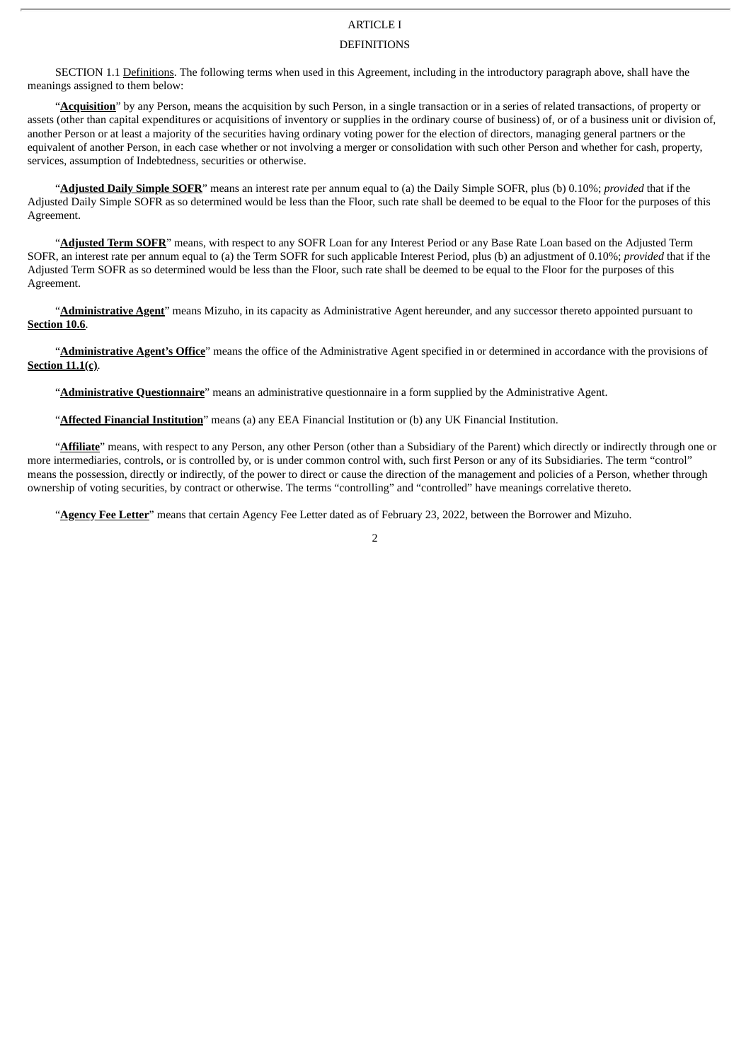#### ARTICLE I

#### DEFINITIONS

SECTION 1.1 Definitions. The following terms when used in this Agreement, including in the introductory paragraph above, shall have the meanings assigned to them below:

"**Acquisition**" by any Person, means the acquisition by such Person, in a single transaction or in a series of related transactions, of property or assets (other than capital expenditures or acquisitions of inventory or supplies in the ordinary course of business) of, or of a business unit or division of, another Person or at least a majority of the securities having ordinary voting power for the election of directors, managing general partners or the equivalent of another Person, in each case whether or not involving a merger or consolidation with such other Person and whether for cash, property, services, assumption of Indebtedness, securities or otherwise.

"**Adjusted Daily Simple SOFR**" means an interest rate per annum equal to (a) the Daily Simple SOFR, plus (b) 0.10%; *provided* that if the Adjusted Daily Simple SOFR as so determined would be less than the Floor, such rate shall be deemed to be equal to the Floor for the purposes of this Agreement.

"**Adjusted Term SOFR**" means, with respect to any SOFR Loan for any Interest Period or any Base Rate Loan based on the Adjusted Term SOFR, an interest rate per annum equal to (a) the Term SOFR for such applicable Interest Period, plus (b) an adjustment of 0.10%; *provided* that if the Adjusted Term SOFR as so determined would be less than the Floor, such rate shall be deemed to be equal to the Floor for the purposes of this Agreement.

"**Administrative Agent**" means Mizuho, in its capacity as Administrative Agent hereunder, and any successor thereto appointed pursuant to **Section 10.6**.

"**Administrative Agent's Office**" means the office of the Administrative Agent specified in or determined in accordance with the provisions of **Section 11.1(c)**.

"**Administrative Questionnaire**" means an administrative questionnaire in a form supplied by the Administrative Agent.

"**Affected Financial Institution**" means (a) any EEA Financial Institution or (b) any UK Financial Institution.

"Affiliate" means, with respect to any Person, any other Person (other than a Subsidiary of the Parent) which directly or indirectly through one or more intermediaries, controls, or is controlled by, or is under common control with, such first Person or any of its Subsidiaries. The term "control" means the possession, directly or indirectly, of the power to direct or cause the direction of the management and policies of a Person, whether through ownership of voting securities, by contract or otherwise. The terms "controlling" and "controlled" have meanings correlative thereto.

"**Agency Fee Letter**" means that certain Agency Fee Letter dated as of February 23, 2022, between the Borrower and Mizuho.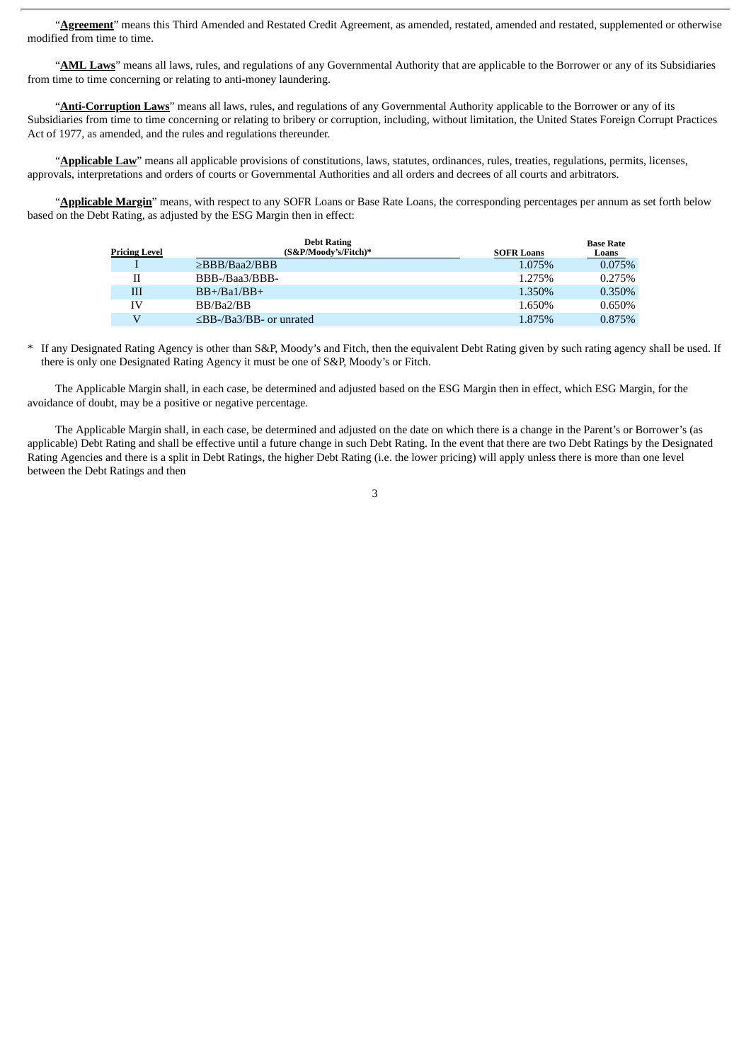"**Agreement**" means this Third Amended and Restated Credit Agreement, as amended, restated, amended and restated, supplemented or otherwise modified from time to time.

"**AML Laws**" means all laws, rules, and regulations of any Governmental Authority that are applicable to the Borrower or any of its Subsidiaries from time to time concerning or relating to anti-money laundering.

"**Anti-Corruption Laws**" means all laws, rules, and regulations of any Governmental Authority applicable to the Borrower or any of its Subsidiaries from time to time concerning or relating to bribery or corruption, including, without limitation, the United States Foreign Corrupt Practices Act of 1977, as amended, and the rules and regulations thereunder.

"**Applicable Law**" means all applicable provisions of constitutions, laws, statutes, ordinances, rules, treaties, regulations, permits, licenses, approvals, interpretations and orders of courts or Governmental Authorities and all orders and decrees of all courts and arbitrators.

"**Applicable Margin**" means, with respect to any SOFR Loans or Base Rate Loans, the corresponding percentages per annum as set forth below based on the Debt Rating, as adjusted by the ESG Margin then in effect:

|                      | <b>Debt Rating</b>            |                   | <b>Base Rate</b> |
|----------------------|-------------------------------|-------------------|------------------|
| <b>Pricing Level</b> | (S&P/Moody's/Fitch)*          | <b>SOFR Loans</b> | Loans            |
|                      | $\geq$ BBB/Baa2/BBB           | 1.075%            | 0.075%           |
|                      | BBB-/Baa3/BBB-                | 1.275%            | 0.275%           |
| Ш                    | $BB+/Ba1/BB+$                 | 1.350%            | 0.350\%          |
| IV                   | BB/Ba2/BB                     | 1.650%            | 0.650%           |
|                      | $\leq$ BB-/Ba3/BB- or unrated | 1.875%            | 0.875%           |

\* If any Designated Rating Agency is other than S&P, Moody's and Fitch, then the equivalent Debt Rating given by such rating agency shall be used. If there is only one Designated Rating Agency it must be one of S&P, Moody's or Fitch.

The Applicable Margin shall, in each case, be determined and adjusted based on the ESG Margin then in effect, which ESG Margin, for the avoidance of doubt, may be a positive or negative percentage.

The Applicable Margin shall, in each case, be determined and adjusted on the date on which there is a change in the Parent's or Borrower's (as applicable) Debt Rating and shall be effective until a future change in such Debt Rating. In the event that there are two Debt Ratings by the Designated Rating Agencies and there is a split in Debt Ratings, the higher Debt Rating (i.e. the lower pricing) will apply unless there is more than one level between the Debt Ratings and then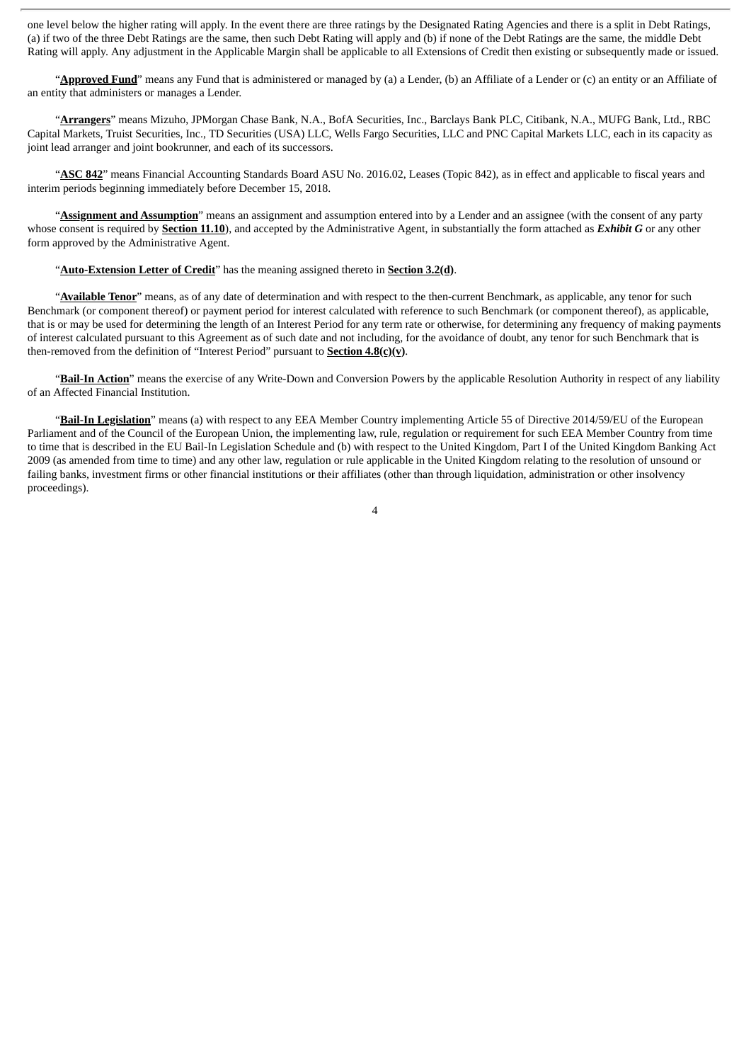one level below the higher rating will apply. In the event there are three ratings by the Designated Rating Agencies and there is a split in Debt Ratings, (a) if two of the three Debt Ratings are the same, then such Debt Rating will apply and (b) if none of the Debt Ratings are the same, the middle Debt Rating will apply. Any adjustment in the Applicable Margin shall be applicable to all Extensions of Credit then existing or subsequently made or issued.

"**Approved Fund**" means any Fund that is administered or managed by (a) a Lender, (b) an Affiliate of a Lender or (c) an entity or an Affiliate of an entity that administers or manages a Lender.

"**Arrangers**" means Mizuho, JPMorgan Chase Bank, N.A., BofA Securities, Inc., Barclays Bank PLC, Citibank, N.A., MUFG Bank, Ltd., RBC Capital Markets, Truist Securities, Inc., TD Securities (USA) LLC, Wells Fargo Securities, LLC and PNC Capital Markets LLC, each in its capacity as joint lead arranger and joint bookrunner, and each of its successors.

"**ASC 842**" means Financial Accounting Standards Board ASU No. 2016.02, Leases (Topic 842), as in effect and applicable to fiscal years and interim periods beginning immediately before December 15, 2018.

"**Assignment and Assumption**" means an assignment and assumption entered into by a Lender and an assignee (with the consent of any party whose consent is required by **Section 11.10**), and accepted by the Administrative Agent, in substantially the form attached as *Exhibit G* or any other form approved by the Administrative Agent.

"**Auto-Extension Letter of Credit**" has the meaning assigned thereto in **Section 3.2(d)**.

"**Available Tenor**" means, as of any date of determination and with respect to the then-current Benchmark, as applicable, any tenor for such Benchmark (or component thereof) or payment period for interest calculated with reference to such Benchmark (or component thereof), as applicable, that is or may be used for determining the length of an Interest Period for any term rate or otherwise, for determining any frequency of making payments of interest calculated pursuant to this Agreement as of such date and not including, for the avoidance of doubt, any tenor for such Benchmark that is then-removed from the definition of "Interest Period" pursuant to **Section 4.8(c)(v)**.

"**Bail-In Action**" means the exercise of any Write-Down and Conversion Powers by the applicable Resolution Authority in respect of any liability of an Affected Financial Institution.

"**Bail-In Legislation**" means (a) with respect to any EEA Member Country implementing Article 55 of Directive 2014/59/EU of the European Parliament and of the Council of the European Union, the implementing law, rule, regulation or requirement for such EEA Member Country from time to time that is described in the EU Bail-In Legislation Schedule and (b) with respect to the United Kingdom, Part I of the United Kingdom Banking Act 2009 (as amended from time to time) and any other law, regulation or rule applicable in the United Kingdom relating to the resolution of unsound or failing banks, investment firms or other financial institutions or their affiliates (other than through liquidation, administration or other insolvency proceedings).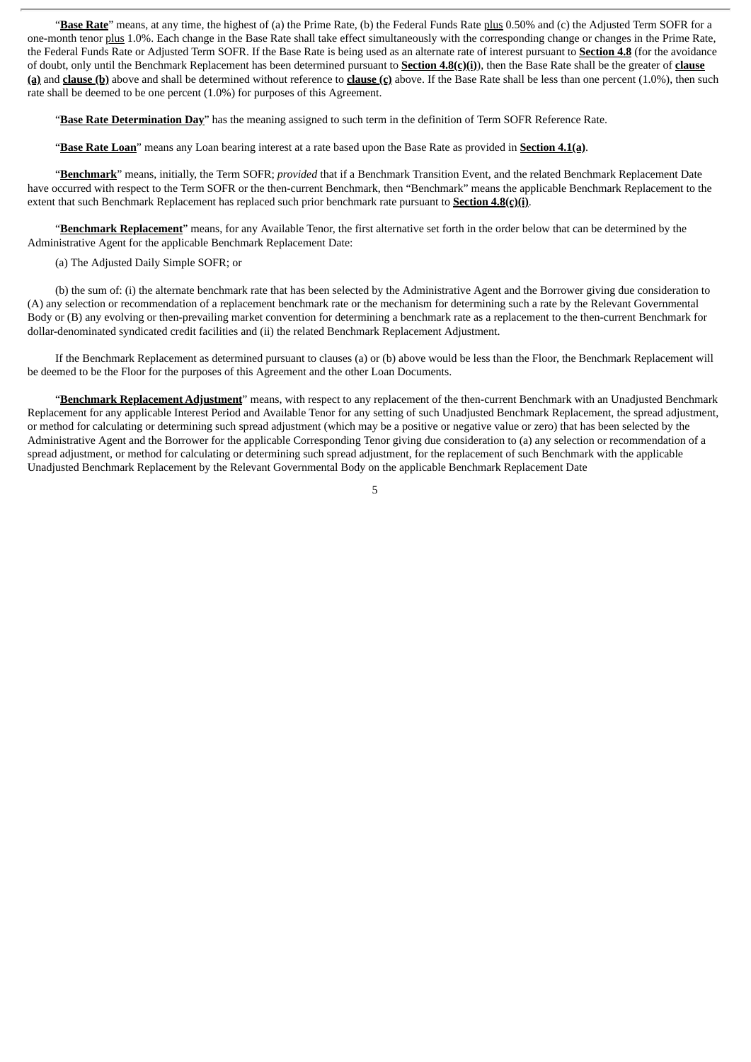"**Base Rate**" means, at any time, the highest of (a) the Prime Rate, (b) the Federal Funds Rate plus 0.50% and (c) the Adjusted Term SOFR for a one-month tenor plus 1.0%. Each change in the Base Rate shall take effect simultaneously with the corresponding change or changes in the Prime Rate, the Federal Funds Rate or Adjusted Term SOFR. If the Base Rate is being used as an alternate rate of interest pursuant to **Section 4.8** (for the avoidance of doubt, only until the Benchmark Replacement has been determined pursuant to **Section 4.8(c)(i)**), then the Base Rate shall be the greater of **clause (a)** and **clause (b)** above and shall be determined without reference to **clause (c)** above. If the Base Rate shall be less than one percent (1.0%), then such rate shall be deemed to be one percent (1.0%) for purposes of this Agreement.

"**Base Rate Determination Day**" has the meaning assigned to such term in the definition of Term SOFR Reference Rate.

"**Base Rate Loan**" means any Loan bearing interest at a rate based upon the Base Rate as provided in **Section 4.1(a)**.

"**Benchmark**" means, initially, the Term SOFR; *provided* that if a Benchmark Transition Event, and the related Benchmark Replacement Date have occurred with respect to the Term SOFR or the then-current Benchmark, then "Benchmark" means the applicable Benchmark Replacement to the extent that such Benchmark Replacement has replaced such prior benchmark rate pursuant to **Section 4.8(c)(i)**.

"**Benchmark Replacement**" means, for any Available Tenor, the first alternative set forth in the order below that can be determined by the Administrative Agent for the applicable Benchmark Replacement Date:

(a) The Adjusted Daily Simple SOFR; or

(b) the sum of: (i) the alternate benchmark rate that has been selected by the Administrative Agent and the Borrower giving due consideration to (A) any selection or recommendation of a replacement benchmark rate or the mechanism for determining such a rate by the Relevant Governmental Body or (B) any evolving or then-prevailing market convention for determining a benchmark rate as a replacement to the then-current Benchmark for dollar-denominated syndicated credit facilities and (ii) the related Benchmark Replacement Adjustment.

If the Benchmark Replacement as determined pursuant to clauses (a) or (b) above would be less than the Floor, the Benchmark Replacement will be deemed to be the Floor for the purposes of this Agreement and the other Loan Documents.

"**Benchmark Replacement Adjustment**" means, with respect to any replacement of the then-current Benchmark with an Unadjusted Benchmark Replacement for any applicable Interest Period and Available Tenor for any setting of such Unadjusted Benchmark Replacement, the spread adjustment, or method for calculating or determining such spread adjustment (which may be a positive or negative value or zero) that has been selected by the Administrative Agent and the Borrower for the applicable Corresponding Tenor giving due consideration to (a) any selection or recommendation of a spread adjustment, or method for calculating or determining such spread adjustment, for the replacement of such Benchmark with the applicable Unadjusted Benchmark Replacement by the Relevant Governmental Body on the applicable Benchmark Replacement Date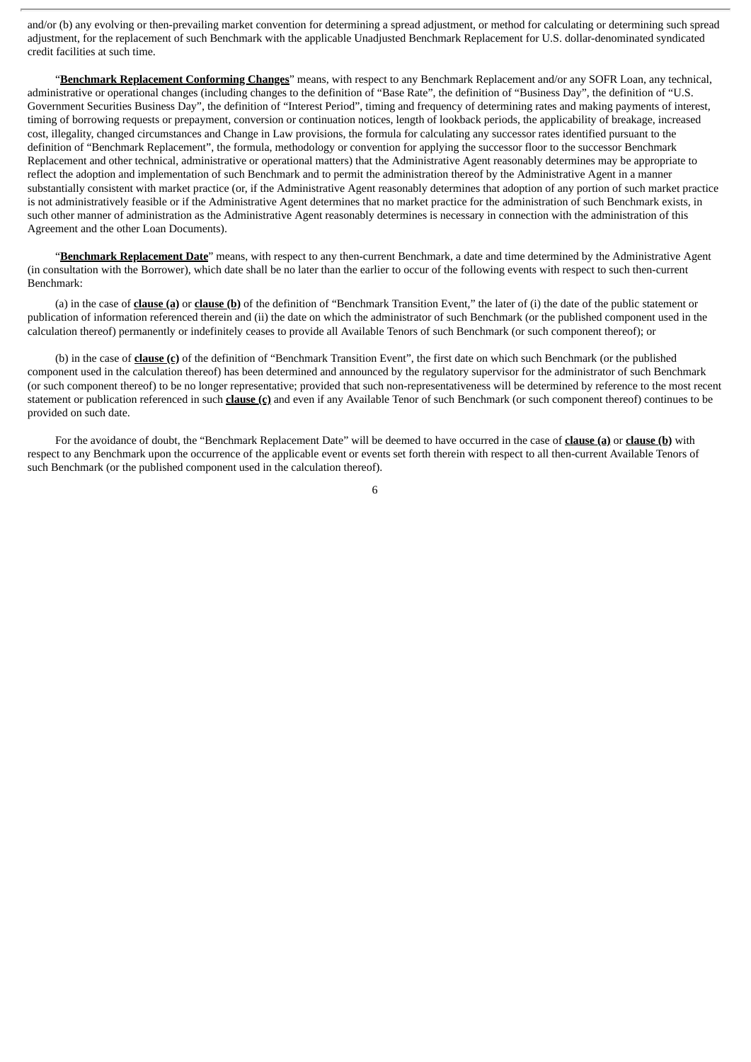and/or (b) any evolving or then-prevailing market convention for determining a spread adjustment, or method for calculating or determining such spread adjustment, for the replacement of such Benchmark with the applicable Unadjusted Benchmark Replacement for U.S. dollar-denominated syndicated credit facilities at such time.

"**Benchmark Replacement Conforming Changes**" means, with respect to any Benchmark Replacement and/or any SOFR Loan, any technical, administrative or operational changes (including changes to the definition of "Base Rate", the definition of "Business Day", the definition of "U.S. Government Securities Business Day", the definition of "Interest Period", timing and frequency of determining rates and making payments of interest, timing of borrowing requests or prepayment, conversion or continuation notices, length of lookback periods, the applicability of breakage, increased cost, illegality, changed circumstances and Change in Law provisions, the formula for calculating any successor rates identified pursuant to the definition of "Benchmark Replacement", the formula, methodology or convention for applying the successor floor to the successor Benchmark Replacement and other technical, administrative or operational matters) that the Administrative Agent reasonably determines may be appropriate to reflect the adoption and implementation of such Benchmark and to permit the administration thereof by the Administrative Agent in a manner substantially consistent with market practice (or, if the Administrative Agent reasonably determines that adoption of any portion of such market practice is not administratively feasible or if the Administrative Agent determines that no market practice for the administration of such Benchmark exists, in such other manner of administration as the Administrative Agent reasonably determines is necessary in connection with the administration of this Agreement and the other Loan Documents).

"**Benchmark Replacement Date**" means, with respect to any then-current Benchmark, a date and time determined by the Administrative Agent (in consultation with the Borrower), which date shall be no later than the earlier to occur of the following events with respect to such then-current Benchmark:

(a) in the case of **clause (a)** or **clause (b)** of the definition of "Benchmark Transition Event," the later of (i) the date of the public statement or publication of information referenced therein and (ii) the date on which the administrator of such Benchmark (or the published component used in the calculation thereof) permanently or indefinitely ceases to provide all Available Tenors of such Benchmark (or such component thereof); or

(b) in the case of **clause (c)** of the definition of "Benchmark Transition Event", the first date on which such Benchmark (or the published component used in the calculation thereof) has been determined and announced by the regulatory supervisor for the administrator of such Benchmark (or such component thereof) to be no longer representative; provided that such non-representativeness will be determined by reference to the most recent statement or publication referenced in such **clause (c)** and even if any Available Tenor of such Benchmark (or such component thereof) continues to be provided on such date.

For the avoidance of doubt, the "Benchmark Replacement Date" will be deemed to have occurred in the case of **clause (a)** or **clause (b)** with respect to any Benchmark upon the occurrence of the applicable event or events set forth therein with respect to all then-current Available Tenors of such Benchmark (or the published component used in the calculation thereof).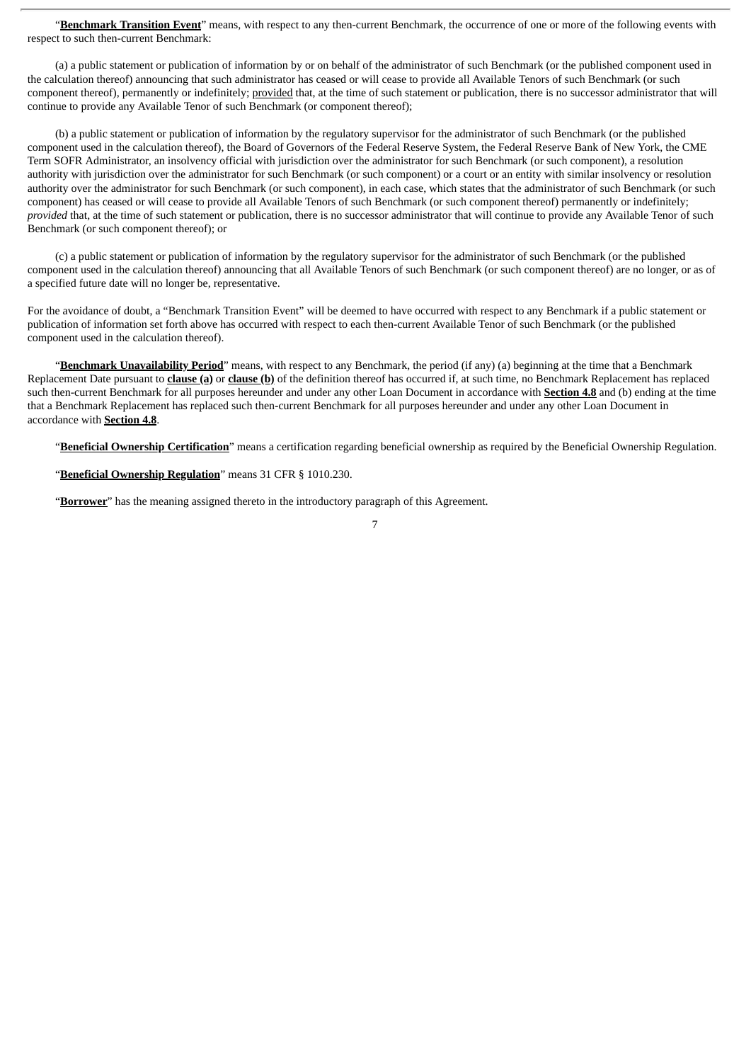"**Benchmark Transition Event**" means, with respect to any then-current Benchmark, the occurrence of one or more of the following events with respect to such then-current Benchmark:

(a) a public statement or publication of information by or on behalf of the administrator of such Benchmark (or the published component used in the calculation thereof) announcing that such administrator has ceased or will cease to provide all Available Tenors of such Benchmark (or such component thereof), permanently or indefinitely; provided that, at the time of such statement or publication, there is no successor administrator that will continue to provide any Available Tenor of such Benchmark (or component thereof);

(b) a public statement or publication of information by the regulatory supervisor for the administrator of such Benchmark (or the published component used in the calculation thereof), the Board of Governors of the Federal Reserve System, the Federal Reserve Bank of New York, the CME Term SOFR Administrator, an insolvency official with jurisdiction over the administrator for such Benchmark (or such component), a resolution authority with jurisdiction over the administrator for such Benchmark (or such component) or a court or an entity with similar insolvency or resolution authority over the administrator for such Benchmark (or such component), in each case, which states that the administrator of such Benchmark (or such component) has ceased or will cease to provide all Available Tenors of such Benchmark (or such component thereof) permanently or indefinitely; *provided* that, at the time of such statement or publication, there is no successor administrator that will continue to provide any Available Tenor of such Benchmark (or such component thereof); or

(c) a public statement or publication of information by the regulatory supervisor for the administrator of such Benchmark (or the published component used in the calculation thereof) announcing that all Available Tenors of such Benchmark (or such component thereof) are no longer, or as of a specified future date will no longer be, representative.

For the avoidance of doubt, a "Benchmark Transition Event" will be deemed to have occurred with respect to any Benchmark if a public statement or publication of information set forth above has occurred with respect to each then-current Available Tenor of such Benchmark (or the published component used in the calculation thereof).

"**Benchmark Unavailability Period**" means, with respect to any Benchmark, the period (if any) (a) beginning at the time that a Benchmark Replacement Date pursuant to **clause (a)** or **clause (b)** of the definition thereof has occurred if, at such time, no Benchmark Replacement has replaced such then-current Benchmark for all purposes hereunder and under any other Loan Document in accordance with **Section 4.8** and (b) ending at the time that a Benchmark Replacement has replaced such then-current Benchmark for all purposes hereunder and under any other Loan Document in accordance with **Section 4.8**.

"**Beneficial Ownership Certification**" means a certification regarding beneficial ownership as required by the Beneficial Ownership Regulation.

"**Beneficial Ownership Regulation**" means 31 CFR § 1010.230.

"**Borrower**" has the meaning assigned thereto in the introductory paragraph of this Agreement.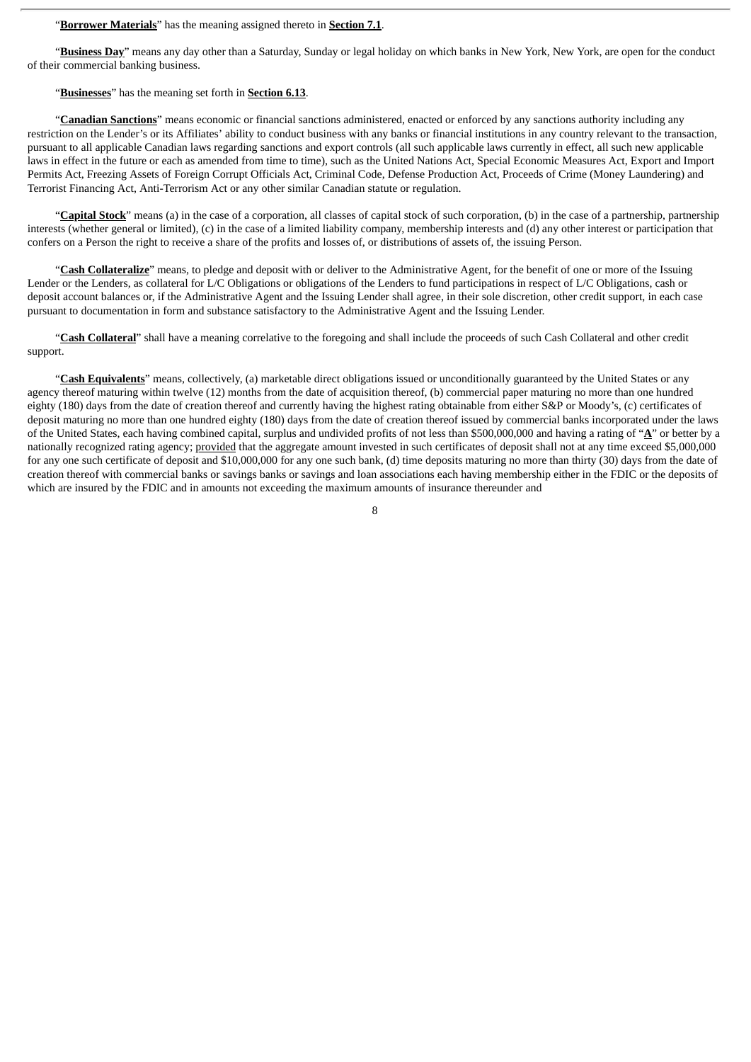#### "**Borrower Materials**" has the meaning assigned thereto in **Section 7.1**.

"**Business Day**" means any day other than a Saturday, Sunday or legal holiday on which banks in New York, New York, are open for the conduct of their commercial banking business.

#### "**Businesses**" has the meaning set forth in **Section 6.13**.

"**Canadian Sanctions**" means economic or financial sanctions administered, enacted or enforced by any sanctions authority including any restriction on the Lender's or its Affiliates' ability to conduct business with any banks or financial institutions in any country relevant to the transaction, pursuant to all applicable Canadian laws regarding sanctions and export controls (all such applicable laws currently in effect, all such new applicable laws in effect in the future or each as amended from time to time), such as the United Nations Act, Special Economic Measures Act, Export and Import Permits Act, Freezing Assets of Foreign Corrupt Officials Act, Criminal Code, Defense Production Act, Proceeds of Crime (Money Laundering) and Terrorist Financing Act, Anti-Terrorism Act or any other similar Canadian statute or regulation.

"**Capital Stock**" means (a) in the case of a corporation, all classes of capital stock of such corporation, (b) in the case of a partnership, partnership interests (whether general or limited), (c) in the case of a limited liability company, membership interests and (d) any other interest or participation that confers on a Person the right to receive a share of the profits and losses of, or distributions of assets of, the issuing Person.

"**Cash Collateralize**" means, to pledge and deposit with or deliver to the Administrative Agent, for the benefit of one or more of the Issuing Lender or the Lenders, as collateral for L/C Obligations or obligations of the Lenders to fund participations in respect of L/C Obligations, cash or deposit account balances or, if the Administrative Agent and the Issuing Lender shall agree, in their sole discretion, other credit support, in each case pursuant to documentation in form and substance satisfactory to the Administrative Agent and the Issuing Lender.

"**Cash Collateral**" shall have a meaning correlative to the foregoing and shall include the proceeds of such Cash Collateral and other credit support.

"**Cash Equivalents**" means, collectively, (a) marketable direct obligations issued or unconditionally guaranteed by the United States or any agency thereof maturing within twelve (12) months from the date of acquisition thereof, (b) commercial paper maturing no more than one hundred eighty (180) days from the date of creation thereof and currently having the highest rating obtainable from either S&P or Moody's, (c) certificates of deposit maturing no more than one hundred eighty (180) days from the date of creation thereof issued by commercial banks incorporated under the laws of the United States, each having combined capital, surplus and undivided profits of not less than \$500,000,000 and having a rating of "**A**" or better by a nationally recognized rating agency; provided that the aggregate amount invested in such certificates of deposit shall not at any time exceed \$5,000,000 for any one such certificate of deposit and \$10,000,000 for any one such bank, (d) time deposits maturing no more than thirty (30) days from the date of creation thereof with commercial banks or savings banks or savings and loan associations each having membership either in the FDIC or the deposits of which are insured by the FDIC and in amounts not exceeding the maximum amounts of insurance thereunder and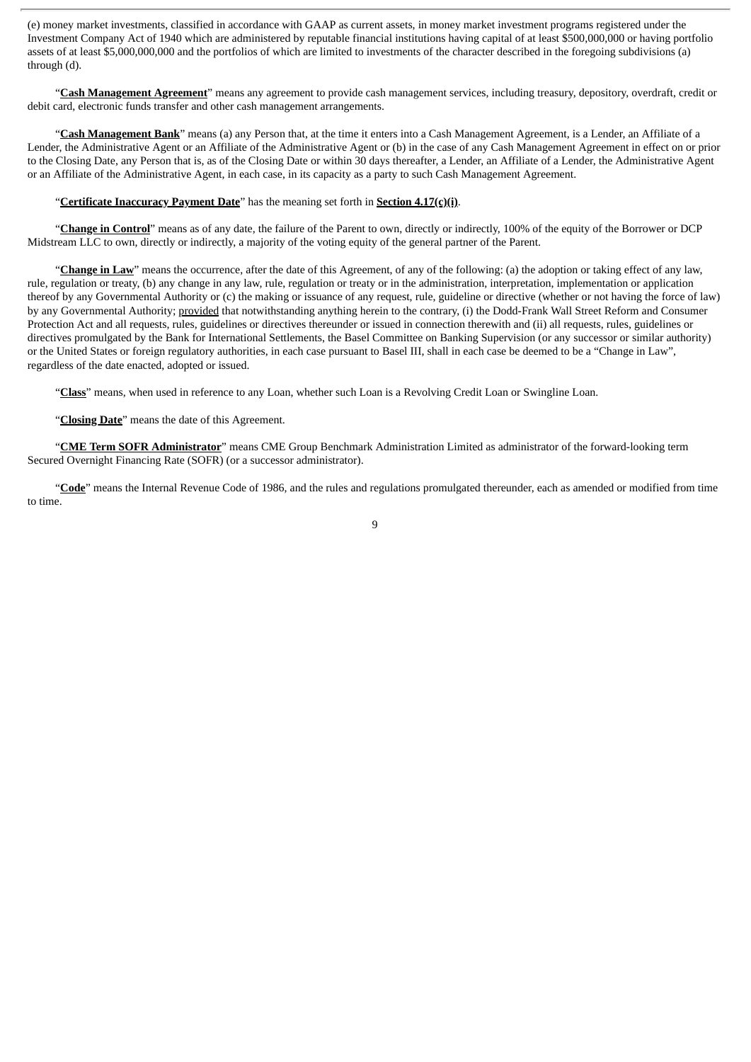(e) money market investments, classified in accordance with GAAP as current assets, in money market investment programs registered under the Investment Company Act of 1940 which are administered by reputable financial institutions having capital of at least \$500,000,000 or having portfolio assets of at least \$5,000,000,000 and the portfolios of which are limited to investments of the character described in the foregoing subdivisions (a) through (d).

"**Cash Management Agreement**" means any agreement to provide cash management services, including treasury, depository, overdraft, credit or debit card, electronic funds transfer and other cash management arrangements.

"**Cash Management Bank**" means (a) any Person that, at the time it enters into a Cash Management Agreement, is a Lender, an Affiliate of a Lender, the Administrative Agent or an Affiliate of the Administrative Agent or (b) in the case of any Cash Management Agreement in effect on or prior to the Closing Date, any Person that is, as of the Closing Date or within 30 days thereafter, a Lender, an Affiliate of a Lender, the Administrative Agent or an Affiliate of the Administrative Agent, in each case, in its capacity as a party to such Cash Management Agreement.

#### "**Certificate Inaccuracy Payment Date**" has the meaning set forth in **Section 4.17(c)(i)**.

"**Change in Control**" means as of any date, the failure of the Parent to own, directly or indirectly, 100% of the equity of the Borrower or DCP Midstream LLC to own, directly or indirectly, a majority of the voting equity of the general partner of the Parent.

"**Change in Law**" means the occurrence, after the date of this Agreement, of any of the following: (a) the adoption or taking effect of any law, rule, regulation or treaty, (b) any change in any law, rule, regulation or treaty or in the administration, interpretation, implementation or application thereof by any Governmental Authority or (c) the making or issuance of any request, rule, guideline or directive (whether or not having the force of law) by any Governmental Authority; provided that notwithstanding anything herein to the contrary, (i) the Dodd-Frank Wall Street Reform and Consumer Protection Act and all requests, rules, guidelines or directives thereunder or issued in connection therewith and (ii) all requests, rules, guidelines or directives promulgated by the Bank for International Settlements, the Basel Committee on Banking Supervision (or any successor or similar authority) or the United States or foreign regulatory authorities, in each case pursuant to Basel III, shall in each case be deemed to be a "Change in Law", regardless of the date enacted, adopted or issued.

"**Class**" means, when used in reference to any Loan, whether such Loan is a Revolving Credit Loan or Swingline Loan.

"**Closing Date**" means the date of this Agreement.

"**CME Term SOFR Administrator**" means CME Group Benchmark Administration Limited as administrator of the forward-looking term Secured Overnight Financing Rate (SOFR) (or a successor administrator).

"Code" means the Internal Revenue Code of 1986, and the rules and regulations promulgated thereunder, each as amended or modified from time to time.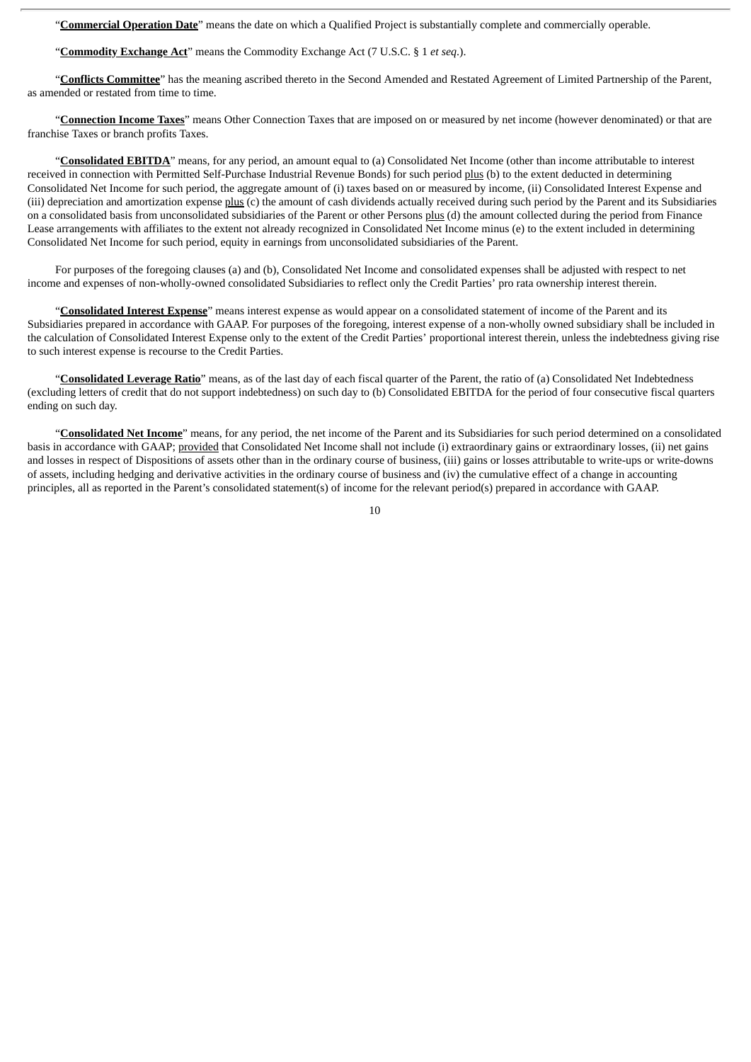"**Commercial Operation Date**" means the date on which a Qualified Project is substantially complete and commercially operable.

"**Commodity Exchange Act**" means the Commodity Exchange Act (7 U.S.C. § 1 *et seq*.).

"**Conflicts Committee**" has the meaning ascribed thereto in the Second Amended and Restated Agreement of Limited Partnership of the Parent, as amended or restated from time to time.

"**Connection Income Taxes**" means Other Connection Taxes that are imposed on or measured by net income (however denominated) or that are franchise Taxes or branch profits Taxes.

"**Consolidated EBITDA**" means, for any period, an amount equal to (a) Consolidated Net Income (other than income attributable to interest received in connection with Permitted Self-Purchase Industrial Revenue Bonds) for such period plus (b) to the extent deducted in determining Consolidated Net Income for such period, the aggregate amount of (i) taxes based on or measured by income, (ii) Consolidated Interest Expense and (iii) depreciation and amortization expense plus (c) the amount of cash dividends actually received during such period by the Parent and its Subsidiaries on a consolidated basis from unconsolidated subsidiaries of the Parent or other Persons plus (d) the amount collected during the period from Finance Lease arrangements with affiliates to the extent not already recognized in Consolidated Net Income minus (e) to the extent included in determining Consolidated Net Income for such period, equity in earnings from unconsolidated subsidiaries of the Parent.

For purposes of the foregoing clauses (a) and (b), Consolidated Net Income and consolidated expenses shall be adjusted with respect to net income and expenses of non-wholly-owned consolidated Subsidiaries to reflect only the Credit Parties' pro rata ownership interest therein.

"**Consolidated Interest Expense**" means interest expense as would appear on a consolidated statement of income of the Parent and its Subsidiaries prepared in accordance with GAAP. For purposes of the foregoing, interest expense of a non-wholly owned subsidiary shall be included in the calculation of Consolidated Interest Expense only to the extent of the Credit Parties' proportional interest therein, unless the indebtedness giving rise to such interest expense is recourse to the Credit Parties.

"**Consolidated Leverage Ratio**" means, as of the last day of each fiscal quarter of the Parent, the ratio of (a) Consolidated Net Indebtedness (excluding letters of credit that do not support indebtedness) on such day to (b) Consolidated EBITDA for the period of four consecutive fiscal quarters ending on such day.

"**Consolidated Net Income**" means, for any period, the net income of the Parent and its Subsidiaries for such period determined on a consolidated basis in accordance with GAAP; provided that Consolidated Net Income shall not include (i) extraordinary gains or extraordinary losses, (ii) net gains and losses in respect of Dispositions of assets other than in the ordinary course of business, (iii) gains or losses attributable to write-ups or write-downs of assets, including hedging and derivative activities in the ordinary course of business and (iv) the cumulative effect of a change in accounting principles, all as reported in the Parent's consolidated statement(s) of income for the relevant period(s) prepared in accordance with GAAP.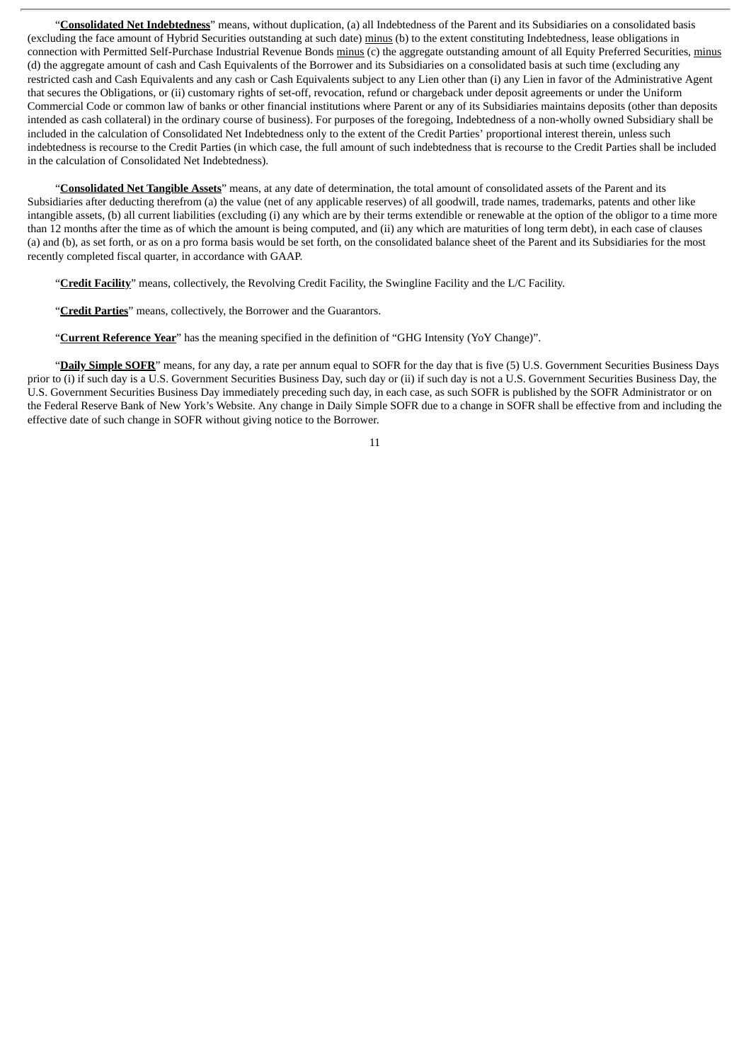"**Consolidated Net Indebtedness**" means, without duplication, (a) all Indebtedness of the Parent and its Subsidiaries on a consolidated basis (excluding the face amount of Hybrid Securities outstanding at such date) minus (b) to the extent constituting Indebtedness, lease obligations in connection with Permitted Self-Purchase Industrial Revenue Bonds minus (c) the aggregate outstanding amount of all Equity Preferred Securities, minus (d) the aggregate amount of cash and Cash Equivalents of the Borrower and its Subsidiaries on a consolidated basis at such time (excluding any restricted cash and Cash Equivalents and any cash or Cash Equivalents subject to any Lien other than (i) any Lien in favor of the Administrative Agent that secures the Obligations, or (ii) customary rights of set-off, revocation, refund or chargeback under deposit agreements or under the Uniform Commercial Code or common law of banks or other financial institutions where Parent or any of its Subsidiaries maintains deposits (other than deposits intended as cash collateral) in the ordinary course of business). For purposes of the foregoing, Indebtedness of a non-wholly owned Subsidiary shall be included in the calculation of Consolidated Net Indebtedness only to the extent of the Credit Parties' proportional interest therein, unless such indebtedness is recourse to the Credit Parties (in which case, the full amount of such indebtedness that is recourse to the Credit Parties shall be included in the calculation of Consolidated Net Indebtedness).

"**Consolidated Net Tangible Assets**" means, at any date of determination, the total amount of consolidated assets of the Parent and its Subsidiaries after deducting therefrom (a) the value (net of any applicable reserves) of all goodwill, trade names, trademarks, patents and other like intangible assets, (b) all current liabilities (excluding (i) any which are by their terms extendible or renewable at the option of the obligor to a time more than 12 months after the time as of which the amount is being computed, and (ii) any which are maturities of long term debt), in each case of clauses (a) and (b), as set forth, or as on a pro forma basis would be set forth, on the consolidated balance sheet of the Parent and its Subsidiaries for the most recently completed fiscal quarter, in accordance with GAAP.

"**Credit Facility**" means, collectively, the Revolving Credit Facility, the Swingline Facility and the L/C Facility.

"**Credit Parties**" means, collectively, the Borrower and the Guarantors.

"**Current Reference Year**" has the meaning specified in the definition of "GHG Intensity (YoY Change)".

"**Daily Simple SOFR**" means, for any day, a rate per annum equal to SOFR for the day that is five (5) U.S. Government Securities Business Days prior to (i) if such day is a U.S. Government Securities Business Day, such day or (ii) if such day is not a U.S. Government Securities Business Day, the U.S. Government Securities Business Day immediately preceding such day, in each case, as such SOFR is published by the SOFR Administrator or on the Federal Reserve Bank of New York's Website. Any change in Daily Simple SOFR due to a change in SOFR shall be effective from and including the effective date of such change in SOFR without giving notice to the Borrower.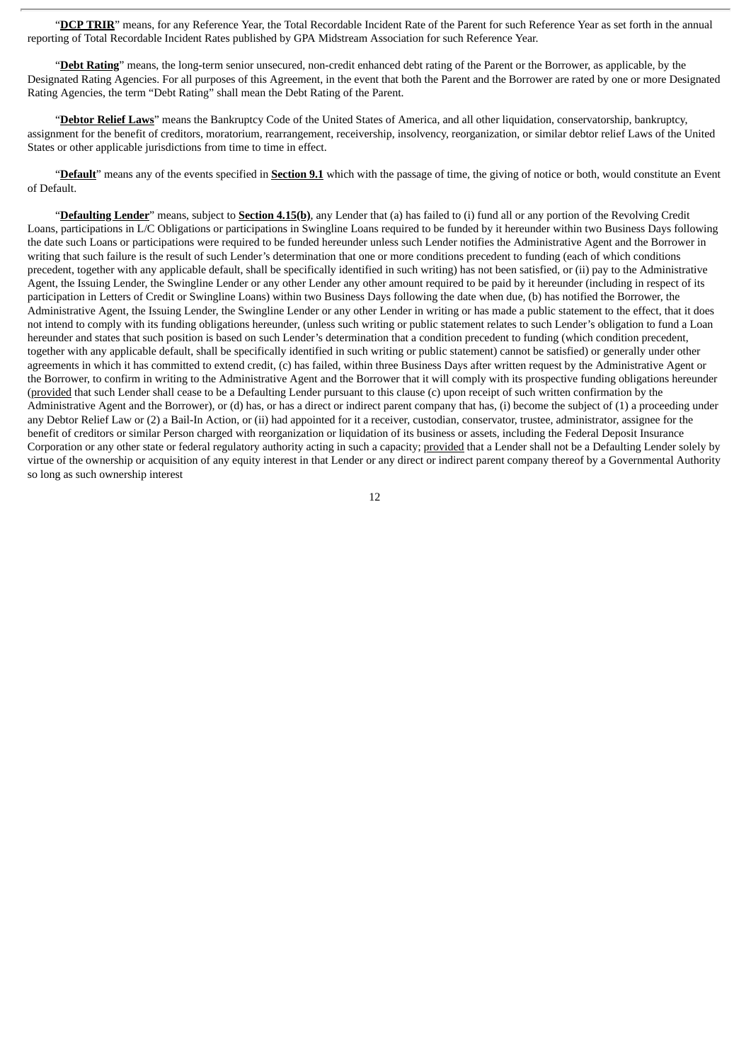"**DCP TRIR**" means, for any Reference Year, the Total Recordable Incident Rate of the Parent for such Reference Year as set forth in the annual reporting of Total Recordable Incident Rates published by GPA Midstream Association for such Reference Year.

"**Debt Rating**" means, the long-term senior unsecured, non-credit enhanced debt rating of the Parent or the Borrower, as applicable, by the Designated Rating Agencies. For all purposes of this Agreement, in the event that both the Parent and the Borrower are rated by one or more Designated Rating Agencies, the term "Debt Rating" shall mean the Debt Rating of the Parent.

"**Debtor Relief Laws**" means the Bankruptcy Code of the United States of America, and all other liquidation, conservatorship, bankruptcy, assignment for the benefit of creditors, moratorium, rearrangement, receivership, insolvency, reorganization, or similar debtor relief Laws of the United States or other applicable jurisdictions from time to time in effect.

"**Default**" means any of the events specified in **Section 9.1** which with the passage of time, the giving of notice or both, would constitute an Event of Default.

"**Defaulting Lender**" means, subject to **Section 4.15(b)**, any Lender that (a) has failed to (i) fund all or any portion of the Revolving Credit Loans, participations in L/C Obligations or participations in Swingline Loans required to be funded by it hereunder within two Business Days following the date such Loans or participations were required to be funded hereunder unless such Lender notifies the Administrative Agent and the Borrower in writing that such failure is the result of such Lender's determination that one or more conditions precedent to funding (each of which conditions precedent, together with any applicable default, shall be specifically identified in such writing) has not been satisfied, or (ii) pay to the Administrative Agent, the Issuing Lender, the Swingline Lender or any other Lender any other amount required to be paid by it hereunder (including in respect of its participation in Letters of Credit or Swingline Loans) within two Business Days following the date when due, (b) has notified the Borrower, the Administrative Agent, the Issuing Lender, the Swingline Lender or any other Lender in writing or has made a public statement to the effect, that it does not intend to comply with its funding obligations hereunder, (unless such writing or public statement relates to such Lender's obligation to fund a Loan hereunder and states that such position is based on such Lender's determination that a condition precedent to funding (which condition precedent, together with any applicable default, shall be specifically identified in such writing or public statement) cannot be satisfied) or generally under other agreements in which it has committed to extend credit, (c) has failed, within three Business Days after written request by the Administrative Agent or the Borrower, to confirm in writing to the Administrative Agent and the Borrower that it will comply with its prospective funding obligations hereunder (provided that such Lender shall cease to be a Defaulting Lender pursuant to this clause (c) upon receipt of such written confirmation by the Administrative Agent and the Borrower), or (d) has, or has a direct or indirect parent company that has, (i) become the subject of (1) a proceeding under any Debtor Relief Law or (2) a Bail-In Action, or (ii) had appointed for it a receiver, custodian, conservator, trustee, administrator, assignee for the benefit of creditors or similar Person charged with reorganization or liquidation of its business or assets, including the Federal Deposit Insurance Corporation or any other state or federal regulatory authority acting in such a capacity; provided that a Lender shall not be a Defaulting Lender solely by virtue of the ownership or acquisition of any equity interest in that Lender or any direct or indirect parent company thereof by a Governmental Authority so long as such ownership interest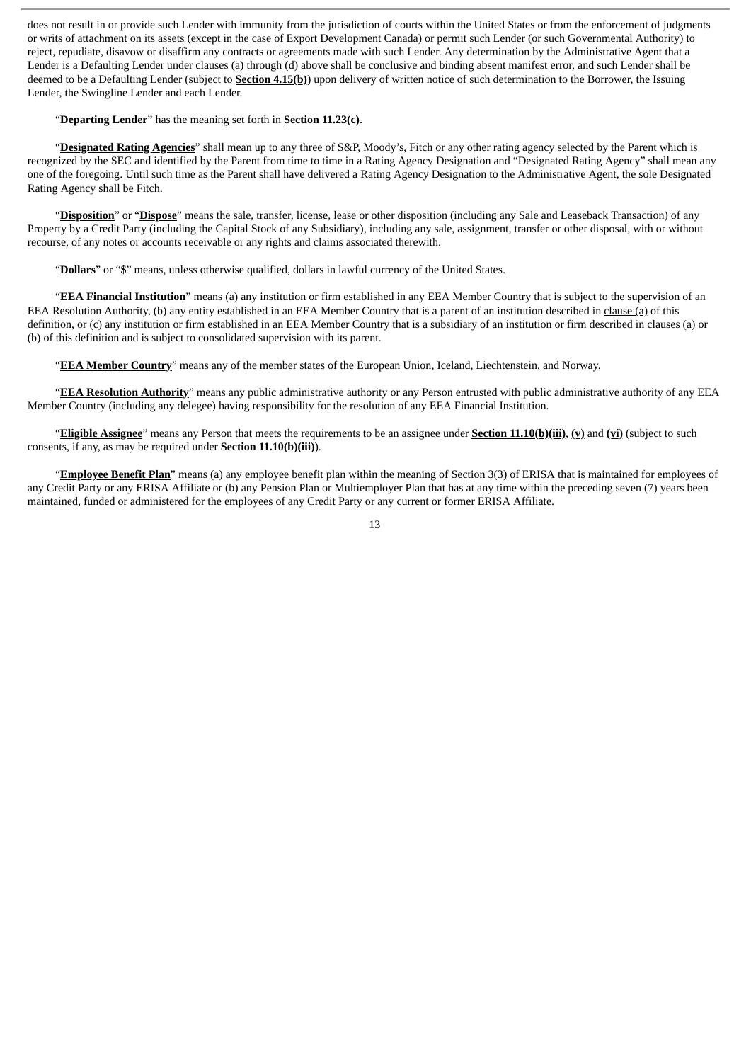does not result in or provide such Lender with immunity from the jurisdiction of courts within the United States or from the enforcement of judgments or writs of attachment on its assets (except in the case of Export Development Canada) or permit such Lender (or such Governmental Authority) to reject, repudiate, disavow or disaffirm any contracts or agreements made with such Lender. Any determination by the Administrative Agent that a Lender is a Defaulting Lender under clauses (a) through (d) above shall be conclusive and binding absent manifest error, and such Lender shall be deemed to be a Defaulting Lender (subject to **Section 4.15(b)**) upon delivery of written notice of such determination to the Borrower, the Issuing Lender, the Swingline Lender and each Lender.

#### "**Departing Lender**" has the meaning set forth in **Section 11.23(c)**.

"**Designated Rating Agencies**" shall mean up to any three of S&P, Moody's, Fitch or any other rating agency selected by the Parent which is recognized by the SEC and identified by the Parent from time to time in a Rating Agency Designation and "Designated Rating Agency" shall mean any one of the foregoing. Until such time as the Parent shall have delivered a Rating Agency Designation to the Administrative Agent, the sole Designated Rating Agency shall be Fitch.

"**Disposition**" or "**Dispose**" means the sale, transfer, license, lease or other disposition (including any Sale and Leaseback Transaction) of any Property by a Credit Party (including the Capital Stock of any Subsidiary), including any sale, assignment, transfer or other disposal, with or without recourse, of any notes or accounts receivable or any rights and claims associated therewith.

"**Dollars**" or "**\$**" means, unless otherwise qualified, dollars in lawful currency of the United States.

"**EEA Financial Institution**" means (a) any institution or firm established in any EEA Member Country that is subject to the supervision of an EEA Resolution Authority, (b) any entity established in an EEA Member Country that is a parent of an institution described in clause (a) of this definition, or (c) any institution or firm established in an EEA Member Country that is a subsidiary of an institution or firm described in clauses (a) or (b) of this definition and is subject to consolidated supervision with its parent.

"**EEA Member Country**" means any of the member states of the European Union, Iceland, Liechtenstein, and Norway.

"**EEA Resolution Authority**" means any public administrative authority or any Person entrusted with public administrative authority of any EEA Member Country (including any delegee) having responsibility for the resolution of any EEA Financial Institution.

"**Eligible Assignee**" means any Person that meets the requirements to be an assignee under **Section 11.10(b)(iii)**, **(v)** and **(vi)** (subject to such consents, if any, as may be required under **Section 11.10(b)(iii)**).

"**Employee Benefit Plan**" means (a) any employee benefit plan within the meaning of Section 3(3) of ERISA that is maintained for employees of any Credit Party or any ERISA Affiliate or (b) any Pension Plan or Multiemployer Plan that has at any time within the preceding seven (7) years been maintained, funded or administered for the employees of any Credit Party or any current or former ERISA Affiliate.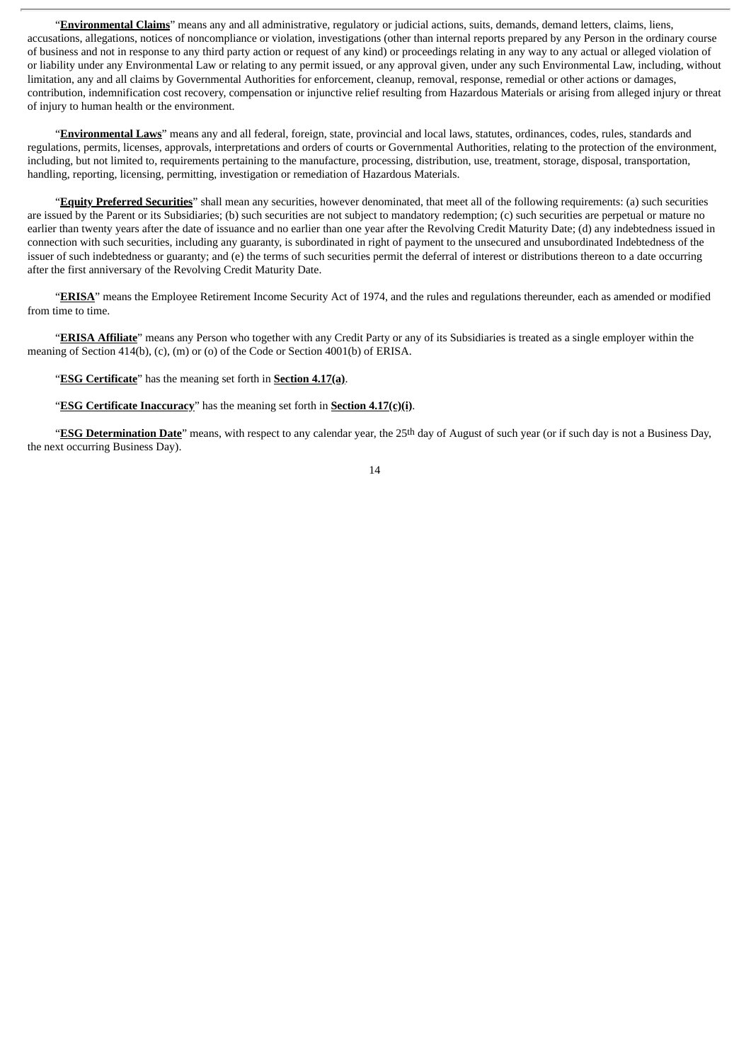"**Environmental Claims**" means any and all administrative, regulatory or judicial actions, suits, demands, demand letters, claims, liens, accusations, allegations, notices of noncompliance or violation, investigations (other than internal reports prepared by any Person in the ordinary course of business and not in response to any third party action or request of any kind) or proceedings relating in any way to any actual or alleged violation of or liability under any Environmental Law or relating to any permit issued, or any approval given, under any such Environmental Law, including, without limitation, any and all claims by Governmental Authorities for enforcement, cleanup, removal, response, remedial or other actions or damages, contribution, indemnification cost recovery, compensation or injunctive relief resulting from Hazardous Materials or arising from alleged injury or threat of injury to human health or the environment.

"**Environmental Laws**" means any and all federal, foreign, state, provincial and local laws, statutes, ordinances, codes, rules, standards and regulations, permits, licenses, approvals, interpretations and orders of courts or Governmental Authorities, relating to the protection of the environment, including, but not limited to, requirements pertaining to the manufacture, processing, distribution, use, treatment, storage, disposal, transportation, handling, reporting, licensing, permitting, investigation or remediation of Hazardous Materials.

"**Equity Preferred Securities**" shall mean any securities, however denominated, that meet all of the following requirements: (a) such securities are issued by the Parent or its Subsidiaries; (b) such securities are not subject to mandatory redemption; (c) such securities are perpetual or mature no earlier than twenty years after the date of issuance and no earlier than one year after the Revolving Credit Maturity Date; (d) any indebtedness issued in connection with such securities, including any guaranty, is subordinated in right of payment to the unsecured and unsubordinated Indebtedness of the issuer of such indebtedness or guaranty; and (e) the terms of such securities permit the deferral of interest or distributions thereon to a date occurring after the first anniversary of the Revolving Credit Maturity Date.

"**ERISA**" means the Employee Retirement Income Security Act of 1974, and the rules and regulations thereunder, each as amended or modified from time to time.

"**ERISA Affiliate**" means any Person who together with any Credit Party or any of its Subsidiaries is treated as a single employer within the meaning of Section 414(b), (c), (m) or (o) of the Code or Section 4001(b) of ERISA.

"**ESG Certificate**" has the meaning set forth in **Section 4.17(a)**.

"**ESG Certificate Inaccuracy**" has the meaning set forth in **Section 4.17(c)(i)**.

"**ESG Determination Date**" means, with respect to any calendar year, the 25th day of August of such year (or if such day is not a Business Day, the next occurring Business Day).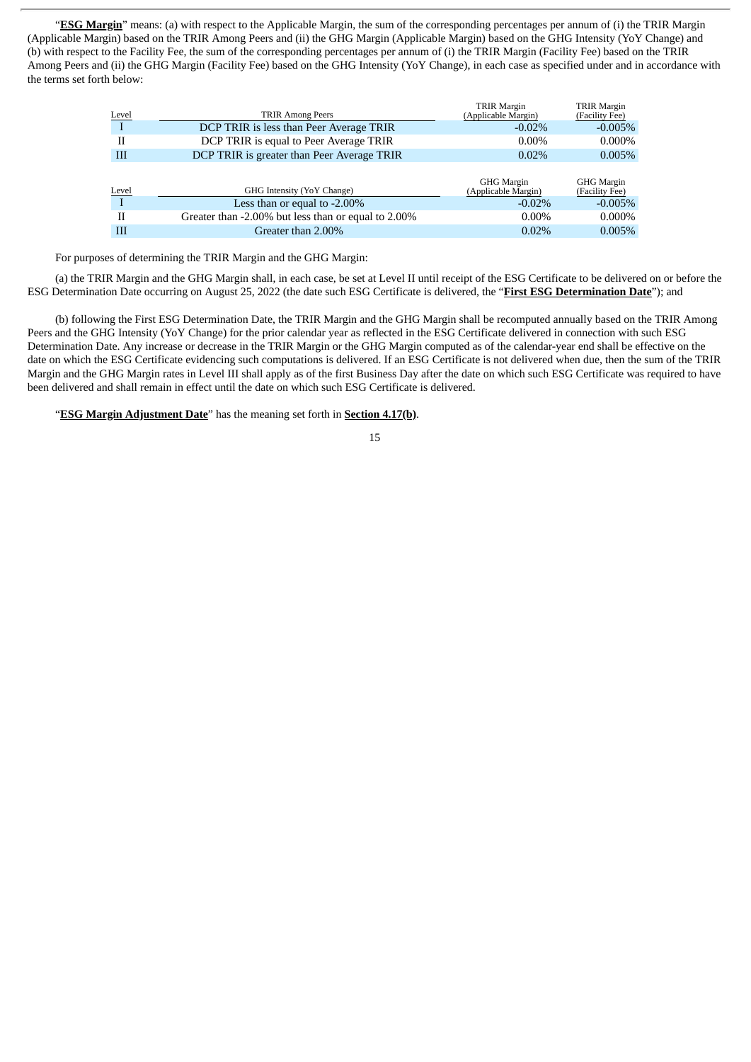"**ESG Margin**" means: (a) with respect to the Applicable Margin, the sum of the corresponding percentages per annum of (i) the TRIR Margin (Applicable Margin) based on the TRIR Among Peers and (ii) the GHG Margin (Applicable Margin) based on the GHG Intensity (YoY Change) and (b) with respect to the Facility Fee, the sum of the corresponding percentages per annum of (i) the TRIR Margin (Facility Fee) based on the TRIR Among Peers and (ii) the GHG Margin (Facility Fee) based on the GHG Intensity (YoY Change), in each case as specified under and in accordance with the terms set forth below:

| Level | <b>TRIR Among Peers</b>                             | <b>TRIR Margin</b><br>(Applicable Margin) | <b>TRIR Margin</b><br>(Facility Fee) |
|-------|-----------------------------------------------------|-------------------------------------------|--------------------------------------|
|       | DCP TRIR is less than Peer Average TRIR             | $-0.02%$                                  | $-0.005%$                            |
| H     | DCP TRIR is equal to Peer Average TRIR              | $0.00\%$                                  | 0.000%                               |
| Ш     | DCP TRIR is greater than Peer Average TRIR          | $0.02\%$                                  | 0.005%                               |
|       |                                                     |                                           |                                      |
| Level | GHG Intensity (YoY Change)                          | GHG Margin<br>(Applicable Margin)         | GHG Margin<br>(Facility Fee)         |
|       | Less than or equal to $-2.00\%$                     | $-0.02\%$                                 | $-0.005\%$                           |
| H     | Greater than -2.00% but less than or equal to 2.00% | $0.00\%$                                  | $0.000\%$                            |
| Ш     | Greater than 2.00%                                  | 0.02%                                     | 0.005%                               |

For purposes of determining the TRIR Margin and the GHG Margin:

(a) the TRIR Margin and the GHG Margin shall, in each case, be set at Level II until receipt of the ESG Certificate to be delivered on or before the ESG Determination Date occurring on August 25, 2022 (the date such ESG Certificate is delivered, the "**First ESG Determination Date**"); and

(b) following the First ESG Determination Date, the TRIR Margin and the GHG Margin shall be recomputed annually based on the TRIR Among Peers and the GHG Intensity (YoY Change) for the prior calendar year as reflected in the ESG Certificate delivered in connection with such ESG Determination Date. Any increase or decrease in the TRIR Margin or the GHG Margin computed as of the calendar-year end shall be effective on the date on which the ESG Certificate evidencing such computations is delivered. If an ESG Certificate is not delivered when due, then the sum of the TRIR Margin and the GHG Margin rates in Level III shall apply as of the first Business Day after the date on which such ESG Certificate was required to have been delivered and shall remain in effect until the date on which such ESG Certificate is delivered.

"**ESG Margin Adjustment Date**" has the meaning set forth in **Section 4.17(b)**.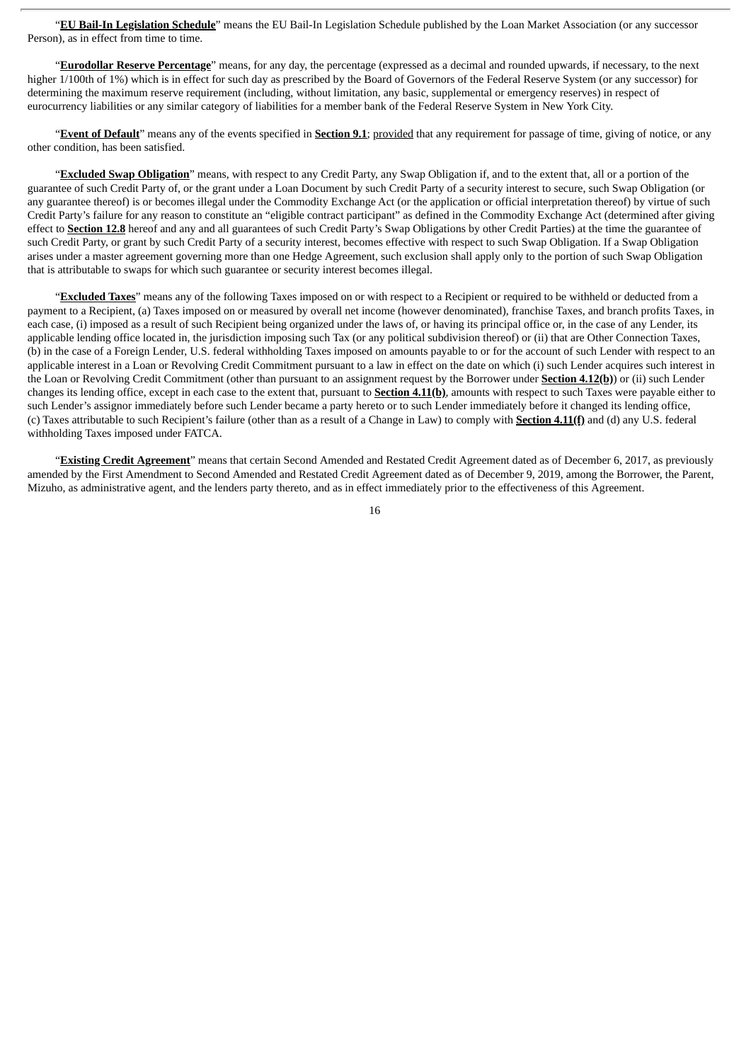"**EU Bail-In Legislation Schedule**" means the EU Bail-In Legislation Schedule published by the Loan Market Association (or any successor Person), as in effect from time to time.

"**Eurodollar Reserve Percentage**" means, for any day, the percentage (expressed as a decimal and rounded upwards, if necessary, to the next higher 1/100th of 1%) which is in effect for such day as prescribed by the Board of Governors of the Federal Reserve System (or any successor) for determining the maximum reserve requirement (including, without limitation, any basic, supplemental or emergency reserves) in respect of eurocurrency liabilities or any similar category of liabilities for a member bank of the Federal Reserve System in New York City.

"**Event of Default**" means any of the events specified in **Section 9.1**; provided that any requirement for passage of time, giving of notice, or any other condition, has been satisfied.

"**Excluded Swap Obligation**" means, with respect to any Credit Party, any Swap Obligation if, and to the extent that, all or a portion of the guarantee of such Credit Party of, or the grant under a Loan Document by such Credit Party of a security interest to secure, such Swap Obligation (or any guarantee thereof) is or becomes illegal under the Commodity Exchange Act (or the application or official interpretation thereof) by virtue of such Credit Party's failure for any reason to constitute an "eligible contract participant" as defined in the Commodity Exchange Act (determined after giving effect to **Section 12.8** hereof and any and all guarantees of such Credit Party's Swap Obligations by other Credit Parties) at the time the guarantee of such Credit Party, or grant by such Credit Party of a security interest, becomes effective with respect to such Swap Obligation. If a Swap Obligation arises under a master agreement governing more than one Hedge Agreement, such exclusion shall apply only to the portion of such Swap Obligation that is attributable to swaps for which such guarantee or security interest becomes illegal.

"**Excluded Taxes**" means any of the following Taxes imposed on or with respect to a Recipient or required to be withheld or deducted from a payment to a Recipient, (a) Taxes imposed on or measured by overall net income (however denominated), franchise Taxes, and branch profits Taxes, in each case, (i) imposed as a result of such Recipient being organized under the laws of, or having its principal office or, in the case of any Lender, its applicable lending office located in, the jurisdiction imposing such Tax (or any political subdivision thereof) or (ii) that are Other Connection Taxes, (b) in the case of a Foreign Lender, U.S. federal withholding Taxes imposed on amounts payable to or for the account of such Lender with respect to an applicable interest in a Loan or Revolving Credit Commitment pursuant to a law in effect on the date on which (i) such Lender acquires such interest in the Loan or Revolving Credit Commitment (other than pursuant to an assignment request by the Borrower under **Section 4.12(b)**) or (ii) such Lender changes its lending office, except in each case to the extent that, pursuant to **Section 4.11(b)**, amounts with respect to such Taxes were payable either to such Lender's assignor immediately before such Lender became a party hereto or to such Lender immediately before it changed its lending office, (c) Taxes attributable to such Recipient's failure (other than as a result of a Change in Law) to comply with **Section 4.11(f)** and (d) any U.S. federal withholding Taxes imposed under FATCA.

"**Existing Credit Agreement**" means that certain Second Amended and Restated Credit Agreement dated as of December 6, 2017, as previously amended by the First Amendment to Second Amended and Restated Credit Agreement dated as of December 9, 2019, among the Borrower, the Parent, Mizuho, as administrative agent, and the lenders party thereto, and as in effect immediately prior to the effectiveness of this Agreement.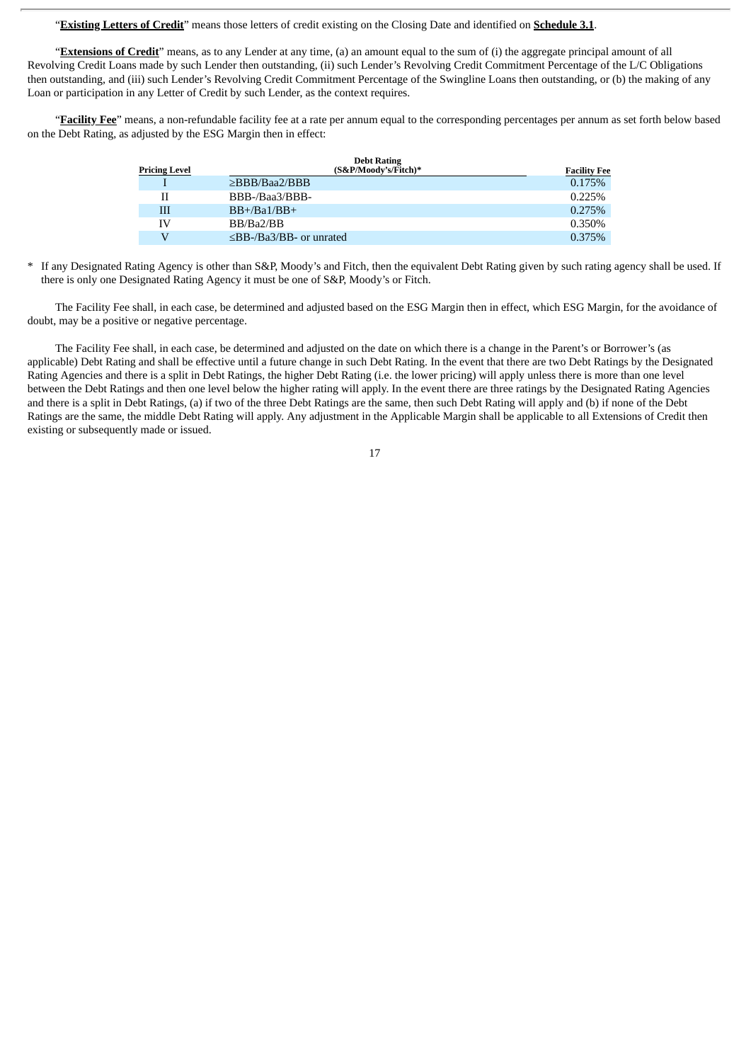"**Existing Letters of Credit**" means those letters of credit existing on the Closing Date and identified on **Schedule 3.1**.

"**Extensions of Credit**" means, as to any Lender at any time, (a) an amount equal to the sum of (i) the aggregate principal amount of all Revolving Credit Loans made by such Lender then outstanding, (ii) such Lender's Revolving Credit Commitment Percentage of the L/C Obligations then outstanding, and (iii) such Lender's Revolving Credit Commitment Percentage of the Swingline Loans then outstanding, or (b) the making of any Loan or participation in any Letter of Credit by such Lender, as the context requires.

"**Facility Fee**" means, a non-refundable facility fee at a rate per annum equal to the corresponding percentages per annum as set forth below based on the Debt Rating, as adjusted by the ESG Margin then in effect:

| <b>Debt Rating</b><br>(S&P/Moody's/Fitch)* | <b>Facility Fee</b> |
|--------------------------------------------|---------------------|
| $\geq$ BBB/Baa2/BBB                        | 0.175%              |
| BBB-/Baa3/BBB-                             | 0.225%              |
| $BB+/Ba1/BB+$                              | 0.275%              |
| BB/Ba2/BB                                  | 0.350\%             |
| $\leq$ BB-/Ba3/BB- or unrated              | 0.375%              |
|                                            |                     |

\* If any Designated Rating Agency is other than S&P, Moody's and Fitch, then the equivalent Debt Rating given by such rating agency shall be used. If there is only one Designated Rating Agency it must be one of S&P, Moody's or Fitch.

The Facility Fee shall, in each case, be determined and adjusted based on the ESG Margin then in effect, which ESG Margin, for the avoidance of doubt, may be a positive or negative percentage.

The Facility Fee shall, in each case, be determined and adjusted on the date on which there is a change in the Parent's or Borrower's (as applicable) Debt Rating and shall be effective until a future change in such Debt Rating. In the event that there are two Debt Ratings by the Designated Rating Agencies and there is a split in Debt Ratings, the higher Debt Rating (i.e. the lower pricing) will apply unless there is more than one level between the Debt Ratings and then one level below the higher rating will apply. In the event there are three ratings by the Designated Rating Agencies and there is a split in Debt Ratings, (a) if two of the three Debt Ratings are the same, then such Debt Rating will apply and (b) if none of the Debt Ratings are the same, the middle Debt Rating will apply. Any adjustment in the Applicable Margin shall be applicable to all Extensions of Credit then existing or subsequently made or issued.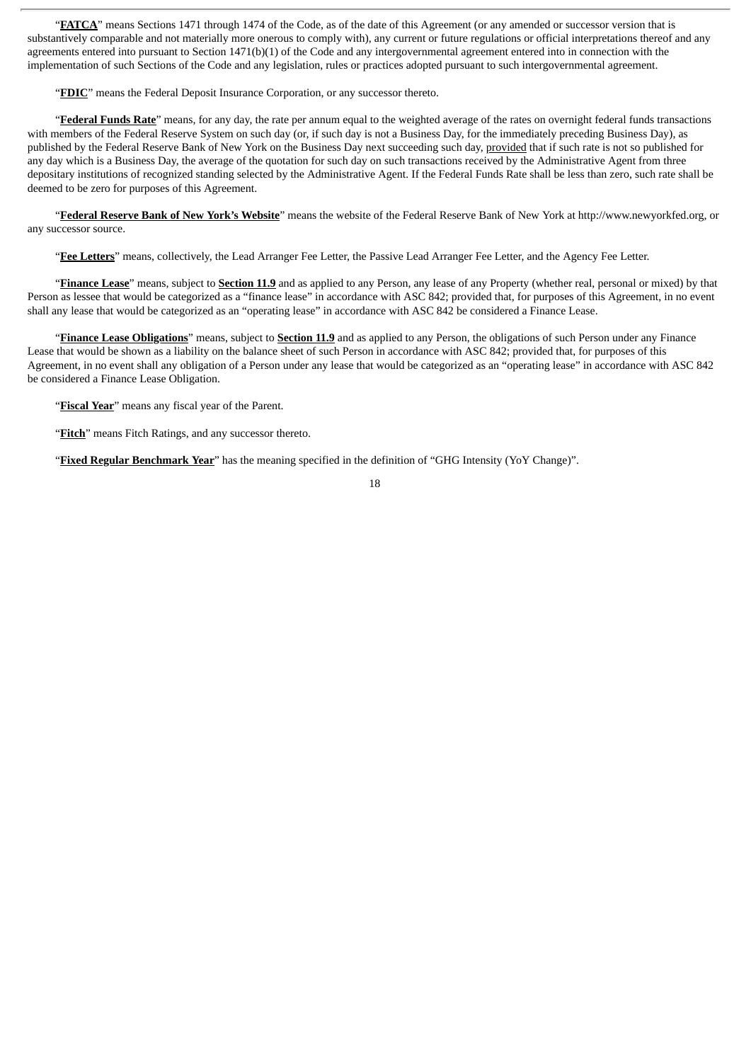"**FATCA**" means Sections 1471 through 1474 of the Code, as of the date of this Agreement (or any amended or successor version that is substantively comparable and not materially more onerous to comply with), any current or future regulations or official interpretations thereof and any agreements entered into pursuant to Section  $1471(b)(1)$  of the Code and any intergovernmental agreement entered into in connection with the implementation of such Sections of the Code and any legislation, rules or practices adopted pursuant to such intergovernmental agreement.

"**FDIC**" means the Federal Deposit Insurance Corporation, or any successor thereto.

"**Federal Funds Rate**" means, for any day, the rate per annum equal to the weighted average of the rates on overnight federal funds transactions with members of the Federal Reserve System on such day (or, if such day is not a Business Day, for the immediately preceding Business Day), as published by the Federal Reserve Bank of New York on the Business Day next succeeding such day, provided that if such rate is not so published for any day which is a Business Day, the average of the quotation for such day on such transactions received by the Administrative Agent from three depositary institutions of recognized standing selected by the Administrative Agent. If the Federal Funds Rate shall be less than zero, such rate shall be deemed to be zero for purposes of this Agreement.

"**Federal Reserve Bank of New York's Website**" means the website of the Federal Reserve Bank of New York at http://www.newyorkfed.org, or any successor source.

"**Fee Letters**" means, collectively, the Lead Arranger Fee Letter, the Passive Lead Arranger Fee Letter, and the Agency Fee Letter.

"**Finance Lease**" means, subject to **Section 11.9** and as applied to any Person, any lease of any Property (whether real, personal or mixed) by that Person as lessee that would be categorized as a "finance lease" in accordance with ASC 842; provided that, for purposes of this Agreement, in no event shall any lease that would be categorized as an "operating lease" in accordance with ASC 842 be considered a Finance Lease.

"**Finance Lease Obligations**" means, subject to **Section 11.9** and as applied to any Person, the obligations of such Person under any Finance Lease that would be shown as a liability on the balance sheet of such Person in accordance with ASC 842; provided that, for purposes of this Agreement, in no event shall any obligation of a Person under any lease that would be categorized as an "operating lease" in accordance with ASC 842 be considered a Finance Lease Obligation.

"**Fiscal Year**" means any fiscal year of the Parent.

"**Fitch**" means Fitch Ratings, and any successor thereto.

"**Fixed Regular Benchmark Year**" has the meaning specified in the definition of "GHG Intensity (YoY Change)".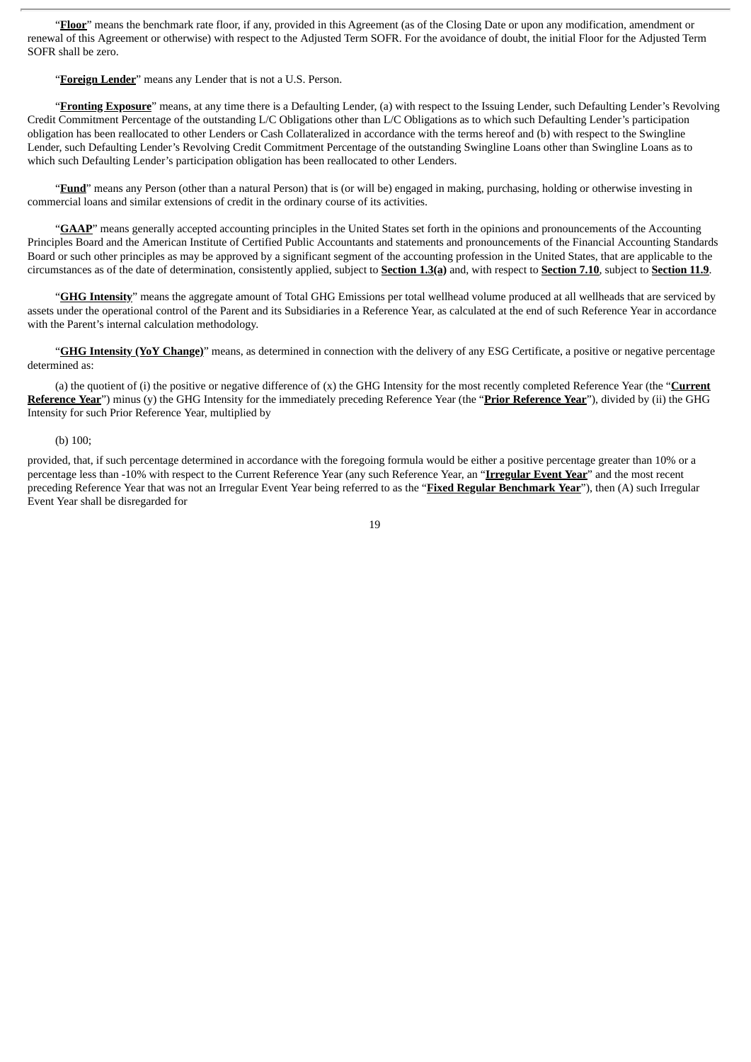"**Floor**" means the benchmark rate floor, if any, provided in this Agreement (as of the Closing Date or upon any modification, amendment or renewal of this Agreement or otherwise) with respect to the Adjusted Term SOFR. For the avoidance of doubt, the initial Floor for the Adjusted Term SOFR shall be zero.

"**Foreign Lender**" means any Lender that is not a U.S. Person.

"**Fronting Exposure**" means, at any time there is a Defaulting Lender, (a) with respect to the Issuing Lender, such Defaulting Lender's Revolving Credit Commitment Percentage of the outstanding L/C Obligations other than L/C Obligations as to which such Defaulting Lender's participation obligation has been reallocated to other Lenders or Cash Collateralized in accordance with the terms hereof and (b) with respect to the Swingline Lender, such Defaulting Lender's Revolving Credit Commitment Percentage of the outstanding Swingline Loans other than Swingline Loans as to which such Defaulting Lender's participation obligation has been reallocated to other Lenders.

"**Fund**" means any Person (other than a natural Person) that is (or will be) engaged in making, purchasing, holding or otherwise investing in commercial loans and similar extensions of credit in the ordinary course of its activities.

"**GAAP**" means generally accepted accounting principles in the United States set forth in the opinions and pronouncements of the Accounting Principles Board and the American Institute of Certified Public Accountants and statements and pronouncements of the Financial Accounting Standards Board or such other principles as may be approved by a significant segment of the accounting profession in the United States, that are applicable to the circumstances as of the date of determination, consistently applied, subject to **Section 1.3(a)** and, with respect to **Section 7.10**, subject to **Section 11.9**.

"**GHG Intensity**" means the aggregate amount of Total GHG Emissions per total wellhead volume produced at all wellheads that are serviced by assets under the operational control of the Parent and its Subsidiaries in a Reference Year, as calculated at the end of such Reference Year in accordance with the Parent's internal calculation methodology.

"**GHG Intensity (YoY Change)**" means, as determined in connection with the delivery of any ESG Certificate, a positive or negative percentage determined as:

(a) the quotient of (i) the positive or negative difference of (x) the GHG Intensity for the most recently completed Reference Year (the "**Current Reference Year**") minus (y) the GHG Intensity for the immediately preceding Reference Year (the "**Prior Reference Year**"), divided by (ii) the GHG Intensity for such Prior Reference Year, multiplied by

#### (b) 100;

provided, that, if such percentage determined in accordance with the foregoing formula would be either a positive percentage greater than 10% or a percentage less than -10% with respect to the Current Reference Year (any such Reference Year, an "**Irregular Event Year**" and the most recent preceding Reference Year that was not an Irregular Event Year being referred to as the "**Fixed Regular Benchmark Year**"), then (A) such Irregular Event Year shall be disregarded for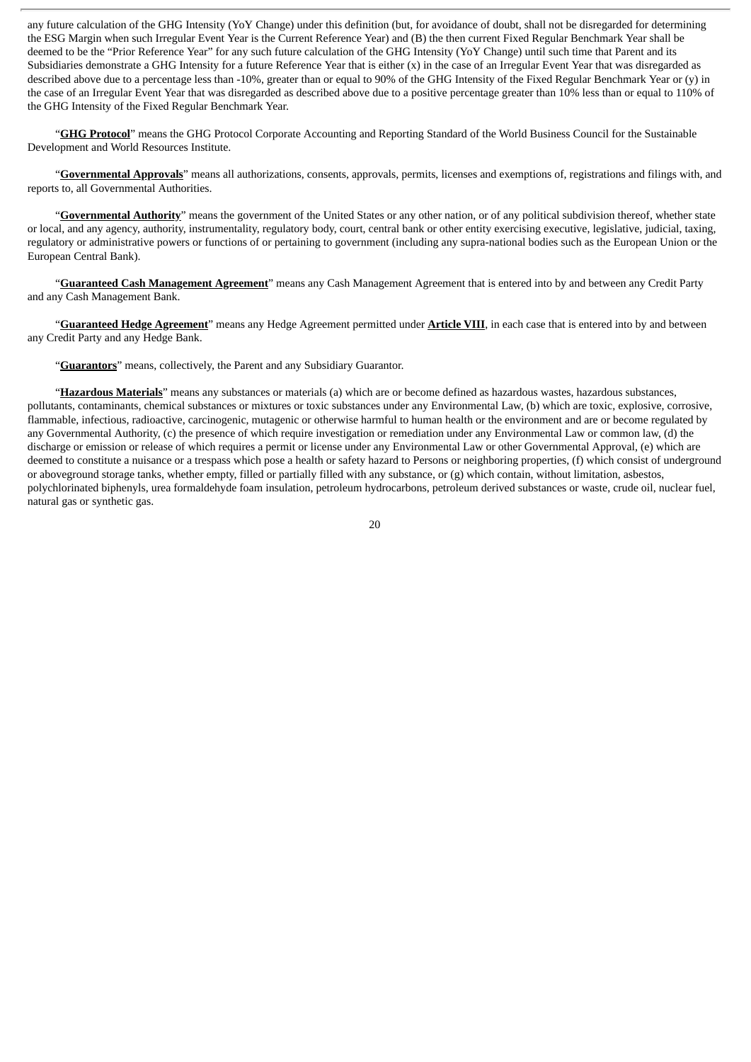any future calculation of the GHG Intensity (YoY Change) under this definition (but, for avoidance of doubt, shall not be disregarded for determining the ESG Margin when such Irregular Event Year is the Current Reference Year) and (B) the then current Fixed Regular Benchmark Year shall be deemed to be the "Prior Reference Year" for any such future calculation of the GHG Intensity (YoY Change) until such time that Parent and its Subsidiaries demonstrate a GHG Intensity for a future Reference Year that is either (x) in the case of an Irregular Event Year that was disregarded as described above due to a percentage less than -10%, greater than or equal to 90% of the GHG Intensity of the Fixed Regular Benchmark Year or (y) in the case of an Irregular Event Year that was disregarded as described above due to a positive percentage greater than 10% less than or equal to 110% of the GHG Intensity of the Fixed Regular Benchmark Year.

"**GHG Protocol**" means the GHG Protocol Corporate Accounting and Reporting Standard of the World Business Council for the Sustainable Development and World Resources Institute.

"**Governmental Approvals**" means all authorizations, consents, approvals, permits, licenses and exemptions of, registrations and filings with, and reports to, all Governmental Authorities.

"**Governmental Authority**" means the government of the United States or any other nation, or of any political subdivision thereof, whether state or local, and any agency, authority, instrumentality, regulatory body, court, central bank or other entity exercising executive, legislative, judicial, taxing, regulatory or administrative powers or functions of or pertaining to government (including any supra-national bodies such as the European Union or the European Central Bank).

"**Guaranteed Cash Management Agreement**" means any Cash Management Agreement that is entered into by and between any Credit Party and any Cash Management Bank.

"**Guaranteed Hedge Agreement**" means any Hedge Agreement permitted under **Article VIII**, in each case that is entered into by and between any Credit Party and any Hedge Bank.

"**Guarantors**" means, collectively, the Parent and any Subsidiary Guarantor.

"**Hazardous Materials**" means any substances or materials (a) which are or become defined as hazardous wastes, hazardous substances, pollutants, contaminants, chemical substances or mixtures or toxic substances under any Environmental Law, (b) which are toxic, explosive, corrosive, flammable, infectious, radioactive, carcinogenic, mutagenic or otherwise harmful to human health or the environment and are or become regulated by any Governmental Authority, (c) the presence of which require investigation or remediation under any Environmental Law or common law, (d) the discharge or emission or release of which requires a permit or license under any Environmental Law or other Governmental Approval, (e) which are deemed to constitute a nuisance or a trespass which pose a health or safety hazard to Persons or neighboring properties, (f) which consist of underground or aboveground storage tanks, whether empty, filled or partially filled with any substance, or  $(g)$  which contain, without limitation, asbestos, polychlorinated biphenyls, urea formaldehyde foam insulation, petroleum hydrocarbons, petroleum derived substances or waste, crude oil, nuclear fuel, natural gas or synthetic gas.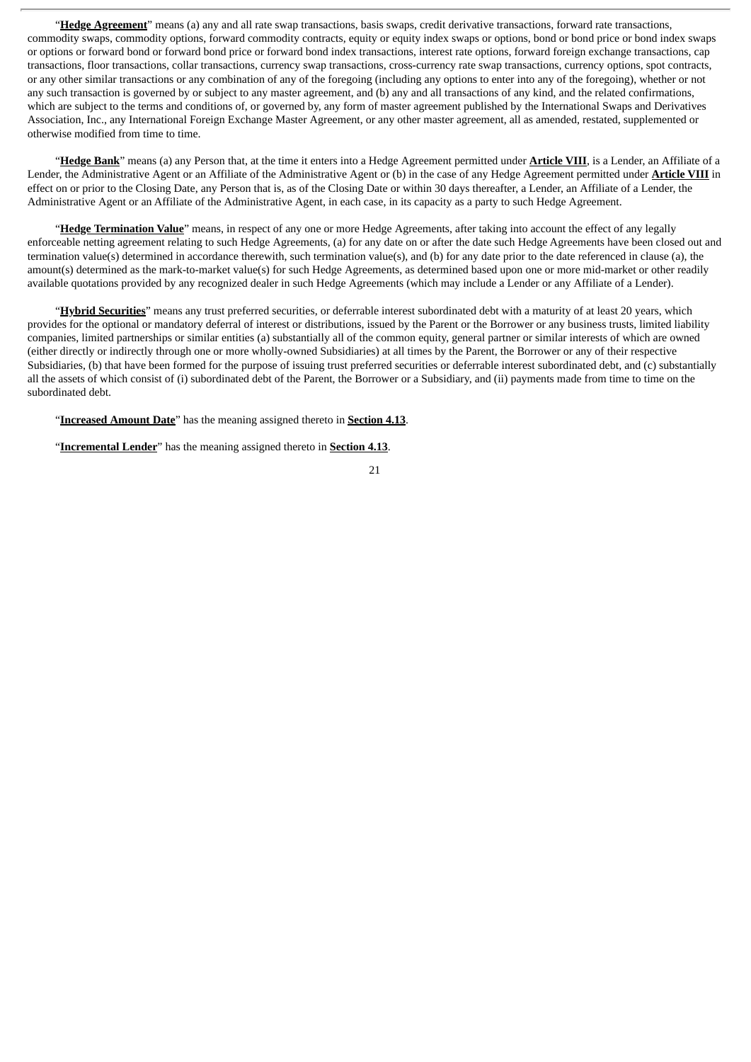"**Hedge Agreement**" means (a) any and all rate swap transactions, basis swaps, credit derivative transactions, forward rate transactions, commodity swaps, commodity options, forward commodity contracts, equity or equity index swaps or options, bond or bond price or bond index swaps or options or forward bond or forward bond price or forward bond index transactions, interest rate options, forward foreign exchange transactions, cap transactions, floor transactions, collar transactions, currency swap transactions, cross-currency rate swap transactions, currency options, spot contracts, or any other similar transactions or any combination of any of the foregoing (including any options to enter into any of the foregoing), whether or not any such transaction is governed by or subject to any master agreement, and (b) any and all transactions of any kind, and the related confirmations, which are subject to the terms and conditions of, or governed by, any form of master agreement published by the International Swaps and Derivatives Association, Inc., any International Foreign Exchange Master Agreement, or any other master agreement, all as amended, restated, supplemented or otherwise modified from time to time.

"**Hedge Bank**" means (a) any Person that, at the time it enters into a Hedge Agreement permitted under **Article VIII**, is a Lender, an Affiliate of a Lender, the Administrative Agent or an Affiliate of the Administrative Agent or (b) in the case of any Hedge Agreement permitted under **Article VIII** in effect on or prior to the Closing Date, any Person that is, as of the Closing Date or within 30 days thereafter, a Lender, an Affiliate of a Lender, the Administrative Agent or an Affiliate of the Administrative Agent, in each case, in its capacity as a party to such Hedge Agreement.

"**Hedge Termination Value**" means, in respect of any one or more Hedge Agreements, after taking into account the effect of any legally enforceable netting agreement relating to such Hedge Agreements, (a) for any date on or after the date such Hedge Agreements have been closed out and termination value(s) determined in accordance therewith, such termination value(s), and (b) for any date prior to the date referenced in clause (a), the amount(s) determined as the mark-to-market value(s) for such Hedge Agreements, as determined based upon one or more mid-market or other readily available quotations provided by any recognized dealer in such Hedge Agreements (which may include a Lender or any Affiliate of a Lender).

"**Hybrid Securities**" means any trust preferred securities, or deferrable interest subordinated debt with a maturity of at least 20 years, which provides for the optional or mandatory deferral of interest or distributions, issued by the Parent or the Borrower or any business trusts, limited liability companies, limited partnerships or similar entities (a) substantially all of the common equity, general partner or similar interests of which are owned (either directly or indirectly through one or more wholly-owned Subsidiaries) at all times by the Parent, the Borrower or any of their respective Subsidiaries, (b) that have been formed for the purpose of issuing trust preferred securities or deferrable interest subordinated debt, and (c) substantially all the assets of which consist of (i) subordinated debt of the Parent, the Borrower or a Subsidiary, and (ii) payments made from time to time on the subordinated debt.

"**Increased Amount Date**" has the meaning assigned thereto in **Section 4.13**.

"**Incremental Lender**" has the meaning assigned thereto in **Section 4.13**.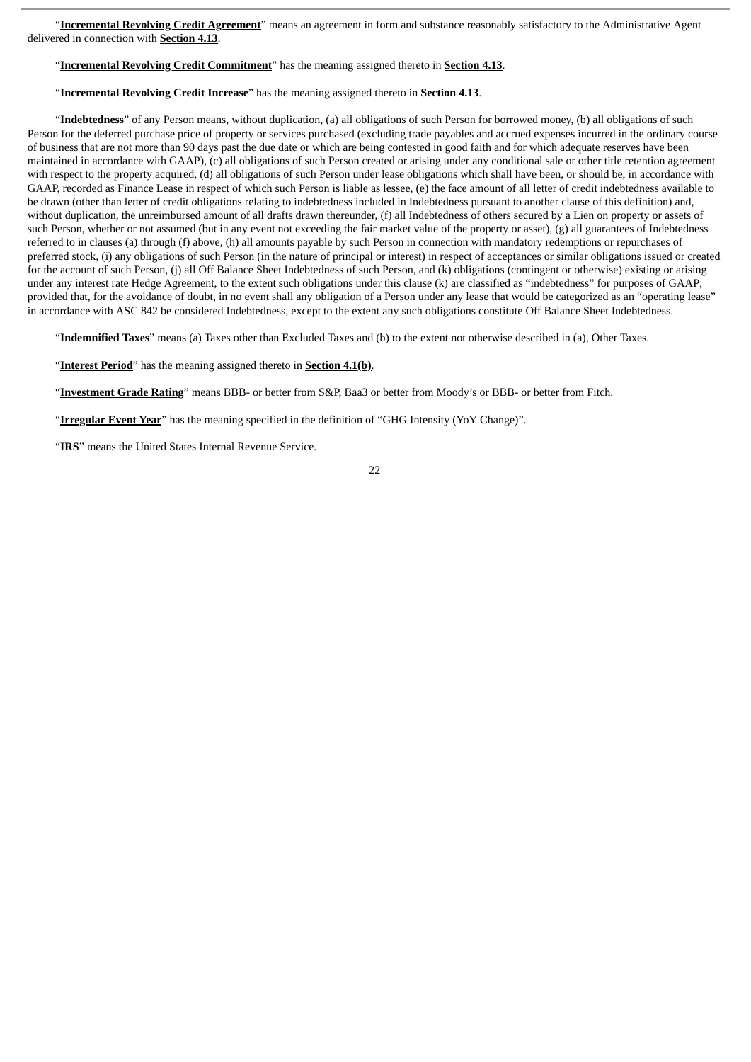"**Incremental Revolving Credit Agreement**" means an agreement in form and substance reasonably satisfactory to the Administrative Agent delivered in connection with **Section 4.13**.

#### "**Incremental Revolving Credit Commitment**" has the meaning assigned thereto in **Section 4.13**.

#### "**Incremental Revolving Credit Increase**" has the meaning assigned thereto in **Section 4.13**.

"**Indebtedness**" of any Person means, without duplication, (a) all obligations of such Person for borrowed money, (b) all obligations of such Person for the deferred purchase price of property or services purchased (excluding trade payables and accrued expenses incurred in the ordinary course of business that are not more than 90 days past the due date or which are being contested in good faith and for which adequate reserves have been maintained in accordance with GAAP), (c) all obligations of such Person created or arising under any conditional sale or other title retention agreement with respect to the property acquired, (d) all obligations of such Person under lease obligations which shall have been, or should be, in accordance with GAAP, recorded as Finance Lease in respect of which such Person is liable as lessee, (e) the face amount of all letter of credit indebtedness available to be drawn (other than letter of credit obligations relating to indebtedness included in Indebtedness pursuant to another clause of this definition) and, without duplication, the unreimbursed amount of all drafts drawn thereunder, (f) all Indebtedness of others secured by a Lien on property or assets of such Person, whether or not assumed (but in any event not exceeding the fair market value of the property or asset), (g) all guarantees of Indebtedness referred to in clauses (a) through (f) above, (h) all amounts payable by such Person in connection with mandatory redemptions or repurchases of preferred stock, (i) any obligations of such Person (in the nature of principal or interest) in respect of acceptances or similar obligations issued or created for the account of such Person, (j) all Off Balance Sheet Indebtedness of such Person, and (k) obligations (contingent or otherwise) existing or arising under any interest rate Hedge Agreement, to the extent such obligations under this clause (k) are classified as "indebtedness" for purposes of GAAP; provided that, for the avoidance of doubt, in no event shall any obligation of a Person under any lease that would be categorized as an "operating lease" in accordance with ASC 842 be considered Indebtedness, except to the extent any such obligations constitute Off Balance Sheet Indebtedness.

"**Indemnified Taxes**" means (a) Taxes other than Excluded Taxes and (b) to the extent not otherwise described in (a), Other Taxes.

"**Interest Period**" has the meaning assigned thereto in **Section 4.1(b)**.

"**Investment Grade Rating**" means BBB- or better from S&P, Baa3 or better from Moody's or BBB- or better from Fitch.

"**Irregular Event Year**" has the meaning specified in the definition of "GHG Intensity (YoY Change)".

"**IRS**" means the United States Internal Revenue Service.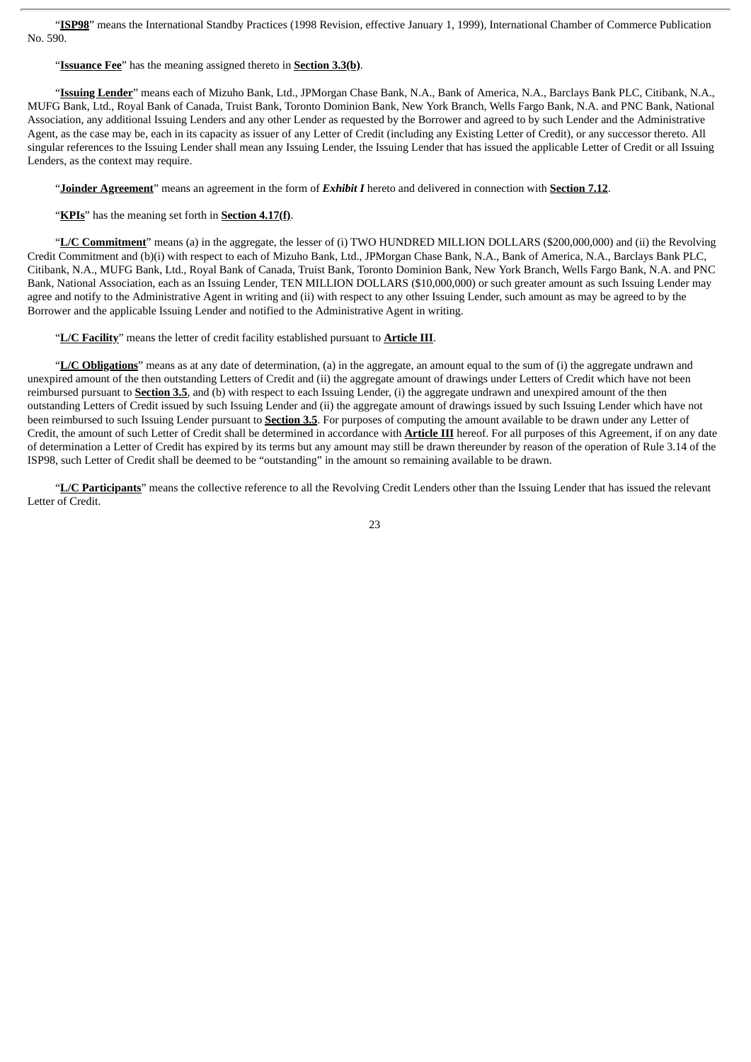"**ISP98**" means the International Standby Practices (1998 Revision, effective January 1, 1999), International Chamber of Commerce Publication No. 590.

#### "**Issuance Fee**" has the meaning assigned thereto in **Section 3.3(b)**.

"**Issuing Lender**" means each of Mizuho Bank, Ltd., JPMorgan Chase Bank, N.A., Bank of America, N.A., Barclays Bank PLC, Citibank, N.A., MUFG Bank, Ltd., Royal Bank of Canada, Truist Bank, Toronto Dominion Bank, New York Branch, Wells Fargo Bank, N.A. and PNC Bank, National Association, any additional Issuing Lenders and any other Lender as requested by the Borrower and agreed to by such Lender and the Administrative Agent, as the case may be, each in its capacity as issuer of any Letter of Credit (including any Existing Letter of Credit), or any successor thereto. All singular references to the Issuing Lender shall mean any Issuing Lender, the Issuing Lender that has issued the applicable Letter of Credit or all Issuing Lenders, as the context may require.

"**Joinder Agreement**" means an agreement in the form of *Exhibit I* hereto and delivered in connection with **Section 7.12**.

"**KPIs**" has the meaning set forth in **Section 4.17(f)**.

"**L/C Commitment**" means (a) in the aggregate, the lesser of (i) TWO HUNDRED MILLION DOLLARS (\$200,000,000) and (ii) the Revolving Credit Commitment and (b)(i) with respect to each of Mizuho Bank, Ltd., JPMorgan Chase Bank, N.A., Bank of America, N.A., Barclays Bank PLC, Citibank, N.A., MUFG Bank, Ltd., Royal Bank of Canada, Truist Bank, Toronto Dominion Bank, New York Branch, Wells Fargo Bank, N.A. and PNC Bank, National Association, each as an Issuing Lender, TEN MILLION DOLLARS (\$10,000,000) or such greater amount as such Issuing Lender may agree and notify to the Administrative Agent in writing and (ii) with respect to any other Issuing Lender, such amount as may be agreed to by the Borrower and the applicable Issuing Lender and notified to the Administrative Agent in writing.

"**L/C Facility**" means the letter of credit facility established pursuant to **Article III**.

"**L/C Obligations**" means as at any date of determination, (a) in the aggregate, an amount equal to the sum of (i) the aggregate undrawn and unexpired amount of the then outstanding Letters of Credit and (ii) the aggregate amount of drawings under Letters of Credit which have not been reimbursed pursuant to **Section 3.5**, and (b) with respect to each Issuing Lender, (i) the aggregate undrawn and unexpired amount of the then outstanding Letters of Credit issued by such Issuing Lender and (ii) the aggregate amount of drawings issued by such Issuing Lender which have not been reimbursed to such Issuing Lender pursuant to **Section 3.5**. For purposes of computing the amount available to be drawn under any Letter of Credit, the amount of such Letter of Credit shall be determined in accordance with **Article III** hereof. For all purposes of this Agreement, if on any date of determination a Letter of Credit has expired by its terms but any amount may still be drawn thereunder by reason of the operation of Rule 3.14 of the ISP98, such Letter of Credit shall be deemed to be "outstanding" in the amount so remaining available to be drawn.

"**L/C Participants**" means the collective reference to all the Revolving Credit Lenders other than the Issuing Lender that has issued the relevant Letter of Credit.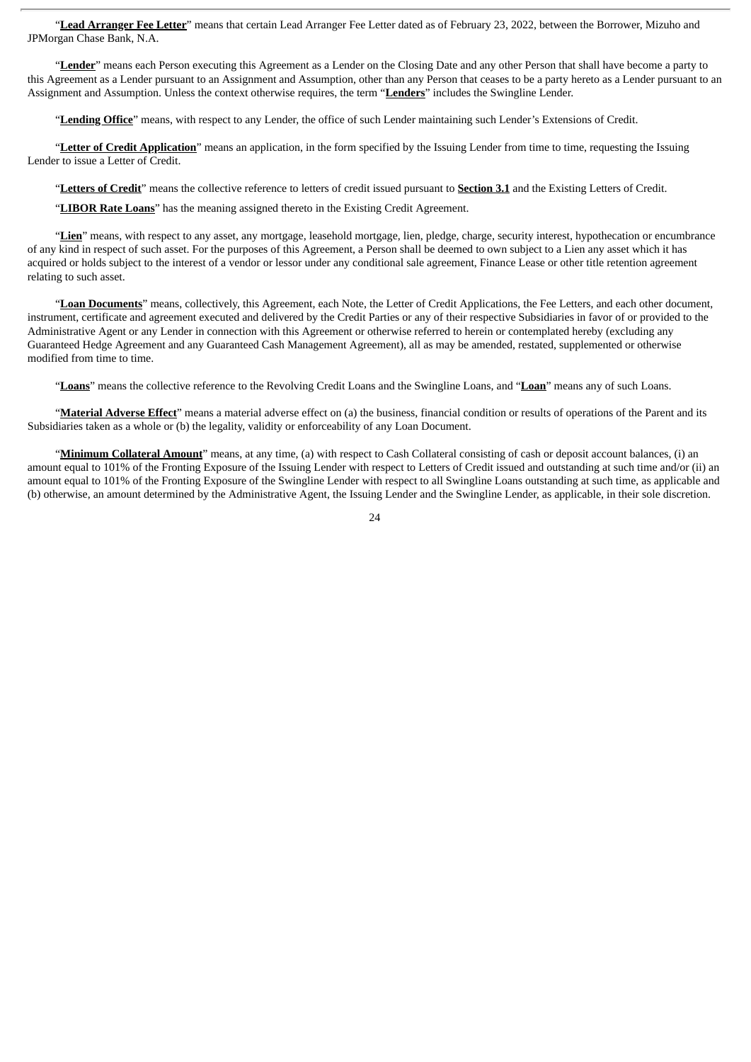"**Lead Arranger Fee Letter**" means that certain Lead Arranger Fee Letter dated as of February 23, 2022, between the Borrower, Mizuho and JPMorgan Chase Bank, N.A.

"**Lender**" means each Person executing this Agreement as a Lender on the Closing Date and any other Person that shall have become a party to this Agreement as a Lender pursuant to an Assignment and Assumption, other than any Person that ceases to be a party hereto as a Lender pursuant to an Assignment and Assumption. Unless the context otherwise requires, the term "**Lenders**" includes the Swingline Lender.

"**Lending Office**" means, with respect to any Lender, the office of such Lender maintaining such Lender's Extensions of Credit.

"**Letter of Credit Application**" means an application, in the form specified by the Issuing Lender from time to time, requesting the Issuing Lender to issue a Letter of Credit.

"**Letters of Credit**" means the collective reference to letters of credit issued pursuant to **Section 3.1** and the Existing Letters of Credit.

"**LIBOR Rate Loans**" has the meaning assigned thereto in the Existing Credit Agreement.

"**Lien**" means, with respect to any asset, any mortgage, leasehold mortgage, lien, pledge, charge, security interest, hypothecation or encumbrance of any kind in respect of such asset. For the purposes of this Agreement, a Person shall be deemed to own subject to a Lien any asset which it has acquired or holds subject to the interest of a vendor or lessor under any conditional sale agreement, Finance Lease or other title retention agreement relating to such asset.

"**Loan Documents**" means, collectively, this Agreement, each Note, the Letter of Credit Applications, the Fee Letters, and each other document, instrument, certificate and agreement executed and delivered by the Credit Parties or any of their respective Subsidiaries in favor of or provided to the Administrative Agent or any Lender in connection with this Agreement or otherwise referred to herein or contemplated hereby (excluding any Guaranteed Hedge Agreement and any Guaranteed Cash Management Agreement), all as may be amended, restated, supplemented or otherwise modified from time to time.

"**Loans**" means the collective reference to the Revolving Credit Loans and the Swingline Loans, and "**Loan**" means any of such Loans.

"**Material Adverse Effect**" means a material adverse effect on (a) the business, financial condition or results of operations of the Parent and its Subsidiaries taken as a whole or (b) the legality, validity or enforceability of any Loan Document.

"**Minimum Collateral Amount**" means, at any time, (a) with respect to Cash Collateral consisting of cash or deposit account balances, (i) an amount equal to 101% of the Fronting Exposure of the Issuing Lender with respect to Letters of Credit issued and outstanding at such time and/or (ii) an amount equal to 101% of the Fronting Exposure of the Swingline Lender with respect to all Swingline Loans outstanding at such time, as applicable and (b) otherwise, an amount determined by the Administrative Agent, the Issuing Lender and the Swingline Lender, as applicable, in their sole discretion.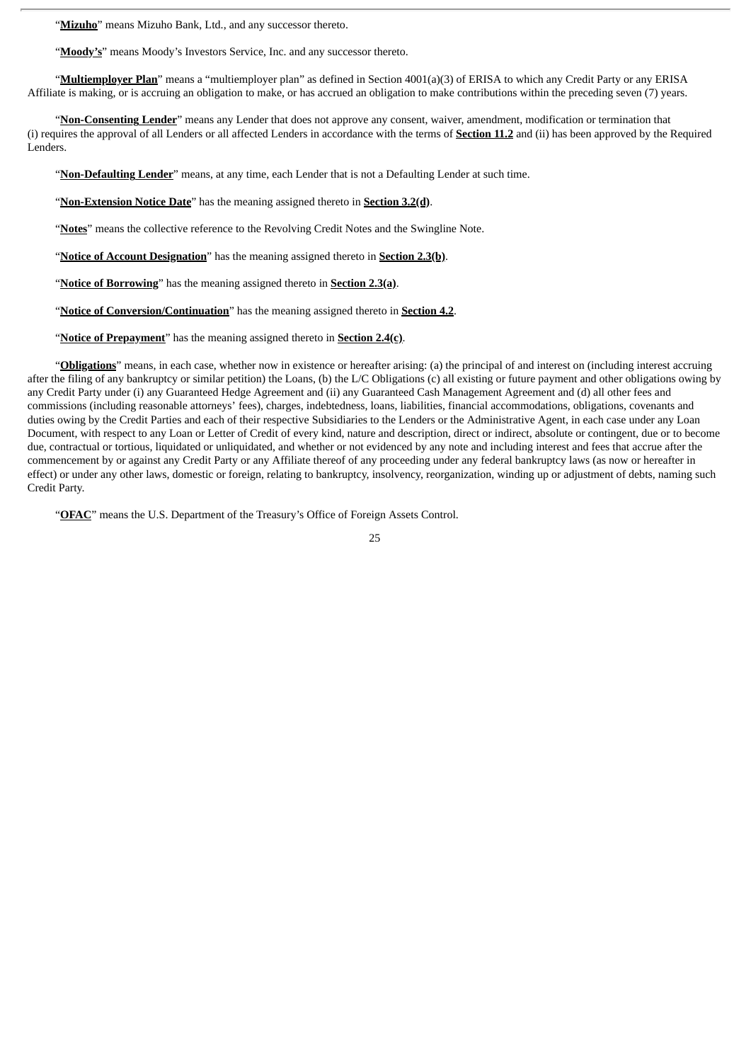"**Mizuho**" means Mizuho Bank, Ltd., and any successor thereto.

"**Moody's**" means Moody's Investors Service, Inc. and any successor thereto.

"**Multiemployer Plan**" means a "multiemployer plan" as defined in Section 4001(a)(3) of ERISA to which any Credit Party or any ERISA Affiliate is making, or is accruing an obligation to make, or has accrued an obligation to make contributions within the preceding seven (7) years.

"**Non-Consenting Lender**" means any Lender that does not approve any consent, waiver, amendment, modification or termination that (i) requires the approval of all Lenders or all affected Lenders in accordance with the terms of **Section 11.2** and (ii) has been approved by the Required Lenders.

"**Non-Defaulting Lender**" means, at any time, each Lender that is not a Defaulting Lender at such time.

"**Non-Extension Notice Date**" has the meaning assigned thereto in **Section 3.2(d)**.

"**Notes**" means the collective reference to the Revolving Credit Notes and the Swingline Note.

"**Notice of Account Designation**" has the meaning assigned thereto in **Section 2.3(b)**.

"**Notice of Borrowing**" has the meaning assigned thereto in **Section 2.3(a)**.

"**Notice of Conversion/Continuation**" has the meaning assigned thereto in **Section 4.2**.

"**Notice of Prepayment**" has the meaning assigned thereto in **Section 2.4(c)**.

"**Obligations**" means, in each case, whether now in existence or hereafter arising: (a) the principal of and interest on (including interest accruing after the filing of any bankruptcy or similar petition) the Loans, (b) the L/C Obligations (c) all existing or future payment and other obligations owing by any Credit Party under (i) any Guaranteed Hedge Agreement and (ii) any Guaranteed Cash Management Agreement and (d) all other fees and commissions (including reasonable attorneys' fees), charges, indebtedness, loans, liabilities, financial accommodations, obligations, covenants and duties owing by the Credit Parties and each of their respective Subsidiaries to the Lenders or the Administrative Agent, in each case under any Loan Document, with respect to any Loan or Letter of Credit of every kind, nature and description, direct or indirect, absolute or contingent, due or to become due, contractual or tortious, liquidated or unliquidated, and whether or not evidenced by any note and including interest and fees that accrue after the commencement by or against any Credit Party or any Affiliate thereof of any proceeding under any federal bankruptcy laws (as now or hereafter in effect) or under any other laws, domestic or foreign, relating to bankruptcy, insolvency, reorganization, winding up or adjustment of debts, naming such Credit Party.

"OFAC" means the U.S. Department of the Treasury's Office of Foreign Assets Control.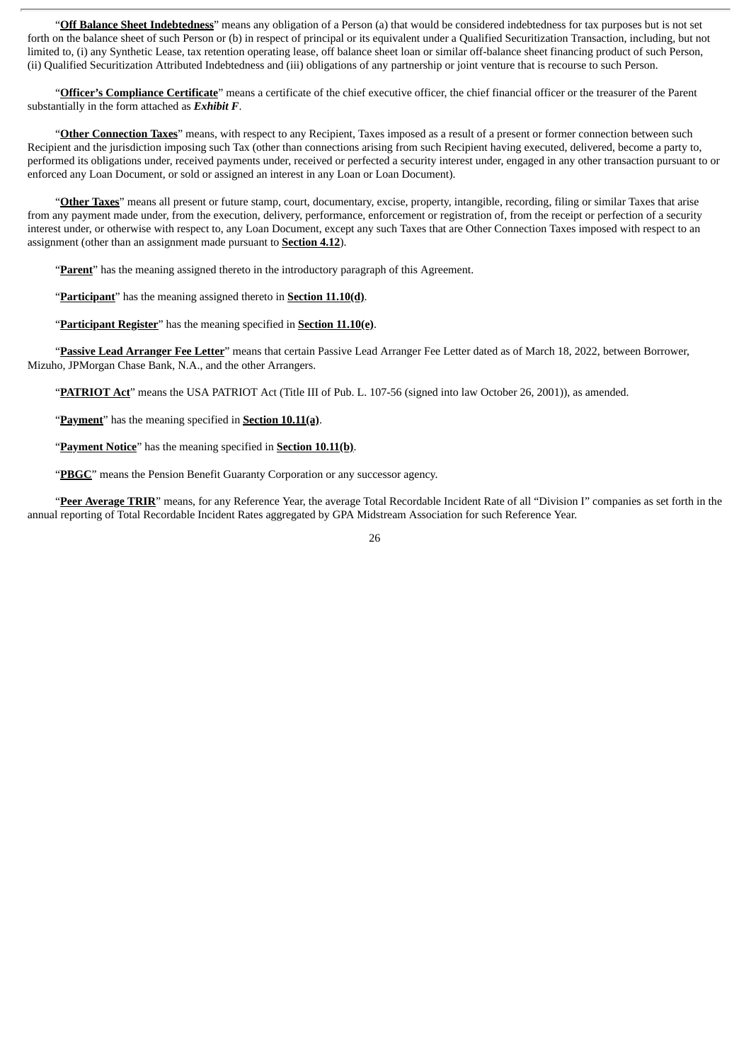"**Off Balance Sheet Indebtedness**" means any obligation of a Person (a) that would be considered indebtedness for tax purposes but is not set forth on the balance sheet of such Person or (b) in respect of principal or its equivalent under a Qualified Securitization Transaction, including, but not limited to, (i) any Synthetic Lease, tax retention operating lease, off balance sheet loan or similar off-balance sheet financing product of such Person, (ii) Qualified Securitization Attributed Indebtedness and (iii) obligations of any partnership or joint venture that is recourse to such Person.

"**Officer's Compliance Certificate**" means a certificate of the chief executive officer, the chief financial officer or the treasurer of the Parent substantially in the form attached as *Exhibit F*.

"**Other Connection Taxes**" means, with respect to any Recipient, Taxes imposed as a result of a present or former connection between such Recipient and the jurisdiction imposing such Tax (other than connections arising from such Recipient having executed, delivered, become a party to, performed its obligations under, received payments under, received or perfected a security interest under, engaged in any other transaction pursuant to or enforced any Loan Document, or sold or assigned an interest in any Loan or Loan Document).

"**Other Taxes**" means all present or future stamp, court, documentary, excise, property, intangible, recording, filing or similar Taxes that arise from any payment made under, from the execution, delivery, performance, enforcement or registration of, from the receipt or perfection of a security interest under, or otherwise with respect to, any Loan Document, except any such Taxes that are Other Connection Taxes imposed with respect to an assignment (other than an assignment made pursuant to **Section 4.12**).

"**Parent**" has the meaning assigned thereto in the introductory paragraph of this Agreement.

"**Participant**" has the meaning assigned thereto in **Section 11.10(d)**.

"**Participant Register**" has the meaning specified in **Section 11.10(e)**.

"**Passive Lead Arranger Fee Letter**" means that certain Passive Lead Arranger Fee Letter dated as of March 18, 2022, between Borrower, Mizuho, JPMorgan Chase Bank, N.A., and the other Arrangers.

"**PATRIOT Act**" means the USA PATRIOT Act (Title III of Pub. L. 107-56 (signed into law October 26, 2001)), as amended.

"**Payment**" has the meaning specified in **Section 10.11(a)**.

"**Payment Notice**" has the meaning specified in **Section 10.11(b)**.

"**PBGC**" means the Pension Benefit Guaranty Corporation or any successor agency.

"**Peer Average TRIR**" means, for any Reference Year, the average Total Recordable Incident Rate of all "Division I" companies as set forth in the annual reporting of Total Recordable Incident Rates aggregated by GPA Midstream Association for such Reference Year.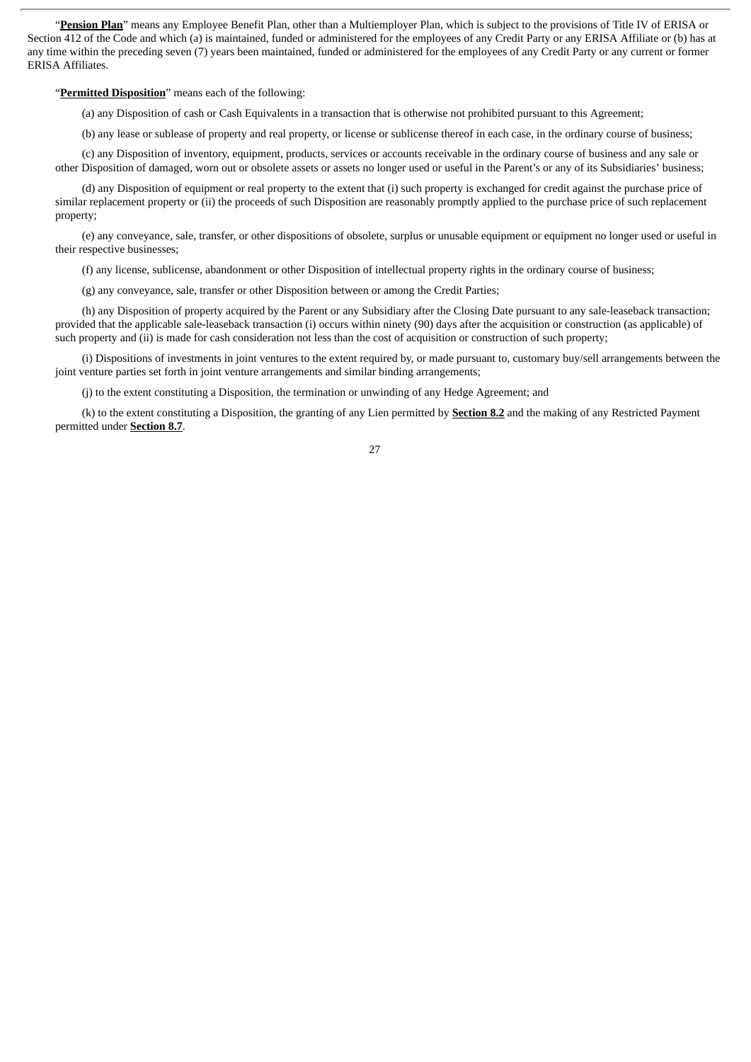"**Pension Plan**" means any Employee Benefit Plan, other than a Multiemployer Plan, which is subject to the provisions of Title IV of ERISA or Section 412 of the Code and which (a) is maintained, funded or administered for the employees of any Credit Party or any ERISA Affiliate or (b) has at any time within the preceding seven (7) years been maintained, funded or administered for the employees of any Credit Party or any current or former ERISA Affiliates.

"**Permitted Disposition**" means each of the following:

(a) any Disposition of cash or Cash Equivalents in a transaction that is otherwise not prohibited pursuant to this Agreement;

(b) any lease or sublease of property and real property, or license or sublicense thereof in each case, in the ordinary course of business;

(c) any Disposition of inventory, equipment, products, services or accounts receivable in the ordinary course of business and any sale or other Disposition of damaged, worn out or obsolete assets or assets no longer used or useful in the Parent's or any of its Subsidiaries' business;

(d) any Disposition of equipment or real property to the extent that (i) such property is exchanged for credit against the purchase price of similar replacement property or (ii) the proceeds of such Disposition are reasonably promptly applied to the purchase price of such replacement property;

(e) any conveyance, sale, transfer, or other dispositions of obsolete, surplus or unusable equipment or equipment no longer used or useful in their respective businesses;

(f) any license, sublicense, abandonment or other Disposition of intellectual property rights in the ordinary course of business;

(g) any conveyance, sale, transfer or other Disposition between or among the Credit Parties;

(h) any Disposition of property acquired by the Parent or any Subsidiary after the Closing Date pursuant to any sale-leaseback transaction; provided that the applicable sale-leaseback transaction (i) occurs within ninety (90) days after the acquisition or construction (as applicable) of such property and (ii) is made for cash consideration not less than the cost of acquisition or construction of such property;

(i) Dispositions of investments in joint ventures to the extent required by, or made pursuant to, customary buy/sell arrangements between the joint venture parties set forth in joint venture arrangements and similar binding arrangements;

(j) to the extent constituting a Disposition, the termination or unwinding of any Hedge Agreement; and

(k) to the extent constituting a Disposition, the granting of any Lien permitted by **Section 8.2** and the making of any Restricted Payment permitted under **Section 8.7**.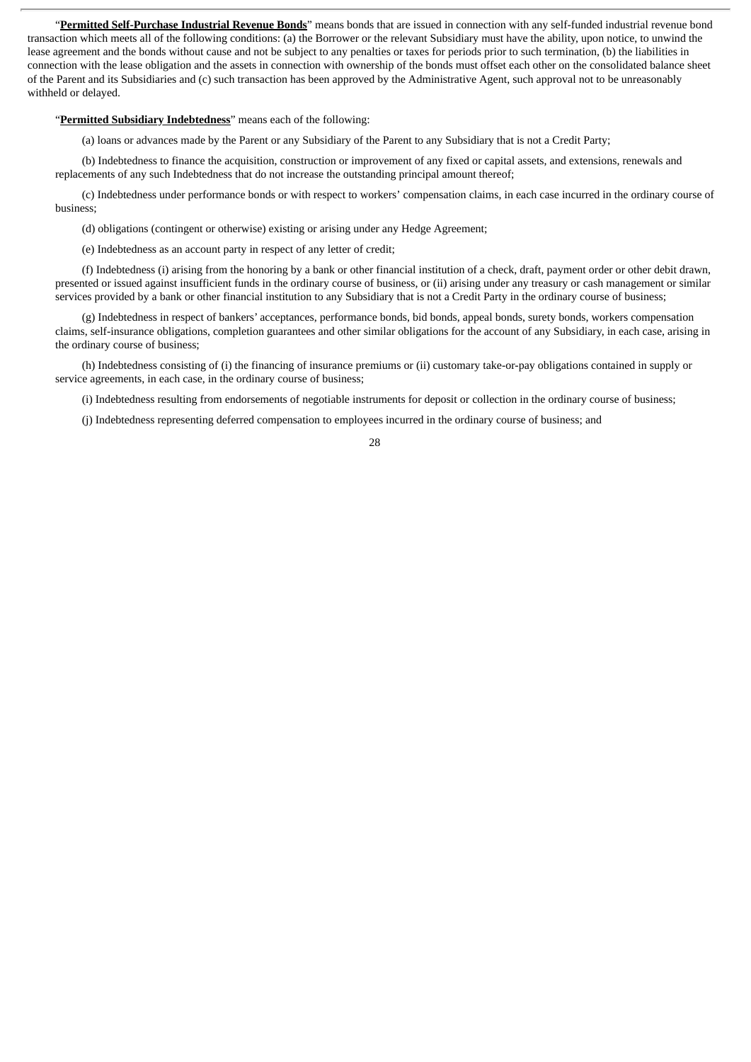"**Permitted Self-Purchase Industrial Revenue Bonds**" means bonds that are issued in connection with any self-funded industrial revenue bond transaction which meets all of the following conditions: (a) the Borrower or the relevant Subsidiary must have the ability, upon notice, to unwind the lease agreement and the bonds without cause and not be subject to any penalties or taxes for periods prior to such termination, (b) the liabilities in connection with the lease obligation and the assets in connection with ownership of the bonds must offset each other on the consolidated balance sheet of the Parent and its Subsidiaries and (c) such transaction has been approved by the Administrative Agent, such approval not to be unreasonably withheld or delayed.

"**Permitted Subsidiary Indebtedness**" means each of the following:

(a) loans or advances made by the Parent or any Subsidiary of the Parent to any Subsidiary that is not a Credit Party;

(b) Indebtedness to finance the acquisition, construction or improvement of any fixed or capital assets, and extensions, renewals and replacements of any such Indebtedness that do not increase the outstanding principal amount thereof;

(c) Indebtedness under performance bonds or with respect to workers' compensation claims, in each case incurred in the ordinary course of business;

(d) obligations (contingent or otherwise) existing or arising under any Hedge Agreement;

(e) Indebtedness as an account party in respect of any letter of credit;

(f) Indebtedness (i) arising from the honoring by a bank or other financial institution of a check, draft, payment order or other debit drawn, presented or issued against insufficient funds in the ordinary course of business, or (ii) arising under any treasury or cash management or similar services provided by a bank or other financial institution to any Subsidiary that is not a Credit Party in the ordinary course of business;

(g) Indebtedness in respect of bankers' acceptances, performance bonds, bid bonds, appeal bonds, surety bonds, workers compensation claims, self-insurance obligations, completion guarantees and other similar obligations for the account of any Subsidiary, in each case, arising in the ordinary course of business;

(h) Indebtedness consisting of (i) the financing of insurance premiums or (ii) customary take-or-pay obligations contained in supply or service agreements, in each case, in the ordinary course of business;

(i) Indebtedness resulting from endorsements of negotiable instruments for deposit or collection in the ordinary course of business;

(j) Indebtedness representing deferred compensation to employees incurred in the ordinary course of business; and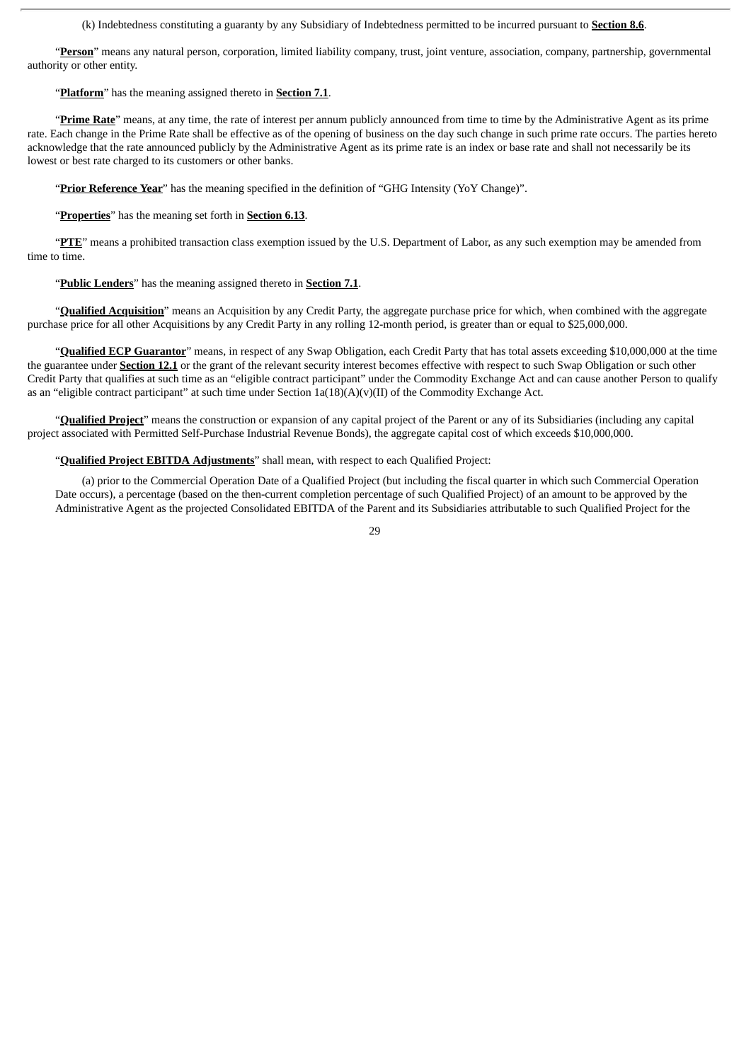(k) Indebtedness constituting a guaranty by any Subsidiary of Indebtedness permitted to be incurred pursuant to **Section 8.6**.

"**Person**" means any natural person, corporation, limited liability company, trust, joint venture, association, company, partnership, governmental authority or other entity.

"**Platform**" has the meaning assigned thereto in **Section 7.1**.

"**Prime Rate**" means, at any time, the rate of interest per annum publicly announced from time to time by the Administrative Agent as its prime rate. Each change in the Prime Rate shall be effective as of the opening of business on the day such change in such prime rate occurs. The parties hereto acknowledge that the rate announced publicly by the Administrative Agent as its prime rate is an index or base rate and shall not necessarily be its lowest or best rate charged to its customers or other banks.

"**Prior Reference Year**" has the meaning specified in the definition of "GHG Intensity (YoY Change)".

"**Properties**" has the meaning set forth in **Section 6.13**.

"**PTE**" means a prohibited transaction class exemption issued by the U.S. Department of Labor, as any such exemption may be amended from time to time.

# "**Public Lenders**" has the meaning assigned thereto in **Section 7.1**.

"**Qualified Acquisition**" means an Acquisition by any Credit Party, the aggregate purchase price for which, when combined with the aggregate purchase price for all other Acquisitions by any Credit Party in any rolling 12-month period, is greater than or equal to \$25,000,000.

"**Qualified ECP Guarantor**" means, in respect of any Swap Obligation, each Credit Party that has total assets exceeding \$10,000,000 at the time the guarantee under **Section 12.1** or the grant of the relevant security interest becomes effective with respect to such Swap Obligation or such other Credit Party that qualifies at such time as an "eligible contract participant" under the Commodity Exchange Act and can cause another Person to qualify as an "eligible contract participant" at such time under Section 1a(18)(A)(v)(II) of the Commodity Exchange Act.

"**Qualified Project**" means the construction or expansion of any capital project of the Parent or any of its Subsidiaries (including any capital project associated with Permitted Self-Purchase Industrial Revenue Bonds), the aggregate capital cost of which exceeds \$10,000,000.

"**Qualified Project EBITDA Adjustments**" shall mean, with respect to each Qualified Project:

(a) prior to the Commercial Operation Date of a Qualified Project (but including the fiscal quarter in which such Commercial Operation Date occurs), a percentage (based on the then-current completion percentage of such Qualified Project) of an amount to be approved by the Administrative Agent as the projected Consolidated EBITDA of the Parent and its Subsidiaries attributable to such Qualified Project for the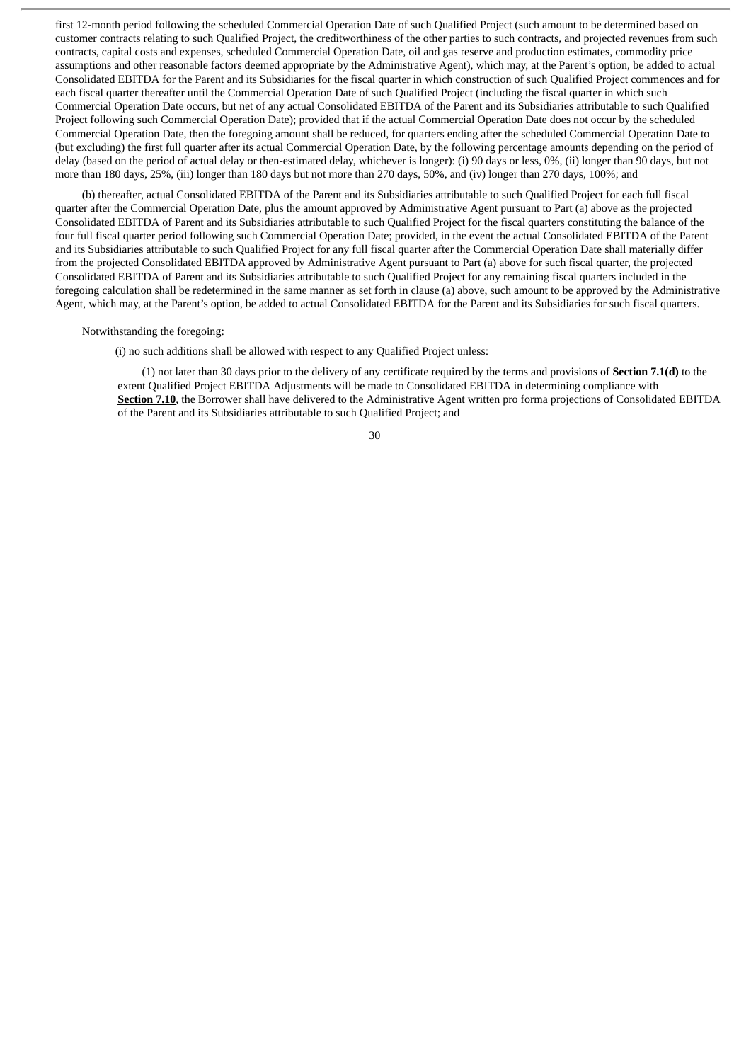first 12-month period following the scheduled Commercial Operation Date of such Qualified Project (such amount to be determined based on customer contracts relating to such Qualified Project, the creditworthiness of the other parties to such contracts, and projected revenues from such contracts, capital costs and expenses, scheduled Commercial Operation Date, oil and gas reserve and production estimates, commodity price assumptions and other reasonable factors deemed appropriate by the Administrative Agent), which may, at the Parent's option, be added to actual Consolidated EBITDA for the Parent and its Subsidiaries for the fiscal quarter in which construction of such Qualified Project commences and for each fiscal quarter thereafter until the Commercial Operation Date of such Qualified Project (including the fiscal quarter in which such Commercial Operation Date occurs, but net of any actual Consolidated EBITDA of the Parent and its Subsidiaries attributable to such Qualified Project following such Commercial Operation Date); provided that if the actual Commercial Operation Date does not occur by the scheduled Commercial Operation Date, then the foregoing amount shall be reduced, for quarters ending after the scheduled Commercial Operation Date to (but excluding) the first full quarter after its actual Commercial Operation Date, by the following percentage amounts depending on the period of delay (based on the period of actual delay or then-estimated delay, whichever is longer): (i) 90 days or less, 0%, (ii) longer than 90 days, but not more than 180 days, 25%, (iii) longer than 180 days but not more than 270 days, 50%, and (iv) longer than 270 days, 100%; and

(b) thereafter, actual Consolidated EBITDA of the Parent and its Subsidiaries attributable to such Qualified Project for each full fiscal quarter after the Commercial Operation Date, plus the amount approved by Administrative Agent pursuant to Part (a) above as the projected Consolidated EBITDA of Parent and its Subsidiaries attributable to such Qualified Project for the fiscal quarters constituting the balance of the four full fiscal quarter period following such Commercial Operation Date; provided, in the event the actual Consolidated EBITDA of the Parent and its Subsidiaries attributable to such Qualified Project for any full fiscal quarter after the Commercial Operation Date shall materially differ from the projected Consolidated EBITDA approved by Administrative Agent pursuant to Part (a) above for such fiscal quarter, the projected Consolidated EBITDA of Parent and its Subsidiaries attributable to such Qualified Project for any remaining fiscal quarters included in the foregoing calculation shall be redetermined in the same manner as set forth in clause (a) above, such amount to be approved by the Administrative Agent, which may, at the Parent's option, be added to actual Consolidated EBITDA for the Parent and its Subsidiaries for such fiscal quarters.

#### Notwithstanding the foregoing:

(i) no such additions shall be allowed with respect to any Qualified Project unless:

(1) not later than 30 days prior to the delivery of any certificate required by the terms and provisions of **Section 7.1(d)** to the extent Qualified Project EBITDA Adjustments will be made to Consolidated EBITDA in determining compliance with **Section 7.10**, the Borrower shall have delivered to the Administrative Agent written pro forma projections of Consolidated EBITDA of the Parent and its Subsidiaries attributable to such Qualified Project; and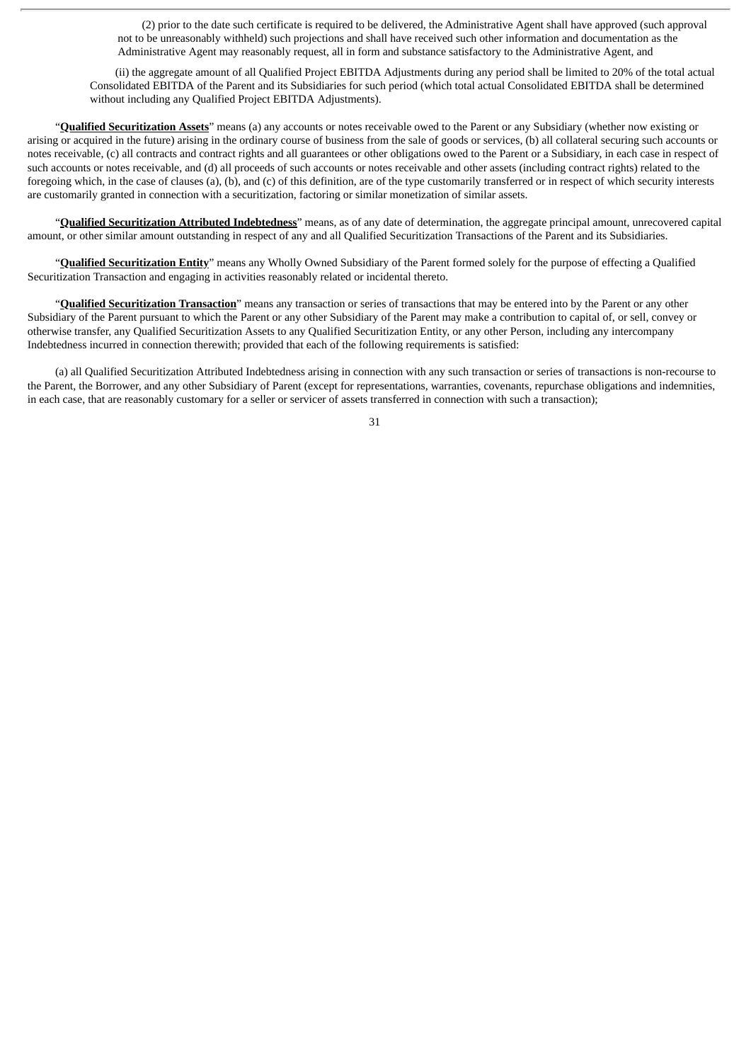(2) prior to the date such certificate is required to be delivered, the Administrative Agent shall have approved (such approval not to be unreasonably withheld) such projections and shall have received such other information and documentation as the Administrative Agent may reasonably request, all in form and substance satisfactory to the Administrative Agent, and

(ii) the aggregate amount of all Qualified Project EBITDA Adjustments during any period shall be limited to 20% of the total actual Consolidated EBITDA of the Parent and its Subsidiaries for such period (which total actual Consolidated EBITDA shall be determined without including any Qualified Project EBITDA Adjustments).

"**Qualified Securitization Assets**" means (a) any accounts or notes receivable owed to the Parent or any Subsidiary (whether now existing or arising or acquired in the future) arising in the ordinary course of business from the sale of goods or services, (b) all collateral securing such accounts or notes receivable, (c) all contracts and contract rights and all guarantees or other obligations owed to the Parent or a Subsidiary, in each case in respect of such accounts or notes receivable, and (d) all proceeds of such accounts or notes receivable and other assets (including contract rights) related to the foregoing which, in the case of clauses (a), (b), and (c) of this definition, are of the type customarily transferred or in respect of which security interests are customarily granted in connection with a securitization, factoring or similar monetization of similar assets.

"**Qualified Securitization Attributed Indebtedness**" means, as of any date of determination, the aggregate principal amount, unrecovered capital amount, or other similar amount outstanding in respect of any and all Qualified Securitization Transactions of the Parent and its Subsidiaries.

"**Qualified Securitization Entity**" means any Wholly Owned Subsidiary of the Parent formed solely for the purpose of effecting a Qualified Securitization Transaction and engaging in activities reasonably related or incidental thereto.

"**Qualified Securitization Transaction**" means any transaction or series of transactions that may be entered into by the Parent or any other Subsidiary of the Parent pursuant to which the Parent or any other Subsidiary of the Parent may make a contribution to capital of, or sell, convey or otherwise transfer, any Qualified Securitization Assets to any Qualified Securitization Entity, or any other Person, including any intercompany Indebtedness incurred in connection therewith; provided that each of the following requirements is satisfied:

(a) all Qualified Securitization Attributed Indebtedness arising in connection with any such transaction or series of transactions is non-recourse to the Parent, the Borrower, and any other Subsidiary of Parent (except for representations, warranties, covenants, repurchase obligations and indemnities, in each case, that are reasonably customary for a seller or servicer of assets transferred in connection with such a transaction);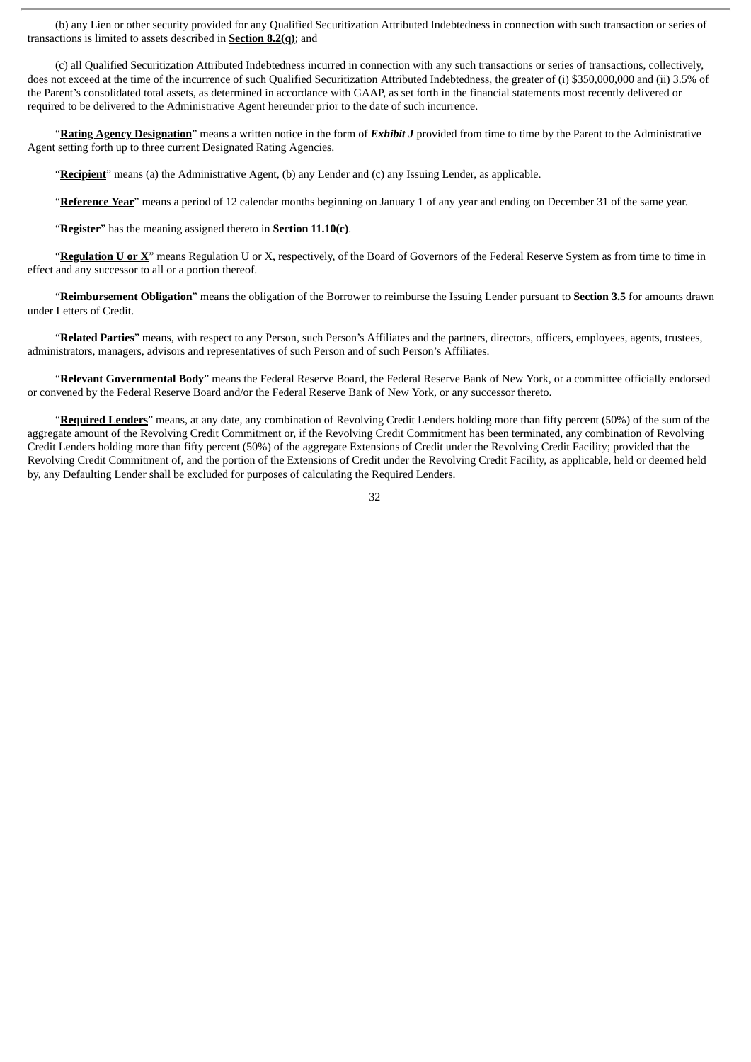(b) any Lien or other security provided for any Qualified Securitization Attributed Indebtedness in connection with such transaction or series of transactions is limited to assets described in **Section 8.2(q)**; and

(c) all Qualified Securitization Attributed Indebtedness incurred in connection with any such transactions or series of transactions, collectively, does not exceed at the time of the incurrence of such Qualified Securitization Attributed Indebtedness, the greater of (i) \$350,000,000 and (ii) 3.5% of the Parent's consolidated total assets, as determined in accordance with GAAP, as set forth in the financial statements most recently delivered or required to be delivered to the Administrative Agent hereunder prior to the date of such incurrence.

"**Rating Agency Designation**" means a written notice in the form of *Exhibit J* provided from time to time by the Parent to the Administrative Agent setting forth up to three current Designated Rating Agencies.

"**Recipient**" means (a) the Administrative Agent, (b) any Lender and (c) any Issuing Lender, as applicable.

"**Reference Year**" means a period of 12 calendar months beginning on January 1 of any year and ending on December 31 of the same year.

"**Register**" has the meaning assigned thereto in **Section 11.10(c)**.

"**Regulation U or X**" means Regulation U or X, respectively, of the Board of Governors of the Federal Reserve System as from time to time in effect and any successor to all or a portion thereof.

"**Reimbursement Obligation**" means the obligation of the Borrower to reimburse the Issuing Lender pursuant to **Section 3.5** for amounts drawn under Letters of Credit.

"**Related Parties**" means, with respect to any Person, such Person's Affiliates and the partners, directors, officers, employees, agents, trustees, administrators, managers, advisors and representatives of such Person and of such Person's Affiliates.

"**Relevant Governmental Body**" means the Federal Reserve Board, the Federal Reserve Bank of New York, or a committee officially endorsed or convened by the Federal Reserve Board and/or the Federal Reserve Bank of New York, or any successor thereto.

"**Required Lenders**" means, at any date, any combination of Revolving Credit Lenders holding more than fifty percent (50%) of the sum of the aggregate amount of the Revolving Credit Commitment or, if the Revolving Credit Commitment has been terminated, any combination of Revolving Credit Lenders holding more than fifty percent (50%) of the aggregate Extensions of Credit under the Revolving Credit Facility; provided that the Revolving Credit Commitment of, and the portion of the Extensions of Credit under the Revolving Credit Facility, as applicable, held or deemed held by, any Defaulting Lender shall be excluded for purposes of calculating the Required Lenders.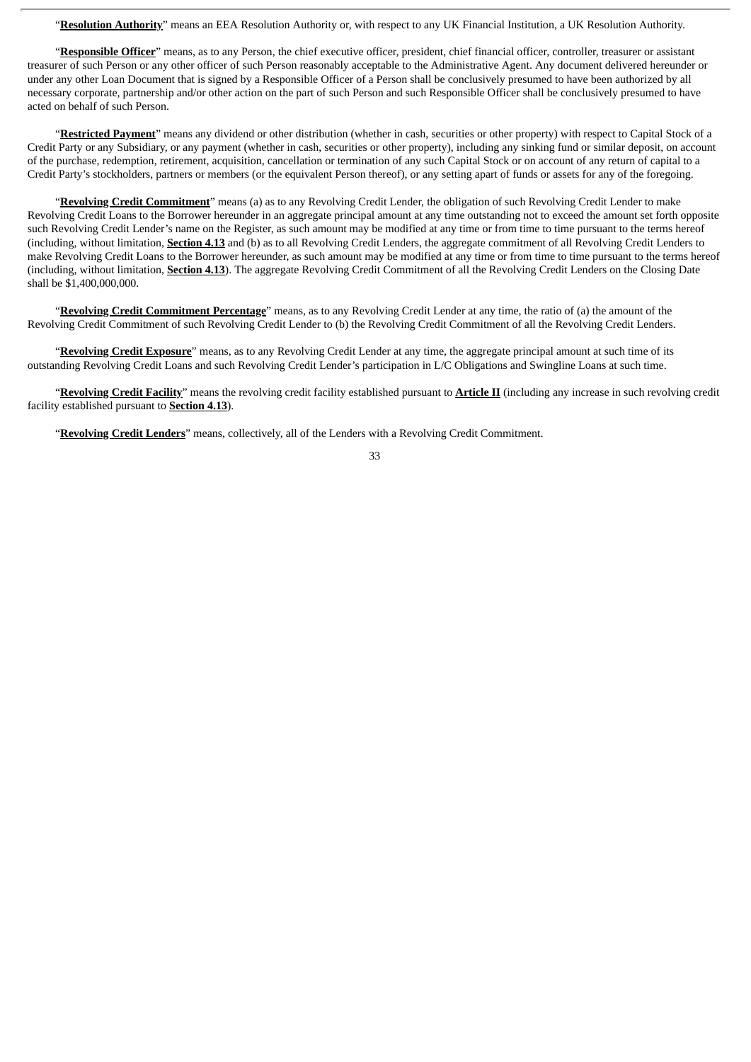"**Resolution Authority**" means an EEA Resolution Authority or, with respect to any UK Financial Institution, a UK Resolution Authority.

"**Responsible Officer**" means, as to any Person, the chief executive officer, president, chief financial officer, controller, treasurer or assistant treasurer of such Person or any other officer of such Person reasonably acceptable to the Administrative Agent. Any document delivered hereunder or under any other Loan Document that is signed by a Responsible Officer of a Person shall be conclusively presumed to have been authorized by all necessary corporate, partnership and/or other action on the part of such Person and such Responsible Officer shall be conclusively presumed to have acted on behalf of such Person.

"**Restricted Payment**" means any dividend or other distribution (whether in cash, securities or other property) with respect to Capital Stock of a Credit Party or any Subsidiary, or any payment (whether in cash, securities or other property), including any sinking fund or similar deposit, on account of the purchase, redemption, retirement, acquisition, cancellation or termination of any such Capital Stock or on account of any return of capital to a Credit Party's stockholders, partners or members (or the equivalent Person thereof), or any setting apart of funds or assets for any of the foregoing.

"**Revolving Credit Commitment**" means (a) as to any Revolving Credit Lender, the obligation of such Revolving Credit Lender to make Revolving Credit Loans to the Borrower hereunder in an aggregate principal amount at any time outstanding not to exceed the amount set forth opposite such Revolving Credit Lender's name on the Register, as such amount may be modified at any time or from time to time pursuant to the terms hereof (including, without limitation, **Section 4.13** and (b) as to all Revolving Credit Lenders, the aggregate commitment of all Revolving Credit Lenders to make Revolving Credit Loans to the Borrower hereunder, as such amount may be modified at any time or from time to time pursuant to the terms hereof (including, without limitation, **Section 4.13**). The aggregate Revolving Credit Commitment of all the Revolving Credit Lenders on the Closing Date shall be \$1,400,000,000.

"**Revolving Credit Commitment Percentage**" means, as to any Revolving Credit Lender at any time, the ratio of (a) the amount of the Revolving Credit Commitment of such Revolving Credit Lender to (b) the Revolving Credit Commitment of all the Revolving Credit Lenders.

"**Revolving Credit Exposure**" means, as to any Revolving Credit Lender at any time, the aggregate principal amount at such time of its outstanding Revolving Credit Loans and such Revolving Credit Lender's participation in L/C Obligations and Swingline Loans at such time.

"**Revolving Credit Facility**" means the revolving credit facility established pursuant to **Article II** (including any increase in such revolving credit facility established pursuant to **Section 4.13**).

"**Revolving Credit Lenders**" means, collectively, all of the Lenders with a Revolving Credit Commitment.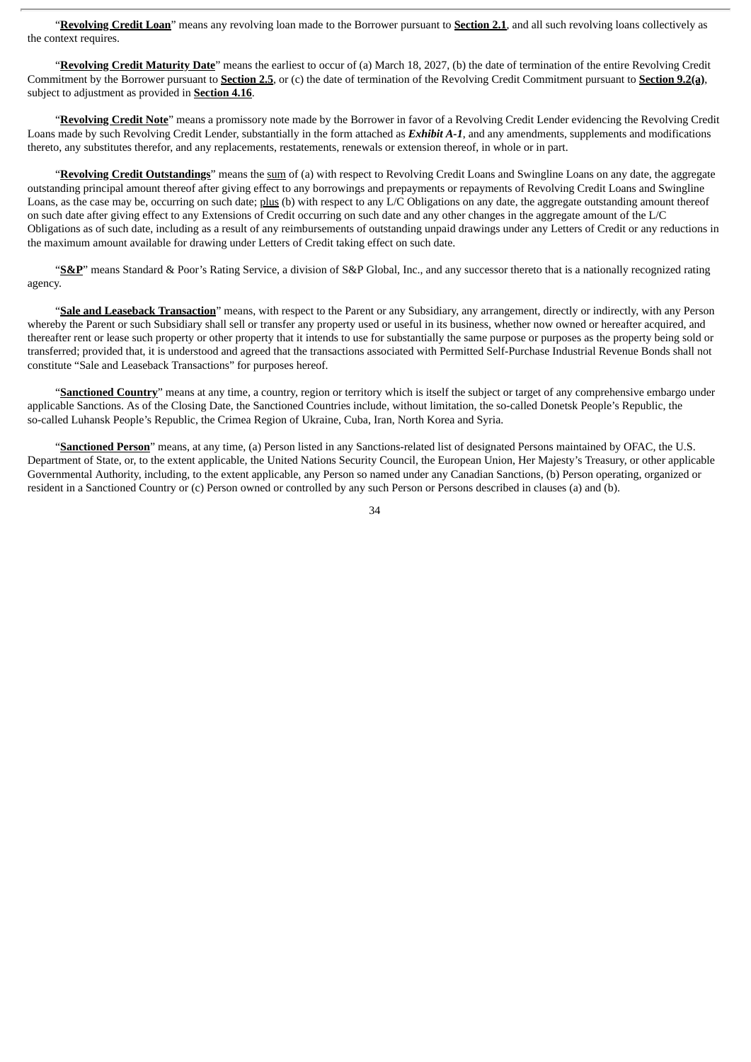"**Revolving Credit Loan**" means any revolving loan made to the Borrower pursuant to **Section 2.1**, and all such revolving loans collectively as the context requires.

"**Revolving Credit Maturity Date**" means the earliest to occur of (a) March 18, 2027, (b) the date of termination of the entire Revolving Credit Commitment by the Borrower pursuant to **Section 2.5**, or (c) the date of termination of the Revolving Credit Commitment pursuant to **Section 9.2(a)**, subject to adjustment as provided in **Section 4.16**.

"**Revolving Credit Note**" means a promissory note made by the Borrower in favor of a Revolving Credit Lender evidencing the Revolving Credit Loans made by such Revolving Credit Lender, substantially in the form attached as *Exhibit A-1*, and any amendments, supplements and modifications thereto, any substitutes therefor, and any replacements, restatements, renewals or extension thereof, in whole or in part.

"**Revolving Credit Outstandings**" means the sum of (a) with respect to Revolving Credit Loans and Swingline Loans on any date, the aggregate outstanding principal amount thereof after giving effect to any borrowings and prepayments or repayments of Revolving Credit Loans and Swingline Loans, as the case may be, occurring on such date; plus (b) with respect to any L/C Obligations on any date, the aggregate outstanding amount thereof on such date after giving effect to any Extensions of Credit occurring on such date and any other changes in the aggregate amount of the L/C Obligations as of such date, including as a result of any reimbursements of outstanding unpaid drawings under any Letters of Credit or any reductions in the maximum amount available for drawing under Letters of Credit taking effect on such date.

"**S&P**" means Standard & Poor's Rating Service, a division of S&P Global, Inc., and any successor thereto that is a nationally recognized rating agency.

"**Sale and Leaseback Transaction**" means, with respect to the Parent or any Subsidiary, any arrangement, directly or indirectly, with any Person whereby the Parent or such Subsidiary shall sell or transfer any property used or useful in its business, whether now owned or hereafter acquired, and thereafter rent or lease such property or other property that it intends to use for substantially the same purpose or purposes as the property being sold or transferred; provided that, it is understood and agreed that the transactions associated with Permitted Self-Purchase Industrial Revenue Bonds shall not constitute "Sale and Leaseback Transactions" for purposes hereof.

"**Sanctioned Country**" means at any time, a country, region or territory which is itself the subject or target of any comprehensive embargo under applicable Sanctions. As of the Closing Date, the Sanctioned Countries include, without limitation, the so-called Donetsk People's Republic, the so-called Luhansk People's Republic, the Crimea Region of Ukraine, Cuba, Iran, North Korea and Syria.

"**Sanctioned Person**" means, at any time, (a) Person listed in any Sanctions-related list of designated Persons maintained by OFAC, the U.S. Department of State, or, to the extent applicable, the United Nations Security Council, the European Union, Her Majesty's Treasury, or other applicable Governmental Authority, including, to the extent applicable, any Person so named under any Canadian Sanctions, (b) Person operating, organized or resident in a Sanctioned Country or (c) Person owned or controlled by any such Person or Persons described in clauses (a) and (b).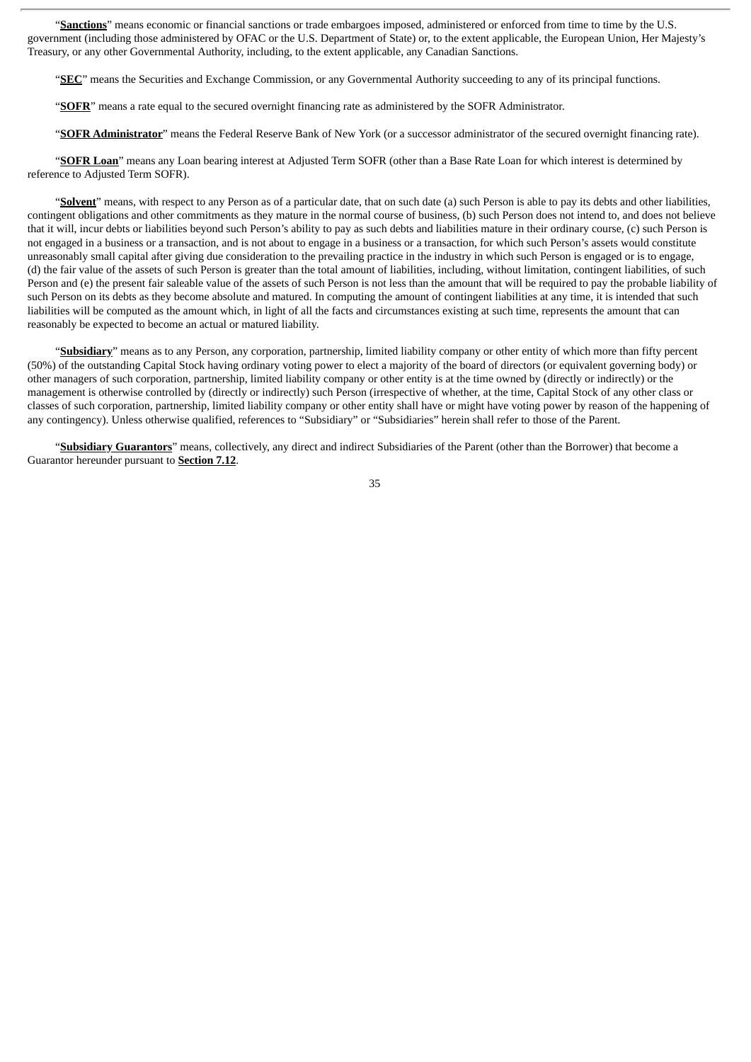"**Sanctions**" means economic or financial sanctions or trade embargoes imposed, administered or enforced from time to time by the U.S. government (including those administered by OFAC or the U.S. Department of State) or, to the extent applicable, the European Union, Her Majesty's Treasury, or any other Governmental Authority, including, to the extent applicable, any Canadian Sanctions.

"**SEC**" means the Securities and Exchange Commission, or any Governmental Authority succeeding to any of its principal functions.

"**SOFR**" means a rate equal to the secured overnight financing rate as administered by the SOFR Administrator.

"**SOFR Administrator**" means the Federal Reserve Bank of New York (or a successor administrator of the secured overnight financing rate).

"**SOFR Loan**" means any Loan bearing interest at Adjusted Term SOFR (other than a Base Rate Loan for which interest is determined by reference to Adjusted Term SOFR).

"**Solvent**" means, with respect to any Person as of a particular date, that on such date (a) such Person is able to pay its debts and other liabilities, contingent obligations and other commitments as they mature in the normal course of business, (b) such Person does not intend to, and does not believe that it will, incur debts or liabilities beyond such Person's ability to pay as such debts and liabilities mature in their ordinary course, (c) such Person is not engaged in a business or a transaction, and is not about to engage in a business or a transaction, for which such Person's assets would constitute unreasonably small capital after giving due consideration to the prevailing practice in the industry in which such Person is engaged or is to engage, (d) the fair value of the assets of such Person is greater than the total amount of liabilities, including, without limitation, contingent liabilities, of such Person and (e) the present fair saleable value of the assets of such Person is not less than the amount that will be required to pay the probable liability of such Person on its debts as they become absolute and matured. In computing the amount of contingent liabilities at any time, it is intended that such liabilities will be computed as the amount which, in light of all the facts and circumstances existing at such time, represents the amount that can reasonably be expected to become an actual or matured liability.

"**Subsidiary**" means as to any Person, any corporation, partnership, limited liability company or other entity of which more than fifty percent (50%) of the outstanding Capital Stock having ordinary voting power to elect a majority of the board of directors (or equivalent governing body) or other managers of such corporation, partnership, limited liability company or other entity is at the time owned by (directly or indirectly) or the management is otherwise controlled by (directly or indirectly) such Person (irrespective of whether, at the time, Capital Stock of any other class or classes of such corporation, partnership, limited liability company or other entity shall have or might have voting power by reason of the happening of any contingency). Unless otherwise qualified, references to "Subsidiary" or "Subsidiaries" herein shall refer to those of the Parent.

"Subsidiary Guarantors" means, collectively, any direct and indirect Subsidiaries of the Parent (other than the Borrower) that become a Guarantor hereunder pursuant to **Section 7.12**.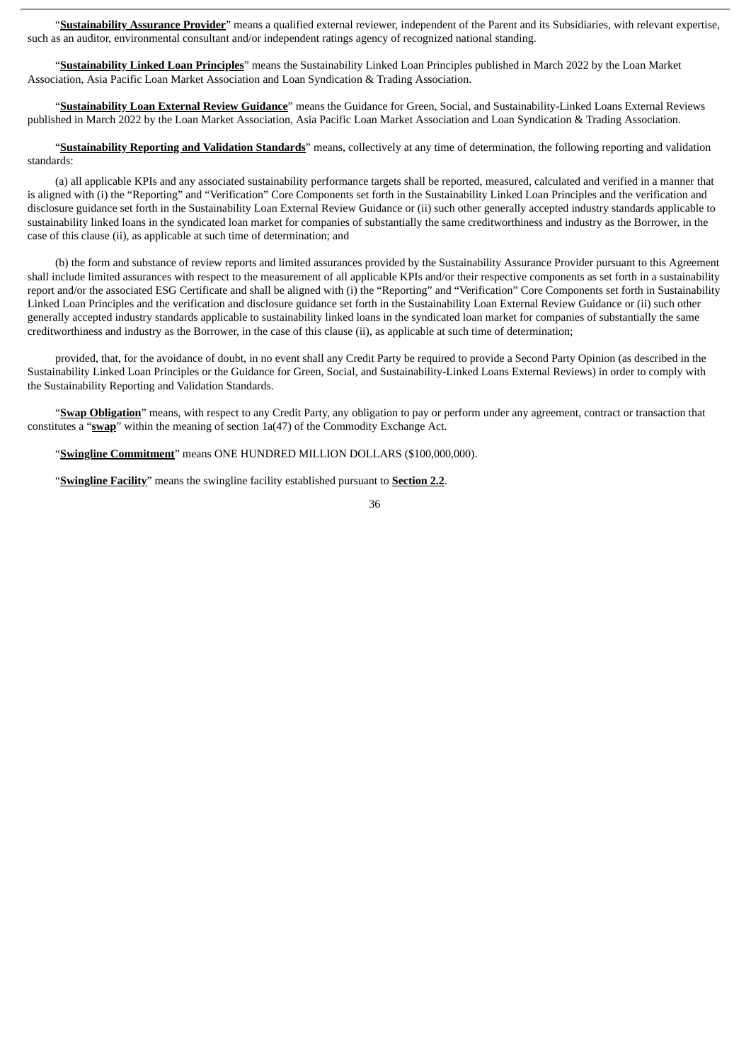"**Sustainability Assurance Provider**" means a qualified external reviewer, independent of the Parent and its Subsidiaries, with relevant expertise, such as an auditor, environmental consultant and/or independent ratings agency of recognized national standing.

"**Sustainability Linked Loan Principles**" means the Sustainability Linked Loan Principles published in March 2022 by the Loan Market Association, Asia Pacific Loan Market Association and Loan Syndication & Trading Association.

"**Sustainability Loan External Review Guidance**" means the Guidance for Green, Social, and Sustainability-Linked Loans External Reviews published in March 2022 by the Loan Market Association, Asia Pacific Loan Market Association and Loan Syndication & Trading Association.

"**Sustainability Reporting and Validation Standards**" means, collectively at any time of determination, the following reporting and validation standards:

(a) all applicable KPIs and any associated sustainability performance targets shall be reported, measured, calculated and verified in a manner that is aligned with (i) the "Reporting" and "Verification" Core Components set forth in the Sustainability Linked Loan Principles and the verification and disclosure guidance set forth in the Sustainability Loan External Review Guidance or (ii) such other generally accepted industry standards applicable to sustainability linked loans in the syndicated loan market for companies of substantially the same creditworthiness and industry as the Borrower, in the case of this clause (ii), as applicable at such time of determination; and

(b) the form and substance of review reports and limited assurances provided by the Sustainability Assurance Provider pursuant to this Agreement shall include limited assurances with respect to the measurement of all applicable KPIs and/or their respective components as set forth in a sustainability report and/or the associated ESG Certificate and shall be aligned with (i) the "Reporting" and "Verification" Core Components set forth in Sustainability Linked Loan Principles and the verification and disclosure guidance set forth in the Sustainability Loan External Review Guidance or (ii) such other generally accepted industry standards applicable to sustainability linked loans in the syndicated loan market for companies of substantially the same creditworthiness and industry as the Borrower, in the case of this clause (ii), as applicable at such time of determination;

provided, that, for the avoidance of doubt, in no event shall any Credit Party be required to provide a Second Party Opinion (as described in the Sustainability Linked Loan Principles or the Guidance for Green, Social, and Sustainability-Linked Loans External Reviews) in order to comply with the Sustainability Reporting and Validation Standards.

"**Swap Obligation**" means, with respect to any Credit Party, any obligation to pay or perform under any agreement, contract or transaction that constitutes a "**swap**" within the meaning of section 1a(47) of the Commodity Exchange Act.

"**Swingline Commitment**" means ONE HUNDRED MILLION DOLLARS (\$100,000,000).

"**Swingline Facility**" means the swingline facility established pursuant to **Section 2.2**.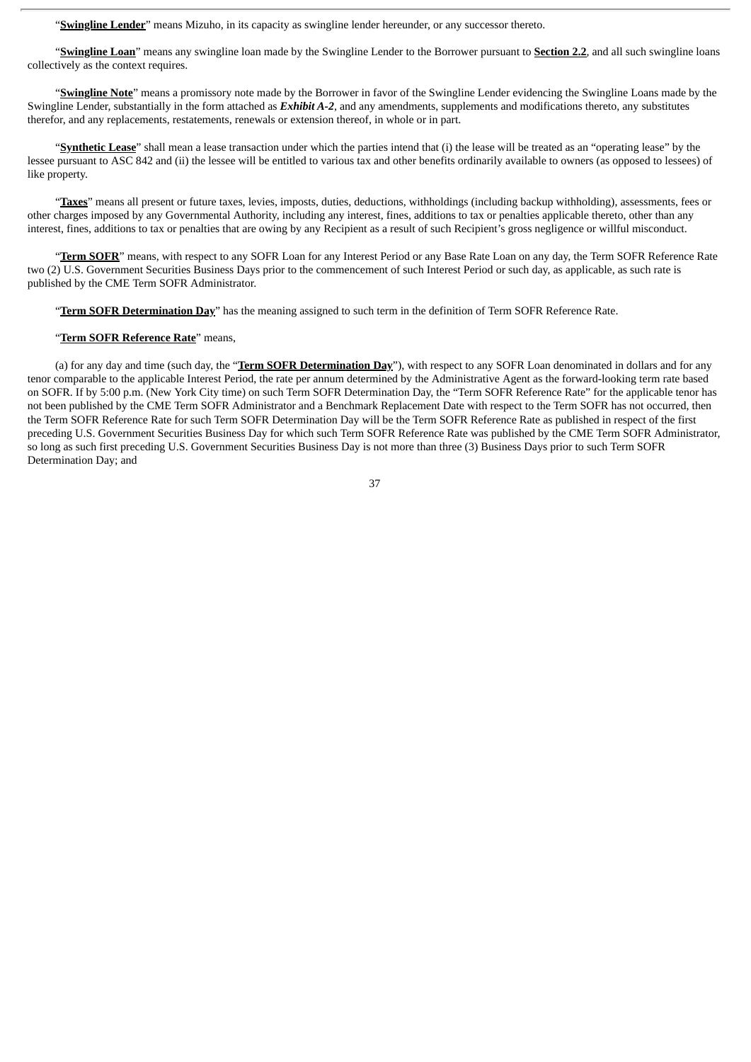"**Swingline Lender**" means Mizuho, in its capacity as swingline lender hereunder, or any successor thereto.

"**Swingline Loan**" means any swingline loan made by the Swingline Lender to the Borrower pursuant to **Section 2.2**, and all such swingline loans collectively as the context requires.

"**Swingline Note**" means a promissory note made by the Borrower in favor of the Swingline Lender evidencing the Swingline Loans made by the Swingline Lender, substantially in the form attached as *Exhibit A-2*, and any amendments, supplements and modifications thereto, any substitutes therefor, and any replacements, restatements, renewals or extension thereof, in whole or in part.

"**Synthetic Lease**" shall mean a lease transaction under which the parties intend that (i) the lease will be treated as an "operating lease" by the lessee pursuant to ASC 842 and (ii) the lessee will be entitled to various tax and other benefits ordinarily available to owners (as opposed to lessees) of like property.

"**Taxes**" means all present or future taxes, levies, imposts, duties, deductions, withholdings (including backup withholding), assessments, fees or other charges imposed by any Governmental Authority, including any interest, fines, additions to tax or penalties applicable thereto, other than any interest, fines, additions to tax or penalties that are owing by any Recipient as a result of such Recipient's gross negligence or willful misconduct.

"**Term SOFR**" means, with respect to any SOFR Loan for any Interest Period or any Base Rate Loan on any day, the Term SOFR Reference Rate two (2) U.S. Government Securities Business Days prior to the commencement of such Interest Period or such day, as applicable, as such rate is published by the CME Term SOFR Administrator.

"**Term SOFR Determination Day**" has the meaning assigned to such term in the definition of Term SOFR Reference Rate.

## "**Term SOFR Reference Rate**" means,

(a) for any day and time (such day, the "**Term SOFR Determination Day**"), with respect to any SOFR Loan denominated in dollars and for any tenor comparable to the applicable Interest Period, the rate per annum determined by the Administrative Agent as the forward-looking term rate based on SOFR. If by 5:00 p.m. (New York City time) on such Term SOFR Determination Day, the "Term SOFR Reference Rate" for the applicable tenor has not been published by the CME Term SOFR Administrator and a Benchmark Replacement Date with respect to the Term SOFR has not occurred, then the Term SOFR Reference Rate for such Term SOFR Determination Day will be the Term SOFR Reference Rate as published in respect of the first preceding U.S. Government Securities Business Day for which such Term SOFR Reference Rate was published by the CME Term SOFR Administrator, so long as such first preceding U.S. Government Securities Business Day is not more than three (3) Business Days prior to such Term SOFR Determination Day; and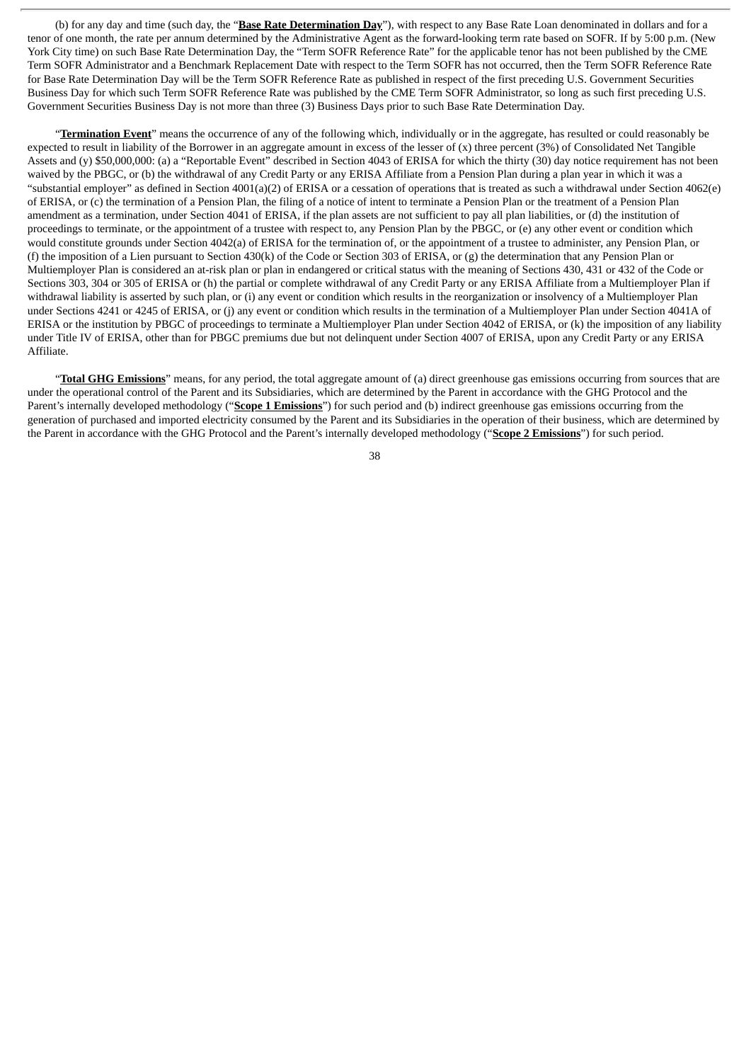(b) for any day and time (such day, the "**Base Rate Determination Day**"), with respect to any Base Rate Loan denominated in dollars and for a tenor of one month, the rate per annum determined by the Administrative Agent as the forward-looking term rate based on SOFR. If by 5:00 p.m. (New York City time) on such Base Rate Determination Day, the "Term SOFR Reference Rate" for the applicable tenor has not been published by the CME Term SOFR Administrator and a Benchmark Replacement Date with respect to the Term SOFR has not occurred, then the Term SOFR Reference Rate for Base Rate Determination Day will be the Term SOFR Reference Rate as published in respect of the first preceding U.S. Government Securities Business Day for which such Term SOFR Reference Rate was published by the CME Term SOFR Administrator, so long as such first preceding U.S. Government Securities Business Day is not more than three (3) Business Days prior to such Base Rate Determination Day.

"**Termination Event**" means the occurrence of any of the following which, individually or in the aggregate, has resulted or could reasonably be expected to result in liability of the Borrower in an aggregate amount in excess of the lesser of  $(x)$  three percent  $(3%)$  of Consolidated Net Tangible Assets and (y) \$50,000,000: (a) a "Reportable Event" described in Section 4043 of ERISA for which the thirty (30) day notice requirement has not been waived by the PBGC, or (b) the withdrawal of any Credit Party or any ERISA Affiliate from a Pension Plan during a plan year in which it was a "substantial employer" as defined in Section 4001(a)(2) of ERISA or a cessation of operations that is treated as such a withdrawal under Section 4062(e) of ERISA, or (c) the termination of a Pension Plan, the filing of a notice of intent to terminate a Pension Plan or the treatment of a Pension Plan amendment as a termination, under Section 4041 of ERISA, if the plan assets are not sufficient to pay all plan liabilities, or (d) the institution of proceedings to terminate, or the appointment of a trustee with respect to, any Pension Plan by the PBGC, or (e) any other event or condition which would constitute grounds under Section 4042(a) of ERISA for the termination of, or the appointment of a trustee to administer, any Pension Plan, or (f) the imposition of a Lien pursuant to Section 430(k) of the Code or Section 303 of ERISA, or (g) the determination that any Pension Plan or Multiemployer Plan is considered an at-risk plan or plan in endangered or critical status with the meaning of Sections 430, 431 or 432 of the Code or Sections 303, 304 or 305 of ERISA or (h) the partial or complete withdrawal of any Credit Party or any ERISA Affiliate from a Multiemployer Plan if withdrawal liability is asserted by such plan, or (i) any event or condition which results in the reorganization or insolvency of a Multiemployer Plan under Sections 4241 or 4245 of ERISA, or (j) any event or condition which results in the termination of a Multiemployer Plan under Section 4041A of ERISA or the institution by PBGC of proceedings to terminate a Multiemployer Plan under Section 4042 of ERISA, or (k) the imposition of any liability under Title IV of ERISA, other than for PBGC premiums due but not delinquent under Section 4007 of ERISA, upon any Credit Party or any ERISA Affiliate.

"**Total GHG Emissions**" means, for any period, the total aggregate amount of (a) direct greenhouse gas emissions occurring from sources that are under the operational control of the Parent and its Subsidiaries, which are determined by the Parent in accordance with the GHG Protocol and the Parent's internally developed methodology ("**Scope 1 Emissions**") for such period and (b) indirect greenhouse gas emissions occurring from the generation of purchased and imported electricity consumed by the Parent and its Subsidiaries in the operation of their business, which are determined by the Parent in accordance with the GHG Protocol and the Parent's internally developed methodology ("**Scope 2 Emissions**") for such period.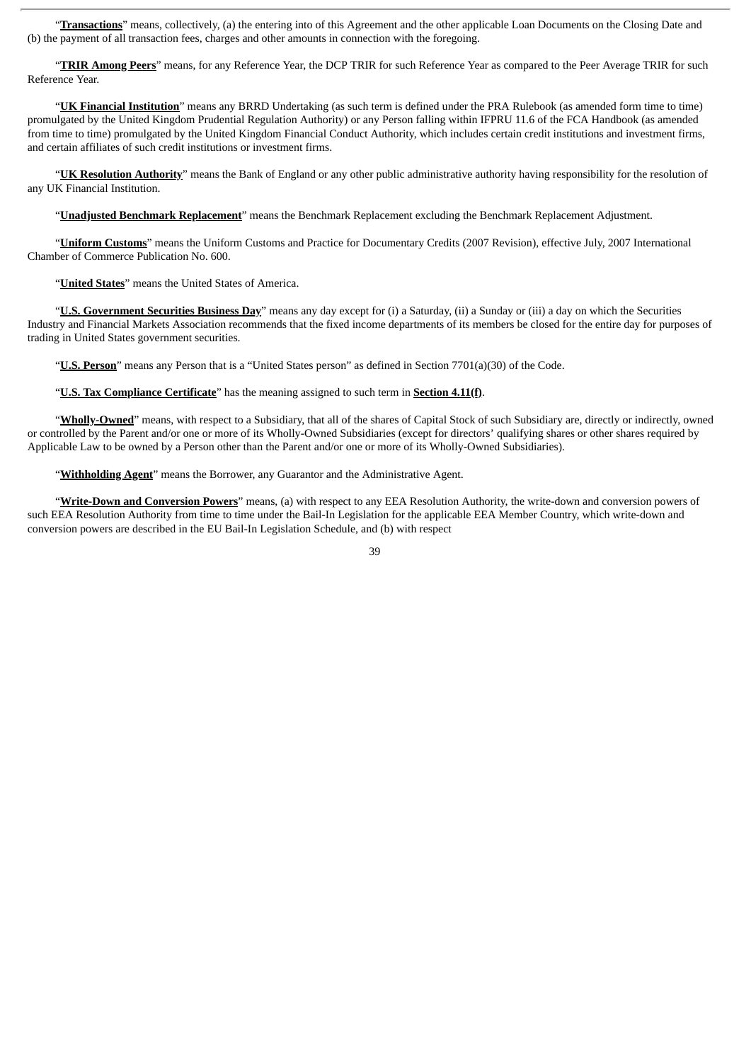"**Transactions**" means, collectively, (a) the entering into of this Agreement and the other applicable Loan Documents on the Closing Date and (b) the payment of all transaction fees, charges and other amounts in connection with the foregoing.

"**TRIR Among Peers**" means, for any Reference Year, the DCP TRIR for such Reference Year as compared to the Peer Average TRIR for such Reference Year.

"**UK Financial Institution**" means any BRRD Undertaking (as such term is defined under the PRA Rulebook (as amended form time to time) promulgated by the United Kingdom Prudential Regulation Authority) or any Person falling within IFPRU 11.6 of the FCA Handbook (as amended from time to time) promulgated by the United Kingdom Financial Conduct Authority, which includes certain credit institutions and investment firms, and certain affiliates of such credit institutions or investment firms.

"**UK Resolution Authority**" means the Bank of England or any other public administrative authority having responsibility for the resolution of any UK Financial Institution.

"**Unadjusted Benchmark Replacement**" means the Benchmark Replacement excluding the Benchmark Replacement Adjustment.

"**Uniform Customs**" means the Uniform Customs and Practice for Documentary Credits (2007 Revision), effective July, 2007 International Chamber of Commerce Publication No. 600.

"**United States**" means the United States of America.

"**U.S. Government Securities Business Day**" means any day except for (i) a Saturday, (ii) a Sunday or (iii) a day on which the Securities Industry and Financial Markets Association recommends that the fixed income departments of its members be closed for the entire day for purposes of trading in United States government securities.

"**U.S. Person**" means any Person that is a "United States person" as defined in Section 7701(a)(30) of the Code.

"**U.S. Tax Compliance Certificate**" has the meaning assigned to such term in **Section 4.11(f)**.

"Wholly-Owned" means, with respect to a Subsidiary, that all of the shares of Capital Stock of such Subsidiary are, directly or indirectly, owned or controlled by the Parent and/or one or more of its Wholly-Owned Subsidiaries (except for directors' qualifying shares or other shares required by Applicable Law to be owned by a Person other than the Parent and/or one or more of its Wholly-Owned Subsidiaries).

"**Withholding Agent**" means the Borrower, any Guarantor and the Administrative Agent.

"**Write-Down and Conversion Powers**" means, (a) with respect to any EEA Resolution Authority, the write-down and conversion powers of such EEA Resolution Authority from time to time under the Bail-In Legislation for the applicable EEA Member Country, which write-down and conversion powers are described in the EU Bail-In Legislation Schedule, and (b) with respect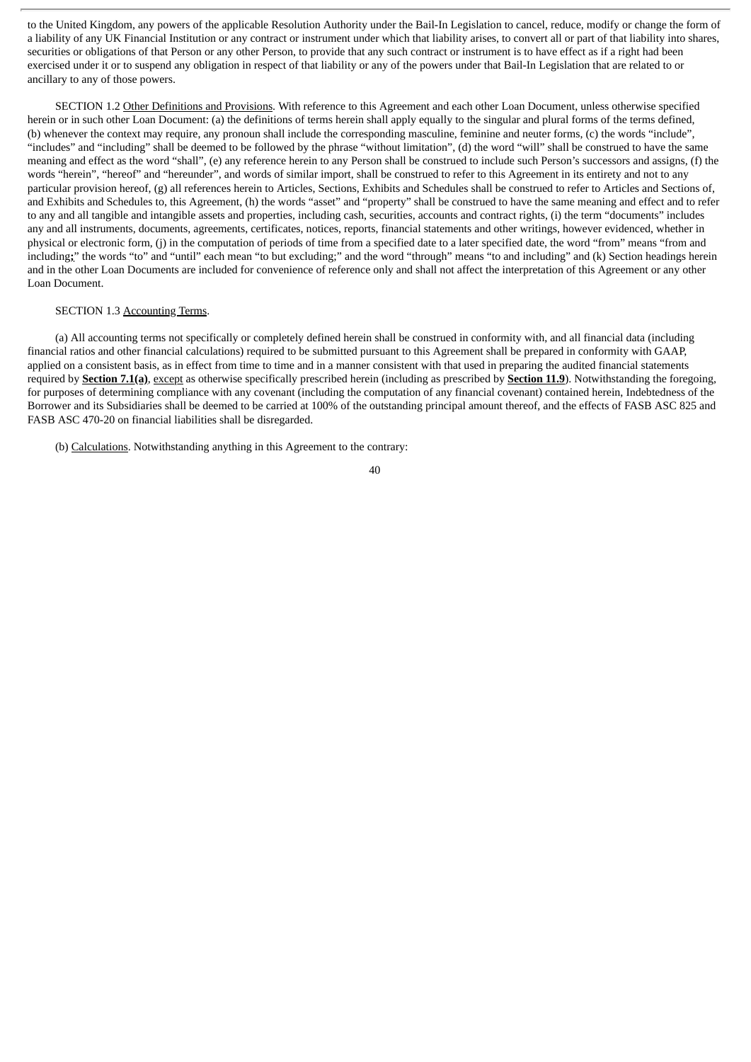to the United Kingdom, any powers of the applicable Resolution Authority under the Bail-In Legislation to cancel, reduce, modify or change the form of a liability of any UK Financial Institution or any contract or instrument under which that liability arises, to convert all or part of that liability into shares, securities or obligations of that Person or any other Person, to provide that any such contract or instrument is to have effect as if a right had been exercised under it or to suspend any obligation in respect of that liability or any of the powers under that Bail-In Legislation that are related to or ancillary to any of those powers.

SECTION 1.2 Other Definitions and Provisions. With reference to this Agreement and each other Loan Document, unless otherwise specified herein or in such other Loan Document: (a) the definitions of terms herein shall apply equally to the singular and plural forms of the terms defined, (b) whenever the context may require, any pronoun shall include the corresponding masculine, feminine and neuter forms, (c) the words "include", "includes" and "including" shall be deemed to be followed by the phrase "without limitation", (d) the word "will" shall be construed to have the same meaning and effect as the word "shall", (e) any reference herein to any Person shall be construed to include such Person's successors and assigns, (f) the words "herein", "hereof" and "hereunder", and words of similar import, shall be construed to refer to this Agreement in its entirety and not to any particular provision hereof, (g) all references herein to Articles, Sections, Exhibits and Schedules shall be construed to refer to Articles and Sections of, and Exhibits and Schedules to, this Agreement, (h) the words "asset" and "property" shall be construed to have the same meaning and effect and to refer to any and all tangible and intangible assets and properties, including cash, securities, accounts and contract rights, (i) the term "documents" includes any and all instruments, documents, agreements, certificates, notices, reports, financial statements and other writings, however evidenced, whether in physical or electronic form, (j) in the computation of periods of time from a specified date to a later specified date, the word "from" means "from and including**;**" the words "to" and "until" each mean "to but excluding;" and the word "through" means "to and including" and (k) Section headings herein and in the other Loan Documents are included for convenience of reference only and shall not affect the interpretation of this Agreement or any other Loan Document.

### SECTION 1.3 Accounting Terms.

(a) All accounting terms not specifically or completely defined herein shall be construed in conformity with, and all financial data (including financial ratios and other financial calculations) required to be submitted pursuant to this Agreement shall be prepared in conformity with GAAP, applied on a consistent basis, as in effect from time to time and in a manner consistent with that used in preparing the audited financial statements required by **Section 7.1(a)**, except as otherwise specifically prescribed herein (including as prescribed by **Section 11.9**). Notwithstanding the foregoing, for purposes of determining compliance with any covenant (including the computation of any financial covenant) contained herein, Indebtedness of the Borrower and its Subsidiaries shall be deemed to be carried at 100% of the outstanding principal amount thereof, and the effects of FASB ASC 825 and FASB ASC 470-20 on financial liabilities shall be disregarded.

(b) Calculations. Notwithstanding anything in this Agreement to the contrary: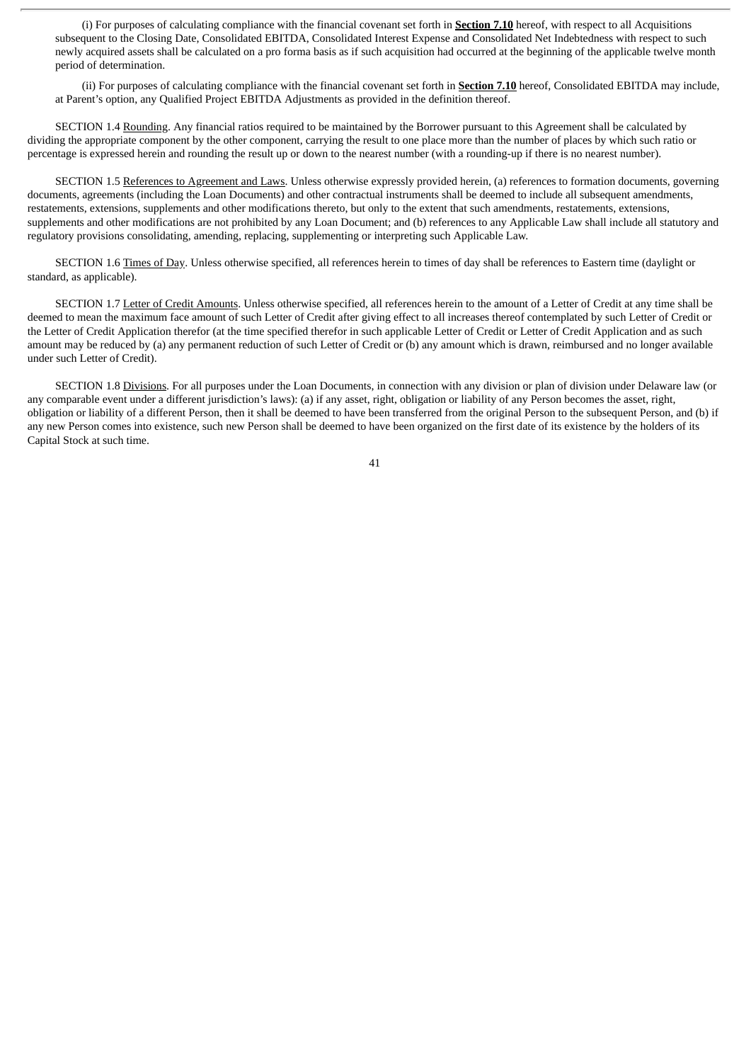(i) For purposes of calculating compliance with the financial covenant set forth in **Section 7.10** hereof, with respect to all Acquisitions subsequent to the Closing Date, Consolidated EBITDA, Consolidated Interest Expense and Consolidated Net Indebtedness with respect to such newly acquired assets shall be calculated on a pro forma basis as if such acquisition had occurred at the beginning of the applicable twelve month period of determination.

(ii) For purposes of calculating compliance with the financial covenant set forth in **Section 7.10** hereof, Consolidated EBITDA may include, at Parent's option, any Qualified Project EBITDA Adjustments as provided in the definition thereof.

SECTION 1.4 Rounding. Any financial ratios required to be maintained by the Borrower pursuant to this Agreement shall be calculated by dividing the appropriate component by the other component, carrying the result to one place more than the number of places by which such ratio or percentage is expressed herein and rounding the result up or down to the nearest number (with a rounding-up if there is no nearest number).

SECTION 1.5 References to Agreement and Laws. Unless otherwise expressly provided herein, (a) references to formation documents, governing documents, agreements (including the Loan Documents) and other contractual instruments shall be deemed to include all subsequent amendments, restatements, extensions, supplements and other modifications thereto, but only to the extent that such amendments, restatements, extensions, supplements and other modifications are not prohibited by any Loan Document; and (b) references to any Applicable Law shall include all statutory and regulatory provisions consolidating, amending, replacing, supplementing or interpreting such Applicable Law.

SECTION 1.6 Times of Day. Unless otherwise specified, all references herein to times of day shall be references to Eastern time (daylight or standard, as applicable).

SECTION 1.7 Letter of Credit Amounts. Unless otherwise specified, all references herein to the amount of a Letter of Credit at any time shall be deemed to mean the maximum face amount of such Letter of Credit after giving effect to all increases thereof contemplated by such Letter of Credit or the Letter of Credit Application therefor (at the time specified therefor in such applicable Letter of Credit or Letter of Credit Application and as such amount may be reduced by (a) any permanent reduction of such Letter of Credit or (b) any amount which is drawn, reimbursed and no longer available under such Letter of Credit).

SECTION 1.8 Divisions. For all purposes under the Loan Documents, in connection with any division or plan of division under Delaware law (or any comparable event under a different jurisdiction's laws): (a) if any asset, right, obligation or liability of any Person becomes the asset, right, obligation or liability of a different Person, then it shall be deemed to have been transferred from the original Person to the subsequent Person, and (b) if any new Person comes into existence, such new Person shall be deemed to have been organized on the first date of its existence by the holders of its Capital Stock at such time.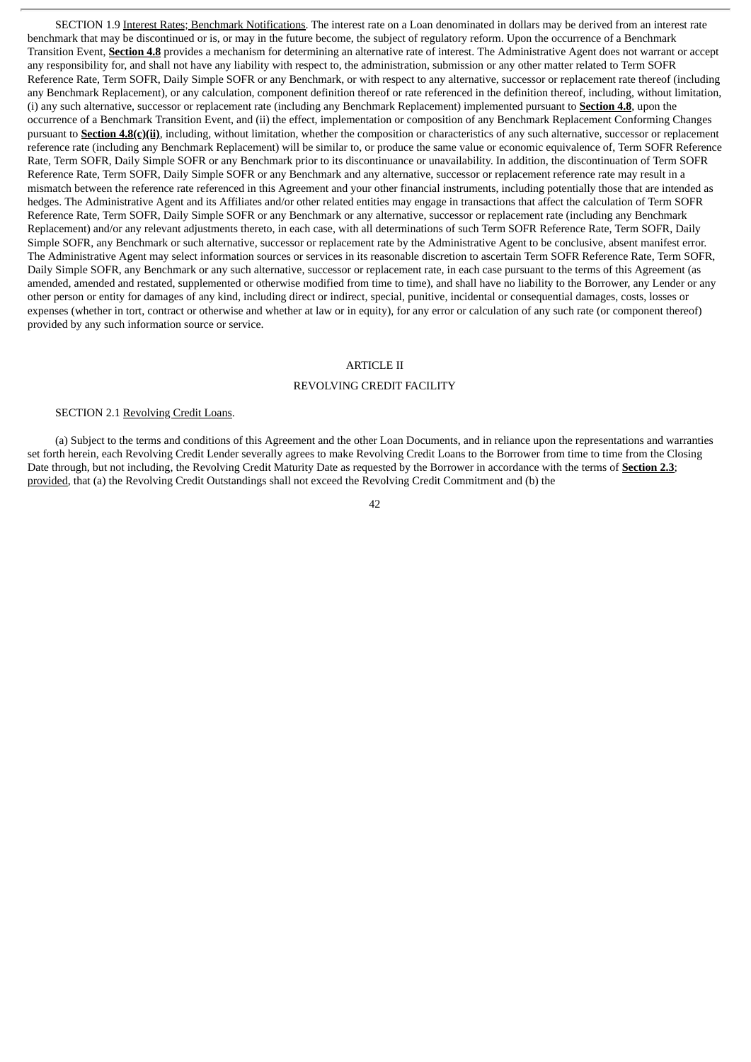SECTION 1.9 Interest Rates; Benchmark Notifications. The interest rate on a Loan denominated in dollars may be derived from an interest rate benchmark that may be discontinued or is, or may in the future become, the subject of regulatory reform. Upon the occurrence of a Benchmark Transition Event, **Section 4.8** provides a mechanism for determining an alternative rate of interest. The Administrative Agent does not warrant or accept any responsibility for, and shall not have any liability with respect to, the administration, submission or any other matter related to Term SOFR Reference Rate, Term SOFR, Daily Simple SOFR or any Benchmark, or with respect to any alternative, successor or replacement rate thereof (including any Benchmark Replacement), or any calculation, component definition thereof or rate referenced in the definition thereof, including, without limitation, (i) any such alternative, successor or replacement rate (including any Benchmark Replacement) implemented pursuant to **Section 4.8**, upon the occurrence of a Benchmark Transition Event, and (ii) the effect, implementation or composition of any Benchmark Replacement Conforming Changes pursuant to **Section 4.8(c)(ii)**, including, without limitation, whether the composition or characteristics of any such alternative, successor or replacement reference rate (including any Benchmark Replacement) will be similar to, or produce the same value or economic equivalence of, Term SOFR Reference Rate, Term SOFR, Daily Simple SOFR or any Benchmark prior to its discontinuance or unavailability. In addition, the discontinuation of Term SOFR Reference Rate, Term SOFR, Daily Simple SOFR or any Benchmark and any alternative, successor or replacement reference rate may result in a mismatch between the reference rate referenced in this Agreement and your other financial instruments, including potentially those that are intended as hedges. The Administrative Agent and its Affiliates and/or other related entities may engage in transactions that affect the calculation of Term SOFR Reference Rate, Term SOFR, Daily Simple SOFR or any Benchmark or any alternative, successor or replacement rate (including any Benchmark Replacement) and/or any relevant adjustments thereto, in each case, with all determinations of such Term SOFR Reference Rate, Term SOFR, Daily Simple SOFR, any Benchmark or such alternative, successor or replacement rate by the Administrative Agent to be conclusive, absent manifest error. The Administrative Agent may select information sources or services in its reasonable discretion to ascertain Term SOFR Reference Rate, Term SOFR, Daily Simple SOFR, any Benchmark or any such alternative, successor or replacement rate, in each case pursuant to the terms of this Agreement (as amended, amended and restated, supplemented or otherwise modified from time to time), and shall have no liability to the Borrower, any Lender or any other person or entity for damages of any kind, including direct or indirect, special, punitive, incidental or consequential damages, costs, losses or expenses (whether in tort, contract or otherwise and whether at law or in equity), for any error or calculation of any such rate (or component thereof) provided by any such information source or service.

### ARTICLE II

#### REVOLVING CREDIT FACILITY

#### SECTION 2.1 Revolving Credit Loans.

(a) Subject to the terms and conditions of this Agreement and the other Loan Documents, and in reliance upon the representations and warranties set forth herein, each Revolving Credit Lender severally agrees to make Revolving Credit Loans to the Borrower from time to time from the Closing Date through, but not including, the Revolving Credit Maturity Date as requested by the Borrower in accordance with the terms of **Section 2.3**; provided, that (a) the Revolving Credit Outstandings shall not exceed the Revolving Credit Commitment and (b) the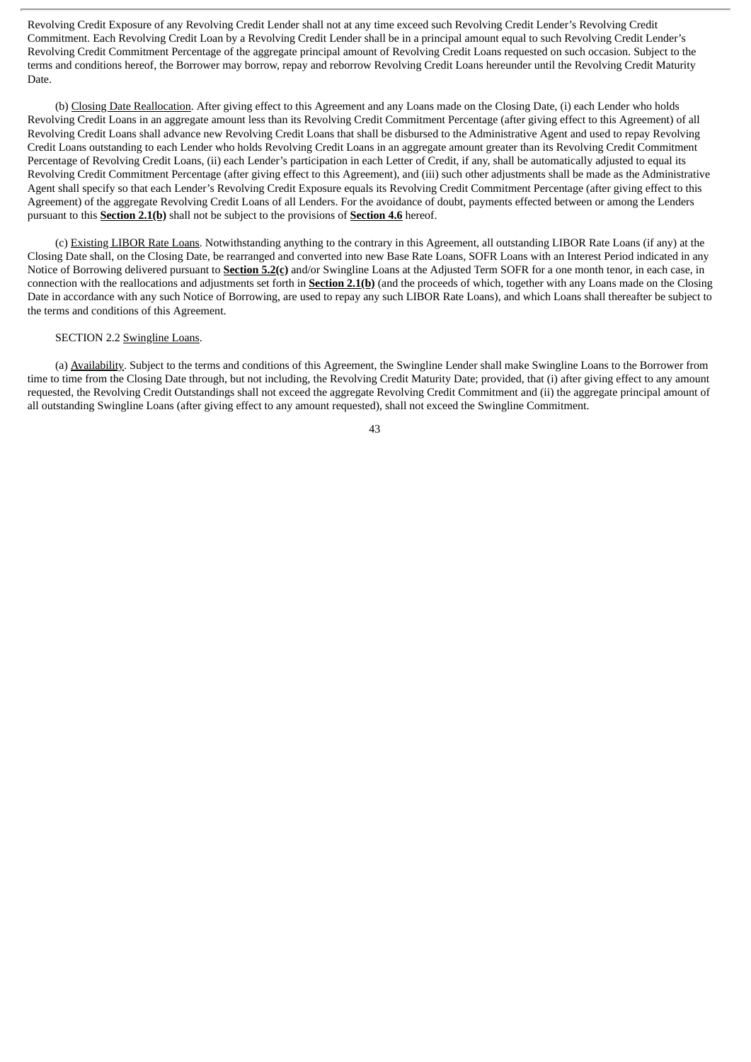Revolving Credit Exposure of any Revolving Credit Lender shall not at any time exceed such Revolving Credit Lender's Revolving Credit Commitment. Each Revolving Credit Loan by a Revolving Credit Lender shall be in a principal amount equal to such Revolving Credit Lender's Revolving Credit Commitment Percentage of the aggregate principal amount of Revolving Credit Loans requested on such occasion. Subject to the terms and conditions hereof, the Borrower may borrow, repay and reborrow Revolving Credit Loans hereunder until the Revolving Credit Maturity Date.

(b) Closing Date Reallocation. After giving effect to this Agreement and any Loans made on the Closing Date, (i) each Lender who holds Revolving Credit Loans in an aggregate amount less than its Revolving Credit Commitment Percentage (after giving effect to this Agreement) of all Revolving Credit Loans shall advance new Revolving Credit Loans that shall be disbursed to the Administrative Agent and used to repay Revolving Credit Loans outstanding to each Lender who holds Revolving Credit Loans in an aggregate amount greater than its Revolving Credit Commitment Percentage of Revolving Credit Loans, (ii) each Lender's participation in each Letter of Credit, if any, shall be automatically adjusted to equal its Revolving Credit Commitment Percentage (after giving effect to this Agreement), and (iii) such other adjustments shall be made as the Administrative Agent shall specify so that each Lender's Revolving Credit Exposure equals its Revolving Credit Commitment Percentage (after giving effect to this Agreement) of the aggregate Revolving Credit Loans of all Lenders. For the avoidance of doubt, payments effected between or among the Lenders pursuant to this **Section 2.1(b)** shall not be subject to the provisions of **Section 4.6** hereof.

(c) Existing LIBOR Rate Loans. Notwithstanding anything to the contrary in this Agreement, all outstanding LIBOR Rate Loans (if any) at the Closing Date shall, on the Closing Date, be rearranged and converted into new Base Rate Loans, SOFR Loans with an Interest Period indicated in any Notice of Borrowing delivered pursuant to **Section 5.2(c)** and/or Swingline Loans at the Adjusted Term SOFR for a one month tenor, in each case, in connection with the reallocations and adjustments set forth in **Section 2.1(b)** (and the proceeds of which, together with any Loans made on the Closing Date in accordance with any such Notice of Borrowing, are used to repay any such LIBOR Rate Loans), and which Loans shall thereafter be subject to the terms and conditions of this Agreement.

## SECTION 2.2 Swingline Loans.

(a) Availability. Subject to the terms and conditions of this Agreement, the Swingline Lender shall make Swingline Loans to the Borrower from time to time from the Closing Date through, but not including, the Revolving Credit Maturity Date; provided, that (i) after giving effect to any amount requested, the Revolving Credit Outstandings shall not exceed the aggregate Revolving Credit Commitment and (ii) the aggregate principal amount of all outstanding Swingline Loans (after giving effect to any amount requested), shall not exceed the Swingline Commitment.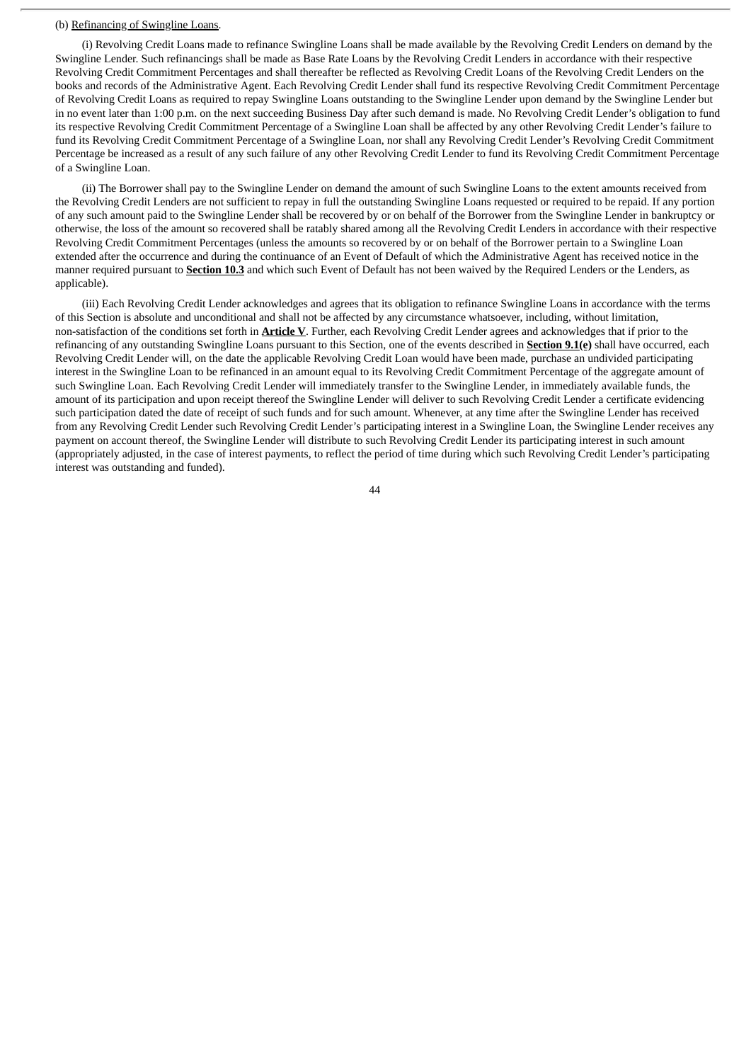#### (b) Refinancing of Swingline Loans.

(i) Revolving Credit Loans made to refinance Swingline Loans shall be made available by the Revolving Credit Lenders on demand by the Swingline Lender. Such refinancings shall be made as Base Rate Loans by the Revolving Credit Lenders in accordance with their respective Revolving Credit Commitment Percentages and shall thereafter be reflected as Revolving Credit Loans of the Revolving Credit Lenders on the books and records of the Administrative Agent. Each Revolving Credit Lender shall fund its respective Revolving Credit Commitment Percentage of Revolving Credit Loans as required to repay Swingline Loans outstanding to the Swingline Lender upon demand by the Swingline Lender but in no event later than 1:00 p.m. on the next succeeding Business Day after such demand is made. No Revolving Credit Lender's obligation to fund its respective Revolving Credit Commitment Percentage of a Swingline Loan shall be affected by any other Revolving Credit Lender's failure to fund its Revolving Credit Commitment Percentage of a Swingline Loan, nor shall any Revolving Credit Lender's Revolving Credit Commitment Percentage be increased as a result of any such failure of any other Revolving Credit Lender to fund its Revolving Credit Commitment Percentage of a Swingline Loan.

(ii) The Borrower shall pay to the Swingline Lender on demand the amount of such Swingline Loans to the extent amounts received from the Revolving Credit Lenders are not sufficient to repay in full the outstanding Swingline Loans requested or required to be repaid. If any portion of any such amount paid to the Swingline Lender shall be recovered by or on behalf of the Borrower from the Swingline Lender in bankruptcy or otherwise, the loss of the amount so recovered shall be ratably shared among all the Revolving Credit Lenders in accordance with their respective Revolving Credit Commitment Percentages (unless the amounts so recovered by or on behalf of the Borrower pertain to a Swingline Loan extended after the occurrence and during the continuance of an Event of Default of which the Administrative Agent has received notice in the manner required pursuant to **Section 10.3** and which such Event of Default has not been waived by the Required Lenders or the Lenders, as applicable).

(iii) Each Revolving Credit Lender acknowledges and agrees that its obligation to refinance Swingline Loans in accordance with the terms of this Section is absolute and unconditional and shall not be affected by any circumstance whatsoever, including, without limitation, non-satisfaction of the conditions set forth in **Article V**. Further, each Revolving Credit Lender agrees and acknowledges that if prior to the refinancing of any outstanding Swingline Loans pursuant to this Section, one of the events described in **Section 9.1(e)** shall have occurred, each Revolving Credit Lender will, on the date the applicable Revolving Credit Loan would have been made, purchase an undivided participating interest in the Swingline Loan to be refinanced in an amount equal to its Revolving Credit Commitment Percentage of the aggregate amount of such Swingline Loan. Each Revolving Credit Lender will immediately transfer to the Swingline Lender, in immediately available funds, the amount of its participation and upon receipt thereof the Swingline Lender will deliver to such Revolving Credit Lender a certificate evidencing such participation dated the date of receipt of such funds and for such amount. Whenever, at any time after the Swingline Lender has received from any Revolving Credit Lender such Revolving Credit Lender's participating interest in a Swingline Loan, the Swingline Lender receives any payment on account thereof, the Swingline Lender will distribute to such Revolving Credit Lender its participating interest in such amount (appropriately adjusted, in the case of interest payments, to reflect the period of time during which such Revolving Credit Lender's participating interest was outstanding and funded).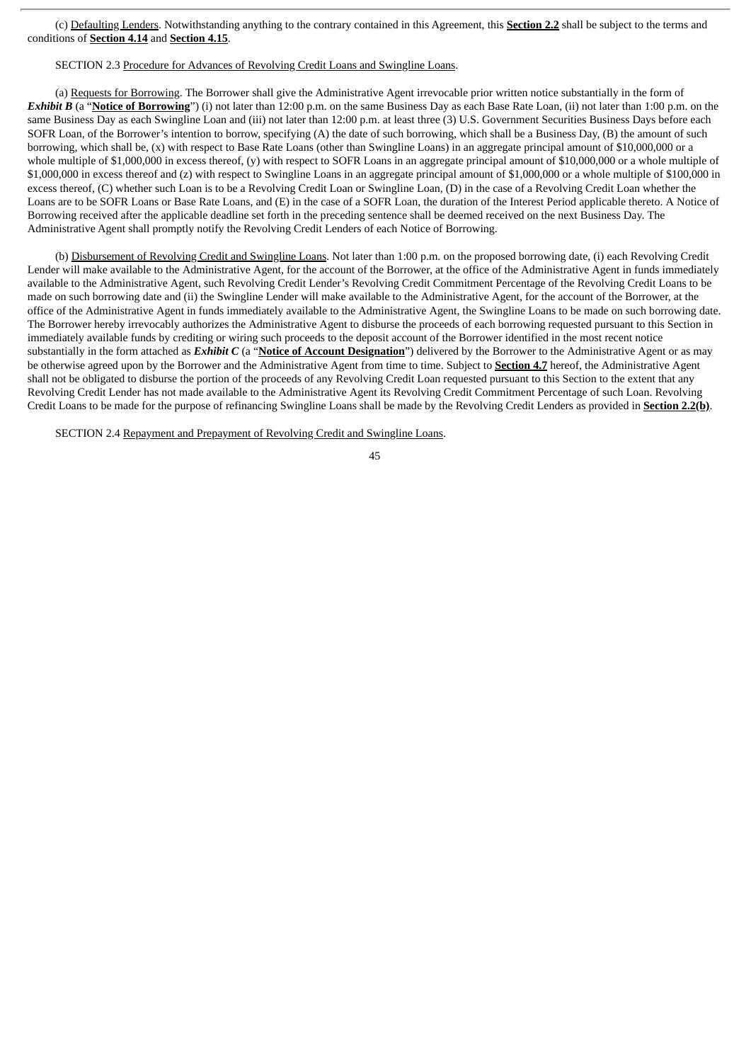(c) Defaulting Lenders. Notwithstanding anything to the contrary contained in this Agreement, this **Section 2.2** shall be subject to the terms and conditions of **Section 4.14** and **Section 4.15**.

# SECTION 2.3 Procedure for Advances of Revolving Credit Loans and Swingline Loans.

(a) Requests for Borrowing. The Borrower shall give the Administrative Agent irrevocable prior written notice substantially in the form of *Exhibit B* (a "**Notice of Borrowing**") (i) not later than 12:00 p.m. on the same Business Day as each Base Rate Loan, (ii) not later than 1:00 p.m. on the same Business Day as each Swingline Loan and (iii) not later than 12:00 p.m. at least three (3) U.S. Government Securities Business Days before each SOFR Loan, of the Borrower's intention to borrow, specifying (A) the date of such borrowing, which shall be a Business Day, (B) the amount of such borrowing, which shall be, (x) with respect to Base Rate Loans (other than Swingline Loans) in an aggregate principal amount of \$10,000,000 or a whole multiple of \$1,000,000 in excess thereof, (y) with respect to SOFR Loans in an aggregate principal amount of \$10,000,000 or a whole multiple of \$1,000,000 in excess thereof and (z) with respect to Swingline Loans in an aggregate principal amount of \$1,000,000 or a whole multiple of \$100,000 in excess thereof, (C) whether such Loan is to be a Revolving Credit Loan or Swingline Loan, (D) in the case of a Revolving Credit Loan whether the Loans are to be SOFR Loans or Base Rate Loans, and (E) in the case of a SOFR Loan, the duration of the Interest Period applicable thereto. A Notice of Borrowing received after the applicable deadline set forth in the preceding sentence shall be deemed received on the next Business Day. The Administrative Agent shall promptly notify the Revolving Credit Lenders of each Notice of Borrowing.

(b) Disbursement of Revolving Credit and Swingline Loans. Not later than 1:00 p.m. on the proposed borrowing date, (i) each Revolving Credit Lender will make available to the Administrative Agent, for the account of the Borrower, at the office of the Administrative Agent in funds immediately available to the Administrative Agent, such Revolving Credit Lender's Revolving Credit Commitment Percentage of the Revolving Credit Loans to be made on such borrowing date and (ii) the Swingline Lender will make available to the Administrative Agent, for the account of the Borrower, at the office of the Administrative Agent in funds immediately available to the Administrative Agent, the Swingline Loans to be made on such borrowing date. The Borrower hereby irrevocably authorizes the Administrative Agent to disburse the proceeds of each borrowing requested pursuant to this Section in immediately available funds by crediting or wiring such proceeds to the deposit account of the Borrower identified in the most recent notice substantially in the form attached as *Exhibit C* (a "Notice of Account Designation") delivered by the Borrower to the Administrative Agent or as may be otherwise agreed upon by the Borrower and the Administrative Agent from time to time. Subject to **Section 4.7** hereof, the Administrative Agent shall not be obligated to disburse the portion of the proceeds of any Revolving Credit Loan requested pursuant to this Section to the extent that any Revolving Credit Lender has not made available to the Administrative Agent its Revolving Credit Commitment Percentage of such Loan. Revolving Credit Loans to be made for the purpose of refinancing Swingline Loans shall be made by the Revolving Credit Lenders as provided in **Section 2.2(b)**.

SECTION 2.4 Repayment and Prepayment of Revolving Credit and Swingline Loans.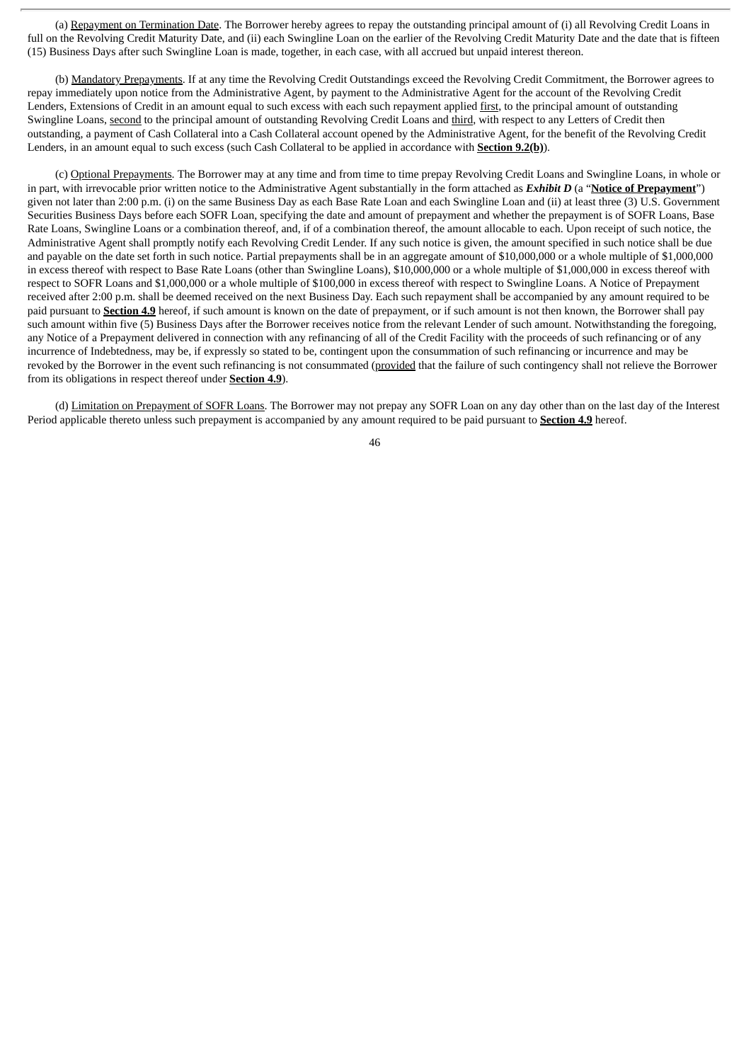(a) Repayment on Termination Date. The Borrower hereby agrees to repay the outstanding principal amount of (i) all Revolving Credit Loans in full on the Revolving Credit Maturity Date, and (ii) each Swingline Loan on the earlier of the Revolving Credit Maturity Date and the date that is fifteen (15) Business Days after such Swingline Loan is made, together, in each case, with all accrued but unpaid interest thereon.

(b) Mandatory Prepayments. If at any time the Revolving Credit Outstandings exceed the Revolving Credit Commitment, the Borrower agrees to repay immediately upon notice from the Administrative Agent, by payment to the Administrative Agent for the account of the Revolving Credit Lenders, Extensions of Credit in an amount equal to such excess with each such repayment applied first, to the principal amount of outstanding Swingline Loans, second to the principal amount of outstanding Revolving Credit Loans and third, with respect to any Letters of Credit then outstanding, a payment of Cash Collateral into a Cash Collateral account opened by the Administrative Agent, for the benefit of the Revolving Credit Lenders, in an amount equal to such excess (such Cash Collateral to be applied in accordance with **Section 9.2(b)**).

(c) Optional Prepayments. The Borrower may at any time and from time to time prepay Revolving Credit Loans and Swingline Loans, in whole or in part, with irrevocable prior written notice to the Administrative Agent substantially in the form attached as *Exhibit D* (a "**Notice of Prepayment**") given not later than 2:00 p.m. (i) on the same Business Day as each Base Rate Loan and each Swingline Loan and (ii) at least three (3) U.S. Government Securities Business Days before each SOFR Loan, specifying the date and amount of prepayment and whether the prepayment is of SOFR Loans, Base Rate Loans, Swingline Loans or a combination thereof, and, if of a combination thereof, the amount allocable to each. Upon receipt of such notice, the Administrative Agent shall promptly notify each Revolving Credit Lender. If any such notice is given, the amount specified in such notice shall be due and payable on the date set forth in such notice. Partial prepayments shall be in an aggregate amount of \$10,000,000 or a whole multiple of \$1,000,000 in excess thereof with respect to Base Rate Loans (other than Swingline Loans), \$10,000,000 or a whole multiple of \$1,000,000 in excess thereof with respect to SOFR Loans and \$1,000,000 or a whole multiple of \$100,000 in excess thereof with respect to Swingline Loans. A Notice of Prepayment received after 2:00 p.m. shall be deemed received on the next Business Day. Each such repayment shall be accompanied by any amount required to be paid pursuant to **Section 4.9** hereof, if such amount is known on the date of prepayment, or if such amount is not then known, the Borrower shall pay such amount within five (5) Business Days after the Borrower receives notice from the relevant Lender of such amount. Notwithstanding the foregoing, any Notice of a Prepayment delivered in connection with any refinancing of all of the Credit Facility with the proceeds of such refinancing or of any incurrence of Indebtedness, may be, if expressly so stated to be, contingent upon the consummation of such refinancing or incurrence and may be revoked by the Borrower in the event such refinancing is not consummated (provided that the failure of such contingency shall not relieve the Borrower from its obligations in respect thereof under **Section 4.9**).

(d) Limitation on Prepayment of SOFR Loans. The Borrower may not prepay any SOFR Loan on any day other than on the last day of the Interest Period applicable thereto unless such prepayment is accompanied by any amount required to be paid pursuant to **Section 4.9** hereof.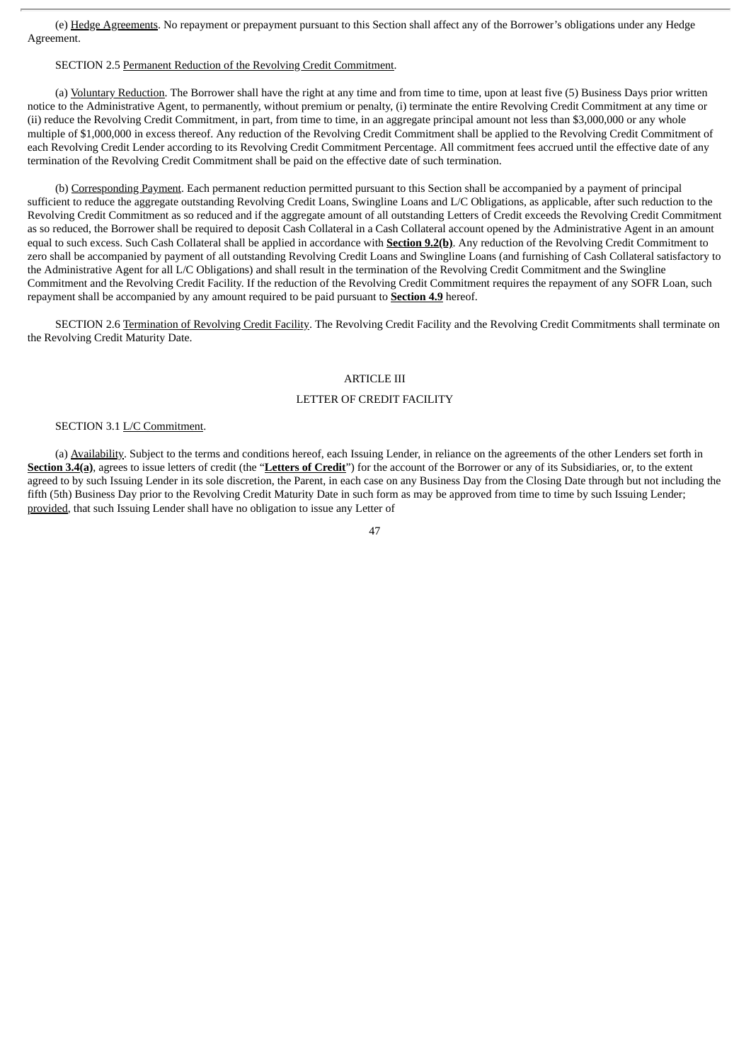(e) Hedge Agreements. No repayment or prepayment pursuant to this Section shall affect any of the Borrower's obligations under any Hedge Agreement.

# SECTION 2.5 Permanent Reduction of the Revolving Credit Commitment.

(a) Voluntary Reduction. The Borrower shall have the right at any time and from time to time, upon at least five (5) Business Days prior written notice to the Administrative Agent, to permanently, without premium or penalty, (i) terminate the entire Revolving Credit Commitment at any time or (ii) reduce the Revolving Credit Commitment, in part, from time to time, in an aggregate principal amount not less than \$3,000,000 or any whole multiple of \$1,000,000 in excess thereof. Any reduction of the Revolving Credit Commitment shall be applied to the Revolving Credit Commitment of each Revolving Credit Lender according to its Revolving Credit Commitment Percentage. All commitment fees accrued until the effective date of any termination of the Revolving Credit Commitment shall be paid on the effective date of such termination.

(b) Corresponding Payment. Each permanent reduction permitted pursuant to this Section shall be accompanied by a payment of principal sufficient to reduce the aggregate outstanding Revolving Credit Loans, Swingline Loans and L/C Obligations, as applicable, after such reduction to the Revolving Credit Commitment as so reduced and if the aggregate amount of all outstanding Letters of Credit exceeds the Revolving Credit Commitment as so reduced, the Borrower shall be required to deposit Cash Collateral in a Cash Collateral account opened by the Administrative Agent in an amount equal to such excess. Such Cash Collateral shall be applied in accordance with **Section 9.2(b)**. Any reduction of the Revolving Credit Commitment to zero shall be accompanied by payment of all outstanding Revolving Credit Loans and Swingline Loans (and furnishing of Cash Collateral satisfactory to the Administrative Agent for all L/C Obligations) and shall result in the termination of the Revolving Credit Commitment and the Swingline Commitment and the Revolving Credit Facility. If the reduction of the Revolving Credit Commitment requires the repayment of any SOFR Loan, such repayment shall be accompanied by any amount required to be paid pursuant to **Section 4.9** hereof.

SECTION 2.6 Termination of Revolving Credit Facility. The Revolving Credit Facility and the Revolving Credit Commitments shall terminate on the Revolving Credit Maturity Date.

### ARTICLE III

## LETTER OF CREDIT FACILITY

#### SECTION 3.1 L/C Commitment.

(a) Availability. Subject to the terms and conditions hereof, each Issuing Lender, in reliance on the agreements of the other Lenders set forth in **Section 3.4(a)**, agrees to issue letters of credit (the "**Letters of Credit**") for the account of the Borrower or any of its Subsidiaries, or, to the extent agreed to by such Issuing Lender in its sole discretion, the Parent, in each case on any Business Day from the Closing Date through but not including the fifth (5th) Business Day prior to the Revolving Credit Maturity Date in such form as may be approved from time to time by such Issuing Lender; provided, that such Issuing Lender shall have no obligation to issue any Letter of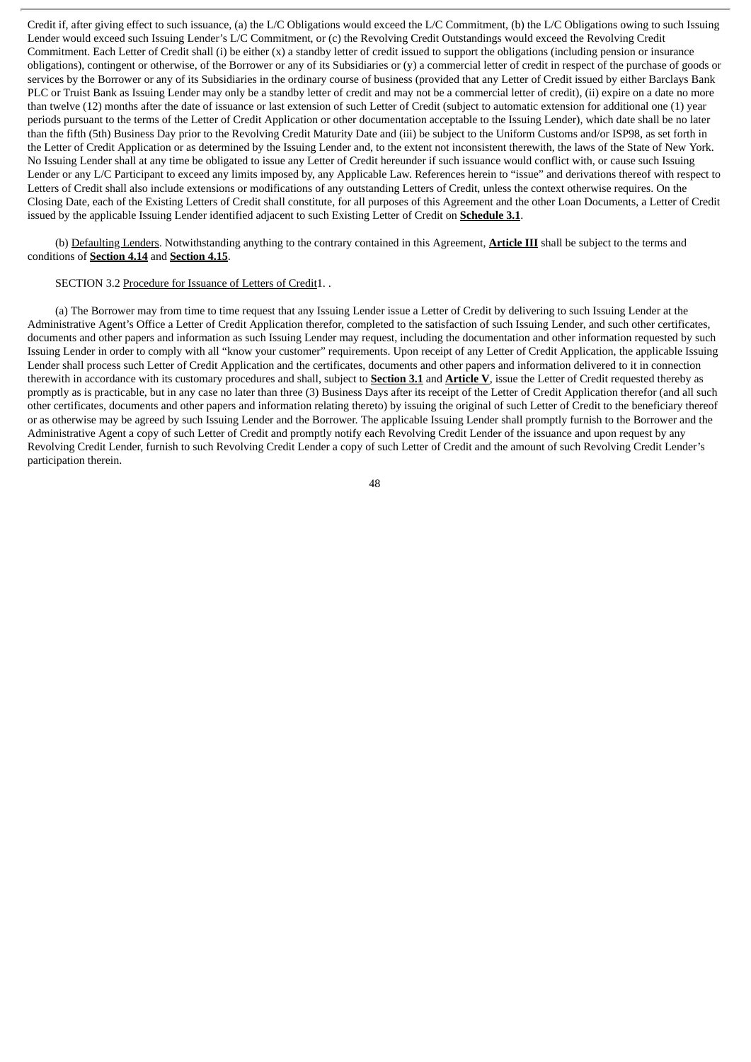Credit if, after giving effect to such issuance, (a) the L/C Obligations would exceed the L/C Commitment, (b) the L/C Obligations owing to such Issuing Lender would exceed such Issuing Lender's L/C Commitment, or (c) the Revolving Credit Outstandings would exceed the Revolving Credit Commitment. Each Letter of Credit shall (i) be either (x) a standby letter of credit issued to support the obligations (including pension or insurance obligations), contingent or otherwise, of the Borrower or any of its Subsidiaries or (y) a commercial letter of credit in respect of the purchase of goods or services by the Borrower or any of its Subsidiaries in the ordinary course of business (provided that any Letter of Credit issued by either Barclays Bank PLC or Truist Bank as Issuing Lender may only be a standby letter of credit and may not be a commercial letter of credit), (ii) expire on a date no more than twelve (12) months after the date of issuance or last extension of such Letter of Credit (subject to automatic extension for additional one (1) year periods pursuant to the terms of the Letter of Credit Application or other documentation acceptable to the Issuing Lender), which date shall be no later than the fifth (5th) Business Day prior to the Revolving Credit Maturity Date and (iii) be subject to the Uniform Customs and/or ISP98, as set forth in the Letter of Credit Application or as determined by the Issuing Lender and, to the extent not inconsistent therewith, the laws of the State of New York. No Issuing Lender shall at any time be obligated to issue any Letter of Credit hereunder if such issuance would conflict with, or cause such Issuing Lender or any L/C Participant to exceed any limits imposed by, any Applicable Law. References herein to "issue" and derivations thereof with respect to Letters of Credit shall also include extensions or modifications of any outstanding Letters of Credit, unless the context otherwise requires. On the Closing Date, each of the Existing Letters of Credit shall constitute, for all purposes of this Agreement and the other Loan Documents, a Letter of Credit issued by the applicable Issuing Lender identified adjacent to such Existing Letter of Credit on **Schedule 3.1**.

(b) Defaulting Lenders. Notwithstanding anything to the contrary contained in this Agreement, **Article III** shall be subject to the terms and conditions of **Section 4.14** and **Section 4.15**.

# SECTION 3.2 Procedure for Issuance of Letters of Credit1. .

(a) The Borrower may from time to time request that any Issuing Lender issue a Letter of Credit by delivering to such Issuing Lender at the Administrative Agent's Office a Letter of Credit Application therefor, completed to the satisfaction of such Issuing Lender, and such other certificates, documents and other papers and information as such Issuing Lender may request, including the documentation and other information requested by such Issuing Lender in order to comply with all "know your customer" requirements. Upon receipt of any Letter of Credit Application, the applicable Issuing Lender shall process such Letter of Credit Application and the certificates, documents and other papers and information delivered to it in connection therewith in accordance with its customary procedures and shall, subject to **Section 3.1** and **Article V**, issue the Letter of Credit requested thereby as promptly as is practicable, but in any case no later than three (3) Business Days after its receipt of the Letter of Credit Application therefor (and all such other certificates, documents and other papers and information relating thereto) by issuing the original of such Letter of Credit to the beneficiary thereof or as otherwise may be agreed by such Issuing Lender and the Borrower. The applicable Issuing Lender shall promptly furnish to the Borrower and the Administrative Agent a copy of such Letter of Credit and promptly notify each Revolving Credit Lender of the issuance and upon request by any Revolving Credit Lender, furnish to such Revolving Credit Lender a copy of such Letter of Credit and the amount of such Revolving Credit Lender's participation therein.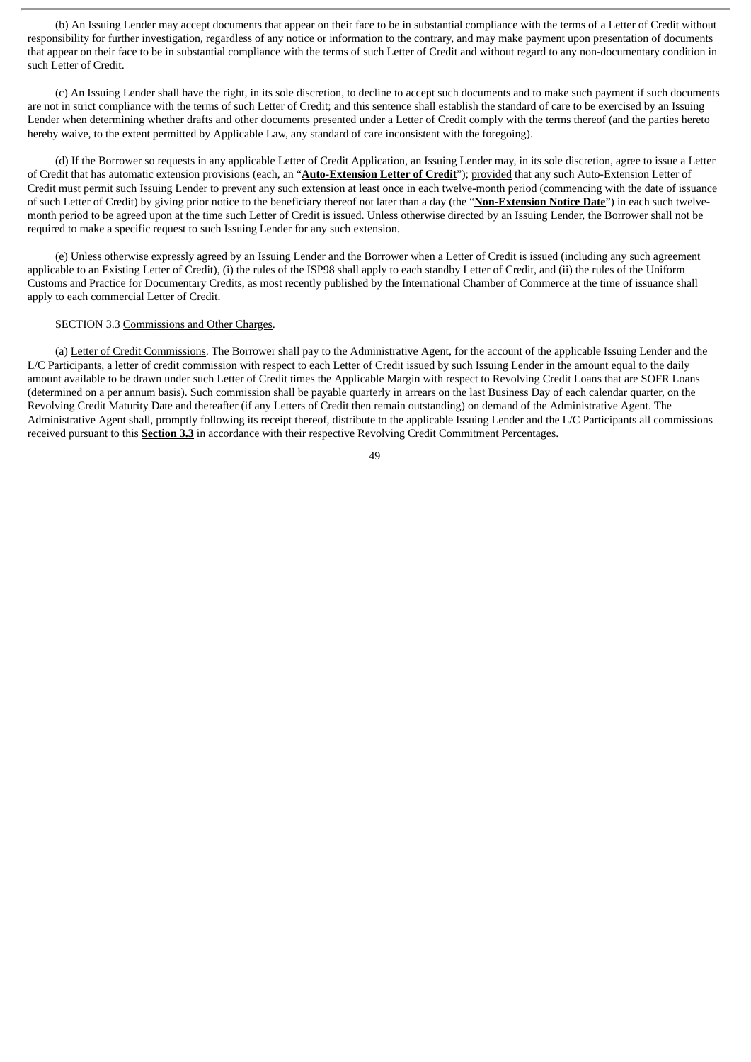(b) An Issuing Lender may accept documents that appear on their face to be in substantial compliance with the terms of a Letter of Credit without responsibility for further investigation, regardless of any notice or information to the contrary, and may make payment upon presentation of documents that appear on their face to be in substantial compliance with the terms of such Letter of Credit and without regard to any non-documentary condition in such Letter of Credit.

(c) An Issuing Lender shall have the right, in its sole discretion, to decline to accept such documents and to make such payment if such documents are not in strict compliance with the terms of such Letter of Credit; and this sentence shall establish the standard of care to be exercised by an Issuing Lender when determining whether drafts and other documents presented under a Letter of Credit comply with the terms thereof (and the parties hereto hereby waive, to the extent permitted by Applicable Law, any standard of care inconsistent with the foregoing).

(d) If the Borrower so requests in any applicable Letter of Credit Application, an Issuing Lender may, in its sole discretion, agree to issue a Letter of Credit that has automatic extension provisions (each, an "**Auto-Extension Letter of Credit**"); provided that any such Auto-Extension Letter of Credit must permit such Issuing Lender to prevent any such extension at least once in each twelve-month period (commencing with the date of issuance of such Letter of Credit) by giving prior notice to the beneficiary thereof not later than a day (the "**Non-Extension Notice Date**") in each such twelvemonth period to be agreed upon at the time such Letter of Credit is issued. Unless otherwise directed by an Issuing Lender, the Borrower shall not be required to make a specific request to such Issuing Lender for any such extension.

(e) Unless otherwise expressly agreed by an Issuing Lender and the Borrower when a Letter of Credit is issued (including any such agreement applicable to an Existing Letter of Credit), (i) the rules of the ISP98 shall apply to each standby Letter of Credit, and (ii) the rules of the Uniform Customs and Practice for Documentary Credits, as most recently published by the International Chamber of Commerce at the time of issuance shall apply to each commercial Letter of Credit.

## SECTION 3.3 Commissions and Other Charges.

(a) Letter of Credit Commissions. The Borrower shall pay to the Administrative Agent, for the account of the applicable Issuing Lender and the L/C Participants, a letter of credit commission with respect to each Letter of Credit issued by such Issuing Lender in the amount equal to the daily amount available to be drawn under such Letter of Credit times the Applicable Margin with respect to Revolving Credit Loans that are SOFR Loans (determined on a per annum basis). Such commission shall be payable quarterly in arrears on the last Business Day of each calendar quarter, on the Revolving Credit Maturity Date and thereafter (if any Letters of Credit then remain outstanding) on demand of the Administrative Agent. The Administrative Agent shall, promptly following its receipt thereof, distribute to the applicable Issuing Lender and the L/C Participants all commissions received pursuant to this **Section 3.3** in accordance with their respective Revolving Credit Commitment Percentages.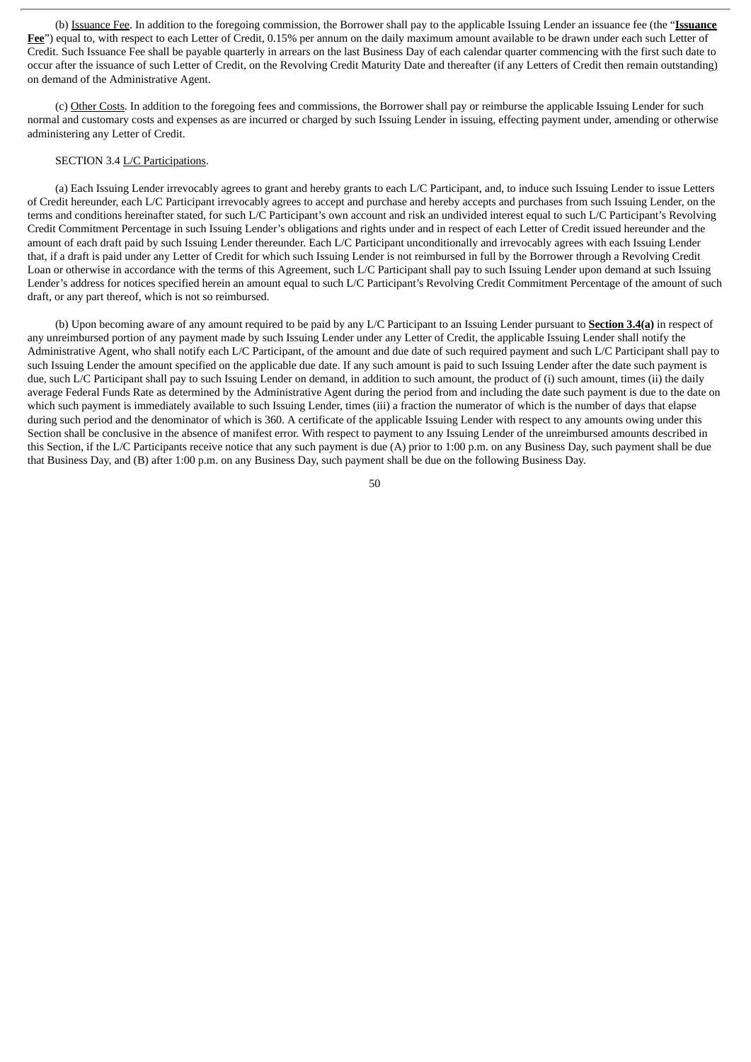(b) Issuance Fee. In addition to the foregoing commission, the Borrower shall pay to the applicable Issuing Lender an issuance fee (the "**Issuance Fee**") equal to, with respect to each Letter of Credit, 0.15% per annum on the daily maximum amount available to be drawn under each such Letter of Credit. Such Issuance Fee shall be payable quarterly in arrears on the last Business Day of each calendar quarter commencing with the first such date to occur after the issuance of such Letter of Credit, on the Revolving Credit Maturity Date and thereafter (if any Letters of Credit then remain outstanding) on demand of the Administrative Agent.

(c) Other Costs. In addition to the foregoing fees and commissions, the Borrower shall pay or reimburse the applicable Issuing Lender for such normal and customary costs and expenses as are incurred or charged by such Issuing Lender in issuing, effecting payment under, amending or otherwise administering any Letter of Credit.

### SECTION 3.4 L/C Participations.

(a) Each Issuing Lender irrevocably agrees to grant and hereby grants to each L/C Participant, and, to induce such Issuing Lender to issue Letters of Credit hereunder, each L/C Participant irrevocably agrees to accept and purchase and hereby accepts and purchases from such Issuing Lender, on the terms and conditions hereinafter stated, for such L/C Participant's own account and risk an undivided interest equal to such L/C Participant's Revolving Credit Commitment Percentage in such Issuing Lender's obligations and rights under and in respect of each Letter of Credit issued hereunder and the amount of each draft paid by such Issuing Lender thereunder. Each L/C Participant unconditionally and irrevocably agrees with each Issuing Lender that, if a draft is paid under any Letter of Credit for which such Issuing Lender is not reimbursed in full by the Borrower through a Revolving Credit Loan or otherwise in accordance with the terms of this Agreement, such L/C Participant shall pay to such Issuing Lender upon demand at such Issuing Lender's address for notices specified herein an amount equal to such L/C Participant's Revolving Credit Commitment Percentage of the amount of such draft, or any part thereof, which is not so reimbursed.

(b) Upon becoming aware of any amount required to be paid by any L/C Participant to an Issuing Lender pursuant to **Section 3.4(a)** in respect of any unreimbursed portion of any payment made by such Issuing Lender under any Letter of Credit, the applicable Issuing Lender shall notify the Administrative Agent, who shall notify each L/C Participant, of the amount and due date of such required payment and such L/C Participant shall pay to such Issuing Lender the amount specified on the applicable due date. If any such amount is paid to such Issuing Lender after the date such payment is due, such L/C Participant shall pay to such Issuing Lender on demand, in addition to such amount, the product of (i) such amount, times (ii) the daily average Federal Funds Rate as determined by the Administrative Agent during the period from and including the date such payment is due to the date on which such payment is immediately available to such Issuing Lender, times (iii) a fraction the numerator of which is the number of days that elapse during such period and the denominator of which is 360. A certificate of the applicable Issuing Lender with respect to any amounts owing under this Section shall be conclusive in the absence of manifest error. With respect to payment to any Issuing Lender of the unreimbursed amounts described in this Section, if the L/C Participants receive notice that any such payment is due (A) prior to 1:00 p.m. on any Business Day, such payment shall be due that Business Day, and (B) after 1:00 p.m. on any Business Day, such payment shall be due on the following Business Day.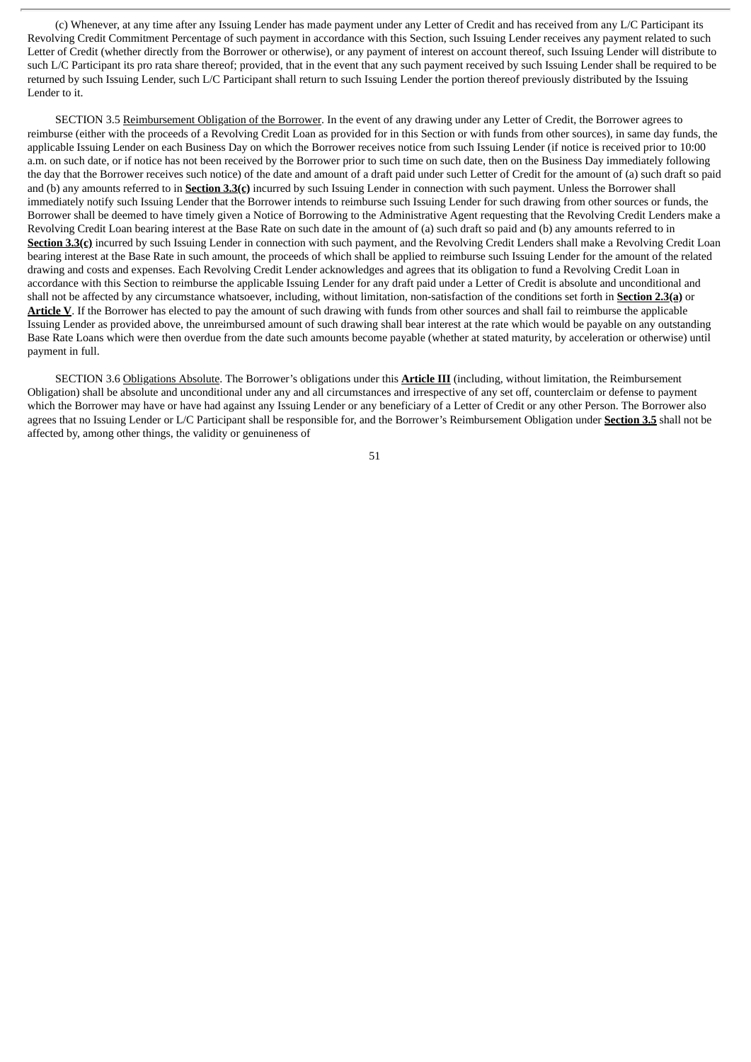(c) Whenever, at any time after any Issuing Lender has made payment under any Letter of Credit and has received from any L/C Participant its Revolving Credit Commitment Percentage of such payment in accordance with this Section, such Issuing Lender receives any payment related to such Letter of Credit (whether directly from the Borrower or otherwise), or any payment of interest on account thereof, such Issuing Lender will distribute to such L/C Participant its pro rata share thereof; provided, that in the event that any such payment received by such Issuing Lender shall be required to be returned by such Issuing Lender, such L/C Participant shall return to such Issuing Lender the portion thereof previously distributed by the Issuing Lender to it.

SECTION 3.5 Reimbursement Obligation of the Borrower. In the event of any drawing under any Letter of Credit, the Borrower agrees to reimburse (either with the proceeds of a Revolving Credit Loan as provided for in this Section or with funds from other sources), in same day funds, the applicable Issuing Lender on each Business Day on which the Borrower receives notice from such Issuing Lender (if notice is received prior to 10:00 a.m. on such date, or if notice has not been received by the Borrower prior to such time on such date, then on the Business Day immediately following the day that the Borrower receives such notice) of the date and amount of a draft paid under such Letter of Credit for the amount of (a) such draft so paid and (b) any amounts referred to in **Section 3.3(c)** incurred by such Issuing Lender in connection with such payment. Unless the Borrower shall immediately notify such Issuing Lender that the Borrower intends to reimburse such Issuing Lender for such drawing from other sources or funds, the Borrower shall be deemed to have timely given a Notice of Borrowing to the Administrative Agent requesting that the Revolving Credit Lenders make a Revolving Credit Loan bearing interest at the Base Rate on such date in the amount of (a) such draft so paid and (b) any amounts referred to in Section 3.3(c) incurred by such Issuing Lender in connection with such payment, and the Revolving Credit Lenders shall make a Revolving Credit Loan bearing interest at the Base Rate in such amount, the proceeds of which shall be applied to reimburse such Issuing Lender for the amount of the related drawing and costs and expenses. Each Revolving Credit Lender acknowledges and agrees that its obligation to fund a Revolving Credit Loan in accordance with this Section to reimburse the applicable Issuing Lender for any draft paid under a Letter of Credit is absolute and unconditional and shall not be affected by any circumstance whatsoever, including, without limitation, non-satisfaction of the conditions set forth in **Section 2.3(a)** or Article V. If the Borrower has elected to pay the amount of such drawing with funds from other sources and shall fail to reimburse the applicable Issuing Lender as provided above, the unreimbursed amount of such drawing shall bear interest at the rate which would be payable on any outstanding Base Rate Loans which were then overdue from the date such amounts become payable (whether at stated maturity, by acceleration or otherwise) until payment in full.

SECTION 3.6 Obligations Absolute. The Borrower's obligations under this **Article III** (including, without limitation, the Reimbursement Obligation) shall be absolute and unconditional under any and all circumstances and irrespective of any set off, counterclaim or defense to payment which the Borrower may have or have had against any Issuing Lender or any beneficiary of a Letter of Credit or any other Person. The Borrower also agrees that no Issuing Lender or L/C Participant shall be responsible for, and the Borrower's Reimbursement Obligation under **Section 3.5** shall not be affected by, among other things, the validity or genuineness of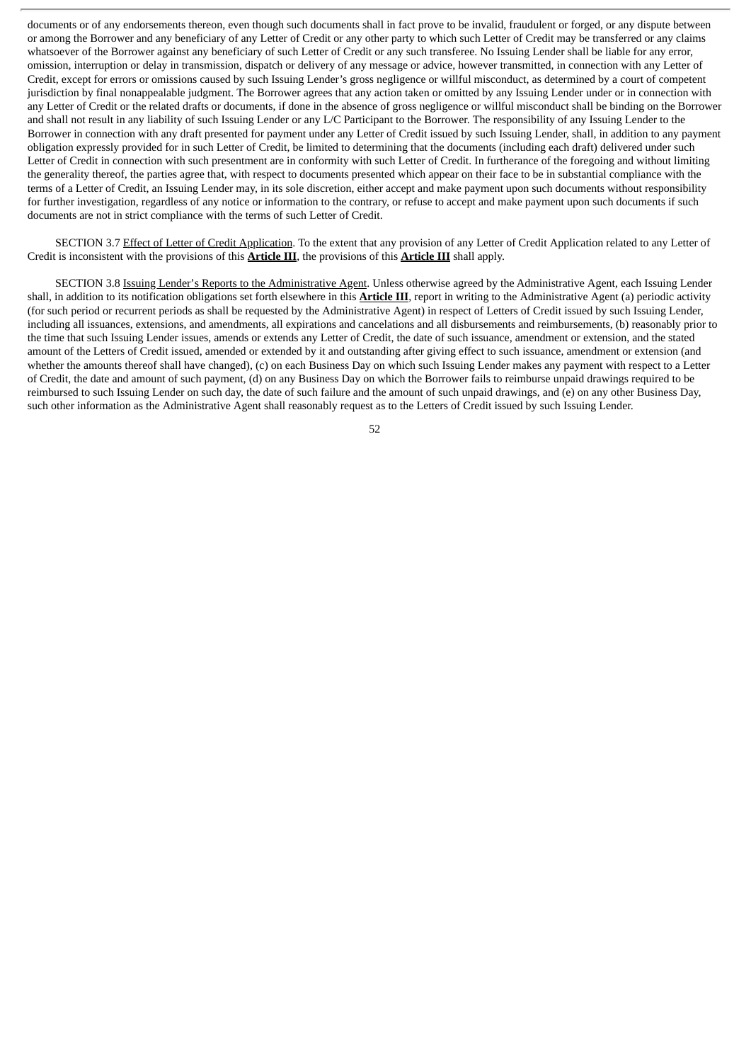documents or of any endorsements thereon, even though such documents shall in fact prove to be invalid, fraudulent or forged, or any dispute between or among the Borrower and any beneficiary of any Letter of Credit or any other party to which such Letter of Credit may be transferred or any claims whatsoever of the Borrower against any beneficiary of such Letter of Credit or any such transferee. No Issuing Lender shall be liable for any error, omission, interruption or delay in transmission, dispatch or delivery of any message or advice, however transmitted, in connection with any Letter of Credit, except for errors or omissions caused by such Issuing Lender's gross negligence or willful misconduct, as determined by a court of competent jurisdiction by final nonappealable judgment. The Borrower agrees that any action taken or omitted by any Issuing Lender under or in connection with any Letter of Credit or the related drafts or documents, if done in the absence of gross negligence or willful misconduct shall be binding on the Borrower and shall not result in any liability of such Issuing Lender or any L/C Participant to the Borrower. The responsibility of any Issuing Lender to the Borrower in connection with any draft presented for payment under any Letter of Credit issued by such Issuing Lender, shall, in addition to any payment obligation expressly provided for in such Letter of Credit, be limited to determining that the documents (including each draft) delivered under such Letter of Credit in connection with such presentment are in conformity with such Letter of Credit. In furtherance of the foregoing and without limiting the generality thereof, the parties agree that, with respect to documents presented which appear on their face to be in substantial compliance with the terms of a Letter of Credit, an Issuing Lender may, in its sole discretion, either accept and make payment upon such documents without responsibility for further investigation, regardless of any notice or information to the contrary, or refuse to accept and make payment upon such documents if such documents are not in strict compliance with the terms of such Letter of Credit.

SECTION 3.7 Effect of Letter of Credit Application. To the extent that any provision of any Letter of Credit Application related to any Letter of Credit is inconsistent with the provisions of this **Article III**, the provisions of this **Article III** shall apply.

SECTION 3.8 Issuing Lender's Reports to the Administrative Agent. Unless otherwise agreed by the Administrative Agent, each Issuing Lender shall, in addition to its notification obligations set forth elsewhere in this **Article III**, report in writing to the Administrative Agent (a) periodic activity (for such period or recurrent periods as shall be requested by the Administrative Agent) in respect of Letters of Credit issued by such Issuing Lender, including all issuances, extensions, and amendments, all expirations and cancelations and all disbursements and reimbursements, (b) reasonably prior to the time that such Issuing Lender issues, amends or extends any Letter of Credit, the date of such issuance, amendment or extension, and the stated amount of the Letters of Credit issued, amended or extended by it and outstanding after giving effect to such issuance, amendment or extension (and whether the amounts thereof shall have changed), (c) on each Business Day on which such Issuing Lender makes any payment with respect to a Letter of Credit, the date and amount of such payment, (d) on any Business Day on which the Borrower fails to reimburse unpaid drawings required to be reimbursed to such Issuing Lender on such day, the date of such failure and the amount of such unpaid drawings, and (e) on any other Business Day, such other information as the Administrative Agent shall reasonably request as to the Letters of Credit issued by such Issuing Lender.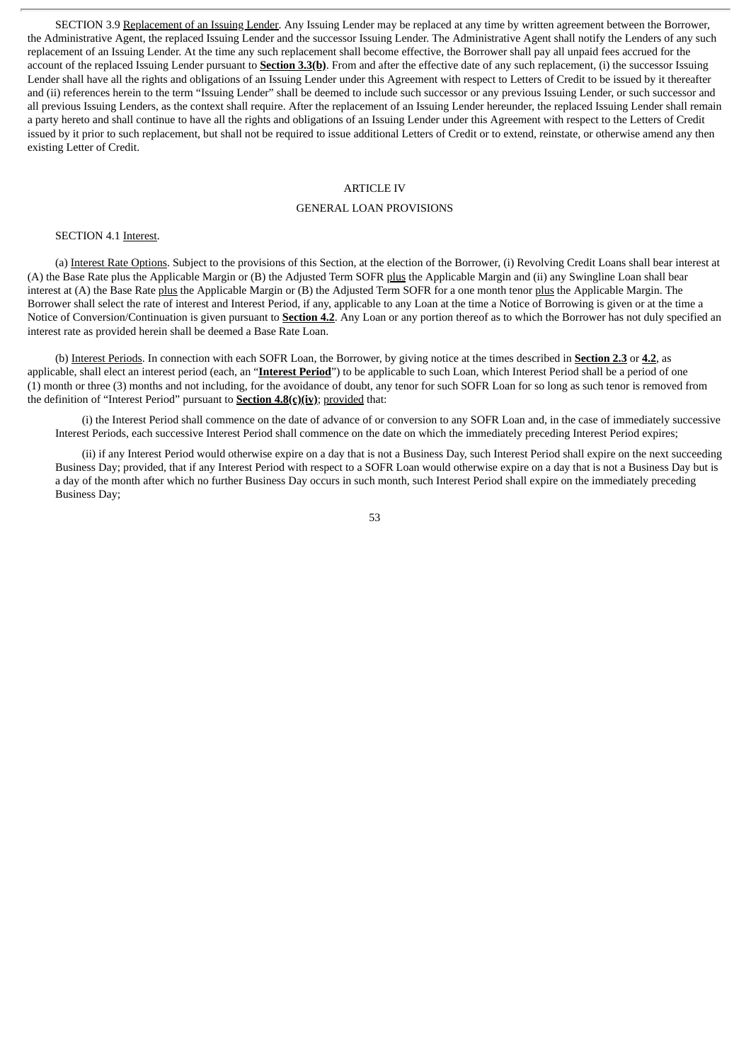SECTION 3.9 Replacement of an Issuing Lender. Any Issuing Lender may be replaced at any time by written agreement between the Borrower, the Administrative Agent, the replaced Issuing Lender and the successor Issuing Lender. The Administrative Agent shall notify the Lenders of any such replacement of an Issuing Lender. At the time any such replacement shall become effective, the Borrower shall pay all unpaid fees accrued for the account of the replaced Issuing Lender pursuant to **Section 3.3(b)**. From and after the effective date of any such replacement, (i) the successor Issuing Lender shall have all the rights and obligations of an Issuing Lender under this Agreement with respect to Letters of Credit to be issued by it thereafter and (ii) references herein to the term "Issuing Lender" shall be deemed to include such successor or any previous Issuing Lender, or such successor and all previous Issuing Lenders, as the context shall require. After the replacement of an Issuing Lender hereunder, the replaced Issuing Lender shall remain a party hereto and shall continue to have all the rights and obligations of an Issuing Lender under this Agreement with respect to the Letters of Credit issued by it prior to such replacement, but shall not be required to issue additional Letters of Credit or to extend, reinstate, or otherwise amend any then existing Letter of Credit.

#### ARTICLE IV

#### GENERAL LOAN PROVISIONS

#### SECTION 4.1 Interest.

(a) Interest Rate Options. Subject to the provisions of this Section, at the election of the Borrower, (i) Revolving Credit Loans shall bear interest at (A) the Base Rate plus the Applicable Margin or (B) the Adjusted Term SOFR plus the Applicable Margin and (ii) any Swingline Loan shall bear interest at (A) the Base Rate plus the Applicable Margin or (B) the Adjusted Term SOFR for a one month tenor plus the Applicable Margin. The Borrower shall select the rate of interest and Interest Period, if any, applicable to any Loan at the time a Notice of Borrowing is given or at the time a Notice of Conversion/Continuation is given pursuant to **Section 4.2**. Any Loan or any portion thereof as to which the Borrower has not duly specified an interest rate as provided herein shall be deemed a Base Rate Loan.

(b) Interest Periods. In connection with each SOFR Loan, the Borrower, by giving notice at the times described in **Section 2.3** or **4.2**, as applicable, shall elect an interest period (each, an "**Interest Period**") to be applicable to such Loan, which Interest Period shall be a period of one (1) month or three (3) months and not including, for the avoidance of doubt, any tenor for such SOFR Loan for so long as such tenor is removed from the definition of "Interest Period" pursuant to **Section 4.8(c)(iv)**; provided that:

(i) the Interest Period shall commence on the date of advance of or conversion to any SOFR Loan and, in the case of immediately successive Interest Periods, each successive Interest Period shall commence on the date on which the immediately preceding Interest Period expires;

(ii) if any Interest Period would otherwise expire on a day that is not a Business Day, such Interest Period shall expire on the next succeeding Business Day; provided, that if any Interest Period with respect to a SOFR Loan would otherwise expire on a day that is not a Business Day but is a day of the month after which no further Business Day occurs in such month, such Interest Period shall expire on the immediately preceding Business Day;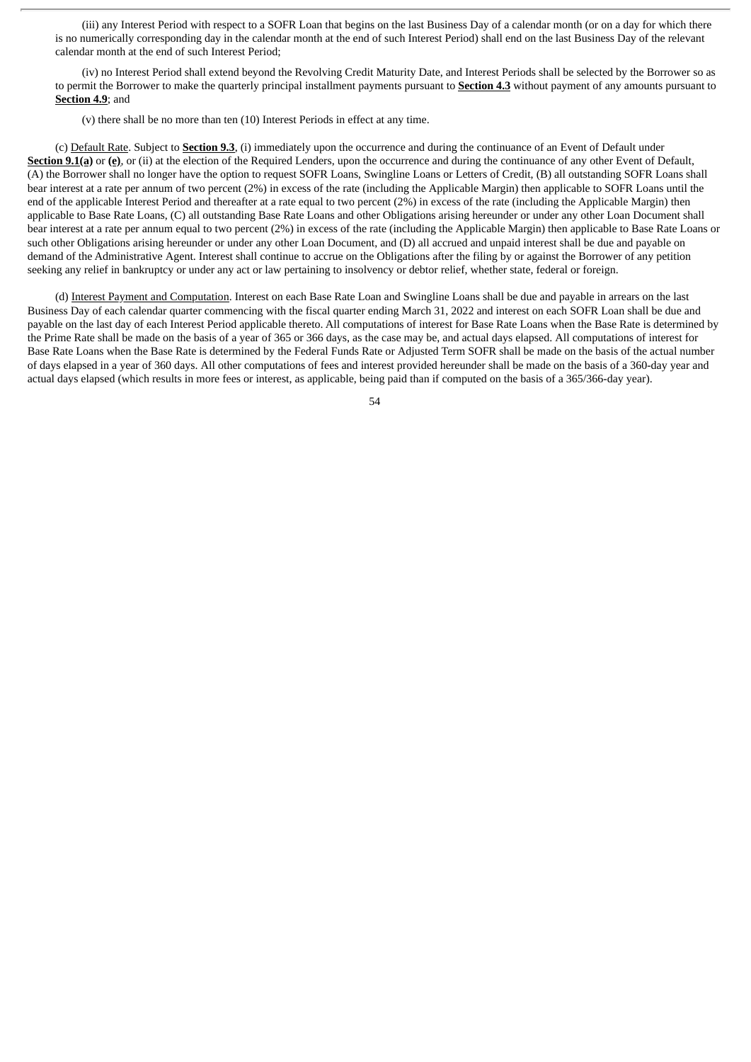(iii) any Interest Period with respect to a SOFR Loan that begins on the last Business Day of a calendar month (or on a day for which there is no numerically corresponding day in the calendar month at the end of such Interest Period) shall end on the last Business Day of the relevant calendar month at the end of such Interest Period;

(iv) no Interest Period shall extend beyond the Revolving Credit Maturity Date, and Interest Periods shall be selected by the Borrower so as to permit the Borrower to make the quarterly principal installment payments pursuant to **Section 4.3** without payment of any amounts pursuant to **Section 4.9**; and

(v) there shall be no more than ten (10) Interest Periods in effect at any time.

(c) Default Rate. Subject to **Section 9.3**, (i) immediately upon the occurrence and during the continuance of an Event of Default under **Section 9.1(a)** or **(e)**, or (ii) at the election of the Required Lenders, upon the occurrence and during the continuance of any other Event of Default, (A) the Borrower shall no longer have the option to request SOFR Loans, Swingline Loans or Letters of Credit, (B) all outstanding SOFR Loans shall bear interest at a rate per annum of two percent (2%) in excess of the rate (including the Applicable Margin) then applicable to SOFR Loans until the end of the applicable Interest Period and thereafter at a rate equal to two percent (2%) in excess of the rate (including the Applicable Margin) then applicable to Base Rate Loans, (C) all outstanding Base Rate Loans and other Obligations arising hereunder or under any other Loan Document shall bear interest at a rate per annum equal to two percent (2%) in excess of the rate (including the Applicable Margin) then applicable to Base Rate Loans or such other Obligations arising hereunder or under any other Loan Document, and (D) all accrued and unpaid interest shall be due and payable on demand of the Administrative Agent. Interest shall continue to accrue on the Obligations after the filing by or against the Borrower of any petition seeking any relief in bankruptcy or under any act or law pertaining to insolvency or debtor relief, whether state, federal or foreign.

(d) Interest Payment and Computation. Interest on each Base Rate Loan and Swingline Loans shall be due and payable in arrears on the last Business Day of each calendar quarter commencing with the fiscal quarter ending March 31, 2022 and interest on each SOFR Loan shall be due and payable on the last day of each Interest Period applicable thereto. All computations of interest for Base Rate Loans when the Base Rate is determined by the Prime Rate shall be made on the basis of a year of 365 or 366 days, as the case may be, and actual days elapsed. All computations of interest for Base Rate Loans when the Base Rate is determined by the Federal Funds Rate or Adjusted Term SOFR shall be made on the basis of the actual number of days elapsed in a year of 360 days. All other computations of fees and interest provided hereunder shall be made on the basis of a 360-day year and actual days elapsed (which results in more fees or interest, as applicable, being paid than if computed on the basis of a 365/366-day year).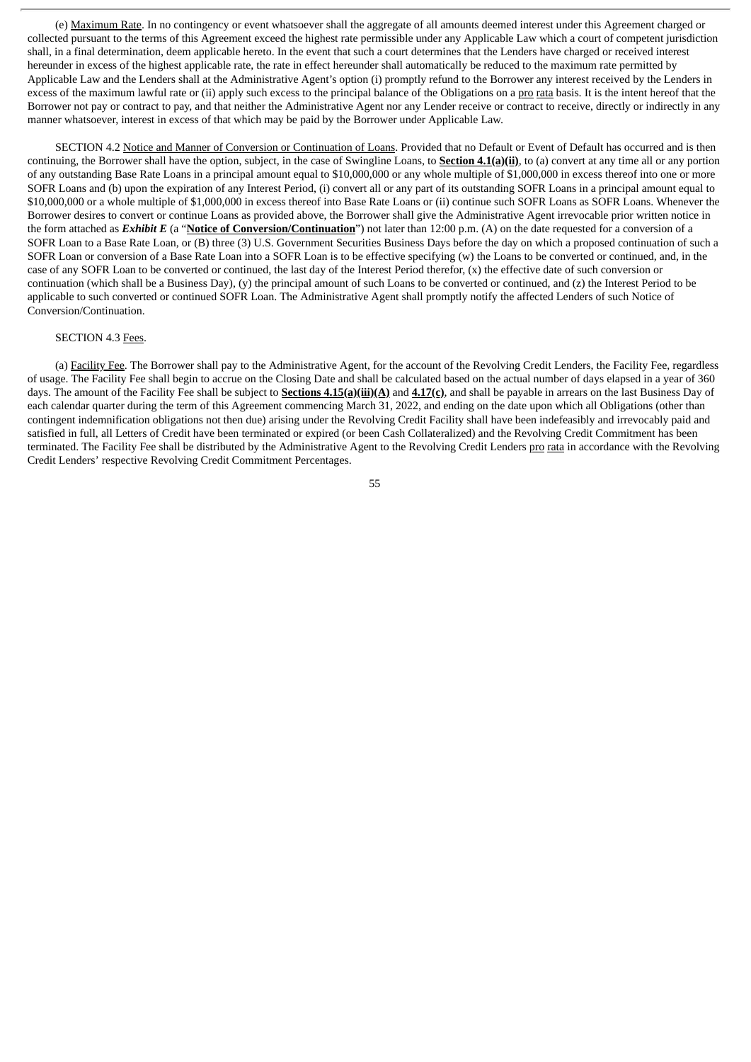(e) Maximum Rate. In no contingency or event whatsoever shall the aggregate of all amounts deemed interest under this Agreement charged or collected pursuant to the terms of this Agreement exceed the highest rate permissible under any Applicable Law which a court of competent jurisdiction shall, in a final determination, deem applicable hereto. In the event that such a court determines that the Lenders have charged or received interest hereunder in excess of the highest applicable rate, the rate in effect hereunder shall automatically be reduced to the maximum rate permitted by Applicable Law and the Lenders shall at the Administrative Agent's option (i) promptly refund to the Borrower any interest received by the Lenders in excess of the maximum lawful rate or (ii) apply such excess to the principal balance of the Obligations on a <u>pro rata</u> basis. It is the intent hereof that the Borrower not pay or contract to pay, and that neither the Administrative Agent nor any Lender receive or contract to receive, directly or indirectly in any manner whatsoever, interest in excess of that which may be paid by the Borrower under Applicable Law.

SECTION 4.2 Notice and Manner of Conversion or Continuation of Loans. Provided that no Default or Event of Default has occurred and is then continuing, the Borrower shall have the option, subject, in the case of Swingline Loans, to **Section 4.1(a)(ii)**, to (a) convert at any time all or any portion of any outstanding Base Rate Loans in a principal amount equal to \$10,000,000 or any whole multiple of \$1,000,000 in excess thereof into one or more SOFR Loans and (b) upon the expiration of any Interest Period, (i) convert all or any part of its outstanding SOFR Loans in a principal amount equal to \$10,000,000 or a whole multiple of \$1,000,000 in excess thereof into Base Rate Loans or (ii) continue such SOFR Loans as SOFR Loans. Whenever the Borrower desires to convert or continue Loans as provided above, the Borrower shall give the Administrative Agent irrevocable prior written notice in the form attached as *Exhibit E* (a "**Notice of Conversion/Continuation**") not later than 12:00 p.m. (A) on the date requested for a conversion of a SOFR Loan to a Base Rate Loan, or (B) three (3) U.S. Government Securities Business Days before the day on which a proposed continuation of such a SOFR Loan or conversion of a Base Rate Loan into a SOFR Loan is to be effective specifying (w) the Loans to be converted or continued, and, in the case of any SOFR Loan to be converted or continued, the last day of the Interest Period therefor, (x) the effective date of such conversion or continuation (which shall be a Business Day), (y) the principal amount of such Loans to be converted or continued, and (z) the Interest Period to be applicable to such converted or continued SOFR Loan. The Administrative Agent shall promptly notify the affected Lenders of such Notice of Conversion/Continuation.

## SECTION 4.3 Fees.

(a) Facility Fee. The Borrower shall pay to the Administrative Agent, for the account of the Revolving Credit Lenders, the Facility Fee, regardless of usage. The Facility Fee shall begin to accrue on the Closing Date and shall be calculated based on the actual number of days elapsed in a year of 360 days. The amount of the Facility Fee shall be subject to **Sections 4.15(a)(iii)(A)** and **4.17(c)**, and shall be payable in arrears on the last Business Day of each calendar quarter during the term of this Agreement commencing March 31, 2022, and ending on the date upon which all Obligations (other than contingent indemnification obligations not then due) arising under the Revolving Credit Facility shall have been indefeasibly and irrevocably paid and satisfied in full, all Letters of Credit have been terminated or expired (or been Cash Collateralized) and the Revolving Credit Commitment has been terminated. The Facility Fee shall be distributed by the Administrative Agent to the Revolving Credit Lenders pro rata in accordance with the Revolving Credit Lenders' respective Revolving Credit Commitment Percentages.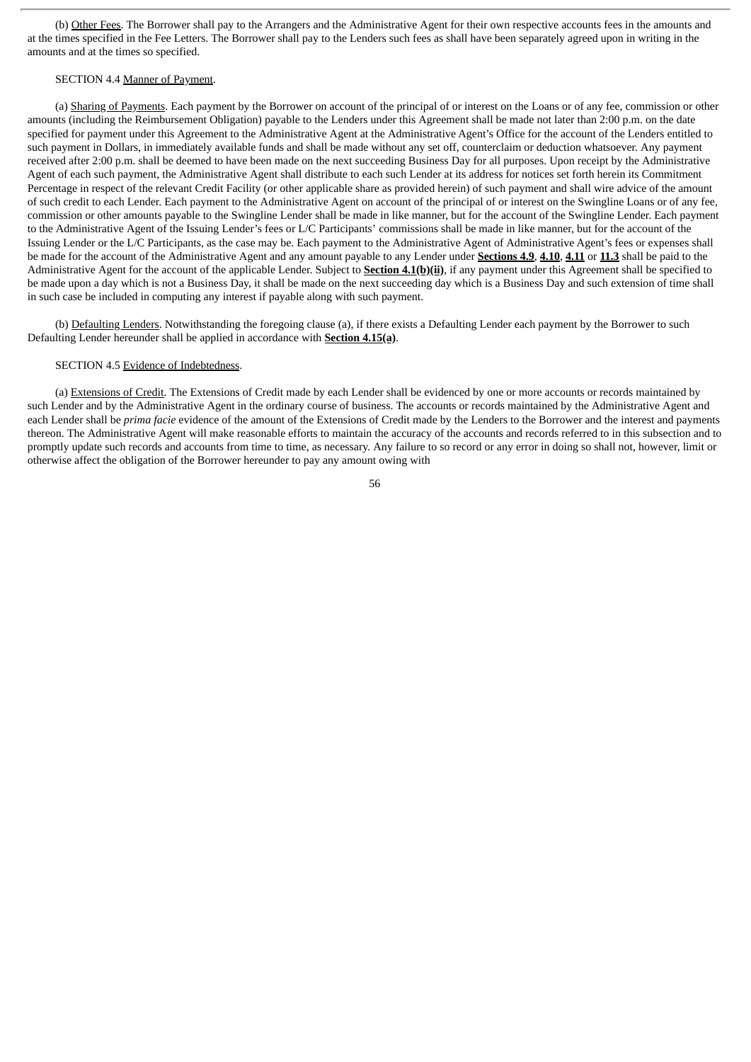(b) Other Fees. The Borrower shall pay to the Arrangers and the Administrative Agent for their own respective accounts fees in the amounts and at the times specified in the Fee Letters. The Borrower shall pay to the Lenders such fees as shall have been separately agreed upon in writing in the amounts and at the times so specified.

## SECTION 4.4 Manner of Payment.

(a) Sharing of Payments. Each payment by the Borrower on account of the principal of or interest on the Loans or of any fee, commission or other amounts (including the Reimbursement Obligation) payable to the Lenders under this Agreement shall be made not later than 2:00 p.m. on the date specified for payment under this Agreement to the Administrative Agent at the Administrative Agent's Office for the account of the Lenders entitled to such payment in Dollars, in immediately available funds and shall be made without any set off, counterclaim or deduction whatsoever. Any payment received after 2:00 p.m. shall be deemed to have been made on the next succeeding Business Day for all purposes. Upon receipt by the Administrative Agent of each such payment, the Administrative Agent shall distribute to each such Lender at its address for notices set forth herein its Commitment Percentage in respect of the relevant Credit Facility (or other applicable share as provided herein) of such payment and shall wire advice of the amount of such credit to each Lender. Each payment to the Administrative Agent on account of the principal of or interest on the Swingline Loans or of any fee, commission or other amounts payable to the Swingline Lender shall be made in like manner, but for the account of the Swingline Lender. Each payment to the Administrative Agent of the Issuing Lender's fees or L/C Participants' commissions shall be made in like manner, but for the account of the Issuing Lender or the L/C Participants, as the case may be. Each payment to the Administrative Agent of Administrative Agent's fees or expenses shall be made for the account of the Administrative Agent and any amount payable to any Lender under **Sections 4.9**, **4.10**, **4.11** or **11.3** shall be paid to the Administrative Agent for the account of the applicable Lender. Subject to **Section 4.1(b)(ii)**, if any payment under this Agreement shall be specified to be made upon a day which is not a Business Day, it shall be made on the next succeeding day which is a Business Day and such extension of time shall in such case be included in computing any interest if payable along with such payment.

(b) Defaulting Lenders. Notwithstanding the foregoing clause (a), if there exists a Defaulting Lender each payment by the Borrower to such Defaulting Lender hereunder shall be applied in accordance with **Section 4.15(a)**.

### SECTION 4.5 Evidence of Indebtedness.

(a) Extensions of Credit. The Extensions of Credit made by each Lender shall be evidenced by one or more accounts or records maintained by such Lender and by the Administrative Agent in the ordinary course of business. The accounts or records maintained by the Administrative Agent and each Lender shall be *prima facie* evidence of the amount of the Extensions of Credit made by the Lenders to the Borrower and the interest and payments thereon. The Administrative Agent will make reasonable efforts to maintain the accuracy of the accounts and records referred to in this subsection and to promptly update such records and accounts from time to time, as necessary. Any failure to so record or any error in doing so shall not, however, limit or otherwise affect the obligation of the Borrower hereunder to pay any amount owing with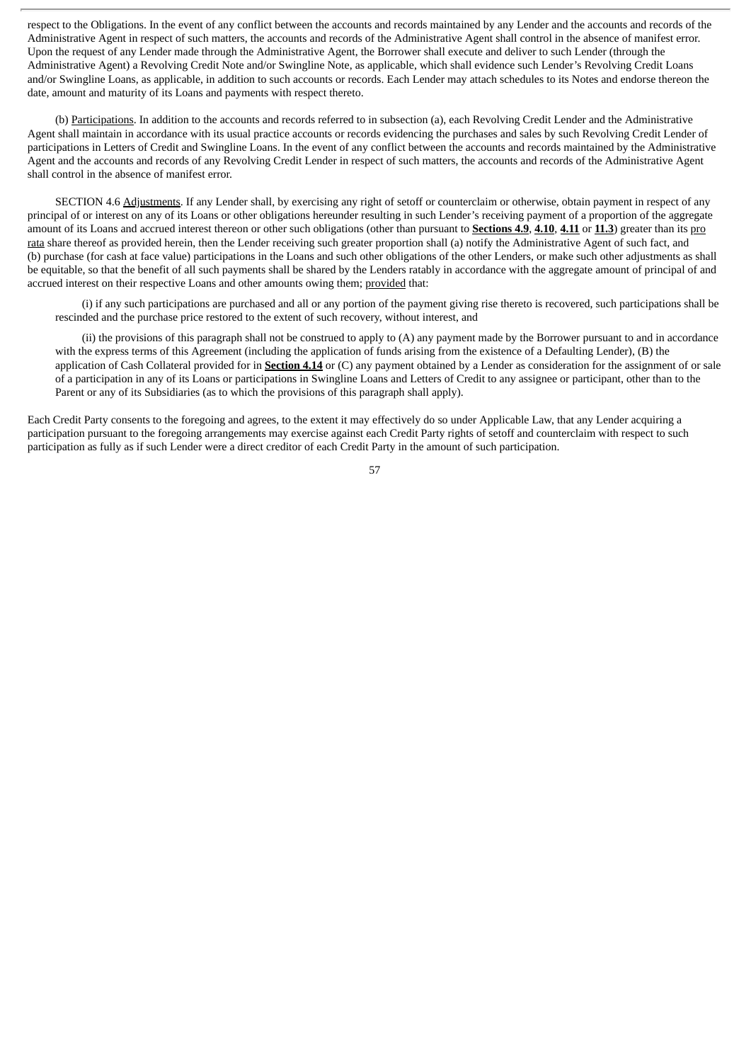respect to the Obligations. In the event of any conflict between the accounts and records maintained by any Lender and the accounts and records of the Administrative Agent in respect of such matters, the accounts and records of the Administrative Agent shall control in the absence of manifest error. Upon the request of any Lender made through the Administrative Agent, the Borrower shall execute and deliver to such Lender (through the Administrative Agent) a Revolving Credit Note and/or Swingline Note, as applicable, which shall evidence such Lender's Revolving Credit Loans and/or Swingline Loans, as applicable, in addition to such accounts or records. Each Lender may attach schedules to its Notes and endorse thereon the date, amount and maturity of its Loans and payments with respect thereto.

(b) Participations. In addition to the accounts and records referred to in subsection (a), each Revolving Credit Lender and the Administrative Agent shall maintain in accordance with its usual practice accounts or records evidencing the purchases and sales by such Revolving Credit Lender of participations in Letters of Credit and Swingline Loans. In the event of any conflict between the accounts and records maintained by the Administrative Agent and the accounts and records of any Revolving Credit Lender in respect of such matters, the accounts and records of the Administrative Agent shall control in the absence of manifest error.

SECTION 4.6 Adjustments. If any Lender shall, by exercising any right of setoff or counterclaim or otherwise, obtain payment in respect of any principal of or interest on any of its Loans or other obligations hereunder resulting in such Lender's receiving payment of a proportion of the aggregate amount of its Loans and accrued interest thereon or other such obligations (other than pursuant to **Sections 4.9**, **4.10**, **4.11** or **11.3**) greater than its pro rata share thereof as provided herein, then the Lender receiving such greater proportion shall (a) notify the Administrative Agent of such fact, and (b) purchase (for cash at face value) participations in the Loans and such other obligations of the other Lenders, or make such other adjustments as shall be equitable, so that the benefit of all such payments shall be shared by the Lenders ratably in accordance with the aggregate amount of principal of and accrued interest on their respective Loans and other amounts owing them; provided that:

(i) if any such participations are purchased and all or any portion of the payment giving rise thereto is recovered, such participations shall be rescinded and the purchase price restored to the extent of such recovery, without interest, and

(ii) the provisions of this paragraph shall not be construed to apply to (A) any payment made by the Borrower pursuant to and in accordance with the express terms of this Agreement (including the application of funds arising from the existence of a Defaulting Lender), (B) the application of Cash Collateral provided for in **Section 4.14** or (C) any payment obtained by a Lender as consideration for the assignment of or sale of a participation in any of its Loans or participations in Swingline Loans and Letters of Credit to any assignee or participant, other than to the Parent or any of its Subsidiaries (as to which the provisions of this paragraph shall apply).

Each Credit Party consents to the foregoing and agrees, to the extent it may effectively do so under Applicable Law, that any Lender acquiring a participation pursuant to the foregoing arrangements may exercise against each Credit Party rights of setoff and counterclaim with respect to such participation as fully as if such Lender were a direct creditor of each Credit Party in the amount of such participation.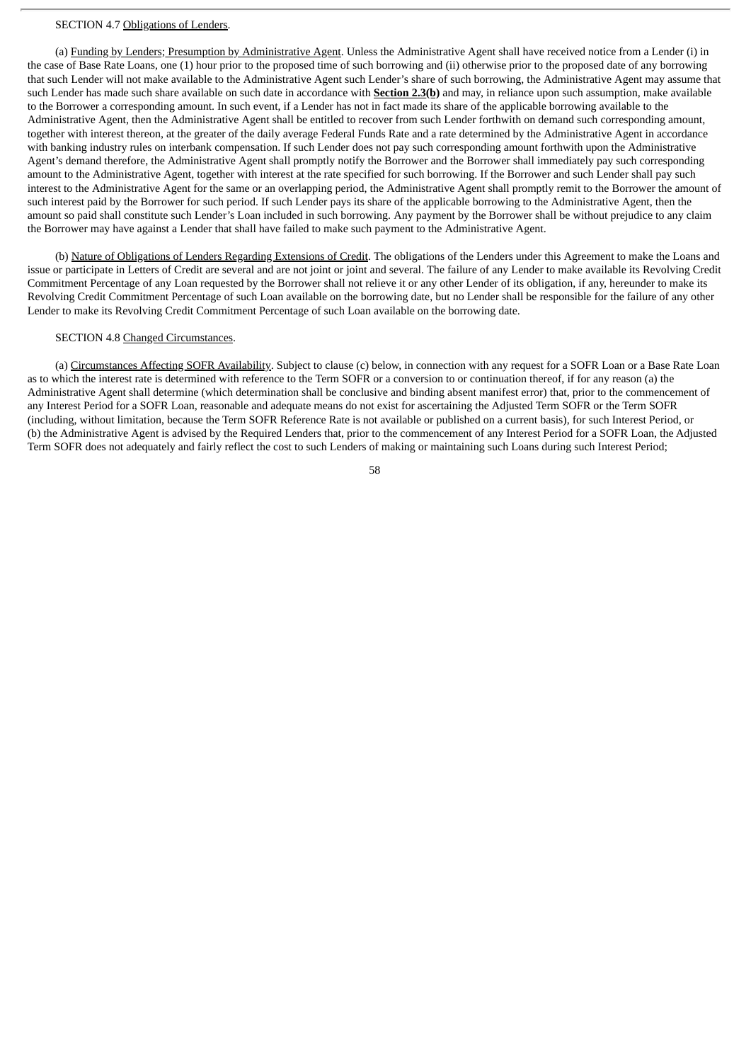# SECTION 4.7 Obligations of Lenders.

(a) Funding by Lenders; Presumption by Administrative Agent. Unless the Administrative Agent shall have received notice from a Lender (i) in the case of Base Rate Loans, one (1) hour prior to the proposed time of such borrowing and (ii) otherwise prior to the proposed date of any borrowing that such Lender will not make available to the Administrative Agent such Lender's share of such borrowing, the Administrative Agent may assume that such Lender has made such share available on such date in accordance with **Section 2.3(b)** and may, in reliance upon such assumption, make available to the Borrower a corresponding amount. In such event, if a Lender has not in fact made its share of the applicable borrowing available to the Administrative Agent, then the Administrative Agent shall be entitled to recover from such Lender forthwith on demand such corresponding amount, together with interest thereon, at the greater of the daily average Federal Funds Rate and a rate determined by the Administrative Agent in accordance with banking industry rules on interbank compensation. If such Lender does not pay such corresponding amount forthwith upon the Administrative Agent's demand therefore, the Administrative Agent shall promptly notify the Borrower and the Borrower shall immediately pay such corresponding amount to the Administrative Agent, together with interest at the rate specified for such borrowing. If the Borrower and such Lender shall pay such interest to the Administrative Agent for the same or an overlapping period, the Administrative Agent shall promptly remit to the Borrower the amount of such interest paid by the Borrower for such period. If such Lender pays its share of the applicable borrowing to the Administrative Agent, then the amount so paid shall constitute such Lender's Loan included in such borrowing. Any payment by the Borrower shall be without prejudice to any claim the Borrower may have against a Lender that shall have failed to make such payment to the Administrative Agent.

(b) Nature of Obligations of Lenders Regarding Extensions of Credit. The obligations of the Lenders under this Agreement to make the Loans and issue or participate in Letters of Credit are several and are not joint or joint and several. The failure of any Lender to make available its Revolving Credit Commitment Percentage of any Loan requested by the Borrower shall not relieve it or any other Lender of its obligation, if any, hereunder to make its Revolving Credit Commitment Percentage of such Loan available on the borrowing date, but no Lender shall be responsible for the failure of any other Lender to make its Revolving Credit Commitment Percentage of such Loan available on the borrowing date.

# SECTION 4.8 Changed Circumstances.

(a) Circumstances Affecting SOFR Availability. Subject to clause (c) below, in connection with any request for a SOFR Loan or a Base Rate Loan as to which the interest rate is determined with reference to the Term SOFR or a conversion to or continuation thereof, if for any reason (a) the Administrative Agent shall determine (which determination shall be conclusive and binding absent manifest error) that, prior to the commencement of any Interest Period for a SOFR Loan, reasonable and adequate means do not exist for ascertaining the Adjusted Term SOFR or the Term SOFR (including, without limitation, because the Term SOFR Reference Rate is not available or published on a current basis), for such Interest Period, or (b) the Administrative Agent is advised by the Required Lenders that, prior to the commencement of any Interest Period for a SOFR Loan, the Adjusted Term SOFR does not adequately and fairly reflect the cost to such Lenders of making or maintaining such Loans during such Interest Period;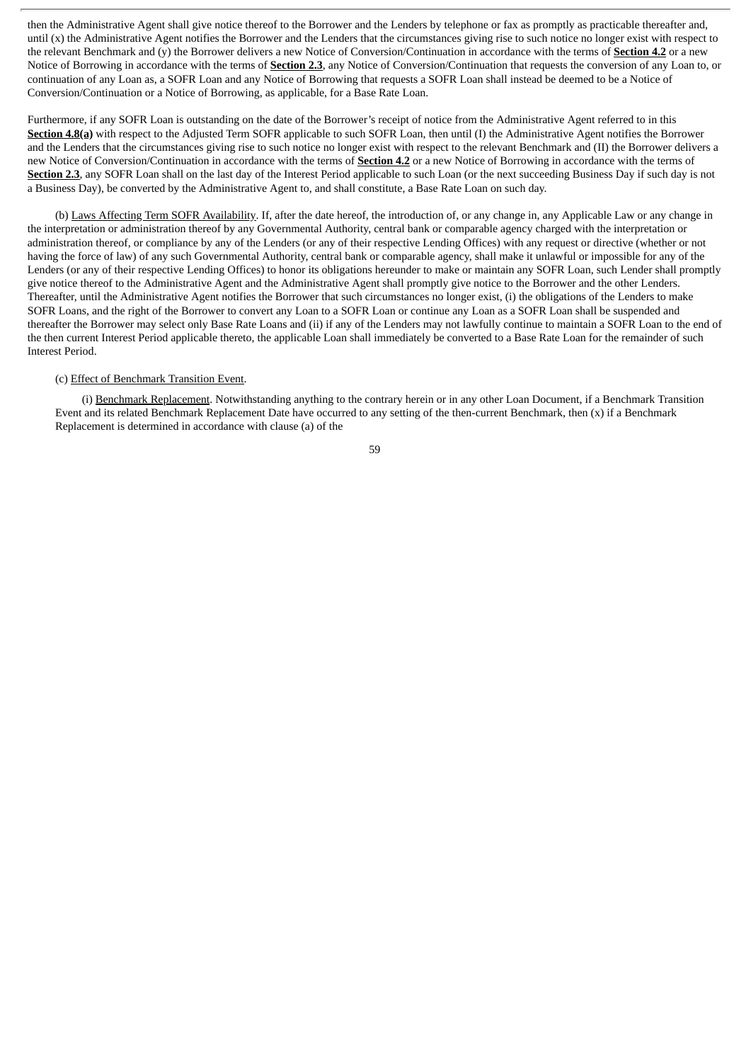then the Administrative Agent shall give notice thereof to the Borrower and the Lenders by telephone or fax as promptly as practicable thereafter and, until (x) the Administrative Agent notifies the Borrower and the Lenders that the circumstances giving rise to such notice no longer exist with respect to the relevant Benchmark and (y) the Borrower delivers a new Notice of Conversion/Continuation in accordance with the terms of **Section 4.2** or a new Notice of Borrowing in accordance with the terms of **Section 2.3**, any Notice of Conversion/Continuation that requests the conversion of any Loan to, or continuation of any Loan as, a SOFR Loan and any Notice of Borrowing that requests a SOFR Loan shall instead be deemed to be a Notice of Conversion/Continuation or a Notice of Borrowing, as applicable, for a Base Rate Loan.

Furthermore, if any SOFR Loan is outstanding on the date of the Borrower's receipt of notice from the Administrative Agent referred to in this **Section 4.8(a)** with respect to the Adjusted Term SOFR applicable to such SOFR Loan, then until (I) the Administrative Agent notifies the Borrower and the Lenders that the circumstances giving rise to such notice no longer exist with respect to the relevant Benchmark and (II) the Borrower delivers a new Notice of Conversion/Continuation in accordance with the terms of **Section 4.2** or a new Notice of Borrowing in accordance with the terms of **Section 2.3**, any SOFR Loan shall on the last day of the Interest Period applicable to such Loan (or the next succeeding Business Day if such day is not a Business Day), be converted by the Administrative Agent to, and shall constitute, a Base Rate Loan on such day.

(b) Laws Affecting Term SOFR Availability. If, after the date hereof, the introduction of, or any change in, any Applicable Law or any change in the interpretation or administration thereof by any Governmental Authority, central bank or comparable agency charged with the interpretation or administration thereof, or compliance by any of the Lenders (or any of their respective Lending Offices) with any request or directive (whether or not having the force of law) of any such Governmental Authority, central bank or comparable agency, shall make it unlawful or impossible for any of the Lenders (or any of their respective Lending Offices) to honor its obligations hereunder to make or maintain any SOFR Loan, such Lender shall promptly give notice thereof to the Administrative Agent and the Administrative Agent shall promptly give notice to the Borrower and the other Lenders. Thereafter, until the Administrative Agent notifies the Borrower that such circumstances no longer exist, (i) the obligations of the Lenders to make SOFR Loans, and the right of the Borrower to convert any Loan to a SOFR Loan or continue any Loan as a SOFR Loan shall be suspended and thereafter the Borrower may select only Base Rate Loans and (ii) if any of the Lenders may not lawfully continue to maintain a SOFR Loan to the end of the then current Interest Period applicable thereto, the applicable Loan shall immediately be converted to a Base Rate Loan for the remainder of such Interest Period.

# (c) Effect of Benchmark Transition Event.

(i) Benchmark Replacement. Notwithstanding anything to the contrary herein or in any other Loan Document, if a Benchmark Transition Event and its related Benchmark Replacement Date have occurred to any setting of the then-current Benchmark, then (x) if a Benchmark Replacement is determined in accordance with clause (a) of the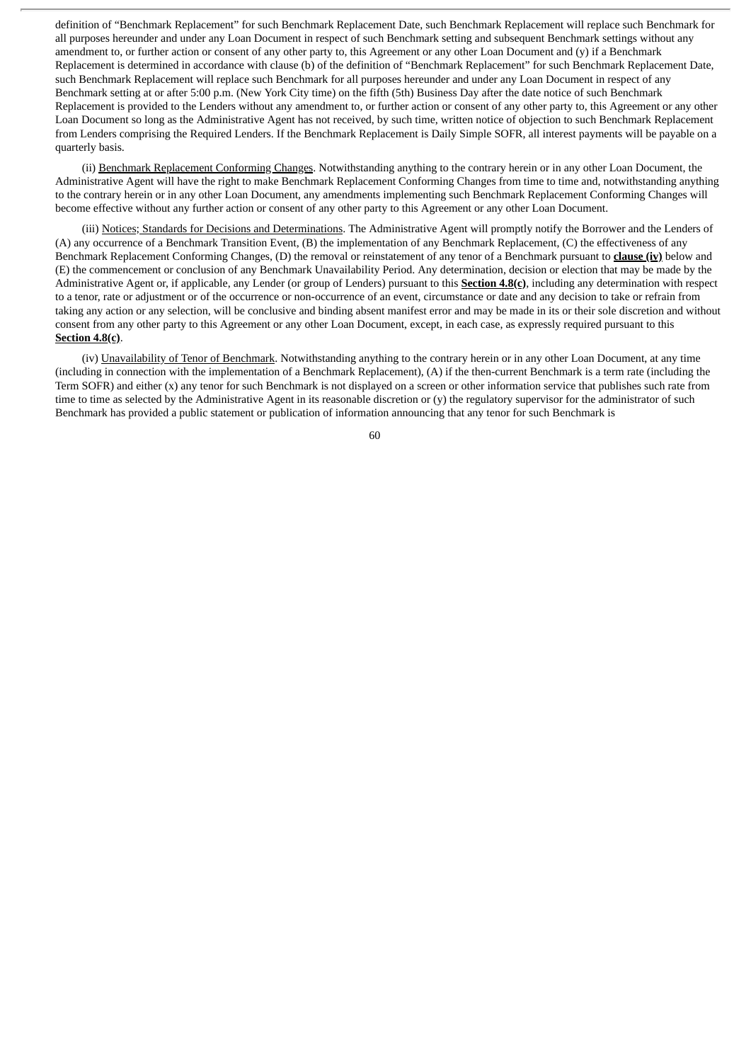definition of "Benchmark Replacement" for such Benchmark Replacement Date, such Benchmark Replacement will replace such Benchmark for all purposes hereunder and under any Loan Document in respect of such Benchmark setting and subsequent Benchmark settings without any amendment to, or further action or consent of any other party to, this Agreement or any other Loan Document and (y) if a Benchmark Replacement is determined in accordance with clause (b) of the definition of "Benchmark Replacement" for such Benchmark Replacement Date, such Benchmark Replacement will replace such Benchmark for all purposes hereunder and under any Loan Document in respect of any Benchmark setting at or after 5:00 p.m. (New York City time) on the fifth (5th) Business Day after the date notice of such Benchmark Replacement is provided to the Lenders without any amendment to, or further action or consent of any other party to, this Agreement or any other Loan Document so long as the Administrative Agent has not received, by such time, written notice of objection to such Benchmark Replacement from Lenders comprising the Required Lenders. If the Benchmark Replacement is Daily Simple SOFR, all interest payments will be payable on a quarterly basis.

(ii) Benchmark Replacement Conforming Changes. Notwithstanding anything to the contrary herein or in any other Loan Document, the Administrative Agent will have the right to make Benchmark Replacement Conforming Changes from time to time and, notwithstanding anything to the contrary herein or in any other Loan Document, any amendments implementing such Benchmark Replacement Conforming Changes will become effective without any further action or consent of any other party to this Agreement or any other Loan Document.

(iii) Notices; Standards for Decisions and Determinations. The Administrative Agent will promptly notify the Borrower and the Lenders of (A) any occurrence of a Benchmark Transition Event, (B) the implementation of any Benchmark Replacement, (C) the effectiveness of any Benchmark Replacement Conforming Changes, (D) the removal or reinstatement of any tenor of a Benchmark pursuant to **clause (iv)** below and (E) the commencement or conclusion of any Benchmark Unavailability Period. Any determination, decision or election that may be made by the Administrative Agent or, if applicable, any Lender (or group of Lenders) pursuant to this **Section 4.8(c)**, including any determination with respect to a tenor, rate or adjustment or of the occurrence or non-occurrence of an event, circumstance or date and any decision to take or refrain from taking any action or any selection, will be conclusive and binding absent manifest error and may be made in its or their sole discretion and without consent from any other party to this Agreement or any other Loan Document, except, in each case, as expressly required pursuant to this **Section 4.8(c)**.

(iv) Unavailability of Tenor of Benchmark. Notwithstanding anything to the contrary herein or in any other Loan Document, at any time (including in connection with the implementation of a Benchmark Replacement), (A) if the then-current Benchmark is a term rate (including the Term SOFR) and either (x) any tenor for such Benchmark is not displayed on a screen or other information service that publishes such rate from time to time as selected by the Administrative Agent in its reasonable discretion or (y) the regulatory supervisor for the administrator of such Benchmark has provided a public statement or publication of information announcing that any tenor for such Benchmark is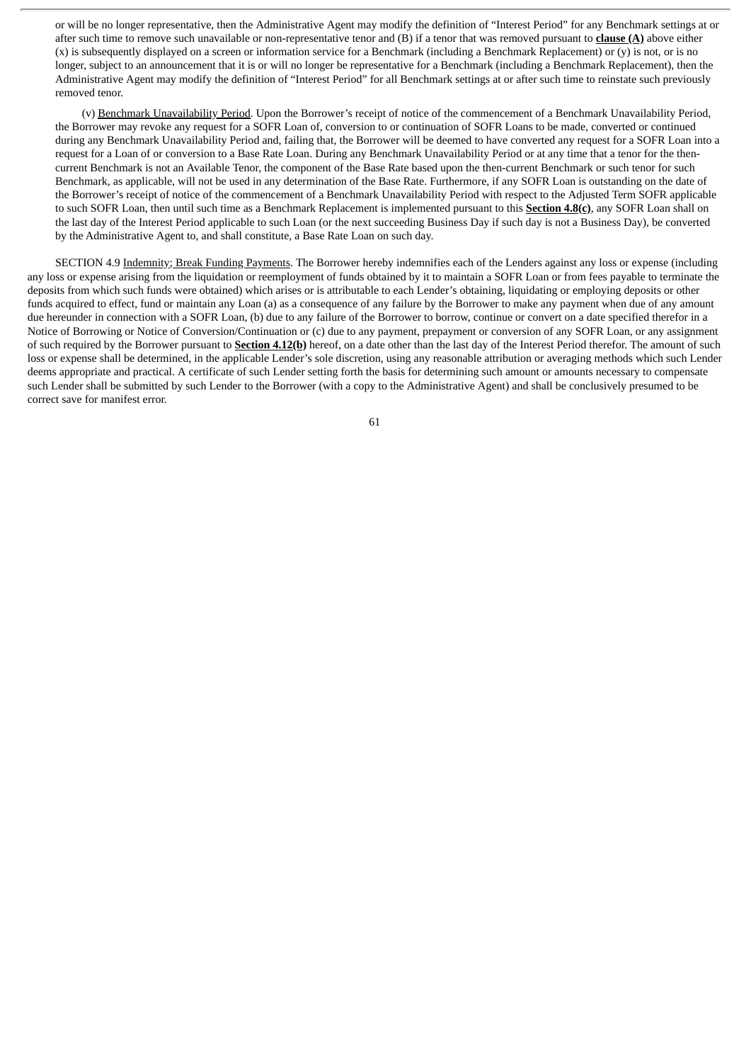or will be no longer representative, then the Administrative Agent may modify the definition of "Interest Period" for any Benchmark settings at or after such time to remove such unavailable or non-representative tenor and (B) if a tenor that was removed pursuant to **clause (A)** above either (x) is subsequently displayed on a screen or information service for a Benchmark (including a Benchmark Replacement) or (y) is not, or is no longer, subject to an announcement that it is or will no longer be representative for a Benchmark (including a Benchmark Replacement), then the Administrative Agent may modify the definition of "Interest Period" for all Benchmark settings at or after such time to reinstate such previously removed tenor.

(v) Benchmark Unavailability Period. Upon the Borrower's receipt of notice of the commencement of a Benchmark Unavailability Period, the Borrower may revoke any request for a SOFR Loan of, conversion to or continuation of SOFR Loans to be made, converted or continued during any Benchmark Unavailability Period and, failing that, the Borrower will be deemed to have converted any request for a SOFR Loan into a request for a Loan of or conversion to a Base Rate Loan. During any Benchmark Unavailability Period or at any time that a tenor for the thencurrent Benchmark is not an Available Tenor, the component of the Base Rate based upon the then-current Benchmark or such tenor for such Benchmark, as applicable, will not be used in any determination of the Base Rate. Furthermore, if any SOFR Loan is outstanding on the date of the Borrower's receipt of notice of the commencement of a Benchmark Unavailability Period with respect to the Adjusted Term SOFR applicable to such SOFR Loan, then until such time as a Benchmark Replacement is implemented pursuant to this **Section 4.8(c)**, any SOFR Loan shall on the last day of the Interest Period applicable to such Loan (or the next succeeding Business Day if such day is not a Business Day), be converted by the Administrative Agent to, and shall constitute, a Base Rate Loan on such day.

SECTION 4.9 Indemnity; Break Funding Payments. The Borrower hereby indemnifies each of the Lenders against any loss or expense (including any loss or expense arising from the liquidation or reemployment of funds obtained by it to maintain a SOFR Loan or from fees payable to terminate the deposits from which such funds were obtained) which arises or is attributable to each Lender's obtaining, liquidating or employing deposits or other funds acquired to effect, fund or maintain any Loan (a) as a consequence of any failure by the Borrower to make any payment when due of any amount due hereunder in connection with a SOFR Loan, (b) due to any failure of the Borrower to borrow, continue or convert on a date specified therefor in a Notice of Borrowing or Notice of Conversion/Continuation or (c) due to any payment, prepayment or conversion of any SOFR Loan, or any assignment of such required by the Borrower pursuant to **Section 4.12(b)** hereof, on a date other than the last day of the Interest Period therefor. The amount of such loss or expense shall be determined, in the applicable Lender's sole discretion, using any reasonable attribution or averaging methods which such Lender deems appropriate and practical. A certificate of such Lender setting forth the basis for determining such amount or amounts necessary to compensate such Lender shall be submitted by such Lender to the Borrower (with a copy to the Administrative Agent) and shall be conclusively presumed to be correct save for manifest error.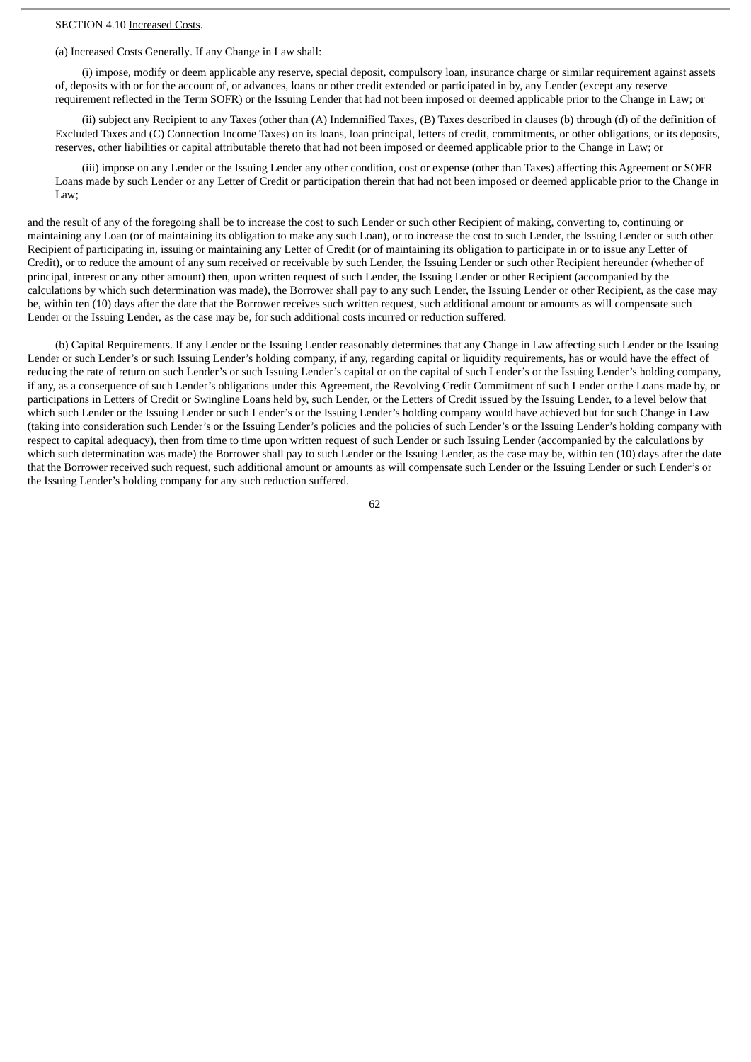# SECTION 4.10 Increased Costs.

(a) Increased Costs Generally. If any Change in Law shall:

(i) impose, modify or deem applicable any reserve, special deposit, compulsory loan, insurance charge or similar requirement against assets of, deposits with or for the account of, or advances, loans or other credit extended or participated in by, any Lender (except any reserve requirement reflected in the Term SOFR) or the Issuing Lender that had not been imposed or deemed applicable prior to the Change in Law; or

(ii) subject any Recipient to any Taxes (other than (A) Indemnified Taxes, (B) Taxes described in clauses (b) through (d) of the definition of Excluded Taxes and (C) Connection Income Taxes) on its loans, loan principal, letters of credit, commitments, or other obligations, or its deposits, reserves, other liabilities or capital attributable thereto that had not been imposed or deemed applicable prior to the Change in Law; or

(iii) impose on any Lender or the Issuing Lender any other condition, cost or expense (other than Taxes) affecting this Agreement or SOFR Loans made by such Lender or any Letter of Credit or participation therein that had not been imposed or deemed applicable prior to the Change in  $Law$ ;

and the result of any of the foregoing shall be to increase the cost to such Lender or such other Recipient of making, converting to, continuing or maintaining any Loan (or of maintaining its obligation to make any such Loan), or to increase the cost to such Lender, the Issuing Lender or such other Recipient of participating in, issuing or maintaining any Letter of Credit (or of maintaining its obligation to participate in or to issue any Letter of Credit), or to reduce the amount of any sum received or receivable by such Lender, the Issuing Lender or such other Recipient hereunder (whether of principal, interest or any other amount) then, upon written request of such Lender, the Issuing Lender or other Recipient (accompanied by the calculations by which such determination was made), the Borrower shall pay to any such Lender, the Issuing Lender or other Recipient, as the case may be, within ten (10) days after the date that the Borrower receives such written request, such additional amount or amounts as will compensate such Lender or the Issuing Lender, as the case may be, for such additional costs incurred or reduction suffered.

(b) Capital Requirements. If any Lender or the Issuing Lender reasonably determines that any Change in Law affecting such Lender or the Issuing Lender or such Lender's or such Issuing Lender's holding company, if any, regarding capital or liquidity requirements, has or would have the effect of reducing the rate of return on such Lender's or such Issuing Lender's capital or on the capital of such Lender's or the Issuing Lender's holding company, if any, as a consequence of such Lender's obligations under this Agreement, the Revolving Credit Commitment of such Lender or the Loans made by, or participations in Letters of Credit or Swingline Loans held by, such Lender, or the Letters of Credit issued by the Issuing Lender, to a level below that which such Lender or the Issuing Lender or such Lender's or the Issuing Lender's holding company would have achieved but for such Change in Law (taking into consideration such Lender's or the Issuing Lender's policies and the policies of such Lender's or the Issuing Lender's holding company with respect to capital adequacy), then from time to time upon written request of such Lender or such Issuing Lender (accompanied by the calculations by which such determination was made) the Borrower shall pay to such Lender or the Issuing Lender, as the case may be, within ten (10) days after the date that the Borrower received such request, such additional amount or amounts as will compensate such Lender or the Issuing Lender or such Lender's or the Issuing Lender's holding company for any such reduction suffered.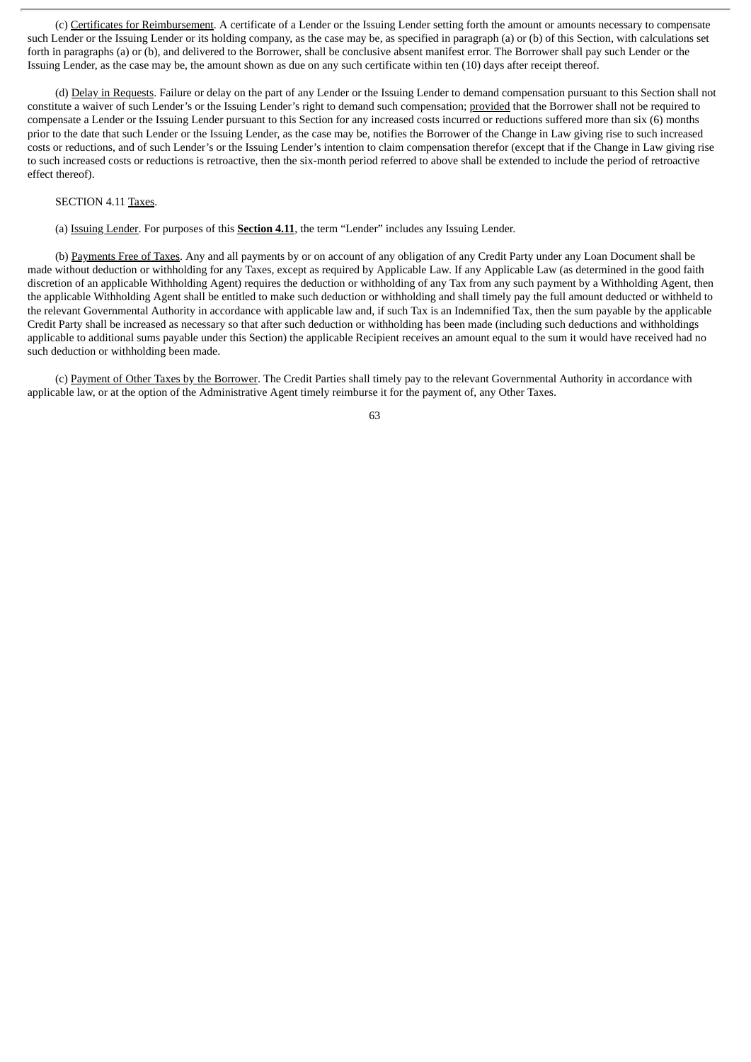(c) Certificates for Reimbursement. A certificate of a Lender or the Issuing Lender setting forth the amount or amounts necessary to compensate such Lender or the Issuing Lender or its holding company, as the case may be, as specified in paragraph (a) or (b) of this Section, with calculations set forth in paragraphs (a) or (b), and delivered to the Borrower, shall be conclusive absent manifest error. The Borrower shall pay such Lender or the Issuing Lender, as the case may be, the amount shown as due on any such certificate within ten (10) days after receipt thereof.

(d) Delay in Requests. Failure or delay on the part of any Lender or the Issuing Lender to demand compensation pursuant to this Section shall not constitute a waiver of such Lender's or the Issuing Lender's right to demand such compensation; provided that the Borrower shall not be required to compensate a Lender or the Issuing Lender pursuant to this Section for any increased costs incurred or reductions suffered more than six (6) months prior to the date that such Lender or the Issuing Lender, as the case may be, notifies the Borrower of the Change in Law giving rise to such increased costs or reductions, and of such Lender's or the Issuing Lender's intention to claim compensation therefor (except that if the Change in Law giving rise to such increased costs or reductions is retroactive, then the six-month period referred to above shall be extended to include the period of retroactive effect thereof).

# SECTION 4.11 Taxes.

(a) Issuing Lender. For purposes of this **Section 4.11**, the term "Lender" includes any Issuing Lender.

(b) Payments Free of Taxes. Any and all payments by or on account of any obligation of any Credit Party under any Loan Document shall be made without deduction or withholding for any Taxes, except as required by Applicable Law. If any Applicable Law (as determined in the good faith discretion of an applicable Withholding Agent) requires the deduction or withholding of any Tax from any such payment by a Withholding Agent, then the applicable Withholding Agent shall be entitled to make such deduction or withholding and shall timely pay the full amount deducted or withheld to the relevant Governmental Authority in accordance with applicable law and, if such Tax is an Indemnified Tax, then the sum payable by the applicable Credit Party shall be increased as necessary so that after such deduction or withholding has been made (including such deductions and withholdings applicable to additional sums payable under this Section) the applicable Recipient receives an amount equal to the sum it would have received had no such deduction or withholding been made.

(c) Payment of Other Taxes by the Borrower. The Credit Parties shall timely pay to the relevant Governmental Authority in accordance with applicable law, or at the option of the Administrative Agent timely reimburse it for the payment of, any Other Taxes.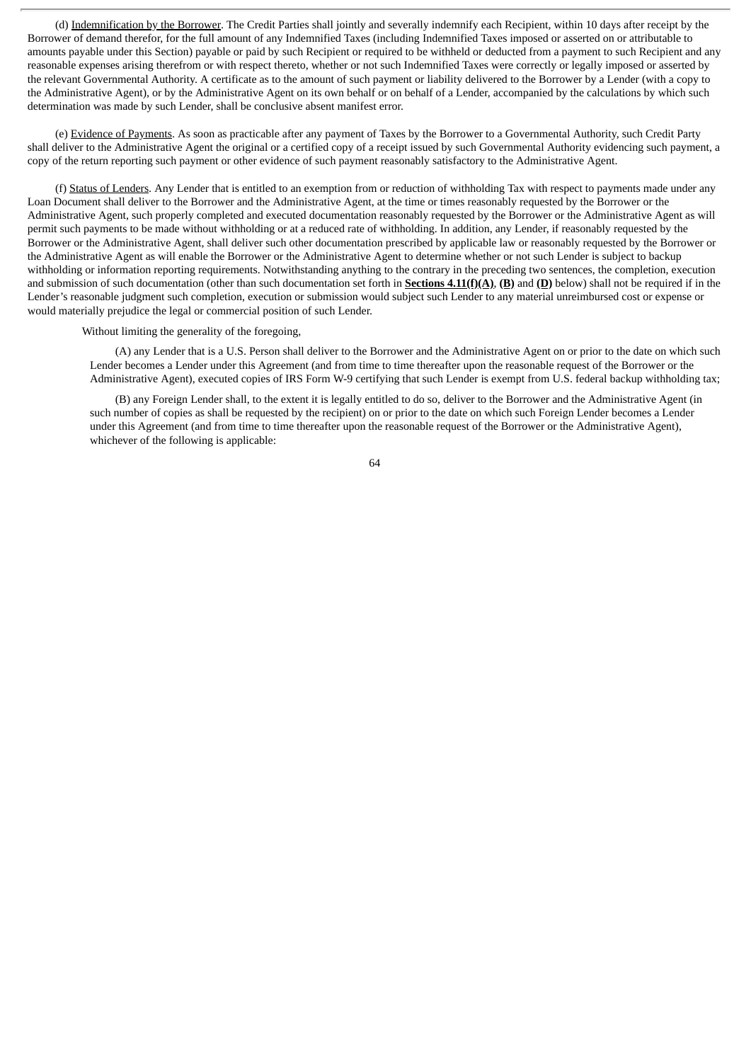(d) Indemnification by the Borrower. The Credit Parties shall jointly and severally indemnify each Recipient, within 10 days after receipt by the Borrower of demand therefor, for the full amount of any Indemnified Taxes (including Indemnified Taxes imposed or asserted on or attributable to amounts payable under this Section) payable or paid by such Recipient or required to be withheld or deducted from a payment to such Recipient and any reasonable expenses arising therefrom or with respect thereto, whether or not such Indemnified Taxes were correctly or legally imposed or asserted by the relevant Governmental Authority. A certificate as to the amount of such payment or liability delivered to the Borrower by a Lender (with a copy to the Administrative Agent), or by the Administrative Agent on its own behalf or on behalf of a Lender, accompanied by the calculations by which such determination was made by such Lender, shall be conclusive absent manifest error.

(e) Evidence of Payments. As soon as practicable after any payment of Taxes by the Borrower to a Governmental Authority, such Credit Party shall deliver to the Administrative Agent the original or a certified copy of a receipt issued by such Governmental Authority evidencing such payment, a copy of the return reporting such payment or other evidence of such payment reasonably satisfactory to the Administrative Agent.

(f) Status of Lenders. Any Lender that is entitled to an exemption from or reduction of withholding Tax with respect to payments made under any Loan Document shall deliver to the Borrower and the Administrative Agent, at the time or times reasonably requested by the Borrower or the Administrative Agent, such properly completed and executed documentation reasonably requested by the Borrower or the Administrative Agent as will permit such payments to be made without withholding or at a reduced rate of withholding. In addition, any Lender, if reasonably requested by the Borrower or the Administrative Agent, shall deliver such other documentation prescribed by applicable law or reasonably requested by the Borrower or the Administrative Agent as will enable the Borrower or the Administrative Agent to determine whether or not such Lender is subject to backup withholding or information reporting requirements. Notwithstanding anything to the contrary in the preceding two sentences, the completion, execution and submission of such documentation (other than such documentation set forth in **Sections 4.11(f)(A)**, **(B)** and **(D)** below) shall not be required if in the Lender's reasonable judgment such completion, execution or submission would subject such Lender to any material unreimbursed cost or expense or would materially prejudice the legal or commercial position of such Lender.

Without limiting the generality of the foregoing,

(A) any Lender that is a U.S. Person shall deliver to the Borrower and the Administrative Agent on or prior to the date on which such Lender becomes a Lender under this Agreement (and from time to time thereafter upon the reasonable request of the Borrower or the Administrative Agent), executed copies of IRS Form W-9 certifying that such Lender is exempt from U.S. federal backup withholding tax;

(B) any Foreign Lender shall, to the extent it is legally entitled to do so, deliver to the Borrower and the Administrative Agent (in such number of copies as shall be requested by the recipient) on or prior to the date on which such Foreign Lender becomes a Lender under this Agreement (and from time to time thereafter upon the reasonable request of the Borrower or the Administrative Agent), whichever of the following is applicable: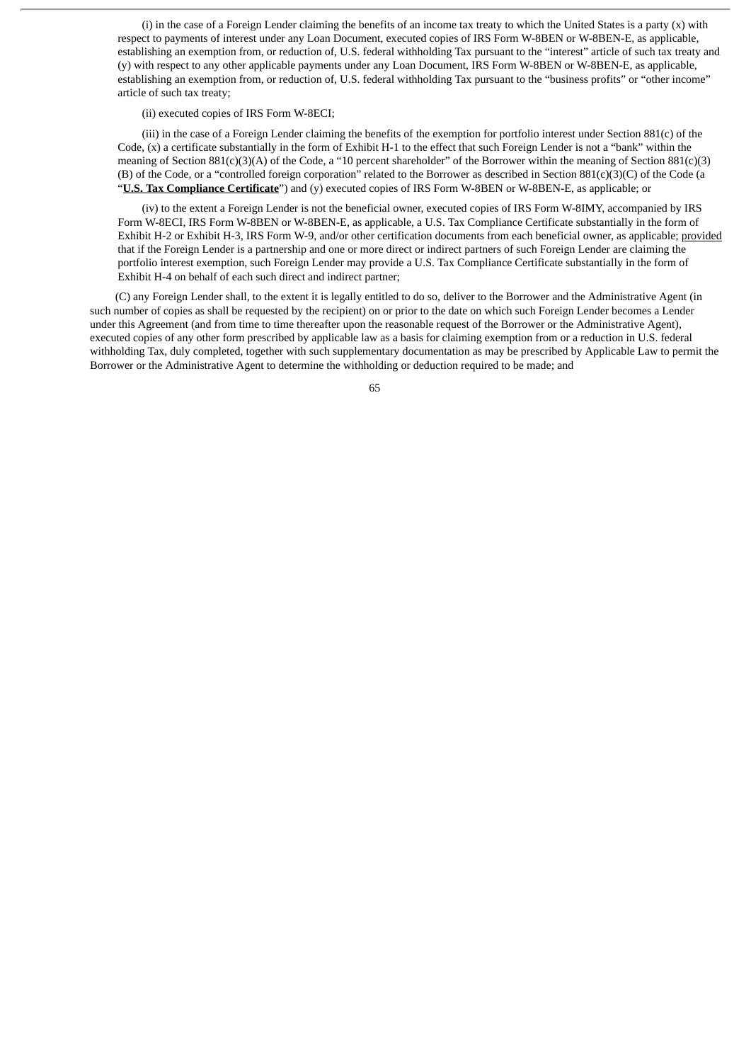(i) in the case of a Foreign Lender claiming the benefits of an income tax treaty to which the United States is a party (x) with respect to payments of interest under any Loan Document, executed copies of IRS Form W-8BEN or W-8BEN-E, as applicable, establishing an exemption from, or reduction of, U.S. federal withholding Tax pursuant to the "interest" article of such tax treaty and (y) with respect to any other applicable payments under any Loan Document, IRS Form W-8BEN or W-8BEN-E, as applicable, establishing an exemption from, or reduction of, U.S. federal withholding Tax pursuant to the "business profits" or "other income" article of such tax treaty;

(ii) executed copies of IRS Form W-8ECI;

(iii) in the case of a Foreign Lender claiming the benefits of the exemption for portfolio interest under Section 881(c) of the Code, (x) a certificate substantially in the form of Exhibit H-1 to the effect that such Foreign Lender is not a "bank" within the meaning of Section 881(c)(3)(A) of the Code, a "10 percent shareholder" of the Borrower within the meaning of Section 881(c)(3) (B) of the Code, or a "controlled foreign corporation" related to the Borrower as described in Section 881(c)(3)(C) of the Code (a "**U.S. Tax Compliance Certificate**") and (y) executed copies of IRS Form W-8BEN or W-8BEN-E, as applicable; or

(iv) to the extent a Foreign Lender is not the beneficial owner, executed copies of IRS Form W-8IMY, accompanied by IRS Form W-8ECI, IRS Form W-8BEN or W-8BEN-E, as applicable, a U.S. Tax Compliance Certificate substantially in the form of Exhibit H-2 or Exhibit H-3, IRS Form W-9, and/or other certification documents from each beneficial owner, as applicable; provided that if the Foreign Lender is a partnership and one or more direct or indirect partners of such Foreign Lender are claiming the portfolio interest exemption, such Foreign Lender may provide a U.S. Tax Compliance Certificate substantially in the form of Exhibit H-4 on behalf of each such direct and indirect partner;

(C) any Foreign Lender shall, to the extent it is legally entitled to do so, deliver to the Borrower and the Administrative Agent (in such number of copies as shall be requested by the recipient) on or prior to the date on which such Foreign Lender becomes a Lender under this Agreement (and from time to time thereafter upon the reasonable request of the Borrower or the Administrative Agent), executed copies of any other form prescribed by applicable law as a basis for claiming exemption from or a reduction in U.S. federal withholding Tax, duly completed, together with such supplementary documentation as may be prescribed by Applicable Law to permit the Borrower or the Administrative Agent to determine the withholding or deduction required to be made; and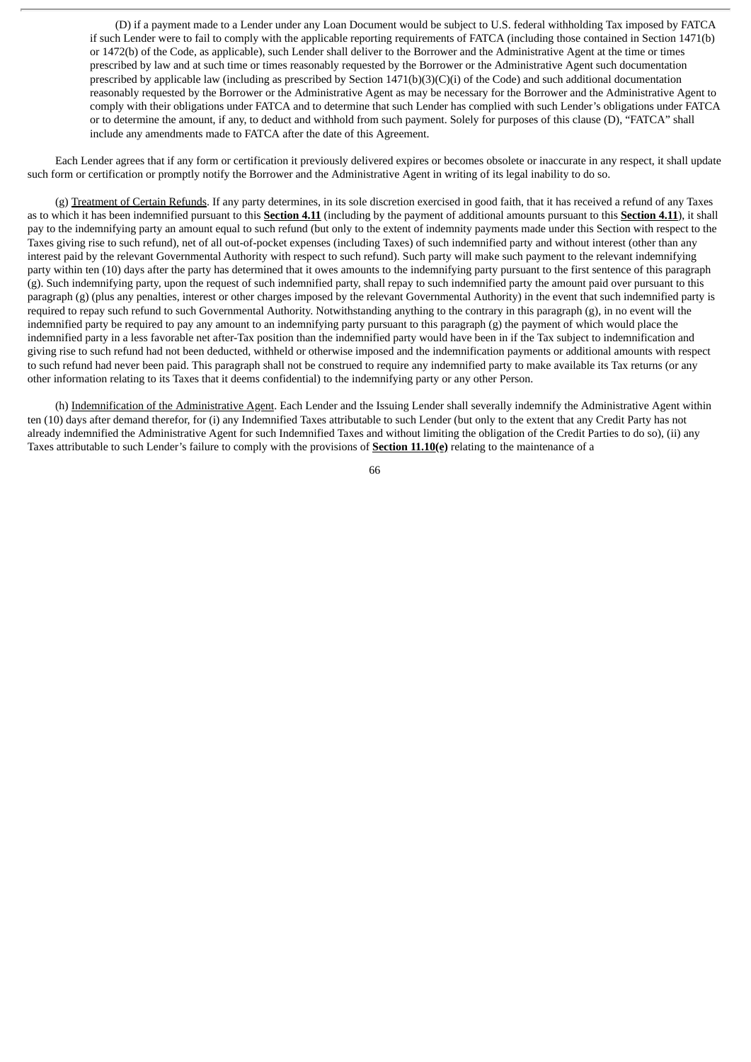(D) if a payment made to a Lender under any Loan Document would be subject to U.S. federal withholding Tax imposed by FATCA if such Lender were to fail to comply with the applicable reporting requirements of FATCA (including those contained in Section 1471(b) or 1472(b) of the Code, as applicable), such Lender shall deliver to the Borrower and the Administrative Agent at the time or times prescribed by law and at such time or times reasonably requested by the Borrower or the Administrative Agent such documentation prescribed by applicable law (including as prescribed by Section 1471(b)(3)(C)(i) of the Code) and such additional documentation reasonably requested by the Borrower or the Administrative Agent as may be necessary for the Borrower and the Administrative Agent to comply with their obligations under FATCA and to determine that such Lender has complied with such Lender's obligations under FATCA or to determine the amount, if any, to deduct and withhold from such payment. Solely for purposes of this clause (D), "FATCA" shall include any amendments made to FATCA after the date of this Agreement.

Each Lender agrees that if any form or certification it previously delivered expires or becomes obsolete or inaccurate in any respect, it shall update such form or certification or promptly notify the Borrower and the Administrative Agent in writing of its legal inability to do so.

(g) Treatment of Certain Refunds. If any party determines, in its sole discretion exercised in good faith, that it has received a refund of any Taxes as to which it has been indemnified pursuant to this **Section 4.11** (including by the payment of additional amounts pursuant to this **Section 4.11**), it shall pay to the indemnifying party an amount equal to such refund (but only to the extent of indemnity payments made under this Section with respect to the Taxes giving rise to such refund), net of all out-of-pocket expenses (including Taxes) of such indemnified party and without interest (other than any interest paid by the relevant Governmental Authority with respect to such refund). Such party will make such payment to the relevant indemnifying party within ten (10) days after the party has determined that it owes amounts to the indemnifying party pursuant to the first sentence of this paragraph (g). Such indemnifying party, upon the request of such indemnified party, shall repay to such indemnified party the amount paid over pursuant to this paragraph (g) (plus any penalties, interest or other charges imposed by the relevant Governmental Authority) in the event that such indemnified party is required to repay such refund to such Governmental Authority. Notwithstanding anything to the contrary in this paragraph (g), in no event will the indemnified party be required to pay any amount to an indemnifying party pursuant to this paragraph (g) the payment of which would place the indemnified party in a less favorable net after-Tax position than the indemnified party would have been in if the Tax subject to indemnification and giving rise to such refund had not been deducted, withheld or otherwise imposed and the indemnification payments or additional amounts with respect to such refund had never been paid. This paragraph shall not be construed to require any indemnified party to make available its Tax returns (or any other information relating to its Taxes that it deems confidential) to the indemnifying party or any other Person.

(h) Indemnification of the Administrative Agent. Each Lender and the Issuing Lender shall severally indemnify the Administrative Agent within ten (10) days after demand therefor, for (i) any Indemnified Taxes attributable to such Lender (but only to the extent that any Credit Party has not already indemnified the Administrative Agent for such Indemnified Taxes and without limiting the obligation of the Credit Parties to do so), (ii) any Taxes attributable to such Lender's failure to comply with the provisions of **Section 11.10(e)** relating to the maintenance of a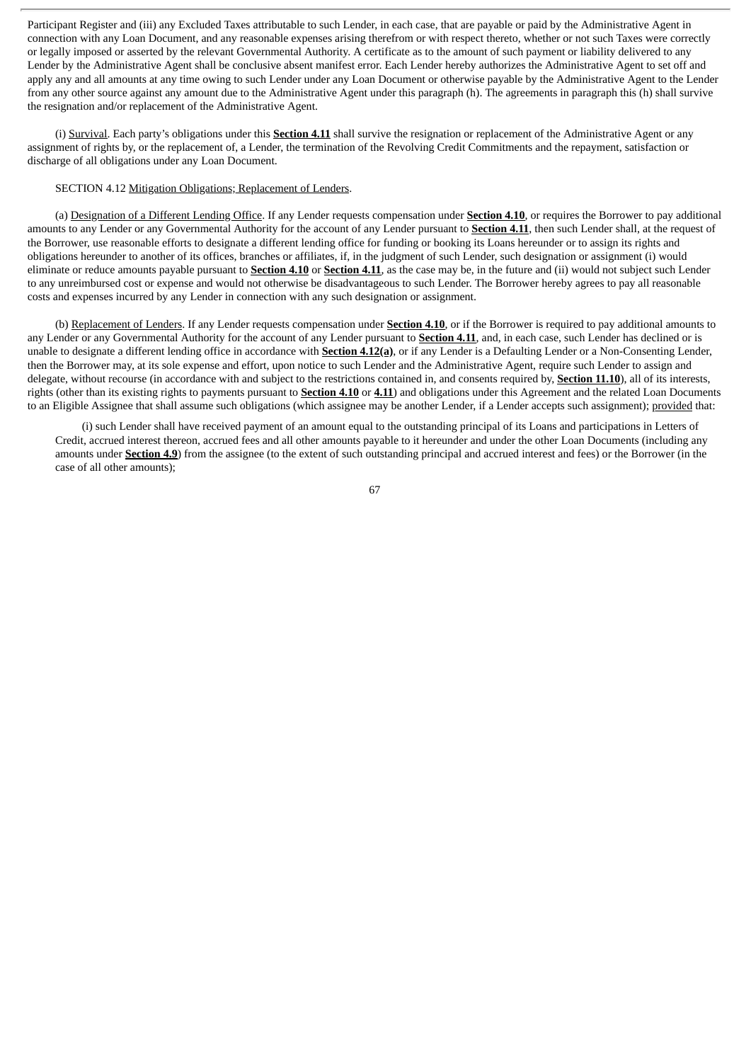Participant Register and (iii) any Excluded Taxes attributable to such Lender, in each case, that are payable or paid by the Administrative Agent in connection with any Loan Document, and any reasonable expenses arising therefrom or with respect thereto, whether or not such Taxes were correctly or legally imposed or asserted by the relevant Governmental Authority. A certificate as to the amount of such payment or liability delivered to any Lender by the Administrative Agent shall be conclusive absent manifest error. Each Lender hereby authorizes the Administrative Agent to set off and apply any and all amounts at any time owing to such Lender under any Loan Document or otherwise payable by the Administrative Agent to the Lender from any other source against any amount due to the Administrative Agent under this paragraph (h). The agreements in paragraph this (h) shall survive the resignation and/or replacement of the Administrative Agent.

(i) Survival. Each party's obligations under this **Section 4.11** shall survive the resignation or replacement of the Administrative Agent or any assignment of rights by, or the replacement of, a Lender, the termination of the Revolving Credit Commitments and the repayment, satisfaction or discharge of all obligations under any Loan Document.

## SECTION 4.12 Mitigation Obligations; Replacement of Lenders.

(a) Designation of a Different Lending Office. If any Lender requests compensation under **Section 4.10**, or requires the Borrower to pay additional amounts to any Lender or any Governmental Authority for the account of any Lender pursuant to **Section 4.11**, then such Lender shall, at the request of the Borrower, use reasonable efforts to designate a different lending office for funding or booking its Loans hereunder or to assign its rights and obligations hereunder to another of its offices, branches or affiliates, if, in the judgment of such Lender, such designation or assignment (i) would eliminate or reduce amounts payable pursuant to **Section 4.10** or **Section 4.11**, as the case may be, in the future and (ii) would not subject such Lender to any unreimbursed cost or expense and would not otherwise be disadvantageous to such Lender. The Borrower hereby agrees to pay all reasonable costs and expenses incurred by any Lender in connection with any such designation or assignment.

(b) Replacement of Lenders. If any Lender requests compensation under **Section 4.10**, or if the Borrower is required to pay additional amounts to any Lender or any Governmental Authority for the account of any Lender pursuant to **Section 4.11**, and, in each case, such Lender has declined or is unable to designate a different lending office in accordance with **Section 4.12(a)**, or if any Lender is a Defaulting Lender or a Non-Consenting Lender, then the Borrower may, at its sole expense and effort, upon notice to such Lender and the Administrative Agent, require such Lender to assign and delegate, without recourse (in accordance with and subject to the restrictions contained in, and consents required by, **Section 11.10**), all of its interests, rights (other than its existing rights to payments pursuant to **Section 4.10** or **4.11**) and obligations under this Agreement and the related Loan Documents to an Eligible Assignee that shall assume such obligations (which assignee may be another Lender, if a Lender accepts such assignment); provided that:

(i) such Lender shall have received payment of an amount equal to the outstanding principal of its Loans and participations in Letters of Credit, accrued interest thereon, accrued fees and all other amounts payable to it hereunder and under the other Loan Documents (including any amounts under **Section 4.9**) from the assignee (to the extent of such outstanding principal and accrued interest and fees) or the Borrower (in the case of all other amounts);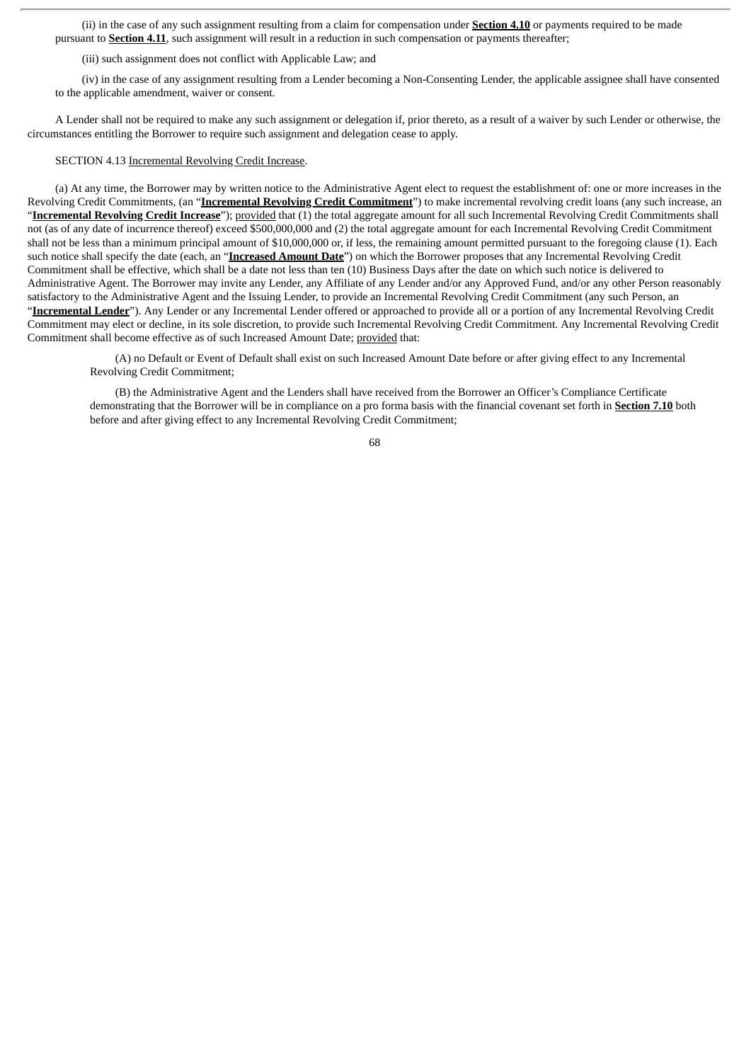(ii) in the case of any such assignment resulting from a claim for compensation under **Section 4.10** or payments required to be made pursuant to **Section 4.11**, such assignment will result in a reduction in such compensation or payments thereafter;

(iii) such assignment does not conflict with Applicable Law; and

(iv) in the case of any assignment resulting from a Lender becoming a Non-Consenting Lender, the applicable assignee shall have consented to the applicable amendment, waiver or consent.

A Lender shall not be required to make any such assignment or delegation if, prior thereto, as a result of a waiver by such Lender or otherwise, the circumstances entitling the Borrower to require such assignment and delegation cease to apply.

SECTION 4.13 Incremental Revolving Credit Increase.

(a) At any time, the Borrower may by written notice to the Administrative Agent elect to request the establishment of: one or more increases in the Revolving Credit Commitments, (an "**Incremental Revolving Credit Commitment**") to make incremental revolving credit loans (any such increase, an "**Incremental Revolving Credit Increase**"); provided that (1) the total aggregate amount for all such Incremental Revolving Credit Commitments shall not (as of any date of incurrence thereof) exceed \$500,000,000 and (2) the total aggregate amount for each Incremental Revolving Credit Commitment shall not be less than a minimum principal amount of \$10,000,000 or, if less, the remaining amount permitted pursuant to the foregoing clause (1). Each such notice shall specify the date (each, an "**Increased Amount Date**") on which the Borrower proposes that any Incremental Revolving Credit Commitment shall be effective, which shall be a date not less than ten (10) Business Days after the date on which such notice is delivered to Administrative Agent. The Borrower may invite any Lender, any Affiliate of any Lender and/or any Approved Fund, and/or any other Person reasonably satisfactory to the Administrative Agent and the Issuing Lender, to provide an Incremental Revolving Credit Commitment (any such Person, an "**Incremental Lender**"). Any Lender or any Incremental Lender offered or approached to provide all or a portion of any Incremental Revolving Credit Commitment may elect or decline, in its sole discretion, to provide such Incremental Revolving Credit Commitment. Any Incremental Revolving Credit Commitment shall become effective as of such Increased Amount Date; provided that:

(A) no Default or Event of Default shall exist on such Increased Amount Date before or after giving effect to any Incremental Revolving Credit Commitment;

(B) the Administrative Agent and the Lenders shall have received from the Borrower an Officer's Compliance Certificate demonstrating that the Borrower will be in compliance on a pro forma basis with the financial covenant set forth in **Section 7.10** both before and after giving effect to any Incremental Revolving Credit Commitment;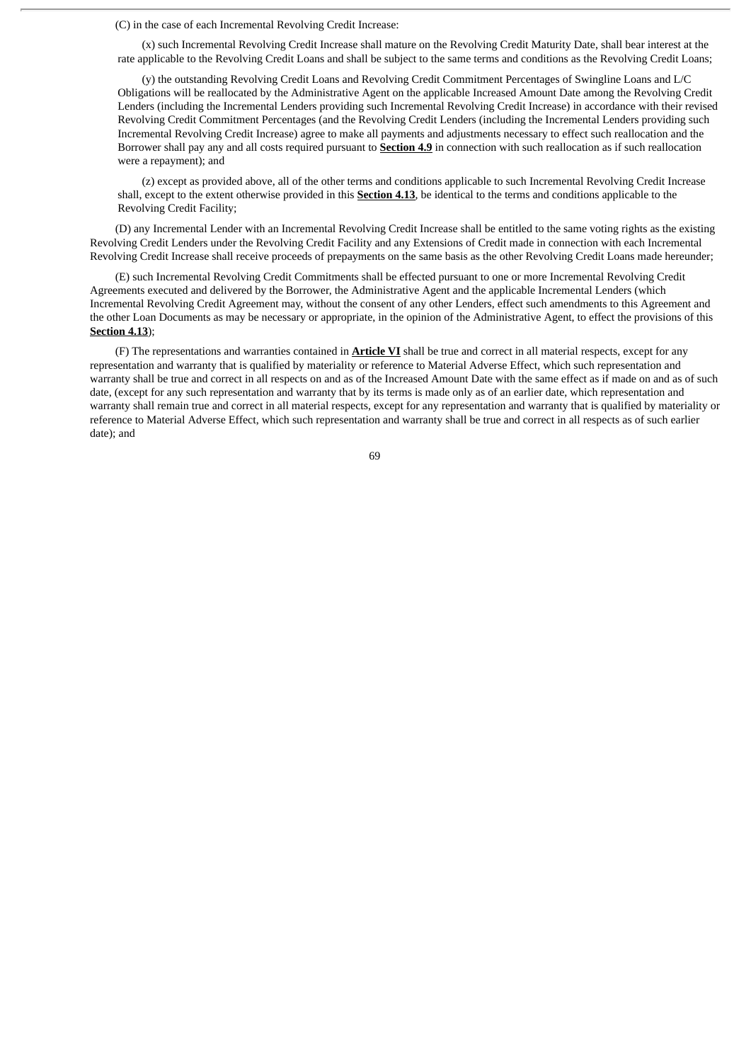(C) in the case of each Incremental Revolving Credit Increase:

(x) such Incremental Revolving Credit Increase shall mature on the Revolving Credit Maturity Date, shall bear interest at the rate applicable to the Revolving Credit Loans and shall be subject to the same terms and conditions as the Revolving Credit Loans;

(y) the outstanding Revolving Credit Loans and Revolving Credit Commitment Percentages of Swingline Loans and L/C Obligations will be reallocated by the Administrative Agent on the applicable Increased Amount Date among the Revolving Credit Lenders (including the Incremental Lenders providing such Incremental Revolving Credit Increase) in accordance with their revised Revolving Credit Commitment Percentages (and the Revolving Credit Lenders (including the Incremental Lenders providing such Incremental Revolving Credit Increase) agree to make all payments and adjustments necessary to effect such reallocation and the Borrower shall pay any and all costs required pursuant to **Section 4.9** in connection with such reallocation as if such reallocation were a repayment); and

(z) except as provided above, all of the other terms and conditions applicable to such Incremental Revolving Credit Increase shall, except to the extent otherwise provided in this **Section 4.13**, be identical to the terms and conditions applicable to the Revolving Credit Facility;

(D) any Incremental Lender with an Incremental Revolving Credit Increase shall be entitled to the same voting rights as the existing Revolving Credit Lenders under the Revolving Credit Facility and any Extensions of Credit made in connection with each Incremental Revolving Credit Increase shall receive proceeds of prepayments on the same basis as the other Revolving Credit Loans made hereunder;

(E) such Incremental Revolving Credit Commitments shall be effected pursuant to one or more Incremental Revolving Credit Agreements executed and delivered by the Borrower, the Administrative Agent and the applicable Incremental Lenders (which Incremental Revolving Credit Agreement may, without the consent of any other Lenders, effect such amendments to this Agreement and the other Loan Documents as may be necessary or appropriate, in the opinion of the Administrative Agent, to effect the provisions of this **Section 4.13**);

(F) The representations and warranties contained in **Article VI** shall be true and correct in all material respects, except for any representation and warranty that is qualified by materiality or reference to Material Adverse Effect, which such representation and warranty shall be true and correct in all respects on and as of the Increased Amount Date with the same effect as if made on and as of such date, (except for any such representation and warranty that by its terms is made only as of an earlier date, which representation and warranty shall remain true and correct in all material respects, except for any representation and warranty that is qualified by materiality or reference to Material Adverse Effect, which such representation and warranty shall be true and correct in all respects as of such earlier date); and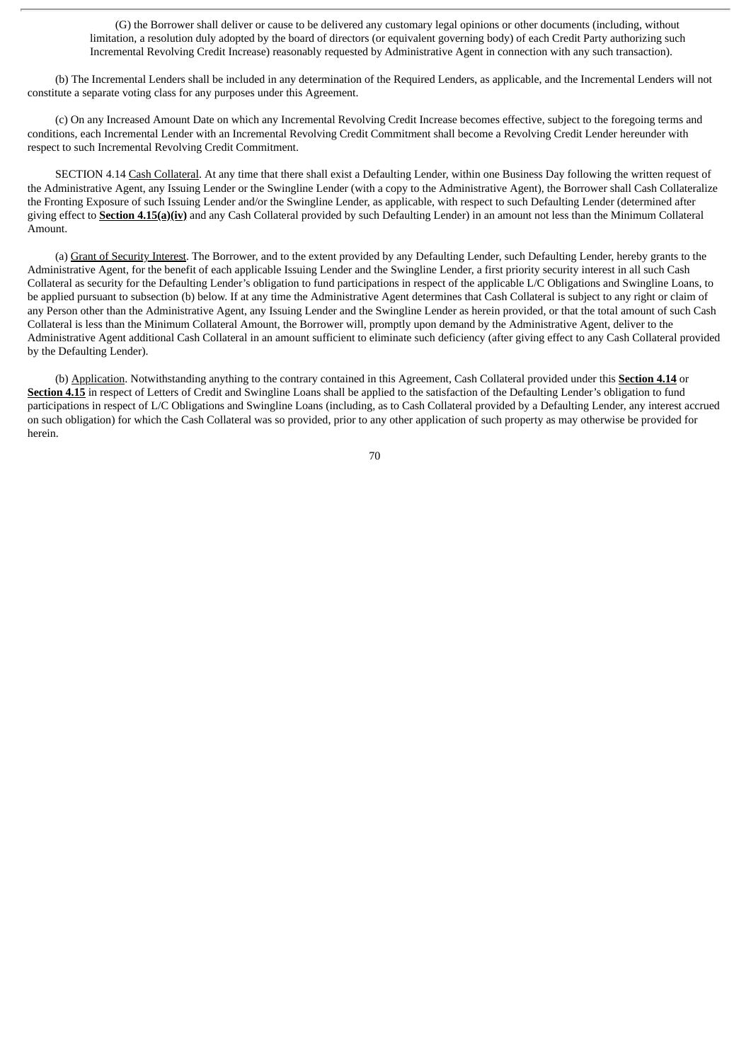(G) the Borrower shall deliver or cause to be delivered any customary legal opinions or other documents (including, without limitation, a resolution duly adopted by the board of directors (or equivalent governing body) of each Credit Party authorizing such Incremental Revolving Credit Increase) reasonably requested by Administrative Agent in connection with any such transaction).

(b) The Incremental Lenders shall be included in any determination of the Required Lenders, as applicable, and the Incremental Lenders will not constitute a separate voting class for any purposes under this Agreement.

(c) On any Increased Amount Date on which any Incremental Revolving Credit Increase becomes effective, subject to the foregoing terms and conditions, each Incremental Lender with an Incremental Revolving Credit Commitment shall become a Revolving Credit Lender hereunder with respect to such Incremental Revolving Credit Commitment.

SECTION 4.14 Cash Collateral. At any time that there shall exist a Defaulting Lender, within one Business Day following the written request of the Administrative Agent, any Issuing Lender or the Swingline Lender (with a copy to the Administrative Agent), the Borrower shall Cash Collateralize the Fronting Exposure of such Issuing Lender and/or the Swingline Lender, as applicable, with respect to such Defaulting Lender (determined after giving effect to **Section 4.15(a)(iv)** and any Cash Collateral provided by such Defaulting Lender) in an amount not less than the Minimum Collateral Amount.

(a) Grant of Security Interest. The Borrower, and to the extent provided by any Defaulting Lender, such Defaulting Lender, hereby grants to the Administrative Agent, for the benefit of each applicable Issuing Lender and the Swingline Lender, a first priority security interest in all such Cash Collateral as security for the Defaulting Lender's obligation to fund participations in respect of the applicable L/C Obligations and Swingline Loans, to be applied pursuant to subsection (b) below. If at any time the Administrative Agent determines that Cash Collateral is subject to any right or claim of any Person other than the Administrative Agent, any Issuing Lender and the Swingline Lender as herein provided, or that the total amount of such Cash Collateral is less than the Minimum Collateral Amount, the Borrower will, promptly upon demand by the Administrative Agent, deliver to the Administrative Agent additional Cash Collateral in an amount sufficient to eliminate such deficiency (after giving effect to any Cash Collateral provided by the Defaulting Lender).

(b) Application. Notwithstanding anything to the contrary contained in this Agreement, Cash Collateral provided under this **Section 4.14** or **Section 4.15** in respect of Letters of Credit and Swingline Loans shall be applied to the satisfaction of the Defaulting Lender's obligation to fund participations in respect of L/C Obligations and Swingline Loans (including, as to Cash Collateral provided by a Defaulting Lender, any interest accrued on such obligation) for which the Cash Collateral was so provided, prior to any other application of such property as may otherwise be provided for herein.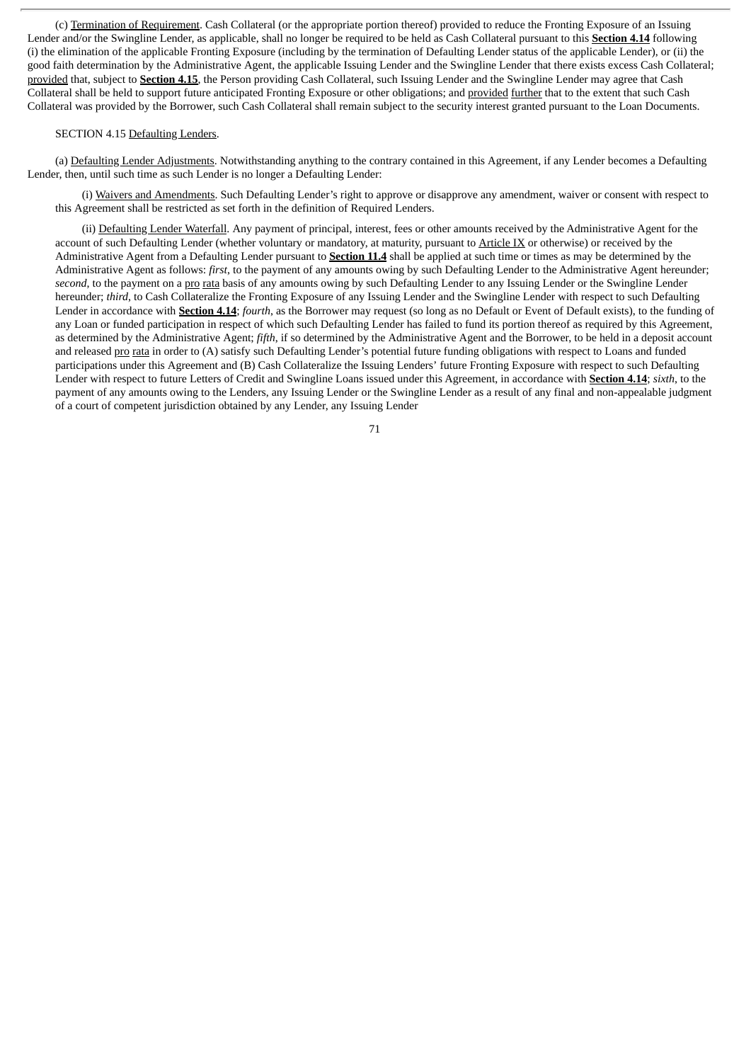(c) Termination of Requirement. Cash Collateral (or the appropriate portion thereof) provided to reduce the Fronting Exposure of an Issuing Lender and/or the Swingline Lender, as applicable, shall no longer be required to be held as Cash Collateral pursuant to this **Section 4.14** following (i) the elimination of the applicable Fronting Exposure (including by the termination of Defaulting Lender status of the applicable Lender), or (ii) the good faith determination by the Administrative Agent, the applicable Issuing Lender and the Swingline Lender that there exists excess Cash Collateral; provided that, subject to **Section 4.15**, the Person providing Cash Collateral, such Issuing Lender and the Swingline Lender may agree that Cash Collateral shall be held to support future anticipated Fronting Exposure or other obligations; and provided further that to the extent that such Cash Collateral was provided by the Borrower, such Cash Collateral shall remain subject to the security interest granted pursuant to the Loan Documents.

### SECTION 4.15 Defaulting Lenders.

(a) Defaulting Lender Adjustments. Notwithstanding anything to the contrary contained in this Agreement, if any Lender becomes a Defaulting Lender, then, until such time as such Lender is no longer a Defaulting Lender:

(i) Waivers and Amendments. Such Defaulting Lender's right to approve or disapprove any amendment, waiver or consent with respect to this Agreement shall be restricted as set forth in the definition of Required Lenders.

(ii) Defaulting Lender Waterfall. Any payment of principal, interest, fees or other amounts received by the Administrative Agent for the account of such Defaulting Lender (whether voluntary or mandatory, at maturity, pursuant to Article IX or otherwise) or received by the Administrative Agent from a Defaulting Lender pursuant to **Section 11.4** shall be applied at such time or times as may be determined by the Administrative Agent as follows: *first*, to the payment of any amounts owing by such Defaulting Lender to the Administrative Agent hereunder; *second*, to the payment on a pro rata basis of any amounts owing by such Defaulting Lender to any Issuing Lender or the Swingline Lender hereunder; *third*, to Cash Collateralize the Fronting Exposure of any Issuing Lender and the Swingline Lender with respect to such Defaulting Lender in accordance with **Section 4.14**; *fourth*, as the Borrower may request (so long as no Default or Event of Default exists), to the funding of any Loan or funded participation in respect of which such Defaulting Lender has failed to fund its portion thereof as required by this Agreement, as determined by the Administrative Agent; *fifth*, if so determined by the Administrative Agent and the Borrower, to be held in a deposit account and released pro rata in order to (A) satisfy such Defaulting Lender's potential future funding obligations with respect to Loans and funded participations under this Agreement and (B) Cash Collateralize the Issuing Lenders' future Fronting Exposure with respect to such Defaulting Lender with respect to future Letters of Credit and Swingline Loans issued under this Agreement, in accordance with **Section 4.14**; *sixth*, to the payment of any amounts owing to the Lenders, any Issuing Lender or the Swingline Lender as a result of any final and non-appealable judgment of a court of competent jurisdiction obtained by any Lender, any Issuing Lender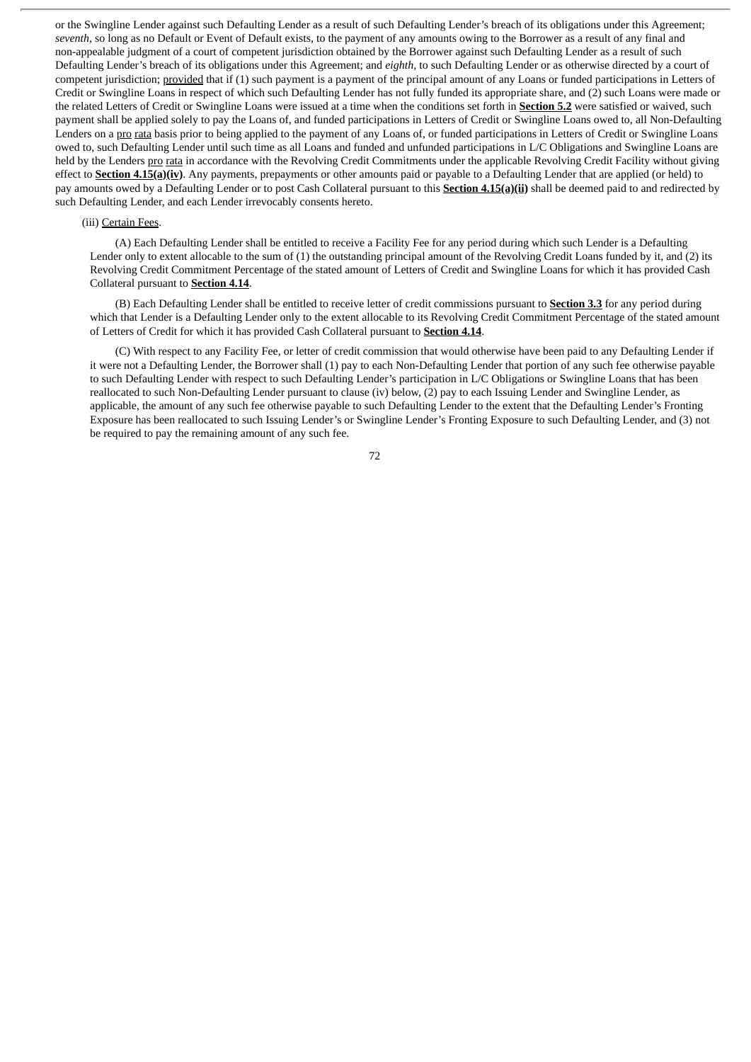or the Swingline Lender against such Defaulting Lender as a result of such Defaulting Lender's breach of its obligations under this Agreement; *seventh*, so long as no Default or Event of Default exists, to the payment of any amounts owing to the Borrower as a result of any final and non-appealable judgment of a court of competent jurisdiction obtained by the Borrower against such Defaulting Lender as a result of such Defaulting Lender's breach of its obligations under this Agreement; and *eighth*, to such Defaulting Lender or as otherwise directed by a court of competent jurisdiction; provided that if (1) such payment is a payment of the principal amount of any Loans or funded participations in Letters of Credit or Swingline Loans in respect of which such Defaulting Lender has not fully funded its appropriate share, and (2) such Loans were made or the related Letters of Credit or Swingline Loans were issued at a time when the conditions set forth in **Section 5.2** were satisfied or waived, such payment shall be applied solely to pay the Loans of, and funded participations in Letters of Credit or Swingline Loans owed to, all Non-Defaulting Lenders on a pro rata basis prior to being applied to the payment of any Loans of, or funded participations in Letters of Credit or Swingline Loans owed to, such Defaulting Lender until such time as all Loans and funded and unfunded participations in L/C Obligations and Swingline Loans are held by the Lenders pro rata in accordance with the Revolving Credit Commitments under the applicable Revolving Credit Facility without giving effect to **Section 4.15(a)(iv)**. Any payments, prepayments or other amounts paid or payable to a Defaulting Lender that are applied (or held) to pay amounts owed by a Defaulting Lender or to post Cash Collateral pursuant to this **Section 4.15(a)(ii)** shall be deemed paid to and redirected by such Defaulting Lender, and each Lender irrevocably consents hereto.

### (iii) Certain Fees.

(A) Each Defaulting Lender shall be entitled to receive a Facility Fee for any period during which such Lender is a Defaulting Lender only to extent allocable to the sum of (1) the outstanding principal amount of the Revolving Credit Loans funded by it, and (2) its Revolving Credit Commitment Percentage of the stated amount of Letters of Credit and Swingline Loans for which it has provided Cash Collateral pursuant to **Section 4.14**.

(B) Each Defaulting Lender shall be entitled to receive letter of credit commissions pursuant to **Section 3.3** for any period during which that Lender is a Defaulting Lender only to the extent allocable to its Revolving Credit Commitment Percentage of the stated amount of Letters of Credit for which it has provided Cash Collateral pursuant to **Section 4.14**.

(C) With respect to any Facility Fee, or letter of credit commission that would otherwise have been paid to any Defaulting Lender if it were not a Defaulting Lender, the Borrower shall (1) pay to each Non-Defaulting Lender that portion of any such fee otherwise payable to such Defaulting Lender with respect to such Defaulting Lender's participation in L/C Obligations or Swingline Loans that has been reallocated to such Non-Defaulting Lender pursuant to clause (iv) below, (2) pay to each Issuing Lender and Swingline Lender, as applicable, the amount of any such fee otherwise payable to such Defaulting Lender to the extent that the Defaulting Lender's Fronting Exposure has been reallocated to such Issuing Lender's or Swingline Lender's Fronting Exposure to such Defaulting Lender, and (3) not be required to pay the remaining amount of any such fee.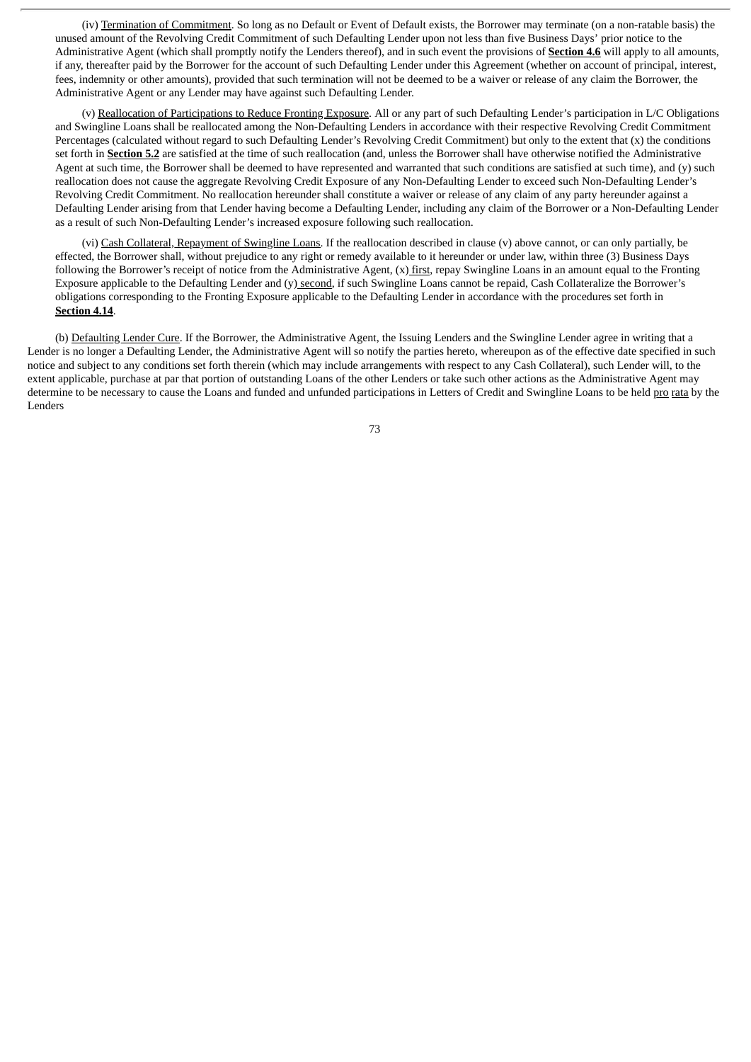(iv) Termination of Commitment. So long as no Default or Event of Default exists, the Borrower may terminate (on a non-ratable basis) the unused amount of the Revolving Credit Commitment of such Defaulting Lender upon not less than five Business Days' prior notice to the Administrative Agent (which shall promptly notify the Lenders thereof), and in such event the provisions of **Section 4.6** will apply to all amounts, if any, thereafter paid by the Borrower for the account of such Defaulting Lender under this Agreement (whether on account of principal, interest, fees, indemnity or other amounts), provided that such termination will not be deemed to be a waiver or release of any claim the Borrower, the Administrative Agent or any Lender may have against such Defaulting Lender.

(v) Reallocation of Participations to Reduce Fronting Exposure. All or any part of such Defaulting Lender's participation in L/C Obligations and Swingline Loans shall be reallocated among the Non-Defaulting Lenders in accordance with their respective Revolving Credit Commitment Percentages (calculated without regard to such Defaulting Lender's Revolving Credit Commitment) but only to the extent that (x) the conditions set forth in **Section 5.2** are satisfied at the time of such reallocation (and, unless the Borrower shall have otherwise notified the Administrative Agent at such time, the Borrower shall be deemed to have represented and warranted that such conditions are satisfied at such time), and (y) such reallocation does not cause the aggregate Revolving Credit Exposure of any Non-Defaulting Lender to exceed such Non-Defaulting Lender's Revolving Credit Commitment. No reallocation hereunder shall constitute a waiver or release of any claim of any party hereunder against a Defaulting Lender arising from that Lender having become a Defaulting Lender, including any claim of the Borrower or a Non-Defaulting Lender as a result of such Non-Defaulting Lender's increased exposure following such reallocation.

(vi) Cash Collateral, Repayment of Swingline Loans. If the reallocation described in clause (v) above cannot, or can only partially, be effected, the Borrower shall, without prejudice to any right or remedy available to it hereunder or under law, within three (3) Business Days following the Borrower's receipt of notice from the Administrative Agent,  $(x)$  first, repay Swingline Loans in an amount equal to the Fronting Exposure applicable to the Defaulting Lender and (y) second, if such Swingline Loans cannot be repaid, Cash Collateralize the Borrower's obligations corresponding to the Fronting Exposure applicable to the Defaulting Lender in accordance with the procedures set forth in **Section 4.14**.

(b) Defaulting Lender Cure. If the Borrower, the Administrative Agent, the Issuing Lenders and the Swingline Lender agree in writing that a Lender is no longer a Defaulting Lender, the Administrative Agent will so notify the parties hereto, whereupon as of the effective date specified in such notice and subject to any conditions set forth therein (which may include arrangements with respect to any Cash Collateral), such Lender will, to the extent applicable, purchase at par that portion of outstanding Loans of the other Lenders or take such other actions as the Administrative Agent may determine to be necessary to cause the Loans and funded and unfunded participations in Letters of Credit and Swingline Loans to be held pro rata by the Lenders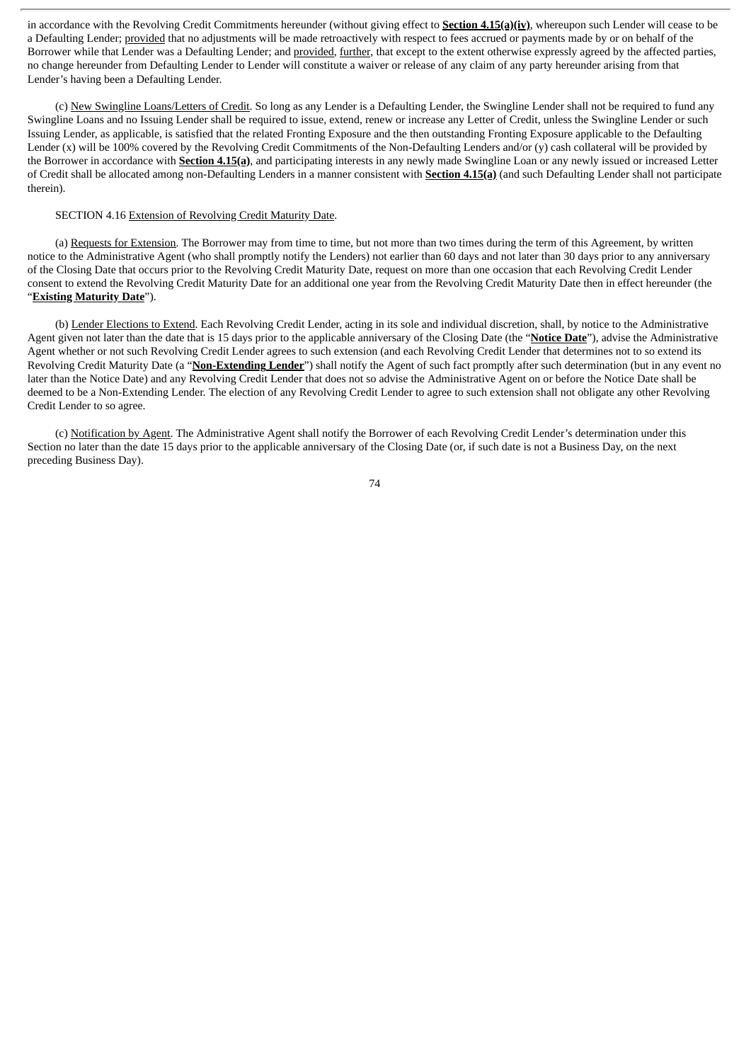in accordance with the Revolving Credit Commitments hereunder (without giving effect to **Section 4.15(a)(iv)**, whereupon such Lender will cease to be a Defaulting Lender; provided that no adjustments will be made retroactively with respect to fees accrued or payments made by or on behalf of the Borrower while that Lender was a Defaulting Lender; and provided, further, that except to the extent otherwise expressly agreed by the affected parties, no change hereunder from Defaulting Lender to Lender will constitute a waiver or release of any claim of any party hereunder arising from that Lender's having been a Defaulting Lender.

(c) New Swingline Loans/Letters of Credit. So long as any Lender is a Defaulting Lender, the Swingline Lender shall not be required to fund any Swingline Loans and no Issuing Lender shall be required to issue, extend, renew or increase any Letter of Credit, unless the Swingline Lender or such Issuing Lender, as applicable, is satisfied that the related Fronting Exposure and the then outstanding Fronting Exposure applicable to the Defaulting Lender (x) will be 100% covered by the Revolving Credit Commitments of the Non-Defaulting Lenders and/or (y) cash collateral will be provided by the Borrower in accordance with **Section 4.15(a)**, and participating interests in any newly made Swingline Loan or any newly issued or increased Letter of Credit shall be allocated among non-Defaulting Lenders in a manner consistent with **Section 4.15(a)** (and such Defaulting Lender shall not participate therein).

## SECTION 4.16 Extension of Revolving Credit Maturity Date.

(a) Requests for Extension. The Borrower may from time to time, but not more than two times during the term of this Agreement, by written notice to the Administrative Agent (who shall promptly notify the Lenders) not earlier than 60 days and not later than 30 days prior to any anniversary of the Closing Date that occurs prior to the Revolving Credit Maturity Date, request on more than one occasion that each Revolving Credit Lender consent to extend the Revolving Credit Maturity Date for an additional one year from the Revolving Credit Maturity Date then in effect hereunder (the "**Existing Maturity Date**").

(b) Lender Elections to Extend. Each Revolving Credit Lender, acting in its sole and individual discretion, shall, by notice to the Administrative Agent given not later than the date that is 15 days prior to the applicable anniversary of the Closing Date (the "**Notice Date**"), advise the Administrative Agent whether or not such Revolving Credit Lender agrees to such extension (and each Revolving Credit Lender that determines not to so extend its Revolving Credit Maturity Date (a "**Non-Extending Lender**") shall notify the Agent of such fact promptly after such determination (but in any event no later than the Notice Date) and any Revolving Credit Lender that does not so advise the Administrative Agent on or before the Notice Date shall be deemed to be a Non-Extending Lender. The election of any Revolving Credit Lender to agree to such extension shall not obligate any other Revolving Credit Lender to so agree.

(c) Notification by Agent. The Administrative Agent shall notify the Borrower of each Revolving Credit Lender's determination under this Section no later than the date 15 days prior to the applicable anniversary of the Closing Date (or, if such date is not a Business Day, on the next preceding Business Day).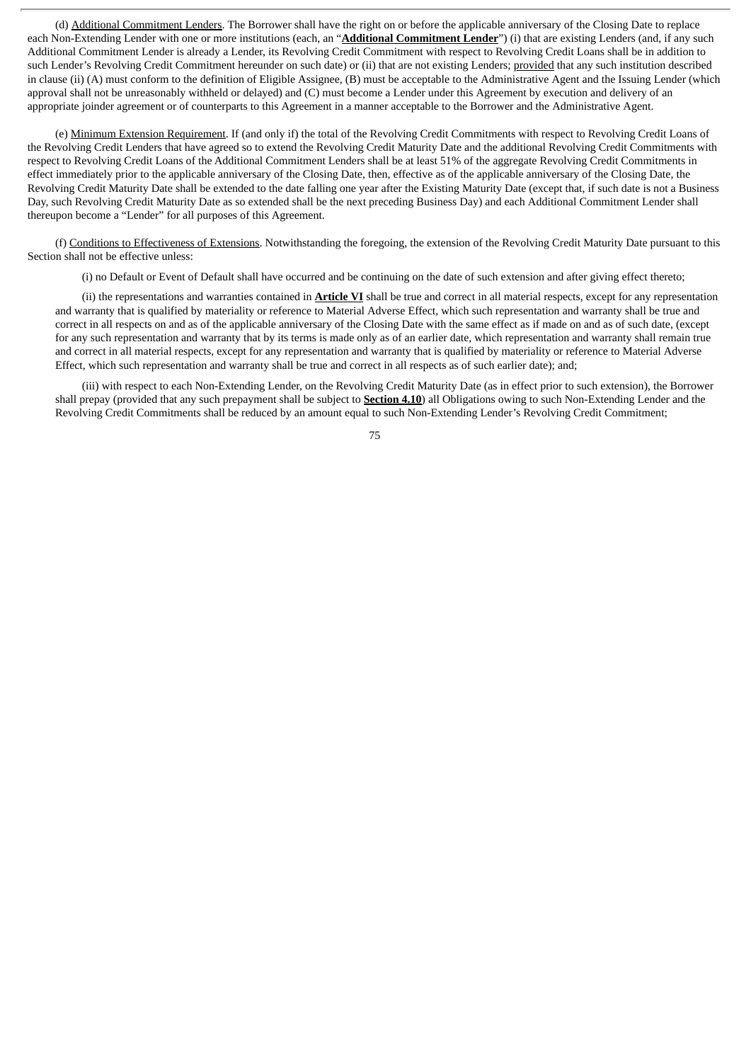(d) Additional Commitment Lenders. The Borrower shall have the right on or before the applicable anniversary of the Closing Date to replace each Non-Extending Lender with one or more institutions (each, an "**Additional Commitment Lender**") (i) that are existing Lenders (and, if any such Additional Commitment Lender is already a Lender, its Revolving Credit Commitment with respect to Revolving Credit Loans shall be in addition to such Lender's Revolving Credit Commitment hereunder on such date) or (ii) that are not existing Lenders; provided that any such institution described in clause (ii) (A) must conform to the definition of Eligible Assignee, (B) must be acceptable to the Administrative Agent and the Issuing Lender (which approval shall not be unreasonably withheld or delayed) and (C) must become a Lender under this Agreement by execution and delivery of an appropriate joinder agreement or of counterparts to this Agreement in a manner acceptable to the Borrower and the Administrative Agent.

(e) Minimum Extension Requirement. If (and only if) the total of the Revolving Credit Commitments with respect to Revolving Credit Loans of the Revolving Credit Lenders that have agreed so to extend the Revolving Credit Maturity Date and the additional Revolving Credit Commitments with respect to Revolving Credit Loans of the Additional Commitment Lenders shall be at least 51% of the aggregate Revolving Credit Commitments in effect immediately prior to the applicable anniversary of the Closing Date, then, effective as of the applicable anniversary of the Closing Date, the Revolving Credit Maturity Date shall be extended to the date falling one year after the Existing Maturity Date (except that, if such date is not a Business Day, such Revolving Credit Maturity Date as so extended shall be the next preceding Business Day) and each Additional Commitment Lender shall thereupon become a "Lender" for all purposes of this Agreement.

(f) Conditions to Effectiveness of Extensions. Notwithstanding the foregoing, the extension of the Revolving Credit Maturity Date pursuant to this Section shall not be effective unless:

(i) no Default or Event of Default shall have occurred and be continuing on the date of such extension and after giving effect thereto;

(ii) the representations and warranties contained in **Article VI** shall be true and correct in all material respects, except for any representation and warranty that is qualified by materiality or reference to Material Adverse Effect, which such representation and warranty shall be true and correct in all respects on and as of the applicable anniversary of the Closing Date with the same effect as if made on and as of such date, (except for any such representation and warranty that by its terms is made only as of an earlier date, which representation and warranty shall remain true and correct in all material respects, except for any representation and warranty that is qualified by materiality or reference to Material Adverse Effect, which such representation and warranty shall be true and correct in all respects as of such earlier date); and;

(iii) with respect to each Non-Extending Lender, on the Revolving Credit Maturity Date (as in effect prior to such extension), the Borrower shall prepay (provided that any such prepayment shall be subject to **Section 4.10**) all Obligations owing to such Non-Extending Lender and the Revolving Credit Commitments shall be reduced by an amount equal to such Non-Extending Lender's Revolving Credit Commitment;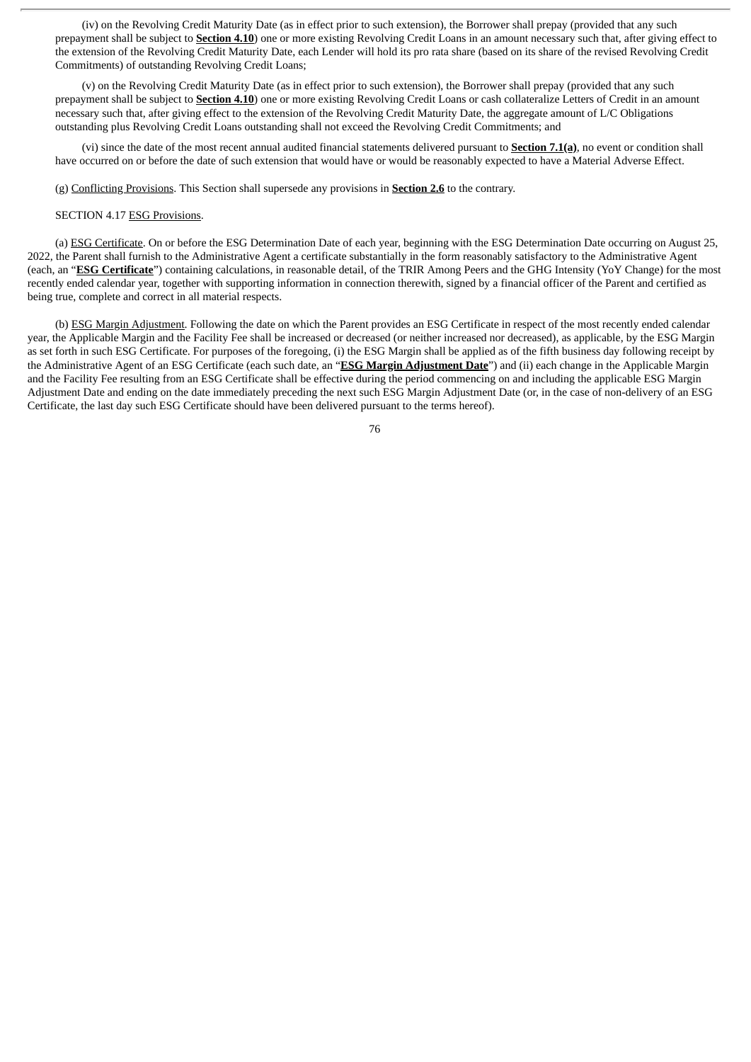(iv) on the Revolving Credit Maturity Date (as in effect prior to such extension), the Borrower shall prepay (provided that any such prepayment shall be subject to **Section 4.10**) one or more existing Revolving Credit Loans in an amount necessary such that, after giving effect to the extension of the Revolving Credit Maturity Date, each Lender will hold its pro rata share (based on its share of the revised Revolving Credit Commitments) of outstanding Revolving Credit Loans;

(v) on the Revolving Credit Maturity Date (as in effect prior to such extension), the Borrower shall prepay (provided that any such prepayment shall be subject to **Section 4.10**) one or more existing Revolving Credit Loans or cash collateralize Letters of Credit in an amount necessary such that, after giving effect to the extension of the Revolving Credit Maturity Date, the aggregate amount of L/C Obligations outstanding plus Revolving Credit Loans outstanding shall not exceed the Revolving Credit Commitments; and

(vi) since the date of the most recent annual audited financial statements delivered pursuant to **Section 7.1(a)**, no event or condition shall have occurred on or before the date of such extension that would have or would be reasonably expected to have a Material Adverse Effect.

(g) Conflicting Provisions. This Section shall supersede any provisions in **Section 2.6** to the contrary.

## SECTION 4.17 ESG Provisions.

(a) ESG Certificate. On or before the ESG Determination Date of each year, beginning with the ESG Determination Date occurring on August 25, 2022, the Parent shall furnish to the Administrative Agent a certificate substantially in the form reasonably satisfactory to the Administrative Agent (each, an "**ESG Certificate**") containing calculations, in reasonable detail, of the TRIR Among Peers and the GHG Intensity (YoY Change) for the most recently ended calendar year, together with supporting information in connection therewith, signed by a financial officer of the Parent and certified as being true, complete and correct in all material respects.

(b) ESG Margin Adjustment. Following the date on which the Parent provides an ESG Certificate in respect of the most recently ended calendar year, the Applicable Margin and the Facility Fee shall be increased or decreased (or neither increased nor decreased), as applicable, by the ESG Margin as set forth in such ESG Certificate. For purposes of the foregoing, (i) the ESG Margin shall be applied as of the fifth business day following receipt by the Administrative Agent of an ESG Certificate (each such date, an "**ESG Margin Adjustment Date**") and (ii) each change in the Applicable Margin and the Facility Fee resulting from an ESG Certificate shall be effective during the period commencing on and including the applicable ESG Margin Adjustment Date and ending on the date immediately preceding the next such ESG Margin Adjustment Date (or, in the case of non-delivery of an ESG Certificate, the last day such ESG Certificate should have been delivered pursuant to the terms hereof).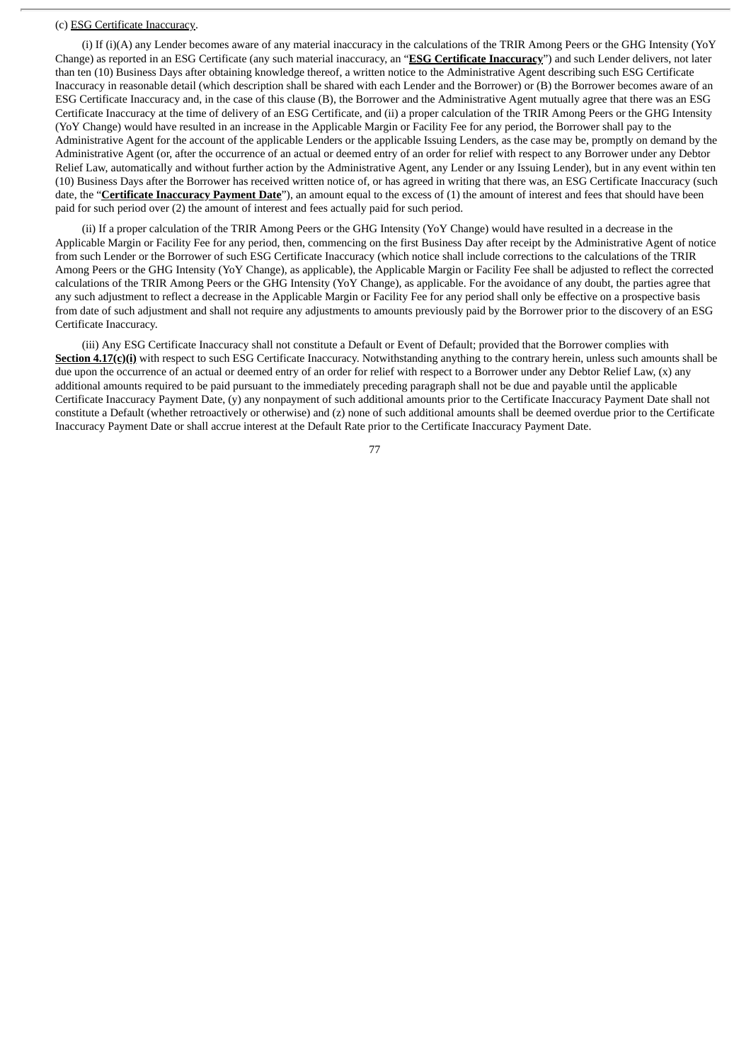#### (c) ESG Certificate Inaccuracy.

(i) If (i)(A) any Lender becomes aware of any material inaccuracy in the calculations of the TRIR Among Peers or the GHG Intensity (YoY Change) as reported in an ESG Certificate (any such material inaccuracy, an "**ESG Certificate Inaccuracy**") and such Lender delivers, not later than ten (10) Business Days after obtaining knowledge thereof, a written notice to the Administrative Agent describing such ESG Certificate Inaccuracy in reasonable detail (which description shall be shared with each Lender and the Borrower) or (B) the Borrower becomes aware of an ESG Certificate Inaccuracy and, in the case of this clause (B), the Borrower and the Administrative Agent mutually agree that there was an ESG Certificate Inaccuracy at the time of delivery of an ESG Certificate, and (ii) a proper calculation of the TRIR Among Peers or the GHG Intensity (YoY Change) would have resulted in an increase in the Applicable Margin or Facility Fee for any period, the Borrower shall pay to the Administrative Agent for the account of the applicable Lenders or the applicable Issuing Lenders, as the case may be, promptly on demand by the Administrative Agent (or, after the occurrence of an actual or deemed entry of an order for relief with respect to any Borrower under any Debtor Relief Law, automatically and without further action by the Administrative Agent, any Lender or any Issuing Lender), but in any event within ten (10) Business Days after the Borrower has received written notice of, or has agreed in writing that there was, an ESG Certificate Inaccuracy (such date, the "**Certificate Inaccuracy Payment Date**"), an amount equal to the excess of (1) the amount of interest and fees that should have been paid for such period over (2) the amount of interest and fees actually paid for such period.

(ii) If a proper calculation of the TRIR Among Peers or the GHG Intensity (YoY Change) would have resulted in a decrease in the Applicable Margin or Facility Fee for any period, then, commencing on the first Business Day after receipt by the Administrative Agent of notice from such Lender or the Borrower of such ESG Certificate Inaccuracy (which notice shall include corrections to the calculations of the TRIR Among Peers or the GHG Intensity (YoY Change), as applicable), the Applicable Margin or Facility Fee shall be adjusted to reflect the corrected calculations of the TRIR Among Peers or the GHG Intensity (YoY Change), as applicable. For the avoidance of any doubt, the parties agree that any such adjustment to reflect a decrease in the Applicable Margin or Facility Fee for any period shall only be effective on a prospective basis from date of such adjustment and shall not require any adjustments to amounts previously paid by the Borrower prior to the discovery of an ESG Certificate Inaccuracy.

(iii) Any ESG Certificate Inaccuracy shall not constitute a Default or Event of Default; provided that the Borrower complies with **Section 4.17(c)(i)** with respect to such ESG Certificate Inaccuracy. Notwithstanding anything to the contrary herein, unless such amounts shall be due upon the occurrence of an actual or deemed entry of an order for relief with respect to a Borrower under any Debtor Relief Law, (x) any additional amounts required to be paid pursuant to the immediately preceding paragraph shall not be due and payable until the applicable Certificate Inaccuracy Payment Date, (y) any nonpayment of such additional amounts prior to the Certificate Inaccuracy Payment Date shall not constitute a Default (whether retroactively or otherwise) and (z) none of such additional amounts shall be deemed overdue prior to the Certificate Inaccuracy Payment Date or shall accrue interest at the Default Rate prior to the Certificate Inaccuracy Payment Date.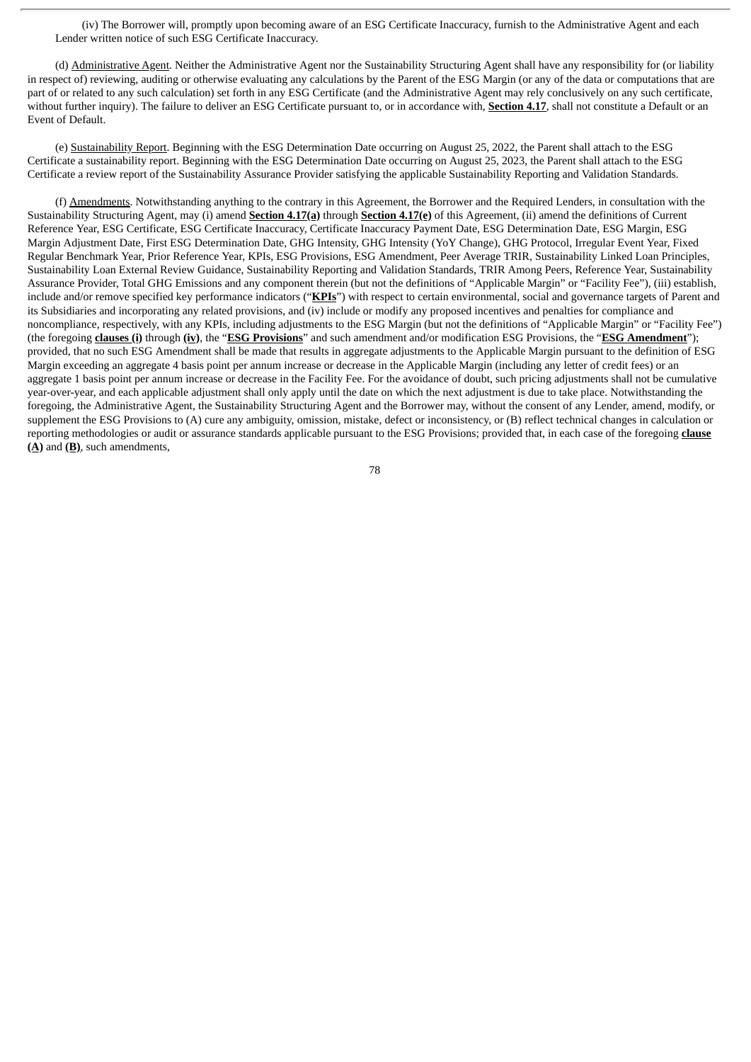(iv) The Borrower will, promptly upon becoming aware of an ESG Certificate Inaccuracy, furnish to the Administrative Agent and each Lender written notice of such ESG Certificate Inaccuracy.

(d) Administrative Agent. Neither the Administrative Agent nor the Sustainability Structuring Agent shall have any responsibility for (or liability in respect of) reviewing, auditing or otherwise evaluating any calculations by the Parent of the ESG Margin (or any of the data or computations that are part of or related to any such calculation) set forth in any ESG Certificate (and the Administrative Agent may rely conclusively on any such certificate, without further inquiry). The failure to deliver an ESG Certificate pursuant to, or in accordance with, **Section 4.17**, shall not constitute a Default or an Event of Default.

(e) Sustainability Report. Beginning with the ESG Determination Date occurring on August 25, 2022, the Parent shall attach to the ESG Certificate a sustainability report. Beginning with the ESG Determination Date occurring on August 25, 2023, the Parent shall attach to the ESG Certificate a review report of the Sustainability Assurance Provider satisfying the applicable Sustainability Reporting and Validation Standards.

(f) Amendments. Notwithstanding anything to the contrary in this Agreement, the Borrower and the Required Lenders, in consultation with the Sustainability Structuring Agent, may (i) amend **Section 4.17(a)** through **Section 4.17(e)** of this Agreement, (ii) amend the definitions of Current Reference Year, ESG Certificate, ESG Certificate Inaccuracy, Certificate Inaccuracy Payment Date, ESG Determination Date, ESG Margin, ESG Margin Adjustment Date, First ESG Determination Date, GHG Intensity, GHG Intensity (YoY Change), GHG Protocol, Irregular Event Year, Fixed Regular Benchmark Year, Prior Reference Year, KPIs, ESG Provisions, ESG Amendment, Peer Average TRIR, Sustainability Linked Loan Principles, Sustainability Loan External Review Guidance, Sustainability Reporting and Validation Standards, TRIR Among Peers, Reference Year, Sustainability Assurance Provider, Total GHG Emissions and any component therein (but not the definitions of "Applicable Margin" or "Facility Fee"), (iii) establish, include and/or remove specified key performance indicators ("**KPIs**") with respect to certain environmental, social and governance targets of Parent and its Subsidiaries and incorporating any related provisions, and (iv) include or modify any proposed incentives and penalties for compliance and noncompliance, respectively, with any KPIs, including adjustments to the ESG Margin (but not the definitions of "Applicable Margin" or "Facility Fee") (the foregoing **clauses (i)** through **(iv)**, the "**ESG Provisions**" and such amendment and/or modification ESG Provisions, the "**ESG Amendment**"); provided, that no such ESG Amendment shall be made that results in aggregate adjustments to the Applicable Margin pursuant to the definition of ESG Margin exceeding an aggregate 4 basis point per annum increase or decrease in the Applicable Margin (including any letter of credit fees) or an aggregate 1 basis point per annum increase or decrease in the Facility Fee. For the avoidance of doubt, such pricing adjustments shall not be cumulative year-over-year, and each applicable adjustment shall only apply until the date on which the next adjustment is due to take place. Notwithstanding the foregoing, the Administrative Agent, the Sustainability Structuring Agent and the Borrower may, without the consent of any Lender, amend, modify, or supplement the ESG Provisions to (A) cure any ambiguity, omission, mistake, defect or inconsistency, or (B) reflect technical changes in calculation or reporting methodologies or audit or assurance standards applicable pursuant to the ESG Provisions; provided that, in each case of the foregoing **clause (A)** and **(B)**, such amendments,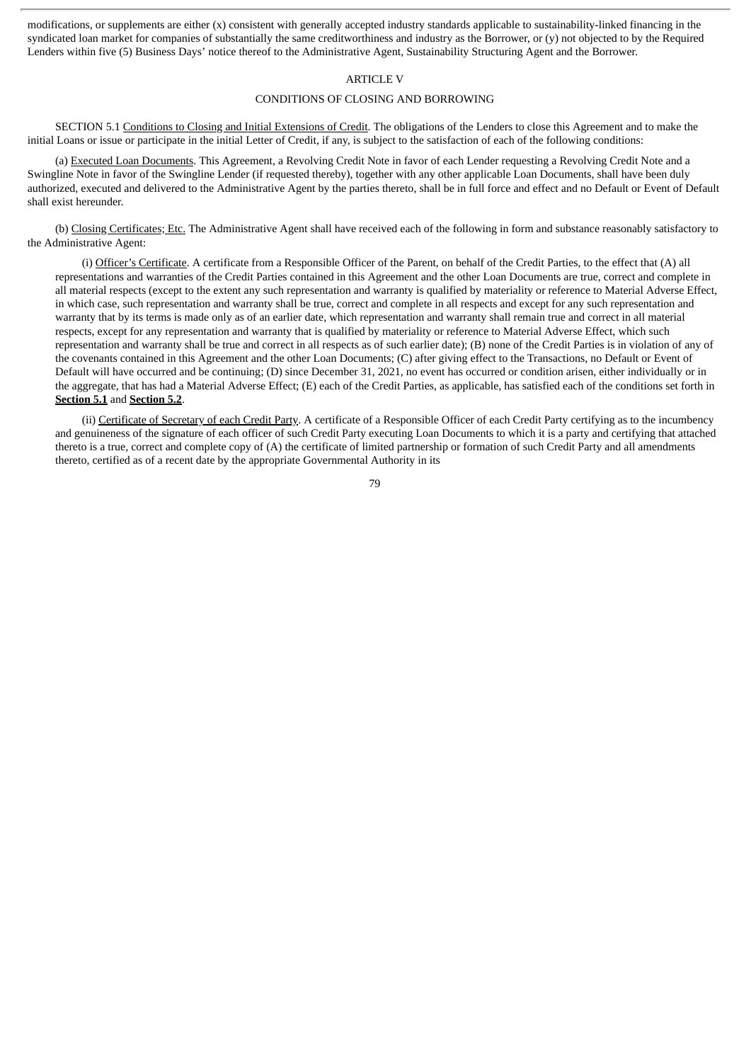modifications, or supplements are either (x) consistent with generally accepted industry standards applicable to sustainability-linked financing in the syndicated loan market for companies of substantially the same creditworthiness and industry as the Borrower, or (y) not objected to by the Required Lenders within five (5) Business Days' notice thereof to the Administrative Agent, Sustainability Structuring Agent and the Borrower.

# ARTICLE V

### CONDITIONS OF CLOSING AND BORROWING

SECTION 5.1 Conditions to Closing and Initial Extensions of Credit. The obligations of the Lenders to close this Agreement and to make the initial Loans or issue or participate in the initial Letter of Credit, if any, is subject to the satisfaction of each of the following conditions:

(a) Executed Loan Documents. This Agreement, a Revolving Credit Note in favor of each Lender requesting a Revolving Credit Note and a Swingline Note in favor of the Swingline Lender (if requested thereby), together with any other applicable Loan Documents, shall have been duly authorized, executed and delivered to the Administrative Agent by the parties thereto, shall be in full force and effect and no Default or Event of Default shall exist hereunder.

(b) Closing Certificates; Etc. The Administrative Agent shall have received each of the following in form and substance reasonably satisfactory to the Administrative Agent:

(i) Officer's Certificate. A certificate from a Responsible Officer of the Parent, on behalf of the Credit Parties, to the effect that (A) all representations and warranties of the Credit Parties contained in this Agreement and the other Loan Documents are true, correct and complete in all material respects (except to the extent any such representation and warranty is qualified by materiality or reference to Material Adverse Effect, in which case, such representation and warranty shall be true, correct and complete in all respects and except for any such representation and warranty that by its terms is made only as of an earlier date, which representation and warranty shall remain true and correct in all material respects, except for any representation and warranty that is qualified by materiality or reference to Material Adverse Effect, which such representation and warranty shall be true and correct in all respects as of such earlier date); (B) none of the Credit Parties is in violation of any of the covenants contained in this Agreement and the other Loan Documents; (C) after giving effect to the Transactions, no Default or Event of Default will have occurred and be continuing; (D) since December 31, 2021, no event has occurred or condition arisen, either individually or in the aggregate, that has had a Material Adverse Effect; (E) each of the Credit Parties, as applicable, has satisfied each of the conditions set forth in **Section 5.1** and **Section 5.2**.

(ii) Certificate of Secretary of each Credit Party. A certificate of a Responsible Officer of each Credit Party certifying as to the incumbency and genuineness of the signature of each officer of such Credit Party executing Loan Documents to which it is a party and certifying that attached thereto is a true, correct and complete copy of (A) the certificate of limited partnership or formation of such Credit Party and all amendments thereto, certified as of a recent date by the appropriate Governmental Authority in its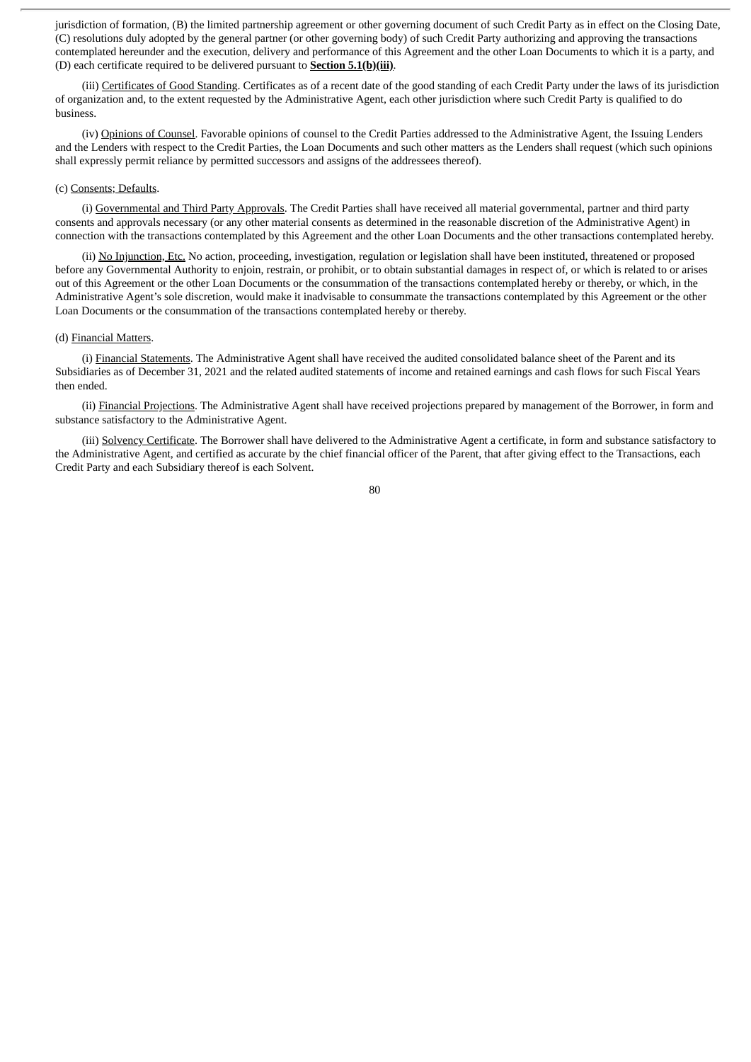jurisdiction of formation, (B) the limited partnership agreement or other governing document of such Credit Party as in effect on the Closing Date, (C) resolutions duly adopted by the general partner (or other governing body) of such Credit Party authorizing and approving the transactions contemplated hereunder and the execution, delivery and performance of this Agreement and the other Loan Documents to which it is a party, and (D) each certificate required to be delivered pursuant to **Section 5.1(b)(iii)**.

(iii) Certificates of Good Standing. Certificates as of a recent date of the good standing of each Credit Party under the laws of its jurisdiction of organization and, to the extent requested by the Administrative Agent, each other jurisdiction where such Credit Party is qualified to do business.

(iv) Opinions of Counsel. Favorable opinions of counsel to the Credit Parties addressed to the Administrative Agent, the Issuing Lenders and the Lenders with respect to the Credit Parties, the Loan Documents and such other matters as the Lenders shall request (which such opinions shall expressly permit reliance by permitted successors and assigns of the addressees thereof).

## (c) Consents; Defaults.

(i) Governmental and Third Party Approvals. The Credit Parties shall have received all material governmental, partner and third party consents and approvals necessary (or any other material consents as determined in the reasonable discretion of the Administrative Agent) in connection with the transactions contemplated by this Agreement and the other Loan Documents and the other transactions contemplated hereby.

(ii) No Injunction, Etc. No action, proceeding, investigation, regulation or legislation shall have been instituted, threatened or proposed before any Governmental Authority to enjoin, restrain, or prohibit, or to obtain substantial damages in respect of, or which is related to or arises out of this Agreement or the other Loan Documents or the consummation of the transactions contemplated hereby or thereby, or which, in the Administrative Agent's sole discretion, would make it inadvisable to consummate the transactions contemplated by this Agreement or the other Loan Documents or the consummation of the transactions contemplated hereby or thereby.

#### (d) Financial Matters.

(i) Financial Statements. The Administrative Agent shall have received the audited consolidated balance sheet of the Parent and its Subsidiaries as of December 31, 2021 and the related audited statements of income and retained earnings and cash flows for such Fiscal Years then ended.

(ii) Financial Projections. The Administrative Agent shall have received projections prepared by management of the Borrower, in form and substance satisfactory to the Administrative Agent.

(iii) Solvency Certificate. The Borrower shall have delivered to the Administrative Agent a certificate, in form and substance satisfactory to the Administrative Agent, and certified as accurate by the chief financial officer of the Parent, that after giving effect to the Transactions, each Credit Party and each Subsidiary thereof is each Solvent.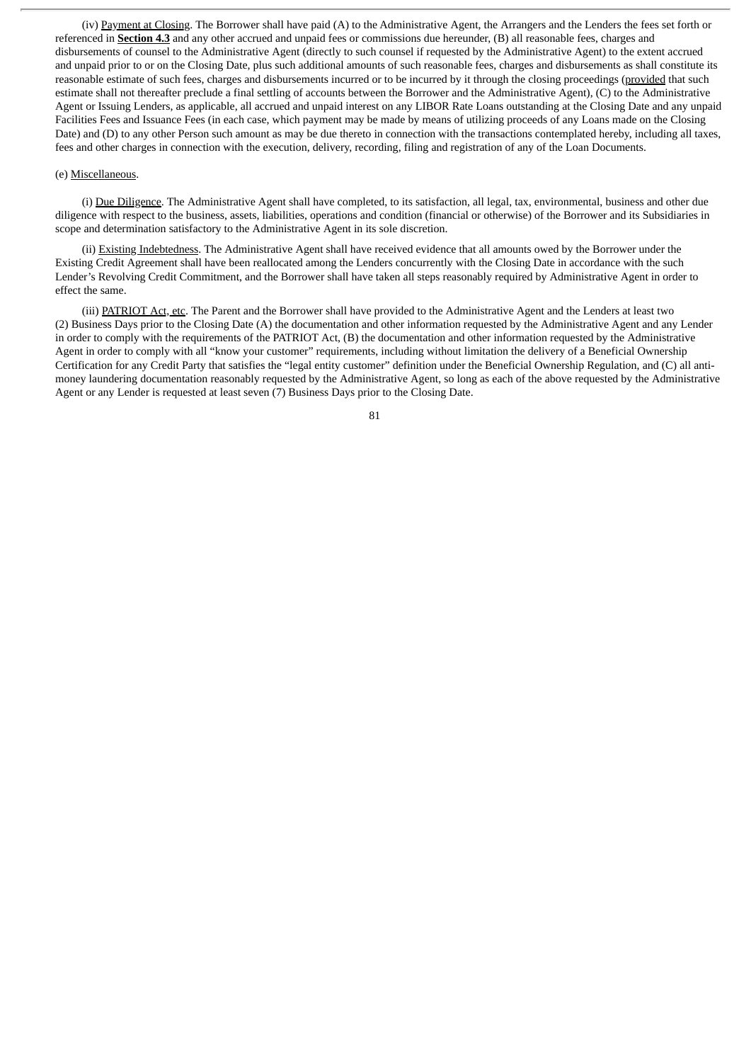(iv) Payment at Closing. The Borrower shall have paid (A) to the Administrative Agent, the Arrangers and the Lenders the fees set forth or referenced in **Section 4.3** and any other accrued and unpaid fees or commissions due hereunder, (B) all reasonable fees, charges and disbursements of counsel to the Administrative Agent (directly to such counsel if requested by the Administrative Agent) to the extent accrued and unpaid prior to or on the Closing Date, plus such additional amounts of such reasonable fees, charges and disbursements as shall constitute its reasonable estimate of such fees, charges and disbursements incurred or to be incurred by it through the closing proceedings (provided that such estimate shall not thereafter preclude a final settling of accounts between the Borrower and the Administrative Agent), (C) to the Administrative Agent or Issuing Lenders, as applicable, all accrued and unpaid interest on any LIBOR Rate Loans outstanding at the Closing Date and any unpaid Facilities Fees and Issuance Fees (in each case, which payment may be made by means of utilizing proceeds of any Loans made on the Closing Date) and (D) to any other Person such amount as may be due thereto in connection with the transactions contemplated hereby, including all taxes, fees and other charges in connection with the execution, delivery, recording, filing and registration of any of the Loan Documents.

## (e) Miscellaneous.

(i) Due Diligence. The Administrative Agent shall have completed, to its satisfaction, all legal, tax, environmental, business and other due diligence with respect to the business, assets, liabilities, operations and condition (financial or otherwise) of the Borrower and its Subsidiaries in scope and determination satisfactory to the Administrative Agent in its sole discretion.

(ii) Existing Indebtedness. The Administrative Agent shall have received evidence that all amounts owed by the Borrower under the Existing Credit Agreement shall have been reallocated among the Lenders concurrently with the Closing Date in accordance with the such Lender's Revolving Credit Commitment, and the Borrower shall have taken all steps reasonably required by Administrative Agent in order to effect the same.

(iii) PATRIOT Act, etc. The Parent and the Borrower shall have provided to the Administrative Agent and the Lenders at least two (2) Business Days prior to the Closing Date (A) the documentation and other information requested by the Administrative Agent and any Lender in order to comply with the requirements of the PATRIOT Act, (B) the documentation and other information requested by the Administrative Agent in order to comply with all "know your customer" requirements, including without limitation the delivery of a Beneficial Ownership Certification for any Credit Party that satisfies the "legal entity customer" definition under the Beneficial Ownership Regulation, and (C) all antimoney laundering documentation reasonably requested by the Administrative Agent, so long as each of the above requested by the Administrative Agent or any Lender is requested at least seven (7) Business Days prior to the Closing Date.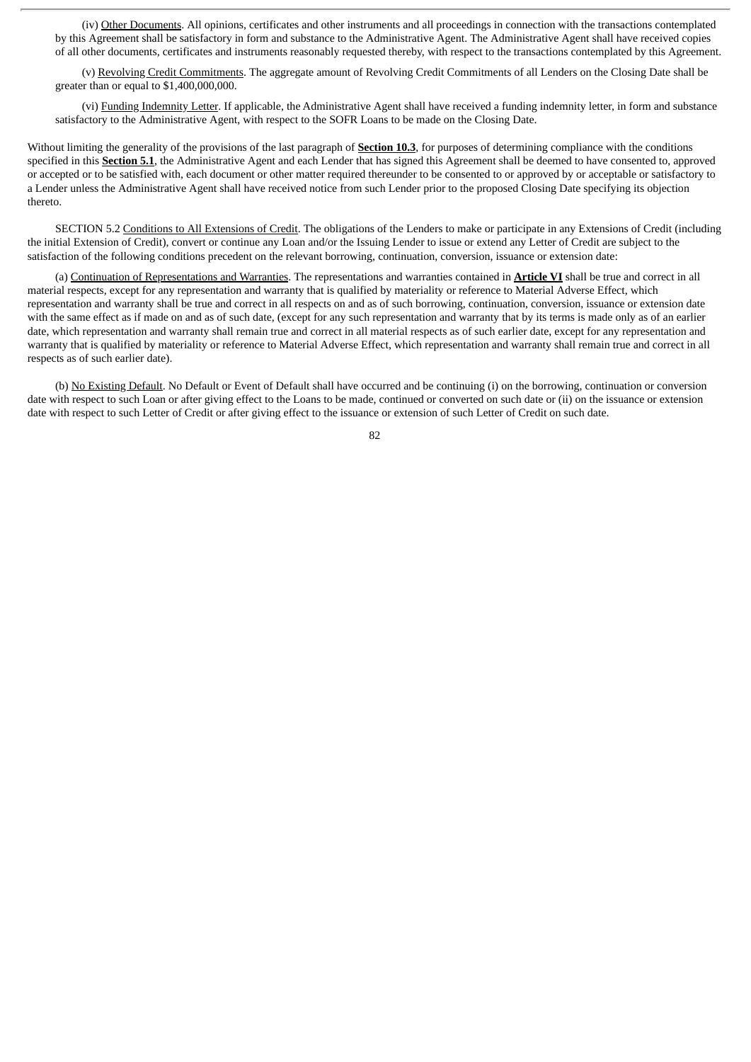(iv) Other Documents. All opinions, certificates and other instruments and all proceedings in connection with the transactions contemplated by this Agreement shall be satisfactory in form and substance to the Administrative Agent. The Administrative Agent shall have received copies of all other documents, certificates and instruments reasonably requested thereby, with respect to the transactions contemplated by this Agreement.

(v) Revolving Credit Commitments. The aggregate amount of Revolving Credit Commitments of all Lenders on the Closing Date shall be greater than or equal to \$1,400,000,000.

(vi) Funding Indemnity Letter. If applicable, the Administrative Agent shall have received a funding indemnity letter, in form and substance satisfactory to the Administrative Agent, with respect to the SOFR Loans to be made on the Closing Date.

Without limiting the generality of the provisions of the last paragraph of **Section 10.3**, for purposes of determining compliance with the conditions specified in this **Section 5.1**, the Administrative Agent and each Lender that has signed this Agreement shall be deemed to have consented to, approved or accepted or to be satisfied with, each document or other matter required thereunder to be consented to or approved by or acceptable or satisfactory to a Lender unless the Administrative Agent shall have received notice from such Lender prior to the proposed Closing Date specifying its objection thereto.

SECTION 5.2 Conditions to All Extensions of Credit. The obligations of the Lenders to make or participate in any Extensions of Credit (including the initial Extension of Credit), convert or continue any Loan and/or the Issuing Lender to issue or extend any Letter of Credit are subject to the satisfaction of the following conditions precedent on the relevant borrowing, continuation, conversion, issuance or extension date:

(a) Continuation of Representations and Warranties. The representations and warranties contained in **Article VI** shall be true and correct in all material respects, except for any representation and warranty that is qualified by materiality or reference to Material Adverse Effect, which representation and warranty shall be true and correct in all respects on and as of such borrowing, continuation, conversion, issuance or extension date with the same effect as if made on and as of such date, (except for any such representation and warranty that by its terms is made only as of an earlier date, which representation and warranty shall remain true and correct in all material respects as of such earlier date, except for any representation and warranty that is qualified by materiality or reference to Material Adverse Effect, which representation and warranty shall remain true and correct in all respects as of such earlier date).

(b) No Existing Default. No Default or Event of Default shall have occurred and be continuing (i) on the borrowing, continuation or conversion date with respect to such Loan or after giving effect to the Loans to be made, continued or converted on such date or (ii) on the issuance or extension date with respect to such Letter of Credit or after giving effect to the issuance or extension of such Letter of Credit on such date.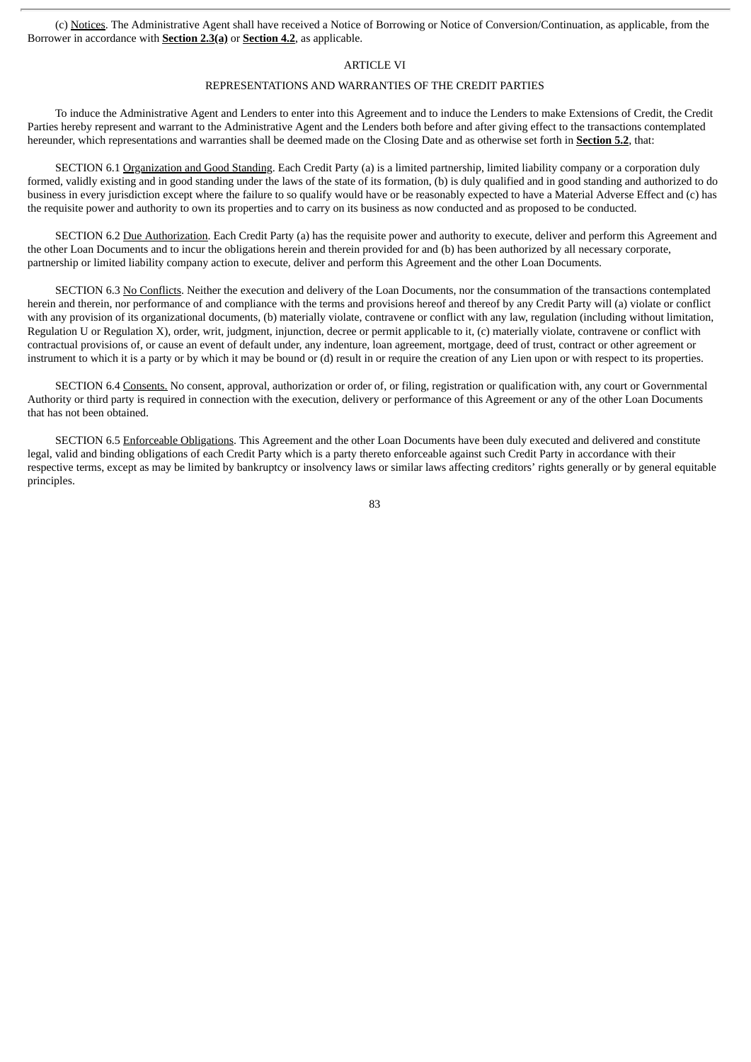(c) Notices. The Administrative Agent shall have received a Notice of Borrowing or Notice of Conversion/Continuation, as applicable, from the Borrower in accordance with **Section 2.3(a)** or **Section 4.2**, as applicable.

## ARTICLE VI

## REPRESENTATIONS AND WARRANTIES OF THE CREDIT PARTIES

To induce the Administrative Agent and Lenders to enter into this Agreement and to induce the Lenders to make Extensions of Credit, the Credit Parties hereby represent and warrant to the Administrative Agent and the Lenders both before and after giving effect to the transactions contemplated hereunder, which representations and warranties shall be deemed made on the Closing Date and as otherwise set forth in **Section 5.2**, that:

SECTION 6.1 Organization and Good Standing. Each Credit Party (a) is a limited partnership, limited liability company or a corporation duly formed, validly existing and in good standing under the laws of the state of its formation, (b) is duly qualified and in good standing and authorized to do business in every jurisdiction except where the failure to so qualify would have or be reasonably expected to have a Material Adverse Effect and (c) has the requisite power and authority to own its properties and to carry on its business as now conducted and as proposed to be conducted.

SECTION 6.2 Due Authorization. Each Credit Party (a) has the requisite power and authority to execute, deliver and perform this Agreement and the other Loan Documents and to incur the obligations herein and therein provided for and (b) has been authorized by all necessary corporate, partnership or limited liability company action to execute, deliver and perform this Agreement and the other Loan Documents.

SECTION 6.3 No Conflicts. Neither the execution and delivery of the Loan Documents, nor the consummation of the transactions contemplated herein and therein, nor performance of and compliance with the terms and provisions hereof and thereof by any Credit Party will (a) violate or conflict with any provision of its organizational documents, (b) materially violate, contravene or conflict with any law, regulation (including without limitation, Regulation U or Regulation X), order, writ, judgment, injunction, decree or permit applicable to it, (c) materially violate, contravene or conflict with contractual provisions of, or cause an event of default under, any indenture, loan agreement, mortgage, deed of trust, contract or other agreement or instrument to which it is a party or by which it may be bound or (d) result in or require the creation of any Lien upon or with respect to its properties.

SECTION 6.4 Consents. No consent, approval, authorization or order of, or filing, registration or qualification with, any court or Governmental Authority or third party is required in connection with the execution, delivery or performance of this Agreement or any of the other Loan Documents that has not been obtained.

SECTION 6.5 Enforceable Obligations. This Agreement and the other Loan Documents have been duly executed and delivered and constitute legal, valid and binding obligations of each Credit Party which is a party thereto enforceable against such Credit Party in accordance with their respective terms, except as may be limited by bankruptcy or insolvency laws or similar laws affecting creditors' rights generally or by general equitable principles.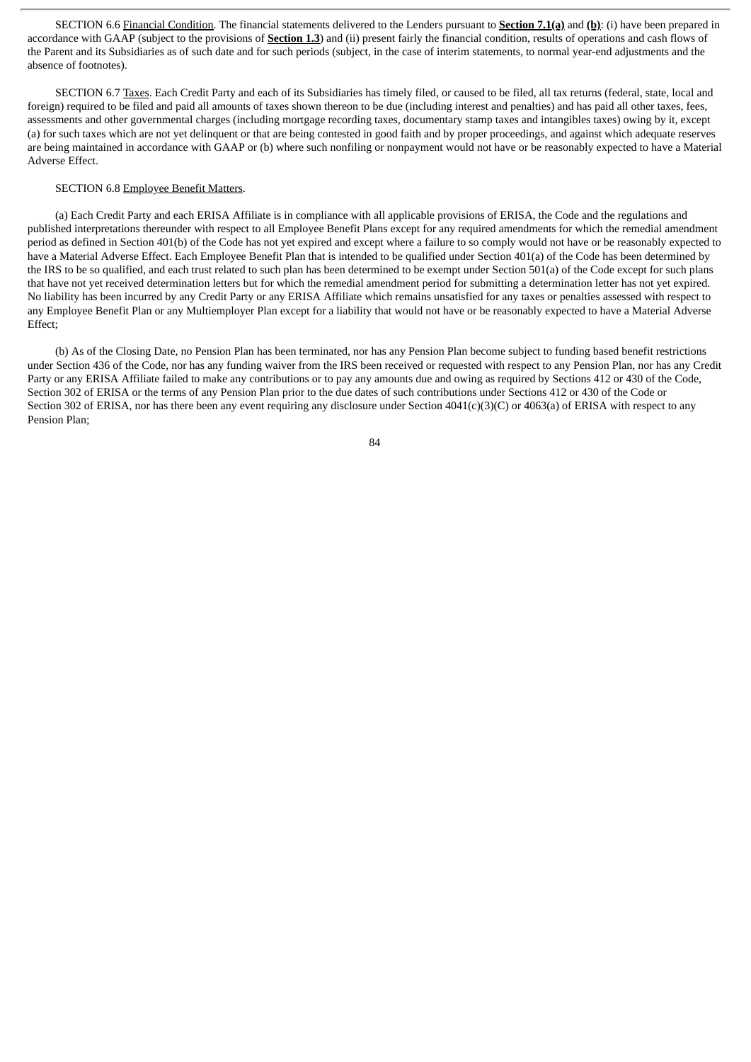SECTION 6.6 Financial Condition. The financial statements delivered to the Lenders pursuant to **Section 7.1(a)** and **(b)**: (i) have been prepared in accordance with GAAP (subject to the provisions of **Section 1.3**) and (ii) present fairly the financial condition, results of operations and cash flows of the Parent and its Subsidiaries as of such date and for such periods (subject, in the case of interim statements, to normal year-end adjustments and the absence of footnotes).

SECTION 6.7 Taxes. Each Credit Party and each of its Subsidiaries has timely filed, or caused to be filed, all tax returns (federal, state, local and foreign) required to be filed and paid all amounts of taxes shown thereon to be due (including interest and penalties) and has paid all other taxes, fees, assessments and other governmental charges (including mortgage recording taxes, documentary stamp taxes and intangibles taxes) owing by it, except (a) for such taxes which are not yet delinquent or that are being contested in good faith and by proper proceedings, and against which adequate reserves are being maintained in accordance with GAAP or (b) where such nonfiling or nonpayment would not have or be reasonably expected to have a Material Adverse Effect.

## SECTION 6.8 Employee Benefit Matters.

(a) Each Credit Party and each ERISA Affiliate is in compliance with all applicable provisions of ERISA, the Code and the regulations and published interpretations thereunder with respect to all Employee Benefit Plans except for any required amendments for which the remedial amendment period as defined in Section 401(b) of the Code has not yet expired and except where a failure to so comply would not have or be reasonably expected to have a Material Adverse Effect. Each Employee Benefit Plan that is intended to be qualified under Section 401(a) of the Code has been determined by the IRS to be so qualified, and each trust related to such plan has been determined to be exempt under Section 501(a) of the Code except for such plans that have not yet received determination letters but for which the remedial amendment period for submitting a determination letter has not yet expired. No liability has been incurred by any Credit Party or any ERISA Affiliate which remains unsatisfied for any taxes or penalties assessed with respect to any Employee Benefit Plan or any Multiemployer Plan except for a liability that would not have or be reasonably expected to have a Material Adverse Effect;

(b) As of the Closing Date, no Pension Plan has been terminated, nor has any Pension Plan become subject to funding based benefit restrictions under Section 436 of the Code, nor has any funding waiver from the IRS been received or requested with respect to any Pension Plan, nor has any Credit Party or any ERISA Affiliate failed to make any contributions or to pay any amounts due and owing as required by Sections 412 or 430 of the Code, Section 302 of ERISA or the terms of any Pension Plan prior to the due dates of such contributions under Sections 412 or 430 of the Code or Section 302 of ERISA, nor has there been any event requiring any disclosure under Section 4041(c)(3)(C) or 4063(a) of ERISA with respect to any Pension Plan;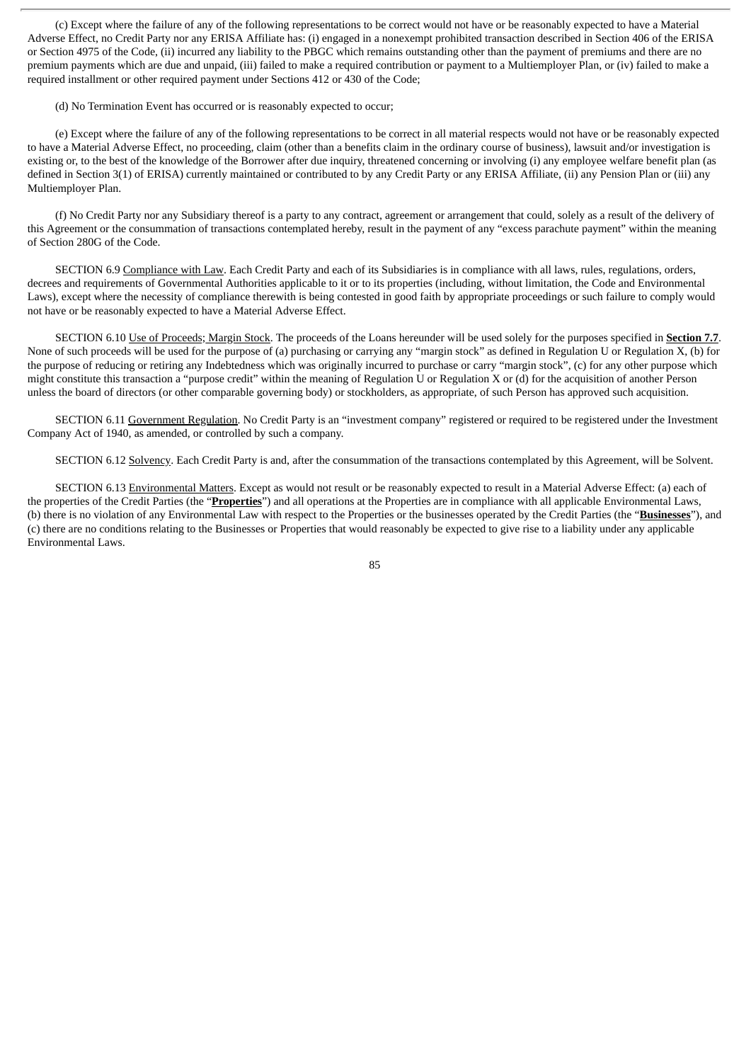(c) Except where the failure of any of the following representations to be correct would not have or be reasonably expected to have a Material Adverse Effect, no Credit Party nor any ERISA Affiliate has: (i) engaged in a nonexempt prohibited transaction described in Section 406 of the ERISA or Section 4975 of the Code, (ii) incurred any liability to the PBGC which remains outstanding other than the payment of premiums and there are no premium payments which are due and unpaid, (iii) failed to make a required contribution or payment to a Multiemployer Plan, or (iv) failed to make a required installment or other required payment under Sections 412 or 430 of the Code;

(d) No Termination Event has occurred or is reasonably expected to occur;

(e) Except where the failure of any of the following representations to be correct in all material respects would not have or be reasonably expected to have a Material Adverse Effect, no proceeding, claim (other than a benefits claim in the ordinary course of business), lawsuit and/or investigation is existing or, to the best of the knowledge of the Borrower after due inquiry, threatened concerning or involving (i) any employee welfare benefit plan (as defined in Section 3(1) of ERISA) currently maintained or contributed to by any Credit Party or any ERISA Affiliate, (ii) any Pension Plan or (iii) any Multiemployer Plan.

(f) No Credit Party nor any Subsidiary thereof is a party to any contract, agreement or arrangement that could, solely as a result of the delivery of this Agreement or the consummation of transactions contemplated hereby, result in the payment of any "excess parachute payment" within the meaning of Section 280G of the Code.

SECTION 6.9 Compliance with Law. Each Credit Party and each of its Subsidiaries is in compliance with all laws, rules, regulations, orders, decrees and requirements of Governmental Authorities applicable to it or to its properties (including, without limitation, the Code and Environmental Laws), except where the necessity of compliance therewith is being contested in good faith by appropriate proceedings or such failure to comply would not have or be reasonably expected to have a Material Adverse Effect.

SECTION 6.10 Use of Proceeds; Margin Stock. The proceeds of the Loans hereunder will be used solely for the purposes specified in **Section 7.7**. None of such proceeds will be used for the purpose of (a) purchasing or carrying any "margin stock" as defined in Regulation U or Regulation X, (b) for the purpose of reducing or retiring any Indebtedness which was originally incurred to purchase or carry "margin stock", (c) for any other purpose which might constitute this transaction a "purpose credit" within the meaning of Regulation U or Regulation X or (d) for the acquisition of another Person unless the board of directors (or other comparable governing body) or stockholders, as appropriate, of such Person has approved such acquisition.

SECTION 6.11 Government Regulation. No Credit Party is an "investment company" registered or required to be registered under the Investment Company Act of 1940, as amended, or controlled by such a company.

SECTION 6.12 Solvency. Each Credit Party is and, after the consummation of the transactions contemplated by this Agreement, will be Solvent.

SECTION 6.13 Environmental Matters. Except as would not result or be reasonably expected to result in a Material Adverse Effect: (a) each of the properties of the Credit Parties (the "**Properties**") and all operations at the Properties are in compliance with all applicable Environmental Laws, (b) there is no violation of any Environmental Law with respect to the Properties or the businesses operated by the Credit Parties (the "**Businesses**"), and (c) there are no conditions relating to the Businesses or Properties that would reasonably be expected to give rise to a liability under any applicable Environmental Laws.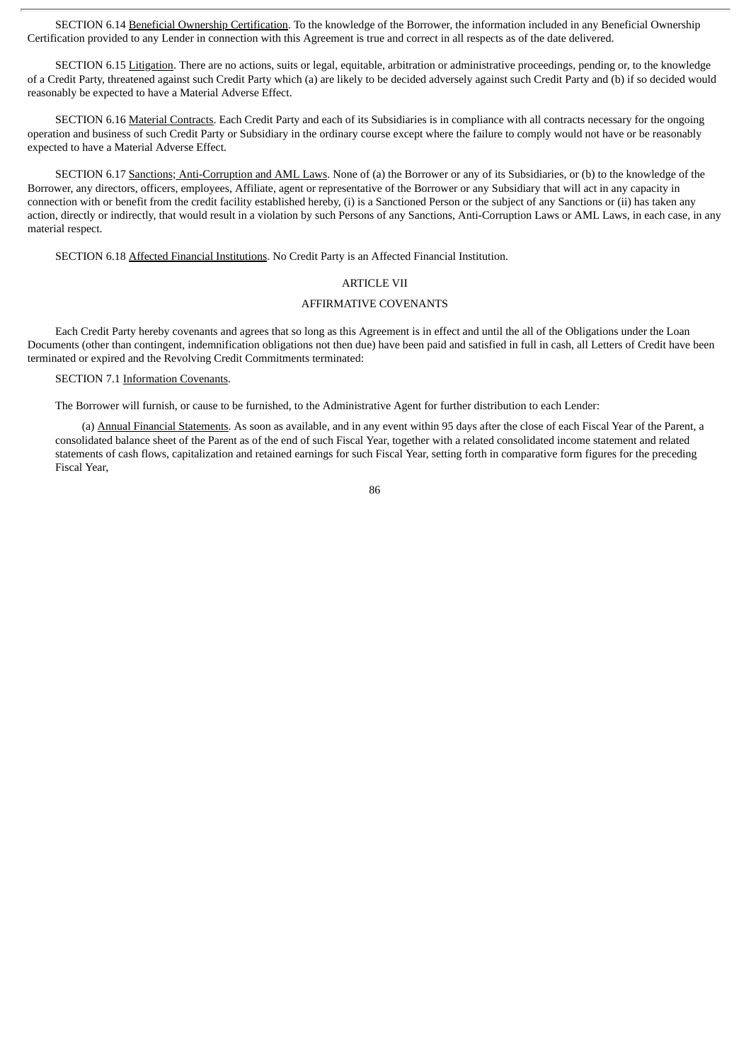SECTION 6.14 Beneficial Ownership Certification. To the knowledge of the Borrower, the information included in any Beneficial Ownership Certification provided to any Lender in connection with this Agreement is true and correct in all respects as of the date delivered.

SECTION 6.15 Litigation. There are no actions, suits or legal, equitable, arbitration or administrative proceedings, pending or, to the knowledge of a Credit Party, threatened against such Credit Party which (a) are likely to be decided adversely against such Credit Party and (b) if so decided would reasonably be expected to have a Material Adverse Effect.

SECTION 6.16 Material Contracts. Each Credit Party and each of its Subsidiaries is in compliance with all contracts necessary for the ongoing operation and business of such Credit Party or Subsidiary in the ordinary course except where the failure to comply would not have or be reasonably expected to have a Material Adverse Effect.

SECTION 6.17 Sanctions; Anti-Corruption and AML Laws. None of (a) the Borrower or any of its Subsidiaries, or (b) to the knowledge of the Borrower, any directors, officers, employees, Affiliate, agent or representative of the Borrower or any Subsidiary that will act in any capacity in connection with or benefit from the credit facility established hereby, (i) is a Sanctioned Person or the subject of any Sanctions or (ii) has taken any action, directly or indirectly, that would result in a violation by such Persons of any Sanctions, Anti-Corruption Laws or AML Laws, in each case, in any material respect.

SECTION 6.18 Affected Financial Institutions. No Credit Party is an Affected Financial Institution.

## ARTICLE VII

#### AFFIRMATIVE COVENANTS

Each Credit Party hereby covenants and agrees that so long as this Agreement is in effect and until the all of the Obligations under the Loan Documents (other than contingent, indemnification obligations not then due) have been paid and satisfied in full in cash, all Letters of Credit have been terminated or expired and the Revolving Credit Commitments terminated:

## SECTION 7.1 Information Covenants.

The Borrower will furnish, or cause to be furnished, to the Administrative Agent for further distribution to each Lender:

(a) Annual Financial Statements. As soon as available, and in any event within 95 days after the close of each Fiscal Year of the Parent, a consolidated balance sheet of the Parent as of the end of such Fiscal Year, together with a related consolidated income statement and related statements of cash flows, capitalization and retained earnings for such Fiscal Year, setting forth in comparative form figures for the preceding Fiscal Year,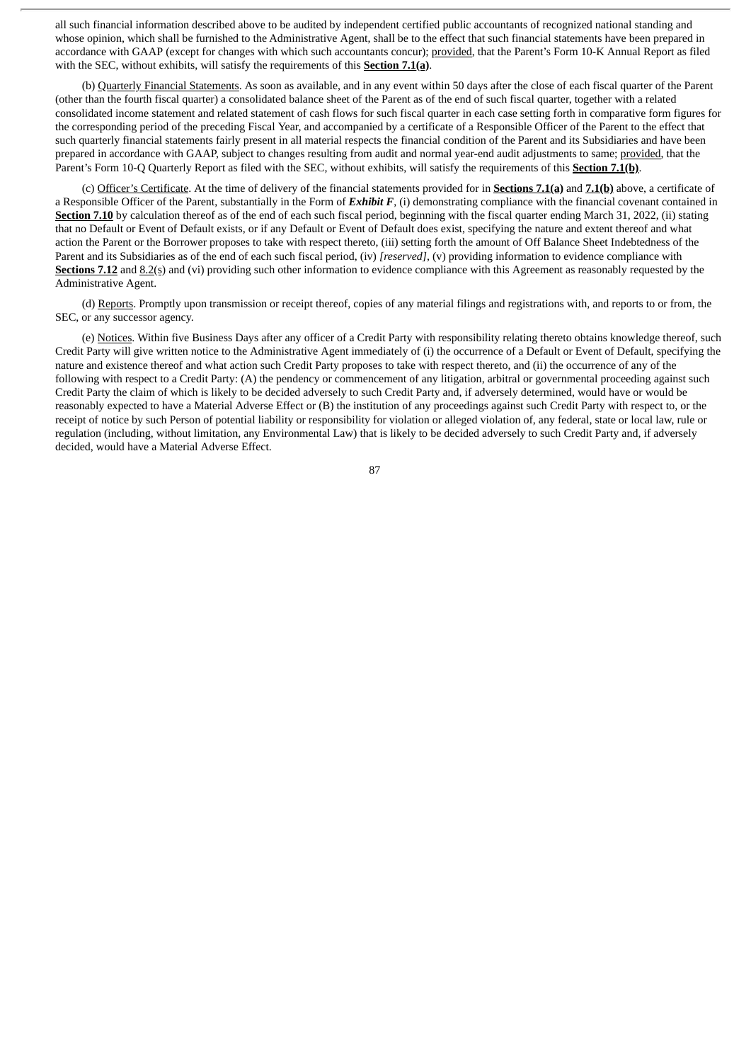all such financial information described above to be audited by independent certified public accountants of recognized national standing and whose opinion, which shall be furnished to the Administrative Agent, shall be to the effect that such financial statements have been prepared in accordance with GAAP (except for changes with which such accountants concur); provided, that the Parent's Form 10-K Annual Report as filed with the SEC, without exhibits, will satisfy the requirements of this **Section 7.1(a)**.

(b) Quarterly Financial Statements. As soon as available, and in any event within 50 days after the close of each fiscal quarter of the Parent (other than the fourth fiscal quarter) a consolidated balance sheet of the Parent as of the end of such fiscal quarter, together with a related consolidated income statement and related statement of cash flows for such fiscal quarter in each case setting forth in comparative form figures for the corresponding period of the preceding Fiscal Year, and accompanied by a certificate of a Responsible Officer of the Parent to the effect that such quarterly financial statements fairly present in all material respects the financial condition of the Parent and its Subsidiaries and have been prepared in accordance with GAAP, subject to changes resulting from audit and normal year-end audit adjustments to same; provided, that the Parent's Form 10-Q Quarterly Report as filed with the SEC, without exhibits, will satisfy the requirements of this **Section 7.1(b)**.

(c) Officer's Certificate. At the time of delivery of the financial statements provided for in **Sections 7.1(a)** and **7.1(b)** above, a certificate of a Responsible Officer of the Parent, substantially in the Form of *Exhibit F*, (i) demonstrating compliance with the financial covenant contained in **Section 7.10** by calculation thereof as of the end of each such fiscal period, beginning with the fiscal quarter ending March 31, 2022, (ii) stating that no Default or Event of Default exists, or if any Default or Event of Default does exist, specifying the nature and extent thereof and what action the Parent or the Borrower proposes to take with respect thereto, (iii) setting forth the amount of Off Balance Sheet Indebtedness of the Parent and its Subsidiaries as of the end of each such fiscal period, (iv) *[reserved]*, (v) providing information to evidence compliance with **Sections 7.12** and 8.2(s) and (vi) providing such other information to evidence compliance with this Agreement as reasonably requested by the Administrative Agent.

(d) Reports. Promptly upon transmission or receipt thereof, copies of any material filings and registrations with, and reports to or from, the SEC, or any successor agency.

(e) Notices. Within five Business Days after any officer of a Credit Party with responsibility relating thereto obtains knowledge thereof, such Credit Party will give written notice to the Administrative Agent immediately of (i) the occurrence of a Default or Event of Default, specifying the nature and existence thereof and what action such Credit Party proposes to take with respect thereto, and (ii) the occurrence of any of the following with respect to a Credit Party: (A) the pendency or commencement of any litigation, arbitral or governmental proceeding against such Credit Party the claim of which is likely to be decided adversely to such Credit Party and, if adversely determined, would have or would be reasonably expected to have a Material Adverse Effect or (B) the institution of any proceedings against such Credit Party with respect to, or the receipt of notice by such Person of potential liability or responsibility for violation or alleged violation of, any federal, state or local law, rule or regulation (including, without limitation, any Environmental Law) that is likely to be decided adversely to such Credit Party and, if adversely decided, would have a Material Adverse Effect.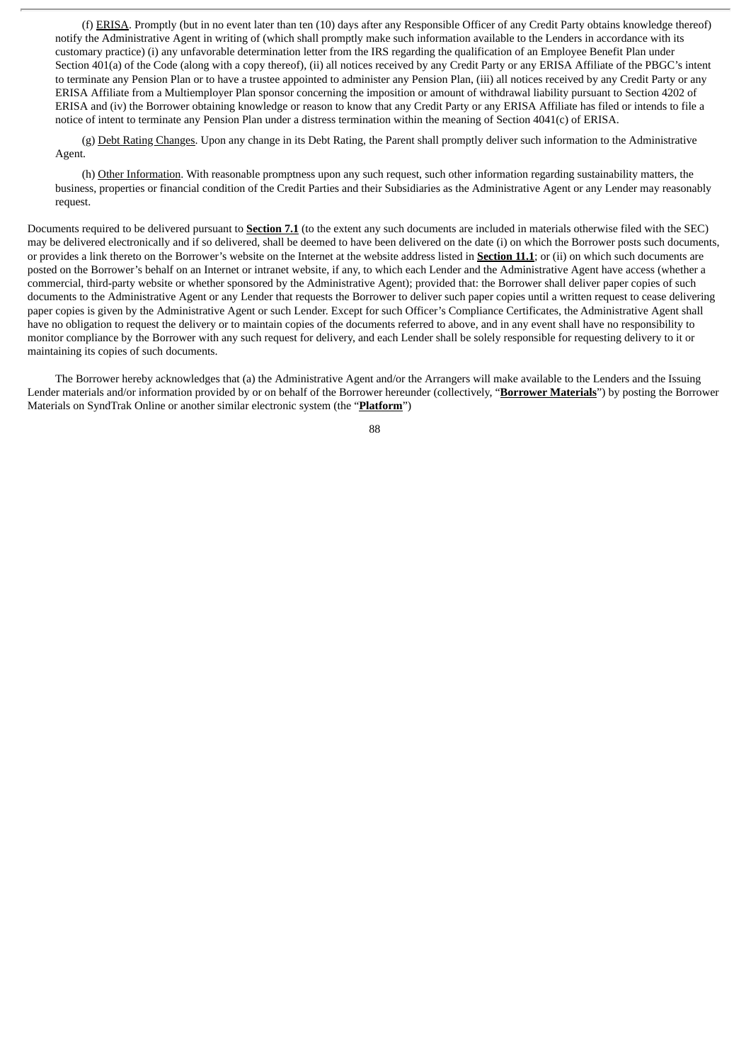(f) ERISA. Promptly (but in no event later than ten (10) days after any Responsible Officer of any Credit Party obtains knowledge thereof) notify the Administrative Agent in writing of (which shall promptly make such information available to the Lenders in accordance with its customary practice) (i) any unfavorable determination letter from the IRS regarding the qualification of an Employee Benefit Plan under Section 401(a) of the Code (along with a copy thereof), (ii) all notices received by any Credit Party or any ERISA Affiliate of the PBGC's intent to terminate any Pension Plan or to have a trustee appointed to administer any Pension Plan, (iii) all notices received by any Credit Party or any ERISA Affiliate from a Multiemployer Plan sponsor concerning the imposition or amount of withdrawal liability pursuant to Section 4202 of ERISA and (iv) the Borrower obtaining knowledge or reason to know that any Credit Party or any ERISA Affiliate has filed or intends to file a notice of intent to terminate any Pension Plan under a distress termination within the meaning of Section 4041(c) of ERISA.

(g) Debt Rating Changes. Upon any change in its Debt Rating, the Parent shall promptly deliver such information to the Administrative Agent.

(h) Other Information. With reasonable promptness upon any such request, such other information regarding sustainability matters, the business, properties or financial condition of the Credit Parties and their Subsidiaries as the Administrative Agent or any Lender may reasonably request.

Documents required to be delivered pursuant to **Section 7.1** (to the extent any such documents are included in materials otherwise filed with the SEC) may be delivered electronically and if so delivered, shall be deemed to have been delivered on the date (i) on which the Borrower posts such documents, or provides a link thereto on the Borrower's website on the Internet at the website address listed in **Section 11.1**; or (ii) on which such documents are posted on the Borrower's behalf on an Internet or intranet website, if any, to which each Lender and the Administrative Agent have access (whether a commercial, third-party website or whether sponsored by the Administrative Agent); provided that: the Borrower shall deliver paper copies of such documents to the Administrative Agent or any Lender that requests the Borrower to deliver such paper copies until a written request to cease delivering paper copies is given by the Administrative Agent or such Lender. Except for such Officer's Compliance Certificates, the Administrative Agent shall have no obligation to request the delivery or to maintain copies of the documents referred to above, and in any event shall have no responsibility to monitor compliance by the Borrower with any such request for delivery, and each Lender shall be solely responsible for requesting delivery to it or maintaining its copies of such documents.

The Borrower hereby acknowledges that (a) the Administrative Agent and/or the Arrangers will make available to the Lenders and the Issuing Lender materials and/or information provided by or on behalf of the Borrower hereunder (collectively, "**Borrower Materials**") by posting the Borrower Materials on SyndTrak Online or another similar electronic system (the "**Platform**")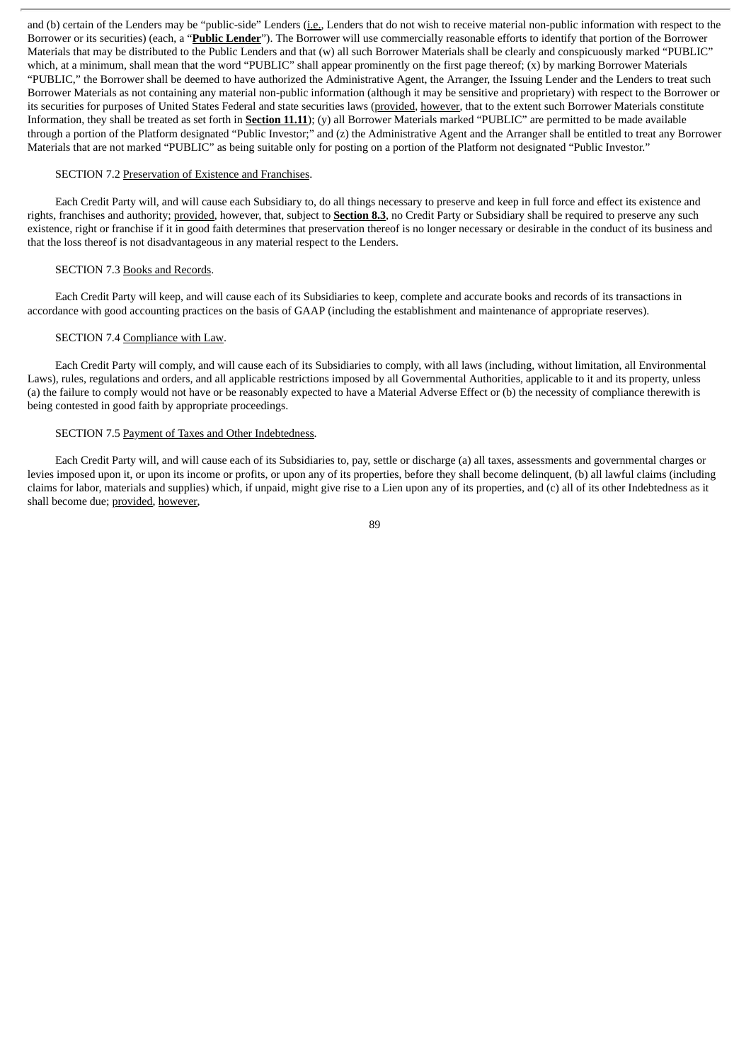and (b) certain of the Lenders may be "public-side" Lenders (i.e., Lenders that do not wish to receive material non-public information with respect to the Borrower or its securities) (each, a "**Public Lender**"). The Borrower will use commercially reasonable efforts to identify that portion of the Borrower Materials that may be distributed to the Public Lenders and that (w) all such Borrower Materials shall be clearly and conspicuously marked "PUBLIC" which, at a minimum, shall mean that the word "PUBLIC" shall appear prominently on the first page thereof; (x) by marking Borrower Materials "PUBLIC," the Borrower shall be deemed to have authorized the Administrative Agent, the Arranger, the Issuing Lender and the Lenders to treat such Borrower Materials as not containing any material non-public information (although it may be sensitive and proprietary) with respect to the Borrower or its securities for purposes of United States Federal and state securities laws (provided, however, that to the extent such Borrower Materials constitute Information, they shall be treated as set forth in **Section 11.11**); (y) all Borrower Materials marked "PUBLIC" are permitted to be made available through a portion of the Platform designated "Public Investor;" and (z) the Administrative Agent and the Arranger shall be entitled to treat any Borrower Materials that are not marked "PUBLIC" as being suitable only for posting on a portion of the Platform not designated "Public Investor."

#### SECTION 7.2 Preservation of Existence and Franchises.

Each Credit Party will, and will cause each Subsidiary to, do all things necessary to preserve and keep in full force and effect its existence and rights, franchises and authority; provided, however, that, subject to **Section 8.3**, no Credit Party or Subsidiary shall be required to preserve any such existence, right or franchise if it in good faith determines that preservation thereof is no longer necessary or desirable in the conduct of its business and that the loss thereof is not disadvantageous in any material respect to the Lenders.

## SECTION 7.3 Books and Records.

Each Credit Party will keep, and will cause each of its Subsidiaries to keep, complete and accurate books and records of its transactions in accordance with good accounting practices on the basis of GAAP (including the establishment and maintenance of appropriate reserves).

## SECTION 7.4 Compliance with Law.

Each Credit Party will comply, and will cause each of its Subsidiaries to comply, with all laws (including, without limitation, all Environmental Laws), rules, regulations and orders, and all applicable restrictions imposed by all Governmental Authorities, applicable to it and its property, unless (a) the failure to comply would not have or be reasonably expected to have a Material Adverse Effect or (b) the necessity of compliance therewith is being contested in good faith by appropriate proceedings.

## SECTION 7.5 Payment of Taxes and Other Indebtedness.

Each Credit Party will, and will cause each of its Subsidiaries to, pay, settle or discharge (a) all taxes, assessments and governmental charges or levies imposed upon it, or upon its income or profits, or upon any of its properties, before they shall become delinquent, (b) all lawful claims (including claims for labor, materials and supplies) which, if unpaid, might give rise to a Lien upon any of its properties, and (c) all of its other Indebtedness as it shall become due; provided, however,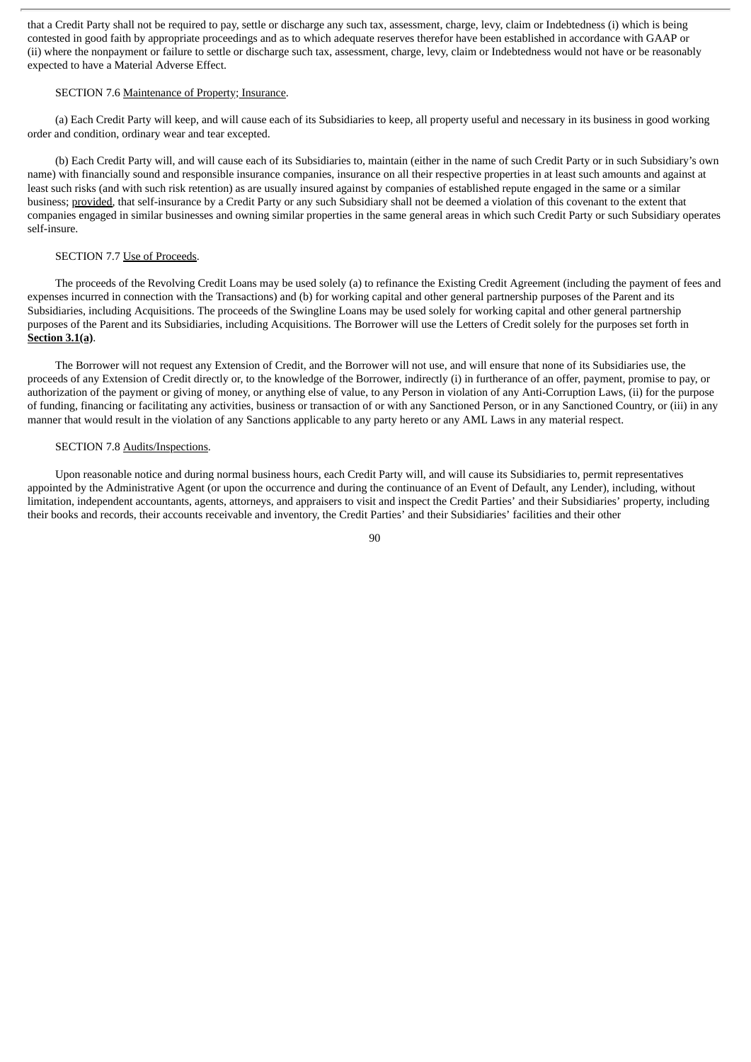that a Credit Party shall not be required to pay, settle or discharge any such tax, assessment, charge, levy, claim or Indebtedness (i) which is being contested in good faith by appropriate proceedings and as to which adequate reserves therefor have been established in accordance with GAAP or (ii) where the nonpayment or failure to settle or discharge such tax, assessment, charge, levy, claim or Indebtedness would not have or be reasonably expected to have a Material Adverse Effect.

## SECTION 7.6 Maintenance of Property; Insurance.

(a) Each Credit Party will keep, and will cause each of its Subsidiaries to keep, all property useful and necessary in its business in good working order and condition, ordinary wear and tear excepted.

(b) Each Credit Party will, and will cause each of its Subsidiaries to, maintain (either in the name of such Credit Party or in such Subsidiary's own name) with financially sound and responsible insurance companies, insurance on all their respective properties in at least such amounts and against at least such risks (and with such risk retention) as are usually insured against by companies of established repute engaged in the same or a similar business; provided*,* that self-insurance by a Credit Party or any such Subsidiary shall not be deemed a violation of this covenant to the extent that companies engaged in similar businesses and owning similar properties in the same general areas in which such Credit Party or such Subsidiary operates self-insure.

## SECTION 7.7 Use of Proceeds.

The proceeds of the Revolving Credit Loans may be used solely (a) to refinance the Existing Credit Agreement (including the payment of fees and expenses incurred in connection with the Transactions) and (b) for working capital and other general partnership purposes of the Parent and its Subsidiaries, including Acquisitions. The proceeds of the Swingline Loans may be used solely for working capital and other general partnership purposes of the Parent and its Subsidiaries, including Acquisitions. The Borrower will use the Letters of Credit solely for the purposes set forth in **Section 3.1(a)**.

The Borrower will not request any Extension of Credit, and the Borrower will not use, and will ensure that none of its Subsidiaries use, the proceeds of any Extension of Credit directly or, to the knowledge of the Borrower, indirectly (i) in furtherance of an offer, payment, promise to pay, or authorization of the payment or giving of money, or anything else of value, to any Person in violation of any Anti-Corruption Laws, (ii) for the purpose of funding, financing or facilitating any activities, business or transaction of or with any Sanctioned Person, or in any Sanctioned Country, or (iii) in any manner that would result in the violation of any Sanctions applicable to any party hereto or any AML Laws in any material respect.

### SECTION 7.8 Audits/Inspections.

Upon reasonable notice and during normal business hours, each Credit Party will, and will cause its Subsidiaries to, permit representatives appointed by the Administrative Agent (or upon the occurrence and during the continuance of an Event of Default, any Lender), including, without limitation, independent accountants, agents, attorneys, and appraisers to visit and inspect the Credit Parties' and their Subsidiaries' property, including their books and records, their accounts receivable and inventory, the Credit Parties' and their Subsidiaries' facilities and their other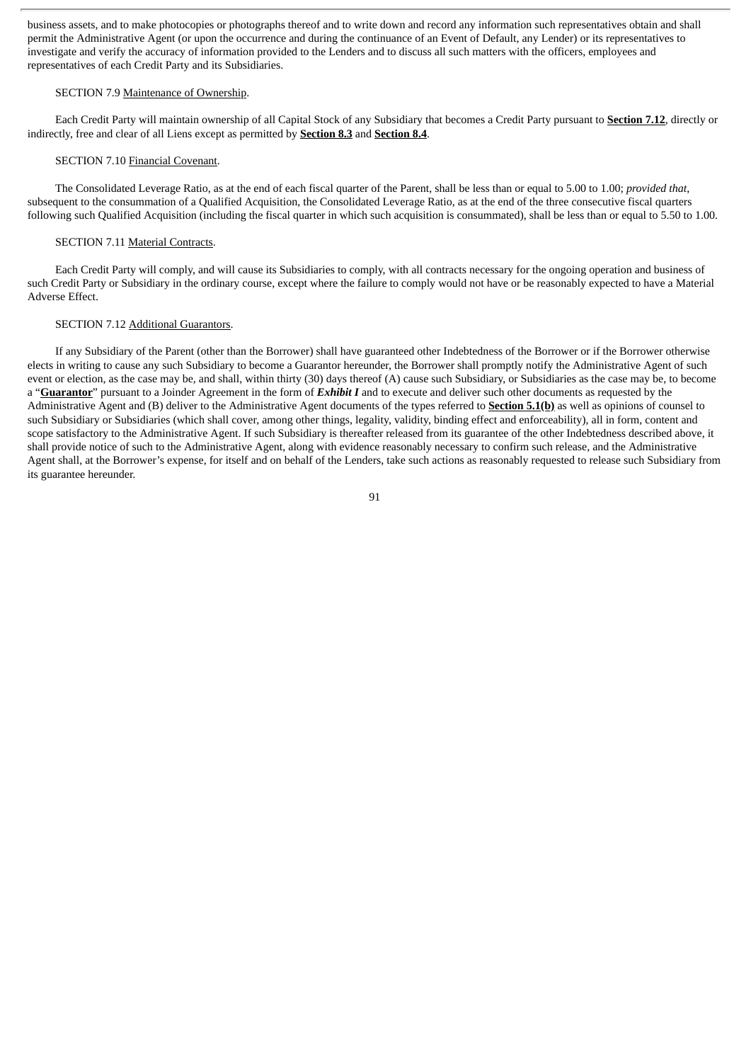business assets, and to make photocopies or photographs thereof and to write down and record any information such representatives obtain and shall permit the Administrative Agent (or upon the occurrence and during the continuance of an Event of Default, any Lender) or its representatives to investigate and verify the accuracy of information provided to the Lenders and to discuss all such matters with the officers, employees and representatives of each Credit Party and its Subsidiaries.

## SECTION 7.9 Maintenance of Ownership.

Each Credit Party will maintain ownership of all Capital Stock of any Subsidiary that becomes a Credit Party pursuant to **Section 7.12**, directly or indirectly, free and clear of all Liens except as permitted by **Section 8.3** and **Section 8.4**.

### SECTION 7.10 Financial Covenant.

The Consolidated Leverage Ratio, as at the end of each fiscal quarter of the Parent, shall be less than or equal to 5.00 to 1.00; *provided that*, subsequent to the consummation of a Qualified Acquisition, the Consolidated Leverage Ratio, as at the end of the three consecutive fiscal quarters following such Qualified Acquisition (including the fiscal quarter in which such acquisition is consummated), shall be less than or equal to 5.50 to 1.00.

#### SECTION 7.11 Material Contracts.

Each Credit Party will comply, and will cause its Subsidiaries to comply, with all contracts necessary for the ongoing operation and business of such Credit Party or Subsidiary in the ordinary course, except where the failure to comply would not have or be reasonably expected to have a Material Adverse Effect.

### SECTION 7.12 Additional Guarantors.

If any Subsidiary of the Parent (other than the Borrower) shall have guaranteed other Indebtedness of the Borrower or if the Borrower otherwise elects in writing to cause any such Subsidiary to become a Guarantor hereunder, the Borrower shall promptly notify the Administrative Agent of such event or election, as the case may be, and shall, within thirty (30) days thereof (A) cause such Subsidiary, or Subsidiaries as the case may be, to become a "**Guarantor**" pursuant to a Joinder Agreement in the form of *Exhibit I* and to execute and deliver such other documents as requested by the Administrative Agent and (B) deliver to the Administrative Agent documents of the types referred to **Section 5.1(b)** as well as opinions of counsel to such Subsidiary or Subsidiaries (which shall cover, among other things, legality, validity, binding effect and enforceability), all in form, content and scope satisfactory to the Administrative Agent. If such Subsidiary is thereafter released from its guarantee of the other Indebtedness described above, it shall provide notice of such to the Administrative Agent, along with evidence reasonably necessary to confirm such release, and the Administrative Agent shall, at the Borrower's expense, for itself and on behalf of the Lenders, take such actions as reasonably requested to release such Subsidiary from its guarantee hereunder.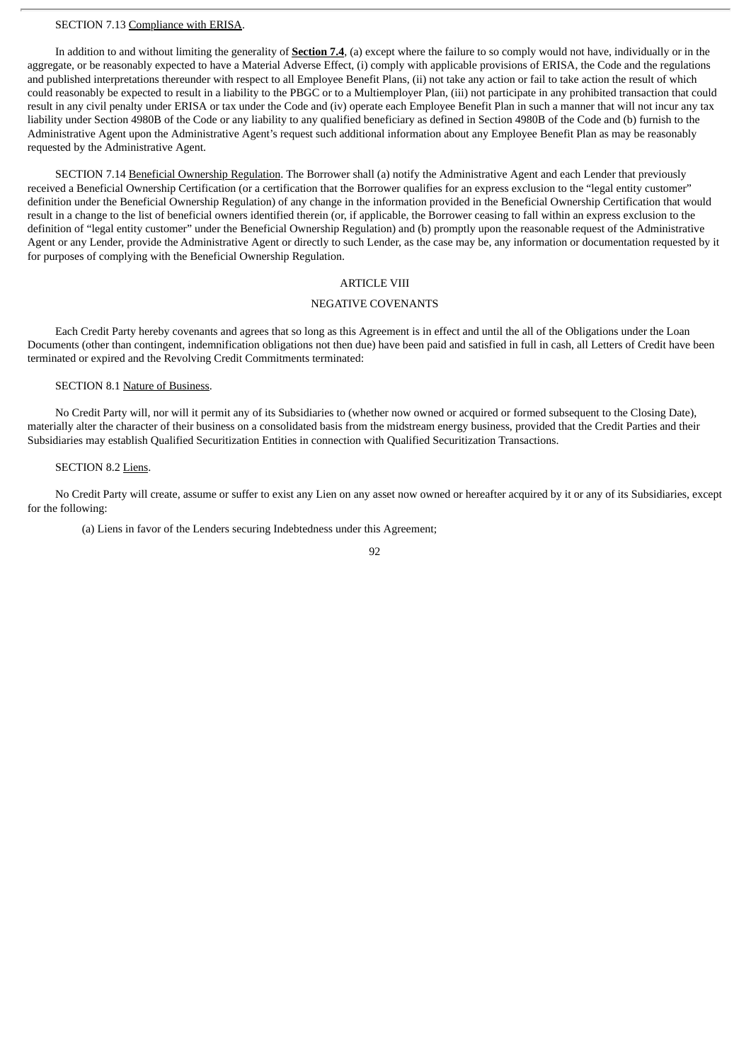## SECTION 7.13 Compliance with ERISA.

In addition to and without limiting the generality of **Section 7.4**, (a) except where the failure to so comply would not have, individually or in the aggregate, or be reasonably expected to have a Material Adverse Effect, (i) comply with applicable provisions of ERISA, the Code and the regulations and published interpretations thereunder with respect to all Employee Benefit Plans, (ii) not take any action or fail to take action the result of which could reasonably be expected to result in a liability to the PBGC or to a Multiemployer Plan, (iii) not participate in any prohibited transaction that could result in any civil penalty under ERISA or tax under the Code and (iv) operate each Employee Benefit Plan in such a manner that will not incur any tax liability under Section 4980B of the Code or any liability to any qualified beneficiary as defined in Section 4980B of the Code and (b) furnish to the Administrative Agent upon the Administrative Agent's request such additional information about any Employee Benefit Plan as may be reasonably requested by the Administrative Agent.

SECTION 7.14 Beneficial Ownership Regulation. The Borrower shall (a) notify the Administrative Agent and each Lender that previously received a Beneficial Ownership Certification (or a certification that the Borrower qualifies for an express exclusion to the "legal entity customer" definition under the Beneficial Ownership Regulation) of any change in the information provided in the Beneficial Ownership Certification that would result in a change to the list of beneficial owners identified therein (or, if applicable, the Borrower ceasing to fall within an express exclusion to the definition of "legal entity customer" under the Beneficial Ownership Regulation) and (b) promptly upon the reasonable request of the Administrative Agent or any Lender, provide the Administrative Agent or directly to such Lender, as the case may be, any information or documentation requested by it for purposes of complying with the Beneficial Ownership Regulation.

## ARTICLE VIII

#### NEGATIVE COVENANTS

Each Credit Party hereby covenants and agrees that so long as this Agreement is in effect and until the all of the Obligations under the Loan Documents (other than contingent, indemnification obligations not then due) have been paid and satisfied in full in cash, all Letters of Credit have been terminated or expired and the Revolving Credit Commitments terminated:

## SECTION 8.1 Nature of Business.

No Credit Party will, nor will it permit any of its Subsidiaries to (whether now owned or acquired or formed subsequent to the Closing Date), materially alter the character of their business on a consolidated basis from the midstream energy business, provided that the Credit Parties and their Subsidiaries may establish Qualified Securitization Entities in connection with Qualified Securitization Transactions.

## SECTION 8.2 Liens.

No Credit Party will create, assume or suffer to exist any Lien on any asset now owned or hereafter acquired by it or any of its Subsidiaries, except for the following:

(a) Liens in favor of the Lenders securing Indebtedness under this Agreement;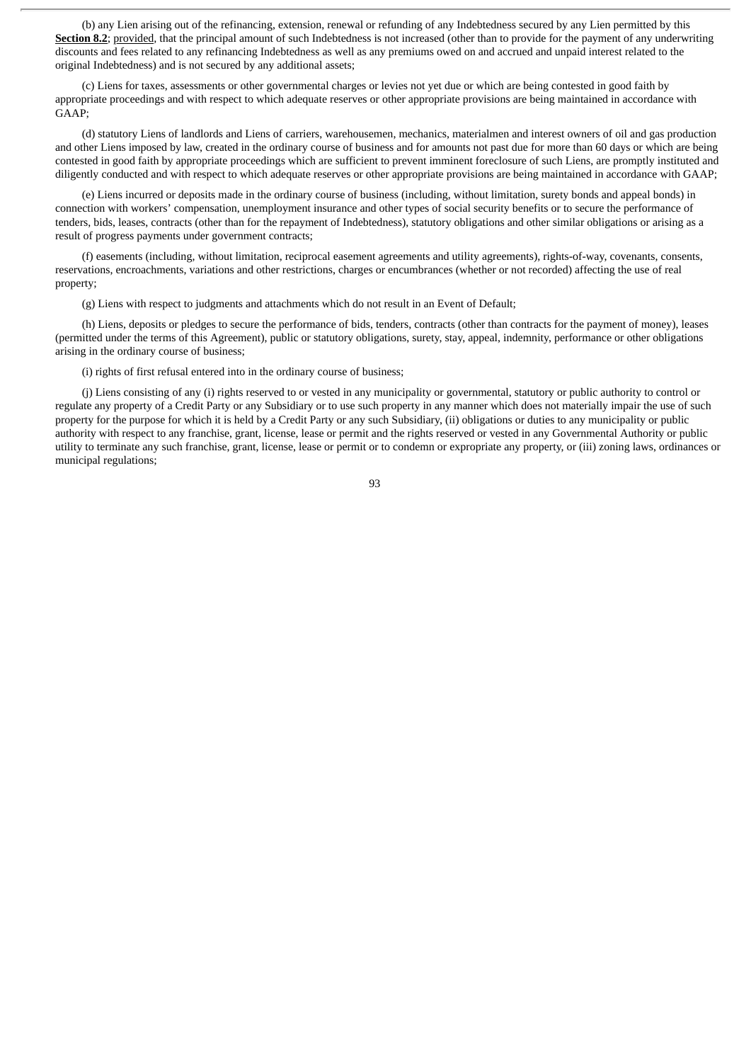(b) any Lien arising out of the refinancing, extension, renewal or refunding of any Indebtedness secured by any Lien permitted by this **Section 8.2**; provided*,* that the principal amount of such Indebtedness is not increased (other than to provide for the payment of any underwriting discounts and fees related to any refinancing Indebtedness as well as any premiums owed on and accrued and unpaid interest related to the original Indebtedness) and is not secured by any additional assets;

(c) Liens for taxes, assessments or other governmental charges or levies not yet due or which are being contested in good faith by appropriate proceedings and with respect to which adequate reserves or other appropriate provisions are being maintained in accordance with GAAP;

(d) statutory Liens of landlords and Liens of carriers, warehousemen, mechanics, materialmen and interest owners of oil and gas production and other Liens imposed by law, created in the ordinary course of business and for amounts not past due for more than 60 days or which are being contested in good faith by appropriate proceedings which are sufficient to prevent imminent foreclosure of such Liens, are promptly instituted and diligently conducted and with respect to which adequate reserves or other appropriate provisions are being maintained in accordance with GAAP;

(e) Liens incurred or deposits made in the ordinary course of business (including, without limitation, surety bonds and appeal bonds) in connection with workers' compensation, unemployment insurance and other types of social security benefits or to secure the performance of tenders, bids, leases, contracts (other than for the repayment of Indebtedness), statutory obligations and other similar obligations or arising as a result of progress payments under government contracts;

(f) easements (including, without limitation, reciprocal easement agreements and utility agreements), rights-of-way, covenants, consents, reservations, encroachments, variations and other restrictions, charges or encumbrances (whether or not recorded) affecting the use of real property;

(g) Liens with respect to judgments and attachments which do not result in an Event of Default;

(h) Liens, deposits or pledges to secure the performance of bids, tenders, contracts (other than contracts for the payment of money), leases (permitted under the terms of this Agreement), public or statutory obligations, surety, stay, appeal, indemnity, performance or other obligations arising in the ordinary course of business;

(i) rights of first refusal entered into in the ordinary course of business;

(j) Liens consisting of any (i) rights reserved to or vested in any municipality or governmental, statutory or public authority to control or regulate any property of a Credit Party or any Subsidiary or to use such property in any manner which does not materially impair the use of such property for the purpose for which it is held by a Credit Party or any such Subsidiary, (ii) obligations or duties to any municipality or public authority with respect to any franchise, grant, license, lease or permit and the rights reserved or vested in any Governmental Authority or public utility to terminate any such franchise, grant, license, lease or permit or to condemn or expropriate any property, or (iii) zoning laws, ordinances or municipal regulations;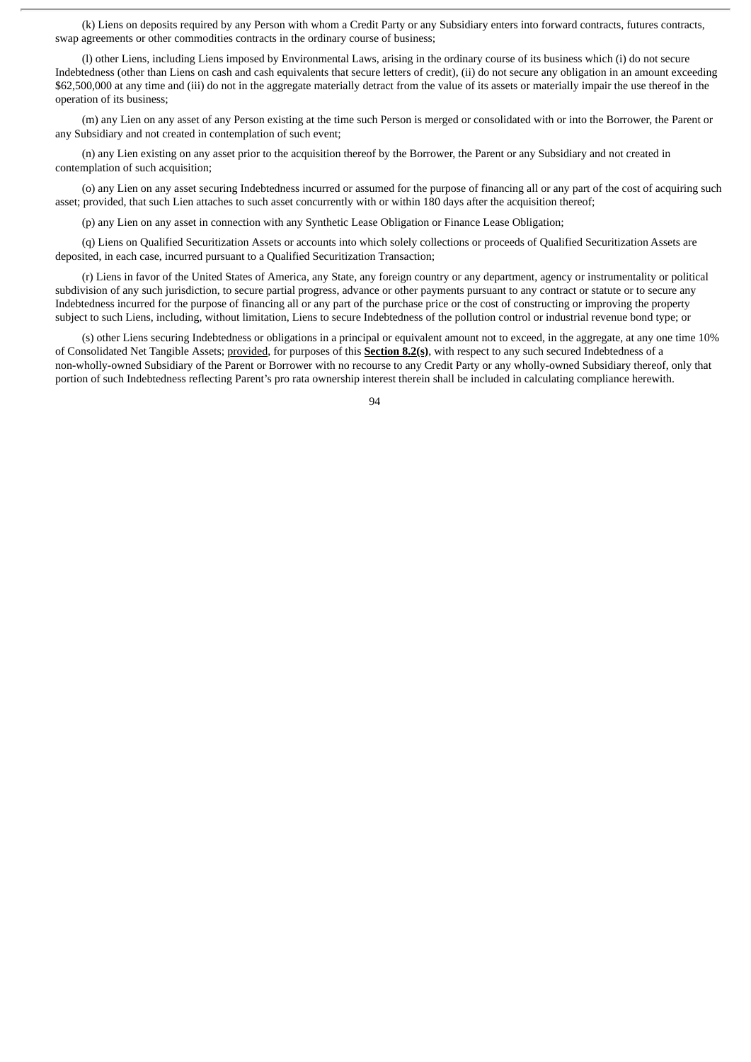(k) Liens on deposits required by any Person with whom a Credit Party or any Subsidiary enters into forward contracts, futures contracts, swap agreements or other commodities contracts in the ordinary course of business;

(l) other Liens, including Liens imposed by Environmental Laws, arising in the ordinary course of its business which (i) do not secure Indebtedness (other than Liens on cash and cash equivalents that secure letters of credit), (ii) do not secure any obligation in an amount exceeding \$62,500,000 at any time and (iii) do not in the aggregate materially detract from the value of its assets or materially impair the use thereof in the operation of its business;

(m) any Lien on any asset of any Person existing at the time such Person is merged or consolidated with or into the Borrower, the Parent or any Subsidiary and not created in contemplation of such event;

(n) any Lien existing on any asset prior to the acquisition thereof by the Borrower, the Parent or any Subsidiary and not created in contemplation of such acquisition;

(o) any Lien on any asset securing Indebtedness incurred or assumed for the purpose of financing all or any part of the cost of acquiring such asset; provided, that such Lien attaches to such asset concurrently with or within 180 days after the acquisition thereof;

(p) any Lien on any asset in connection with any Synthetic Lease Obligation or Finance Lease Obligation;

(q) Liens on Qualified Securitization Assets or accounts into which solely collections or proceeds of Qualified Securitization Assets are deposited, in each case, incurred pursuant to a Qualified Securitization Transaction;

(r) Liens in favor of the United States of America, any State, any foreign country or any department, agency or instrumentality or political subdivision of any such jurisdiction, to secure partial progress, advance or other payments pursuant to any contract or statute or to secure any Indebtedness incurred for the purpose of financing all or any part of the purchase price or the cost of constructing or improving the property subject to such Liens, including, without limitation, Liens to secure Indebtedness of the pollution control or industrial revenue bond type; or

(s) other Liens securing Indebtedness or obligations in a principal or equivalent amount not to exceed, in the aggregate, at any one time 10% of Consolidated Net Tangible Assets; provided, for purposes of this **Section 8.2(s)**, with respect to any such secured Indebtedness of a non-wholly-owned Subsidiary of the Parent or Borrower with no recourse to any Credit Party or any wholly-owned Subsidiary thereof, only that portion of such Indebtedness reflecting Parent's pro rata ownership interest therein shall be included in calculating compliance herewith.

 $Q_A$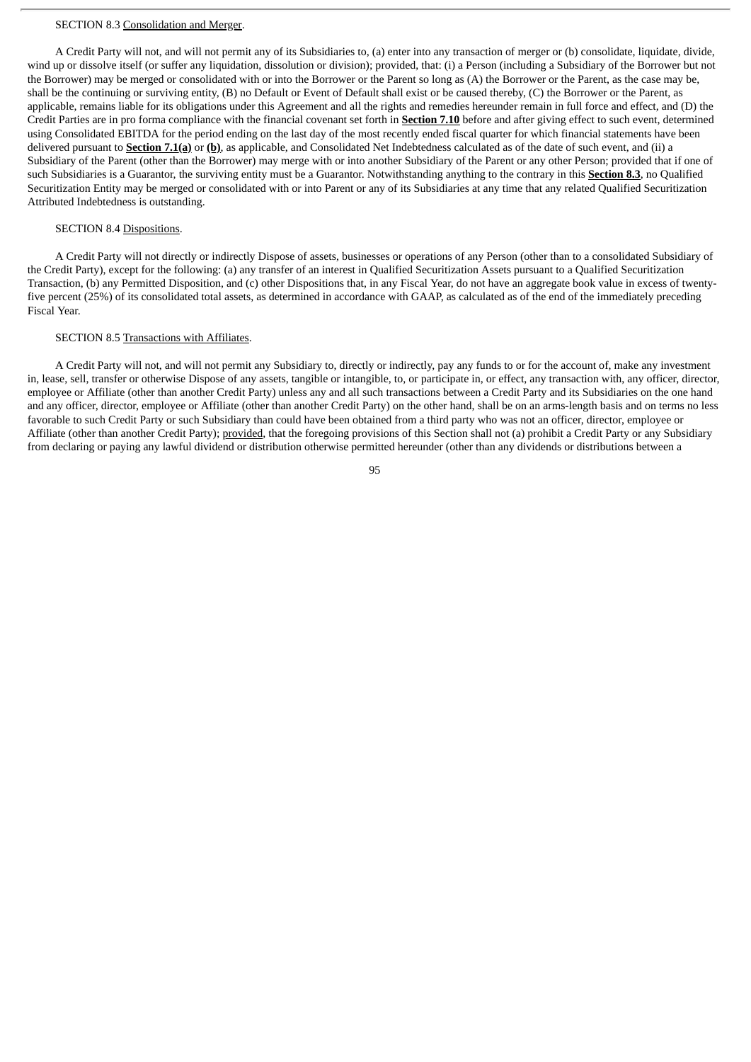## SECTION 8.3 Consolidation and Merger.

A Credit Party will not, and will not permit any of its Subsidiaries to, (a) enter into any transaction of merger or (b) consolidate, liquidate, divide, wind up or dissolve itself (or suffer any liquidation, dissolution or division); provided, that: (i) a Person (including a Subsidiary of the Borrower but not the Borrower) may be merged or consolidated with or into the Borrower or the Parent so long as (A) the Borrower or the Parent, as the case may be, shall be the continuing or surviving entity, (B) no Default or Event of Default shall exist or be caused thereby, (C) the Borrower or the Parent, as applicable, remains liable for its obligations under this Agreement and all the rights and remedies hereunder remain in full force and effect, and (D) the Credit Parties are in pro forma compliance with the financial covenant set forth in **Section 7.10** before and after giving effect to such event, determined using Consolidated EBITDA for the period ending on the last day of the most recently ended fiscal quarter for which financial statements have been delivered pursuant to **Section 7.1(a)** or **(b)**, as applicable, and Consolidated Net Indebtedness calculated as of the date of such event, and (ii) a Subsidiary of the Parent (other than the Borrower) may merge with or into another Subsidiary of the Parent or any other Person; provided that if one of such Subsidiaries is a Guarantor, the surviving entity must be a Guarantor. Notwithstanding anything to the contrary in this **Section 8.3**, no Qualified Securitization Entity may be merged or consolidated with or into Parent or any of its Subsidiaries at any time that any related Qualified Securitization Attributed Indebtedness is outstanding.

## SECTION 8.4 Dispositions.

A Credit Party will not directly or indirectly Dispose of assets, businesses or operations of any Person (other than to a consolidated Subsidiary of the Credit Party), except for the following: (a) any transfer of an interest in Qualified Securitization Assets pursuant to a Qualified Securitization Transaction, (b) any Permitted Disposition, and (c) other Dispositions that, in any Fiscal Year, do not have an aggregate book value in excess of twentyfive percent (25%) of its consolidated total assets, as determined in accordance with GAAP, as calculated as of the end of the immediately preceding Fiscal Year.

#### SECTION 8.5 Transactions with Affiliates.

A Credit Party will not, and will not permit any Subsidiary to, directly or indirectly, pay any funds to or for the account of, make any investment in, lease, sell, transfer or otherwise Dispose of any assets, tangible or intangible, to, or participate in, or effect, any transaction with, any officer, director, employee or Affiliate (other than another Credit Party) unless any and all such transactions between a Credit Party and its Subsidiaries on the one hand and any officer, director, employee or Affiliate (other than another Credit Party) on the other hand, shall be on an arms-length basis and on terms no less favorable to such Credit Party or such Subsidiary than could have been obtained from a third party who was not an officer, director, employee or Affiliate (other than another Credit Party); provided*,* that the foregoing provisions of this Section shall not (a) prohibit a Credit Party or any Subsidiary from declaring or paying any lawful dividend or distribution otherwise permitted hereunder (other than any dividends or distributions between a

 $Q<sub>5</sub>$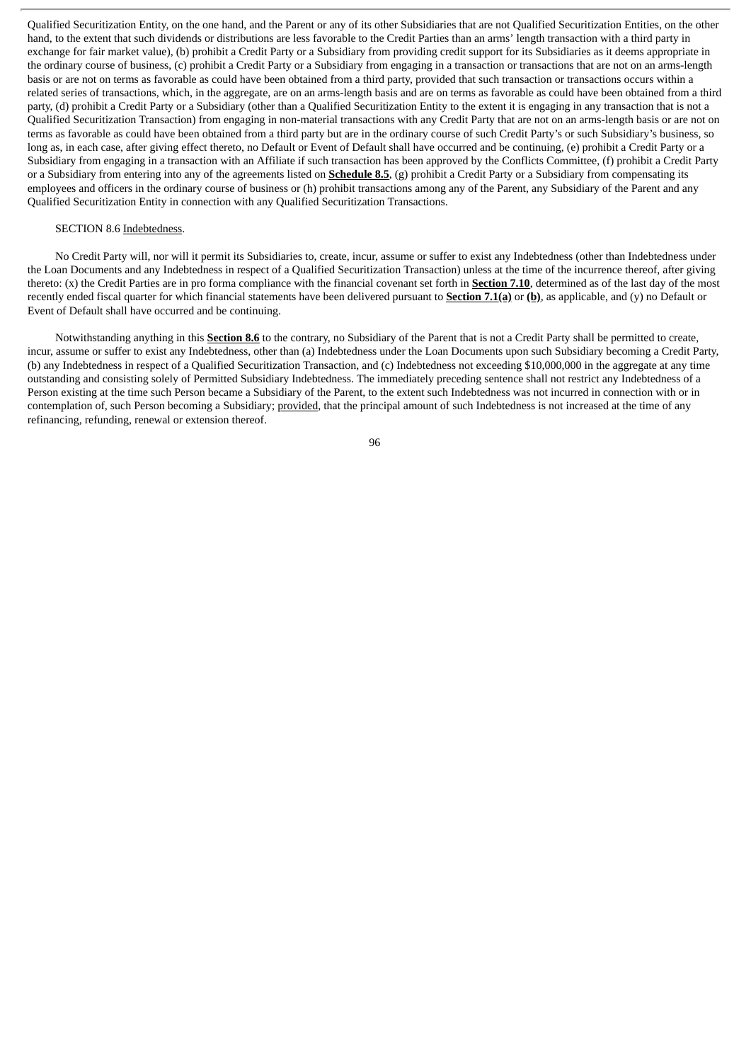Qualified Securitization Entity, on the one hand, and the Parent or any of its other Subsidiaries that are not Qualified Securitization Entities, on the other hand, to the extent that such dividends or distributions are less favorable to the Credit Parties than an arms' length transaction with a third party in exchange for fair market value), (b) prohibit a Credit Party or a Subsidiary from providing credit support for its Subsidiaries as it deems appropriate in the ordinary course of business, (c) prohibit a Credit Party or a Subsidiary from engaging in a transaction or transactions that are not on an arms-length basis or are not on terms as favorable as could have been obtained from a third party, provided that such transaction or transactions occurs within a related series of transactions, which, in the aggregate, are on an arms-length basis and are on terms as favorable as could have been obtained from a third party, (d) prohibit a Credit Party or a Subsidiary (other than a Qualified Securitization Entity to the extent it is engaging in any transaction that is not a Qualified Securitization Transaction) from engaging in non-material transactions with any Credit Party that are not on an arms-length basis or are not on terms as favorable as could have been obtained from a third party but are in the ordinary course of such Credit Party's or such Subsidiary's business, so long as, in each case, after giving effect thereto, no Default or Event of Default shall have occurred and be continuing, (e) prohibit a Credit Party or a Subsidiary from engaging in a transaction with an Affiliate if such transaction has been approved by the Conflicts Committee, (f) prohibit a Credit Party or a Subsidiary from entering into any of the agreements listed on **Schedule 8.5**, (g) prohibit a Credit Party or a Subsidiary from compensating its employees and officers in the ordinary course of business or (h) prohibit transactions among any of the Parent, any Subsidiary of the Parent and any Qualified Securitization Entity in connection with any Qualified Securitization Transactions.

#### SECTION 8.6 Indebtedness.

No Credit Party will, nor will it permit its Subsidiaries to, create, incur, assume or suffer to exist any Indebtedness (other than Indebtedness under the Loan Documents and any Indebtedness in respect of a Qualified Securitization Transaction) unless at the time of the incurrence thereof, after giving thereto: (x) the Credit Parties are in pro forma compliance with the financial covenant set forth in **Section 7.10**, determined as of the last day of the most recently ended fiscal quarter for which financial statements have been delivered pursuant to **Section 7.1(a)** or **(b)**, as applicable, and (y) no Default or Event of Default shall have occurred and be continuing.

Notwithstanding anything in this **Section 8.6** to the contrary, no Subsidiary of the Parent that is not a Credit Party shall be permitted to create, incur, assume or suffer to exist any Indebtedness, other than (a) Indebtedness under the Loan Documents upon such Subsidiary becoming a Credit Party, (b) any Indebtedness in respect of a Qualified Securitization Transaction, and (c) Indebtedness not exceeding \$10,000,000 in the aggregate at any time outstanding and consisting solely of Permitted Subsidiary Indebtedness. The immediately preceding sentence shall not restrict any Indebtedness of a Person existing at the time such Person became a Subsidiary of the Parent, to the extent such Indebtedness was not incurred in connection with or in contemplation of, such Person becoming a Subsidiary; provided, that the principal amount of such Indebtedness is not increased at the time of any refinancing, refunding, renewal or extension thereof.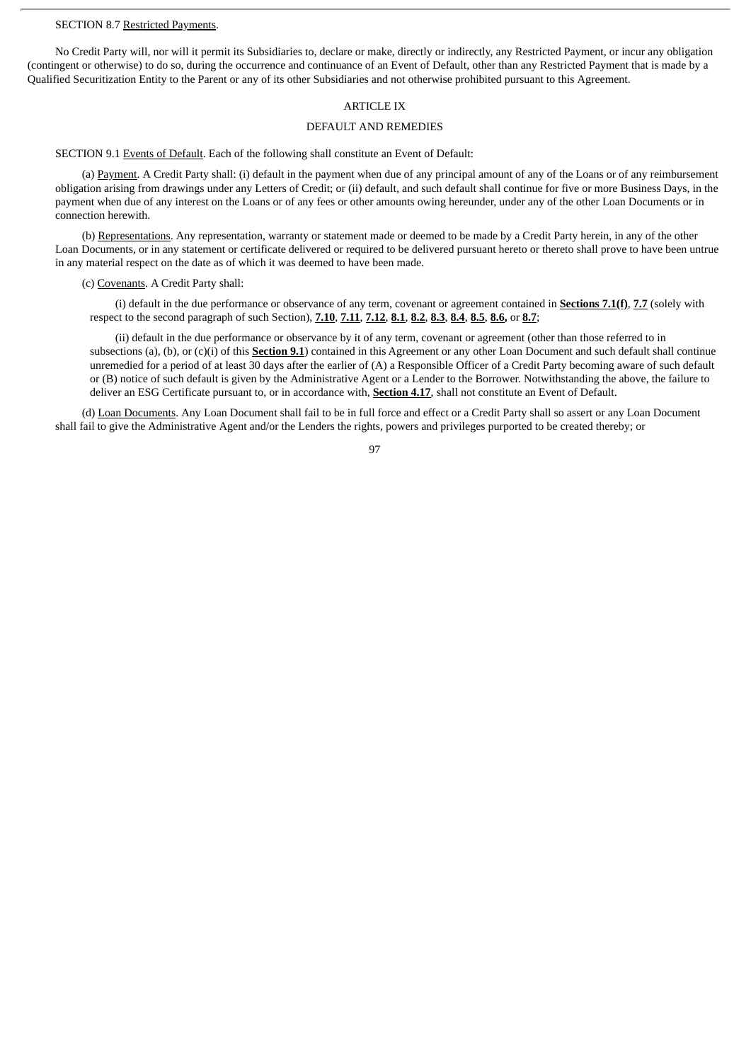#### SECTION 8.7 Restricted Payments.

No Credit Party will, nor will it permit its Subsidiaries to, declare or make, directly or indirectly, any Restricted Payment, or incur any obligation (contingent or otherwise) to do so, during the occurrence and continuance of an Event of Default, other than any Restricted Payment that is made by a Qualified Securitization Entity to the Parent or any of its other Subsidiaries and not otherwise prohibited pursuant to this Agreement.

## ARTICLE IX

#### DEFAULT AND REMEDIES

SECTION 9.1 Events of Default. Each of the following shall constitute an Event of Default:

(a) Payment. A Credit Party shall: (i) default in the payment when due of any principal amount of any of the Loans or of any reimbursement obligation arising from drawings under any Letters of Credit; or (ii) default, and such default shall continue for five or more Business Days, in the payment when due of any interest on the Loans or of any fees or other amounts owing hereunder, under any of the other Loan Documents or in connection herewith.

(b) Representations. Any representation, warranty or statement made or deemed to be made by a Credit Party herein, in any of the other Loan Documents, or in any statement or certificate delivered or required to be delivered pursuant hereto or thereto shall prove to have been untrue in any material respect on the date as of which it was deemed to have been made.

(c) Covenants. A Credit Party shall:

(i) default in the due performance or observance of any term, covenant or agreement contained in **Sections 7.1(f)**, **7.7** (solely with respect to the second paragraph of such Section), **7.10**, **7.11**, **7.12**, **8.1**, **8.2**, **8.3**, **8.4**, **8.5**, **8.6,** or **8.7**;

(ii) default in the due performance or observance by it of any term, covenant or agreement (other than those referred to in subsections (a), (b), or (c)(i) of this **Section 9.1**) contained in this Agreement or any other Loan Document and such default shall continue unremedied for a period of at least 30 days after the earlier of (A) a Responsible Officer of a Credit Party becoming aware of such default or (B) notice of such default is given by the Administrative Agent or a Lender to the Borrower. Notwithstanding the above, the failure to deliver an ESG Certificate pursuant to, or in accordance with, **Section 4.17**, shall not constitute an Event of Default.

(d) Loan Documents. Any Loan Document shall fail to be in full force and effect or a Credit Party shall so assert or any Loan Document shall fail to give the Administrative Agent and/or the Lenders the rights, powers and privileges purported to be created thereby; or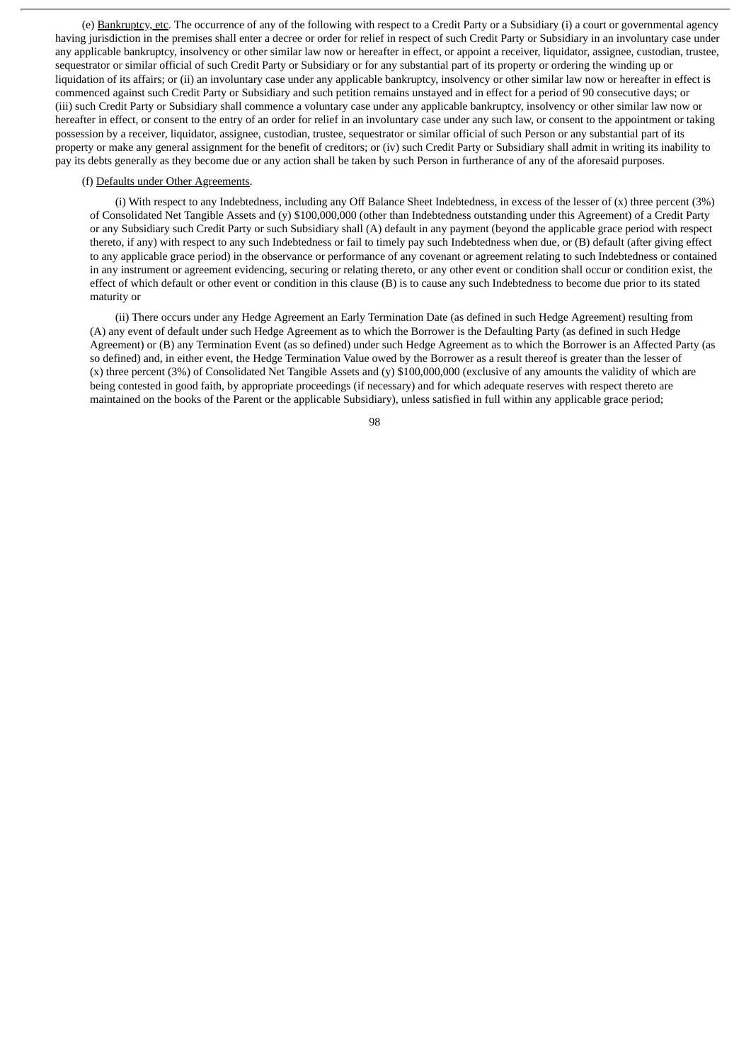(e) Bankruptcy, etc. The occurrence of any of the following with respect to a Credit Party or a Subsidiary (i) a court or governmental agency having jurisdiction in the premises shall enter a decree or order for relief in respect of such Credit Party or Subsidiary in an involuntary case under any applicable bankruptcy, insolvency or other similar law now or hereafter in effect, or appoint a receiver, liquidator, assignee, custodian, trustee, sequestrator or similar official of such Credit Party or Subsidiary or for any substantial part of its property or ordering the winding up or liquidation of its affairs; or (ii) an involuntary case under any applicable bankruptcy, insolvency or other similar law now or hereafter in effect is commenced against such Credit Party or Subsidiary and such petition remains unstayed and in effect for a period of 90 consecutive days; or (iii) such Credit Party or Subsidiary shall commence a voluntary case under any applicable bankruptcy, insolvency or other similar law now or hereafter in effect, or consent to the entry of an order for relief in an involuntary case under any such law, or consent to the appointment or taking possession by a receiver, liquidator, assignee, custodian, trustee, sequestrator or similar official of such Person or any substantial part of its property or make any general assignment for the benefit of creditors; or (iv) such Credit Party or Subsidiary shall admit in writing its inability to pay its debts generally as they become due or any action shall be taken by such Person in furtherance of any of the aforesaid purposes.

## (f) Defaults under Other Agreements.

(i) With respect to any Indebtedness, including any Off Balance Sheet Indebtedness, in excess of the lesser of (x) three percent (3%) of Consolidated Net Tangible Assets and (y) \$100,000,000 (other than Indebtedness outstanding under this Agreement) of a Credit Party or any Subsidiary such Credit Party or such Subsidiary shall (A) default in any payment (beyond the applicable grace period with respect thereto, if any) with respect to any such Indebtedness or fail to timely pay such Indebtedness when due, or (B) default (after giving effect to any applicable grace period) in the observance or performance of any covenant or agreement relating to such Indebtedness or contained in any instrument or agreement evidencing, securing or relating thereto, or any other event or condition shall occur or condition exist, the effect of which default or other event or condition in this clause (B) is to cause any such Indebtedness to become due prior to its stated maturity or

(ii) There occurs under any Hedge Agreement an Early Termination Date (as defined in such Hedge Agreement) resulting from (A) any event of default under such Hedge Agreement as to which the Borrower is the Defaulting Party (as defined in such Hedge Agreement) or (B) any Termination Event (as so defined) under such Hedge Agreement as to which the Borrower is an Affected Party (as so defined) and, in either event, the Hedge Termination Value owed by the Borrower as a result thereof is greater than the lesser of (x) three percent (3%) of Consolidated Net Tangible Assets and (y) \$100,000,000 (exclusive of any amounts the validity of which are being contested in good faith, by appropriate proceedings (if necessary) and for which adequate reserves with respect thereto are maintained on the books of the Parent or the applicable Subsidiary), unless satisfied in full within any applicable grace period;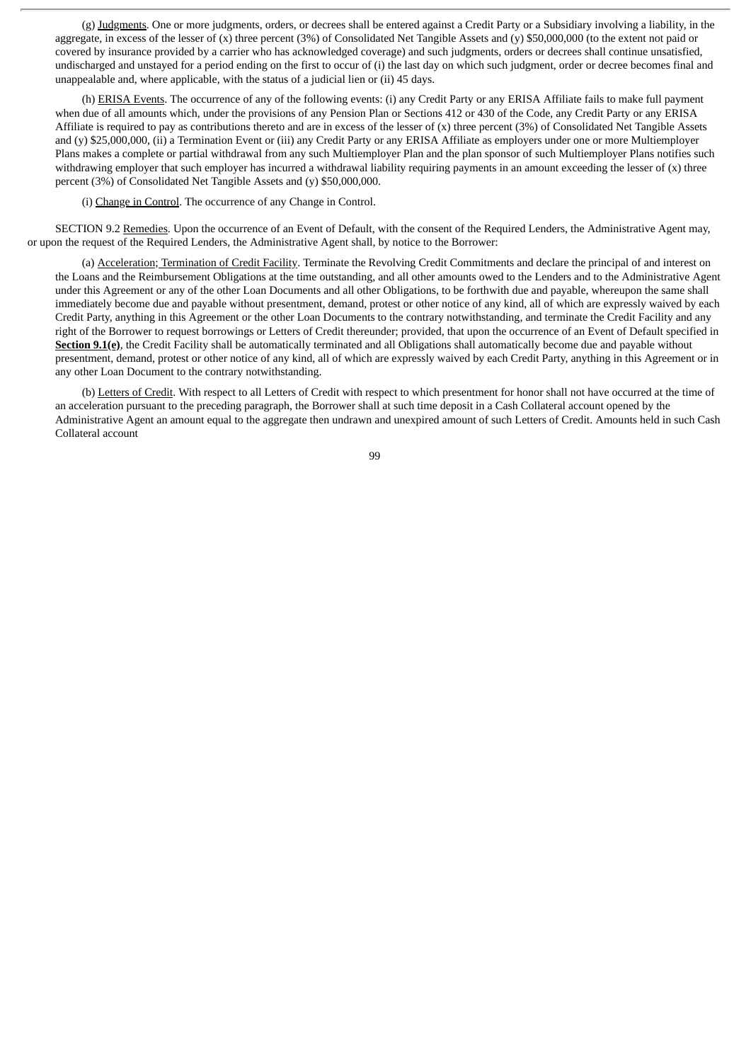(g) Judgments. One or more judgments, orders, or decrees shall be entered against a Credit Party or a Subsidiary involving a liability, in the aggregate, in excess of the lesser of (x) three percent (3%) of Consolidated Net Tangible Assets and (y) \$50,000,000 (to the extent not paid or covered by insurance provided by a carrier who has acknowledged coverage) and such judgments, orders or decrees shall continue unsatisfied, undischarged and unstayed for a period ending on the first to occur of (i) the last day on which such judgment, order or decree becomes final and unappealable and, where applicable, with the status of a judicial lien or (ii) 45 days.

(h) ERISA Events. The occurrence of any of the following events: (i) any Credit Party or any ERISA Affiliate fails to make full payment when due of all amounts which, under the provisions of any Pension Plan or Sections 412 or 430 of the Code, any Credit Party or any ERISA Affiliate is required to pay as contributions thereto and are in excess of the lesser of (x) three percent (3%) of Consolidated Net Tangible Assets and (y) \$25,000,000, (ii) a Termination Event or (iii) any Credit Party or any ERISA Affiliate as employers under one or more Multiemployer Plans makes a complete or partial withdrawal from any such Multiemployer Plan and the plan sponsor of such Multiemployer Plans notifies such withdrawing employer that such employer has incurred a withdrawal liability requiring payments in an amount exceeding the lesser of (x) three percent (3%) of Consolidated Net Tangible Assets and (y) \$50,000,000.

(i) Change in Control. The occurrence of any Change in Control.

SECTION 9.2 Remedies. Upon the occurrence of an Event of Default, with the consent of the Required Lenders, the Administrative Agent may, or upon the request of the Required Lenders, the Administrative Agent shall, by notice to the Borrower:

(a) Acceleration; Termination of Credit Facility. Terminate the Revolving Credit Commitments and declare the principal of and interest on the Loans and the Reimbursement Obligations at the time outstanding, and all other amounts owed to the Lenders and to the Administrative Agent under this Agreement or any of the other Loan Documents and all other Obligations, to be forthwith due and payable, whereupon the same shall immediately become due and payable without presentment, demand, protest or other notice of any kind, all of which are expressly waived by each Credit Party, anything in this Agreement or the other Loan Documents to the contrary notwithstanding, and terminate the Credit Facility and any right of the Borrower to request borrowings or Letters of Credit thereunder; provided, that upon the occurrence of an Event of Default specified in **Section 9.1(e)**, the Credit Facility shall be automatically terminated and all Obligations shall automatically become due and payable without presentment, demand, protest or other notice of any kind, all of which are expressly waived by each Credit Party, anything in this Agreement or in any other Loan Document to the contrary notwithstanding.

(b) Letters of Credit. With respect to all Letters of Credit with respect to which presentment for honor shall not have occurred at the time of an acceleration pursuant to the preceding paragraph, the Borrower shall at such time deposit in a Cash Collateral account opened by the Administrative Agent an amount equal to the aggregate then undrawn and unexpired amount of such Letters of Credit. Amounts held in such Cash Collateral account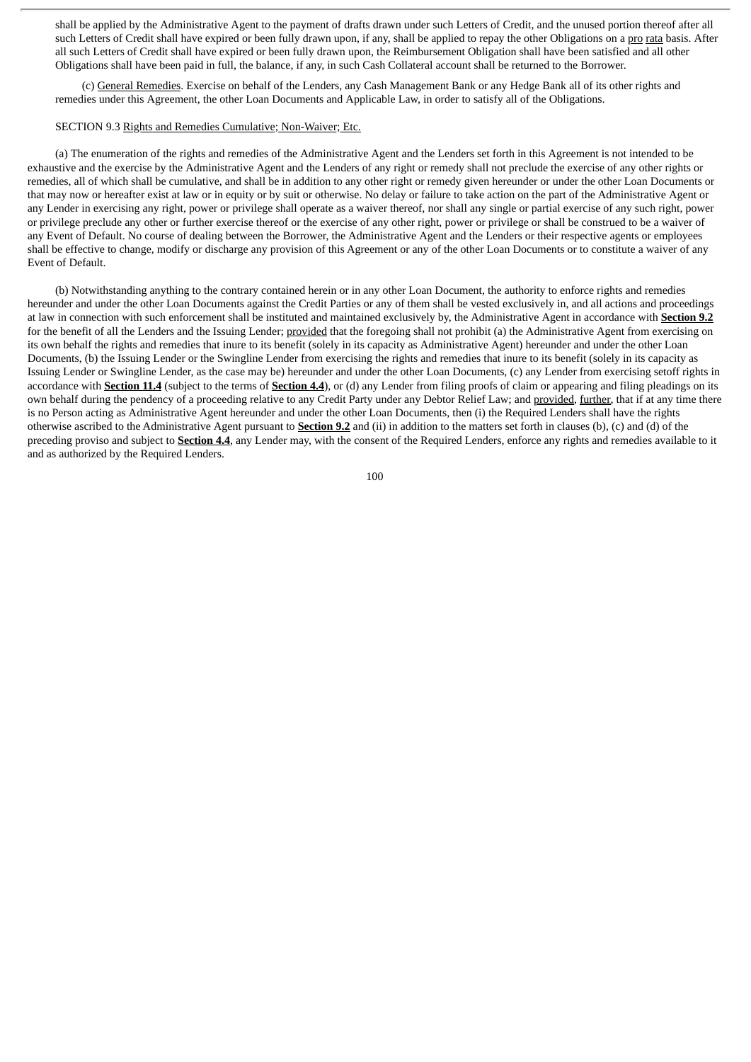shall be applied by the Administrative Agent to the payment of drafts drawn under such Letters of Credit, and the unused portion thereof after all such Letters of Credit shall have expired or been fully drawn upon, if any, shall be applied to repay the other Obligations on a pro rata basis. After all such Letters of Credit shall have expired or been fully drawn upon, the Reimbursement Obligation shall have been satisfied and all other Obligations shall have been paid in full, the balance, if any, in such Cash Collateral account shall be returned to the Borrower.

(c) General Remedies. Exercise on behalf of the Lenders, any Cash Management Bank or any Hedge Bank all of its other rights and remedies under this Agreement, the other Loan Documents and Applicable Law, in order to satisfy all of the Obligations.

#### SECTION 9.3 Rights and Remedies Cumulative; Non-Waiver; Etc.

(a) The enumeration of the rights and remedies of the Administrative Agent and the Lenders set forth in this Agreement is not intended to be exhaustive and the exercise by the Administrative Agent and the Lenders of any right or remedy shall not preclude the exercise of any other rights or remedies, all of which shall be cumulative, and shall be in addition to any other right or remedy given hereunder or under the other Loan Documents or that may now or hereafter exist at law or in equity or by suit or otherwise. No delay or failure to take action on the part of the Administrative Agent or any Lender in exercising any right, power or privilege shall operate as a waiver thereof, nor shall any single or partial exercise of any such right, power or privilege preclude any other or further exercise thereof or the exercise of any other right, power or privilege or shall be construed to be a waiver of any Event of Default. No course of dealing between the Borrower, the Administrative Agent and the Lenders or their respective agents or employees shall be effective to change, modify or discharge any provision of this Agreement or any of the other Loan Documents or to constitute a waiver of any Event of Default.

(b) Notwithstanding anything to the contrary contained herein or in any other Loan Document, the authority to enforce rights and remedies hereunder and under the other Loan Documents against the Credit Parties or any of them shall be vested exclusively in, and all actions and proceedings at law in connection with such enforcement shall be instituted and maintained exclusively by, the Administrative Agent in accordance with **Section 9.2** for the benefit of all the Lenders and the Issuing Lender; provided that the foregoing shall not prohibit (a) the Administrative Agent from exercising on its own behalf the rights and remedies that inure to its benefit (solely in its capacity as Administrative Agent) hereunder and under the other Loan Documents, (b) the Issuing Lender or the Swingline Lender from exercising the rights and remedies that inure to its benefit (solely in its capacity as Issuing Lender or Swingline Lender, as the case may be) hereunder and under the other Loan Documents, (c) any Lender from exercising setoff rights in accordance with **Section 11.4** (subject to the terms of **Section 4.4**), or (d) any Lender from filing proofs of claim or appearing and filing pleadings on its own behalf during the pendency of a proceeding relative to any Credit Party under any Debtor Relief Law; and provided, further, that if at any time there is no Person acting as Administrative Agent hereunder and under the other Loan Documents, then (i) the Required Lenders shall have the rights otherwise ascribed to the Administrative Agent pursuant to **Section 9.2** and (ii) in addition to the matters set forth in clauses (b), (c) and (d) of the preceding proviso and subject to **Section 4.4**, any Lender may, with the consent of the Required Lenders, enforce any rights and remedies available to it and as authorized by the Required Lenders.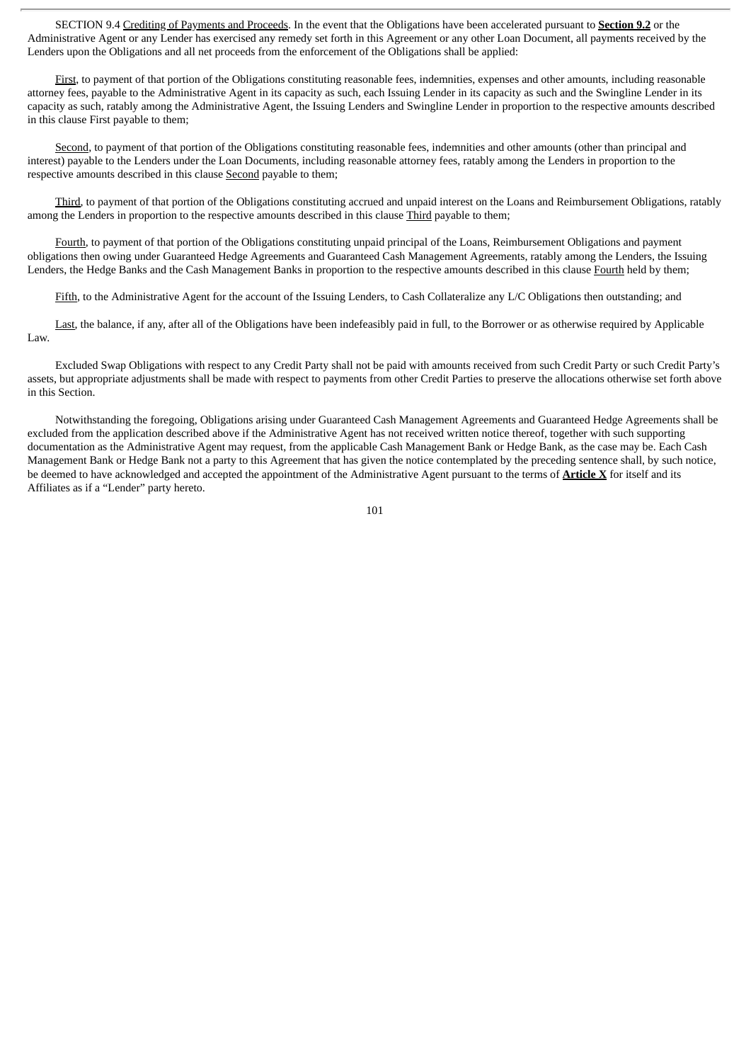SECTION 9.4 Crediting of Payments and Proceeds. In the event that the Obligations have been accelerated pursuant to **Section 9.2** or the Administrative Agent or any Lender has exercised any remedy set forth in this Agreement or any other Loan Document, all payments received by the Lenders upon the Obligations and all net proceeds from the enforcement of the Obligations shall be applied:

First, to payment of that portion of the Obligations constituting reasonable fees, indemnities, expenses and other amounts, including reasonable attorney fees, payable to the Administrative Agent in its capacity as such, each Issuing Lender in its capacity as such and the Swingline Lender in its capacity as such, ratably among the Administrative Agent, the Issuing Lenders and Swingline Lender in proportion to the respective amounts described in this clause First payable to them;

Second, to payment of that portion of the Obligations constituting reasonable fees, indemnities and other amounts (other than principal and interest) payable to the Lenders under the Loan Documents, including reasonable attorney fees, ratably among the Lenders in proportion to the respective amounts described in this clause Second payable to them;

Third, to payment of that portion of the Obligations constituting accrued and unpaid interest on the Loans and Reimbursement Obligations, ratably among the Lenders in proportion to the respective amounts described in this clause Third payable to them;

Fourth, to payment of that portion of the Obligations constituting unpaid principal of the Loans, Reimbursement Obligations and payment obligations then owing under Guaranteed Hedge Agreements and Guaranteed Cash Management Agreements, ratably among the Lenders, the Issuing Lenders, the Hedge Banks and the Cash Management Banks in proportion to the respective amounts described in this clause Fourth held by them;

Fifth, to the Administrative Agent for the account of the Issuing Lenders, to Cash Collateralize any L/C Obligations then outstanding; and

Last, the balance, if any, after all of the Obligations have been indefeasibly paid in full, to the Borrower or as otherwise required by Applicable Law.

Excluded Swap Obligations with respect to any Credit Party shall not be paid with amounts received from such Credit Party or such Credit Party's assets, but appropriate adjustments shall be made with respect to payments from other Credit Parties to preserve the allocations otherwise set forth above in this Section.

Notwithstanding the foregoing, Obligations arising under Guaranteed Cash Management Agreements and Guaranteed Hedge Agreements shall be excluded from the application described above if the Administrative Agent has not received written notice thereof, together with such supporting documentation as the Administrative Agent may request, from the applicable Cash Management Bank or Hedge Bank, as the case may be. Each Cash Management Bank or Hedge Bank not a party to this Agreement that has given the notice contemplated by the preceding sentence shall, by such notice, be deemed to have acknowledged and accepted the appointment of the Administrative Agent pursuant to the terms of **Article X** for itself and its Affiliates as if a "Lender" party hereto.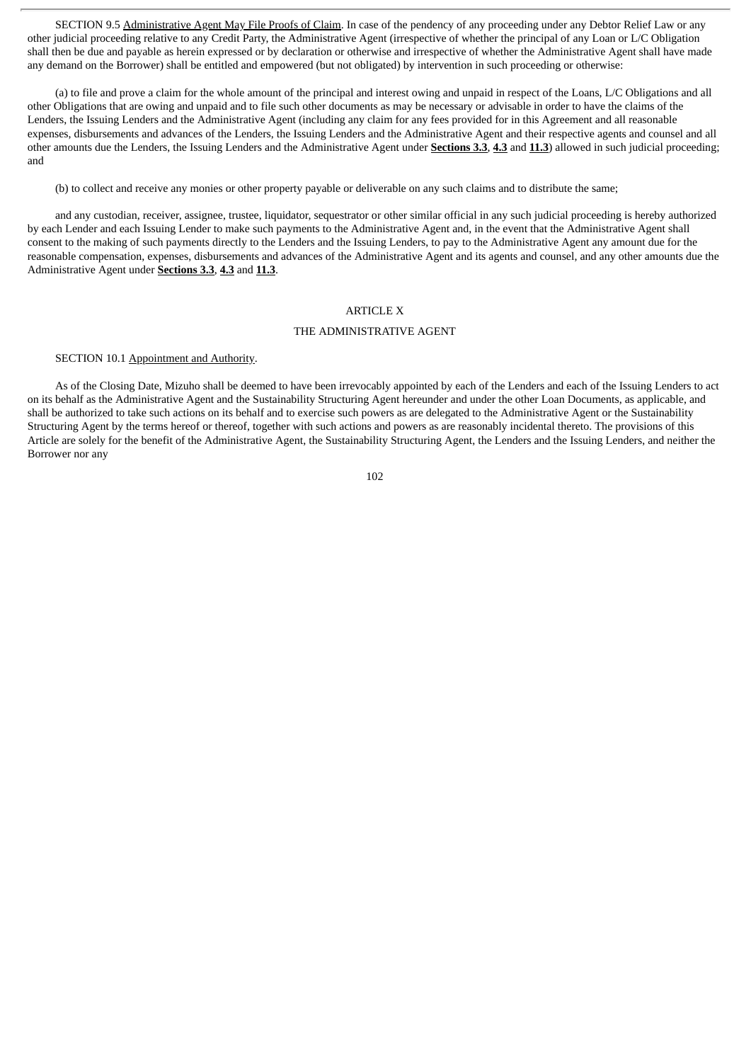SECTION 9.5 Administrative Agent May File Proofs of Claim. In case of the pendency of any proceeding under any Debtor Relief Law or any other judicial proceeding relative to any Credit Party, the Administrative Agent (irrespective of whether the principal of any Loan or L/C Obligation shall then be due and payable as herein expressed or by declaration or otherwise and irrespective of whether the Administrative Agent shall have made any demand on the Borrower) shall be entitled and empowered (but not obligated) by intervention in such proceeding or otherwise:

(a) to file and prove a claim for the whole amount of the principal and interest owing and unpaid in respect of the Loans, L/C Obligations and all other Obligations that are owing and unpaid and to file such other documents as may be necessary or advisable in order to have the claims of the Lenders, the Issuing Lenders and the Administrative Agent (including any claim for any fees provided for in this Agreement and all reasonable expenses, disbursements and advances of the Lenders, the Issuing Lenders and the Administrative Agent and their respective agents and counsel and all other amounts due the Lenders, the Issuing Lenders and the Administrative Agent under **Sections 3.3**, **4.3** and **11.3**) allowed in such judicial proceeding; and

(b) to collect and receive any monies or other property payable or deliverable on any such claims and to distribute the same;

and any custodian, receiver, assignee, trustee, liquidator, sequestrator or other similar official in any such judicial proceeding is hereby authorized by each Lender and each Issuing Lender to make such payments to the Administrative Agent and, in the event that the Administrative Agent shall consent to the making of such payments directly to the Lenders and the Issuing Lenders, to pay to the Administrative Agent any amount due for the reasonable compensation, expenses, disbursements and advances of the Administrative Agent and its agents and counsel, and any other amounts due the Administrative Agent under **Sections 3.3**, **4.3** and **11.3**.

# ARTICLE X

#### THE ADMINISTRATIVE AGENT

SECTION 10.1 Appointment and Authority.

As of the Closing Date, Mizuho shall be deemed to have been irrevocably appointed by each of the Lenders and each of the Issuing Lenders to act on its behalf as the Administrative Agent and the Sustainability Structuring Agent hereunder and under the other Loan Documents, as applicable, and shall be authorized to take such actions on its behalf and to exercise such powers as are delegated to the Administrative Agent or the Sustainability Structuring Agent by the terms hereof or thereof, together with such actions and powers as are reasonably incidental thereto. The provisions of this Article are solely for the benefit of the Administrative Agent, the Sustainability Structuring Agent, the Lenders and the Issuing Lenders, and neither the Borrower nor any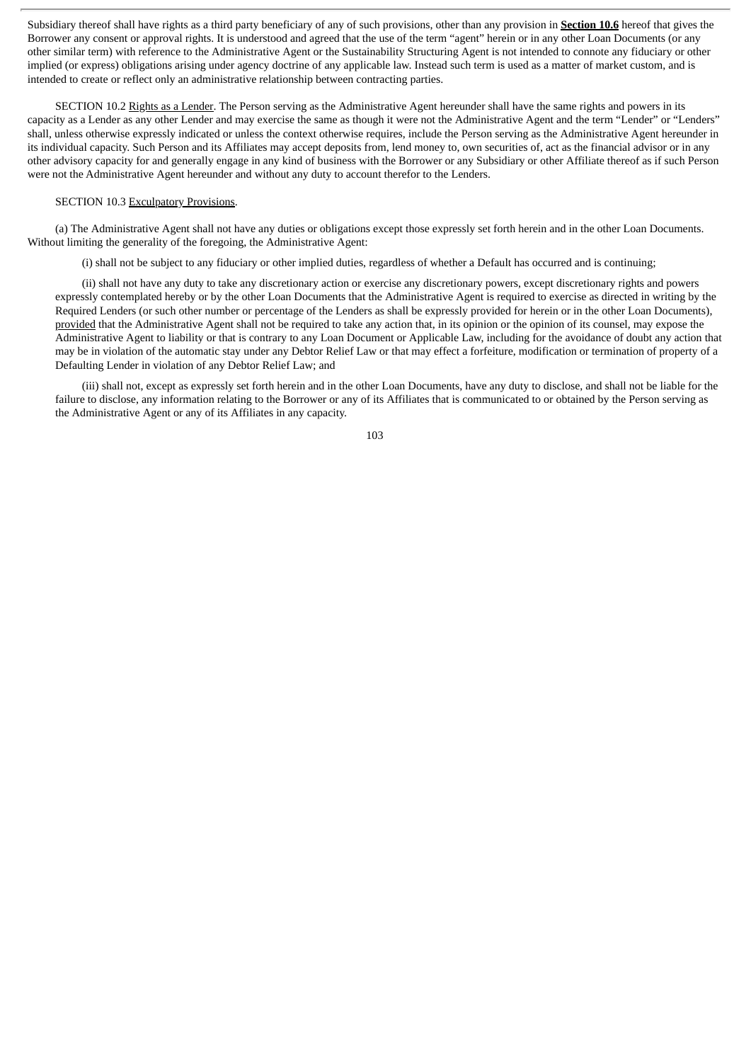Subsidiary thereof shall have rights as a third party beneficiary of any of such provisions, other than any provision in **Section 10.6** hereof that gives the Borrower any consent or approval rights. It is understood and agreed that the use of the term "agent" herein or in any other Loan Documents (or any other similar term) with reference to the Administrative Agent or the Sustainability Structuring Agent is not intended to connote any fiduciary or other implied (or express) obligations arising under agency doctrine of any applicable law. Instead such term is used as a matter of market custom, and is intended to create or reflect only an administrative relationship between contracting parties.

SECTION 10.2 Rights as a Lender. The Person serving as the Administrative Agent hereunder shall have the same rights and powers in its capacity as a Lender as any other Lender and may exercise the same as though it were not the Administrative Agent and the term "Lender" or "Lenders" shall, unless otherwise expressly indicated or unless the context otherwise requires, include the Person serving as the Administrative Agent hereunder in its individual capacity. Such Person and its Affiliates may accept deposits from, lend money to, own securities of, act as the financial advisor or in any other advisory capacity for and generally engage in any kind of business with the Borrower or any Subsidiary or other Affiliate thereof as if such Person were not the Administrative Agent hereunder and without any duty to account therefor to the Lenders.

# SECTION 10.3 Exculpatory Provisions.

(a) The Administrative Agent shall not have any duties or obligations except those expressly set forth herein and in the other Loan Documents. Without limiting the generality of the foregoing, the Administrative Agent:

(i) shall not be subject to any fiduciary or other implied duties, regardless of whether a Default has occurred and is continuing;

(ii) shall not have any duty to take any discretionary action or exercise any discretionary powers, except discretionary rights and powers expressly contemplated hereby or by the other Loan Documents that the Administrative Agent is required to exercise as directed in writing by the Required Lenders (or such other number or percentage of the Lenders as shall be expressly provided for herein or in the other Loan Documents), provided that the Administrative Agent shall not be required to take any action that, in its opinion or the opinion of its counsel, may expose the Administrative Agent to liability or that is contrary to any Loan Document or Applicable Law, including for the avoidance of doubt any action that may be in violation of the automatic stay under any Debtor Relief Law or that may effect a forfeiture, modification or termination of property of a Defaulting Lender in violation of any Debtor Relief Law; and

(iii) shall not, except as expressly set forth herein and in the other Loan Documents, have any duty to disclose, and shall not be liable for the failure to disclose, any information relating to the Borrower or any of its Affiliates that is communicated to or obtained by the Person serving as the Administrative Agent or any of its Affiliates in any capacity.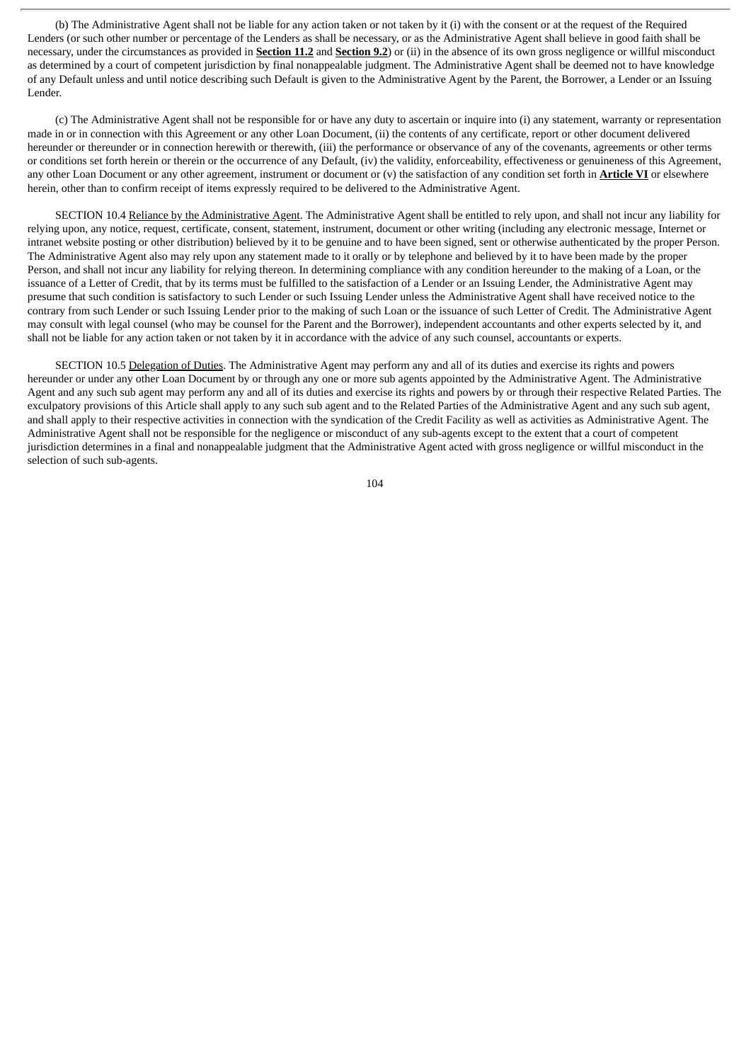(b) The Administrative Agent shall not be liable for any action taken or not taken by it (i) with the consent or at the request of the Required Lenders (or such other number or percentage of the Lenders as shall be necessary, or as the Administrative Agent shall believe in good faith shall be necessary, under the circumstances as provided in **Section 11.2** and **Section 9.2**) or (ii) in the absence of its own gross negligence or willful misconduct as determined by a court of competent jurisdiction by final nonappealable judgment. The Administrative Agent shall be deemed not to have knowledge of any Default unless and until notice describing such Default is given to the Administrative Agent by the Parent, the Borrower, a Lender or an Issuing Lender.

(c) The Administrative Agent shall not be responsible for or have any duty to ascertain or inquire into (i) any statement, warranty or representation made in or in connection with this Agreement or any other Loan Document, (ii) the contents of any certificate, report or other document delivered hereunder or thereunder or in connection herewith or therewith, (iii) the performance or observance of any of the covenants, agreements or other terms or conditions set forth herein or therein or the occurrence of any Default, (iv) the validity, enforceability, effectiveness or genuineness of this Agreement, any other Loan Document or any other agreement, instrument or document or (v) the satisfaction of any condition set forth in **Article VI** or elsewhere herein, other than to confirm receipt of items expressly required to be delivered to the Administrative Agent.

SECTION 10.4 Reliance by the Administrative Agent. The Administrative Agent shall be entitled to rely upon, and shall not incur any liability for relying upon, any notice, request, certificate, consent, statement, instrument, document or other writing (including any electronic message, Internet or intranet website posting or other distribution) believed by it to be genuine and to have been signed, sent or otherwise authenticated by the proper Person. The Administrative Agent also may rely upon any statement made to it orally or by telephone and believed by it to have been made by the proper Person, and shall not incur any liability for relying thereon. In determining compliance with any condition hereunder to the making of a Loan, or the issuance of a Letter of Credit, that by its terms must be fulfilled to the satisfaction of a Lender or an Issuing Lender, the Administrative Agent may presume that such condition is satisfactory to such Lender or such Issuing Lender unless the Administrative Agent shall have received notice to the contrary from such Lender or such Issuing Lender prior to the making of such Loan or the issuance of such Letter of Credit. The Administrative Agent may consult with legal counsel (who may be counsel for the Parent and the Borrower), independent accountants and other experts selected by it, and shall not be liable for any action taken or not taken by it in accordance with the advice of any such counsel, accountants or experts.

SECTION 10.5 Delegation of Duties. The Administrative Agent may perform any and all of its duties and exercise its rights and powers hereunder or under any other Loan Document by or through any one or more sub agents appointed by the Administrative Agent. The Administrative Agent and any such sub agent may perform any and all of its duties and exercise its rights and powers by or through their respective Related Parties. The exculpatory provisions of this Article shall apply to any such sub agent and to the Related Parties of the Administrative Agent and any such sub agent, and shall apply to their respective activities in connection with the syndication of the Credit Facility as well as activities as Administrative Agent. The Administrative Agent shall not be responsible for the negligence or misconduct of any sub-agents except to the extent that a court of competent jurisdiction determines in a final and nonappealable judgment that the Administrative Agent acted with gross negligence or willful misconduct in the selection of such sub-agents.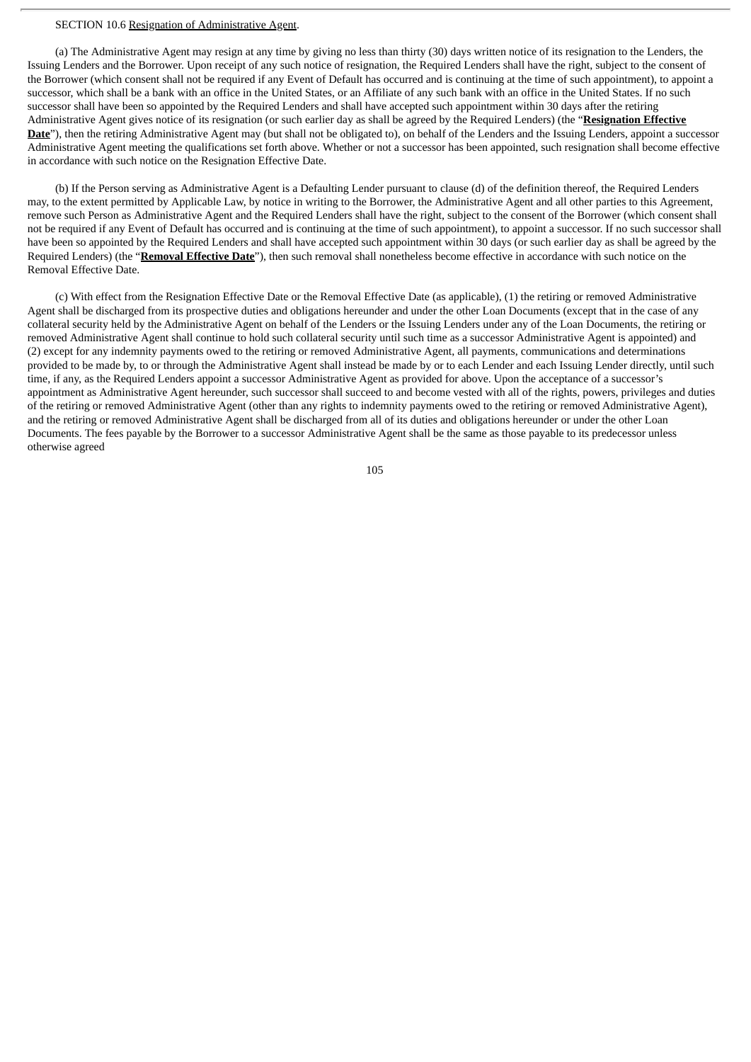# SECTION 10.6 Resignation of Administrative Agent.

(a) The Administrative Agent may resign at any time by giving no less than thirty (30) days written notice of its resignation to the Lenders, the Issuing Lenders and the Borrower. Upon receipt of any such notice of resignation, the Required Lenders shall have the right, subject to the consent of the Borrower (which consent shall not be required if any Event of Default has occurred and is continuing at the time of such appointment), to appoint a successor, which shall be a bank with an office in the United States, or an Affiliate of any such bank with an office in the United States. If no such successor shall have been so appointed by the Required Lenders and shall have accepted such appointment within 30 days after the retiring Administrative Agent gives notice of its resignation (or such earlier day as shall be agreed by the Required Lenders) (the "**Resignation Effective Date**"), then the retiring Administrative Agent may (but shall not be obligated to), on behalf of the Lenders and the Issuing Lenders, appoint a successor Administrative Agent meeting the qualifications set forth above. Whether or not a successor has been appointed, such resignation shall become effective in accordance with such notice on the Resignation Effective Date.

(b) If the Person serving as Administrative Agent is a Defaulting Lender pursuant to clause (d) of the definition thereof, the Required Lenders may, to the extent permitted by Applicable Law, by notice in writing to the Borrower, the Administrative Agent and all other parties to this Agreement, remove such Person as Administrative Agent and the Required Lenders shall have the right, subject to the consent of the Borrower (which consent shall not be required if any Event of Default has occurred and is continuing at the time of such appointment), to appoint a successor. If no such successor shall have been so appointed by the Required Lenders and shall have accepted such appointment within 30 days (or such earlier day as shall be agreed by the Required Lenders) (the "**Removal Effective Date**"), then such removal shall nonetheless become effective in accordance with such notice on the Removal Effective Date.

(c) With effect from the Resignation Effective Date or the Removal Effective Date (as applicable), (1) the retiring or removed Administrative Agent shall be discharged from its prospective duties and obligations hereunder and under the other Loan Documents (except that in the case of any collateral security held by the Administrative Agent on behalf of the Lenders or the Issuing Lenders under any of the Loan Documents, the retiring or removed Administrative Agent shall continue to hold such collateral security until such time as a successor Administrative Agent is appointed) and (2) except for any indemnity payments owed to the retiring or removed Administrative Agent, all payments, communications and determinations provided to be made by, to or through the Administrative Agent shall instead be made by or to each Lender and each Issuing Lender directly, until such time, if any, as the Required Lenders appoint a successor Administrative Agent as provided for above. Upon the acceptance of a successor's appointment as Administrative Agent hereunder, such successor shall succeed to and become vested with all of the rights, powers, privileges and duties of the retiring or removed Administrative Agent (other than any rights to indemnity payments owed to the retiring or removed Administrative Agent), and the retiring or removed Administrative Agent shall be discharged from all of its duties and obligations hereunder or under the other Loan Documents. The fees payable by the Borrower to a successor Administrative Agent shall be the same as those payable to its predecessor unless otherwise agreed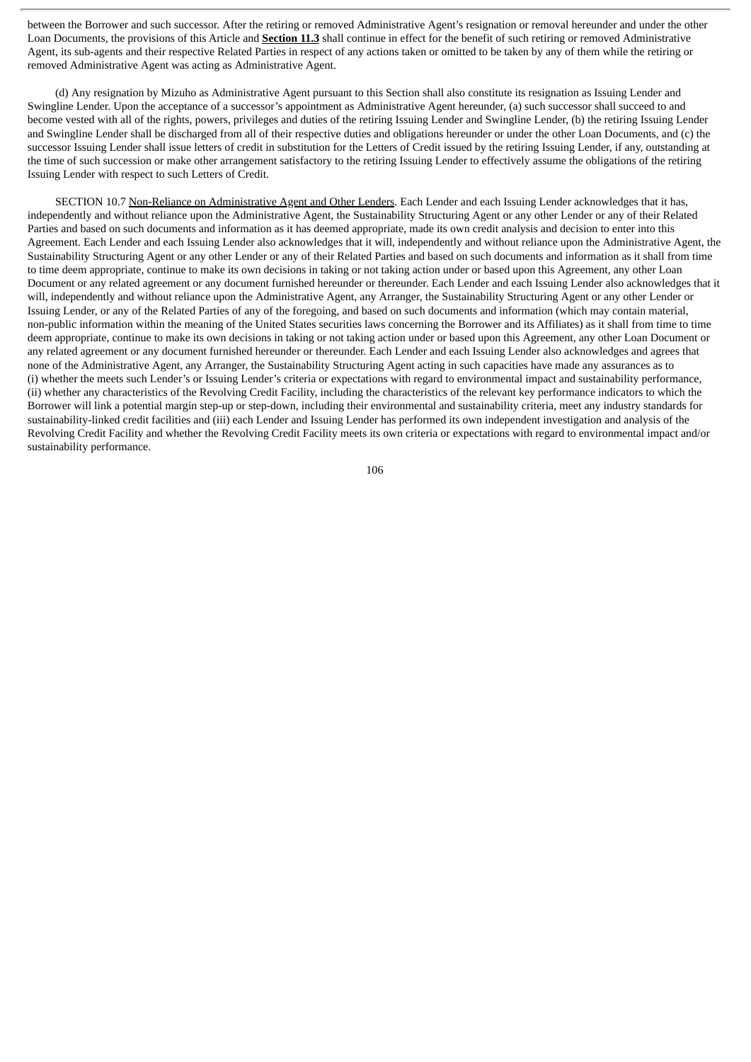between the Borrower and such successor. After the retiring or removed Administrative Agent's resignation or removal hereunder and under the other Loan Documents, the provisions of this Article and **Section 11.3** shall continue in effect for the benefit of such retiring or removed Administrative Agent, its sub-agents and their respective Related Parties in respect of any actions taken or omitted to be taken by any of them while the retiring or removed Administrative Agent was acting as Administrative Agent.

(d) Any resignation by Mizuho as Administrative Agent pursuant to this Section shall also constitute its resignation as Issuing Lender and Swingline Lender. Upon the acceptance of a successor's appointment as Administrative Agent hereunder, (a) such successor shall succeed to and become vested with all of the rights, powers, privileges and duties of the retiring Issuing Lender and Swingline Lender, (b) the retiring Issuing Lender and Swingline Lender shall be discharged from all of their respective duties and obligations hereunder or under the other Loan Documents, and (c) the successor Issuing Lender shall issue letters of credit in substitution for the Letters of Credit issued by the retiring Issuing Lender, if any, outstanding at the time of such succession or make other arrangement satisfactory to the retiring Issuing Lender to effectively assume the obligations of the retiring Issuing Lender with respect to such Letters of Credit.

SECTION 10.7 Non-Reliance on Administrative Agent and Other Lenders. Each Lender and each Issuing Lender acknowledges that it has, independently and without reliance upon the Administrative Agent, the Sustainability Structuring Agent or any other Lender or any of their Related Parties and based on such documents and information as it has deemed appropriate, made its own credit analysis and decision to enter into this Agreement. Each Lender and each Issuing Lender also acknowledges that it will, independently and without reliance upon the Administrative Agent, the Sustainability Structuring Agent or any other Lender or any of their Related Parties and based on such documents and information as it shall from time to time deem appropriate, continue to make its own decisions in taking or not taking action under or based upon this Agreement, any other Loan Document or any related agreement or any document furnished hereunder or thereunder. Each Lender and each Issuing Lender also acknowledges that it will, independently and without reliance upon the Administrative Agent, any Arranger, the Sustainability Structuring Agent or any other Lender or Issuing Lender, or any of the Related Parties of any of the foregoing, and based on such documents and information (which may contain material, non-public information within the meaning of the United States securities laws concerning the Borrower and its Affiliates) as it shall from time to time deem appropriate, continue to make its own decisions in taking or not taking action under or based upon this Agreement, any other Loan Document or any related agreement or any document furnished hereunder or thereunder. Each Lender and each Issuing Lender also acknowledges and agrees that none of the Administrative Agent, any Arranger, the Sustainability Structuring Agent acting in such capacities have made any assurances as to (i) whether the meets such Lender's or Issuing Lender's criteria or expectations with regard to environmental impact and sustainability performance, (ii) whether any characteristics of the Revolving Credit Facility, including the characteristics of the relevant key performance indicators to which the Borrower will link a potential margin step-up or step-down, including their environmental and sustainability criteria, meet any industry standards for sustainability-linked credit facilities and (iii) each Lender and Issuing Lender has performed its own independent investigation and analysis of the Revolving Credit Facility and whether the Revolving Credit Facility meets its own criteria or expectations with regard to environmental impact and/or sustainability performance.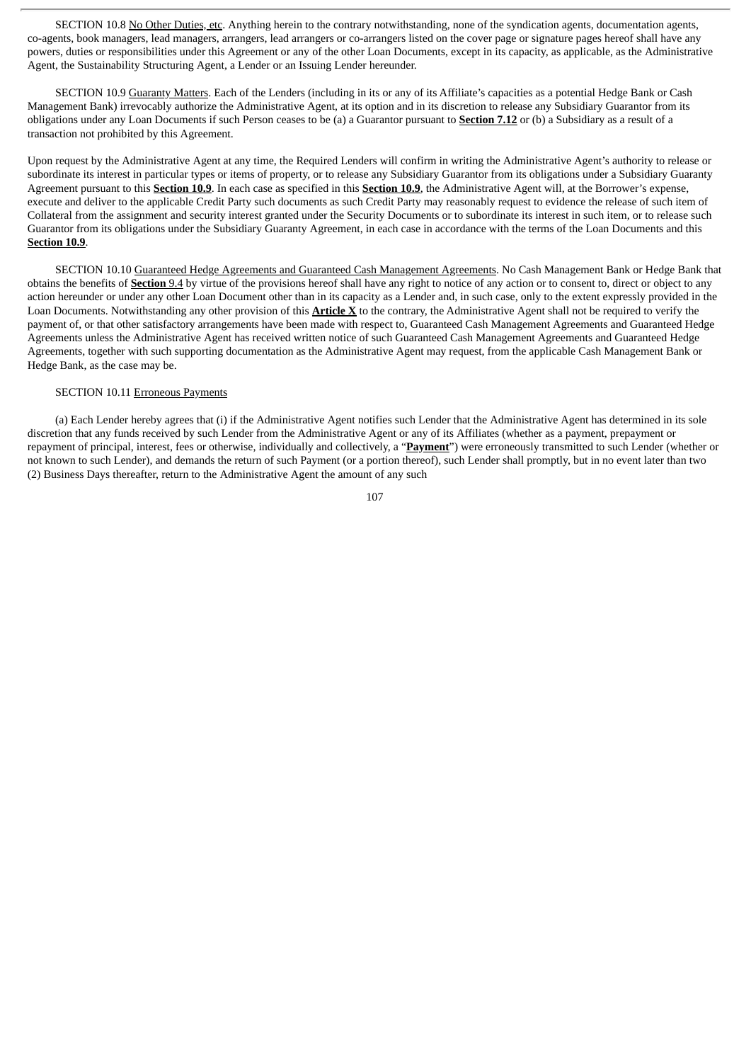SECTION 10.8 No Other Duties, etc. Anything herein to the contrary notwithstanding, none of the syndication agents, documentation agents, co-agents, book managers, lead managers, arrangers, lead arrangers or co-arrangers listed on the cover page or signature pages hereof shall have any powers, duties or responsibilities under this Agreement or any of the other Loan Documents, except in its capacity, as applicable, as the Administrative Agent, the Sustainability Structuring Agent, a Lender or an Issuing Lender hereunder.

SECTION 10.9 Guaranty Matters. Each of the Lenders (including in its or any of its Affiliate's capacities as a potential Hedge Bank or Cash Management Bank) irrevocably authorize the Administrative Agent, at its option and in its discretion to release any Subsidiary Guarantor from its obligations under any Loan Documents if such Person ceases to be (a) a Guarantor pursuant to **Section 7.12** or (b) a Subsidiary as a result of a transaction not prohibited by this Agreement.

Upon request by the Administrative Agent at any time, the Required Lenders will confirm in writing the Administrative Agent's authority to release or subordinate its interest in particular types or items of property, or to release any Subsidiary Guarantor from its obligations under a Subsidiary Guaranty Agreement pursuant to this **Section 10.9**. In each case as specified in this **Section 10.9**, the Administrative Agent will, at the Borrower's expense, execute and deliver to the applicable Credit Party such documents as such Credit Party may reasonably request to evidence the release of such item of Collateral from the assignment and security interest granted under the Security Documents or to subordinate its interest in such item, or to release such Guarantor from its obligations under the Subsidiary Guaranty Agreement, in each case in accordance with the terms of the Loan Documents and this **Section 10.9**.

SECTION 10.10 Guaranteed Hedge Agreements and Guaranteed Cash Management Agreements. No Cash Management Bank or Hedge Bank that obtains the benefits of **Section** 9.4 by virtue of the provisions hereof shall have any right to notice of any action or to consent to, direct or object to any action hereunder or under any other Loan Document other than in its capacity as a Lender and, in such case, only to the extent expressly provided in the Loan Documents. Notwithstanding any other provision of this **Article X** to the contrary, the Administrative Agent shall not be required to verify the payment of, or that other satisfactory arrangements have been made with respect to, Guaranteed Cash Management Agreements and Guaranteed Hedge Agreements unless the Administrative Agent has received written notice of such Guaranteed Cash Management Agreements and Guaranteed Hedge Agreements, together with such supporting documentation as the Administrative Agent may request, from the applicable Cash Management Bank or Hedge Bank, as the case may be.

## SECTION 10.11 Erroneous Payments

(a) Each Lender hereby agrees that (i) if the Administrative Agent notifies such Lender that the Administrative Agent has determined in its sole discretion that any funds received by such Lender from the Administrative Agent or any of its Affiliates (whether as a payment, prepayment or repayment of principal, interest, fees or otherwise, individually and collectively, a "**Payment**") were erroneously transmitted to such Lender (whether or not known to such Lender), and demands the return of such Payment (or a portion thereof), such Lender shall promptly, but in no event later than two (2) Business Days thereafter, return to the Administrative Agent the amount of any such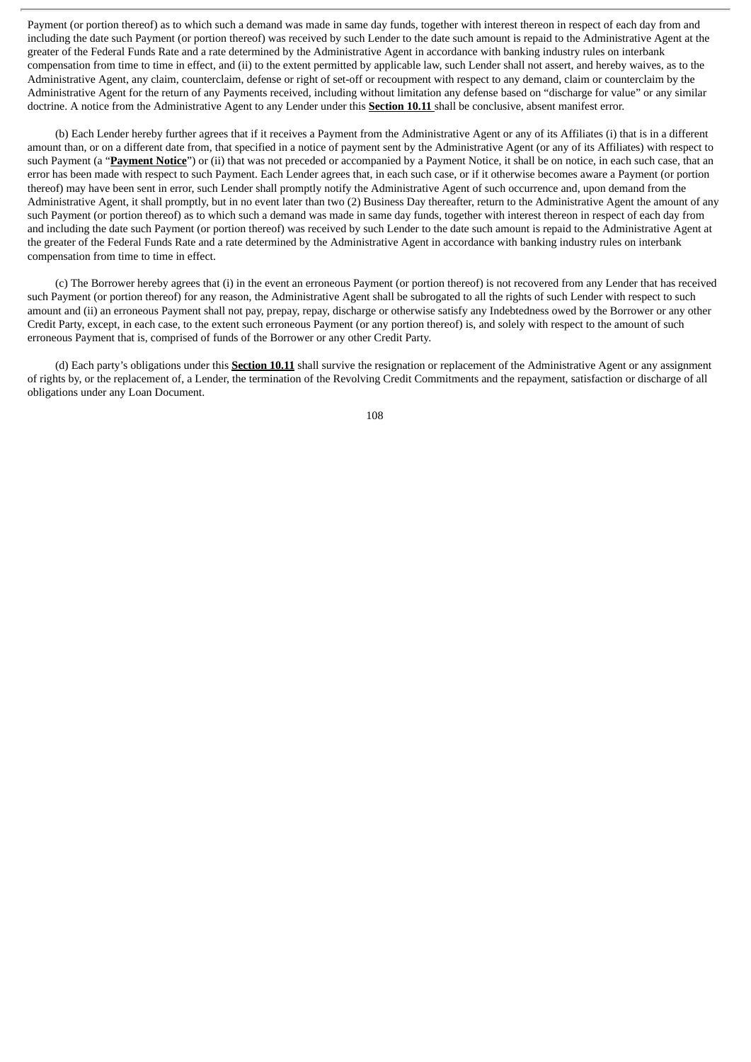Payment (or portion thereof) as to which such a demand was made in same day funds, together with interest thereon in respect of each day from and including the date such Payment (or portion thereof) was received by such Lender to the date such amount is repaid to the Administrative Agent at the greater of the Federal Funds Rate and a rate determined by the Administrative Agent in accordance with banking industry rules on interbank compensation from time to time in effect, and (ii) to the extent permitted by applicable law, such Lender shall not assert, and hereby waives, as to the Administrative Agent, any claim, counterclaim, defense or right of set-off or recoupment with respect to any demand, claim or counterclaim by the Administrative Agent for the return of any Payments received, including without limitation any defense based on "discharge for value" or any similar doctrine. A notice from the Administrative Agent to any Lender under this **Section 10.11** shall be conclusive, absent manifest error.

(b) Each Lender hereby further agrees that if it receives a Payment from the Administrative Agent or any of its Affiliates (i) that is in a different amount than, or on a different date from, that specified in a notice of payment sent by the Administrative Agent (or any of its Affiliates) with respect to such Payment (a "**Payment Notice**") or (ii) that was not preceded or accompanied by a Payment Notice, it shall be on notice, in each such case, that an error has been made with respect to such Payment. Each Lender agrees that, in each such case, or if it otherwise becomes aware a Payment (or portion thereof) may have been sent in error, such Lender shall promptly notify the Administrative Agent of such occurrence and, upon demand from the Administrative Agent, it shall promptly, but in no event later than two (2) Business Day thereafter, return to the Administrative Agent the amount of any such Payment (or portion thereof) as to which such a demand was made in same day funds, together with interest thereon in respect of each day from and including the date such Payment (or portion thereof) was received by such Lender to the date such amount is repaid to the Administrative Agent at the greater of the Federal Funds Rate and a rate determined by the Administrative Agent in accordance with banking industry rules on interbank compensation from time to time in effect.

(c) The Borrower hereby agrees that (i) in the event an erroneous Payment (or portion thereof) is not recovered from any Lender that has received such Payment (or portion thereof) for any reason, the Administrative Agent shall be subrogated to all the rights of such Lender with respect to such amount and (ii) an erroneous Payment shall not pay, prepay, repay, discharge or otherwise satisfy any Indebtedness owed by the Borrower or any other Credit Party, except, in each case, to the extent such erroneous Payment (or any portion thereof) is, and solely with respect to the amount of such erroneous Payment that is, comprised of funds of the Borrower or any other Credit Party.

(d) Each party's obligations under this **Section 10.11** shall survive the resignation or replacement of the Administrative Agent or any assignment of rights by, or the replacement of, a Lender, the termination of the Revolving Credit Commitments and the repayment, satisfaction or discharge of all obligations under any Loan Document.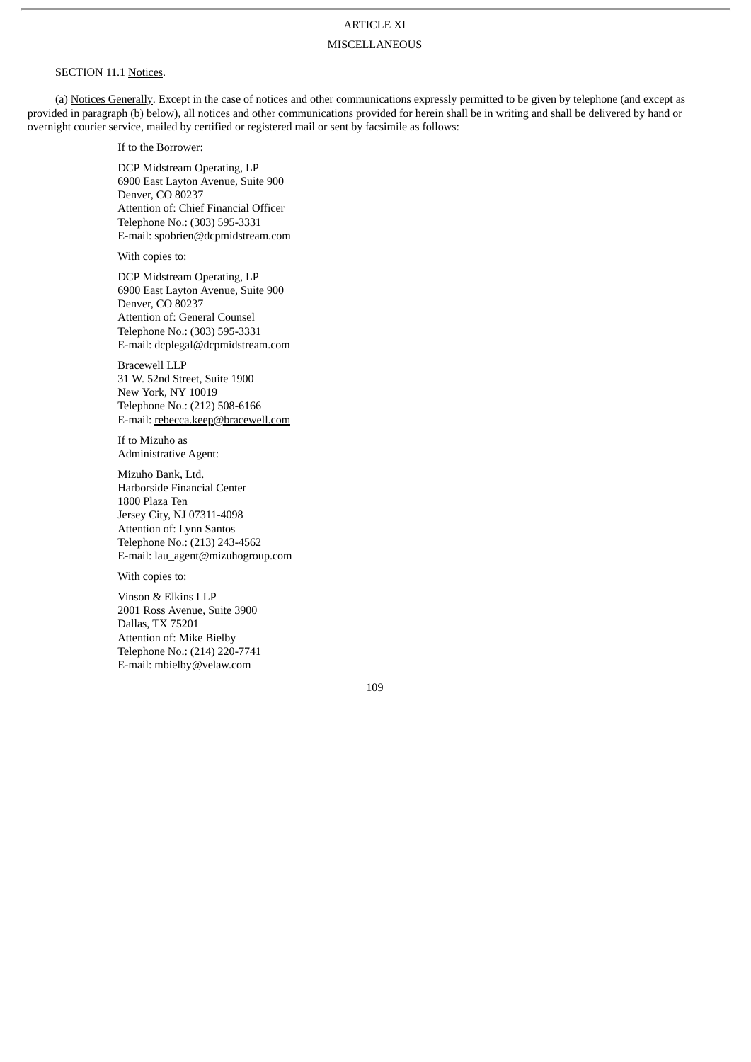# ARTICLE XI

# MISCELLANEOUS

#### SECTION 11.1 Notices.

(a) Notices Generally. Except in the case of notices and other communications expressly permitted to be given by telephone (and except as provided in paragraph (b) below), all notices and other communications provided for herein shall be in writing and shall be delivered by hand or overnight courier service, mailed by certified or registered mail or sent by facsimile as follows:

If to the Borrower:

DCP Midstream Operating, LP 6900 East Layton Avenue, Suite 900 Denver, CO 80237 Attention of: Chief Financial Officer Telephone No.: (303) 595-3331 E-mail: spobrien@dcpmidstream.com

With copies to:

DCP Midstream Operating, LP 6900 East Layton Avenue, Suite 900 Denver, CO 80237 Attention of: General Counsel Telephone No.: (303) 595-3331 E-mail: dcplegal@dcpmidstream.com

Bracewell LLP 31 W. 52nd Street, Suite 1900 New York, NY 10019 Telephone No.: (212) 508-6166 E-mail: rebecca.keep@bracewell.com

If to Mizuho as Administrative Agent:

Mizuho Bank, Ltd. Harborside Financial Center 1800 Plaza Ten Jersey City, NJ 07311-4098 Attention of: Lynn Santos Telephone No.: (213) 243-4562 E-mail: lau\_agent@mizuhogroup.com

With copies to:

Vinson & Elkins LLP 2001 Ross Avenue, Suite 3900 Dallas, TX 75201 Attention of: Mike Bielby Telephone No.: (214) 220-7741 E-mail: mbielby@velaw.com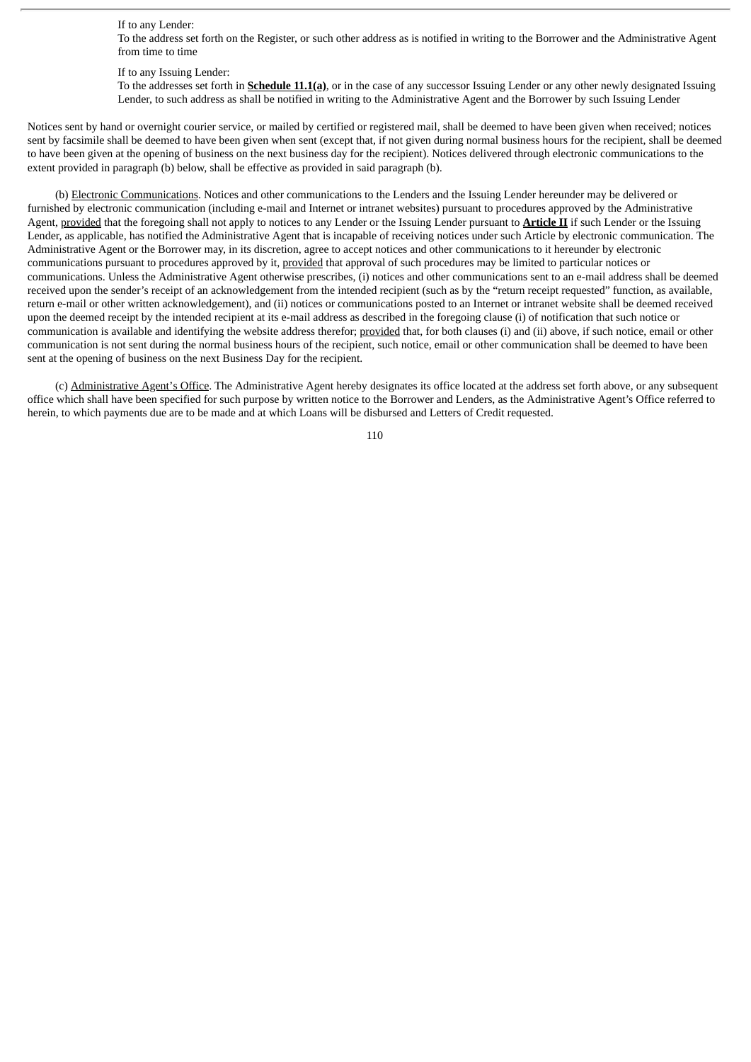If to any Lender:

To the address set forth on the Register, or such other address as is notified in writing to the Borrower and the Administrative Agent from time to time

If to any Issuing Lender:

To the addresses set forth in **Schedule 11.1(a)**, or in the case of any successor Issuing Lender or any other newly designated Issuing Lender, to such address as shall be notified in writing to the Administrative Agent and the Borrower by such Issuing Lender

Notices sent by hand or overnight courier service, or mailed by certified or registered mail, shall be deemed to have been given when received; notices sent by facsimile shall be deemed to have been given when sent (except that, if not given during normal business hours for the recipient, shall be deemed to have been given at the opening of business on the next business day for the recipient). Notices delivered through electronic communications to the extent provided in paragraph (b) below, shall be effective as provided in said paragraph (b).

(b) Electronic Communications. Notices and other communications to the Lenders and the Issuing Lender hereunder may be delivered or furnished by electronic communication (including e-mail and Internet or intranet websites) pursuant to procedures approved by the Administrative Agent, provided that the foregoing shall not apply to notices to any Lender or the Issuing Lender pursuant to **Article II** if such Lender or the Issuing Lender, as applicable, has notified the Administrative Agent that is incapable of receiving notices under such Article by electronic communication. The Administrative Agent or the Borrower may, in its discretion, agree to accept notices and other communications to it hereunder by electronic communications pursuant to procedures approved by it, provided that approval of such procedures may be limited to particular notices or communications. Unless the Administrative Agent otherwise prescribes, (i) notices and other communications sent to an e-mail address shall be deemed received upon the sender's receipt of an acknowledgement from the intended recipient (such as by the "return receipt requested" function, as available, return e-mail or other written acknowledgement), and (ii) notices or communications posted to an Internet or intranet website shall be deemed received upon the deemed receipt by the intended recipient at its e-mail address as described in the foregoing clause (i) of notification that such notice or communication is available and identifying the website address therefor; provided that, for both clauses (i) and (ii) above, if such notice, email or other communication is not sent during the normal business hours of the recipient, such notice, email or other communication shall be deemed to have been sent at the opening of business on the next Business Day for the recipient.

(c) Administrative Agent's Office. The Administrative Agent hereby designates its office located at the address set forth above, or any subsequent office which shall have been specified for such purpose by written notice to the Borrower and Lenders, as the Administrative Agent's Office referred to herein, to which payments due are to be made and at which Loans will be disbursed and Letters of Credit requested.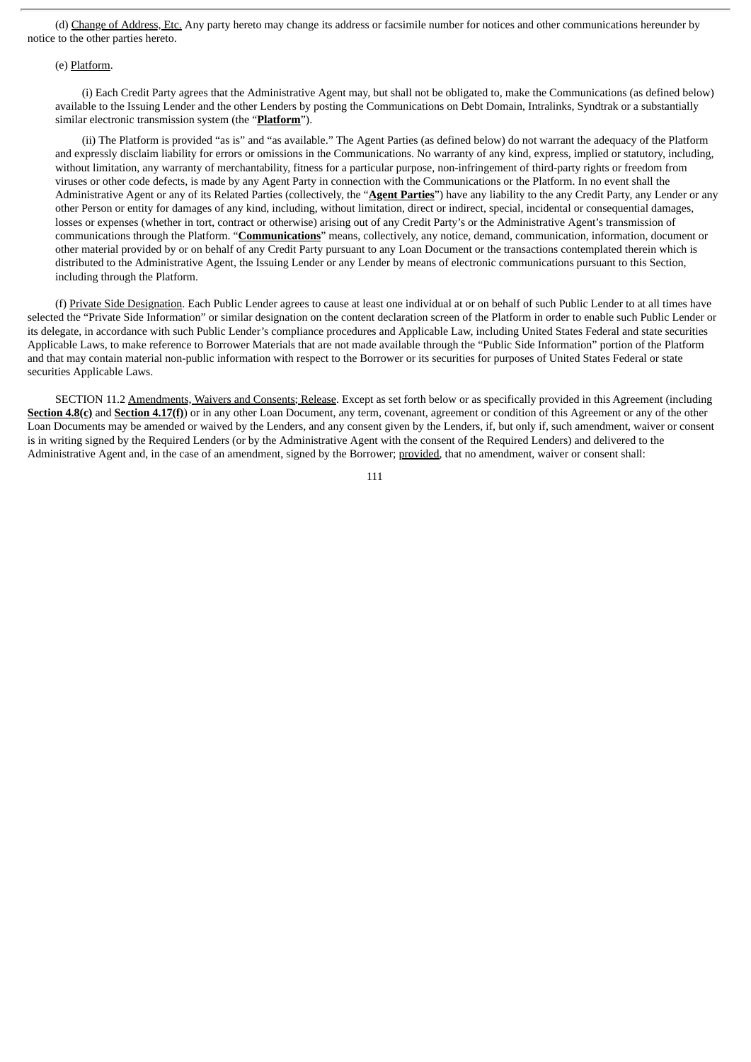(d) Change of Address, Etc. Any party hereto may change its address or facsimile number for notices and other communications hereunder by notice to the other parties hereto.

# (e) Platform.

(i) Each Credit Party agrees that the Administrative Agent may, but shall not be obligated to, make the Communications (as defined below) available to the Issuing Lender and the other Lenders by posting the Communications on Debt Domain, Intralinks, Syndtrak or a substantially similar electronic transmission system (the "**Platform**").

(ii) The Platform is provided "as is" and "as available." The Agent Parties (as defined below) do not warrant the adequacy of the Platform and expressly disclaim liability for errors or omissions in the Communications. No warranty of any kind, express, implied or statutory, including, without limitation, any warranty of merchantability, fitness for a particular purpose, non-infringement of third-party rights or freedom from viruses or other code defects, is made by any Agent Party in connection with the Communications or the Platform. In no event shall the Administrative Agent or any of its Related Parties (collectively, the "**Agent Parties**") have any liability to the any Credit Party, any Lender or any other Person or entity for damages of any kind, including, without limitation, direct or indirect, special, incidental or consequential damages, losses or expenses (whether in tort, contract or otherwise) arising out of any Credit Party's or the Administrative Agent's transmission of communications through the Platform. "**Communications**" means, collectively, any notice, demand, communication, information, document or other material provided by or on behalf of any Credit Party pursuant to any Loan Document or the transactions contemplated therein which is distributed to the Administrative Agent, the Issuing Lender or any Lender by means of electronic communications pursuant to this Section, including through the Platform.

(f) Private Side Designation. Each Public Lender agrees to cause at least one individual at or on behalf of such Public Lender to at all times have selected the "Private Side Information" or similar designation on the content declaration screen of the Platform in order to enable such Public Lender or its delegate, in accordance with such Public Lender's compliance procedures and Applicable Law, including United States Federal and state securities Applicable Laws, to make reference to Borrower Materials that are not made available through the "Public Side Information" portion of the Platform and that may contain material non-public information with respect to the Borrower or its securities for purposes of United States Federal or state securities Applicable Laws.

SECTION 11.2 Amendments, Waivers and Consents; Release. Except as set forth below or as specifically provided in this Agreement (including **Section 4.8(c)** and **Section 4.17(f)**) or in any other Loan Document, any term, covenant, agreement or condition of this Agreement or any of the other Loan Documents may be amended or waived by the Lenders, and any consent given by the Lenders, if, but only if, such amendment, waiver or consent is in writing signed by the Required Lenders (or by the Administrative Agent with the consent of the Required Lenders) and delivered to the Administrative Agent and, in the case of an amendment, signed by the Borrower; provided, that no amendment, waiver or consent shall: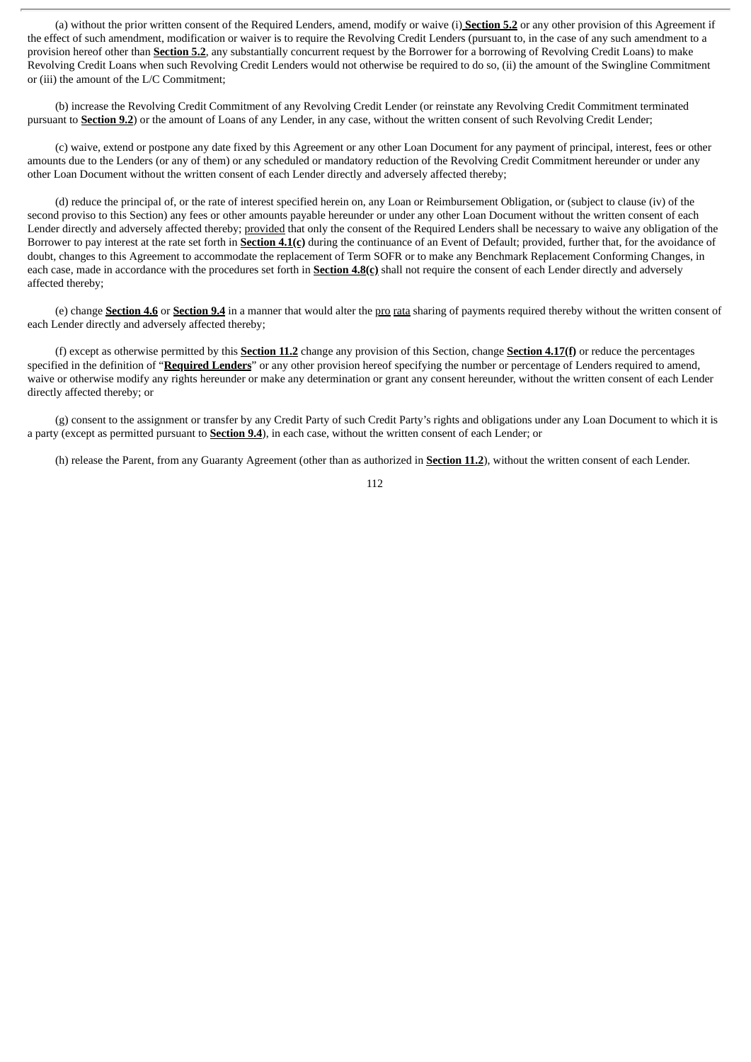(a) without the prior written consent of the Required Lenders, amend, modify or waive (i) **Section 5.2** or any other provision of this Agreement if the effect of such amendment, modification or waiver is to require the Revolving Credit Lenders (pursuant to, in the case of any such amendment to a provision hereof other than **Section 5.2**, any substantially concurrent request by the Borrower for a borrowing of Revolving Credit Loans) to make Revolving Credit Loans when such Revolving Credit Lenders would not otherwise be required to do so, (ii) the amount of the Swingline Commitment or (iii) the amount of the L/C Commitment;

(b) increase the Revolving Credit Commitment of any Revolving Credit Lender (or reinstate any Revolving Credit Commitment terminated pursuant to **Section 9.2**) or the amount of Loans of any Lender, in any case, without the written consent of such Revolving Credit Lender;

(c) waive, extend or postpone any date fixed by this Agreement or any other Loan Document for any payment of principal, interest, fees or other amounts due to the Lenders (or any of them) or any scheduled or mandatory reduction of the Revolving Credit Commitment hereunder or under any other Loan Document without the written consent of each Lender directly and adversely affected thereby;

(d) reduce the principal of, or the rate of interest specified herein on, any Loan or Reimbursement Obligation, or (subject to clause (iv) of the second proviso to this Section) any fees or other amounts payable hereunder or under any other Loan Document without the written consent of each Lender directly and adversely affected thereby; provided that only the consent of the Required Lenders shall be necessary to waive any obligation of the Borrower to pay interest at the rate set forth in **Section 4.1(c)** during the continuance of an Event of Default; provided, further that, for the avoidance of doubt, changes to this Agreement to accommodate the replacement of Term SOFR or to make any Benchmark Replacement Conforming Changes, in each case, made in accordance with the procedures set forth in **Section 4.8(c)** shall not require the consent of each Lender directly and adversely affected thereby;

(e) change **Section 4.6** or **Section 9.4** in a manner that would alter the pro rata sharing of payments required thereby without the written consent of each Lender directly and adversely affected thereby;

(f) except as otherwise permitted by this **Section 11.2** change any provision of this Section, change **Section 4.17(f)** or reduce the percentages specified in the definition of "**Required Lenders**" or any other provision hereof specifying the number or percentage of Lenders required to amend, waive or otherwise modify any rights hereunder or make any determination or grant any consent hereunder, without the written consent of each Lender directly affected thereby; or

(g) consent to the assignment or transfer by any Credit Party of such Credit Party's rights and obligations under any Loan Document to which it is a party (except as permitted pursuant to **Section 9.4**), in each case, without the written consent of each Lender; or

(h) release the Parent, from any Guaranty Agreement (other than as authorized in **Section 11.2**), without the written consent of each Lender.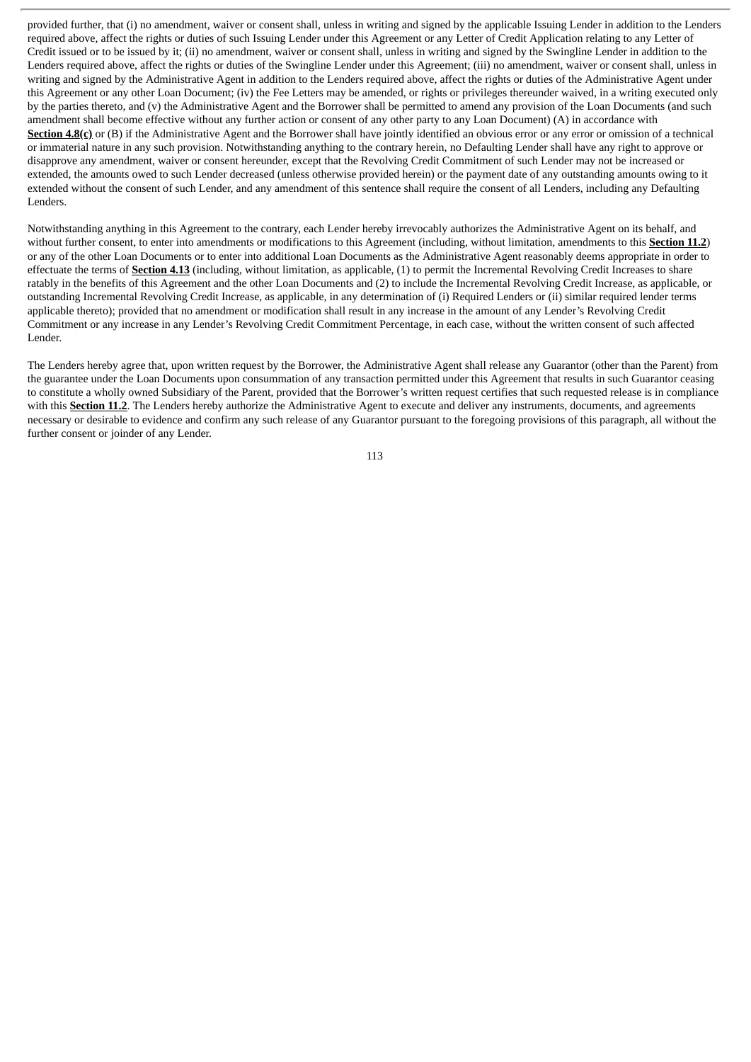provided further, that (i) no amendment, waiver or consent shall, unless in writing and signed by the applicable Issuing Lender in addition to the Lenders required above, affect the rights or duties of such Issuing Lender under this Agreement or any Letter of Credit Application relating to any Letter of Credit issued or to be issued by it; (ii) no amendment, waiver or consent shall, unless in writing and signed by the Swingline Lender in addition to the Lenders required above, affect the rights or duties of the Swingline Lender under this Agreement; (iii) no amendment, waiver or consent shall, unless in writing and signed by the Administrative Agent in addition to the Lenders required above, affect the rights or duties of the Administrative Agent under this Agreement or any other Loan Document; (iv) the Fee Letters may be amended, or rights or privileges thereunder waived, in a writing executed only by the parties thereto, and (v) the Administrative Agent and the Borrower shall be permitted to amend any provision of the Loan Documents (and such amendment shall become effective without any further action or consent of any other party to any Loan Document) (A) in accordance with **Section 4.8(c)** or (B) if the Administrative Agent and the Borrower shall have jointly identified an obvious error or any error or omission of a technical or immaterial nature in any such provision. Notwithstanding anything to the contrary herein, no Defaulting Lender shall have any right to approve or disapprove any amendment, waiver or consent hereunder, except that the Revolving Credit Commitment of such Lender may not be increased or extended, the amounts owed to such Lender decreased (unless otherwise provided herein) or the payment date of any outstanding amounts owing to it extended without the consent of such Lender, and any amendment of this sentence shall require the consent of all Lenders, including any Defaulting Lenders.

Notwithstanding anything in this Agreement to the contrary, each Lender hereby irrevocably authorizes the Administrative Agent on its behalf, and without further consent, to enter into amendments or modifications to this Agreement (including, without limitation, amendments to this **Section 11.2**) or any of the other Loan Documents or to enter into additional Loan Documents as the Administrative Agent reasonably deems appropriate in order to effectuate the terms of **Section 4.13** (including, without limitation, as applicable, (1) to permit the Incremental Revolving Credit Increases to share ratably in the benefits of this Agreement and the other Loan Documents and (2) to include the Incremental Revolving Credit Increase, as applicable, or outstanding Incremental Revolving Credit Increase, as applicable, in any determination of (i) Required Lenders or (ii) similar required lender terms applicable thereto); provided that no amendment or modification shall result in any increase in the amount of any Lender's Revolving Credit Commitment or any increase in any Lender's Revolving Credit Commitment Percentage, in each case, without the written consent of such affected Lender.

The Lenders hereby agree that, upon written request by the Borrower, the Administrative Agent shall release any Guarantor (other than the Parent) from the guarantee under the Loan Documents upon consummation of any transaction permitted under this Agreement that results in such Guarantor ceasing to constitute a wholly owned Subsidiary of the Parent, provided that the Borrower's written request certifies that such requested release is in compliance with this **Section 11.2**. The Lenders hereby authorize the Administrative Agent to execute and deliver any instruments, documents, and agreements necessary or desirable to evidence and confirm any such release of any Guarantor pursuant to the foregoing provisions of this paragraph, all without the further consent or joinder of any Lender.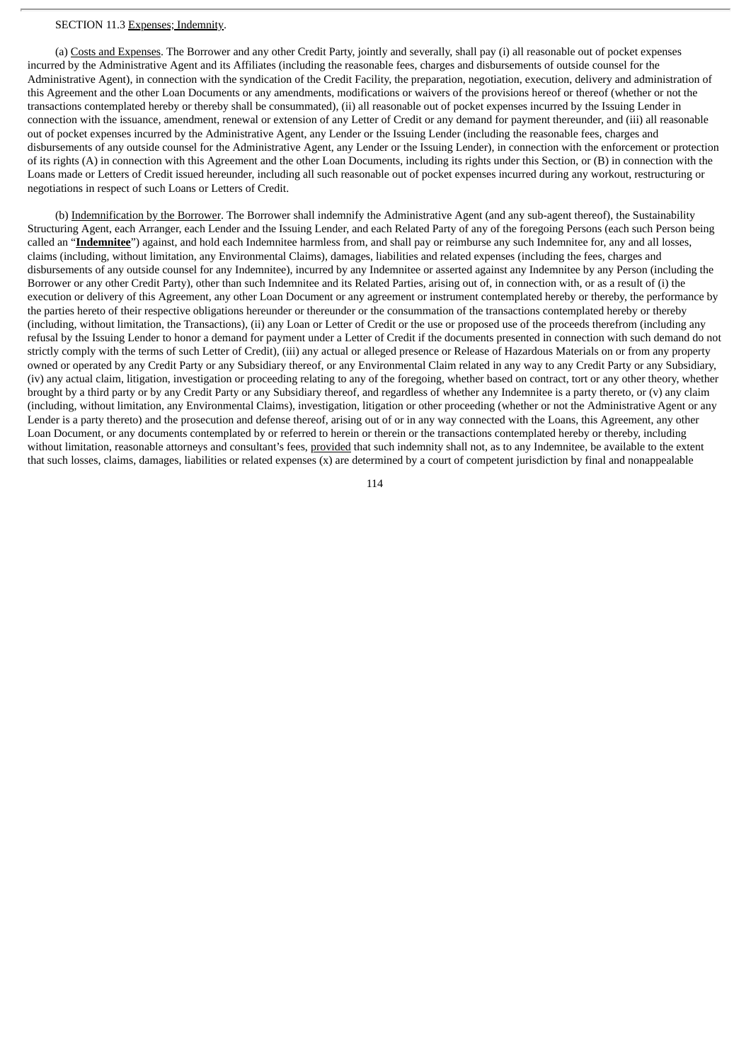# SECTION 11.3 Expenses; Indemnity.

(a) Costs and Expenses. The Borrower and any other Credit Party, jointly and severally, shall pay (i) all reasonable out of pocket expenses incurred by the Administrative Agent and its Affiliates (including the reasonable fees, charges and disbursements of outside counsel for the Administrative Agent), in connection with the syndication of the Credit Facility, the preparation, negotiation, execution, delivery and administration of this Agreement and the other Loan Documents or any amendments, modifications or waivers of the provisions hereof or thereof (whether or not the transactions contemplated hereby or thereby shall be consummated), (ii) all reasonable out of pocket expenses incurred by the Issuing Lender in connection with the issuance, amendment, renewal or extension of any Letter of Credit or any demand for payment thereunder, and (iii) all reasonable out of pocket expenses incurred by the Administrative Agent, any Lender or the Issuing Lender (including the reasonable fees, charges and disbursements of any outside counsel for the Administrative Agent, any Lender or the Issuing Lender), in connection with the enforcement or protection of its rights (A) in connection with this Agreement and the other Loan Documents, including its rights under this Section, or (B) in connection with the Loans made or Letters of Credit issued hereunder, including all such reasonable out of pocket expenses incurred during any workout, restructuring or negotiations in respect of such Loans or Letters of Credit.

(b) Indemnification by the Borrower. The Borrower shall indemnify the Administrative Agent (and any sub-agent thereof), the Sustainability Structuring Agent, each Arranger, each Lender and the Issuing Lender, and each Related Party of any of the foregoing Persons (each such Person being called an "**Indemnitee**") against, and hold each Indemnitee harmless from, and shall pay or reimburse any such Indemnitee for, any and all losses, claims (including, without limitation, any Environmental Claims), damages, liabilities and related expenses (including the fees, charges and disbursements of any outside counsel for any Indemnitee), incurred by any Indemnitee or asserted against any Indemnitee by any Person (including the Borrower or any other Credit Party), other than such Indemnitee and its Related Parties, arising out of, in connection with, or as a result of (i) the execution or delivery of this Agreement, any other Loan Document or any agreement or instrument contemplated hereby or thereby, the performance by the parties hereto of their respective obligations hereunder or thereunder or the consummation of the transactions contemplated hereby or thereby (including, without limitation, the Transactions), (ii) any Loan or Letter of Credit or the use or proposed use of the proceeds therefrom (including any refusal by the Issuing Lender to honor a demand for payment under a Letter of Credit if the documents presented in connection with such demand do not strictly comply with the terms of such Letter of Credit), (iii) any actual or alleged presence or Release of Hazardous Materials on or from any property owned or operated by any Credit Party or any Subsidiary thereof, or any Environmental Claim related in any way to any Credit Party or any Subsidiary, (iv) any actual claim, litigation, investigation or proceeding relating to any of the foregoing, whether based on contract, tort or any other theory, whether brought by a third party or by any Credit Party or any Subsidiary thereof, and regardless of whether any Indemnitee is a party thereto, or (v) any claim (including, without limitation, any Environmental Claims), investigation, litigation or other proceeding (whether or not the Administrative Agent or any Lender is a party thereto) and the prosecution and defense thereof, arising out of or in any way connected with the Loans, this Agreement, any other Loan Document, or any documents contemplated by or referred to herein or therein or the transactions contemplated hereby or thereby, including without limitation, reasonable attorneys and consultant's fees, provided that such indemnity shall not, as to any Indemnitee, be available to the extent that such losses, claims, damages, liabilities or related expenses (x) are determined by a court of competent jurisdiction by final and nonappealable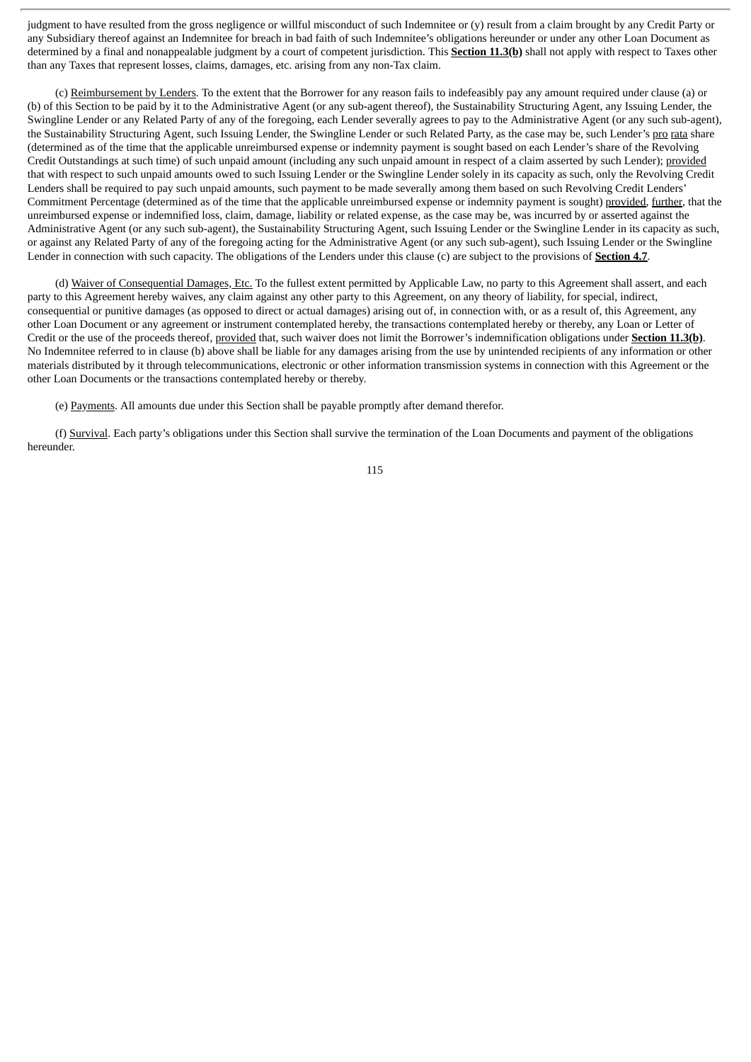judgment to have resulted from the gross negligence or willful misconduct of such Indemnitee or (y) result from a claim brought by any Credit Party or any Subsidiary thereof against an Indemnitee for breach in bad faith of such Indemnitee's obligations hereunder or under any other Loan Document as determined by a final and nonappealable judgment by a court of competent jurisdiction. This **Section 11.3(b)** shall not apply with respect to Taxes other than any Taxes that represent losses, claims, damages, etc. arising from any non-Tax claim.

(c) Reimbursement by Lenders. To the extent that the Borrower for any reason fails to indefeasibly pay any amount required under clause (a) or (b) of this Section to be paid by it to the Administrative Agent (or any sub-agent thereof), the Sustainability Structuring Agent, any Issuing Lender, the Swingline Lender or any Related Party of any of the foregoing, each Lender severally agrees to pay to the Administrative Agent (or any such sub-agent), the Sustainability Structuring Agent, such Issuing Lender, the Swingline Lender or such Related Party, as the case may be, such Lender's pro rata share (determined as of the time that the applicable unreimbursed expense or indemnity payment is sought based on each Lender's share of the Revolving Credit Outstandings at such time) of such unpaid amount (including any such unpaid amount in respect of a claim asserted by such Lender); provided that with respect to such unpaid amounts owed to such Issuing Lender or the Swingline Lender solely in its capacity as such, only the Revolving Credit Lenders shall be required to pay such unpaid amounts, such payment to be made severally among them based on such Revolving Credit Lenders' Commitment Percentage (determined as of the time that the applicable unreimbursed expense or indemnity payment is sought) provided, further, that the unreimbursed expense or indemnified loss, claim, damage, liability or related expense, as the case may be, was incurred by or asserted against the Administrative Agent (or any such sub-agent), the Sustainability Structuring Agent, such Issuing Lender or the Swingline Lender in its capacity as such, or against any Related Party of any of the foregoing acting for the Administrative Agent (or any such sub-agent), such Issuing Lender or the Swingline Lender in connection with such capacity. The obligations of the Lenders under this clause (c) are subject to the provisions of **Section 4.7**.

(d) Waiver of Consequential Damages, Etc. To the fullest extent permitted by Applicable Law, no party to this Agreement shall assert, and each party to this Agreement hereby waives, any claim against any other party to this Agreement, on any theory of liability, for special, indirect, consequential or punitive damages (as opposed to direct or actual damages) arising out of, in connection with, or as a result of, this Agreement, any other Loan Document or any agreement or instrument contemplated hereby, the transactions contemplated hereby or thereby, any Loan or Letter of Credit or the use of the proceeds thereof, provided that, such waiver does not limit the Borrower's indemnification obligations under **Section 11.3(b)**. No Indemnitee referred to in clause (b) above shall be liable for any damages arising from the use by unintended recipients of any information or other materials distributed by it through telecommunications, electronic or other information transmission systems in connection with this Agreement or the other Loan Documents or the transactions contemplated hereby or thereby.

(e) Payments. All amounts due under this Section shall be payable promptly after demand therefor.

(f) Survival. Each party's obligations under this Section shall survive the termination of the Loan Documents and payment of the obligations hereunder.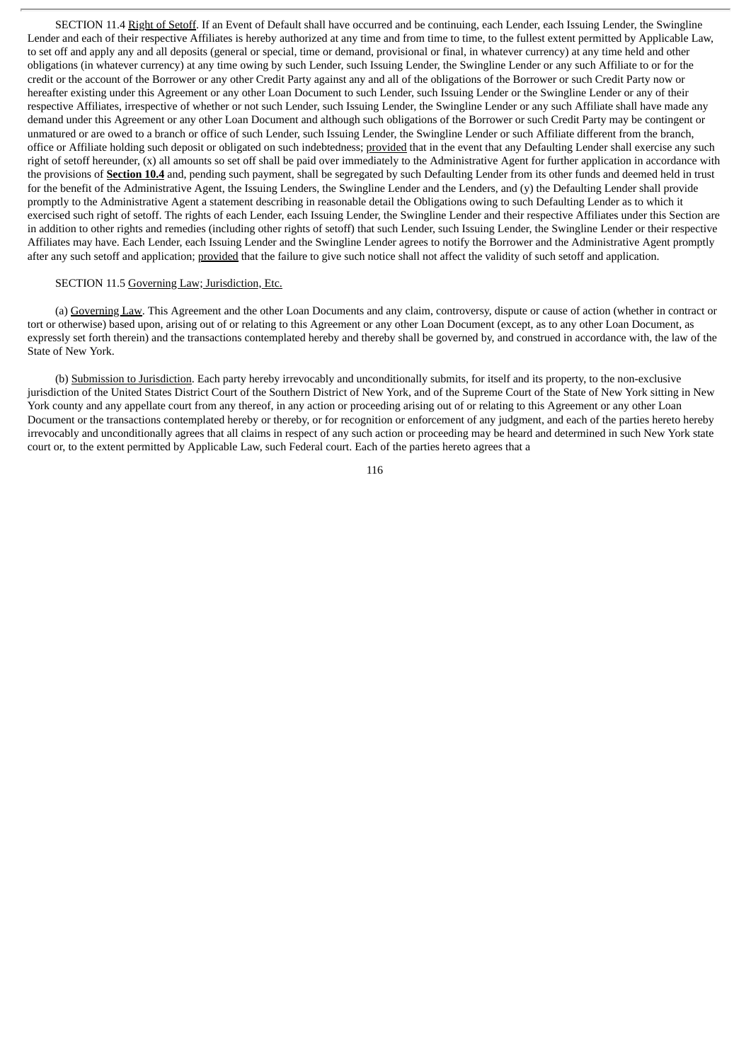SECTION 11.4 Right of Setoff. If an Event of Default shall have occurred and be continuing, each Lender, each Issuing Lender, the Swingline Lender and each of their respective Affiliates is hereby authorized at any time and from time to time, to the fullest extent permitted by Applicable Law, to set off and apply any and all deposits (general or special, time or demand, provisional or final, in whatever currency) at any time held and other obligations (in whatever currency) at any time owing by such Lender, such Issuing Lender, the Swingline Lender or any such Affiliate to or for the credit or the account of the Borrower or any other Credit Party against any and all of the obligations of the Borrower or such Credit Party now or hereafter existing under this Agreement or any other Loan Document to such Lender, such Issuing Lender or the Swingline Lender or any of their respective Affiliates, irrespective of whether or not such Lender, such Issuing Lender, the Swingline Lender or any such Affiliate shall have made any demand under this Agreement or any other Loan Document and although such obligations of the Borrower or such Credit Party may be contingent or unmatured or are owed to a branch or office of such Lender, such Issuing Lender, the Swingline Lender or such Affiliate different from the branch, office or Affiliate holding such deposit or obligated on such indebtedness; provided that in the event that any Defaulting Lender shall exercise any such right of setoff hereunder, (x) all amounts so set off shall be paid over immediately to the Administrative Agent for further application in accordance with the provisions of **Section 10.4** and, pending such payment, shall be segregated by such Defaulting Lender from its other funds and deemed held in trust for the benefit of the Administrative Agent, the Issuing Lenders, the Swingline Lender and the Lenders, and (y) the Defaulting Lender shall provide promptly to the Administrative Agent a statement describing in reasonable detail the Obligations owing to such Defaulting Lender as to which it exercised such right of setoff. The rights of each Lender, each Issuing Lender, the Swingline Lender and their respective Affiliates under this Section are in addition to other rights and remedies (including other rights of setoff) that such Lender, such Issuing Lender, the Swingline Lender or their respective Affiliates may have. Each Lender, each Issuing Lender and the Swingline Lender agrees to notify the Borrower and the Administrative Agent promptly after any such setoff and application; provided that the failure to give such notice shall not affect the validity of such setoff and application.

#### SECTION 11.5 Governing Law; Jurisdiction, Etc.

(a) Governing Law. This Agreement and the other Loan Documents and any claim, controversy, dispute or cause of action (whether in contract or tort or otherwise) based upon, arising out of or relating to this Agreement or any other Loan Document (except, as to any other Loan Document, as expressly set forth therein) and the transactions contemplated hereby and thereby shall be governed by, and construed in accordance with, the law of the State of New York.

(b) Submission to Jurisdiction. Each party hereby irrevocably and unconditionally submits, for itself and its property, to the non-exclusive jurisdiction of the United States District Court of the Southern District of New York, and of the Supreme Court of the State of New York sitting in New York county and any appellate court from any thereof, in any action or proceeding arising out of or relating to this Agreement or any other Loan Document or the transactions contemplated hereby or thereby, or for recognition or enforcement of any judgment, and each of the parties hereto hereby irrevocably and unconditionally agrees that all claims in respect of any such action or proceeding may be heard and determined in such New York state court or, to the extent permitted by Applicable Law, such Federal court. Each of the parties hereto agrees that a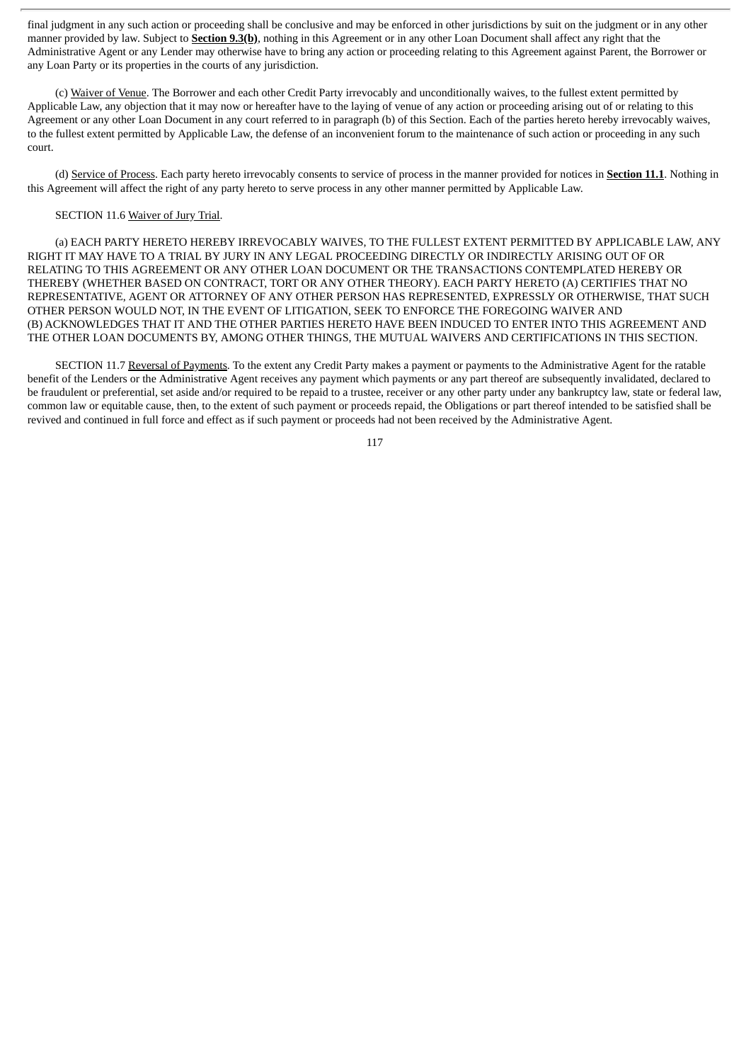final judgment in any such action or proceeding shall be conclusive and may be enforced in other jurisdictions by suit on the judgment or in any other manner provided by law. Subject to **Section 9.3(b)**, nothing in this Agreement or in any other Loan Document shall affect any right that the Administrative Agent or any Lender may otherwise have to bring any action or proceeding relating to this Agreement against Parent, the Borrower or any Loan Party or its properties in the courts of any jurisdiction.

(c) Waiver of Venue. The Borrower and each other Credit Party irrevocably and unconditionally waives, to the fullest extent permitted by Applicable Law, any objection that it may now or hereafter have to the laying of venue of any action or proceeding arising out of or relating to this Agreement or any other Loan Document in any court referred to in paragraph (b) of this Section. Each of the parties hereto hereby irrevocably waives, to the fullest extent permitted by Applicable Law, the defense of an inconvenient forum to the maintenance of such action or proceeding in any such court.

(d) Service of Process. Each party hereto irrevocably consents to service of process in the manner provided for notices in **Section 11.1**. Nothing in this Agreement will affect the right of any party hereto to serve process in any other manner permitted by Applicable Law.

## SECTION 11.6 Waiver of Jury Trial.

(a) EACH PARTY HERETO HEREBY IRREVOCABLY WAIVES, TO THE FULLEST EXTENT PERMITTED BY APPLICABLE LAW, ANY RIGHT IT MAY HAVE TO A TRIAL BY JURY IN ANY LEGAL PROCEEDING DIRECTLY OR INDIRECTLY ARISING OUT OF OR RELATING TO THIS AGREEMENT OR ANY OTHER LOAN DOCUMENT OR THE TRANSACTIONS CONTEMPLATED HEREBY OR THEREBY (WHETHER BASED ON CONTRACT, TORT OR ANY OTHER THEORY). EACH PARTY HERETO (A) CERTIFIES THAT NO REPRESENTATIVE, AGENT OR ATTORNEY OF ANY OTHER PERSON HAS REPRESENTED, EXPRESSLY OR OTHERWISE, THAT SUCH OTHER PERSON WOULD NOT, IN THE EVENT OF LITIGATION, SEEK TO ENFORCE THE FOREGOING WAIVER AND (B) ACKNOWLEDGES THAT IT AND THE OTHER PARTIES HERETO HAVE BEEN INDUCED TO ENTER INTO THIS AGREEMENT AND THE OTHER LOAN DOCUMENTS BY, AMONG OTHER THINGS, THE MUTUAL WAIVERS AND CERTIFICATIONS IN THIS SECTION.

SECTION 11.7 Reversal of Payments. To the extent any Credit Party makes a payment or payments to the Administrative Agent for the ratable benefit of the Lenders or the Administrative Agent receives any payment which payments or any part thereof are subsequently invalidated, declared to be fraudulent or preferential, set aside and/or required to be repaid to a trustee, receiver or any other party under any bankruptcy law, state or federal law, common law or equitable cause, then, to the extent of such payment or proceeds repaid, the Obligations or part thereof intended to be satisfied shall be revived and continued in full force and effect as if such payment or proceeds had not been received by the Administrative Agent.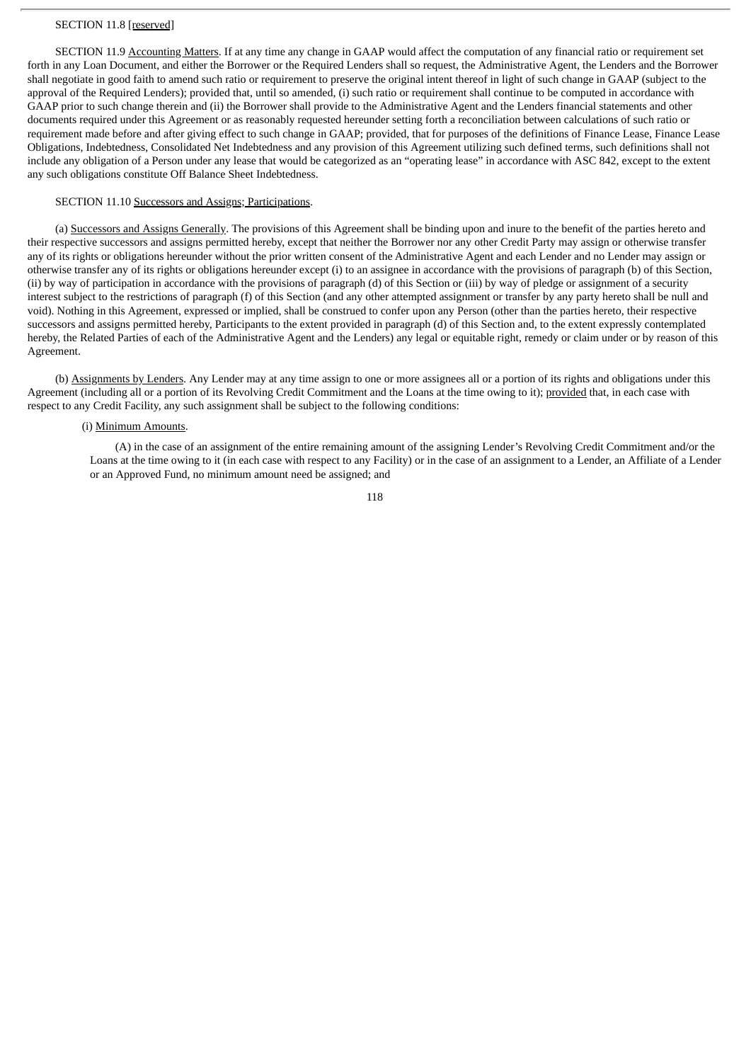# SECTION 11.8 [reserved]

SECTION 11.9 Accounting Matters. If at any time any change in GAAP would affect the computation of any financial ratio or requirement set forth in any Loan Document, and either the Borrower or the Required Lenders shall so request, the Administrative Agent, the Lenders and the Borrower shall negotiate in good faith to amend such ratio or requirement to preserve the original intent thereof in light of such change in GAAP (subject to the approval of the Required Lenders); provided that, until so amended, (i) such ratio or requirement shall continue to be computed in accordance with GAAP prior to such change therein and (ii) the Borrower shall provide to the Administrative Agent and the Lenders financial statements and other documents required under this Agreement or as reasonably requested hereunder setting forth a reconciliation between calculations of such ratio or requirement made before and after giving effect to such change in GAAP; provided, that for purposes of the definitions of Finance Lease, Finance Lease Obligations, Indebtedness, Consolidated Net Indebtedness and any provision of this Agreement utilizing such defined terms, such definitions shall not include any obligation of a Person under any lease that would be categorized as an "operating lease" in accordance with ASC 842, except to the extent any such obligations constitute Off Balance Sheet Indebtedness.

# SECTION 11.10 Successors and Assigns; Participations.

(a) Successors and Assigns Generally. The provisions of this Agreement shall be binding upon and inure to the benefit of the parties hereto and their respective successors and assigns permitted hereby, except that neither the Borrower nor any other Credit Party may assign or otherwise transfer any of its rights or obligations hereunder without the prior written consent of the Administrative Agent and each Lender and no Lender may assign or otherwise transfer any of its rights or obligations hereunder except (i) to an assignee in accordance with the provisions of paragraph (b) of this Section, (ii) by way of participation in accordance with the provisions of paragraph (d) of this Section or (iii) by way of pledge or assignment of a security interest subject to the restrictions of paragraph (f) of this Section (and any other attempted assignment or transfer by any party hereto shall be null and void). Nothing in this Agreement, expressed or implied, shall be construed to confer upon any Person (other than the parties hereto, their respective successors and assigns permitted hereby, Participants to the extent provided in paragraph (d) of this Section and, to the extent expressly contemplated hereby, the Related Parties of each of the Administrative Agent and the Lenders) any legal or equitable right, remedy or claim under or by reason of this Agreement.

(b) Assignments by Lenders. Any Lender may at any time assign to one or more assignees all or a portion of its rights and obligations under this Agreement (including all or a portion of its Revolving Credit Commitment and the Loans at the time owing to it); provided that, in each case with respect to any Credit Facility, any such assignment shall be subject to the following conditions:

#### (i) Minimum Amounts.

(A) in the case of an assignment of the entire remaining amount of the assigning Lender's Revolving Credit Commitment and/or the Loans at the time owing to it (in each case with respect to any Facility) or in the case of an assignment to a Lender, an Affiliate of a Lender or an Approved Fund, no minimum amount need be assigned; and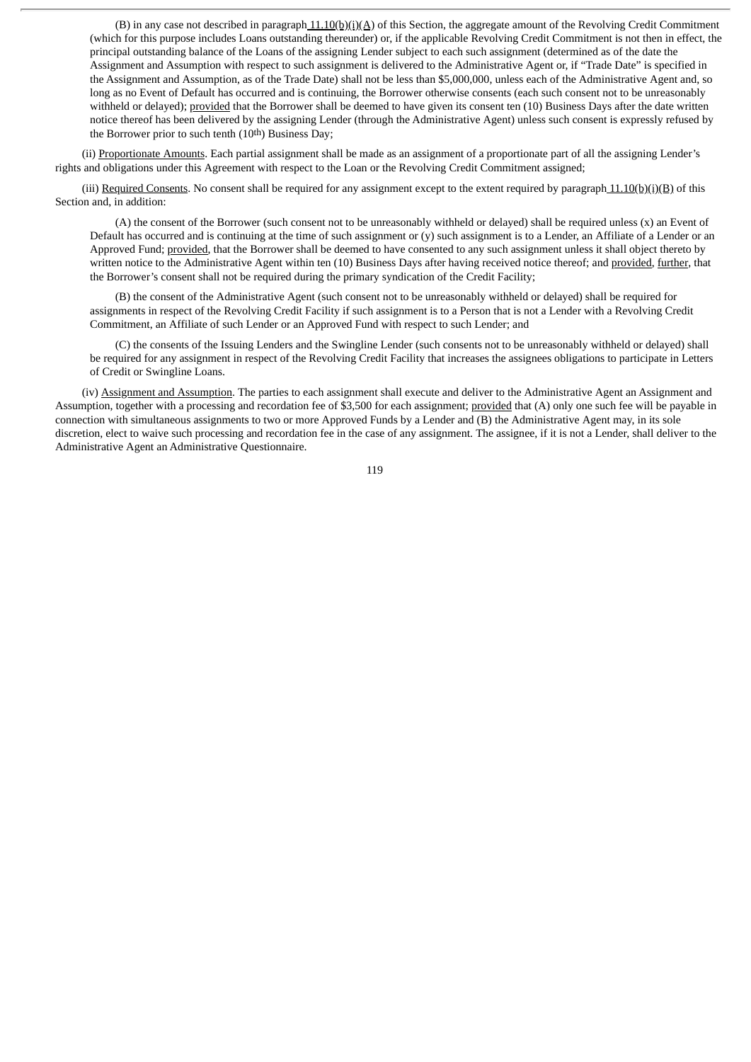(B) in any case not described in paragraph 11.10(b)(i)(A) of this Section, the aggregate amount of the Revolving Credit Commitment (which for this purpose includes Loans outstanding thereunder) or, if the applicable Revolving Credit Commitment is not then in effect, the principal outstanding balance of the Loans of the assigning Lender subject to each such assignment (determined as of the date the Assignment and Assumption with respect to such assignment is delivered to the Administrative Agent or, if "Trade Date" is specified in the Assignment and Assumption, as of the Trade Date) shall not be less than \$5,000,000, unless each of the Administrative Agent and, so long as no Event of Default has occurred and is continuing, the Borrower otherwise consents (each such consent not to be unreasonably withheld or delayed); provided that the Borrower shall be deemed to have given its consent ten (10) Business Days after the date written notice thereof has been delivered by the assigning Lender (through the Administrative Agent) unless such consent is expressly refused by the Borrower prior to such tenth (10th) Business Day;

(ii) Proportionate Amounts. Each partial assignment shall be made as an assignment of a proportionate part of all the assigning Lender's rights and obligations under this Agreement with respect to the Loan or the Revolving Credit Commitment assigned;

(iii) Required Consents. No consent shall be required for any assignment except to the extent required by paragraph 11.10(b)(i)(B) of this Section and, in addition:

(A) the consent of the Borrower (such consent not to be unreasonably withheld or delayed) shall be required unless (x) an Event of Default has occurred and is continuing at the time of such assignment or (y) such assignment is to a Lender, an Affiliate of a Lender or an Approved Fund; provided, that the Borrower shall be deemed to have consented to any such assignment unless it shall object thereto by written notice to the Administrative Agent within ten (10) Business Days after having received notice thereof; and provided, further, that the Borrower's consent shall not be required during the primary syndication of the Credit Facility;

(B) the consent of the Administrative Agent (such consent not to be unreasonably withheld or delayed) shall be required for assignments in respect of the Revolving Credit Facility if such assignment is to a Person that is not a Lender with a Revolving Credit Commitment, an Affiliate of such Lender or an Approved Fund with respect to such Lender; and

(C) the consents of the Issuing Lenders and the Swingline Lender (such consents not to be unreasonably withheld or delayed) shall be required for any assignment in respect of the Revolving Credit Facility that increases the assignees obligations to participate in Letters of Credit or Swingline Loans.

(iv) Assignment and Assumption. The parties to each assignment shall execute and deliver to the Administrative Agent an Assignment and Assumption, together with a processing and recordation fee of \$3,500 for each assignment; provided that (A) only one such fee will be payable in connection with simultaneous assignments to two or more Approved Funds by a Lender and (B) the Administrative Agent may, in its sole discretion, elect to waive such processing and recordation fee in the case of any assignment. The assignee, if it is not a Lender, shall deliver to the Administrative Agent an Administrative Questionnaire.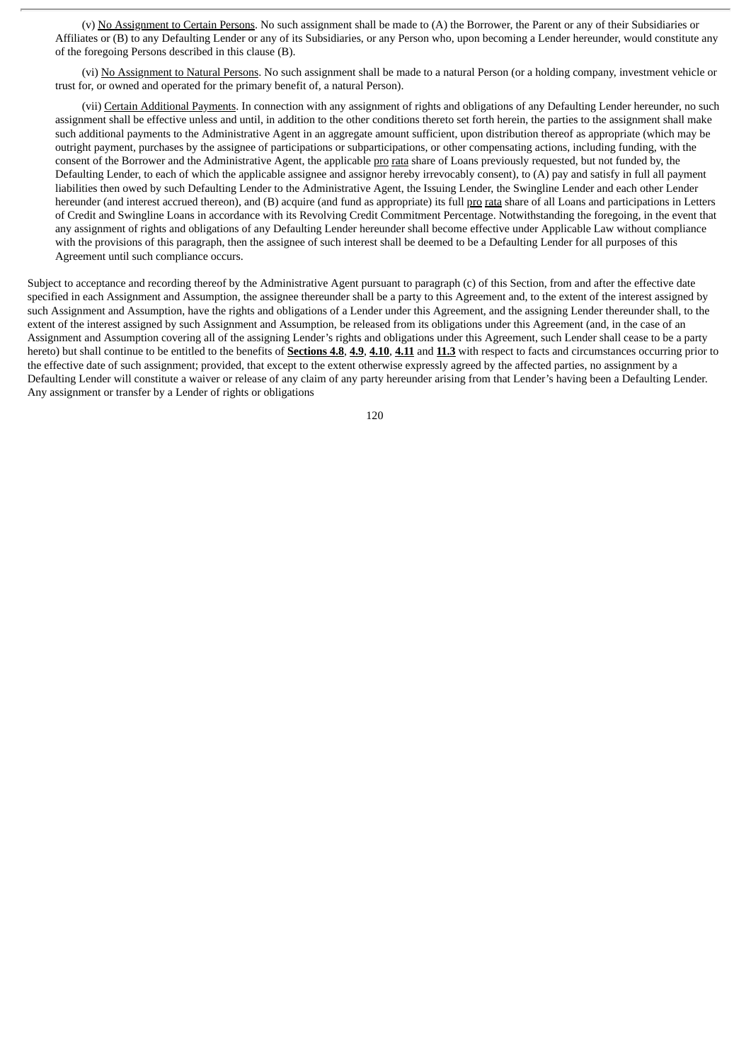(v) No Assignment to Certain Persons. No such assignment shall be made to (A) the Borrower, the Parent or any of their Subsidiaries or Affiliates or (B) to any Defaulting Lender or any of its Subsidiaries, or any Person who, upon becoming a Lender hereunder, would constitute any of the foregoing Persons described in this clause (B).

(vi) No Assignment to Natural Persons. No such assignment shall be made to a natural Person (or a holding company, investment vehicle or trust for, or owned and operated for the primary benefit of, a natural Person).

(vii) Certain Additional Payments. In connection with any assignment of rights and obligations of any Defaulting Lender hereunder, no such assignment shall be effective unless and until, in addition to the other conditions thereto set forth herein, the parties to the assignment shall make such additional payments to the Administrative Agent in an aggregate amount sufficient, upon distribution thereof as appropriate (which may be outright payment, purchases by the assignee of participations or subparticipations, or other compensating actions, including funding, with the consent of the Borrower and the Administrative Agent, the applicable pro rata share of Loans previously requested, but not funded by, the Defaulting Lender, to each of which the applicable assignee and assignor hereby irrevocably consent), to (A) pay and satisfy in full all payment liabilities then owed by such Defaulting Lender to the Administrative Agent, the Issuing Lender, the Swingline Lender and each other Lender hereunder (and interest accrued thereon), and (B) acquire (and fund as appropriate) its full pro rata share of all Loans and participations in Letters of Credit and Swingline Loans in accordance with its Revolving Credit Commitment Percentage. Notwithstanding the foregoing, in the event that any assignment of rights and obligations of any Defaulting Lender hereunder shall become effective under Applicable Law without compliance with the provisions of this paragraph, then the assignee of such interest shall be deemed to be a Defaulting Lender for all purposes of this Agreement until such compliance occurs.

Subject to acceptance and recording thereof by the Administrative Agent pursuant to paragraph (c) of this Section, from and after the effective date specified in each Assignment and Assumption, the assignee thereunder shall be a party to this Agreement and, to the extent of the interest assigned by such Assignment and Assumption, have the rights and obligations of a Lender under this Agreement, and the assigning Lender thereunder shall, to the extent of the interest assigned by such Assignment and Assumption, be released from its obligations under this Agreement (and, in the case of an Assignment and Assumption covering all of the assigning Lender's rights and obligations under this Agreement, such Lender shall cease to be a party hereto) but shall continue to be entitled to the benefits of **Sections 4.8**, **4.9**, **4.10**, **4.11** and **11.3** with respect to facts and circumstances occurring prior to the effective date of such assignment; provided, that except to the extent otherwise expressly agreed by the affected parties, no assignment by a Defaulting Lender will constitute a waiver or release of any claim of any party hereunder arising from that Lender's having been a Defaulting Lender. Any assignment or transfer by a Lender of rights or obligations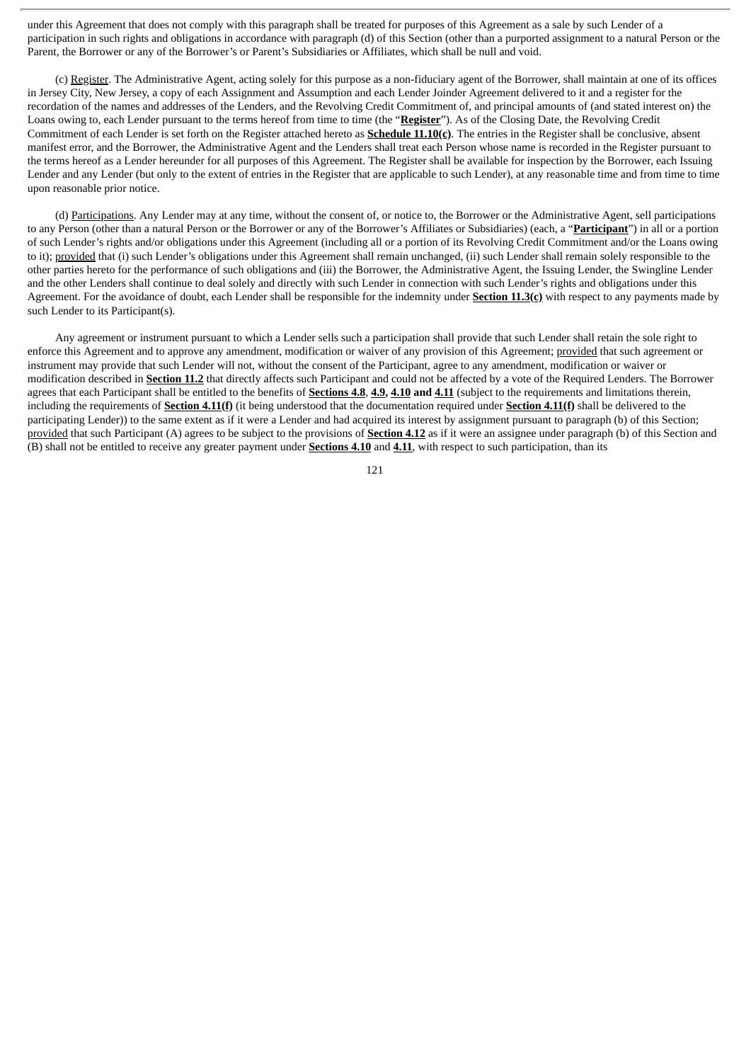under this Agreement that does not comply with this paragraph shall be treated for purposes of this Agreement as a sale by such Lender of a participation in such rights and obligations in accordance with paragraph (d) of this Section (other than a purported assignment to a natural Person or the Parent, the Borrower or any of the Borrower's or Parent's Subsidiaries or Affiliates, which shall be null and void.

(c) Register. The Administrative Agent, acting solely for this purpose as a non-fiduciary agent of the Borrower, shall maintain at one of its offices in Jersey City, New Jersey, a copy of each Assignment and Assumption and each Lender Joinder Agreement delivered to it and a register for the recordation of the names and addresses of the Lenders, and the Revolving Credit Commitment of, and principal amounts of (and stated interest on) the Loans owing to, each Lender pursuant to the terms hereof from time to time (the "**Register**"). As of the Closing Date, the Revolving Credit Commitment of each Lender is set forth on the Register attached hereto as **Schedule 11.10(c)**. The entries in the Register shall be conclusive, absent manifest error, and the Borrower, the Administrative Agent and the Lenders shall treat each Person whose name is recorded in the Register pursuant to the terms hereof as a Lender hereunder for all purposes of this Agreement. The Register shall be available for inspection by the Borrower, each Issuing Lender and any Lender (but only to the extent of entries in the Register that are applicable to such Lender), at any reasonable time and from time to time upon reasonable prior notice.

(d) Participations. Any Lender may at any time, without the consent of, or notice to, the Borrower or the Administrative Agent, sell participations to any Person (other than a natural Person or the Borrower or any of the Borrower's Affiliates or Subsidiaries) (each, a "**Participant**") in all or a portion of such Lender's rights and/or obligations under this Agreement (including all or a portion of its Revolving Credit Commitment and/or the Loans owing to it); provided that (i) such Lender's obligations under this Agreement shall remain unchanged, (ii) such Lender shall remain solely responsible to the other parties hereto for the performance of such obligations and (iii) the Borrower, the Administrative Agent, the Issuing Lender, the Swingline Lender and the other Lenders shall continue to deal solely and directly with such Lender in connection with such Lender's rights and obligations under this Agreement. For the avoidance of doubt, each Lender shall be responsible for the indemnity under **Section 11.3(c)** with respect to any payments made by such Lender to its Participant(s).

Any agreement or instrument pursuant to which a Lender sells such a participation shall provide that such Lender shall retain the sole right to enforce this Agreement and to approve any amendment, modification or waiver of any provision of this Agreement; provided that such agreement or instrument may provide that such Lender will not, without the consent of the Participant, agree to any amendment, modification or waiver or modification described in **Section 11.2** that directly affects such Participant and could not be affected by a vote of the Required Lenders. The Borrower agrees that each Participant shall be entitled to the benefits of **Sections 4.8**, **4.9, 4.10 and 4.11** (subject to the requirements and limitations therein, including the requirements of **Section 4.11(f)** (it being understood that the documentation required under **Section 4.11(f)** shall be delivered to the participating Lender)) to the same extent as if it were a Lender and had acquired its interest by assignment pursuant to paragraph (b) of this Section; provided that such Participant (A) agrees to be subject to the provisions of **Section 4.12** as if it were an assignee under paragraph (b) of this Section and (B) shall not be entitled to receive any greater payment under **Sections 4.10** and **4.11**, with respect to such participation, than its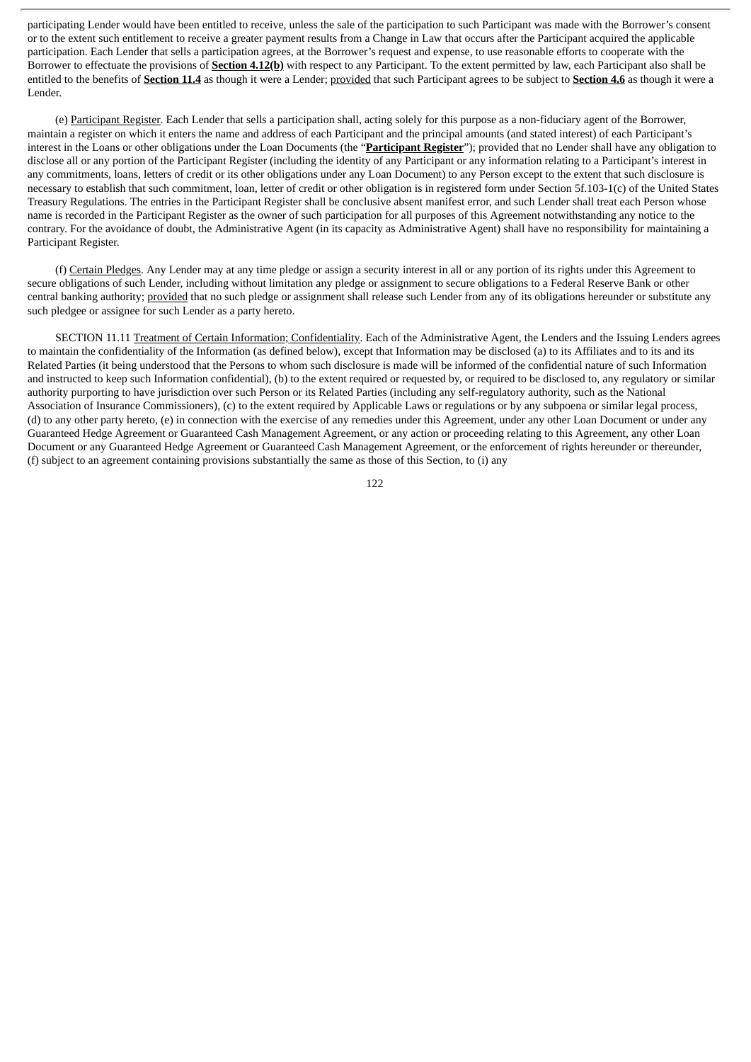participating Lender would have been entitled to receive, unless the sale of the participation to such Participant was made with the Borrower's consent or to the extent such entitlement to receive a greater payment results from a Change in Law that occurs after the Participant acquired the applicable participation. Each Lender that sells a participation agrees, at the Borrower's request and expense, to use reasonable efforts to cooperate with the Borrower to effectuate the provisions of **Section 4.12(b)** with respect to any Participant. To the extent permitted by law, each Participant also shall be entitled to the benefits of **Section 11.4** as though it were a Lender; provided that such Participant agrees to be subject to **Section 4.6** as though it were a Lender.

(e) Participant Register. Each Lender that sells a participation shall, acting solely for this purpose as a non-fiduciary agent of the Borrower, maintain a register on which it enters the name and address of each Participant and the principal amounts (and stated interest) of each Participant's interest in the Loans or other obligations under the Loan Documents (the "**Participant Register**"); provided that no Lender shall have any obligation to disclose all or any portion of the Participant Register (including the identity of any Participant or any information relating to a Participant's interest in any commitments, loans, letters of credit or its other obligations under any Loan Document) to any Person except to the extent that such disclosure is necessary to establish that such commitment, loan, letter of credit or other obligation is in registered form under Section 5f.103-1(c) of the United States Treasury Regulations. The entries in the Participant Register shall be conclusive absent manifest error, and such Lender shall treat each Person whose name is recorded in the Participant Register as the owner of such participation for all purposes of this Agreement notwithstanding any notice to the contrary. For the avoidance of doubt, the Administrative Agent (in its capacity as Administrative Agent) shall have no responsibility for maintaining a Participant Register.

(f) Certain Pledges. Any Lender may at any time pledge or assign a security interest in all or any portion of its rights under this Agreement to secure obligations of such Lender, including without limitation any pledge or assignment to secure obligations to a Federal Reserve Bank or other central banking authority; provided that no such pledge or assignment shall release such Lender from any of its obligations hereunder or substitute any such pledgee or assignee for such Lender as a party hereto.

SECTION 11.11 Treatment of Certain Information; Confidentiality. Each of the Administrative Agent, the Lenders and the Issuing Lenders agrees to maintain the confidentiality of the Information (as defined below), except that Information may be disclosed (a) to its Affiliates and to its and its Related Parties (it being understood that the Persons to whom such disclosure is made will be informed of the confidential nature of such Information and instructed to keep such Information confidential), (b) to the extent required or requested by, or required to be disclosed to, any regulatory or similar authority purporting to have jurisdiction over such Person or its Related Parties (including any self-regulatory authority, such as the National Association of Insurance Commissioners), (c) to the extent required by Applicable Laws or regulations or by any subpoena or similar legal process, (d) to any other party hereto, (e) in connection with the exercise of any remedies under this Agreement, under any other Loan Document or under any Guaranteed Hedge Agreement or Guaranteed Cash Management Agreement, or any action or proceeding relating to this Agreement, any other Loan Document or any Guaranteed Hedge Agreement or Guaranteed Cash Management Agreement, or the enforcement of rights hereunder or thereunder, (f) subject to an agreement containing provisions substantially the same as those of this Section, to (i) any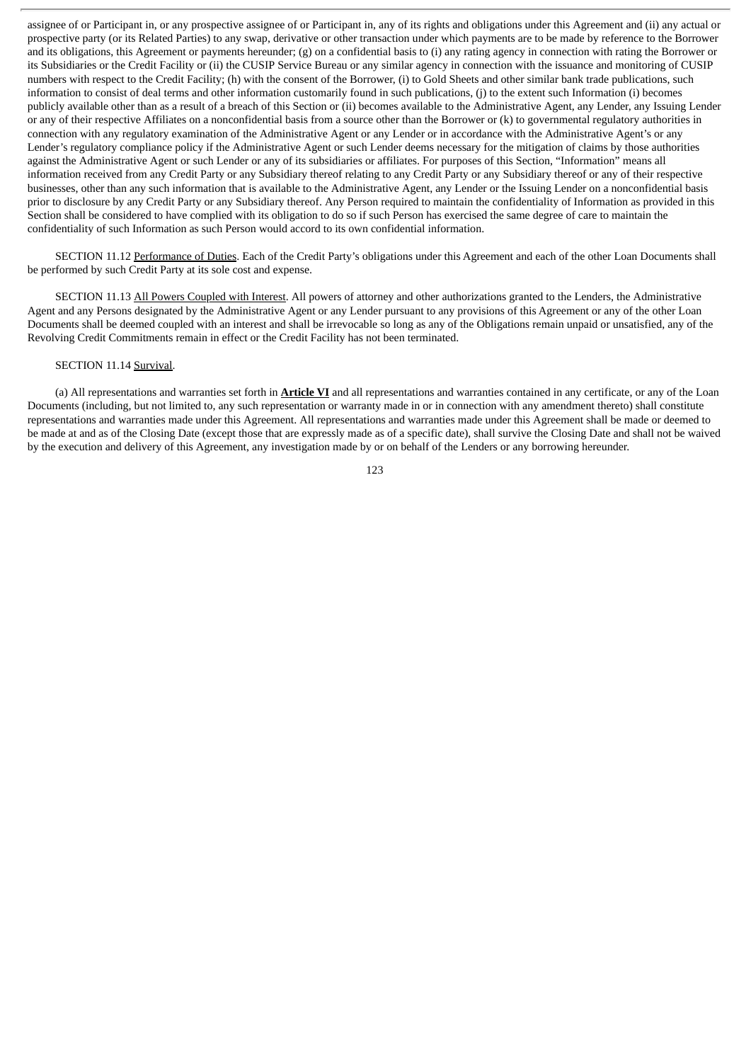assignee of or Participant in, or any prospective assignee of or Participant in, any of its rights and obligations under this Agreement and (ii) any actual or prospective party (or its Related Parties) to any swap, derivative or other transaction under which payments are to be made by reference to the Borrower and its obligations, this Agreement or payments hereunder; (g) on a confidential basis to (i) any rating agency in connection with rating the Borrower or its Subsidiaries or the Credit Facility or (ii) the CUSIP Service Bureau or any similar agency in connection with the issuance and monitoring of CUSIP numbers with respect to the Credit Facility; (h) with the consent of the Borrower, (i) to Gold Sheets and other similar bank trade publications, such information to consist of deal terms and other information customarily found in such publications, (j) to the extent such Information (i) becomes publicly available other than as a result of a breach of this Section or (ii) becomes available to the Administrative Agent, any Lender, any Issuing Lender or any of their respective Affiliates on a nonconfidential basis from a source other than the Borrower or (k) to governmental regulatory authorities in connection with any regulatory examination of the Administrative Agent or any Lender or in accordance with the Administrative Agent's or any Lender's regulatory compliance policy if the Administrative Agent or such Lender deems necessary for the mitigation of claims by those authorities against the Administrative Agent or such Lender or any of its subsidiaries or affiliates. For purposes of this Section, "Information" means all information received from any Credit Party or any Subsidiary thereof relating to any Credit Party or any Subsidiary thereof or any of their respective businesses, other than any such information that is available to the Administrative Agent, any Lender or the Issuing Lender on a nonconfidential basis prior to disclosure by any Credit Party or any Subsidiary thereof. Any Person required to maintain the confidentiality of Information as provided in this Section shall be considered to have complied with its obligation to do so if such Person has exercised the same degree of care to maintain the confidentiality of such Information as such Person would accord to its own confidential information.

SECTION 11.12 Performance of Duties. Each of the Credit Party's obligations under this Agreement and each of the other Loan Documents shall be performed by such Credit Party at its sole cost and expense.

SECTION 11.13 All Powers Coupled with Interest. All powers of attorney and other authorizations granted to the Lenders, the Administrative Agent and any Persons designated by the Administrative Agent or any Lender pursuant to any provisions of this Agreement or any of the other Loan Documents shall be deemed coupled with an interest and shall be irrevocable so long as any of the Obligations remain unpaid or unsatisfied, any of the Revolving Credit Commitments remain in effect or the Credit Facility has not been terminated.

# SECTION 11.14 Survival.

(a) All representations and warranties set forth in **Article VI** and all representations and warranties contained in any certificate, or any of the Loan Documents (including, but not limited to, any such representation or warranty made in or in connection with any amendment thereto) shall constitute representations and warranties made under this Agreement. All representations and warranties made under this Agreement shall be made or deemed to be made at and as of the Closing Date (except those that are expressly made as of a specific date), shall survive the Closing Date and shall not be waived by the execution and delivery of this Agreement, any investigation made by or on behalf of the Lenders or any borrowing hereunder.

123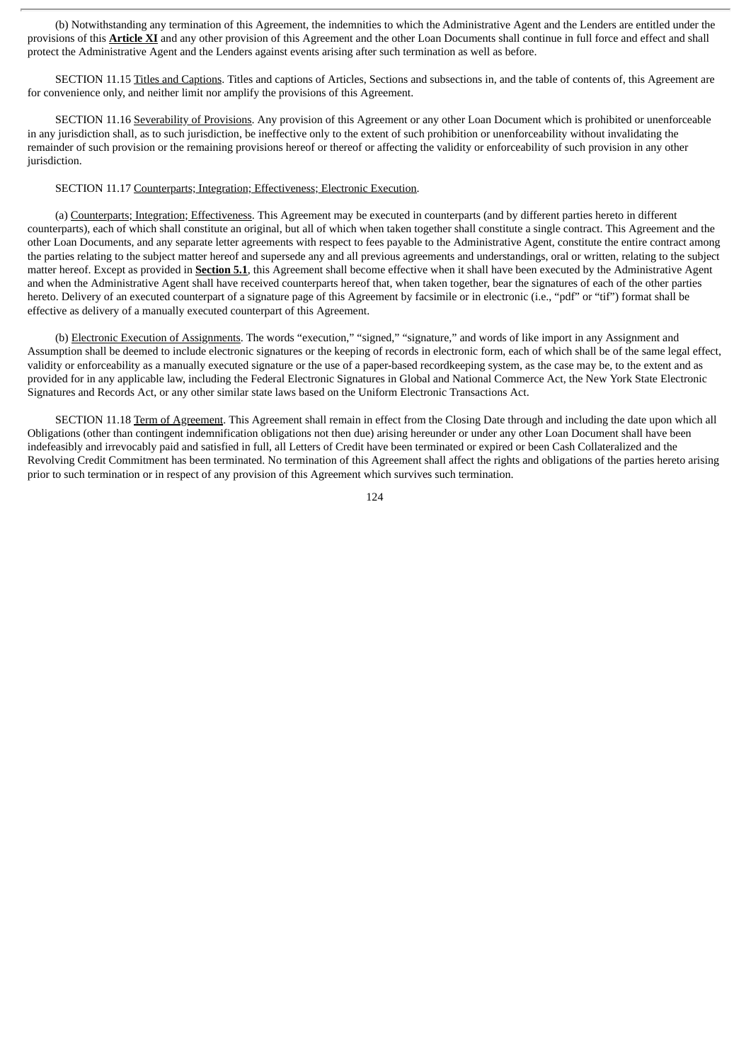(b) Notwithstanding any termination of this Agreement, the indemnities to which the Administrative Agent and the Lenders are entitled under the provisions of this **Article XI** and any other provision of this Agreement and the other Loan Documents shall continue in full force and effect and shall protect the Administrative Agent and the Lenders against events arising after such termination as well as before.

SECTION 11.15 Titles and Captions. Titles and captions of Articles, Sections and subsections in, and the table of contents of, this Agreement are for convenience only, and neither limit nor amplify the provisions of this Agreement.

SECTION 11.16 Severability of Provisions. Any provision of this Agreement or any other Loan Document which is prohibited or unenforceable in any jurisdiction shall, as to such jurisdiction, be ineffective only to the extent of such prohibition or unenforceability without invalidating the remainder of such provision or the remaining provisions hereof or thereof or affecting the validity or enforceability of such provision in any other jurisdiction.

# SECTION 11.17 Counterparts; Integration; Effectiveness; Electronic Execution.

(a) Counterparts; Integration; Effectiveness. This Agreement may be executed in counterparts (and by different parties hereto in different counterparts), each of which shall constitute an original, but all of which when taken together shall constitute a single contract. This Agreement and the other Loan Documents, and any separate letter agreements with respect to fees payable to the Administrative Agent, constitute the entire contract among the parties relating to the subject matter hereof and supersede any and all previous agreements and understandings, oral or written, relating to the subject matter hereof. Except as provided in **Section 5.1**, this Agreement shall become effective when it shall have been executed by the Administrative Agent and when the Administrative Agent shall have received counterparts hereof that, when taken together, bear the signatures of each of the other parties hereto. Delivery of an executed counterpart of a signature page of this Agreement by facsimile or in electronic (i.e., "pdf" or "tif") format shall be effective as delivery of a manually executed counterpart of this Agreement.

(b) Electronic Execution of Assignments. The words "execution," "signed," "signature," and words of like import in any Assignment and Assumption shall be deemed to include electronic signatures or the keeping of records in electronic form, each of which shall be of the same legal effect, validity or enforceability as a manually executed signature or the use of a paper-based recordkeeping system, as the case may be, to the extent and as provided for in any applicable law, including the Federal Electronic Signatures in Global and National Commerce Act, the New York State Electronic Signatures and Records Act, or any other similar state laws based on the Uniform Electronic Transactions Act.

SECTION 11.18 Term of Agreement. This Agreement shall remain in effect from the Closing Date through and including the date upon which all Obligations (other than contingent indemnification obligations not then due) arising hereunder or under any other Loan Document shall have been indefeasibly and irrevocably paid and satisfied in full, all Letters of Credit have been terminated or expired or been Cash Collateralized and the Revolving Credit Commitment has been terminated. No termination of this Agreement shall affect the rights and obligations of the parties hereto arising prior to such termination or in respect of any provision of this Agreement which survives such termination.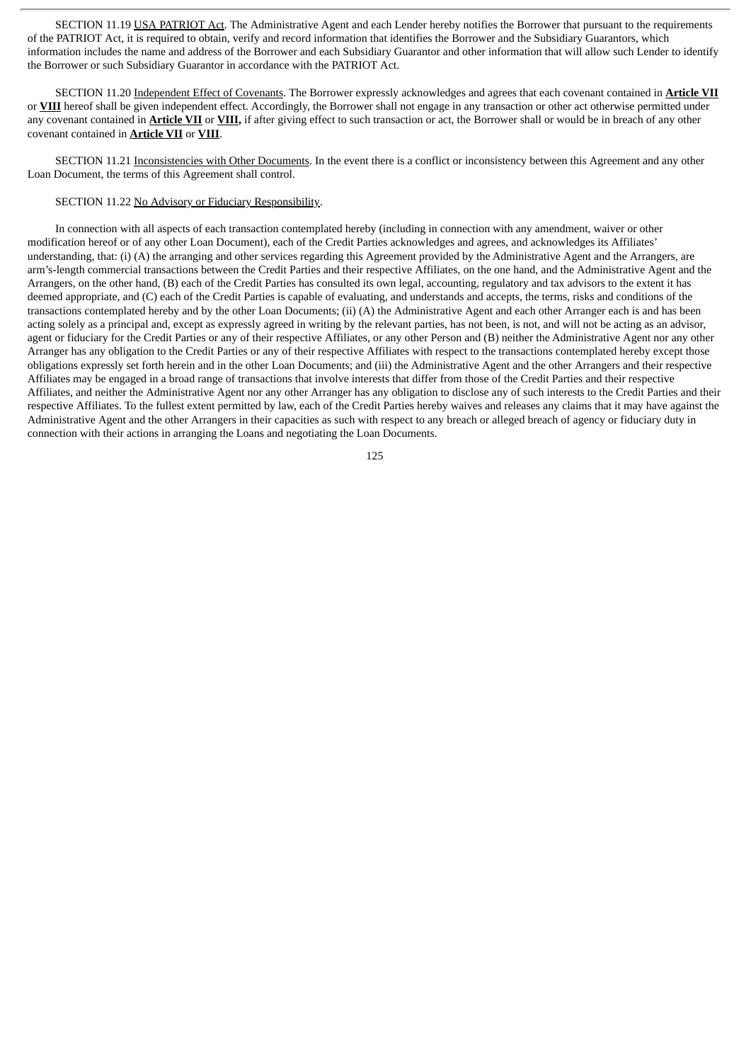SECTION 11.19 USA PATRIOT Act. The Administrative Agent and each Lender hereby notifies the Borrower that pursuant to the requirements of the PATRIOT Act, it is required to obtain, verify and record information that identifies the Borrower and the Subsidiary Guarantors, which information includes the name and address of the Borrower and each Subsidiary Guarantor and other information that will allow such Lender to identify the Borrower or such Subsidiary Guarantor in accordance with the PATRIOT Act.

SECTION 11.20 Independent Effect of Covenants. The Borrower expressly acknowledges and agrees that each covenant contained in **Article VII** or **VIII** hereof shall be given independent effect. Accordingly, the Borrower shall not engage in any transaction or other act otherwise permitted under any covenant contained in **Article VII** or **VIII,** if after giving effect to such transaction or act, the Borrower shall or would be in breach of any other covenant contained in **Article VII** or **VIII**.

SECTION 11.21 Inconsistencies with Other Documents. In the event there is a conflict or inconsistency between this Agreement and any other Loan Document, the terms of this Agreement shall control.

#### SECTION 11.22 No Advisory or Fiduciary Responsibility.

In connection with all aspects of each transaction contemplated hereby (including in connection with any amendment, waiver or other modification hereof or of any other Loan Document), each of the Credit Parties acknowledges and agrees, and acknowledges its Affiliates' understanding, that: (i) (A) the arranging and other services regarding this Agreement provided by the Administrative Agent and the Arrangers, are arm's-length commercial transactions between the Credit Parties and their respective Affiliates, on the one hand, and the Administrative Agent and the Arrangers, on the other hand, (B) each of the Credit Parties has consulted its own legal, accounting, regulatory and tax advisors to the extent it has deemed appropriate, and (C) each of the Credit Parties is capable of evaluating, and understands and accepts, the terms, risks and conditions of the transactions contemplated hereby and by the other Loan Documents; (ii) (A) the Administrative Agent and each other Arranger each is and has been acting solely as a principal and, except as expressly agreed in writing by the relevant parties, has not been, is not, and will not be acting as an advisor, agent or fiduciary for the Credit Parties or any of their respective Affiliates, or any other Person and (B) neither the Administrative Agent nor any other Arranger has any obligation to the Credit Parties or any of their respective Affiliates with respect to the transactions contemplated hereby except those obligations expressly set forth herein and in the other Loan Documents; and (iii) the Administrative Agent and the other Arrangers and their respective Affiliates may be engaged in a broad range of transactions that involve interests that differ from those of the Credit Parties and their respective Affiliates, and neither the Administrative Agent nor any other Arranger has any obligation to disclose any of such interests to the Credit Parties and their respective Affiliates. To the fullest extent permitted by law, each of the Credit Parties hereby waives and releases any claims that it may have against the Administrative Agent and the other Arrangers in their capacities as such with respect to any breach or alleged breach of agency or fiduciary duty in connection with their actions in arranging the Loans and negotiating the Loan Documents.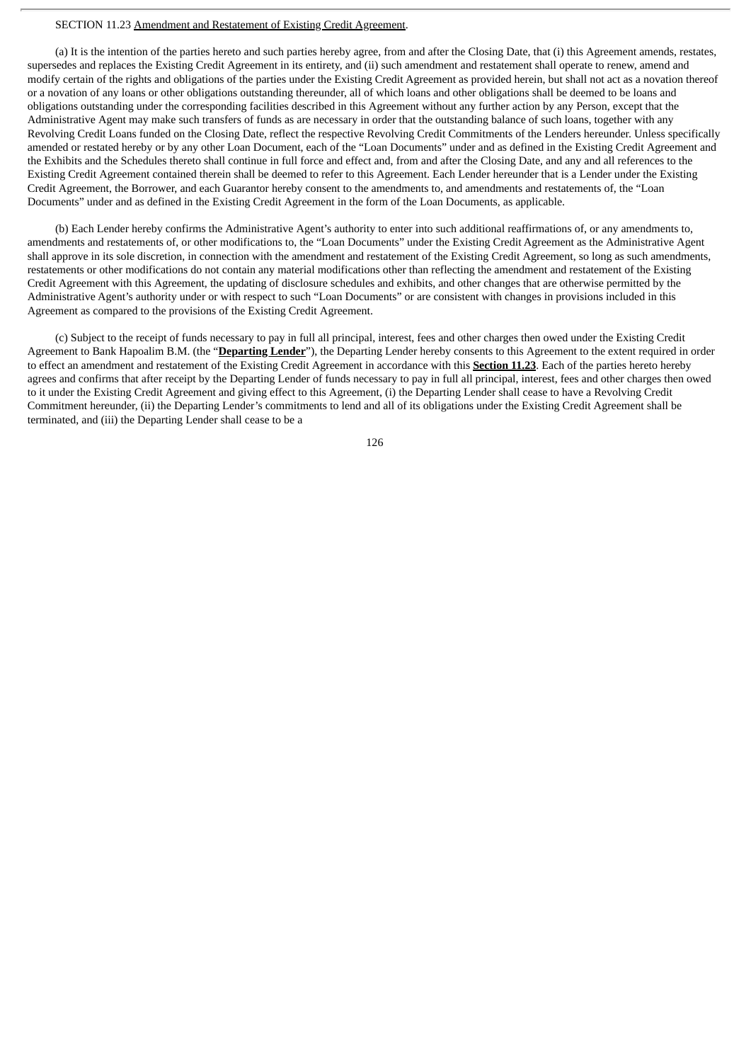### SECTION 11.23 Amendment and Restatement of Existing Credit Agreement.

(a) It is the intention of the parties hereto and such parties hereby agree, from and after the Closing Date, that (i) this Agreement amends, restates, supersedes and replaces the Existing Credit Agreement in its entirety, and (ii) such amendment and restatement shall operate to renew, amend and modify certain of the rights and obligations of the parties under the Existing Credit Agreement as provided herein, but shall not act as a novation thereof or a novation of any loans or other obligations outstanding thereunder, all of which loans and other obligations shall be deemed to be loans and obligations outstanding under the corresponding facilities described in this Agreement without any further action by any Person, except that the Administrative Agent may make such transfers of funds as are necessary in order that the outstanding balance of such loans, together with any Revolving Credit Loans funded on the Closing Date, reflect the respective Revolving Credit Commitments of the Lenders hereunder. Unless specifically amended or restated hereby or by any other Loan Document, each of the "Loan Documents" under and as defined in the Existing Credit Agreement and the Exhibits and the Schedules thereto shall continue in full force and effect and, from and after the Closing Date, and any and all references to the Existing Credit Agreement contained therein shall be deemed to refer to this Agreement. Each Lender hereunder that is a Lender under the Existing Credit Agreement, the Borrower, and each Guarantor hereby consent to the amendments to, and amendments and restatements of, the "Loan Documents" under and as defined in the Existing Credit Agreement in the form of the Loan Documents, as applicable.

(b) Each Lender hereby confirms the Administrative Agent's authority to enter into such additional reaffirmations of, or any amendments to, amendments and restatements of, or other modifications to, the "Loan Documents" under the Existing Credit Agreement as the Administrative Agent shall approve in its sole discretion, in connection with the amendment and restatement of the Existing Credit Agreement, so long as such amendments, restatements or other modifications do not contain any material modifications other than reflecting the amendment and restatement of the Existing Credit Agreement with this Agreement, the updating of disclosure schedules and exhibits, and other changes that are otherwise permitted by the Administrative Agent's authority under or with respect to such "Loan Documents" or are consistent with changes in provisions included in this Agreement as compared to the provisions of the Existing Credit Agreement.

(c) Subject to the receipt of funds necessary to pay in full all principal, interest, fees and other charges then owed under the Existing Credit Agreement to Bank Hapoalim B.M. (the "**Departing Lender**"), the Departing Lender hereby consents to this Agreement to the extent required in order to effect an amendment and restatement of the Existing Credit Agreement in accordance with this **Section 11.23**. Each of the parties hereto hereby agrees and confirms that after receipt by the Departing Lender of funds necessary to pay in full all principal, interest, fees and other charges then owed to it under the Existing Credit Agreement and giving effect to this Agreement, (i) the Departing Lender shall cease to have a Revolving Credit Commitment hereunder, (ii) the Departing Lender's commitments to lend and all of its obligations under the Existing Credit Agreement shall be terminated, and (iii) the Departing Lender shall cease to be a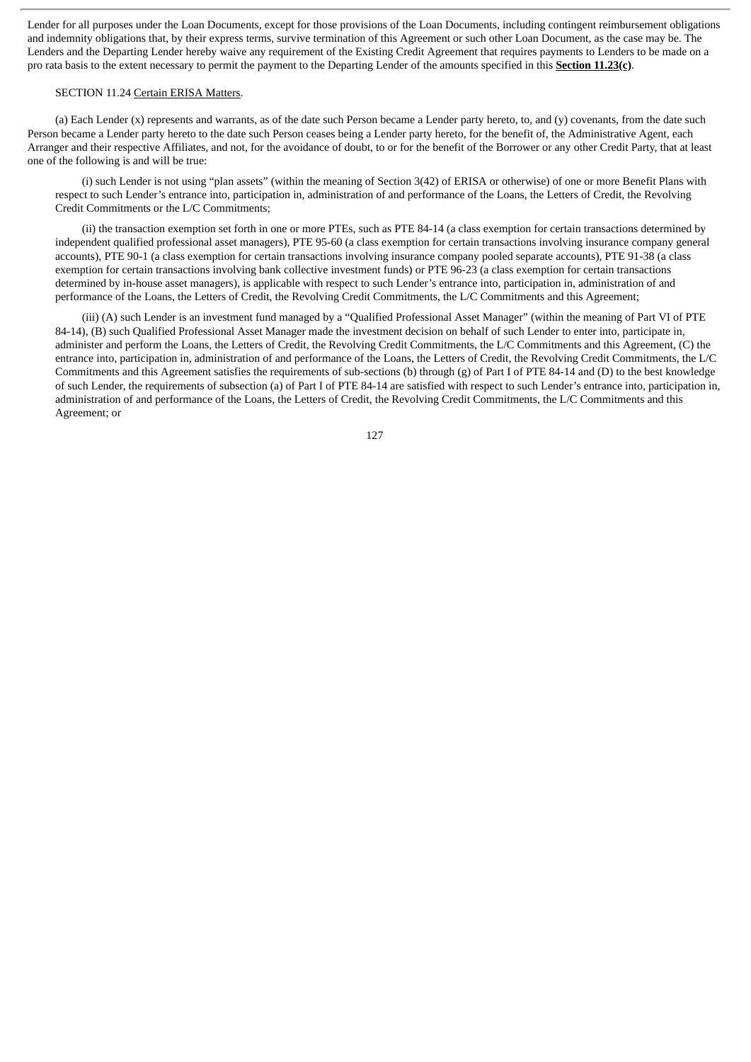Lender for all purposes under the Loan Documents, except for those provisions of the Loan Documents, including contingent reimbursement obligations and indemnity obligations that, by their express terms, survive termination of this Agreement or such other Loan Document, as the case may be. The Lenders and the Departing Lender hereby waive any requirement of the Existing Credit Agreement that requires payments to Lenders to be made on a pro rata basis to the extent necessary to permit the payment to the Departing Lender of the amounts specified in this **Section 11.23(c)**.

# SECTION 11.24 Certain ERISA Matters.

(a) Each Lender  $(x)$  represents and warrants, as of the date such Person became a Lender party hereto, to, and  $(y)$  covenants, from the date such Person became a Lender party hereto to the date such Person ceases being a Lender party hereto, for the benefit of, the Administrative Agent, each Arranger and their respective Affiliates, and not, for the avoidance of doubt, to or for the benefit of the Borrower or any other Credit Party, that at least one of the following is and will be true:

(i) such Lender is not using "plan assets" (within the meaning of Section 3(42) of ERISA or otherwise) of one or more Benefit Plans with respect to such Lender's entrance into, participation in, administration of and performance of the Loans, the Letters of Credit, the Revolving Credit Commitments or the L/C Commitments;

(ii) the transaction exemption set forth in one or more PTEs, such as PTE 84-14 (a class exemption for certain transactions determined by independent qualified professional asset managers), PTE 95-60 (a class exemption for certain transactions involving insurance company general accounts), PTE 90-1 (a class exemption for certain transactions involving insurance company pooled separate accounts), PTE 91-38 (a class exemption for certain transactions involving bank collective investment funds) or PTE 96-23 (a class exemption for certain transactions determined by in-house asset managers), is applicable with respect to such Lender's entrance into, participation in, administration of and performance of the Loans, the Letters of Credit, the Revolving Credit Commitments, the L/C Commitments and this Agreement;

(iii) (A) such Lender is an investment fund managed by a "Qualified Professional Asset Manager" (within the meaning of Part VI of PTE 84-14), (B) such Qualified Professional Asset Manager made the investment decision on behalf of such Lender to enter into, participate in, administer and perform the Loans, the Letters of Credit, the Revolving Credit Commitments, the L/C Commitments and this Agreement, (C) the entrance into, participation in, administration of and performance of the Loans, the Letters of Credit, the Revolving Credit Commitments, the L/C Commitments and this Agreement satisfies the requirements of sub-sections (b) through (g) of Part I of PTE 84-14 and (D) to the best knowledge of such Lender, the requirements of subsection (a) of Part I of PTE 84-14 are satisfied with respect to such Lender's entrance into, participation in, administration of and performance of the Loans, the Letters of Credit, the Revolving Credit Commitments, the L/C Commitments and this Agreement; or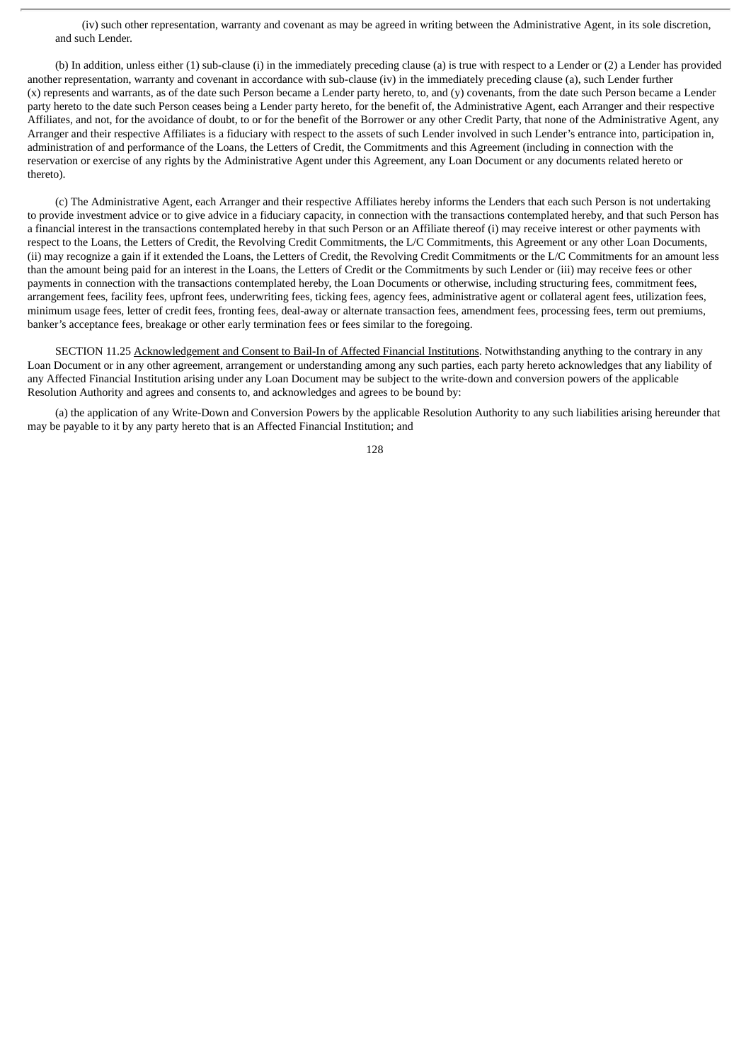(iv) such other representation, warranty and covenant as may be agreed in writing between the Administrative Agent, in its sole discretion, and such Lender.

(b) In addition, unless either (1) sub-clause (i) in the immediately preceding clause (a) is true with respect to a Lender or (2) a Lender has provided another representation, warranty and covenant in accordance with sub-clause (iv) in the immediately preceding clause (a), such Lender further (x) represents and warrants, as of the date such Person became a Lender party hereto, to, and (y) covenants, from the date such Person became a Lender party hereto to the date such Person ceases being a Lender party hereto, for the benefit of, the Administrative Agent, each Arranger and their respective Affiliates, and not, for the avoidance of doubt, to or for the benefit of the Borrower or any other Credit Party, that none of the Administrative Agent, any Arranger and their respective Affiliates is a fiduciary with respect to the assets of such Lender involved in such Lender's entrance into, participation in, administration of and performance of the Loans, the Letters of Credit, the Commitments and this Agreement (including in connection with the reservation or exercise of any rights by the Administrative Agent under this Agreement, any Loan Document or any documents related hereto or thereto).

(c) The Administrative Agent, each Arranger and their respective Affiliates hereby informs the Lenders that each such Person is not undertaking to provide investment advice or to give advice in a fiduciary capacity, in connection with the transactions contemplated hereby, and that such Person has a financial interest in the transactions contemplated hereby in that such Person or an Affiliate thereof (i) may receive interest or other payments with respect to the Loans, the Letters of Credit, the Revolving Credit Commitments, the L/C Commitments, this Agreement or any other Loan Documents, (ii) may recognize a gain if it extended the Loans, the Letters of Credit, the Revolving Credit Commitments or the L/C Commitments for an amount less than the amount being paid for an interest in the Loans, the Letters of Credit or the Commitments by such Lender or (iii) may receive fees or other payments in connection with the transactions contemplated hereby, the Loan Documents or otherwise, including structuring fees, commitment fees, arrangement fees, facility fees, upfront fees, underwriting fees, ticking fees, agency fees, administrative agent or collateral agent fees, utilization fees, minimum usage fees, letter of credit fees, fronting fees, deal-away or alternate transaction fees, amendment fees, processing fees, term out premiums, banker's acceptance fees, breakage or other early termination fees or fees similar to the foregoing.

SECTION 11.25 Acknowledgement and Consent to Bail-In of Affected Financial Institutions. Notwithstanding anything to the contrary in any Loan Document or in any other agreement, arrangement or understanding among any such parties, each party hereto acknowledges that any liability of any Affected Financial Institution arising under any Loan Document may be subject to the write-down and conversion powers of the applicable Resolution Authority and agrees and consents to, and acknowledges and agrees to be bound by:

(a) the application of any Write-Down and Conversion Powers by the applicable Resolution Authority to any such liabilities arising hereunder that may be payable to it by any party hereto that is an Affected Financial Institution; and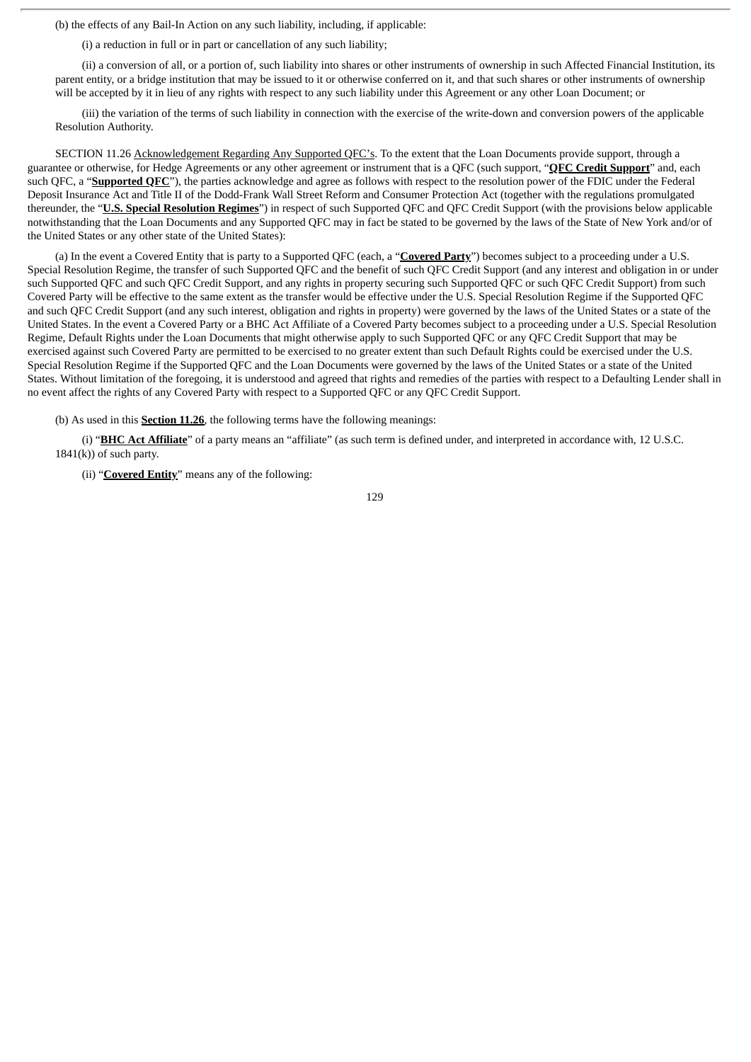(b) the effects of any Bail-In Action on any such liability, including, if applicable:

(i) a reduction in full or in part or cancellation of any such liability;

(ii) a conversion of all, or a portion of, such liability into shares or other instruments of ownership in such Affected Financial Institution, its parent entity, or a bridge institution that may be issued to it or otherwise conferred on it, and that such shares or other instruments of ownership will be accepted by it in lieu of any rights with respect to any such liability under this Agreement or any other Loan Document; or

(iii) the variation of the terms of such liability in connection with the exercise of the write-down and conversion powers of the applicable Resolution Authority.

SECTION 11.26 Acknowledgement Regarding Any Supported QFC's. To the extent that the Loan Documents provide support, through a guarantee or otherwise, for Hedge Agreements or any other agreement or instrument that is a QFC (such support, "**QFC Credit Support**" and, each such QFC, a "**Supported QFC**"), the parties acknowledge and agree as follows with respect to the resolution power of the FDIC under the Federal Deposit Insurance Act and Title II of the Dodd-Frank Wall Street Reform and Consumer Protection Act (together with the regulations promulgated thereunder, the "**U.S. Special Resolution Regimes**") in respect of such Supported QFC and QFC Credit Support (with the provisions below applicable notwithstanding that the Loan Documents and any Supported QFC may in fact be stated to be governed by the laws of the State of New York and/or of the United States or any other state of the United States):

(a) In the event a Covered Entity that is party to a Supported QFC (each, a "**Covered Party**") becomes subject to a proceeding under a U.S. Special Resolution Regime, the transfer of such Supported QFC and the benefit of such QFC Credit Support (and any interest and obligation in or under such Supported QFC and such QFC Credit Support, and any rights in property securing such Supported QFC or such QFC Credit Support) from such Covered Party will be effective to the same extent as the transfer would be effective under the U.S. Special Resolution Regime if the Supported QFC and such QFC Credit Support (and any such interest, obligation and rights in property) were governed by the laws of the United States or a state of the United States. In the event a Covered Party or a BHC Act Affiliate of a Covered Party becomes subject to a proceeding under a U.S. Special Resolution Regime, Default Rights under the Loan Documents that might otherwise apply to such Supported QFC or any QFC Credit Support that may be exercised against such Covered Party are permitted to be exercised to no greater extent than such Default Rights could be exercised under the U.S. Special Resolution Regime if the Supported QFC and the Loan Documents were governed by the laws of the United States or a state of the United States. Without limitation of the foregoing, it is understood and agreed that rights and remedies of the parties with respect to a Defaulting Lender shall in no event affect the rights of any Covered Party with respect to a Supported QFC or any QFC Credit Support.

(b) As used in this **Section 11.26**, the following terms have the following meanings:

(i) "**BHC Act Affiliate**" of a party means an "affiliate" (as such term is defined under, and interpreted in accordance with, 12 U.S.C.  $1841(k)$ ) of such party.

(ii) "**Covered Entity**" means any of the following: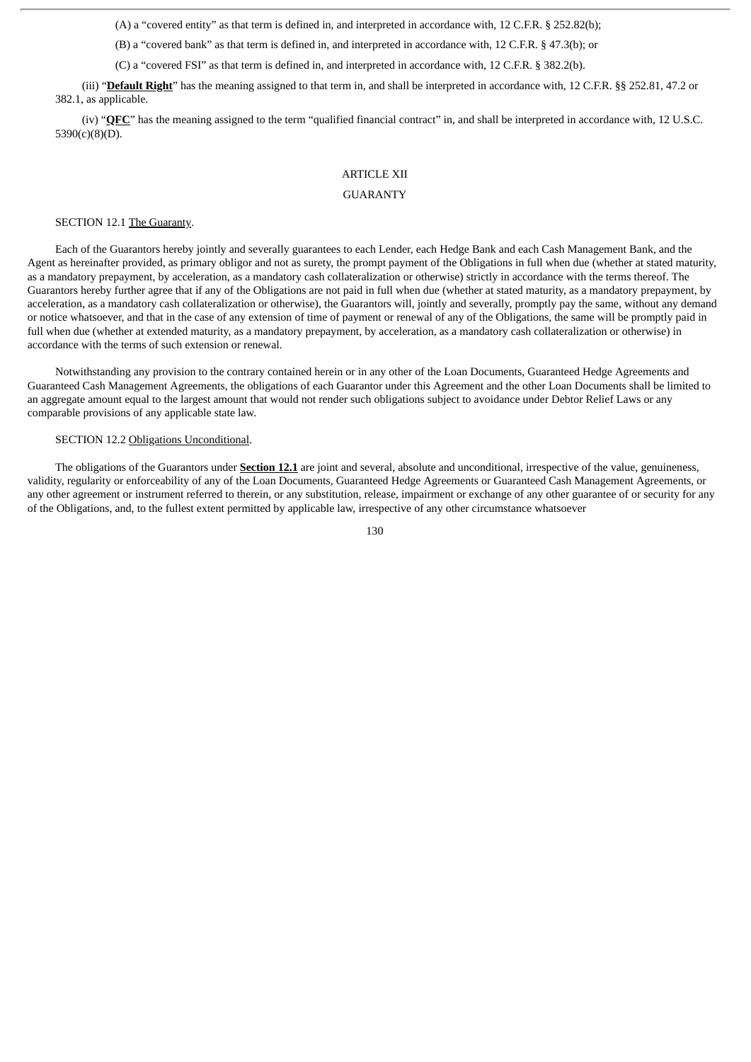(A) a "covered entity" as that term is defined in, and interpreted in accordance with, 12 C.F.R. § 252.82(b);

(B) a "covered bank" as that term is defined in, and interpreted in accordance with, 12 C.F.R. § 47.3(b); or

(C) a "covered FSI" as that term is defined in, and interpreted in accordance with, 12 C.F.R. § 382.2(b).

(iii) "**Default Right**" has the meaning assigned to that term in, and shall be interpreted in accordance with, 12 C.F.R. §§ 252.81, 47.2 or 382.1, as applicable.

(iv) "**QFC**" has the meaning assigned to the term "qualified financial contract" in, and shall be interpreted in accordance with, 12 U.S.C. 5390(c)(8)(D).

# ARTICLE XII

## GUARANTY

#### SECTION 12.1 The Guaranty.

Each of the Guarantors hereby jointly and severally guarantees to each Lender, each Hedge Bank and each Cash Management Bank, and the Agent as hereinafter provided, as primary obligor and not as surety, the prompt payment of the Obligations in full when due (whether at stated maturity, as a mandatory prepayment, by acceleration, as a mandatory cash collateralization or otherwise) strictly in accordance with the terms thereof. The Guarantors hereby further agree that if any of the Obligations are not paid in full when due (whether at stated maturity, as a mandatory prepayment, by acceleration, as a mandatory cash collateralization or otherwise), the Guarantors will, jointly and severally, promptly pay the same, without any demand or notice whatsoever, and that in the case of any extension of time of payment or renewal of any of the Obligations, the same will be promptly paid in full when due (whether at extended maturity, as a mandatory prepayment, by acceleration, as a mandatory cash collateralization or otherwise) in accordance with the terms of such extension or renewal.

Notwithstanding any provision to the contrary contained herein or in any other of the Loan Documents, Guaranteed Hedge Agreements and Guaranteed Cash Management Agreements, the obligations of each Guarantor under this Agreement and the other Loan Documents shall be limited to an aggregate amount equal to the largest amount that would not render such obligations subject to avoidance under Debtor Relief Laws or any comparable provisions of any applicable state law.

## SECTION 12.2 Obligations Unconditional.

The obligations of the Guarantors under **Section 12.1** are joint and several, absolute and unconditional, irrespective of the value, genuineness, validity, regularity or enforceability of any of the Loan Documents, Guaranteed Hedge Agreements or Guaranteed Cash Management Agreements, or any other agreement or instrument referred to therein, or any substitution, release, impairment or exchange of any other guarantee of or security for any of the Obligations, and, to the fullest extent permitted by applicable law, irrespective of any other circumstance whatsoever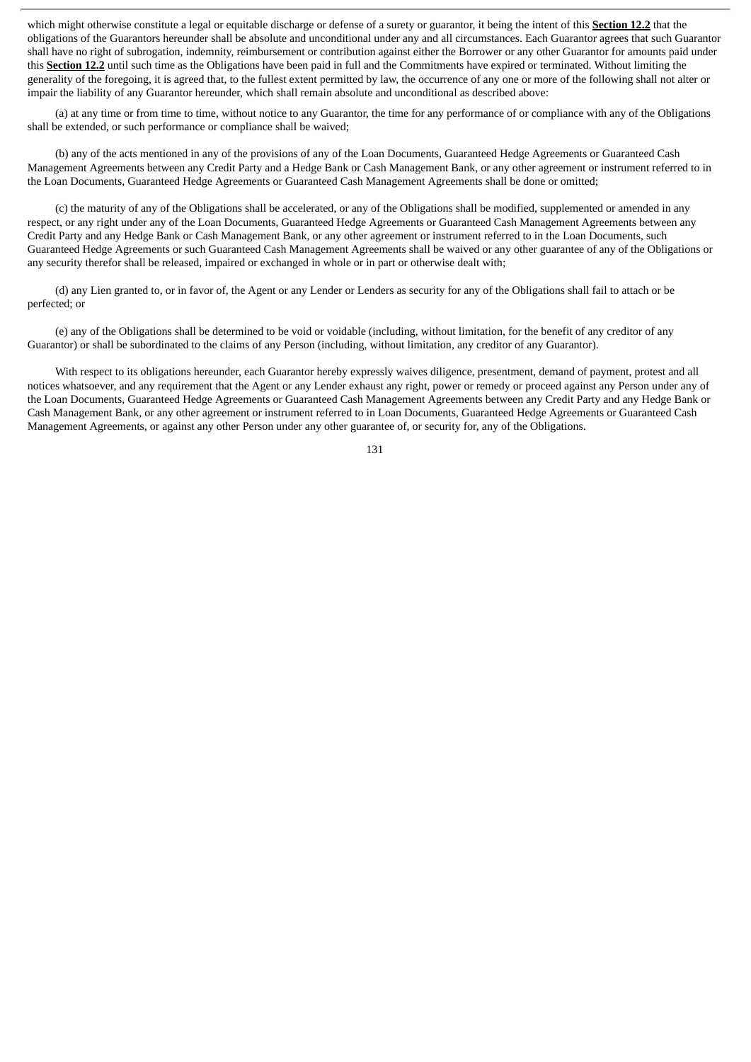which might otherwise constitute a legal or equitable discharge or defense of a surety or guarantor, it being the intent of this **Section 12.2** that the obligations of the Guarantors hereunder shall be absolute and unconditional under any and all circumstances. Each Guarantor agrees that such Guarantor shall have no right of subrogation, indemnity, reimbursement or contribution against either the Borrower or any other Guarantor for amounts paid under this **Section 12.2** until such time as the Obligations have been paid in full and the Commitments have expired or terminated. Without limiting the generality of the foregoing, it is agreed that, to the fullest extent permitted by law, the occurrence of any one or more of the following shall not alter or impair the liability of any Guarantor hereunder, which shall remain absolute and unconditional as described above:

(a) at any time or from time to time, without notice to any Guarantor, the time for any performance of or compliance with any of the Obligations shall be extended, or such performance or compliance shall be waived;

(b) any of the acts mentioned in any of the provisions of any of the Loan Documents, Guaranteed Hedge Agreements or Guaranteed Cash Management Agreements between any Credit Party and a Hedge Bank or Cash Management Bank, or any other agreement or instrument referred to in the Loan Documents, Guaranteed Hedge Agreements or Guaranteed Cash Management Agreements shall be done or omitted;

(c) the maturity of any of the Obligations shall be accelerated, or any of the Obligations shall be modified, supplemented or amended in any respect, or any right under any of the Loan Documents, Guaranteed Hedge Agreements or Guaranteed Cash Management Agreements between any Credit Party and any Hedge Bank or Cash Management Bank, or any other agreement or instrument referred to in the Loan Documents, such Guaranteed Hedge Agreements or such Guaranteed Cash Management Agreements shall be waived or any other guarantee of any of the Obligations or any security therefor shall be released, impaired or exchanged in whole or in part or otherwise dealt with;

(d) any Lien granted to, or in favor of, the Agent or any Lender or Lenders as security for any of the Obligations shall fail to attach or be perfected; or

(e) any of the Obligations shall be determined to be void or voidable (including, without limitation, for the benefit of any creditor of any Guarantor) or shall be subordinated to the claims of any Person (including, without limitation, any creditor of any Guarantor).

With respect to its obligations hereunder, each Guarantor hereby expressly waives diligence, presentment, demand of payment, protest and all notices whatsoever, and any requirement that the Agent or any Lender exhaust any right, power or remedy or proceed against any Person under any of the Loan Documents, Guaranteed Hedge Agreements or Guaranteed Cash Management Agreements between any Credit Party and any Hedge Bank or Cash Management Bank, or any other agreement or instrument referred to in Loan Documents, Guaranteed Hedge Agreements or Guaranteed Cash Management Agreements, or against any other Person under any other guarantee of, or security for, any of the Obligations.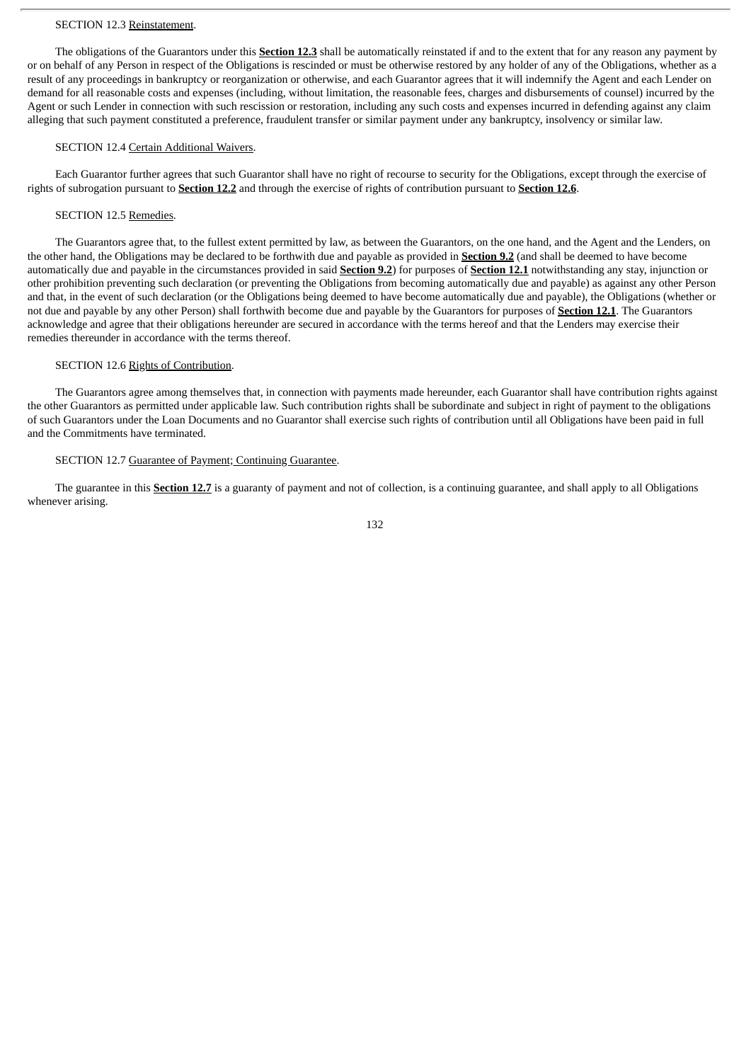#### SECTION 12.3 Reinstatement.

The obligations of the Guarantors under this **Section 12.3** shall be automatically reinstated if and to the extent that for any reason any payment by or on behalf of any Person in respect of the Obligations is rescinded or must be otherwise restored by any holder of any of the Obligations, whether as a result of any proceedings in bankruptcy or reorganization or otherwise, and each Guarantor agrees that it will indemnify the Agent and each Lender on demand for all reasonable costs and expenses (including, without limitation, the reasonable fees, charges and disbursements of counsel) incurred by the Agent or such Lender in connection with such rescission or restoration, including any such costs and expenses incurred in defending against any claim alleging that such payment constituted a preference, fraudulent transfer or similar payment under any bankruptcy, insolvency or similar law.

#### SECTION 12.4 Certain Additional Waivers.

Each Guarantor further agrees that such Guarantor shall have no right of recourse to security for the Obligations, except through the exercise of rights of subrogation pursuant to **Section 12.2** and through the exercise of rights of contribution pursuant to **Section 12.6**.

# SECTION 12.5 Remedies.

The Guarantors agree that, to the fullest extent permitted by law, as between the Guarantors, on the one hand, and the Agent and the Lenders, on the other hand, the Obligations may be declared to be forthwith due and payable as provided in **Section 9.2** (and shall be deemed to have become automatically due and payable in the circumstances provided in said **Section 9.2**) for purposes of **Section 12.1** notwithstanding any stay, injunction or other prohibition preventing such declaration (or preventing the Obligations from becoming automatically due and payable) as against any other Person and that, in the event of such declaration (or the Obligations being deemed to have become automatically due and payable), the Obligations (whether or not due and payable by any other Person) shall forthwith become due and payable by the Guarantors for purposes of **Section 12.1**. The Guarantors acknowledge and agree that their obligations hereunder are secured in accordance with the terms hereof and that the Lenders may exercise their remedies thereunder in accordance with the terms thereof.

# SECTION 12.6 Rights of Contribution.

The Guarantors agree among themselves that, in connection with payments made hereunder, each Guarantor shall have contribution rights against the other Guarantors as permitted under applicable law. Such contribution rights shall be subordinate and subject in right of payment to the obligations of such Guarantors under the Loan Documents and no Guarantor shall exercise such rights of contribution until all Obligations have been paid in full and the Commitments have terminated.

# SECTION 12.7 Guarantee of Payment; Continuing Guarantee.

The guarantee in this **Section 12.7** is a guaranty of payment and not of collection, is a continuing guarantee, and shall apply to all Obligations whenever arising.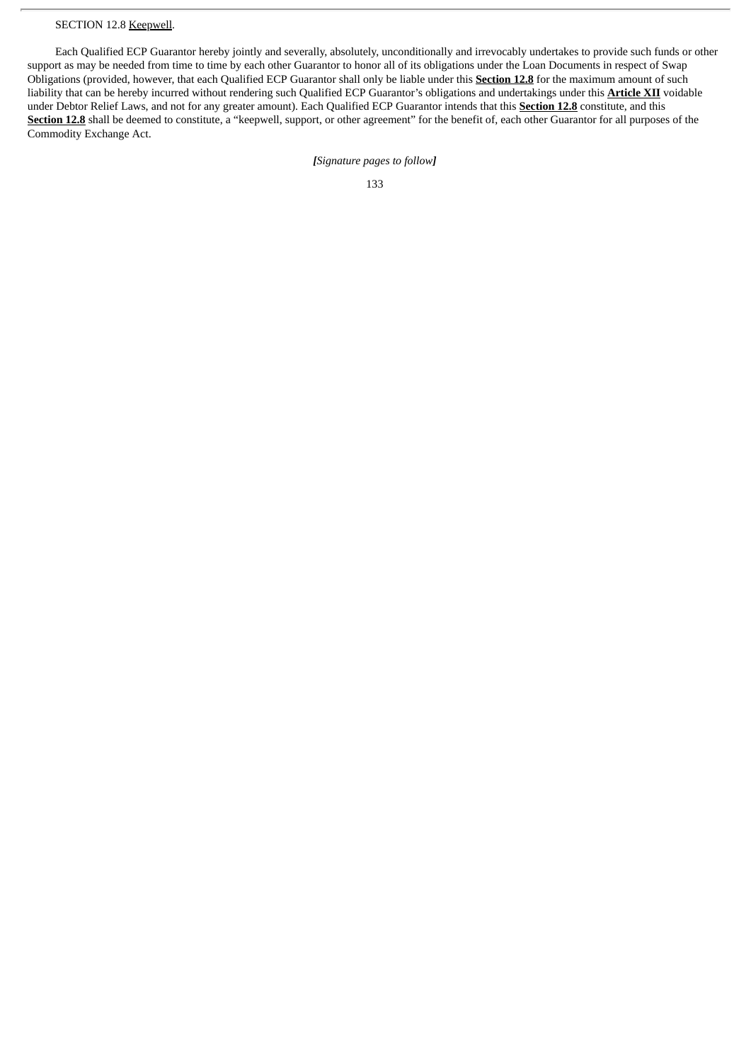## SECTION 12.8 Keepwell.

Each Qualified ECP Guarantor hereby jointly and severally, absolutely, unconditionally and irrevocably undertakes to provide such funds or other support as may be needed from time to time by each other Guarantor to honor all of its obligations under the Loan Documents in respect of Swap Obligations (provided, however, that each Qualified ECP Guarantor shall only be liable under this **Section 12.8** for the maximum amount of such liability that can be hereby incurred without rendering such Qualified ECP Guarantor's obligations and undertakings under this **Article XII** voidable under Debtor Relief Laws, and not for any greater amount). Each Qualified ECP Guarantor intends that this **Section 12.8** constitute, and this **Section 12.8** shall be deemed to constitute, a "keepwell, support, or other agreement" for the benefit of, each other Guarantor for all purposes of the Commodity Exchange Act.

*[Signature pages to follow]*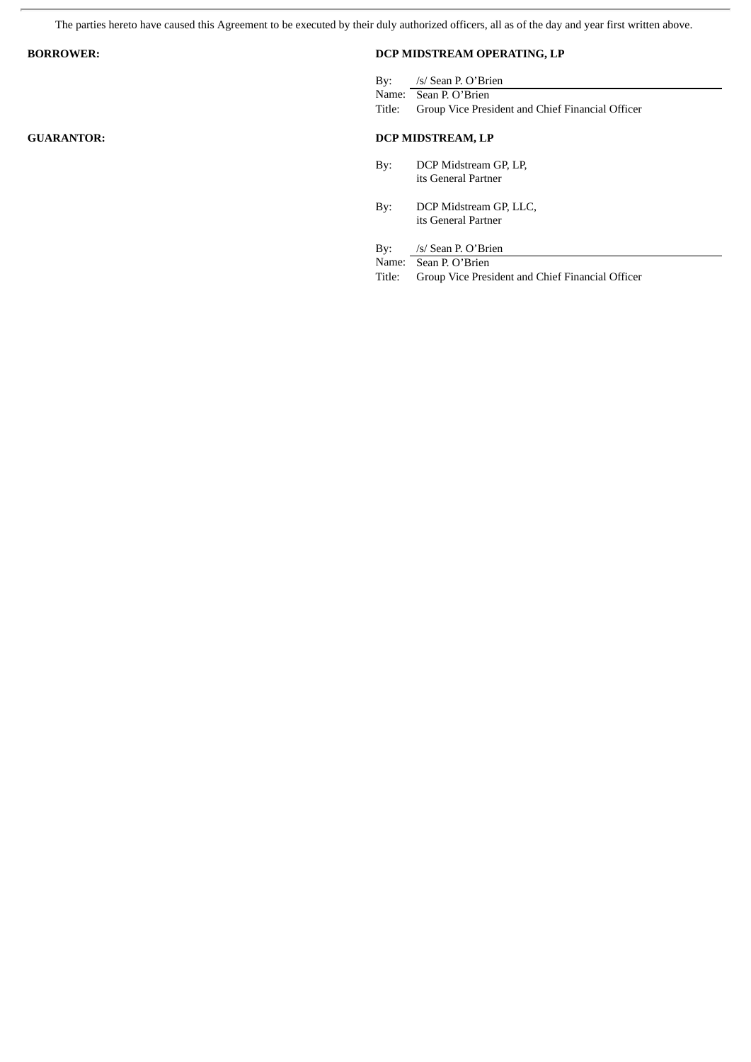The parties hereto have caused this Agreement to be executed by their duly authorized officers, all as of the day and year first written above.

# **BORROWER: DCP MIDSTREAM OPERATING, LP**

| By: | /s/ Sean P. O'Brien                                     |
|-----|---------------------------------------------------------|
|     | Name: Sean P. O'Brien                                   |
|     | Title: Group Vice President and Chief Financial Officer |

# **GUARANTOR: DCP MIDSTREAM, LP**

| By: | DCP Midstream GP, LP, |
|-----|-----------------------|
|     | its General Partner   |

By: DCP Midstream GP, LLC, its General Partner

By: /s/ Sean P. O'Brien

Name: Sean P. O'Brien

Title: Group Vice President and Chief Financial Officer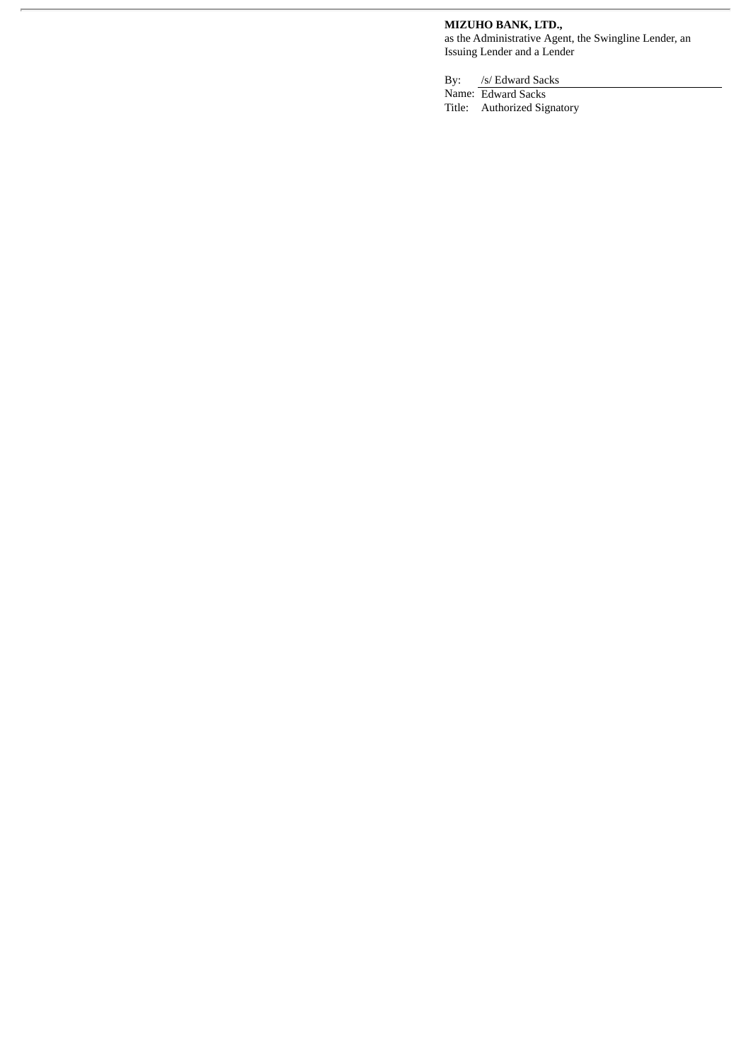#### **MIZUHO BANK, LTD.,**

as the Administrative Agent, the Swingline Lender, an Issuing Lender and a Lender

By: /s/ Edward Sacks Name: Edward Sacks Title: Authorized Signatory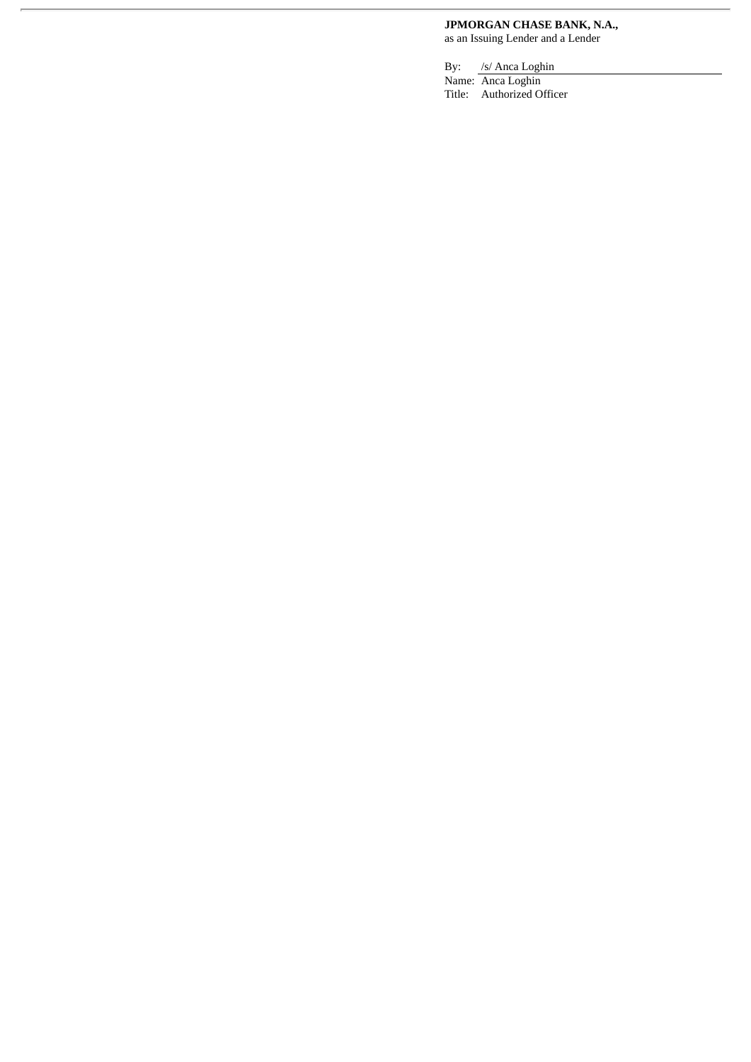### **JPMORGAN CHASE BANK, N.A.,**

as an Issuing Lender and a Lender

By: /s/ Anca Loghin Name: Anca Loghin Title: Authorized Officer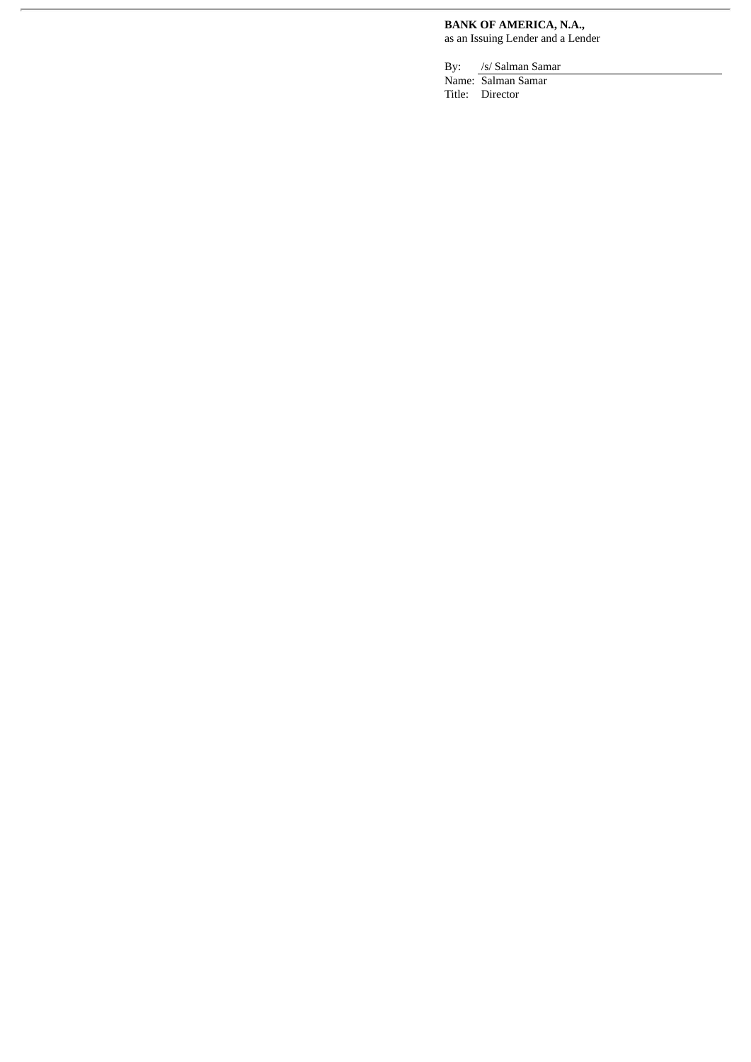#### **BANK OF AMERICA, N.A.,** as an Issuing Lender and a Lender

By: /s/ Salman Samar Name: Salman Samar

Title: Director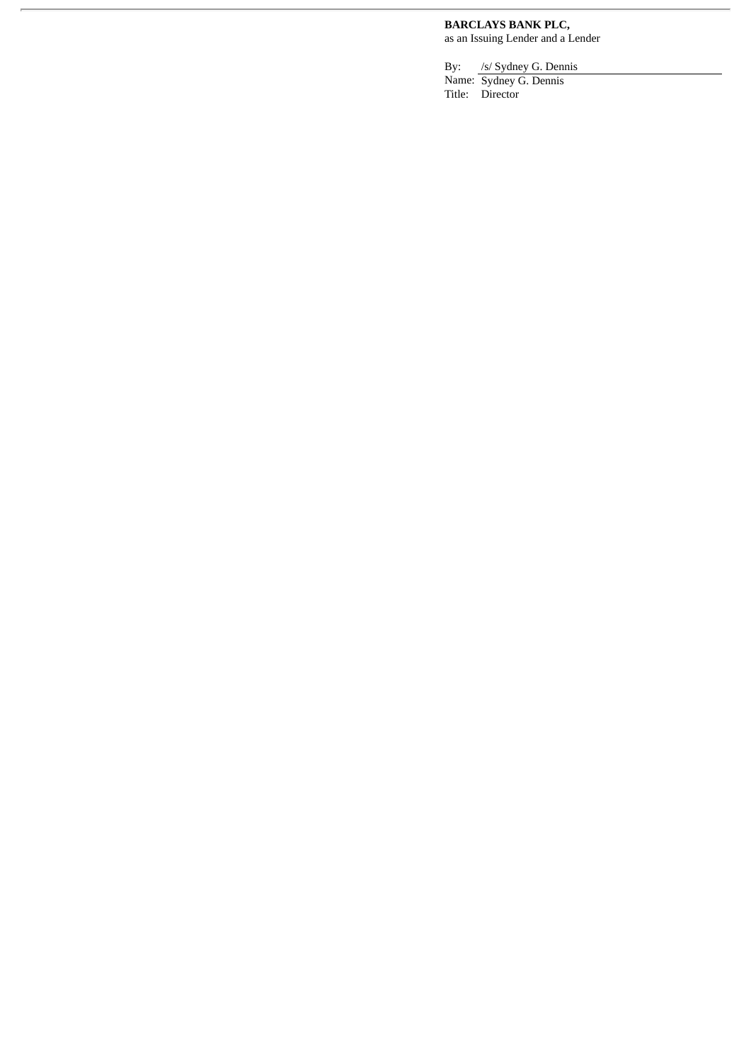# **BARCLAYS BANK PLC,**

as an Issuing Lender and a Lender

By: /s/ Sydney G. Dennis Name: Sydney G. Dennis Title: Director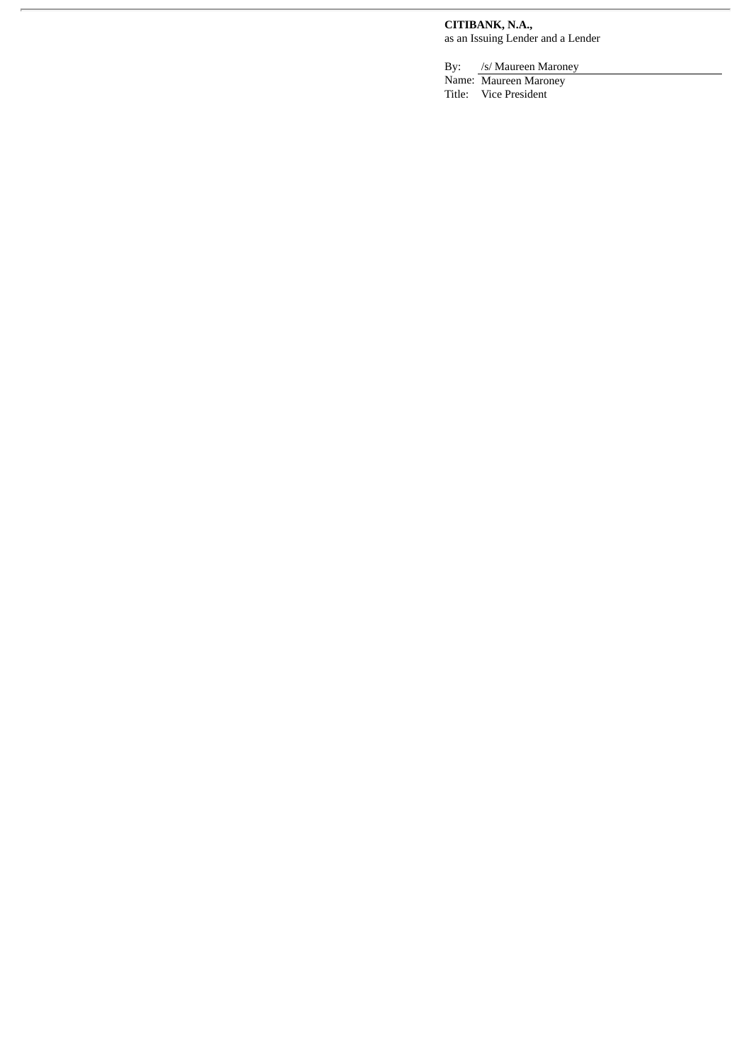### **CITIBANK, N.A.,**

as an Issuing Lender and a Lender

By: /s/ Maureen Maroney Name: Maureen Maroney Title: Vice President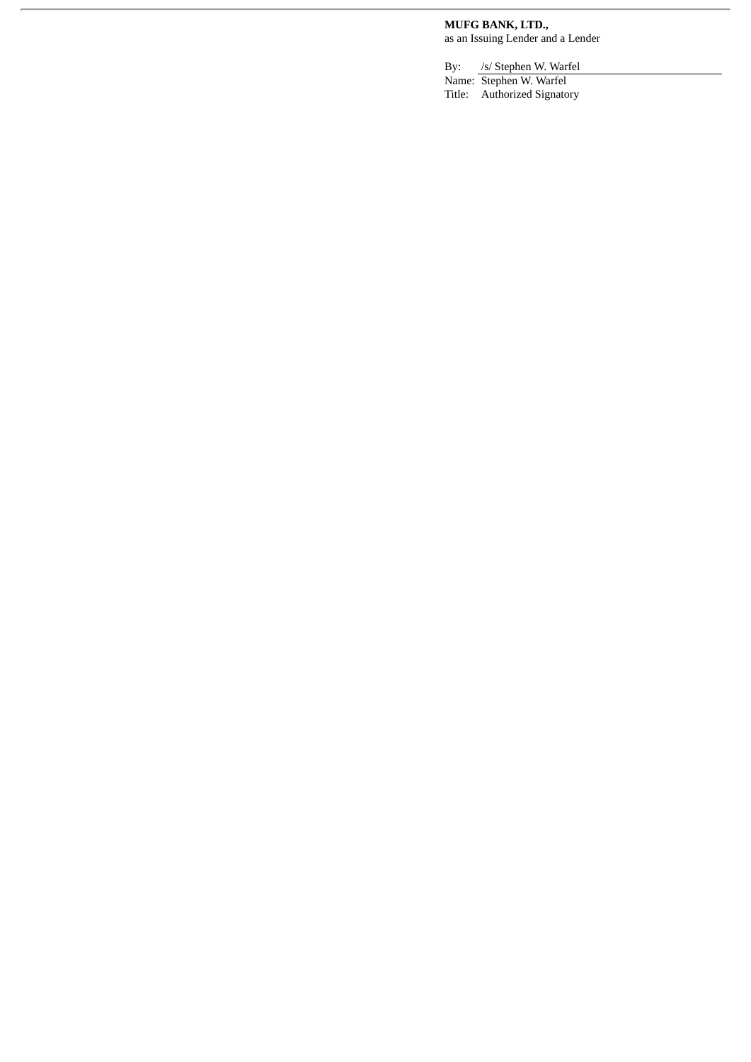#### **MUFG BANK, LTD.,**

as an Issuing Lender and a Lender

By: /s/ Stephen W. Warfel Name: Stephen W. Warfel Title: Authorized Signatory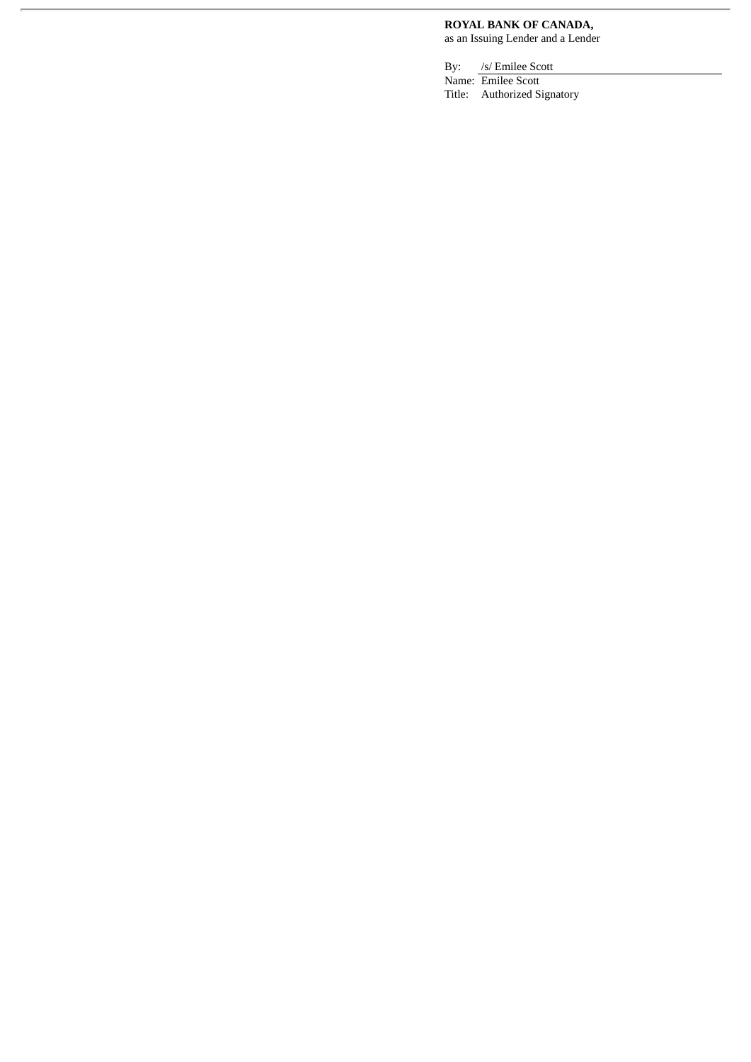# **ROYAL BANK OF CANADA,**

as an Issuing Lender and a Lender

By: /s/ Emilee Scott Name: Emilee Scott Title: Authorized Signatory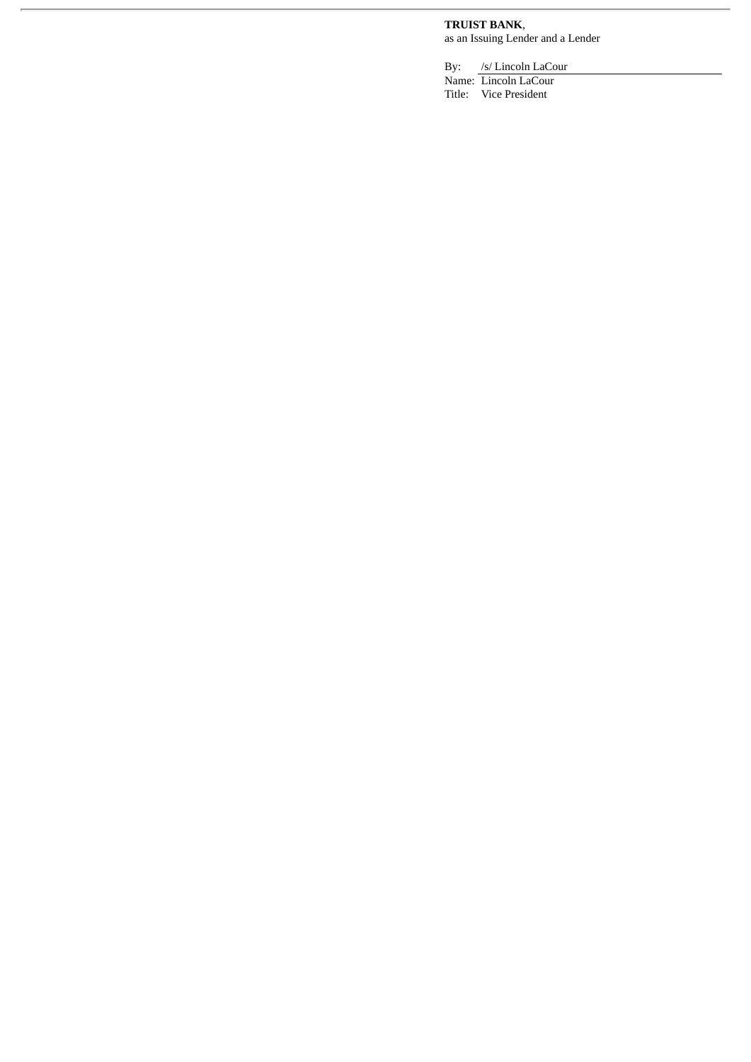### **TRUIST BANK**,

as an Issuing Lender and a Lender

By: /s/ Lincoln LaCour Name: Lincoln LaCour Title: Vice President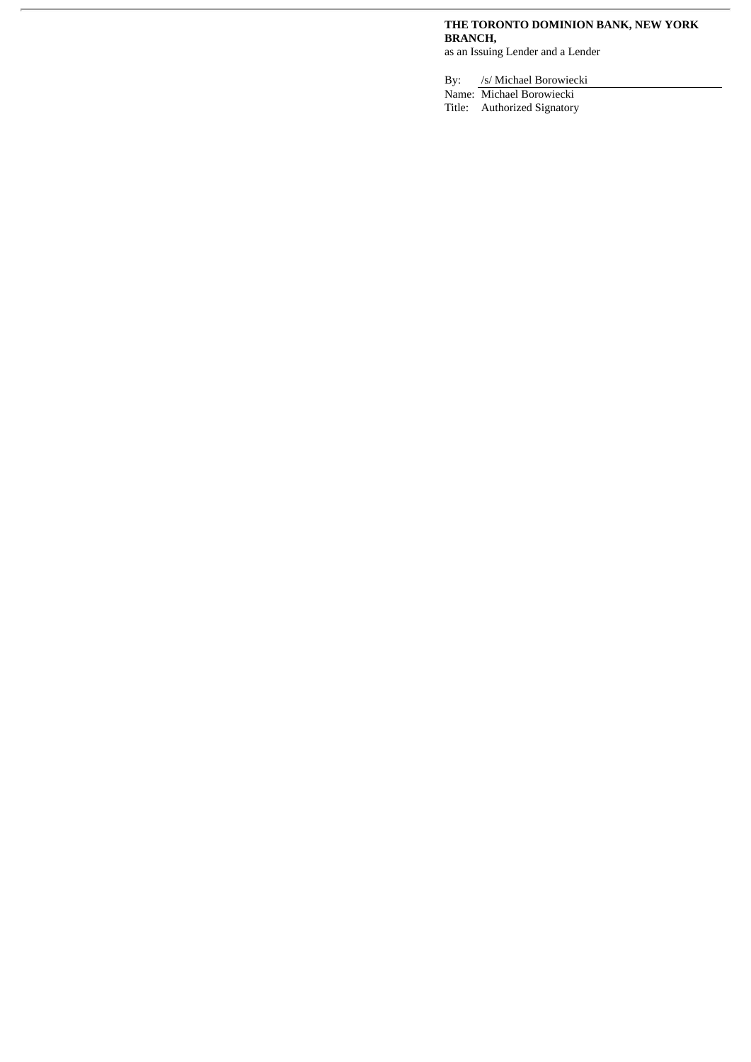#### **THE TORONTO DOMINION BANK, NEW YORK BRANCH,**

as an Issuing Lender and a Lender

By: /s/ Michael Borowiecki

Name: Michael Borowiecki

Title: Authorized Signatory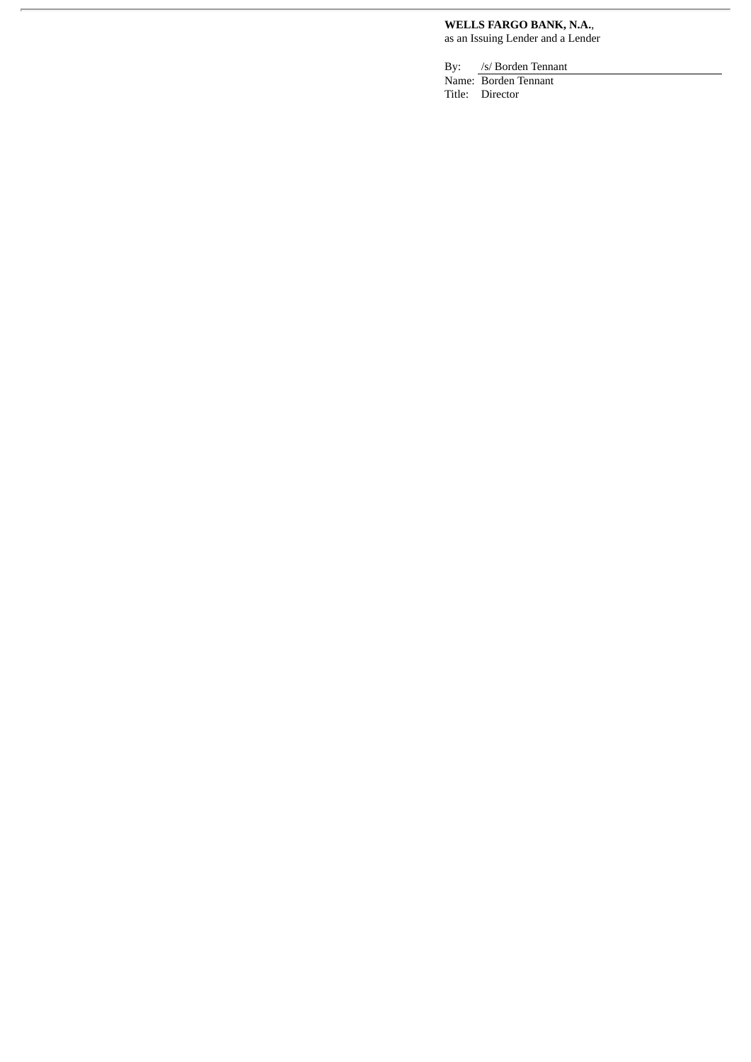#### **WELLS FARGO BANK, N.A.**, as an Issuing Lender and a Lender

By: /s/ Borden Tennant

Name: Borden Tennant Title: Director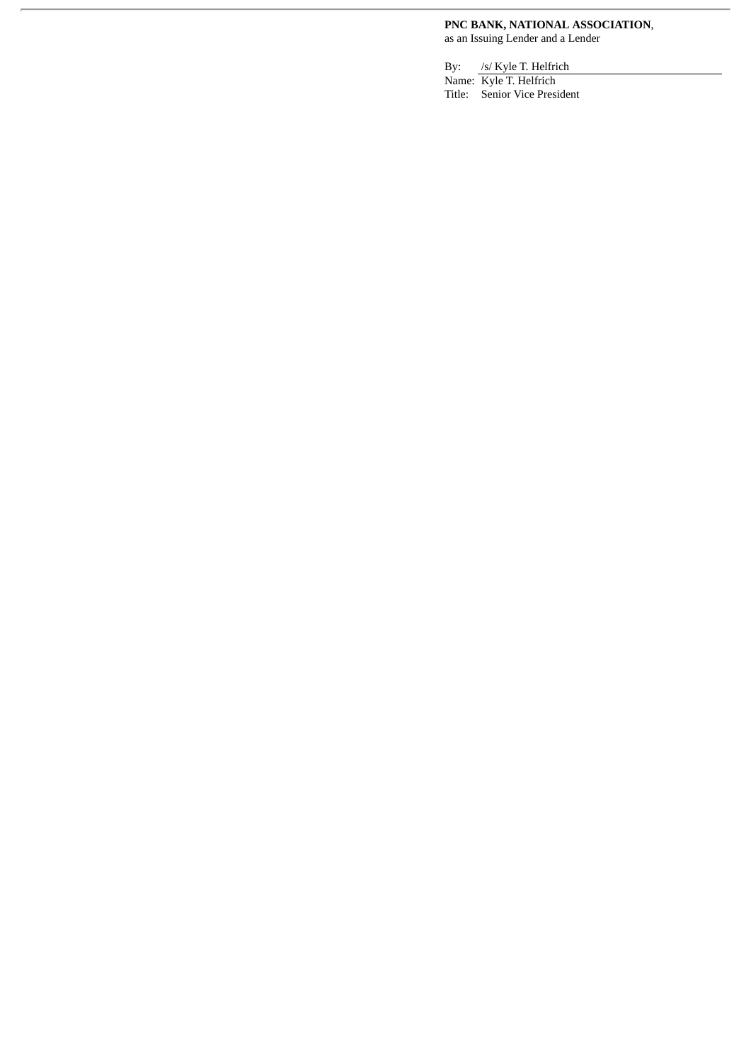#### **PNC BANK, NATIONAL ASSOCIATION**, as an Issuing Lender and a Lender

By: /s/ Kyle T. Helfrich Name: Kyle T. Helfrich Title: Senior Vice President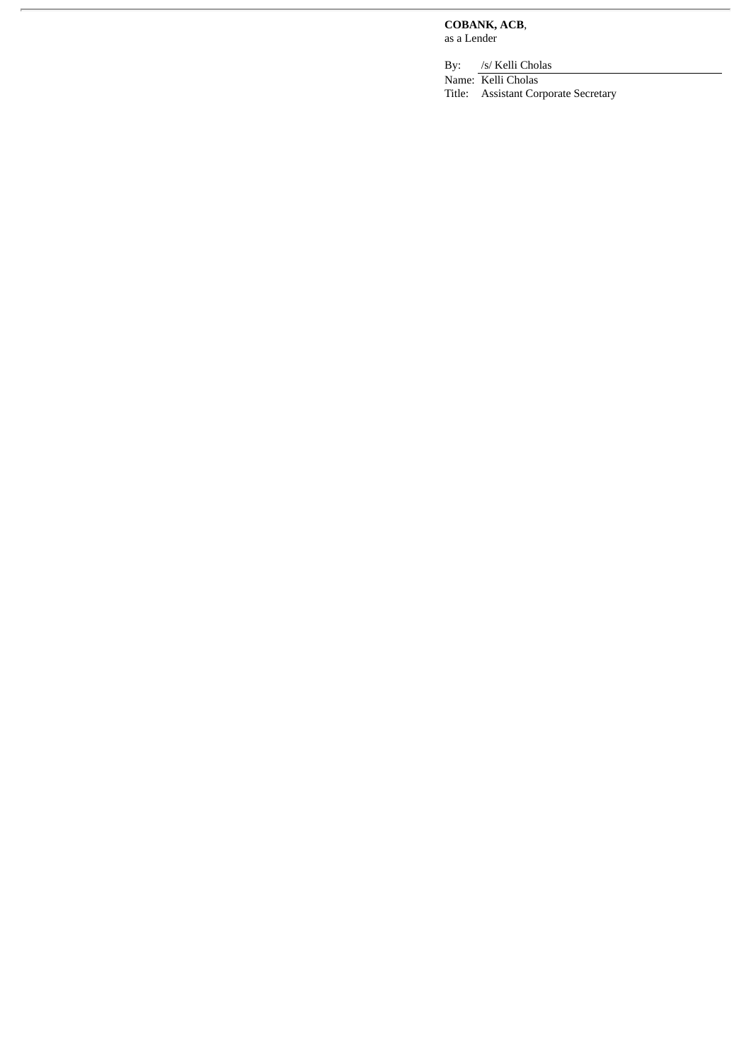**COBANK, ACB**, as a Lender

By: /s/ Kelli Cholas Name: Kelli Cholas Title: Assistant Corporate Secretary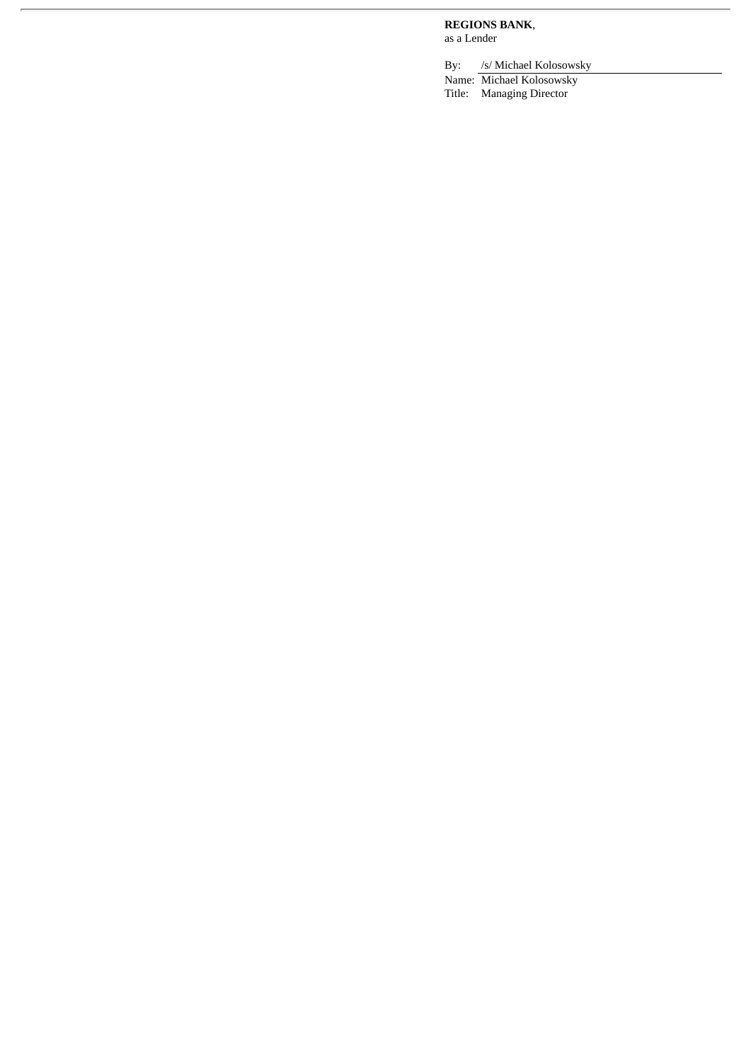**REGIONS BANK**, as a Lender

By: /s/ Michael Kolosowsky Name: Michael Kolosowsky Title: Managing Director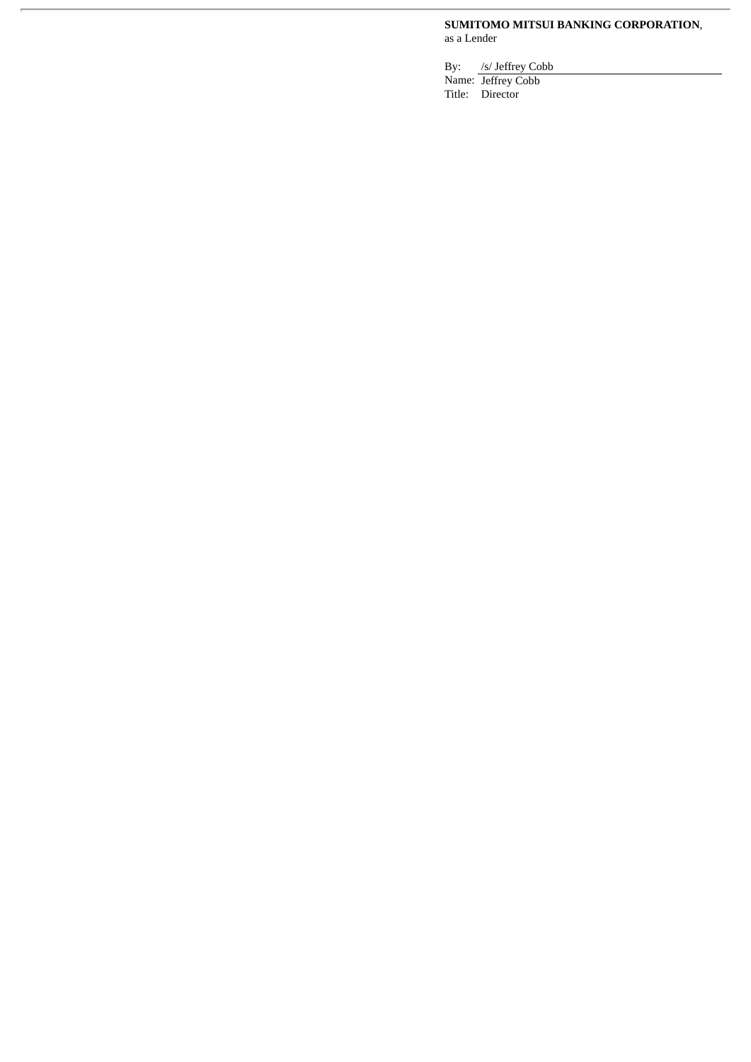### **SUMITOMO MITSUI BANKING CORPORATION**, as a Lender

By: /s/ Jeffrey Cobb Name: Jeffrey Cobb Title: Director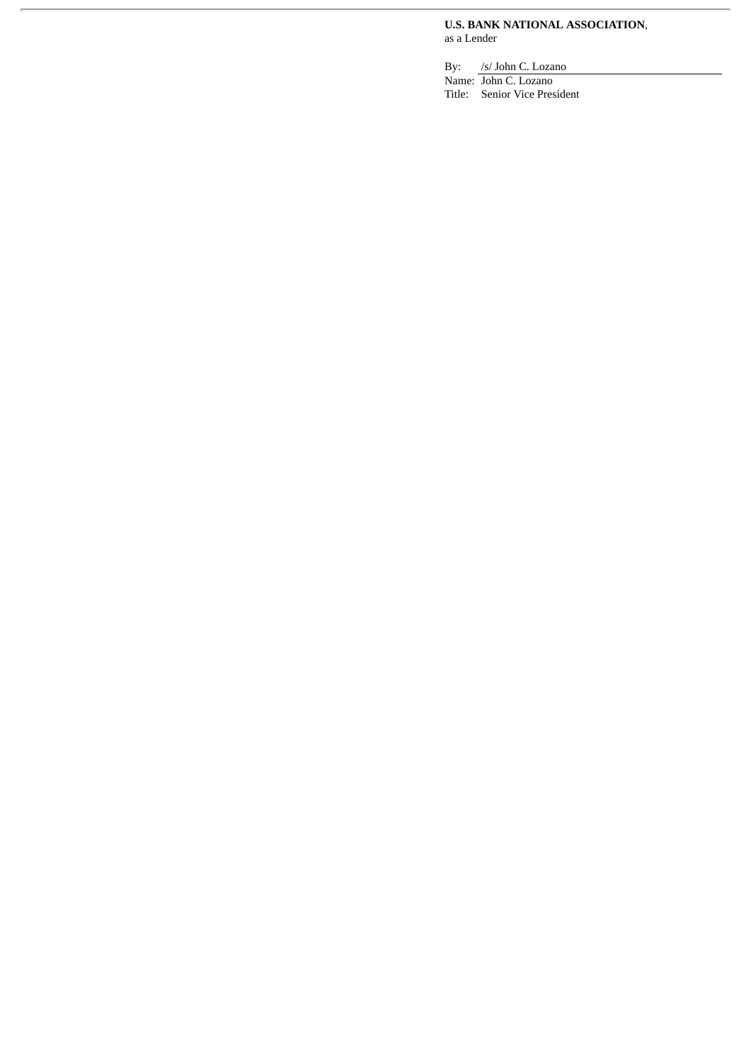**U.S. BANK NATIONAL ASSOCIATION**, as a Lender

By: /s/ John C. Lozano

Name: John C. Lozano Title: Senior Vice President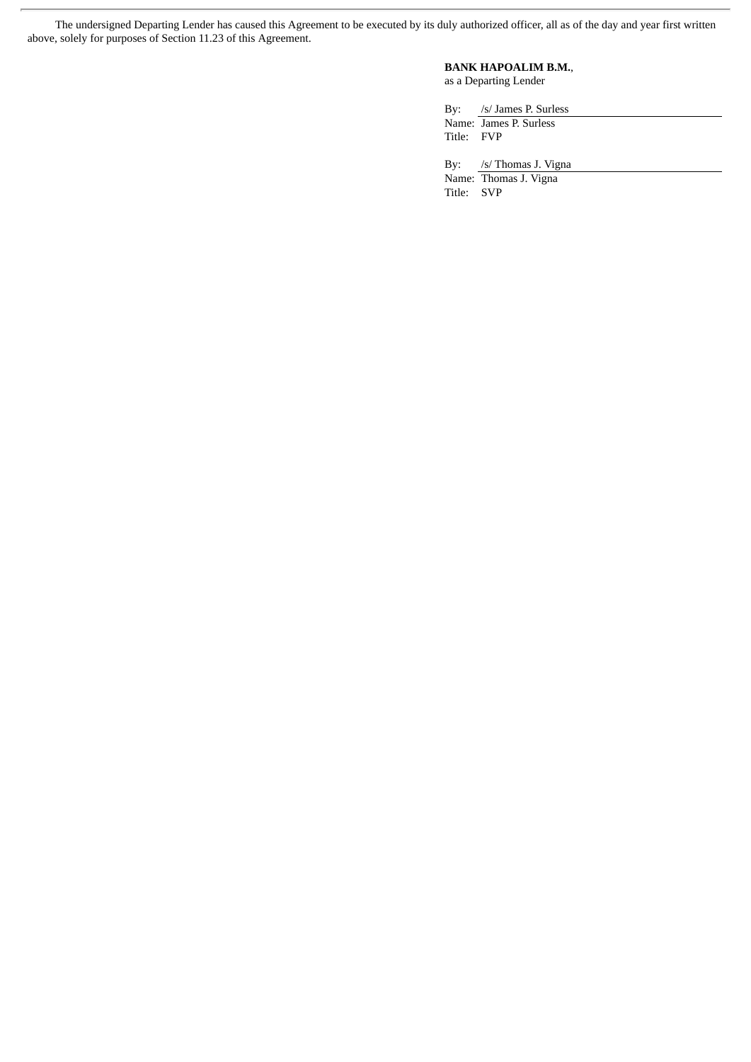The undersigned Departing Lender has caused this Agreement to be executed by its duly authorized officer, all as of the day and year first written above, solely for purposes of Section 11.23 of this Agreement.

### **BANK HAPOALIM B.M.**, as a Departing Lender

By: /s/ James P. Surless Name: James P. Surless Title: FVP

By: /s/ Thomas J. Vigna Name: Thomas J. Vigna Title: SVP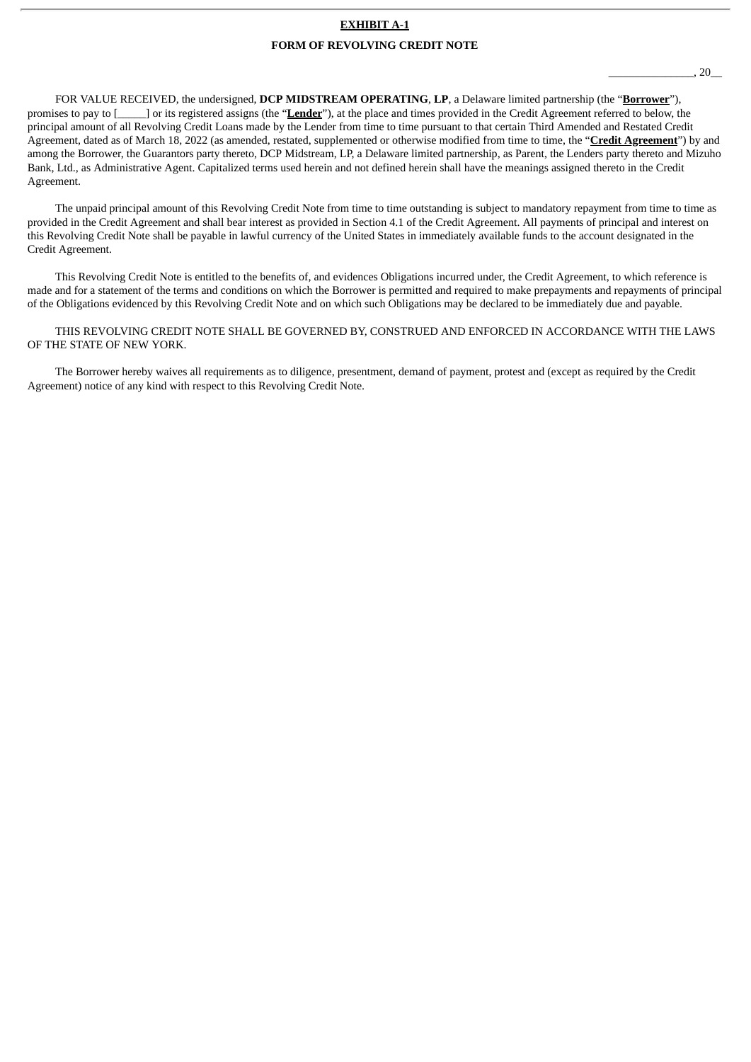# **EXHIBIT A-1**

### **FORM OF REVOLVING CREDIT NOTE**

 $20$ 

FOR VALUE RECEIVED, the undersigned, **DCP MIDSTREAM OPERATING**, **LP**, a Delaware limited partnership (the "**Borrower**"), promises to pay to [\_\_\_\_\_] or its registered assigns (the "**Lender**"), at the place and times provided in the Credit Agreement referred to below, the principal amount of all Revolving Credit Loans made by the Lender from time to time pursuant to that certain Third Amended and Restated Credit Agreement, dated as of March 18, 2022 (as amended, restated, supplemented or otherwise modified from time to time, the "**Credit Agreement**") by and among the Borrower, the Guarantors party thereto, DCP Midstream, LP, a Delaware limited partnership, as Parent, the Lenders party thereto and Mizuho Bank, Ltd., as Administrative Agent. Capitalized terms used herein and not defined herein shall have the meanings assigned thereto in the Credit Agreement.

The unpaid principal amount of this Revolving Credit Note from time to time outstanding is subject to mandatory repayment from time to time as provided in the Credit Agreement and shall bear interest as provided in Section 4.1 of the Credit Agreement. All payments of principal and interest on this Revolving Credit Note shall be payable in lawful currency of the United States in immediately available funds to the account designated in the Credit Agreement.

This Revolving Credit Note is entitled to the benefits of, and evidences Obligations incurred under, the Credit Agreement, to which reference is made and for a statement of the terms and conditions on which the Borrower is permitted and required to make prepayments and repayments of principal of the Obligations evidenced by this Revolving Credit Note and on which such Obligations may be declared to be immediately due and payable.

THIS REVOLVING CREDIT NOTE SHALL BE GOVERNED BY, CONSTRUED AND ENFORCED IN ACCORDANCE WITH THE LAWS OF THE STATE OF NEW YORK.

The Borrower hereby waives all requirements as to diligence, presentment, demand of payment, protest and (except as required by the Credit Agreement) notice of any kind with respect to this Revolving Credit Note.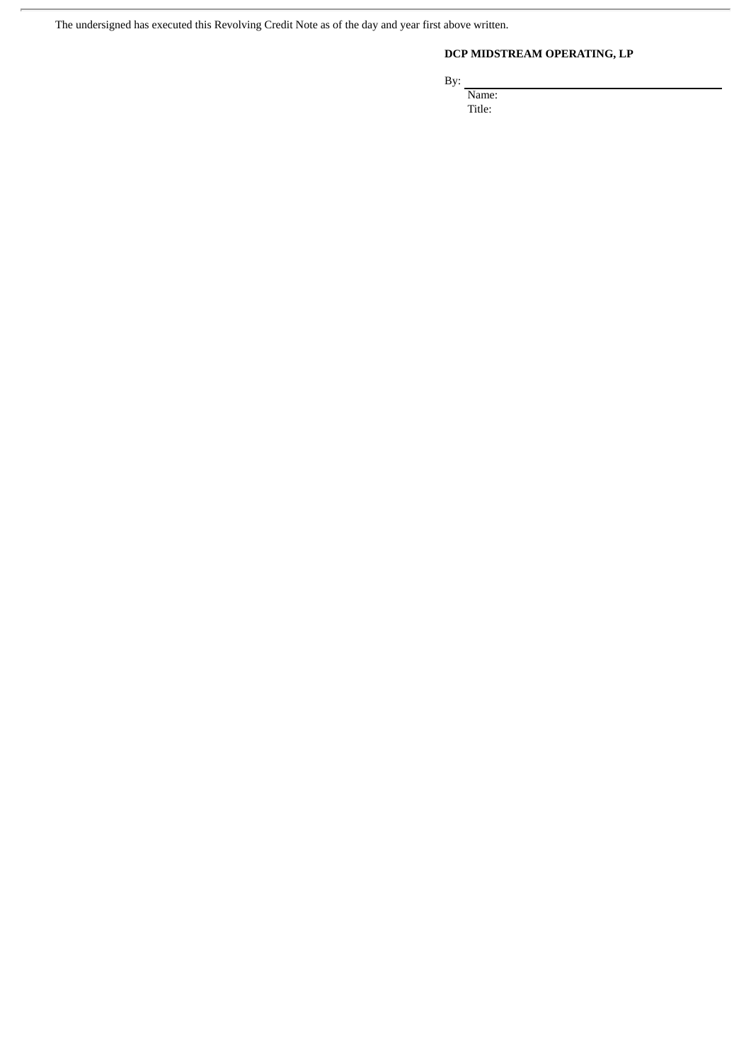The undersigned has executed this Revolving Credit Note as of the day and year first above written.

## **DCP MIDSTREAM OPERATING, LP**

By:

Name: Title: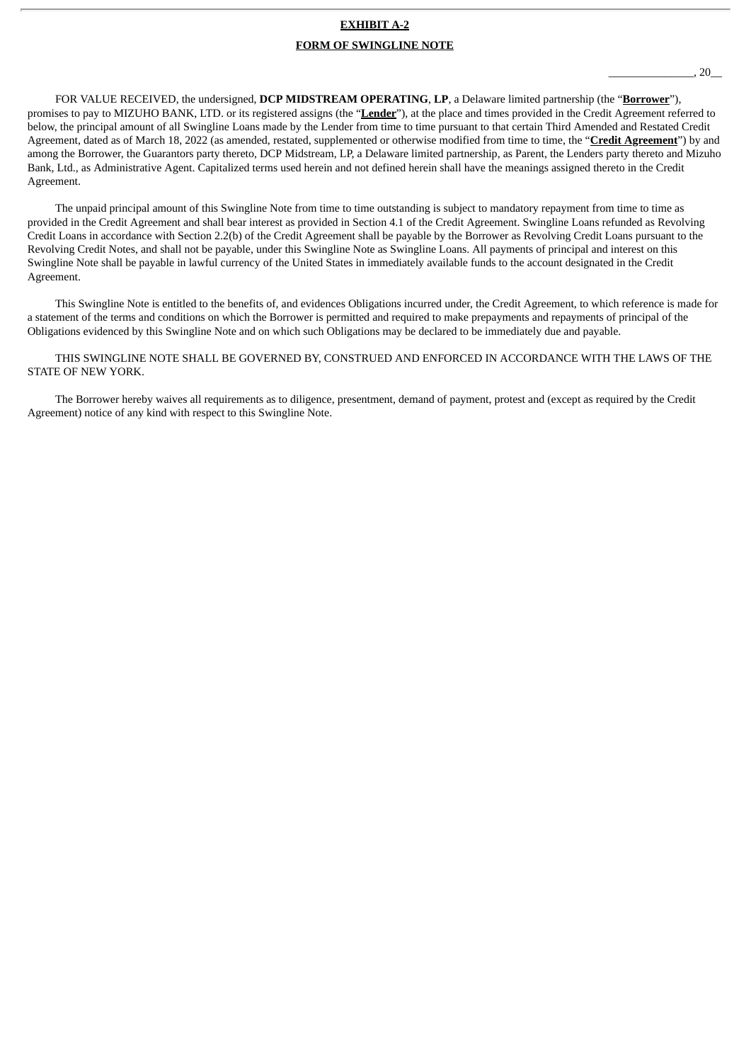## **EXHIBIT A-2 FORM OF SWINGLINE NOTE**

 $20$ 

FOR VALUE RECEIVED, the undersigned, **DCP MIDSTREAM OPERATING**, **LP**, a Delaware limited partnership (the "**Borrower**"), promises to pay to MIZUHO BANK, LTD. or its registered assigns (the "**Lender**"), at the place and times provided in the Credit Agreement referred to below, the principal amount of all Swingline Loans made by the Lender from time to time pursuant to that certain Third Amended and Restated Credit Agreement, dated as of March 18, 2022 (as amended, restated, supplemented or otherwise modified from time to time, the "**Credit Agreement**") by and among the Borrower, the Guarantors party thereto, DCP Midstream, LP, a Delaware limited partnership, as Parent, the Lenders party thereto and Mizuho Bank, Ltd., as Administrative Agent. Capitalized terms used herein and not defined herein shall have the meanings assigned thereto in the Credit Agreement.

The unpaid principal amount of this Swingline Note from time to time outstanding is subject to mandatory repayment from time to time as provided in the Credit Agreement and shall bear interest as provided in Section 4.1 of the Credit Agreement. Swingline Loans refunded as Revolving Credit Loans in accordance with Section 2.2(b) of the Credit Agreement shall be payable by the Borrower as Revolving Credit Loans pursuant to the Revolving Credit Notes, and shall not be payable, under this Swingline Note as Swingline Loans. All payments of principal and interest on this Swingline Note shall be payable in lawful currency of the United States in immediately available funds to the account designated in the Credit Agreement.

This Swingline Note is entitled to the benefits of, and evidences Obligations incurred under, the Credit Agreement, to which reference is made for a statement of the terms and conditions on which the Borrower is permitted and required to make prepayments and repayments of principal of the Obligations evidenced by this Swingline Note and on which such Obligations may be declared to be immediately due and payable.

THIS SWINGLINE NOTE SHALL BE GOVERNED BY, CONSTRUED AND ENFORCED IN ACCORDANCE WITH THE LAWS OF THE STATE OF NEW YORK.

The Borrower hereby waives all requirements as to diligence, presentment, demand of payment, protest and (except as required by the Credit Agreement) notice of any kind with respect to this Swingline Note.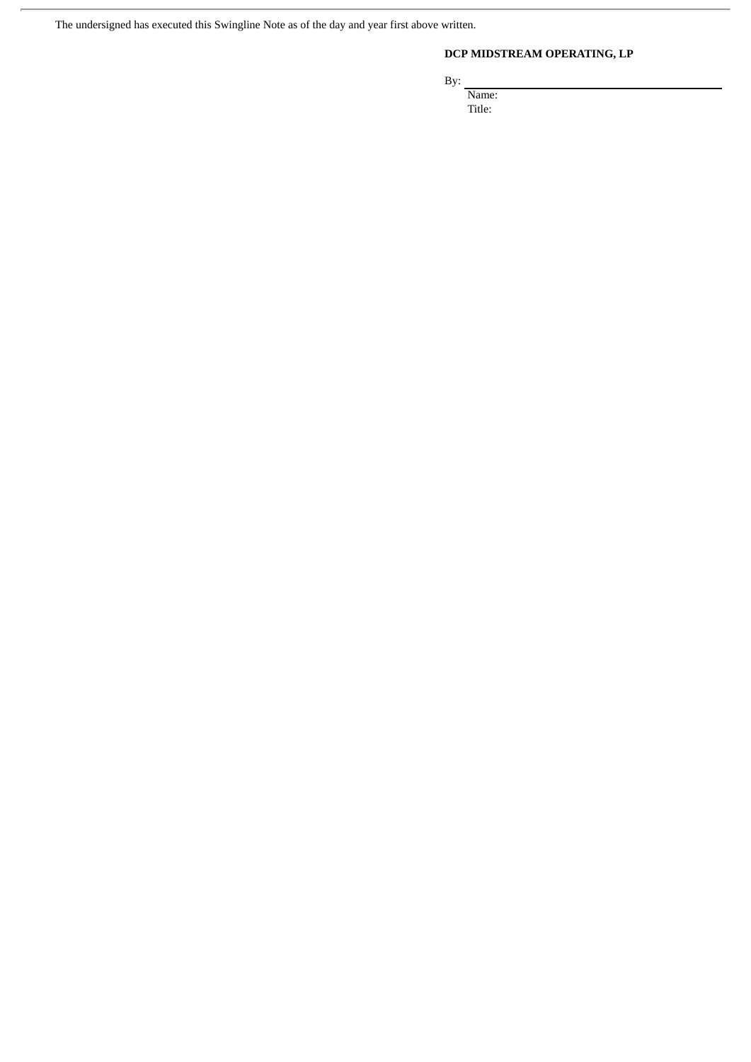The undersigned has executed this Swingline Note as of the day and year first above written.

## **DCP MIDSTREAM OPERATING, LP**

By:

Name: Title: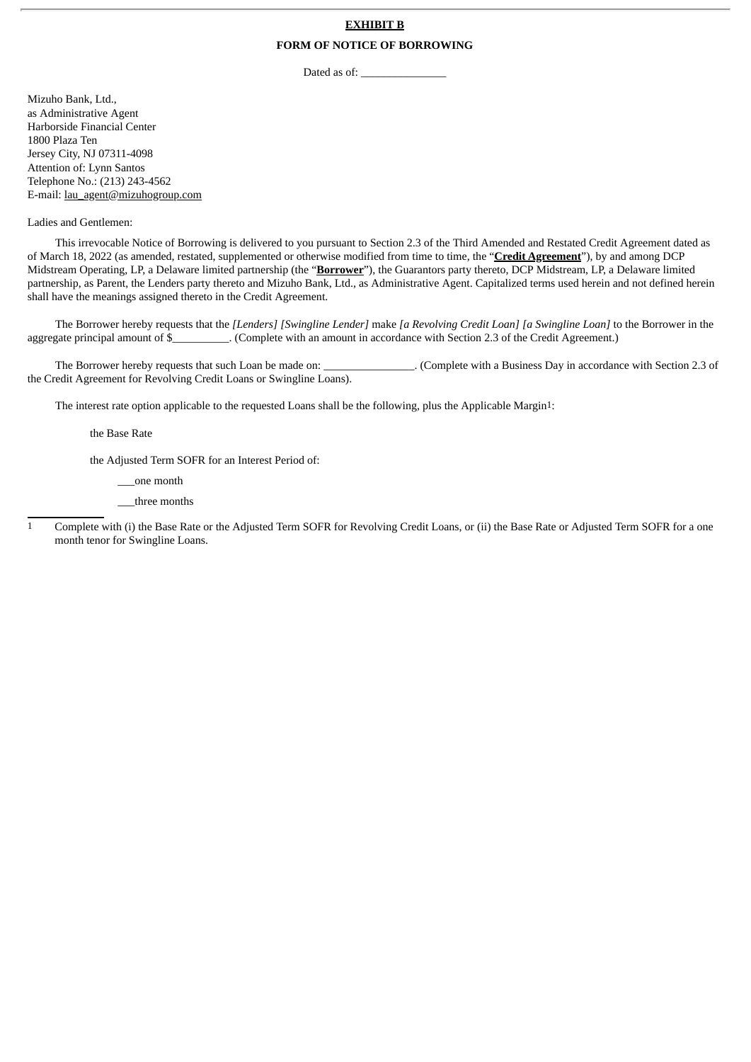## **EXHIBIT B FORM OF NOTICE OF BORROWING**

Dated as of:

Mizuho Bank, Ltd., as Administrative Agent Harborside Financial Center 1800 Plaza Ten Jersey City, NJ 07311-4098 Attention of: Lynn Santos Telephone No.: (213) 243-4562 E-mail: lau\_agent@mizuhogroup.com

#### Ladies and Gentlemen:

This irrevocable Notice of Borrowing is delivered to you pursuant to Section 2.3 of the Third Amended and Restated Credit Agreement dated as of March 18, 2022 (as amended, restated, supplemented or otherwise modified from time to time, the "**Credit Agreement**"), by and among DCP Midstream Operating, LP, a Delaware limited partnership (the "**Borrower**"), the Guarantors party thereto, DCP Midstream, LP, a Delaware limited partnership, as Parent, the Lenders party thereto and Mizuho Bank, Ltd., as Administrative Agent. Capitalized terms used herein and not defined herein shall have the meanings assigned thereto in the Credit Agreement.

The Borrower hereby requests that the *[Lenders] [Swingline Lender]* make *[a Revolving Credit Loan] [a Swingline Loan]* to the Borrower in the aggregate principal amount of \$\_\_\_\_\_\_\_\_\_\_. (Complete with an amount in accordance with Section 2.3 of the Credit Agreement.)

The Borrower hereby requests that such Loan be made on: \_\_\_\_\_\_\_\_\_\_\_\_\_\_\_\_\_. (Complete with a Business Day in accordance with Section 2.3 of the Credit Agreement for Revolving Credit Loans or Swingline Loans).

The interest rate option applicable to the requested Loans shall be the following, plus the Applicable Margin<sup>1</sup>:

the Base Rate

the Adjusted Term SOFR for an Interest Period of:

\_\_\_one month

\_\_\_three months

<sup>1</sup> Complete with (i) the Base Rate or the Adjusted Term SOFR for Revolving Credit Loans, or (ii) the Base Rate or Adjusted Term SOFR for a one month tenor for Swingline Loans.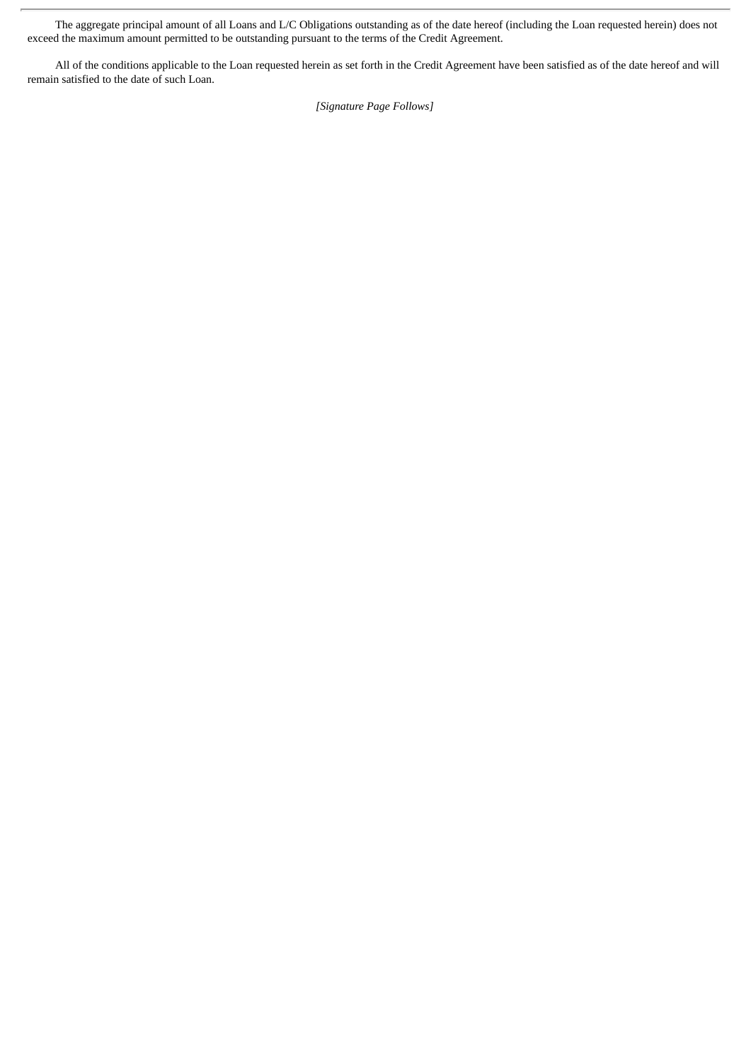The aggregate principal amount of all Loans and L/C Obligations outstanding as of the date hereof (including the Loan requested herein) does not exceed the maximum amount permitted to be outstanding pursuant to the terms of the Credit Agreement.

All of the conditions applicable to the Loan requested herein as set forth in the Credit Agreement have been satisfied as of the date hereof and will remain satisfied to the date of such Loan.

*[Signature Page Follows]*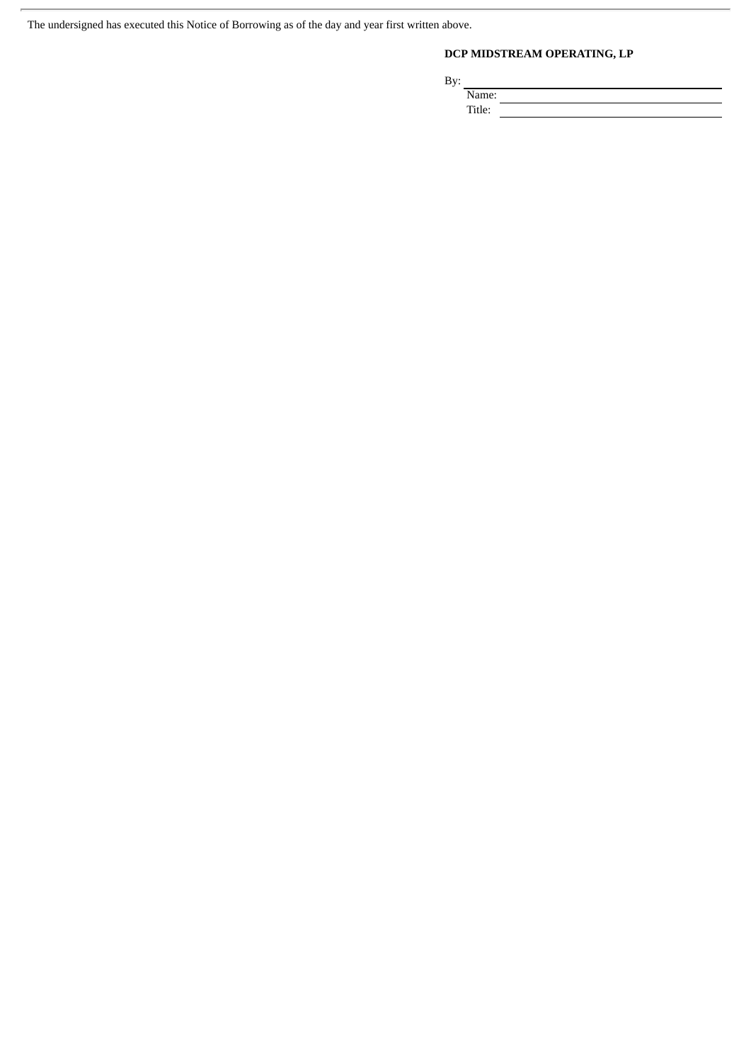The undersigned has executed this Notice of Borrowing as of the day and year first written above.

## **DCP MIDSTREAM OPERATING, LP**

By:

Name:

Title: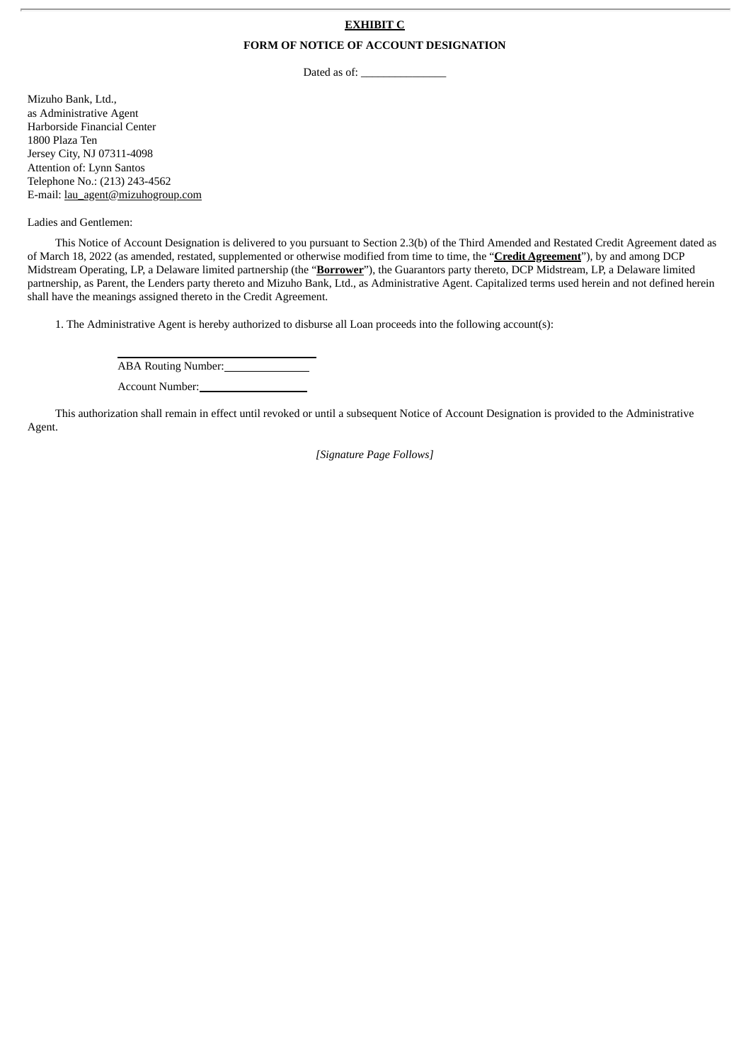# **EXHIBIT C**

### **FORM OF NOTICE OF ACCOUNT DESIGNATION**

Dated as of:

Mizuho Bank, Ltd., as Administrative Agent Harborside Financial Center 1800 Plaza Ten Jersey City, NJ 07311-4098 Attention of: Lynn Santos Telephone No.: (213) 243-4562 E-mail: lau\_agent@mizuhogroup.com

Ladies and Gentlemen:

This Notice of Account Designation is delivered to you pursuant to Section 2.3(b) of the Third Amended and Restated Credit Agreement dated as of March 18, 2022 (as amended, restated, supplemented or otherwise modified from time to time, the "**Credit Agreement**"), by and among DCP Midstream Operating, LP, a Delaware limited partnership (the "**Borrower**"), the Guarantors party thereto, DCP Midstream, LP, a Delaware limited partnership, as Parent, the Lenders party thereto and Mizuho Bank, Ltd., as Administrative Agent. Capitalized terms used herein and not defined herein shall have the meanings assigned thereto in the Credit Agreement.

1. The Administrative Agent is hereby authorized to disburse all Loan proceeds into the following account(s):

ABA Routing Number:

Account Number:

This authorization shall remain in effect until revoked or until a subsequent Notice of Account Designation is provided to the Administrative Agent.

*[Signature Page Follows]*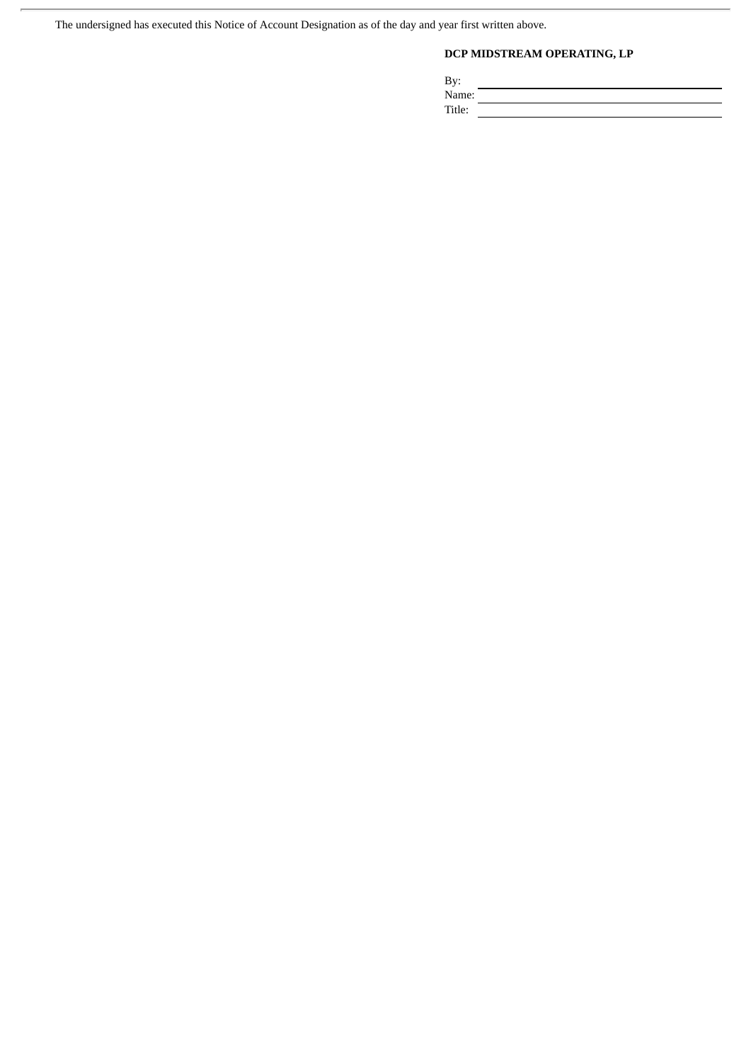The undersigned has executed this Notice of Account Designation as of the day and year first written above.

ł.

## **DCP MIDSTREAM OPERATING, LP**

By:

Name: Title: The contract of the contract of the contract of the contract of the contract of the contract of the contract of the contract of the contract of the contract of the contract of the contract of the contract of the con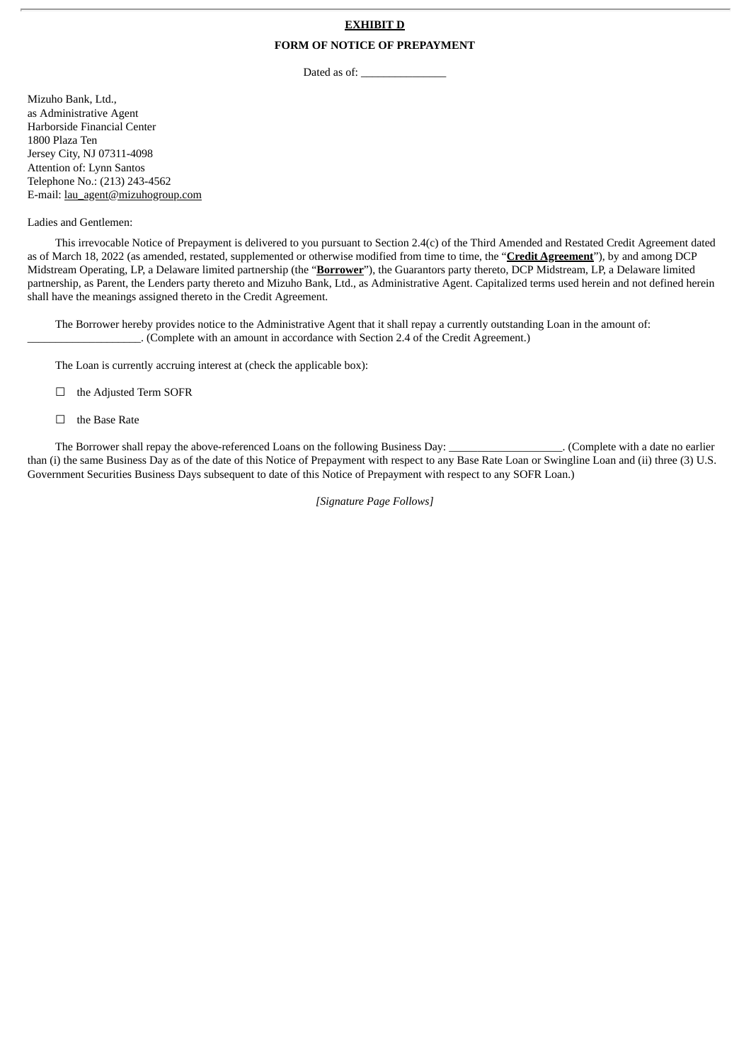## **EXHIBIT D FORM OF NOTICE OF PREPAYMENT**

Dated as of:

Mizuho Bank, Ltd., as Administrative Agent Harborside Financial Center 1800 Plaza Ten Jersey City, NJ 07311-4098 Attention of: Lynn Santos Telephone No.: (213) 243-4562 E-mail: lau\_agent@mizuhogroup.com

Ladies and Gentlemen:

This irrevocable Notice of Prepayment is delivered to you pursuant to Section 2.4(c) of the Third Amended and Restated Credit Agreement dated as of March 18, 2022 (as amended, restated, supplemented or otherwise modified from time to time, the "**Credit Agreement**"), by and among DCP Midstream Operating, LP, a Delaware limited partnership (the "**Borrower**"), the Guarantors party thereto, DCP Midstream, LP, a Delaware limited partnership, as Parent, the Lenders party thereto and Mizuho Bank, Ltd., as Administrative Agent. Capitalized terms used herein and not defined herein shall have the meanings assigned thereto in the Credit Agreement.

The Borrower hereby provides notice to the Administrative Agent that it shall repay a currently outstanding Loan in the amount of: \_\_\_\_\_\_\_\_\_\_\_\_\_\_\_\_\_\_\_\_. (Complete with an amount in accordance with Section 2.4 of the Credit Agreement.)

The Loan is currently accruing interest at (check the applicable box):

□ the Adjusted Term SOFR

☐ the Base Rate

The Borrower shall repay the above-referenced Loans on the following Business Day: \_\_\_\_\_\_\_\_\_\_\_\_\_\_\_\_\_\_\_\_. (Complete with a date no earlier than (i) the same Business Day as of the date of this Notice of Prepayment with respect to any Base Rate Loan or Swingline Loan and (ii) three (3) U.S. Government Securities Business Days subsequent to date of this Notice of Prepayment with respect to any SOFR Loan.)

*[Signature Page Follows]*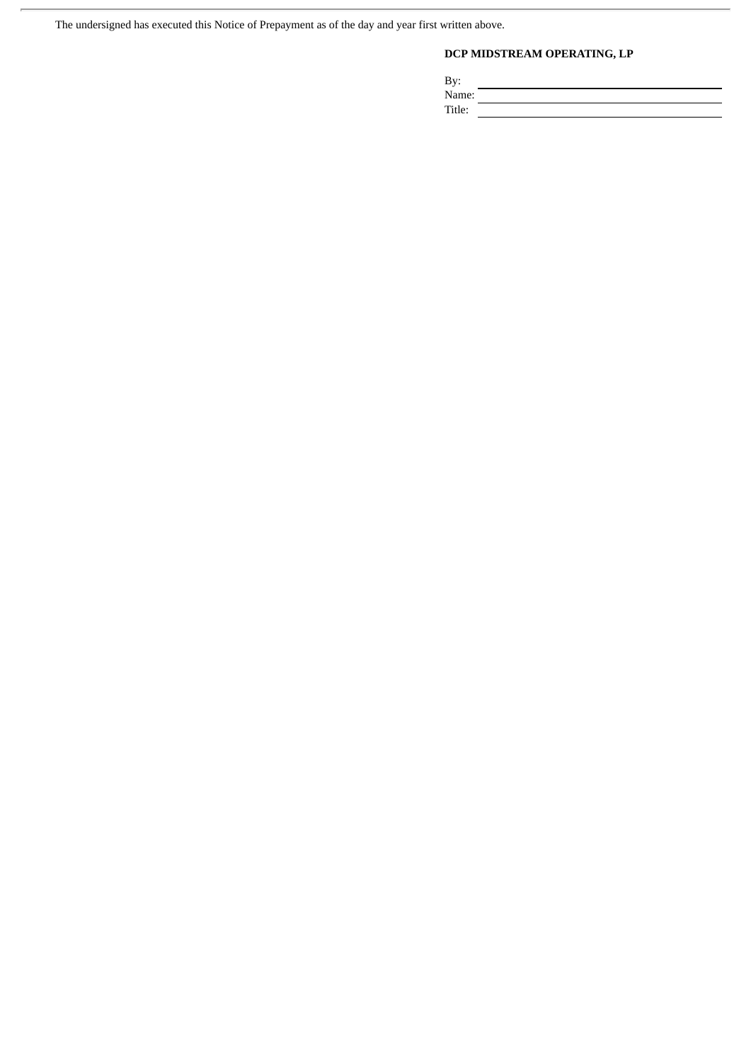The undersigned has executed this Notice of Prepayment as of the day and year first written above.

ł.

# **DCP MIDSTREAM OPERATING, LP**

By:

Name: Title: <u>Alexander Communication</u>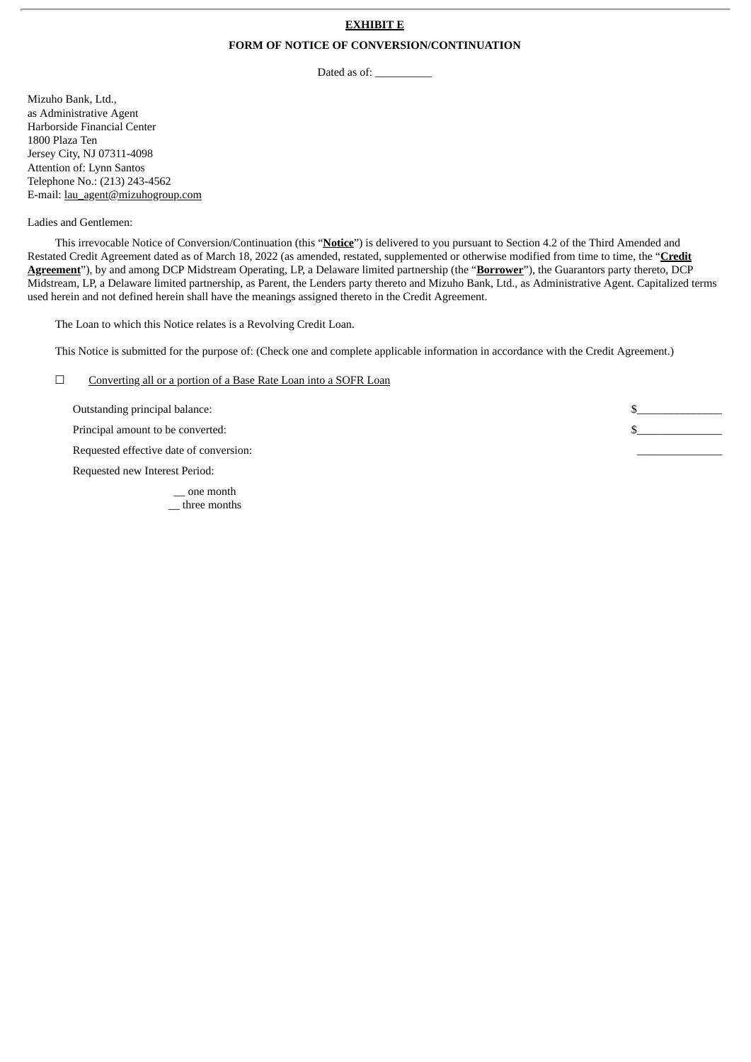### **EXHIBIT E**

#### **FORM OF NOTICE OF CONVERSION/CONTINUATION**

Dated as of:

Mizuho Bank, Ltd., as Administrative Agent Harborside Financial Center 1800 Plaza Ten Jersey City, NJ 07311-4098 Attention of: Lynn Santos Telephone No.: (213) 243-4562 E-mail: lau\_agent@mizuhogroup.com

#### Ladies and Gentlemen:

This irrevocable Notice of Conversion/Continuation (this "**Notice**") is delivered to you pursuant to Section 4.2 of the Third Amended and Restated Credit Agreement dated as of March 18, 2022 (as amended, restated, supplemented or otherwise modified from time to time, the "**Credit Agreement**"), by and among DCP Midstream Operating, LP, a Delaware limited partnership (the "**Borrower**"), the Guarantors party thereto, DCP Midstream, LP, a Delaware limited partnership, as Parent, the Lenders party thereto and Mizuho Bank, Ltd., as Administrative Agent. Capitalized terms used herein and not defined herein shall have the meanings assigned thereto in the Credit Agreement.

The Loan to which this Notice relates is a Revolving Credit Loan.

This Notice is submitted for the purpose of: (Check one and complete applicable information in accordance with the Credit Agreement.)

### ☐ Converting all or a portion of a Base Rate Loan into a SOFR Loan

Outstanding principal balance:  $\qquad \qquad$  8 Principal amount to be converted:  $\qquad \qquad$   $\qquad \qquad$   $\qquad \qquad$   $\qquad \qquad$   $\qquad \qquad$   $\qquad \qquad$   $\qquad \qquad$   $\qquad \qquad$   $\qquad \qquad$   $\qquad \qquad$   $\qquad \qquad$   $\qquad \qquad$   $\qquad \qquad$   $\qquad \qquad$   $\qquad \qquad$   $\qquad \qquad$   $\qquad \qquad$   $\qquad \qquad$   $\qquad \qquad$   $\qquad \qquad$   $\qquad \qquad$ Requested effective date of conversion: \_\_\_\_\_\_\_\_\_\_\_\_\_\_\_ Requested new Interest Period:

> $\rule{1em}{0.15mm}$  \_ one month \_\_ three months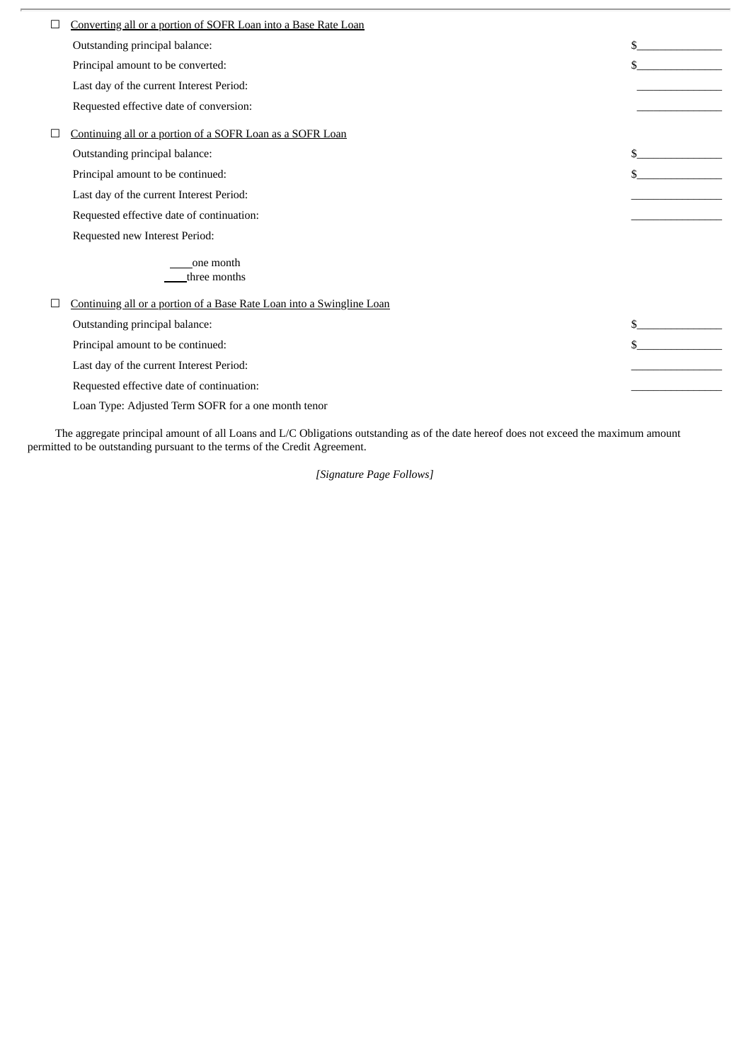|   | Converting all or a portion of SOFR Loan into a Base Rate Loan        |  |
|---|-----------------------------------------------------------------------|--|
|   | Outstanding principal balance:                                        |  |
|   | Principal amount to be converted:                                     |  |
|   | Last day of the current Interest Period:                              |  |
|   | Requested effective date of conversion:                               |  |
|   | Continuing all or a portion of a SOFR Loan as a SOFR Loan             |  |
|   | Outstanding principal balance:                                        |  |
|   | Principal amount to be continued:                                     |  |
|   | Last day of the current Interest Period:                              |  |
|   | Requested effective date of continuation:                             |  |
|   | Requested new Interest Period:                                        |  |
|   | one month<br>three months                                             |  |
| Ш | Continuing all or a portion of a Base Rate Loan into a Swingline Loan |  |
|   | Outstanding principal balance:                                        |  |
|   | Principal amount to be continued:                                     |  |
|   | Last day of the current Interest Period:                              |  |
|   | Requested effective date of continuation:                             |  |
|   | Loan Type: Adjusted Term SOFR for a one month tenor                   |  |

The aggregate principal amount of all Loans and L/C Obligations outstanding as of the date hereof does not exceed the maximum amount permitted to be outstanding pursuant to the terms of the Credit Agreement.

*[Signature Page Follows]*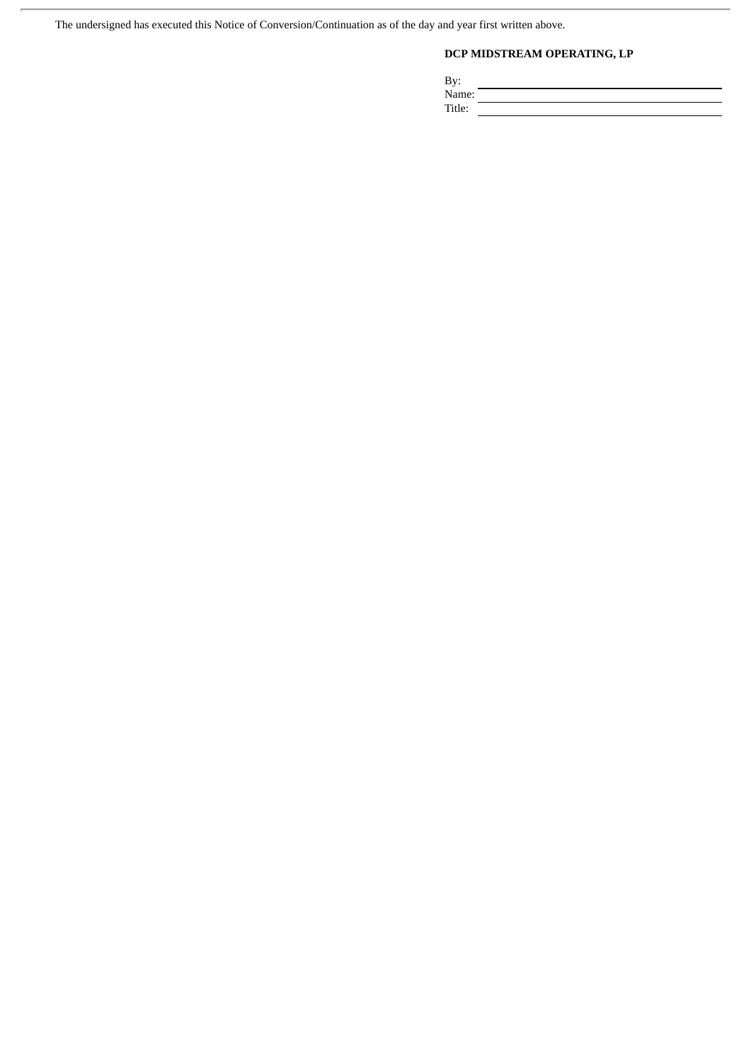The undersigned has executed this Notice of Conversion/Continuation as of the day and year first written above.

## **DCP MIDSTREAM OPERATING, LP**

| I<br>۰ |  |
|--------|--|

Name: Title: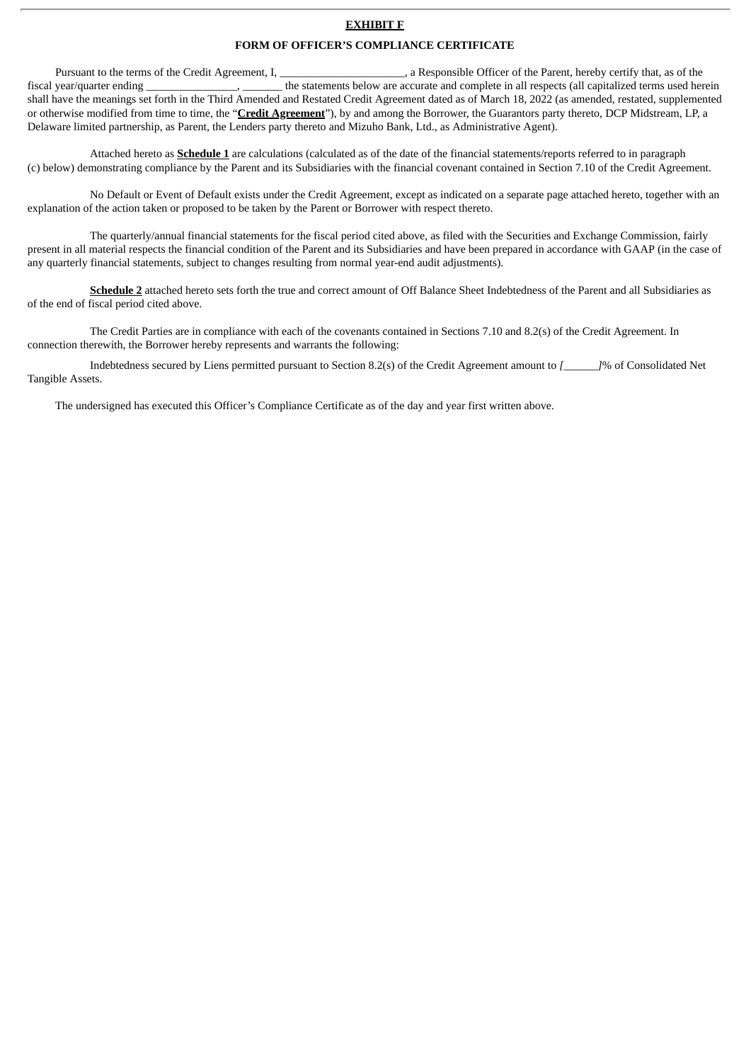#### **EXHIBIT F**

### **FORM OF OFFICER'S COMPLIANCE CERTIFICATE**

Pursuant to the terms of the Credit Agreement, I, \_\_\_\_\_\_\_\_\_\_\_\_\_\_\_\_\_\_\_\_\_\_\_, a Responsible Officer of the Parent, hereby certify that, as of the fiscal year/quarter ending entirely compute the statements below are accurate and complete in all respects (all capitalized terms used herein shall have the meanings set forth in the Third Amended and Restated Credit Agreement dated as of March 18, 2022 (as amended, restated, supplemented or otherwise modified from time to time, the "**Credit Agreement**"), by and among the Borrower, the Guarantors party thereto, DCP Midstream, LP, a Delaware limited partnership, as Parent, the Lenders party thereto and Mizuho Bank, Ltd., as Administrative Agent).

Attached hereto as **Schedule 1** are calculations (calculated as of the date of the financial statements/reports referred to in paragraph (c) below) demonstrating compliance by the Parent and its Subsidiaries with the financial covenant contained in Section 7.10 of the Credit Agreement.

No Default or Event of Default exists under the Credit Agreement, except as indicated on a separate page attached hereto, together with an explanation of the action taken or proposed to be taken by the Parent or Borrower with respect thereto.

The quarterly/annual financial statements for the fiscal period cited above, as filed with the Securities and Exchange Commission, fairly present in all material respects the financial condition of the Parent and its Subsidiaries and have been prepared in accordance with GAAP (in the case of any quarterly financial statements, subject to changes resulting from normal year-end audit adjustments).

**Schedule 2** attached hereto sets forth the true and correct amount of Off Balance Sheet Indebtedness of the Parent and all Subsidiaries as of the end of fiscal period cited above.

The Credit Parties are in compliance with each of the covenants contained in Sections 7.10 and 8.2(s) of the Credit Agreement. In connection therewith, the Borrower hereby represents and warrants the following:

Indebtedness secured by Liens permitted pursuant to Section 8.2(s) of the Credit Agreement amount to *[\_\_\_\_\_\_]*% of Consolidated Net Tangible Assets.

The undersigned has executed this Officer's Compliance Certificate as of the day and year first written above.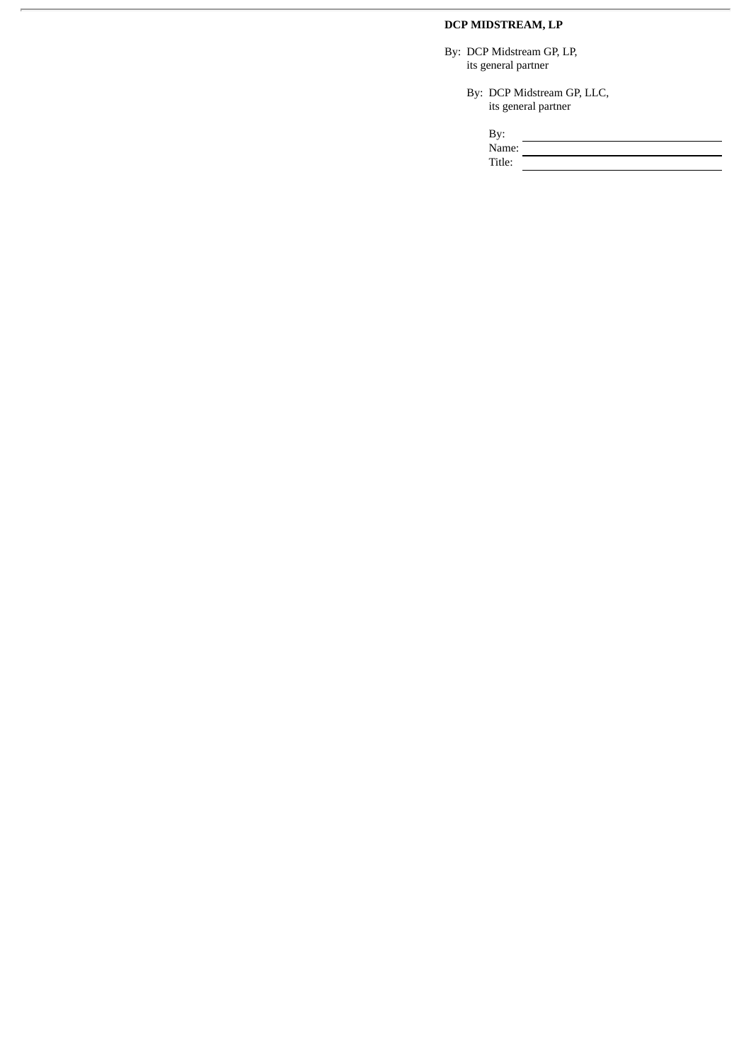### **DCP MIDSTREAM, LP**

By: DCP Midstream GP, LP, its general partner

> By: DCP Midstream GP, LLC, its general partner

| ۰.<br>۰.<br>× |
|---------------|
|---------------|

Name: Title: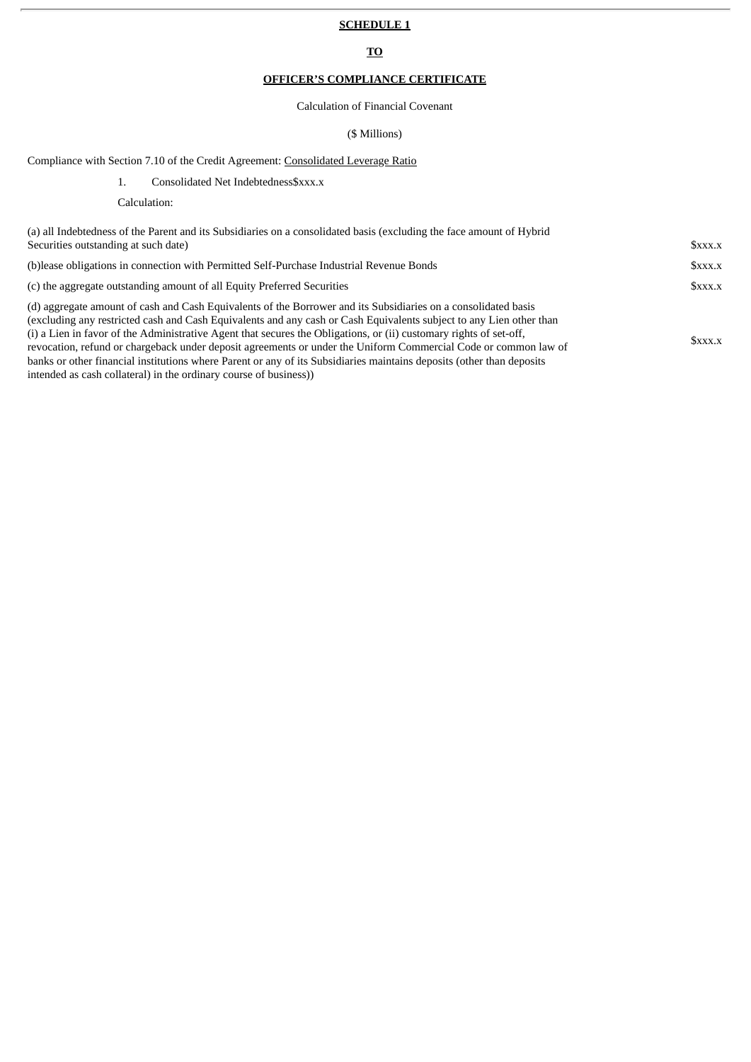## **SCHEDULE 1**

### **TO**

## **OFFICER'S COMPLIANCE CERTIFICATE**

Calculation of Financial Covenant

### (\$ Millions)

Compliance with Section 7.10 of the Credit Agreement: Consolidated Leverage Ratio

1. Consolidated Net Indebtedness\$xxx.x

Calculation:

| (a) all Indebtedness of the Parent and its Subsidiaries on a consolidated basis (excluding the face amount of Hybrid                                                                                                                                                                                                                                                                                                                                                                                                                                                                                                                                                         |           |
|------------------------------------------------------------------------------------------------------------------------------------------------------------------------------------------------------------------------------------------------------------------------------------------------------------------------------------------------------------------------------------------------------------------------------------------------------------------------------------------------------------------------------------------------------------------------------------------------------------------------------------------------------------------------------|-----------|
| Securities outstanding at such date)                                                                                                                                                                                                                                                                                                                                                                                                                                                                                                                                                                                                                                         | $S$ xxx.x |
| (b)lease obligations in connection with Permitted Self-Purchase Industrial Revenue Bonds                                                                                                                                                                                                                                                                                                                                                                                                                                                                                                                                                                                     | $S$ xxx.x |
| (c) the aggregate outstanding amount of all Equity Preferred Securities                                                                                                                                                                                                                                                                                                                                                                                                                                                                                                                                                                                                      |           |
| (d) aggregate amount of cash and Cash Equivalents of the Borrower and its Subsidiaries on a consolidated basis<br>(excluding any restricted cash and Cash Equivalents and any cash or Cash Equivalents subject to any Lien other than<br>(i) a Lien in favor of the Administrative Agent that secures the Obligations, or (ii) customary rights of set-off,<br>revocation, refund or chargeback under deposit agreements or under the Uniform Commercial Code or common law of<br>banks or other financial institutions where Parent or any of its Subsidiaries maintains deposits (other than deposits<br>intended as cash collateral) in the ordinary course of business)) | $S$ xxx.x |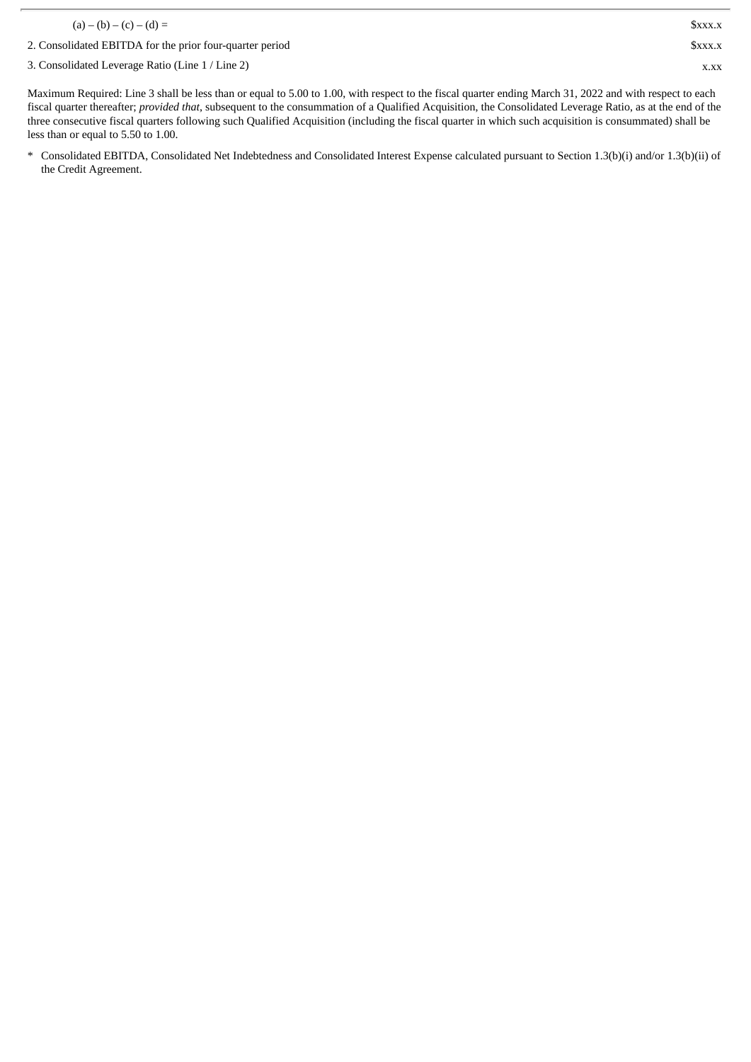| $(a) - (b) - (c) - (d) =$                                | SXXX.X    |
|----------------------------------------------------------|-----------|
| 2. Consolidated EBITDA for the prior four-quarter period | $S$ xxx.x |
| 3. Consolidated Leverage Ratio (Line 1 / Line 2)         | X.XX      |

Maximum Required: Line 3 shall be less than or equal to 5.00 to 1.00, with respect to the fiscal quarter ending March 31, 2022 and with respect to each fiscal quarter thereafter; *provided that*, subsequent to the consummation of a Qualified Acquisition, the Consolidated Leverage Ratio, as at the end of the three consecutive fiscal quarters following such Qualified Acquisition (including the fiscal quarter in which such acquisition is consummated) shall be less than or equal to 5.50 to 1.00.

\* Consolidated EBITDA, Consolidated Net Indebtedness and Consolidated Interest Expense calculated pursuant to Section 1.3(b)(i) and/or 1.3(b)(ii) of the Credit Agreement.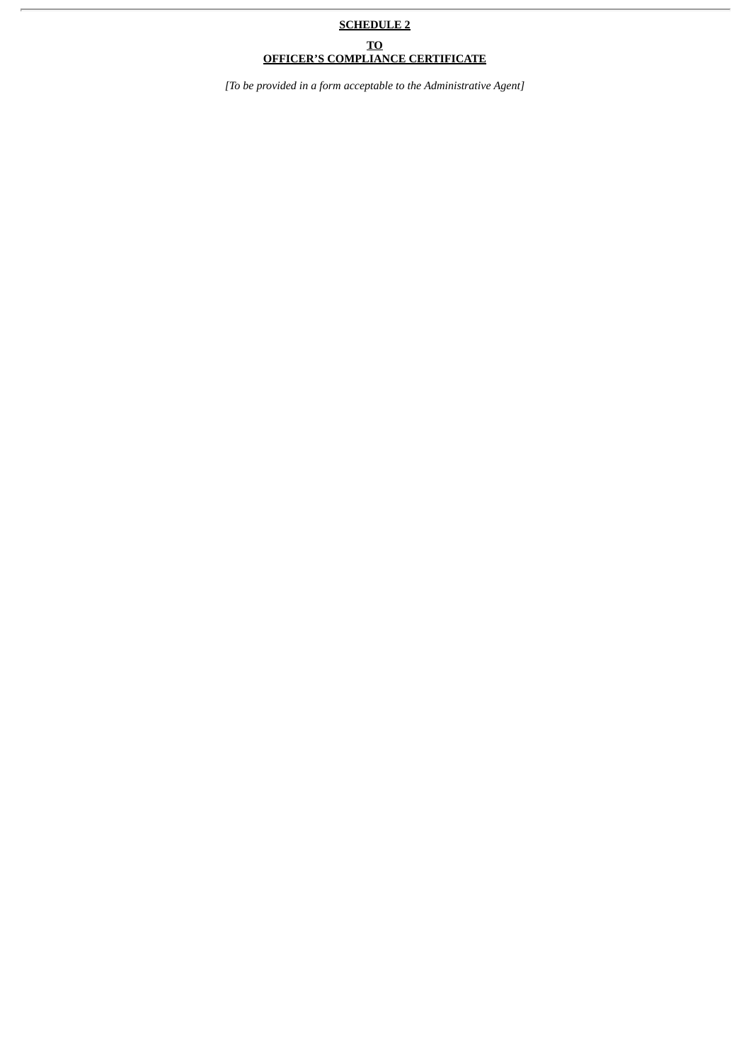## **SCHEDULE 2 TO OFFICER'S COMPLIANCE CERTIFICATE**

*[To be provided in a form acceptable to the Administrative Agent]*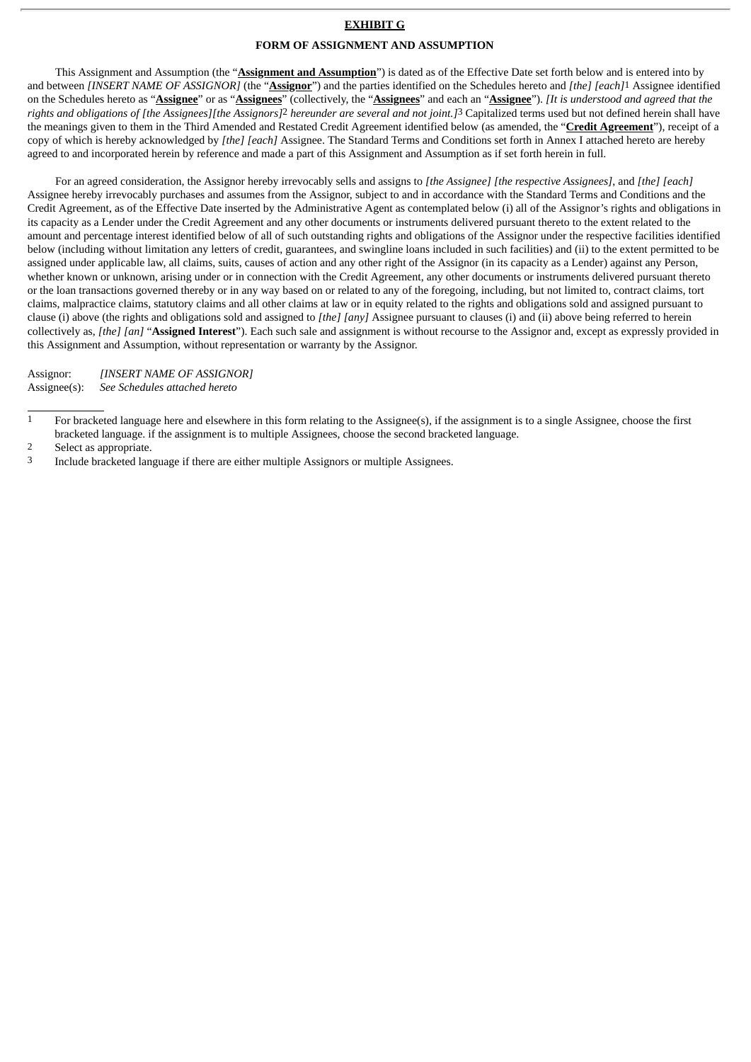### **EXHIBIT G**

#### **FORM OF ASSIGNMENT AND ASSUMPTION**

This Assignment and Assumption (the "**Assignment and Assumption**") is dated as of the Effective Date set forth below and is entered into by and between *[INSERT NAME OF ASSIGNOR]* (the "**Assignor**") and the parties identified on the Schedules hereto and *[the] [each]*1 Assignee identified on the Schedules hereto as "Assignee" or as "Assignees" (collectively, the "Assignees" and each an "Assignee"). [It is understood and agreed that the rights and obligations of [the Assignees][the Assignors]<sup>2</sup> hereunder are several and not joint.]<sup>3</sup> Capitalized terms used but not defined herein shall have the meanings given to them in the Third Amended and Restated Credit Agreement identified below (as amended, the "**Credit Agreement**"), receipt of a copy of which is hereby acknowledged by *[the] [each]* Assignee. The Standard Terms and Conditions set forth in Annex I attached hereto are hereby agreed to and incorporated herein by reference and made a part of this Assignment and Assumption as if set forth herein in full.

For an agreed consideration, the Assignor hereby irrevocably sells and assigns to *[the Assignee] [the respective Assignees]*, and *[the] [each]* Assignee hereby irrevocably purchases and assumes from the Assignor, subject to and in accordance with the Standard Terms and Conditions and the Credit Agreement, as of the Effective Date inserted by the Administrative Agent as contemplated below (i) all of the Assignor's rights and obligations in its capacity as a Lender under the Credit Agreement and any other documents or instruments delivered pursuant thereto to the extent related to the amount and percentage interest identified below of all of such outstanding rights and obligations of the Assignor under the respective facilities identified below (including without limitation any letters of credit, guarantees, and swingline loans included in such facilities) and (ii) to the extent permitted to be assigned under applicable law, all claims, suits, causes of action and any other right of the Assignor (in its capacity as a Lender) against any Person, whether known or unknown, arising under or in connection with the Credit Agreement, any other documents or instruments delivered pursuant thereto or the loan transactions governed thereby or in any way based on or related to any of the foregoing, including, but not limited to, contract claims, tort claims, malpractice claims, statutory claims and all other claims at law or in equity related to the rights and obligations sold and assigned pursuant to clause (i) above (the rights and obligations sold and assigned to *[the] [any]* Assignee pursuant to clauses (i) and (ii) above being referred to herein collectively as, *[the] [an]* "**Assigned Interest**"). Each such sale and assignment is without recourse to the Assignor and, except as expressly provided in this Assignment and Assumption, without representation or warranty by the Assignor.

Assignor: *[INSERT NAME OF ASSIGNOR]* Assignee(s): *See Schedules attached hereto*

<sup>1</sup> For bracketed language here and elsewhere in this form relating to the Assignee(s), if the assignment is to a single Assignee, choose the first bracketed language. if the assignment is to multiple Assignees, choose the second bracketed language.

<sup>2</sup> Select as appropriate.

<sup>3</sup> Include bracketed language if there are either multiple Assignors or multiple Assignees.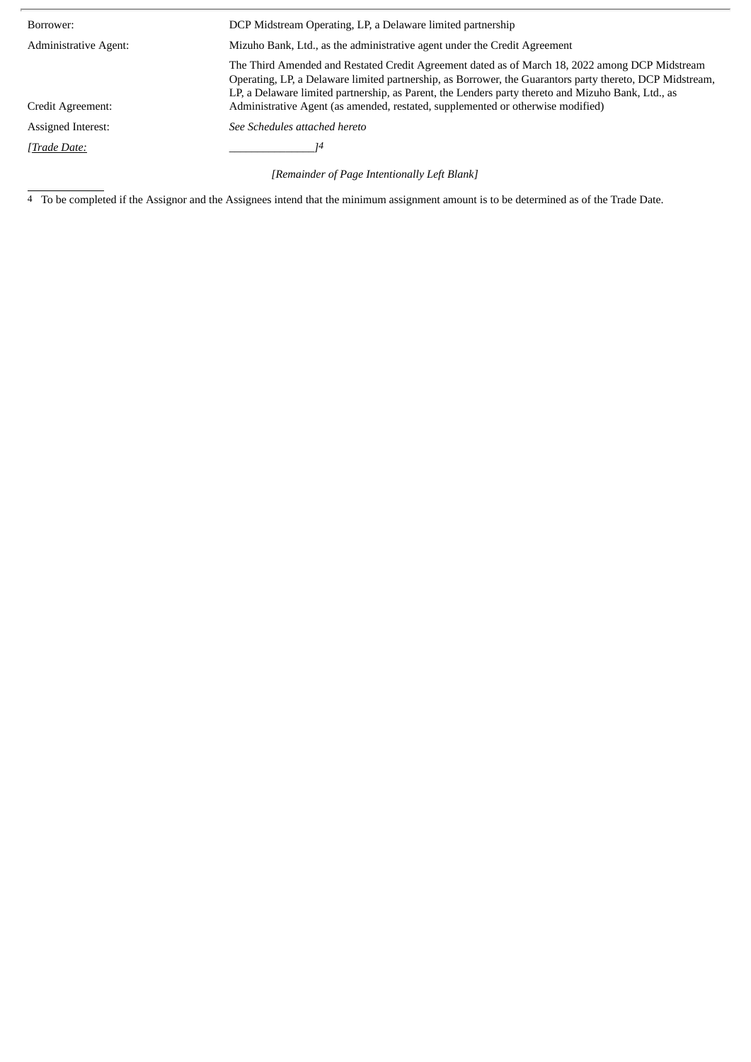| Borrower:                                    | DCP Midstream Operating, LP, a Delaware limited partnership                                                                                                                                                                                                                                                                                                                                         |  |  |  |
|----------------------------------------------|-----------------------------------------------------------------------------------------------------------------------------------------------------------------------------------------------------------------------------------------------------------------------------------------------------------------------------------------------------------------------------------------------------|--|--|--|
| Administrative Agent:                        | Mizuho Bank, Ltd., as the administrative agent under the Credit Agreement                                                                                                                                                                                                                                                                                                                           |  |  |  |
| Credit Agreement:                            | The Third Amended and Restated Credit Agreement dated as of March 18, 2022 among DCP Midstream<br>Operating, LP, a Delaware limited partnership, as Borrower, the Guarantors party thereto, DCP Midstream,<br>LP, a Delaware limited partnership, as Parent, the Lenders party thereto and Mizuho Bank, Ltd., as<br>Administrative Agent (as amended, restated, supplemented or otherwise modified) |  |  |  |
| Assigned Interest:                           | See Schedules attached hereto                                                                                                                                                                                                                                                                                                                                                                       |  |  |  |
| [Trade Date:                                 |                                                                                                                                                                                                                                                                                                                                                                                                     |  |  |  |
| [Remainder of Page Intentionally Left Blank] |                                                                                                                                                                                                                                                                                                                                                                                                     |  |  |  |

<sup>&</sup>lt;sup>4</sup> To be completed if the Assignor and the Assignees intend that the minimum assignment amount is to be determined as of the Trade Date.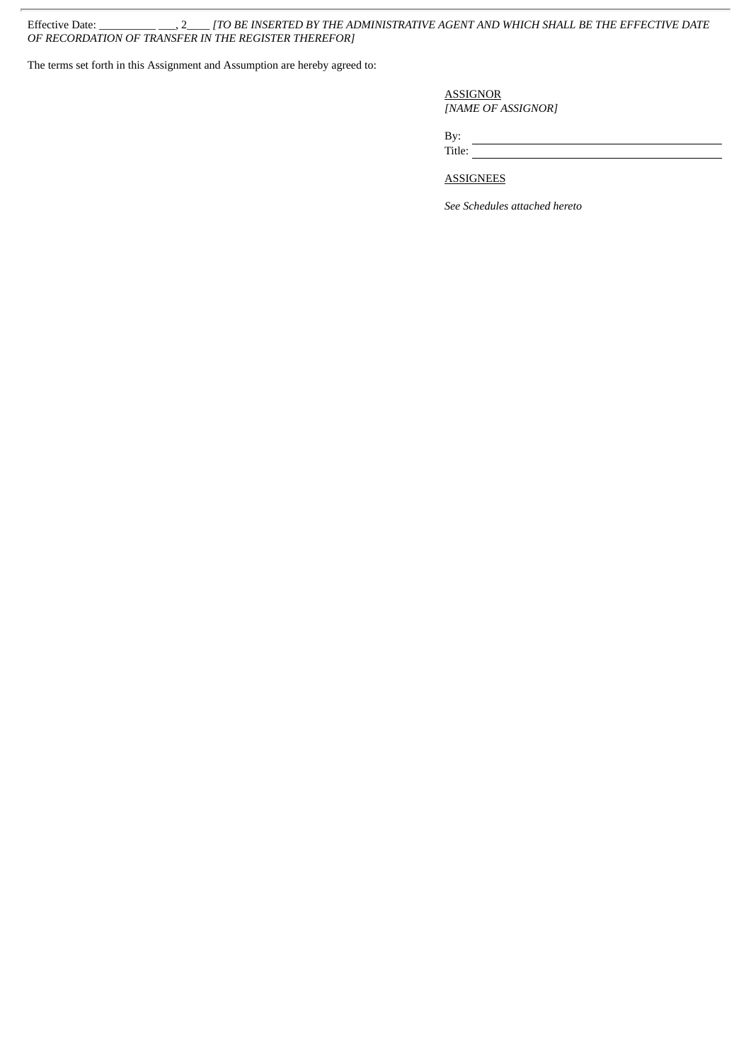Effective Date: \_\_\_\_\_\_\_\_\_\_ \_\_\_, 2\_\_\_\_ *[TO BE INSERTED BY THE ADMINISTRATIVE AGENT AND WHICH SHALL BE THE EFFECTIVE DATE OF RECORDATION OF TRANSFER IN THE REGISTER THEREFOR]*

The terms set forth in this Assignment and Assumption are hereby agreed to:

ASSIGNOR *[NAME OF ASSIGNOR]*

By:

Title:

**ASSIGNEES** 

*See Schedules attached hereto*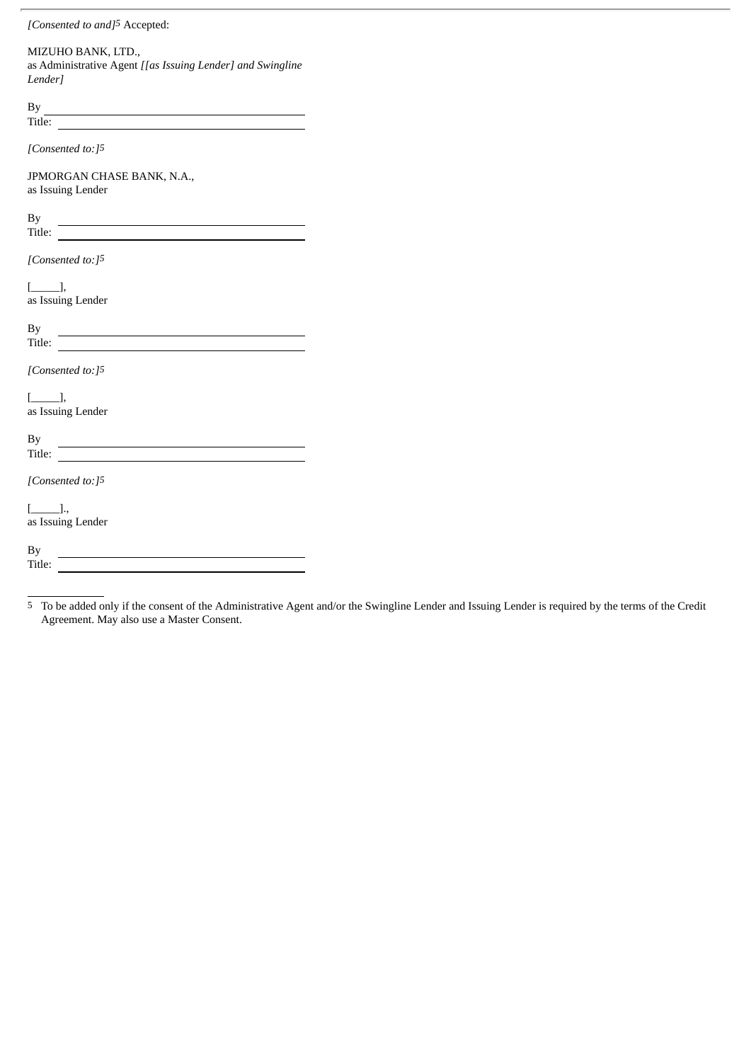| [Consented to and] <sup>5</sup> Accepted:                                                       |  |
|-------------------------------------------------------------------------------------------------|--|
| MIZUHO BANK, LTD.,<br>as Administrative Agent [[as Issuing Lender] and Swingline<br>Lender]     |  |
| Title:                                                                                          |  |
| [Consented to:] <sup>5</sup>                                                                    |  |
| JPMORGAN CHASE BANK, N.A.,<br>as Issuing Lender                                                 |  |
| By<br>Title:<br><u> 1980 - Andrea Andrew Maria (h. 1980).</u><br>1901 - Andrew Maria (h. 1902). |  |
| [Consented to: ]5                                                                               |  |
| $[\underline{\qquad}$<br>as Issuing Lender                                                      |  |
| By<br>Title:                                                                                    |  |
| [Consented to: ]5                                                                               |  |
| $[\underline{\qquad}$ .<br>as Issuing Lender                                                    |  |
| <b>By</b><br>Title:                                                                             |  |
| [Consented to:]5                                                                                |  |
| $[\underline{\qquad}].$<br>as Issuing Lender                                                    |  |
| By<br>Title:                                                                                    |  |

<sup>5</sup> To be added only if the consent of the Administrative Agent and/or the Swingline Lender and Issuing Lender is required by the terms of the Credit Agreement. May also use a Master Consent.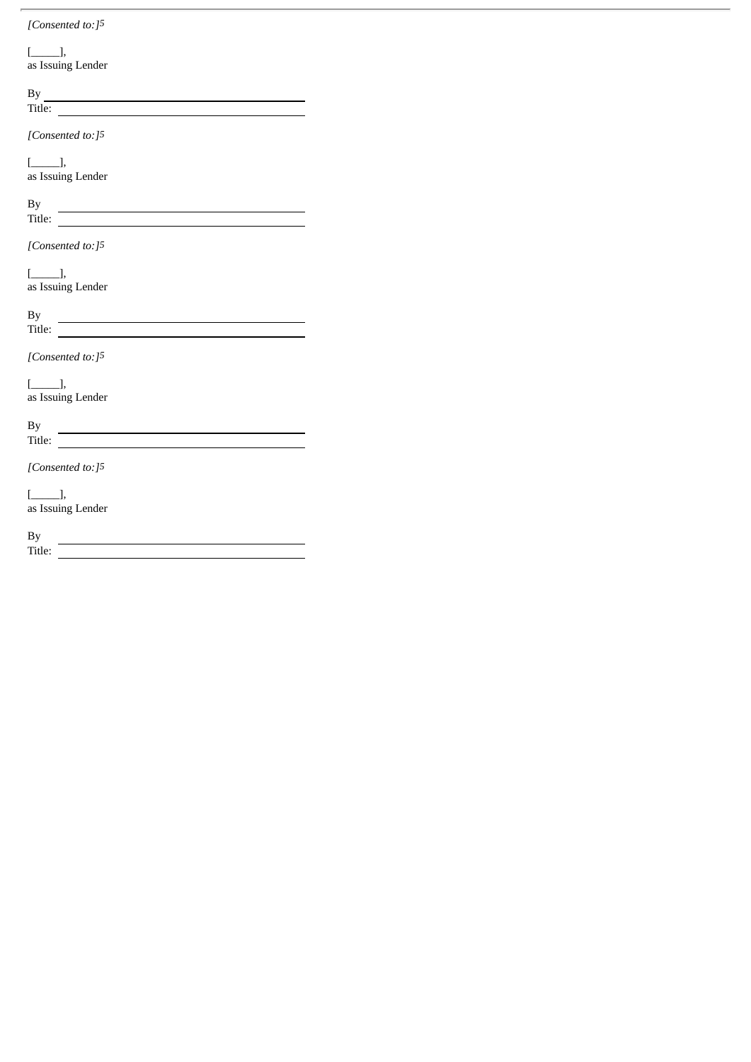| [Consented to:]5 |  |
|------------------|--|
|------------------|--|

[\_\_\_\_\_], as Issuing Lender

By

Title:

*[Consented to:]5*

[\_\_\_\_\_], as Issuing Lender

By

Title:

*[Consented to:]5*

[\_\_\_\_\_], as Issuing Lender

By By Title:

*[Consented to:]5*

[\_\_\_\_\_], as Issuing Lender

By By<br>Title: Title:

*[Consented to:]5*

[\_\_\_\_\_], as Issuing Lender

By

Title: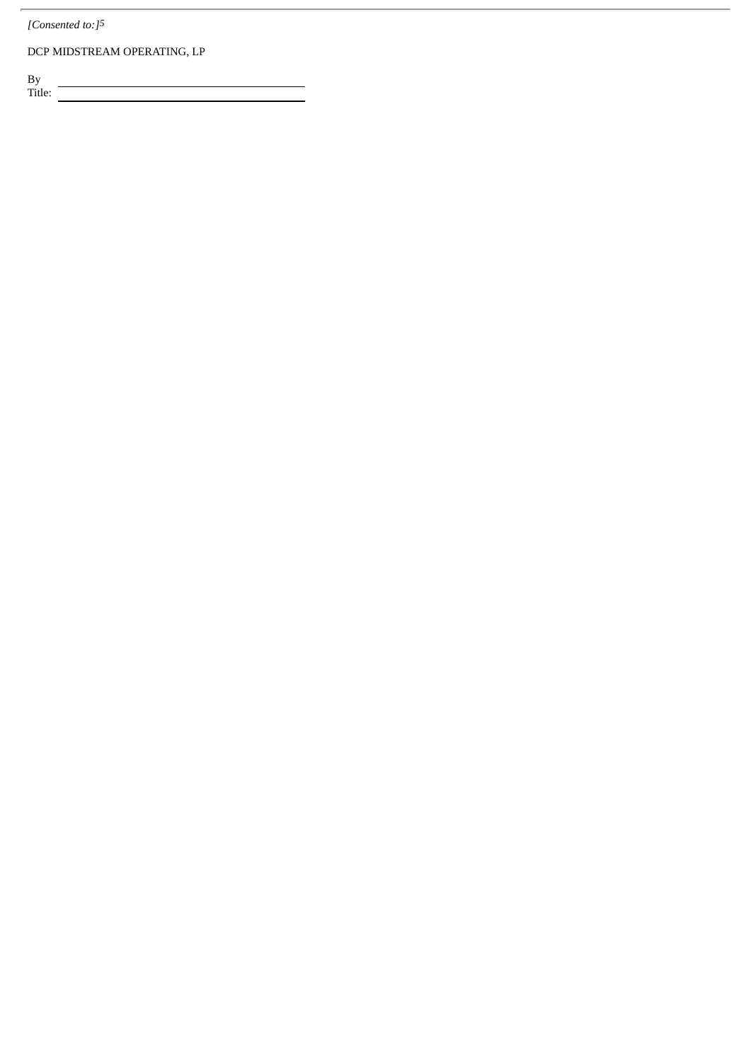DCP MIDSTREAM OPERATING, LP

 $\overline{\phantom{a}}$ 

By Title:

 $\overline{a}$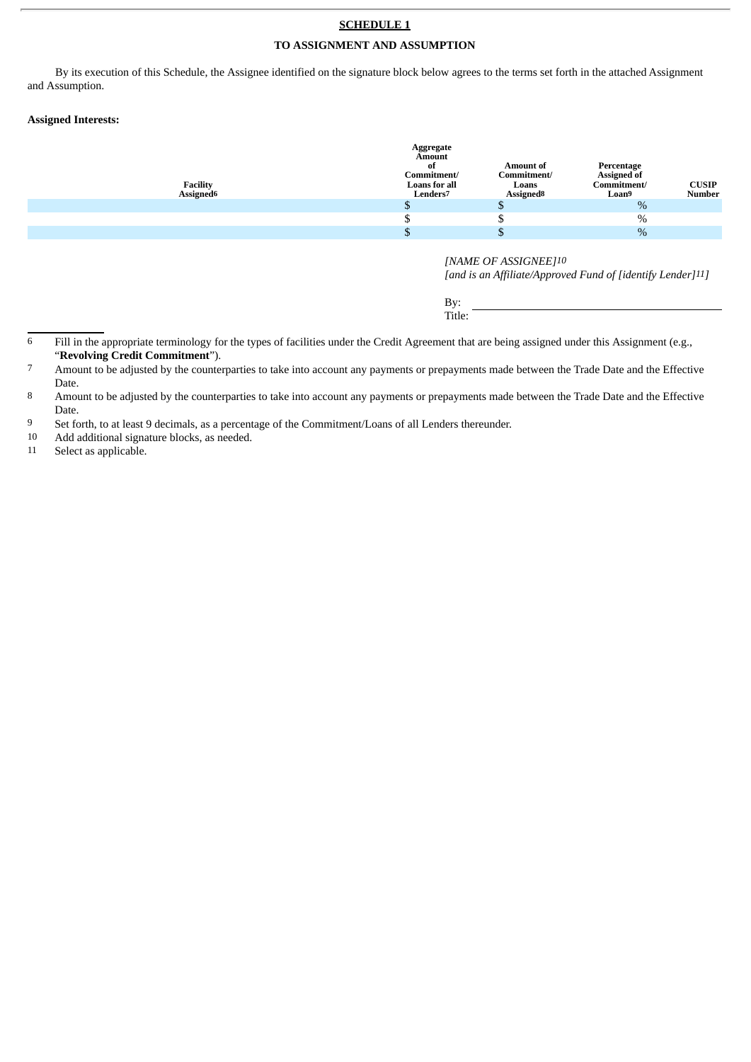# **SCHEDULE 1**

## **TO ASSIGNMENT AND ASSUMPTION**

By its execution of this Schedule, the Assignee identified on the signature block below agrees to the terms set forth in the attached Assignment and Assumption.

### **Assigned Interests:**

| <b>Facility</b><br>Assigned <sup>6</sup> | <b>Aggregate</b><br>Amount<br>of<br>Commitment/<br>Loans for all<br>Lenders7 | <b>Amount of</b><br>Commitment/<br>Loans<br>Assigned <sup>8</sup> | Percentage<br><b>Assigned of</b><br>Commitment/<br>Loan <sup>9</sup> | <b>CUSIP</b><br>Number |
|------------------------------------------|------------------------------------------------------------------------------|-------------------------------------------------------------------|----------------------------------------------------------------------|------------------------|
|                                          |                                                                              |                                                                   | %                                                                    |                        |
|                                          |                                                                              |                                                                   | %                                                                    |                        |
|                                          |                                                                              |                                                                   | %                                                                    |                        |
|                                          |                                                                              |                                                                   |                                                                      |                        |

#### *[NAME OF ASSIGNEE]10*

*[and is an Affiliate/Approved Fund of [identify Lender]11]*

By: Title:

6 Fill in the appropriate terminology for the types of facilities under the Credit Agreement that are being assigned under this Assignment (e.g., "**Revolving Credit Commitment**").

7 Amount to be adjusted by the counterparties to take into account any payments or prepayments made between the Trade Date and the Effective Date.

8 Amount to be adjusted by the counterparties to take into account any payments or prepayments made between the Trade Date and the Effective Date.

9 Set forth, to at least 9 decimals, as a percentage of the Commitment/Loans of all Lenders thereunder.

10 Add additional signature blocks, as needed.<br>11 Select as applicable.

Select as applicable.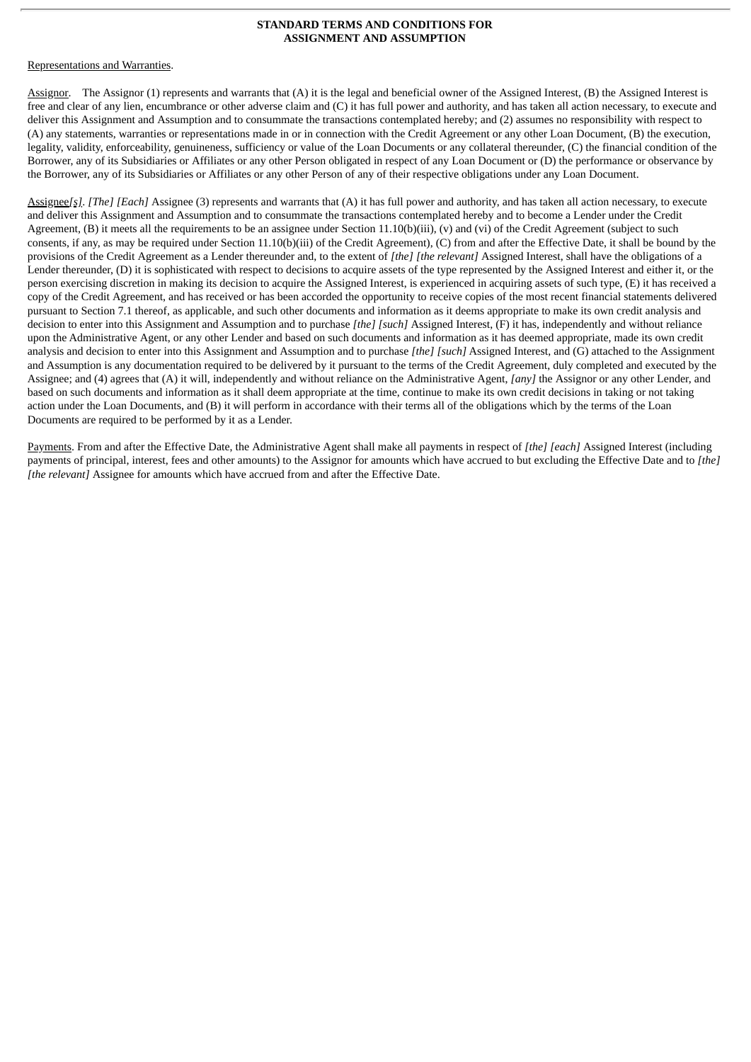#### **STANDARD TERMS AND CONDITIONS FOR ASSIGNMENT AND ASSUMPTION**

## Representations and Warranties.

Assignor. The Assignor (1) represents and warrants that (A) it is the legal and beneficial owner of the Assigned Interest, (B) the Assigned Interest is free and clear of any lien, encumbrance or other adverse claim and (C) it has full power and authority, and has taken all action necessary, to execute and deliver this Assignment and Assumption and to consummate the transactions contemplated hereby; and (2) assumes no responsibility with respect to (A) any statements, warranties or representations made in or in connection with the Credit Agreement or any other Loan Document, (B) the execution, legality, validity, enforceability, genuineness, sufficiency or value of the Loan Documents or any collateral thereunder, (C) the financial condition of the Borrower, any of its Subsidiaries or Affiliates or any other Person obligated in respect of any Loan Document or (D) the performance or observance by the Borrower, any of its Subsidiaries or Affiliates or any other Person of any of their respective obligations under any Loan Document.

Assignee*[s]*. *[The] [Each]* Assignee (3) represents and warrants that (A) it has full power and authority, and has taken all action necessary, to execute and deliver this Assignment and Assumption and to consummate the transactions contemplated hereby and to become a Lender under the Credit Agreement, (B) it meets all the requirements to be an assignee under Section 11.10(b)(iii), (v) and (vi) of the Credit Agreement (subject to such consents, if any, as may be required under Section 11.10(b)(iii) of the Credit Agreement), (C) from and after the Effective Date, it shall be bound by the provisions of the Credit Agreement as a Lender thereunder and, to the extent of *[the] [the relevant]* Assigned Interest, shall have the obligations of a Lender thereunder, (D) it is sophisticated with respect to decisions to acquire assets of the type represented by the Assigned Interest and either it, or the person exercising discretion in making its decision to acquire the Assigned Interest, is experienced in acquiring assets of such type, (E) it has received a copy of the Credit Agreement, and has received or has been accorded the opportunity to receive copies of the most recent financial statements delivered pursuant to Section 7.1 thereof, as applicable, and such other documents and information as it deems appropriate to make its own credit analysis and decision to enter into this Assignment and Assumption and to purchase *[the] [such]* Assigned Interest, (F) it has, independently and without reliance upon the Administrative Agent, or any other Lender and based on such documents and information as it has deemed appropriate, made its own credit analysis and decision to enter into this Assignment and Assumption and to purchase *[the] [such]* Assigned Interest, and (G) attached to the Assignment and Assumption is any documentation required to be delivered by it pursuant to the terms of the Credit Agreement, duly completed and executed by the Assignee; and (4) agrees that (A) it will, independently and without reliance on the Administrative Agent, *[any]* the Assignor or any other Lender, and based on such documents and information as it shall deem appropriate at the time, continue to make its own credit decisions in taking or not taking action under the Loan Documents, and (B) it will perform in accordance with their terms all of the obligations which by the terms of the Loan Documents are required to be performed by it as a Lender.

Payments. From and after the Effective Date, the Administrative Agent shall make all payments in respect of *[the] [each]* Assigned Interest (including payments of principal, interest, fees and other amounts) to the Assignor for amounts which have accrued to but excluding the Effective Date and to *[the] [the relevant]* Assignee for amounts which have accrued from and after the Effective Date.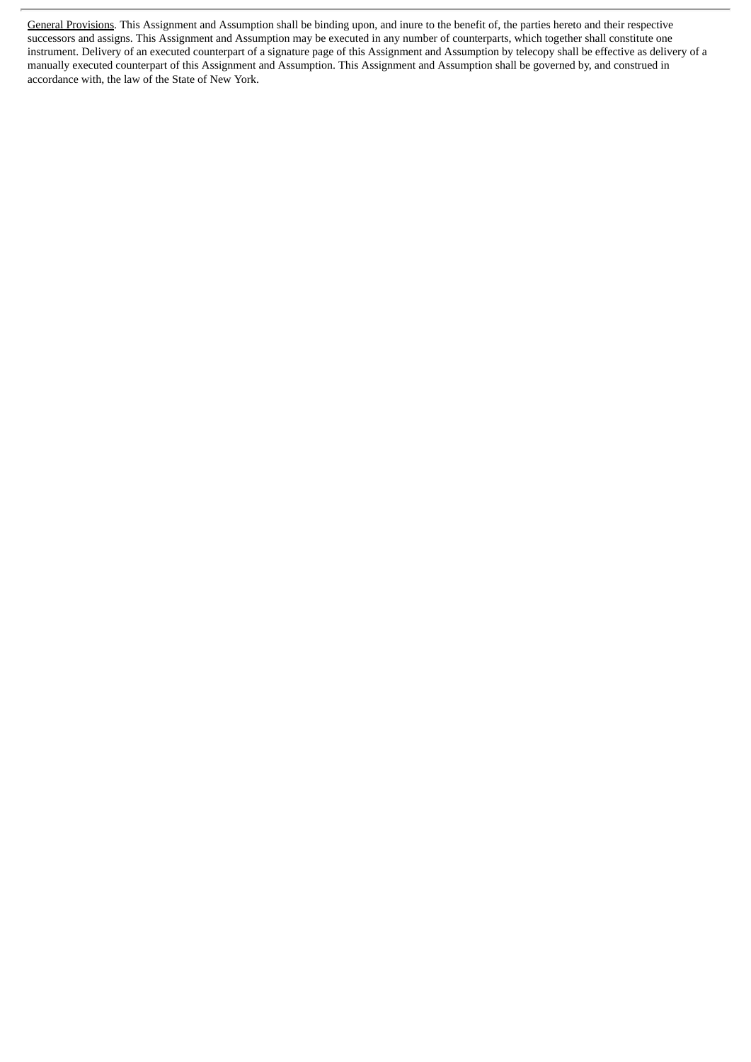General Provisions. This Assignment and Assumption shall be binding upon, and inure to the benefit of, the parties hereto and their respective successors and assigns. This Assignment and Assumption may be executed in any number of counterparts, which together shall constitute one instrument. Delivery of an executed counterpart of a signature page of this Assignment and Assumption by telecopy shall be effective as delivery of a manually executed counterpart of this Assignment and Assumption. This Assignment and Assumption shall be governed by, and construed in accordance with, the law of the State of New York.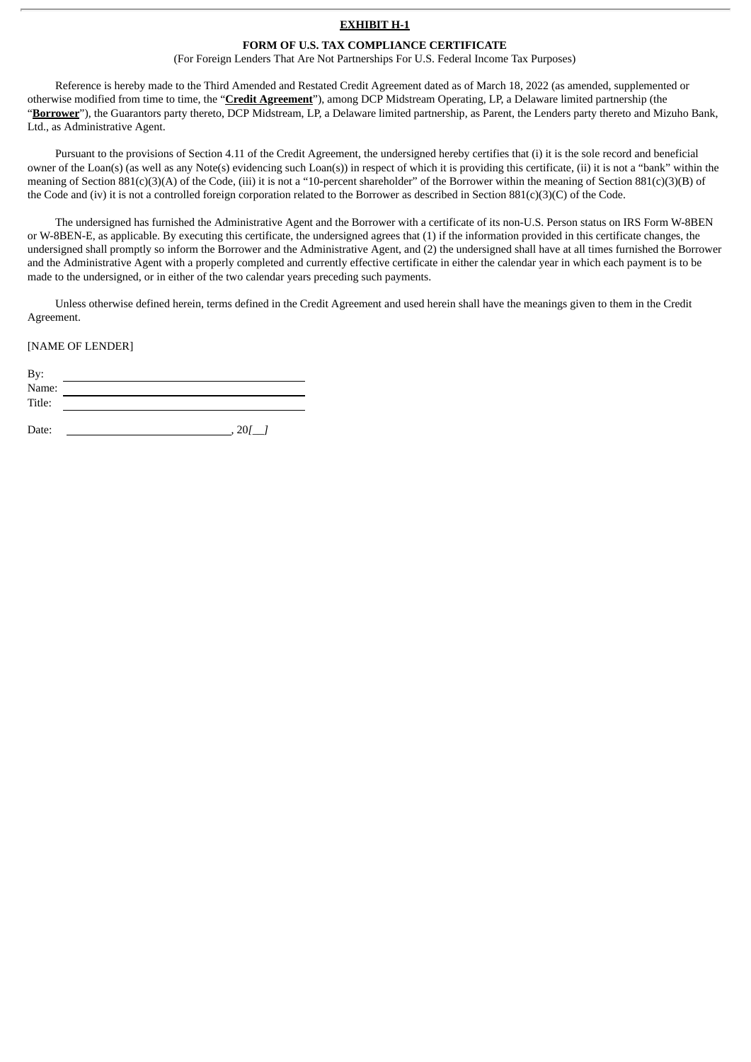## **FORM OF U.S. TAX COMPLIANCE CERTIFICATE**

(For Foreign Lenders That Are Not Partnerships For U.S. Federal Income Tax Purposes)

Reference is hereby made to the Third Amended and Restated Credit Agreement dated as of March 18, 2022 (as amended, supplemented or otherwise modified from time to time, the "**Credit Agreement**"), among DCP Midstream Operating, LP, a Delaware limited partnership (the "**Borrower**"), the Guarantors party thereto, DCP Midstream, LP, a Delaware limited partnership, as Parent, the Lenders party thereto and Mizuho Bank, Ltd., as Administrative Agent.

Pursuant to the provisions of Section 4.11 of the Credit Agreement, the undersigned hereby certifies that (i) it is the sole record and beneficial owner of the Loan(s) (as well as any Note(s) evidencing such Loan(s)) in respect of which it is providing this certificate, (ii) it is not a "bank" within the meaning of Section 881(c)(3)(A) of the Code, (iii) it is not a "10-percent shareholder" of the Borrower within the meaning of Section 881(c)(3)(B) of the Code and (iv) it is not a controlled foreign corporation related to the Borrower as described in Section 881(c)(3)(C) of the Code.

The undersigned has furnished the Administrative Agent and the Borrower with a certificate of its non-U.S. Person status on IRS Form W-8BEN or W-8BEN-E, as applicable. By executing this certificate, the undersigned agrees that (1) if the information provided in this certificate changes, the undersigned shall promptly so inform the Borrower and the Administrative Agent, and (2) the undersigned shall have at all times furnished the Borrower and the Administrative Agent with a properly completed and currently effective certificate in either the calendar year in which each payment is to be made to the undersigned, or in either of the two calendar years preceding such payments.

Unless otherwise defined herein, terms defined in the Credit Agreement and used herein shall have the meanings given to them in the Credit Agreement.

[NAME OF LENDER]

By: Name:

Title:

Date: , 20*[\_\_]*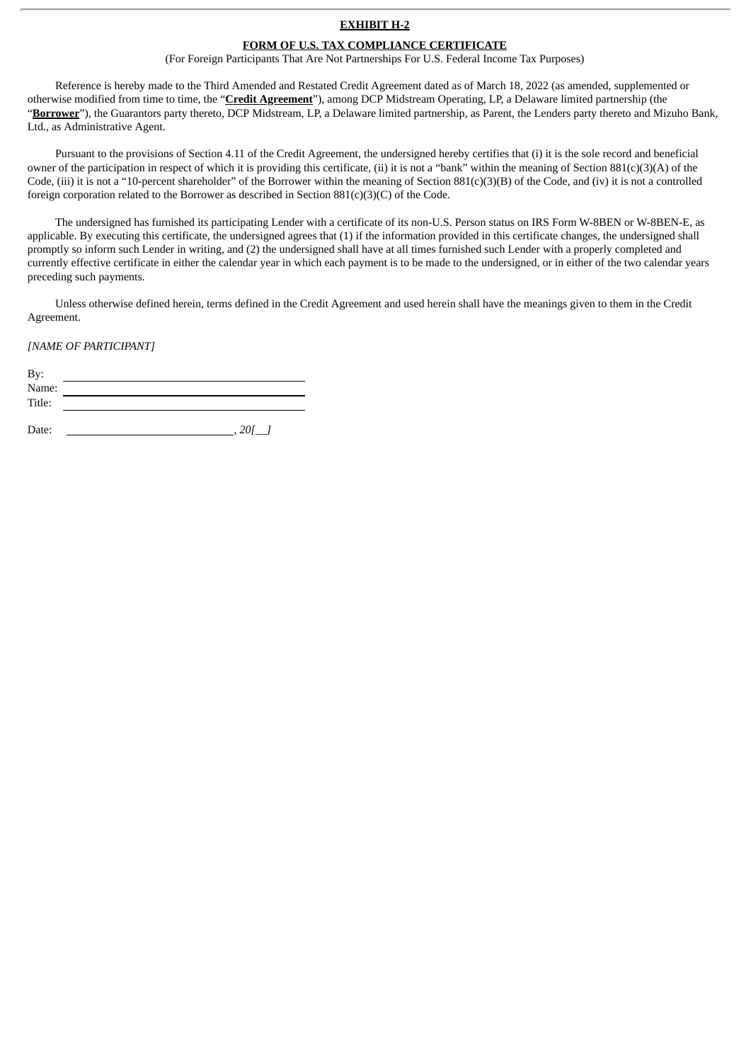#### **FORM OF U.S. TAX COMPLIANCE CERTIFICATE**

(For Foreign Participants That Are Not Partnerships For U.S. Federal Income Tax Purposes)

Reference is hereby made to the Third Amended and Restated Credit Agreement dated as of March 18, 2022 (as amended, supplemented or otherwise modified from time to time, the "**Credit Agreement**"), among DCP Midstream Operating, LP, a Delaware limited partnership (the "**Borrower**"), the Guarantors party thereto, DCP Midstream, LP, a Delaware limited partnership, as Parent, the Lenders party thereto and Mizuho Bank, Ltd., as Administrative Agent.

Pursuant to the provisions of Section 4.11 of the Credit Agreement, the undersigned hereby certifies that (i) it is the sole record and beneficial owner of the participation in respect of which it is providing this certificate, (ii) it is not a "bank" within the meaning of Section 881(c)(3)(A) of the Code, (iii) it is not a "10-percent shareholder" of the Borrower within the meaning of Section 881(c)(3)(B) of the Code, and (iv) it is not a controlled foreign corporation related to the Borrower as described in Section 881(c)(3)(C) of the Code.

The undersigned has furnished its participating Lender with a certificate of its non-U.S. Person status on IRS Form W-8BEN or W-8BEN-E, as applicable. By executing this certificate, the undersigned agrees that (1) if the information provided in this certificate changes, the undersigned shall promptly so inform such Lender in writing, and (2) the undersigned shall have at all times furnished such Lender with a properly completed and currently effective certificate in either the calendar year in which each payment is to be made to the undersigned, or in either of the two calendar years preceding such payments.

Unless otherwise defined herein, terms defined in the Credit Agreement and used herein shall have the meanings given to them in the Credit Agreement.

*[NAME OF PARTICIPANT]*

By: Name:

Title:

Date: , *20[\_\_]*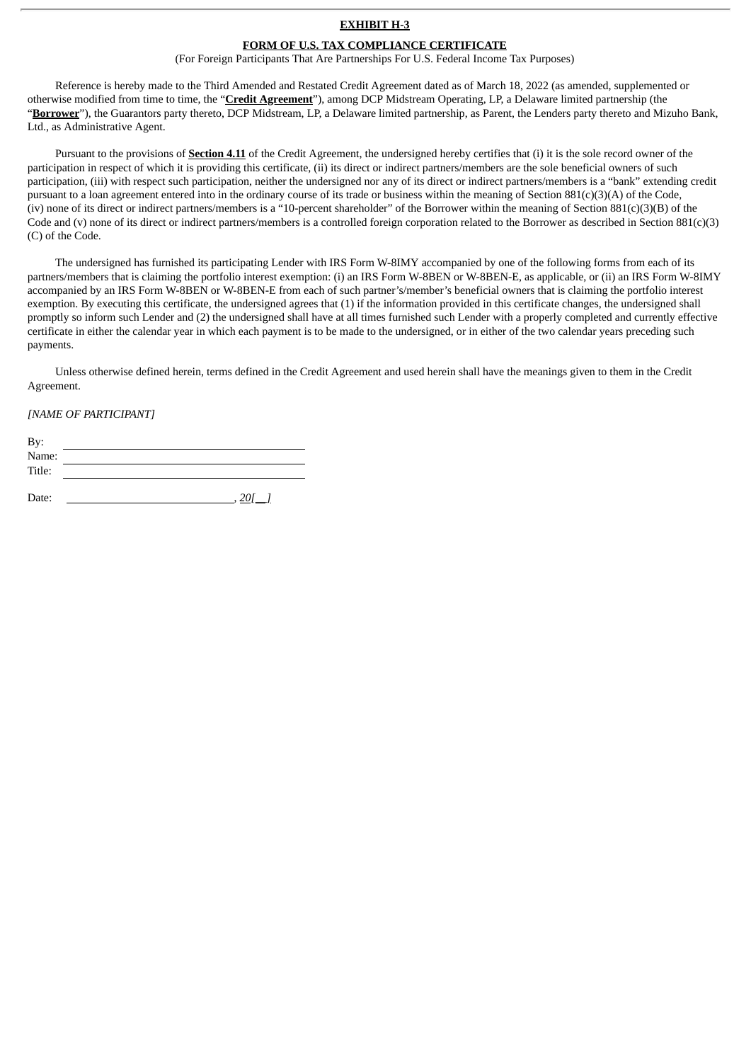#### **FORM OF U.S. TAX COMPLIANCE CERTIFICATE**

(For Foreign Participants That Are Partnerships For U.S. Federal Income Tax Purposes)

Reference is hereby made to the Third Amended and Restated Credit Agreement dated as of March 18, 2022 (as amended, supplemented or otherwise modified from time to time, the "**Credit Agreement**"), among DCP Midstream Operating, LP, a Delaware limited partnership (the "**Borrower**"), the Guarantors party thereto, DCP Midstream, LP, a Delaware limited partnership, as Parent, the Lenders party thereto and Mizuho Bank, Ltd., as Administrative Agent.

Pursuant to the provisions of **Section 4.11** of the Credit Agreement, the undersigned hereby certifies that (i) it is the sole record owner of the participation in respect of which it is providing this certificate, (ii) its direct or indirect partners/members are the sole beneficial owners of such participation, (iii) with respect such participation, neither the undersigned nor any of its direct or indirect partners/members is a "bank" extending credit pursuant to a loan agreement entered into in the ordinary course of its trade or business within the meaning of Section 881(c)(3)(A) of the Code, (iv) none of its direct or indirect partners/members is a "10-percent shareholder" of the Borrower within the meaning of Section 881(c)(3)(B) of the Code and (v) none of its direct or indirect partners/members is a controlled foreign corporation related to the Borrower as described in Section 881(c)(3) (C) of the Code.

The undersigned has furnished its participating Lender with IRS Form W-8IMY accompanied by one of the following forms from each of its partners/members that is claiming the portfolio interest exemption: (i) an IRS Form W-8BEN or W-8BEN-E, as applicable, or (ii) an IRS Form W-8IMY accompanied by an IRS Form W-8BEN or W-8BEN-E from each of such partner's/member's beneficial owners that is claiming the portfolio interest exemption. By executing this certificate, the undersigned agrees that (1) if the information provided in this certificate changes, the undersigned shall promptly so inform such Lender and (2) the undersigned shall have at all times furnished such Lender with a properly completed and currently effective certificate in either the calendar year in which each payment is to be made to the undersigned, or in either of the two calendar years preceding such payments.

Unless otherwise defined herein, terms defined in the Credit Agreement and used herein shall have the meanings given to them in the Credit Agreement.

*[NAME OF PARTICIPANT]*

| By:    |  |
|--------|--|
| Name:  |  |
| Title: |  |
|        |  |

Date: <u>contract and *20[\_]*</u>, 20*[\_]*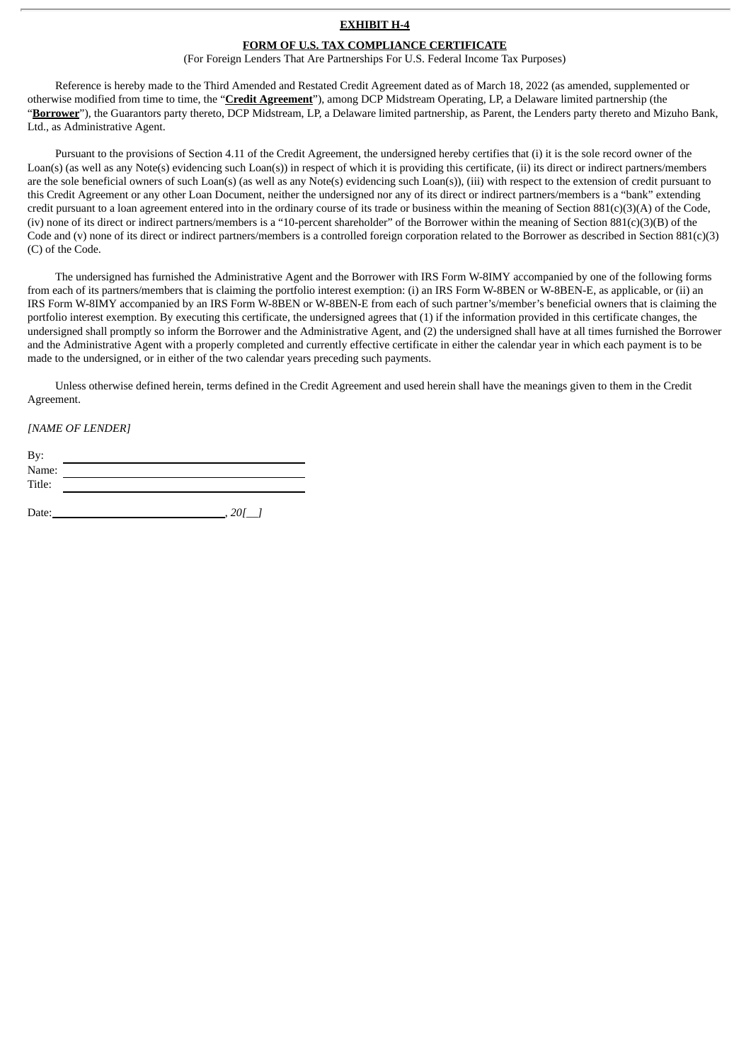#### **FORM OF U.S. TAX COMPLIANCE CERTIFICATE**

(For Foreign Lenders That Are Partnerships For U.S. Federal Income Tax Purposes)

Reference is hereby made to the Third Amended and Restated Credit Agreement dated as of March 18, 2022 (as amended, supplemented or otherwise modified from time to time, the "**Credit Agreement**"), among DCP Midstream Operating, LP, a Delaware limited partnership (the "**Borrower**"), the Guarantors party thereto, DCP Midstream, LP, a Delaware limited partnership, as Parent, the Lenders party thereto and Mizuho Bank, Ltd., as Administrative Agent.

Pursuant to the provisions of Section 4.11 of the Credit Agreement, the undersigned hereby certifies that (i) it is the sole record owner of the Loan(s) (as well as any Note(s) evidencing such Loan(s)) in respect of which it is providing this certificate, (ii) its direct or indirect partners/members are the sole beneficial owners of such Loan(s) (as well as any Note(s) evidencing such Loan(s)), (iii) with respect to the extension of credit pursuant to this Credit Agreement or any other Loan Document, neither the undersigned nor any of its direct or indirect partners/members is a "bank" extending credit pursuant to a loan agreement entered into in the ordinary course of its trade or business within the meaning of Section 881(c)(3)(A) of the Code, (iv) none of its direct or indirect partners/members is a "10-percent shareholder" of the Borrower within the meaning of Section 881(c)(3)(B) of the Code and (v) none of its direct or indirect partners/members is a controlled foreign corporation related to the Borrower as described in Section 881(c)(3) (C) of the Code.

The undersigned has furnished the Administrative Agent and the Borrower with IRS Form W-8IMY accompanied by one of the following forms from each of its partners/members that is claiming the portfolio interest exemption: (i) an IRS Form W-8BEN or W-8BEN-E, as applicable, or (ii) an IRS Form W-8IMY accompanied by an IRS Form W-8BEN or W-8BEN-E from each of such partner's/member's beneficial owners that is claiming the portfolio interest exemption. By executing this certificate, the undersigned agrees that (1) if the information provided in this certificate changes, the undersigned shall promptly so inform the Borrower and the Administrative Agent, and (2) the undersigned shall have at all times furnished the Borrower and the Administrative Agent with a properly completed and currently effective certificate in either the calendar year in which each payment is to be made to the undersigned, or in either of the two calendar years preceding such payments.

Unless otherwise defined herein, terms defined in the Credit Agreement and used herein shall have the meanings given to them in the Credit Agreement.

*[NAME OF LENDER]*

| By:    |  |
|--------|--|
| Name:  |  |
| Title: |  |

Date: , 20[*\_\_]*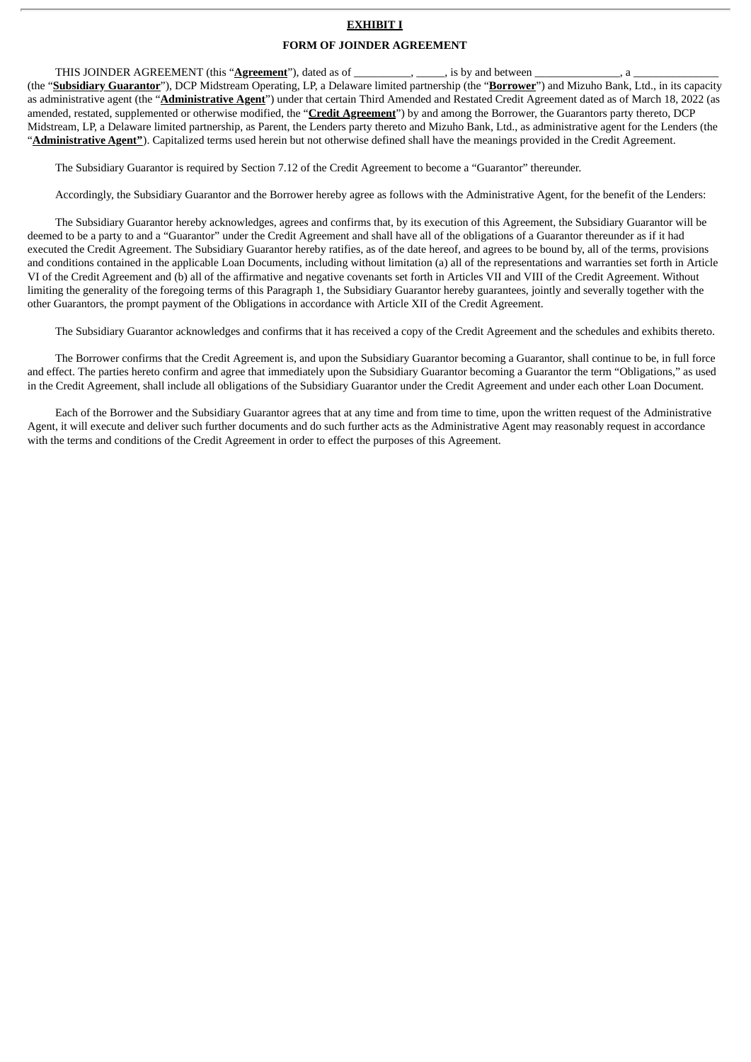### **EXHIBIT I**

#### **FORM OF JOINDER AGREEMENT**

THIS JOINDER AGREEMENT (this "**Agreement**"), dated as of \_\_\_\_\_\_\_\_\_, \_\_\_\_\_, is by and between \_\_\_\_\_\_\_\_\_\_\_\_\_\_, a (the "**Subsidiary Guarantor**"), DCP Midstream Operating, LP, a Delaware limited partnership (the "**Borrower**") and Mizuho Bank, Ltd., in its capacity as administrative agent (the "**Administrative Agent**") under that certain Third Amended and Restated Credit Agreement dated as of March 18, 2022 (as amended, restated, supplemented or otherwise modified, the "**Credit Agreement**") by and among the Borrower, the Guarantors party thereto, DCP Midstream, LP, a Delaware limited partnership, as Parent, the Lenders party thereto and Mizuho Bank, Ltd., as administrative agent for the Lenders (the "**Administrative Agent"**). Capitalized terms used herein but not otherwise defined shall have the meanings provided in the Credit Agreement.

The Subsidiary Guarantor is required by Section 7.12 of the Credit Agreement to become a "Guarantor" thereunder.

Accordingly, the Subsidiary Guarantor and the Borrower hereby agree as follows with the Administrative Agent, for the benefit of the Lenders:

The Subsidiary Guarantor hereby acknowledges, agrees and confirms that, by its execution of this Agreement, the Subsidiary Guarantor will be deemed to be a party to and a "Guarantor" under the Credit Agreement and shall have all of the obligations of a Guarantor thereunder as if it had executed the Credit Agreement. The Subsidiary Guarantor hereby ratifies, as of the date hereof, and agrees to be bound by, all of the terms, provisions and conditions contained in the applicable Loan Documents, including without limitation (a) all of the representations and warranties set forth in Article VI of the Credit Agreement and (b) all of the affirmative and negative covenants set forth in Articles VII and VIII of the Credit Agreement. Without limiting the generality of the foregoing terms of this Paragraph 1, the Subsidiary Guarantor hereby guarantees, jointly and severally together with the other Guarantors, the prompt payment of the Obligations in accordance with Article XII of the Credit Agreement.

The Subsidiary Guarantor acknowledges and confirms that it has received a copy of the Credit Agreement and the schedules and exhibits thereto.

The Borrower confirms that the Credit Agreement is, and upon the Subsidiary Guarantor becoming a Guarantor, shall continue to be, in full force and effect. The parties hereto confirm and agree that immediately upon the Subsidiary Guarantor becoming a Guarantor the term "Obligations," as used in the Credit Agreement, shall include all obligations of the Subsidiary Guarantor under the Credit Agreement and under each other Loan Document.

Each of the Borrower and the Subsidiary Guarantor agrees that at any time and from time to time, upon the written request of the Administrative Agent, it will execute and deliver such further documents and do such further acts as the Administrative Agent may reasonably request in accordance with the terms and conditions of the Credit Agreement in order to effect the purposes of this Agreement.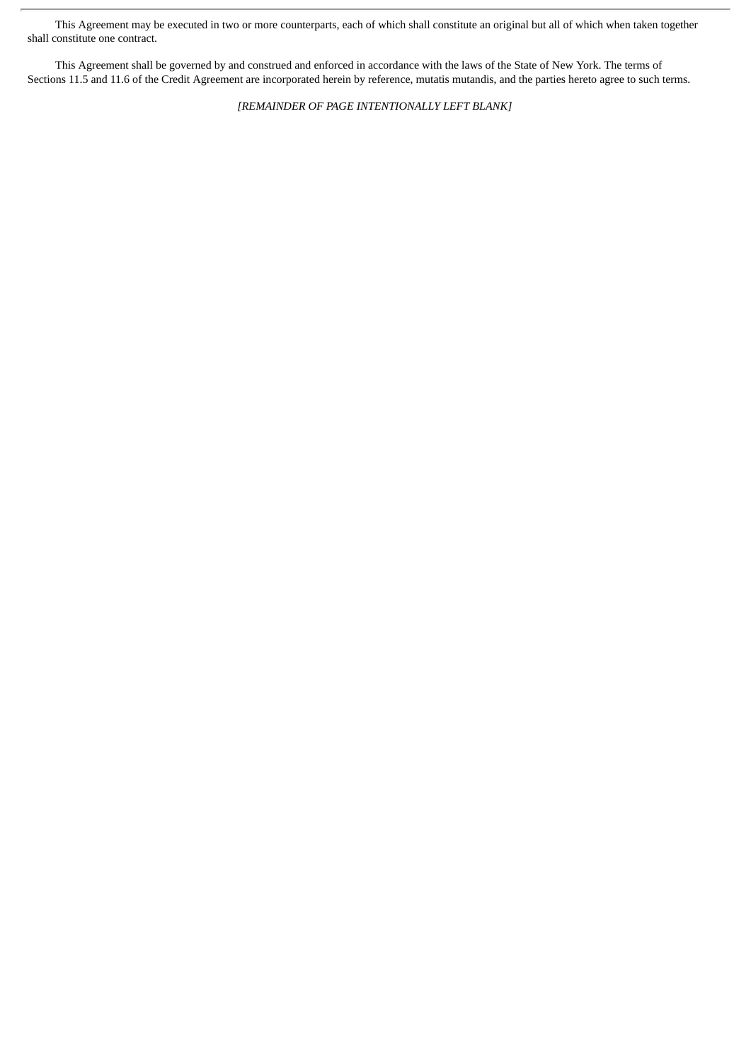This Agreement may be executed in two or more counterparts, each of which shall constitute an original but all of which when taken together shall constitute one contract.

This Agreement shall be governed by and construed and enforced in accordance with the laws of the State of New York. The terms of Sections 11.5 and 11.6 of the Credit Agreement are incorporated herein by reference, mutatis mutandis, and the parties hereto agree to such terms.

*[REMAINDER OF PAGE INTENTIONALLY LEFT BLANK]*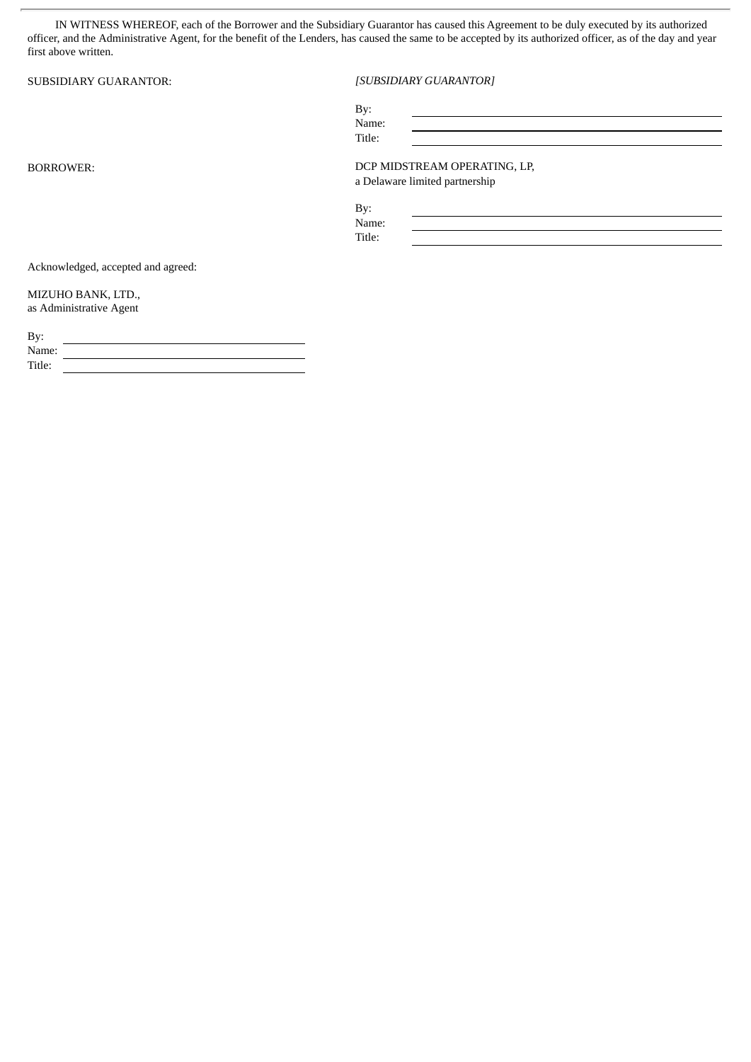IN WITNESS WHEREOF, each of the Borrower and the Subsidiary Guarantor has caused this Agreement to be duly executed by its authorized officer, and the Administrative Agent, for the benefit of the Lenders, has caused the same to be accepted by its authorized officer, as of the day and year first above written.

|  | SUBSIDIARY GUARANTOR: |
|--|-----------------------|
|--|-----------------------|

## SUBSIDIARY GUARANTOR: *[SUBSIDIARY GUARANTOR]*

| By:    |  |  |
|--------|--|--|
| Name:  |  |  |
| Title: |  |  |
|        |  |  |

<u> 1980 - Johann Barn, mars an t-Amerikaansk kommunister (</u>

BORROWER: DCP MIDSTREAM OPERATING, LP, a Delaware limited partnership

> By: Name: Title:

Acknowledged, accepted and agreed:

MIZUHO BANK, LTD., as Administrative Agent

By: Name: Title: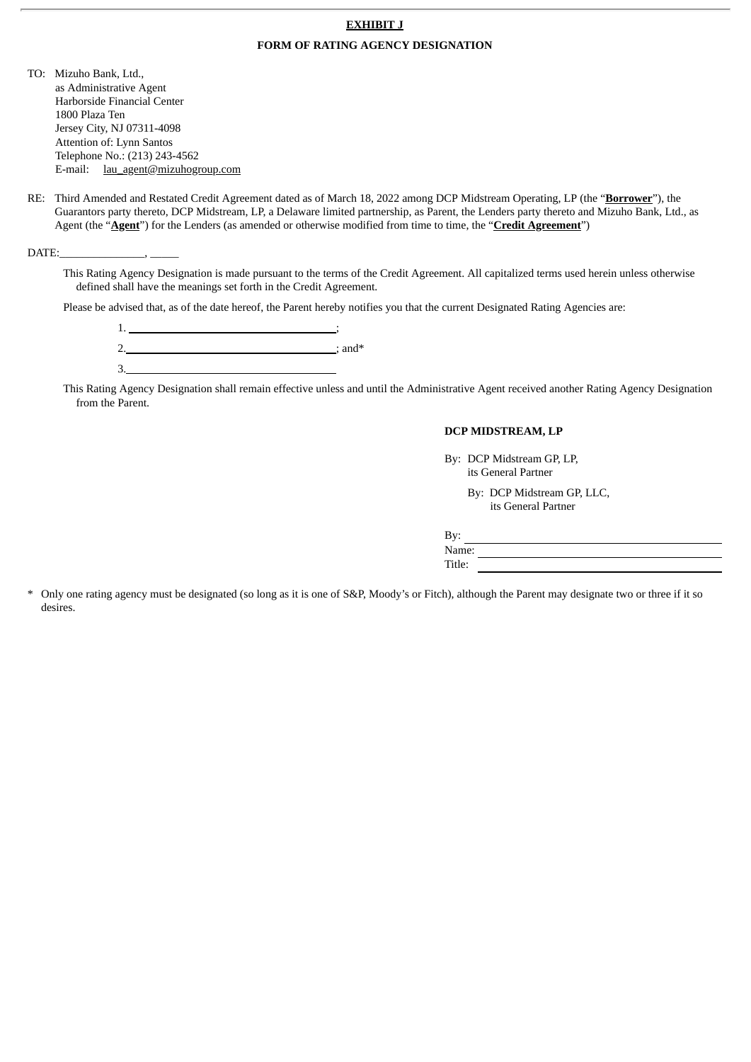# **EXHIBIT J FORM OF RATING AGENCY DESIGNATION**

TO: Mizuho Bank, Ltd., as Administrative Agent Harborside Financial Center 1800 Plaza Ten Jersey City, NJ 07311-4098 Attention of: Lynn Santos Telephone No.: (213) 243-4562 E-mail: lau\_agent@mizuhogroup.com

RE: Third Amended and Restated Credit Agreement dated as of March 18, 2022 among DCP Midstream Operating, LP (the "**Borrower**"), the Guarantors party thereto, DCP Midstream, LP, a Delaware limited partnership, as Parent, the Lenders party thereto and Mizuho Bank, Ltd., as Agent (the "**Agent**") for the Lenders (as amended or otherwise modified from time to time, the "**Credit Agreement**")

DATE:

This Rating Agency Designation is made pursuant to the terms of the Credit Agreement. All capitalized terms used herein unless otherwise defined shall have the meanings set forth in the Credit Agreement.

Please be advised that, as of the date hereof, the Parent hereby notifies you that the current Designated Rating Agencies are:

 $1.$  $2.$  ; and\* 3.

This Rating Agency Designation shall remain effective unless and until the Administrative Agent received another Rating Agency Designation from the Parent.

#### **DCP MIDSTREAM, LP**

By: DCP Midstream GP, LP, its General Partner

> By: DCP Midstream GP, LLC, its General Partner

By:

By: Name: Title:

\* Only one rating agency must be designated (so long as it is one of S&P, Moody's or Fitch), although the Parent may designate two or three if it so desires.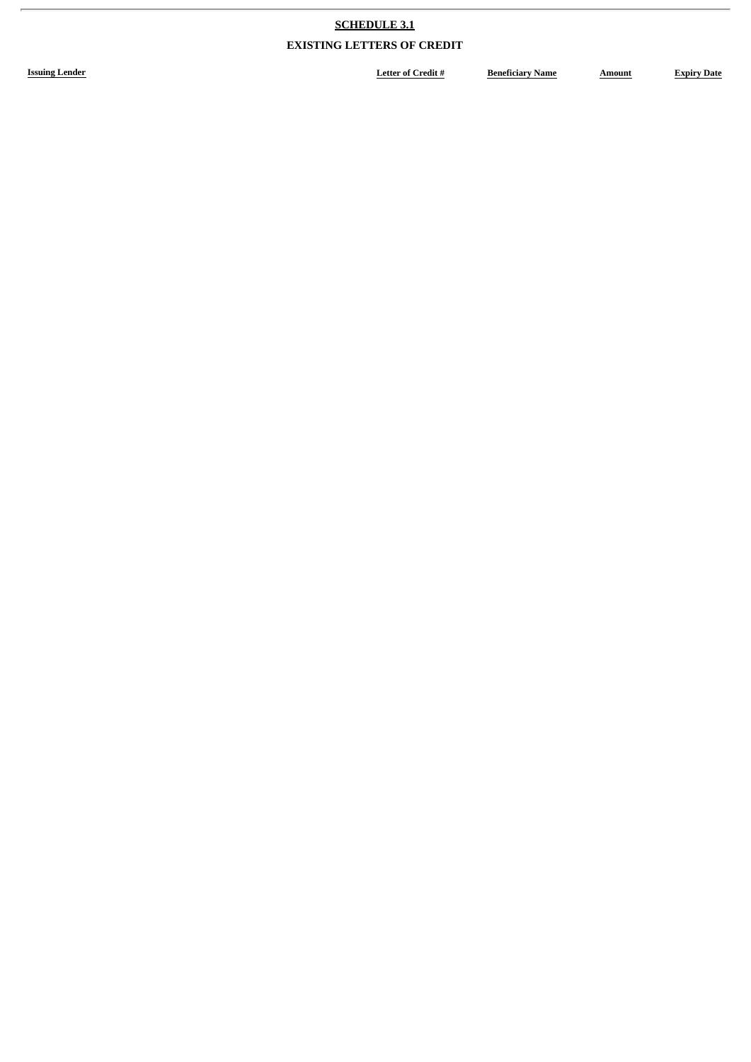# **SCHEDULE 3.1 EXISTING LETTERS OF CREDIT**

r.

**Issuing Lender Letter of Credit # Beneficiary Name Amount Expiry Date**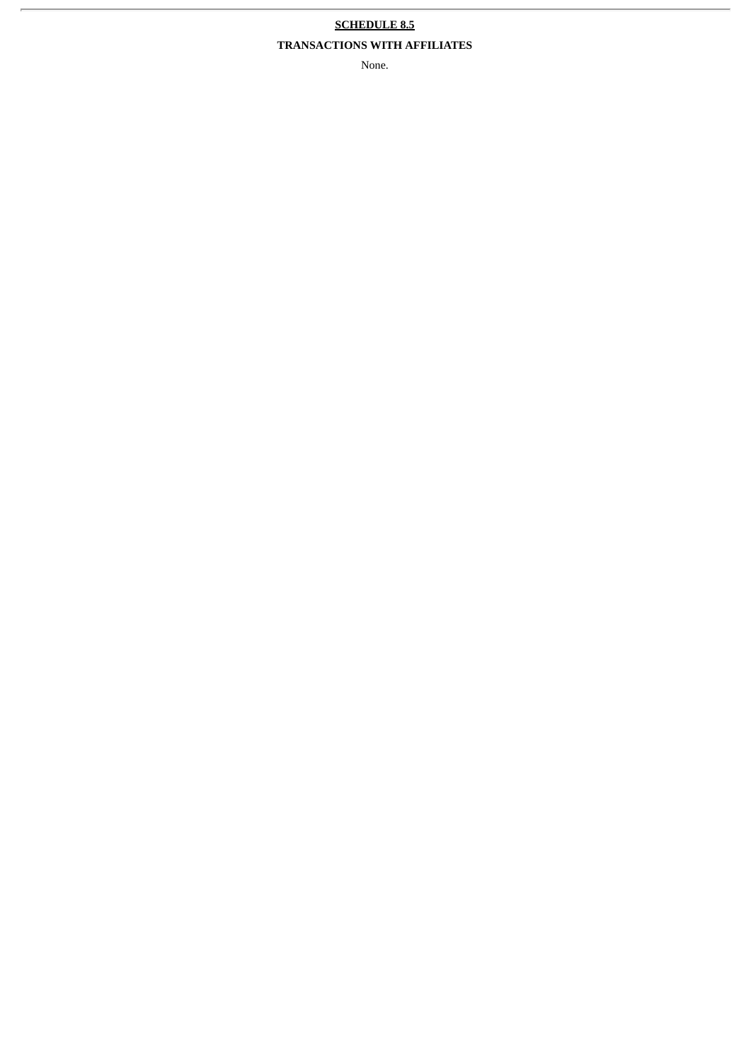# **SCHEDULE 8.5 TRANSACTIONS WITH AFFILIATES**

None.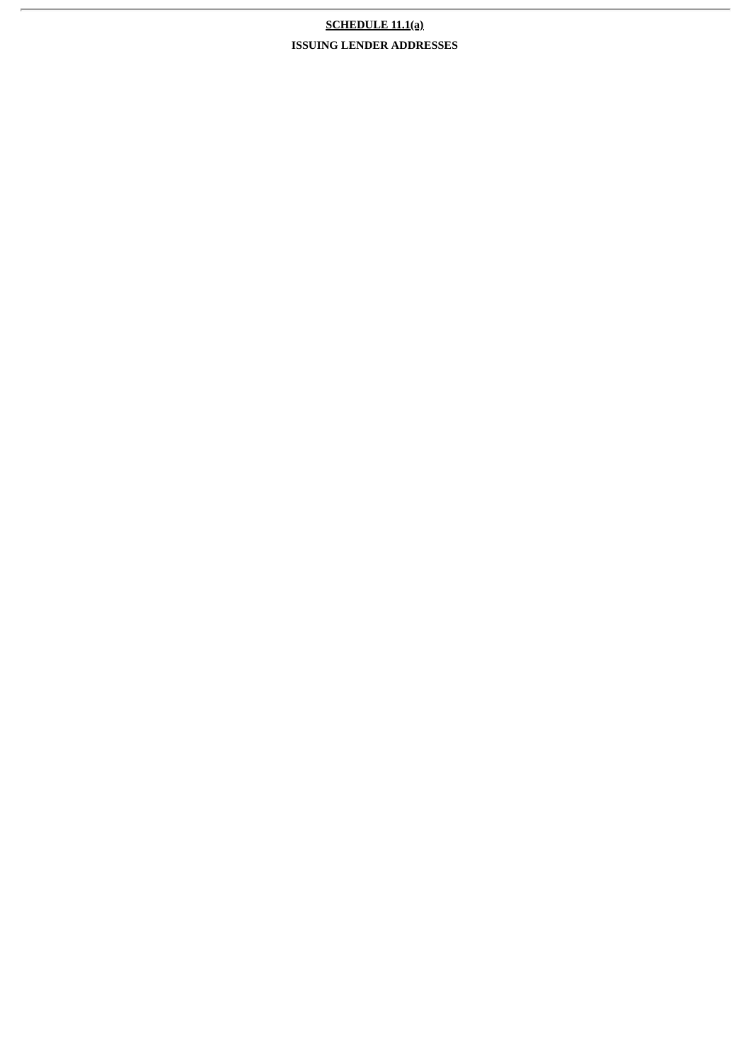# **SCHEDULE 11.1(a) ISSUING LENDER ADDRESSES**

 $\bar{r}$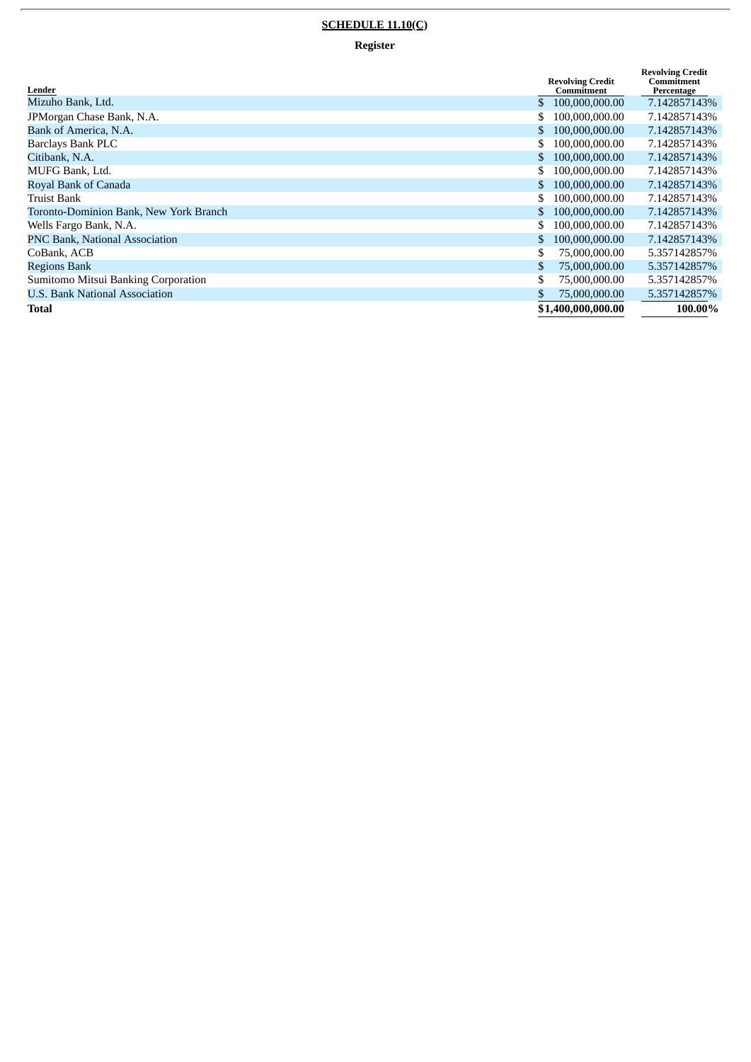### **SCHEDULE 11.10(C)**

**R e g i s t e r**

| Lender                                 |     | <b>Revolving Credit</b><br>Commitment | <b>Revolving Credit</b><br>Commitment<br>Percentage |
|----------------------------------------|-----|---------------------------------------|-----------------------------------------------------|
| Mizuho Bank, Ltd.                      |     | \$100,000,000.00                      | 7.142857143%                                        |
| JPMorgan Chase Bank, N.A.              | \$  | 100,000,000.00                        | 7.142857143%                                        |
| Bank of America, N.A.                  | S.  | 100,000,000.00                        | 7.142857143%                                        |
| Barclays Bank PLC                      | \$  | 100,000,000.00                        | 7.142857143%                                        |
| Citibank, N.A.                         | \$. | 100,000,000.00                        | 7.142857143%                                        |
| MUFG Bank, Ltd.                        | \$  | 100,000,000.00                        | 7.142857143%                                        |
| Royal Bank of Canada                   | \$. | 100,000,000.00                        | 7.142857143%                                        |
| Truist Bank                            | \$  | 100,000,000.00                        | 7.142857143%                                        |
| Toronto-Dominion Bank, New York Branch | S.  | 100,000,000.00                        | 7.142857143%                                        |
| Wells Fargo Bank, N.A.                 | \$  | 100,000,000.00                        | 7.142857143%                                        |
| PNC Bank, National Association         | S   | 100,000,000.00                        | 7.142857143%                                        |
| CoBank, ACB                            | \$  | 75,000,000.00                         | 5.357142857%                                        |
| <b>Regions Bank</b>                    | \$  | 75,000,000.00                         | 5.357142857%                                        |
| Sumitomo Mitsui Banking Corporation    | \$  | 75,000,000.00                         | 5.357142857%                                        |
| <b>U.S. Bank National Association</b>  |     | 75,000,000.00                         | 5.357142857%                                        |
| Total                                  |     | \$1,400,000,000.00                    | 100.00%                                             |